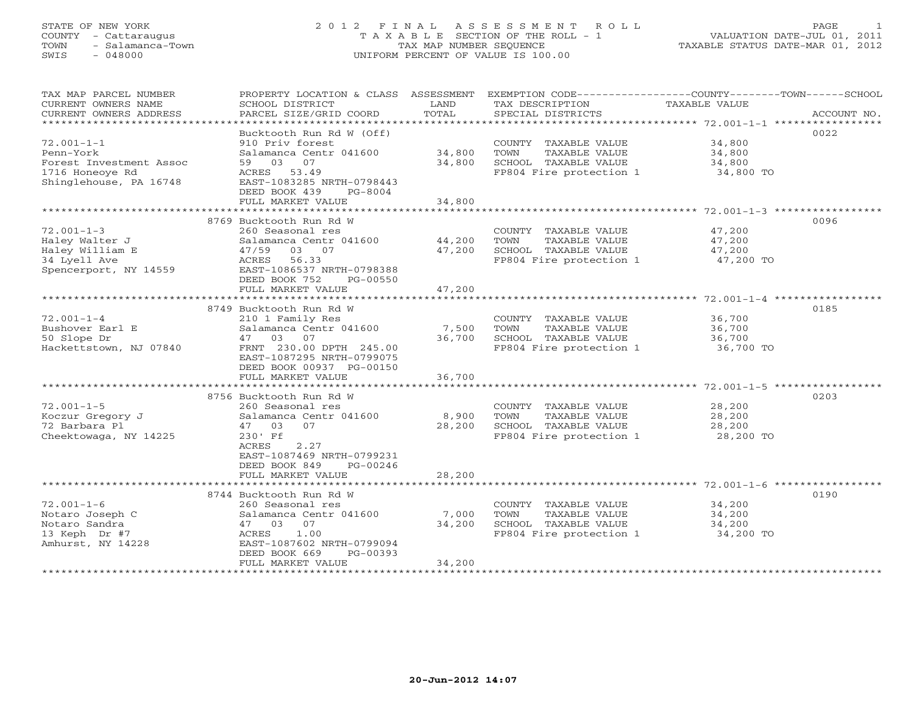#### STATE OF NEW YORK 2 0 1 2 F I N A L A S S E S S M E N T R O L L PAGE 1 COUNTY - Cattaraugus T A X A B L E SECTION OF THE ROLL - 1 VALUATION DATE-JUL 01, 2011 TOWN - Salamanca-Town TAX MAP NUMBER SEQUENCE TAXABLE STATUS DATE-MAR 01, 2012 SWIS - 048000 UNIFORM PERCENT OF VALUE IS 100.00

| TAX MAP PARCEL NUMBER<br>CURRENT OWNERS NAME<br>CURRENT OWNERS ADDRESS                                | PROPERTY LOCATION & CLASS ASSESSMENT<br>SCHOOL DISTRICT<br>PARCEL SIZE/GRID COORD                                                                                                          | LAND<br>TOTAL              | EXEMPTION CODE-----------------COUNTY-------TOWN-----SCHOOL<br>TAX DESCRIPTION<br>SPECIAL DISTRICTS        | TAXABLE VALUE                           | ACCOUNT NO. |
|-------------------------------------------------------------------------------------------------------|--------------------------------------------------------------------------------------------------------------------------------------------------------------------------------------------|----------------------------|------------------------------------------------------------------------------------------------------------|-----------------------------------------|-------------|
| $72.001 - 1 - 1$<br>Penn-York<br>Forest Investment Assoc<br>1716 Honeoye Rd<br>Shinglehouse, PA 16748 | Bucktooth Run Rd W (Off)<br>910 Priv forest<br>Salamanca Centr 041600<br>59 03 07<br>53.49<br>ACRES<br>EAST-1083285 NRTH-0798443<br>DEED BOOK 439<br>$PG-8004$<br>FULL MARKET VALUE        | 34,800<br>34,800<br>34,800 | COUNTY TAXABLE VALUE<br>TAXABLE VALUE<br>TOWN<br>SCHOOL TAXABLE VALUE<br>FP804 Fire protection 1           | 34,800<br>34,800<br>34,800<br>34,800 TO | 0022        |
|                                                                                                       | 8769 Bucktooth Run Rd W                                                                                                                                                                    |                            |                                                                                                            |                                         | 0096        |
| $72.001 - 1 - 3$<br>Haley Walter J<br>Haley William E<br>34 Lyell Ave<br>Spencerport, NY 14559        | 260 Seasonal res<br>Salamanca Centr 041600<br>47/59<br>03 07<br>ACRES 56.33<br>EAST-1086537 NRTH-0798388<br>DEED BOOK 752<br>PG-00550<br>FULL MARKET VALUE                                 | 44,200<br>47,200<br>47,200 | COUNTY TAXABLE VALUE<br>TOWN<br>TAXABLE VALUE<br>SCHOOL TAXABLE VALUE<br>FP804 Fire protection 1           | 47,200<br>47,200<br>47,200<br>47,200 TO |             |
|                                                                                                       |                                                                                                                                                                                            |                            |                                                                                                            |                                         |             |
| $72.001 - 1 - 4$<br>Bushover Earl E<br>50 Slope Dr<br>Hackettstown, NJ 07840                          | 8749 Bucktooth Run Rd W<br>210 1 Family Res<br>Salamanca Centr 041600<br>47 03 07<br>FRNT 230.00 DPTH 245.00<br>EAST-1087295 NRTH-0799075<br>DEED BOOK 00937 PG-00150<br>FULL MARKET VALUE | 7,500<br>36,700<br>36,700  | COUNTY TAXABLE VALUE<br>TAXABLE VALUE<br>TOWN<br>SCHOOL TAXABLE VALUE<br>FP804 Fire protection 1 36,700 TO | 36,700<br>36,700<br>36,700              | 0185        |
|                                                                                                       | 8756 Bucktooth Run Rd W                                                                                                                                                                    |                            |                                                                                                            |                                         | 0203        |
| $72.001 - 1 - 5$<br>Koczur Gregory J<br>72 Barbara Pl<br>Cheektowaga, NY 14225                        | 260 Seasonal res<br>Salamanca Centr 041600<br>47 03<br>07<br>230' Ff<br>ACRES<br>2.27<br>EAST-1087469 NRTH-0799231<br>DEED BOOK 849<br>PG-00246                                            | 8,900<br>28,200            | COUNTY TAXABLE VALUE<br>TAXABLE VALUE<br>TOWN<br>SCHOOL TAXABLE VALUE<br>FP804 Fire protection 1           | 28,200<br>28,200<br>28,200<br>28,200 TO |             |
|                                                                                                       | FULL MARKET VALUE                                                                                                                                                                          | 28,200                     |                                                                                                            |                                         |             |
|                                                                                                       | 8744 Bucktooth Run Rd W                                                                                                                                                                    |                            |                                                                                                            |                                         | 0190        |
| $72.001 - 1 - 6$<br>Notaro Joseph C<br>Notaro Sandra<br>13 Keph Dr #7<br>Amhurst, NY 14228            | 260 Seasonal res<br>Salamanca Centr 041600<br>07<br>47 03<br>1.00<br>ACRES<br>EAST-1087602 NRTH-0799094<br>DEED BOOK 669<br>PG-00393<br>FULL MARKET VALUE                                  | 7,000<br>34,200<br>34,200  | COUNTY TAXABLE VALUE<br>TAXABLE VALUE<br>TOWN<br>SCHOOL TAXABLE VALUE<br>FP804 Fire protection 1           | 34,200<br>34,200<br>34,200<br>34,200 TO |             |
|                                                                                                       |                                                                                                                                                                                            |                            |                                                                                                            |                                         |             |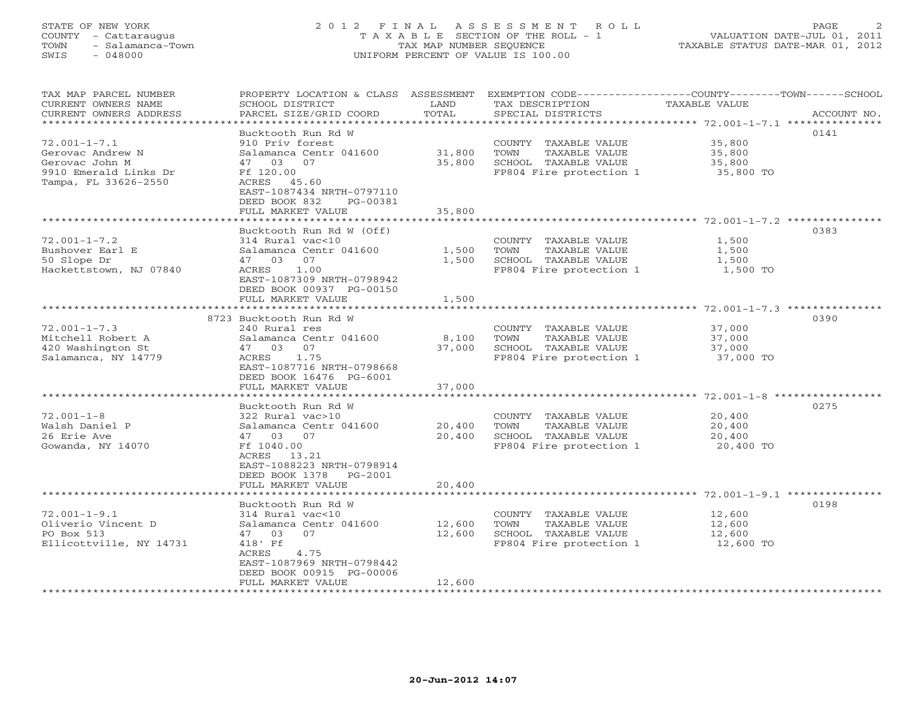# STATE OF NEW YORK 2 0 1 2 F I N A L A S S E S S M E N T R O L L PAGE 2 COUNTY - Cattaraugus T A X A B L E SECTION OF THE ROLL - 1 VALUATION DATE-JUL 01, 2011 TOWN - Salamanca-Town TAX MAP NUMBER SEQUENCE TAXABLE STATUS DATE-MAR 01, 2012 SWIS - 048000 UNIFORM PERCENT OF VALUE IS 100.00

| TAX MAP PARCEL NUMBER<br>CURRENT OWNERS NAME | PROPERTY LOCATION & CLASS<br>SCHOOL DISTRICT          | ASSESSMENT<br>LAND    | EXEMPTION CODE-----------------COUNTY-------TOWN------SCHOOL<br>TAX DESCRIPTION | TAXABLE VALUE |             |
|----------------------------------------------|-------------------------------------------------------|-----------------------|---------------------------------------------------------------------------------|---------------|-------------|
| CURRENT OWNERS ADDRESS                       | PARCEL SIZE/GRID COORD                                | TOTAL<br>************ | SPECIAL DISTRICTS                                                               |               | ACCOUNT NO. |
|                                              | Bucktooth Run Rd W                                    |                       |                                                                                 |               | 0141        |
| $72.001 - 1 - 7.1$                           | 910 Priv forest                                       |                       | COUNTY TAXABLE VALUE                                                            | 35,800        |             |
| Gerovac Andrew N                             | Salamanca Centr 041600                                | 31,800                | TOWN<br>TAXABLE VALUE                                                           | 35,800        |             |
| Gerovac John M                               | 07<br>03<br>47                                        | 35,800                | SCHOOL TAXABLE VALUE                                                            | 35,800        |             |
| 9910 Emerald Links Dr                        | Ff 120.00                                             |                       | FP804 Fire protection 1                                                         | 35,800 TO     |             |
| Tampa, FL 33626-2550                         | ACRES 45.60                                           |                       |                                                                                 |               |             |
|                                              | EAST-1087434 NRTH-0797110<br>PG-00381                 |                       |                                                                                 |               |             |
|                                              | DEED BOOK 832<br>FULL MARKET VALUE                    | 35,800                |                                                                                 |               |             |
|                                              |                                                       |                       |                                                                                 |               |             |
|                                              | Bucktooth Run Rd W (Off)                              |                       |                                                                                 |               | 0383        |
| $72.001 - 1 - 7.2$                           | 314 Rural vac<10                                      |                       | COUNTY TAXABLE VALUE                                                            | 1,500         |             |
| Bushover Earl E                              | Salamanca Centr 041600                                | 1,500                 | TOWN<br>TAXABLE VALUE                                                           | 1,500         |             |
| 50 Slope Dr                                  | 47 03<br>07                                           | 1,500                 | SCHOOL TAXABLE VALUE                                                            | 1,500         |             |
| Hackettstown, NJ 07840                       | 1.00<br>ACRES                                         |                       | FP804 Fire protection 1                                                         | 1,500 TO      |             |
|                                              | EAST-1087309 NRTH-0798942<br>DEED BOOK 00937 PG-00150 |                       |                                                                                 |               |             |
|                                              | FULL MARKET VALUE                                     | 1,500                 |                                                                                 |               |             |
|                                              | ****************************                          | ************          |                                                                                 |               |             |
|                                              | 8723 Bucktooth Run Rd W                               |                       |                                                                                 |               | 0390        |
| $72.001 - 1 - 7.3$                           | 240 Rural res                                         |                       | COUNTY TAXABLE VALUE                                                            | 37,000        |             |
| Mitchell Robert A                            | Salamanca Centr 041600                                | 8,100                 | TAXABLE VALUE<br>TOWN                                                           | 37,000        |             |
| 420 Washington St                            | 47<br>03<br>07                                        | 37,000                | SCHOOL TAXABLE VALUE                                                            | 37,000        |             |
| Salamanca, NY 14779                          | 1.75<br>ACRES                                         |                       | FP804 Fire protection 1                                                         | 37,000 TO     |             |
|                                              | EAST-1087716 NRTH-0798668<br>DEED BOOK 16476 PG-6001  |                       |                                                                                 |               |             |
|                                              | FULL MARKET VALUE                                     | 37,000                |                                                                                 |               |             |
|                                              |                                                       |                       |                                                                                 |               |             |
|                                              | Bucktooth Run Rd W                                    |                       |                                                                                 |               | 0275        |
| $72.001 - 1 - 8$                             | 322 Rural vac>10                                      |                       | COUNTY TAXABLE VALUE                                                            | 20,400        |             |
| Walsh Daniel P                               | Salamanca Centr 041600                                | 20,400                | TOWN<br>TAXABLE VALUE                                                           | 20,400        |             |
| 26 Erie Ave                                  | 47 03<br>07                                           | 20,400                | SCHOOL TAXABLE VALUE                                                            | 20,400        |             |
| Gowanda, NY 14070                            | Ff 1040.00                                            |                       | FP804 Fire protection 1                                                         | 20,400 TO     |             |
|                                              | 13.21<br>ACRES<br>EAST-1088223 NRTH-0798914           |                       |                                                                                 |               |             |
|                                              | DEED BOOK 1378<br>$PG-2001$                           |                       |                                                                                 |               |             |
|                                              | FULL MARKET VALUE                                     | 20,400                |                                                                                 |               |             |
|                                              |                                                       |                       |                                                                                 |               |             |
|                                              | Bucktooth Run Rd W                                    |                       |                                                                                 |               | 0198        |
| $72.001 - 1 - 9.1$                           | 314 Rural vac<10                                      |                       | COUNTY TAXABLE VALUE                                                            | 12,600        |             |
| Oliverio Vincent D                           | Salamanca Centr 041600                                | 12,600                | TOWN<br>TAXABLE VALUE                                                           | 12,600        |             |
| PO Box 513                                   | 07<br>47 03                                           | 12,600                | SCHOOL TAXABLE VALUE                                                            | 12,600        |             |
| Ellicottville, NY 14731                      | 418' Ff<br>ACRES<br>4.75                              |                       | FP804 Fire protection 1                                                         | 12,600 TO     |             |
|                                              | EAST-1087969 NRTH-0798442                             |                       |                                                                                 |               |             |
|                                              | DEED BOOK 00915 PG-00006                              |                       |                                                                                 |               |             |
|                                              | FULL MARKET VALUE                                     | 12,600                |                                                                                 |               |             |
|                                              |                                                       |                       |                                                                                 |               |             |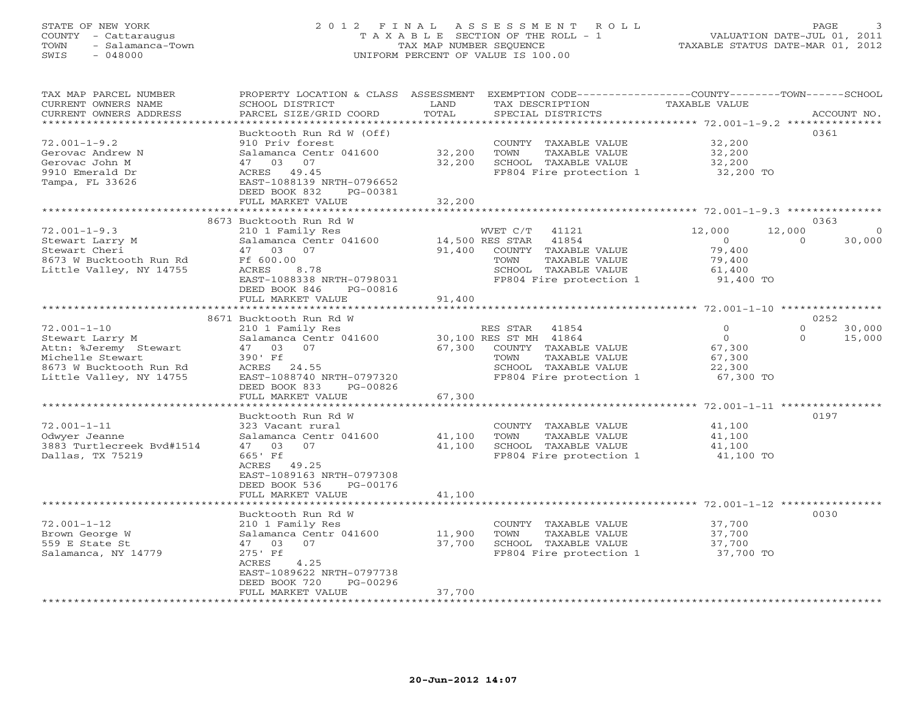# STATE OF NEW YORK 2 0 1 2 F I N A L A S S E S S M E N T R O L L PAGE 3 COUNTY - Cattaraugus T A X A B L E SECTION OF THE ROLL - 1 VALUATION DATE-JUL 01, 2011 TOWN - Salamanca-Town TAX MAP NUMBER SEQUENCE TAXABLE STATUS DATE-MAR 01, 2012 SWIS - 048000 UNIFORM PERCENT OF VALUE IS 100.00

| TAX MAP PARCEL NUMBER<br>CURRENT OWNERS NAME<br>CURRENT OWNERS ADDRESS                                                                  | PROPERTY LOCATION & CLASS ASSESSMENT<br>SCHOOL DISTRICT<br>PARCEL SIZE/GRID COORD                                                                                                             | LAND<br>TOTAL<br>************ | EXEMPTION CODE----------------COUNTY-------TOWN------SCHOOL<br>TAX DESCRIPTION<br>SPECIAL DISTRICTS                                               | TAXABLE VALUE                                                                                | ACCOUNT NO.                                     |
|-----------------------------------------------------------------------------------------------------------------------------------------|-----------------------------------------------------------------------------------------------------------------------------------------------------------------------------------------------|-------------------------------|---------------------------------------------------------------------------------------------------------------------------------------------------|----------------------------------------------------------------------------------------------|-------------------------------------------------|
| $72.001 - 1 - 9.2$<br>Gerovac Andrew N<br>Gerovac John M<br>9910 Emerald Dr<br>Tampa, FL 33626                                          | Bucktooth Run Rd W (Off)<br>910 Priv forest<br>Salamanca Centr 041600<br>47<br>03<br>07<br>ACRES 49.45<br>EAST-1088139 NRTH-0796652<br>DEED BOOK 832<br>PG-00381<br>FULL MARKET VALUE         | 32,200<br>32,200<br>32,200    | COUNTY TAXABLE VALUE<br>TOWN<br>TAXABLE VALUE<br>SCHOOL TAXABLE VALUE<br>FP804 Fire protection 1                                                  | 32,200<br>32,200<br>32,200<br>32,200 TO                                                      | 0361                                            |
|                                                                                                                                         |                                                                                                                                                                                               |                               |                                                                                                                                                   | ********************* 72.001-1-9.3 ********                                                  | 0363                                            |
| $72.001 - 1 - 9.3$<br>Stewart Larry M<br>Stewart Cheri<br>8673 W Bucktooth Run Rd<br>Little Valley, NY 14755                            | 8673 Bucktooth Run Rd W<br>210 1 Family Res<br>Salamanca Centr 041600<br>47 03<br>07<br>Ff 600.00<br>ACRES<br>8.78<br>EAST-1088338 NRTH-0798031<br>DEED BOOK 846<br>PG-00816                  | 91,400                        | WVET C/T<br>41121<br>41854<br>14,500 RES STAR<br>COUNTY TAXABLE VALUE<br>TOWN<br>TAXABLE VALUE<br>SCHOOL TAXABLE VALUE<br>FP804 Fire protection 1 | 12,000<br>$\overline{0}$<br>79,400<br>79,400<br>61,400<br>91,400 TO                          | 12,000<br>$\Omega$<br>30,000<br>$\Omega$        |
|                                                                                                                                         | FULL MARKET VALUE                                                                                                                                                                             | 91,400                        |                                                                                                                                                   | ************************ 72.001-1-10 ****************                                        |                                                 |
| $72.001 - 1 - 10$<br>Stewart Larry M<br>Attn: %Jeremy Stewart<br>Michelle Stewart<br>8673 W Bucktooth Run Rd<br>Little Valley, NY 14755 | 8671 Bucktooth Run Rd W<br>210 1 Family Res<br>Salamanca Centr 041600<br>47 03<br>07<br>390' Ff<br>ACRES 24.55<br>EAST-1088740 NRTH-0797320<br>DEED BOOK 833<br>PG-00826<br>FULL MARKET VALUE | 67,300<br>67,300              | RES STAR<br>41854<br>30,100 RES ST MH 41864<br>COUNTY TAXABLE VALUE<br>TAXABLE VALUE<br>TOWN<br>SCHOOL TAXABLE VALUE<br>FP804 Fire protection 1   | $\mathbf{0}$<br>$\circ$<br>67,300<br>67,300<br>22,300<br>67,300 TO<br>*** 72.001-1-11 ****** | 0252<br>30,000<br>$\circ$<br>$\Omega$<br>15,000 |
| $72.001 - 1 - 11$<br>Odwyer Jeanne<br>3883 Turtlecreek Bvd#1514<br>Dallas, TX 75219                                                     | Bucktooth Run Rd W<br>323 Vacant rural<br>Salamanca Centr 041600<br>47 03<br>07<br>665' Ff<br>ACRES 49.25<br>EAST-1089163 NRTH-0797308<br>DEED BOOK 536<br>PG-00176<br>FULL MARKET VALUE      | 41,100<br>41,100<br>41,100    | COUNTY TAXABLE VALUE<br>TOWN<br>TAXABLE VALUE<br>SCHOOL TAXABLE VALUE<br>FP804 Fire protection 1                                                  | 41,100<br>41,100<br>41,100<br>41,100 TO                                                      | 0197                                            |
| $72.001 - 1 - 12$<br>Brown George W<br>559 E State St<br>Salamanca, NY 14779                                                            | Bucktooth Run Rd W<br>210 1 Family Res<br>Salamanca Centr 041600<br>47 03<br>07<br>275' Ff<br>ACRES<br>4.25<br>EAST-1089622 NRTH-0797738<br>DEED BOOK 720<br>PG-00296<br>FULL MARKET VALUE    | 11,900<br>37,700<br>37,700    | COUNTY TAXABLE VALUE<br>TOWN<br>TAXABLE VALUE<br>SCHOOL TAXABLE VALUE<br>FP804 Fire protection 1                                                  | ************* 72.001-1-12 ********<br>37,700<br>37,700<br>37,700<br>37,700 TO                | 0030                                            |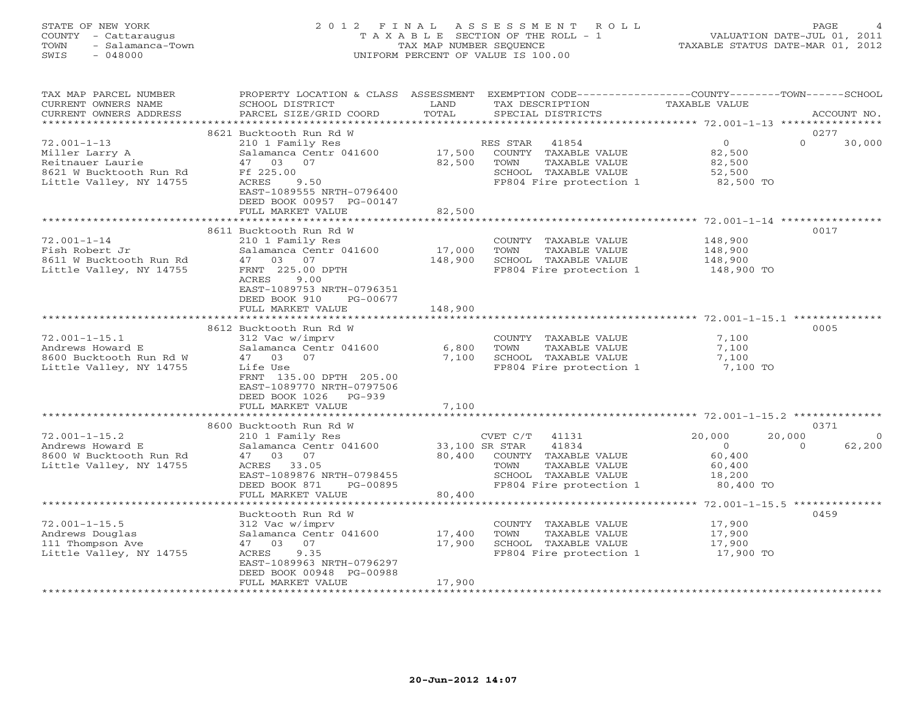# STATE OF NEW YORK 2 0 1 2 F I N A L A S S E S S M E N T R O L L PAGE 4 COUNTY - Cattaraugus T A X A B L E SECTION OF THE ROLL - 1 VALUATION DATE-JUL 01, 2011 TOWN - Salamanca-Town TAX MAP NUMBER SEQUENCE TAXABLE STATUS DATE-MAR 01, 2012 SWIS - 048000 UNIFORM PERCENT OF VALUE IS 100.00

| TAX MAP PARCEL NUMBER<br>CURRENT OWNERS NAME<br>CURRENT OWNERS ADDRESS<br>*************************           | PROPERTY LOCATION & CLASS ASSESSMENT<br>SCHOOL DISTRICT<br>PARCEL SIZE/GRID COORD                                                                                                             | LAND<br>TOTAL              | EXEMPTION CODE-----------------COUNTY-------TOWN------SCHOOL<br>TAX DESCRIPTION<br>SPECIAL DISTRICTS                                             | TAXABLE VALUE                                                                      | ACCOUNT NO.       |
|---------------------------------------------------------------------------------------------------------------|-----------------------------------------------------------------------------------------------------------------------------------------------------------------------------------------------|----------------------------|--------------------------------------------------------------------------------------------------------------------------------------------------|------------------------------------------------------------------------------------|-------------------|
|                                                                                                               |                                                                                                                                                                                               |                            |                                                                                                                                                  |                                                                                    |                   |
| $72.001 - 1 - 13$<br>Miller Larry A<br>Reitnauer Laurie<br>8621 W Bucktooth Run Rd<br>Little Valley, NY 14755 | 8621 Bucktooth Run Rd W<br>210 1 Family Res<br>Salamanca Centr 041600<br>47 03 07<br>Ff 225.00<br>ACRES<br>9.50<br>EAST-1089555 NRTH-0796400<br>DEED BOOK 00957 PG-00147<br>FULL MARKET VALUE | 17,500<br>82,500<br>82,500 | 41854<br>RES STAR<br>COUNTY TAXABLE VALUE<br>TOWN<br>TAXABLE VALUE<br>SCHOOL TAXABLE VALUE<br>FP804 Fire protection 1                            | $\circ$<br>$\Omega$<br>82,500<br>82,500<br>52,500<br>82,500 TO                     | 0277<br>30,000    |
|                                                                                                               |                                                                                                                                                                                               |                            |                                                                                                                                                  |                                                                                    |                   |
| $72.001 - 1 - 14$<br>Fish Robert Jr<br>8611 W Bucktooth Run Rd<br>Little Valley, NY 14755                     | 8611 Bucktooth Run Rd W<br>210 1 Family Res<br>Salamanca Centr 041600<br>47<br>03 07<br>FRNT 225.00 DPTH<br>ACRES<br>9.00<br>EAST-1089753 NRTH-0796351<br>DEED BOOK 910<br>PG-00677           | 17,000<br>148,900          | COUNTY TAXABLE VALUE<br>TOWN<br>TAXABLE VALUE<br>SCHOOL TAXABLE VALUE<br>FP804 Fire protection 1                                                 | 148,900<br>148,900<br>148,900<br>148,900 TO                                        | 0017              |
|                                                                                                               | FULL MARKET VALUE                                                                                                                                                                             | 148,900                    |                                                                                                                                                  |                                                                                    |                   |
|                                                                                                               | *******************                                                                                                                                                                           |                            |                                                                                                                                                  | ******************************* 72.001-1-15.1 ***                                  |                   |
|                                                                                                               | 8612 Bucktooth Run Rd W                                                                                                                                                                       |                            |                                                                                                                                                  |                                                                                    | 0005              |
| $72.001 - 1 - 15.1$<br>Andrews Howard E<br>8600 Bucktooth Run Rd W<br>Little Valley, NY 14755                 | 312 Vac w/imprv<br>Salamanca Centr 041600<br>03<br>07<br>47<br>Life Use<br>FRNT 135.00 DPTH 205.00<br>EAST-1089770 NRTH-0797506<br>DEED BOOK 1026<br>$PG-939$                                 | 6,800<br>7,100             | COUNTY TAXABLE VALUE<br>TAXABLE VALUE<br>TOWN<br>SCHOOL TAXABLE VALUE<br>FP804 Fire protection 1                                                 | 7,100<br>7,100<br>7,100<br>7,100 TO                                                |                   |
|                                                                                                               | FULL MARKET VALUE                                                                                                                                                                             | 7,100                      |                                                                                                                                                  |                                                                                    |                   |
|                                                                                                               |                                                                                                                                                                                               |                            |                                                                                                                                                  |                                                                                    |                   |
|                                                                                                               | 8600 Bucktooth Run Rd W                                                                                                                                                                       |                            |                                                                                                                                                  |                                                                                    | 0371              |
| $72.001 - 1 - 15.2$<br>Andrews Howard E<br>8600 W Bucktooth Run Rd<br>Little Valley, NY 14755                 | 210 1 Family Res<br>Salamanca Centr 041600<br>03 07<br>47<br>33.05<br>ACRES<br>EAST-1089876 NRTH-0798455<br>DEED BOOK 871<br>PG-00895<br>FULL MARKET VALUE                                    | 80,400<br>80,400           | CVET C/T<br>41131<br>33,100 SR STAR<br>41834<br>COUNTY TAXABLE VALUE<br>TOWN<br>TAXABLE VALUE<br>SCHOOL TAXABLE VALUE<br>FP804 Fire protection 1 | 20,000<br>20,000<br>$\circ$<br>$\Omega$<br>60,400<br>60,400<br>18,200<br>80,400 TO | $\circ$<br>62,200 |
|                                                                                                               |                                                                                                                                                                                               |                            |                                                                                                                                                  |                                                                                    |                   |
|                                                                                                               | Bucktooth Run Rd W                                                                                                                                                                            |                            |                                                                                                                                                  |                                                                                    | 0459              |
| $72.001 - 1 - 15.5$<br>Andrews Douglas<br>111 Thompson Ave<br>Little Valley, NY 14755                         | 312 Vac w/imprv<br>Salamanca Centr 041600<br>47 03<br>07<br>9.35<br>ACRES<br>EAST-1089963 NRTH-0796297<br>DEED BOOK 00948 PG-00988                                                            | 17,400<br>17,900           | COUNTY TAXABLE VALUE<br>TOWN<br>TAXABLE VALUE<br>SCHOOL TAXABLE VALUE<br>FP804 Fire protection 1                                                 | 17,900<br>17,900<br>17,900<br>17,900 TO                                            |                   |
|                                                                                                               | FULL MARKET VALUE                                                                                                                                                                             | 17,900                     |                                                                                                                                                  |                                                                                    |                   |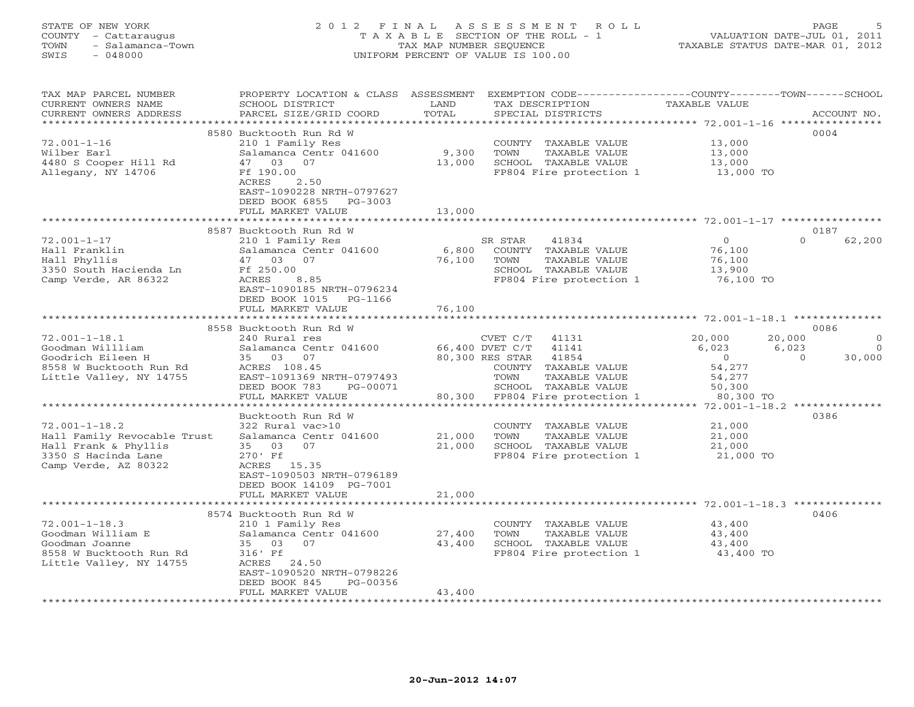# STATE OF NEW YORK 2 0 1 2 F I N A L A S S E S S M E N T R O L L PAGE 5 COUNTY - Cattaraugus T A X A B L E SECTION OF THE ROLL - 1 VALUATION DATE-JUL 01, 2011 TOWN - Salamanca-Town TAX MAP NUMBER SEQUENCE TAXABLE STATUS DATE-MAR 01, 2012 SWIS - 048000 UNIFORM PERCENT OF VALUE IS 100.00

| TAX MAP PARCEL NUMBER       |                               |        |                                                                         | PROPERTY LOCATION & CLASS ASSESSMENT EXEMPTION CODE----------------COUNTY-------TOWN------SCHOOL |
|-----------------------------|-------------------------------|--------|-------------------------------------------------------------------------|--------------------------------------------------------------------------------------------------|
| CURRENT OWNERS NAME         | SCHOOL DISTRICT               | LAND   | TAX DESCRIPTION                                                         | TAXABLE VALUE                                                                                    |
| CURRENT OWNERS ADDRESS      | PARCEL SIZE/GRID COORD        | TOTAL  | SPECIAL DISTRICTS                                                       | ACCOUNT NO.                                                                                      |
|                             |                               |        |                                                                         |                                                                                                  |
|                             | 8580 Bucktooth Run Rd W       |        |                                                                         | 0004                                                                                             |
| $72.001 - 1 - 16$           | 210 1 Family Res              |        | COUNTY TAXABLE VALUE                                                    | 13,000                                                                                           |
| Wilber Earl                 | Salamanca Centr 041600        | 9,300  | TAXABLE VALUE<br>TOWN                                                   | 13,000                                                                                           |
| 4480 S Cooper Hill Rd       | 47 03 07                      | 13,000 | SCHOOL TAXABLE VALUE                                                    | 13,000                                                                                           |
|                             |                               |        |                                                                         |                                                                                                  |
| Allegany, NY 14706          | Ff 190.00                     |        | FP804 Fire protection 1                                                 | 13,000 TO                                                                                        |
|                             | 2.50<br>ACRES                 |        |                                                                         |                                                                                                  |
|                             | EAST-1090228 NRTH-0797627     |        |                                                                         |                                                                                                  |
|                             | DEED BOOK 6855 PG-3003        |        |                                                                         |                                                                                                  |
|                             | FULL MARKET VALUE             | 13,000 |                                                                         |                                                                                                  |
|                             |                               |        |                                                                         |                                                                                                  |
|                             | 8587 Bucktooth Run Rd W       |        |                                                                         | 0187                                                                                             |
| $72.001 - 1 - 17$           | 210 1 Family Res              |        | SR STAR<br>41834                                                        | $\overline{0}$<br>$\cap$<br>62,200                                                               |
| Hall Franklin               | Salamanca Centr 041600        | 6,800  | COUNTY TAXABLE VALUE                                                    | 76,100                                                                                           |
| Hall Phyllis                | 47 03 07                      | 76,100 | TOWN<br>TAXABLE VALUE                                                   | 76,100                                                                                           |
|                             | Ff 250.00                     |        | SCHOOL TAXABLE VALUE                                                    | 13,900                                                                                           |
| 3350 South Hacienda Ln      |                               |        | FP804 Fire protection 1 76,100 TO                                       |                                                                                                  |
| Camp Verde, AR 86322        | ACRES<br>8.85                 |        |                                                                         |                                                                                                  |
|                             | EAST-1090185 NRTH-0796234     |        |                                                                         |                                                                                                  |
|                             | DEED BOOK 1015 PG-1166        |        |                                                                         |                                                                                                  |
|                             | FULL MARKET VALUE             | 76,100 |                                                                         |                                                                                                  |
|                             |                               |        |                                                                         |                                                                                                  |
|                             | 8558 Bucktooth Run Rd W       |        |                                                                         | 0086                                                                                             |
| $72.001 - 1 - 18.1$         | 240 Rural res                 |        | CVET $C/T$ 41131                                                        | 20,000<br>20,000<br>$\Omega$                                                                     |
| Goodman Willliam            | Salamanca Centr 041600        |        | 66,400 DVET C/T 41141                                                   | 6,023<br>6,023<br>$\Omega$                                                                       |
| Goodrich Eileen H           | 35 03 07                      |        | 80,300 RES STAR 41854                                                   | 30,000<br>$\overline{0}$<br>$\overline{0}$                                                       |
| 8558 W Bucktooth Run Rd     | ACRES 108.45                  |        | COUNTY TAXABLE VALUE                                                    | 54,277                                                                                           |
| Little Valley, NY 14755     | EAST-1091369 NRTH-0797493     |        | TAXABLE VALUE<br>TOWN                                                   | 54,277                                                                                           |
|                             | DEED BOOK 783<br>PG-00071     |        | SCHOOL TAXABLE VALUE                                                    |                                                                                                  |
|                             |                               |        | SCHOOL TAXABLE VALUE 50,300<br>80,300 FP804 Fire protection 1 80,300 TO |                                                                                                  |
|                             | FULL MARKET VALUE             |        |                                                                         |                                                                                                  |
|                             |                               |        |                                                                         |                                                                                                  |
|                             | Bucktooth Run Rd W            |        |                                                                         | 0386                                                                                             |
| $72.001 - 1 - 18.2$         | 322 Rural vac>10              |        | COUNTY TAXABLE VALUE                                                    | 21,000                                                                                           |
| Hall Family Revocable Trust | Salamanca Centr 041600        | 21,000 | TOWN<br>TAXABLE VALUE                                                   | 21,000                                                                                           |
| Hall Frank & Phyllis        | 35 03 07                      | 21,000 | SCHOOL TAXABLE VALUE                                                    | 21,000                                                                                           |
| 3350 S Hacinda Lane         | 270' Ff                       |        | FP804 Fire protection 1 21,000 TO                                       |                                                                                                  |
| Camp Verde, AZ 80322        | ACRES 15.35                   |        |                                                                         |                                                                                                  |
|                             | EAST-1090503 NRTH-0796189     |        |                                                                         |                                                                                                  |
|                             | DEED BOOK 14109 PG-7001       |        |                                                                         |                                                                                                  |
|                             | FULL MARKET VALUE             | 21,000 |                                                                         |                                                                                                  |
|                             |                               |        |                                                                         |                                                                                                  |
|                             | 8574 Bucktooth Run Rd W       |        |                                                                         | 0406                                                                                             |
| $72.001 - 1 - 18.3$         | 210 1 Family Res              |        | COUNTY TAXABLE VALUE                                                    | 43,400                                                                                           |
|                             |                               |        |                                                                         |                                                                                                  |
| Goodman William E           | Salamanca Centr 041600 27,400 |        | TOWN<br>TAXABLE VALUE                                                   | 43,400                                                                                           |
| Goodman Joanne              | 35 03 07                      | 43,400 | SCHOOL TAXABLE VALUE                                                    | 43,400                                                                                           |
| 8558 W Bucktooth Run Rd     | 316' Ff                       |        | FP804 Fire protection 1 43,400 TO                                       |                                                                                                  |
| Little Valley, NY 14755     | ACRES 24.50                   |        |                                                                         |                                                                                                  |
|                             | EAST-1090520 NRTH-0798226     |        |                                                                         |                                                                                                  |
|                             | DEED BOOK 845<br>PG-00356     |        |                                                                         |                                                                                                  |
|                             | FULL MARKET VALUE             | 43,400 |                                                                         |                                                                                                  |
|                             |                               |        |                                                                         |                                                                                                  |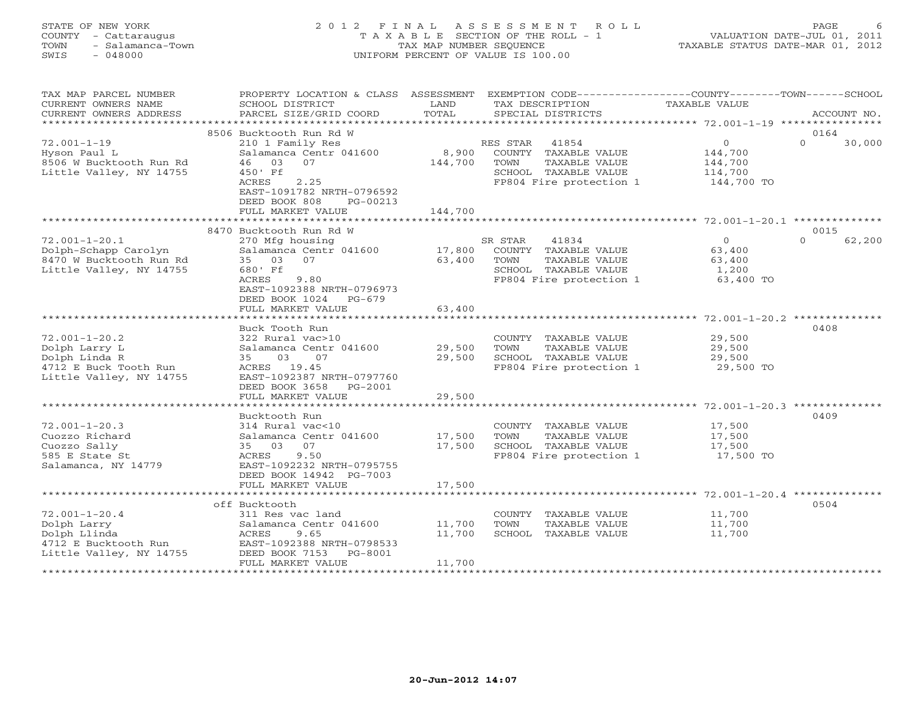# STATE OF NEW YORK 2 0 1 2 F I N A L A S S E S S M E N T R O L L PAGE 6 COUNTY - Cattaraugus T A X A B L E SECTION OF THE ROLL - 1 VALUATION DATE-JUL 01, 2011 TOWN - Salamanca-Town TAX MAP NUMBER SEQUENCE TAXABLE STATUS DATE-MAR 01, 2012 SWIS - 048000 UNIFORM PERCENT OF VALUE IS 100.00

| TAX MAP PARCEL NUMBER                | PROPERTY LOCATION & CLASS ASSESSMENT EXEMPTION CODE----------------COUNTY-------TOWN------SCHOOL |         |                         |                |                    |
|--------------------------------------|--------------------------------------------------------------------------------------------------|---------|-------------------------|----------------|--------------------|
| CURRENT OWNERS NAME                  | SCHOOL DISTRICT                                                                                  | LAND    | TAX DESCRIPTION         | TAXABLE VALUE  |                    |
| CURRENT OWNERS ADDRESS               | PARCEL SIZE/GRID COORD                                                                           | TOTAL   | SPECIAL DISTRICTS       |                | ACCOUNT NO.        |
|                                      |                                                                                                  |         |                         |                |                    |
|                                      | 8506 Bucktooth Run Rd W                                                                          |         |                         |                | 0164               |
| $72.001 - 1 - 19$                    | 210 1 Family Res                                                                                 |         | RES STAR<br>41854       | $\circ$        | $\Omega$<br>30,000 |
| Hyson Paul L                         | Salamanca Centr 041600                                                                           | 8,900   | COUNTY TAXABLE VALUE    | 144,700        |                    |
| 8506 W Bucktooth Run Rd              | 46 03<br>07                                                                                      | 144,700 | TOWN<br>TAXABLE VALUE   | 144,700        |                    |
| Little Valley, NY 14755              | 450' Ff                                                                                          |         | SCHOOL TAXABLE VALUE    | 114,700        |                    |
|                                      | ACRES<br>2.25                                                                                    |         | FP804 Fire protection 1 | 144,700 TO     |                    |
|                                      | EAST-1091782 NRTH-0796592                                                                        |         |                         |                |                    |
|                                      | DEED BOOK 808<br>PG-00213                                                                        |         |                         |                |                    |
|                                      | FULL MARKET VALUE                                                                                | 144,700 |                         |                |                    |
|                                      |                                                                                                  |         |                         |                |                    |
|                                      | 8470 Bucktooth Run Rd W                                                                          |         |                         |                | 0015               |
| $72.001 - 1 - 20.1$                  | 270 Mfg housing                                                                                  |         | 41834<br>SR STAR        | $\overline{0}$ | $\Omega$<br>62,200 |
| Dolph-Schapp Carolyn                 | Salamanca Centr 041600                                                                           | 17,800  | COUNTY TAXABLE VALUE    | 63,400         |                    |
| 8470 W Bucktooth Run Rd              | 35 03 07                                                                                         | 63,400  | TOWN<br>TAXABLE VALUE   | 63,400         |                    |
| Little Valley, NY 14755              | 680' Ff                                                                                          |         | SCHOOL TAXABLE VALUE    | 1,200          |                    |
|                                      | ACRES<br>9.80                                                                                    |         | FP804 Fire protection 1 | 63,400 TO      |                    |
|                                      | EAST-1092388 NRTH-0796973                                                                        |         |                         |                |                    |
|                                      | DEED BOOK 1024<br>PG-679                                                                         |         |                         |                |                    |
|                                      | FULL MARKET VALUE                                                                                | 63,400  |                         |                |                    |
|                                      |                                                                                                  |         |                         |                |                    |
|                                      | Buck Tooth Run                                                                                   |         |                         |                | 0408               |
| $72.001 - 1 - 20.2$                  | 322 Rural vac>10                                                                                 |         | COUNTY TAXABLE VALUE    | 29,500         |                    |
| Dolph Larry L                        | Salamanca Centr 041600                                                                           | 29,500  | TOWN<br>TAXABLE VALUE   | 29,500         |                    |
| Dolph Linda R                        | 07<br>35<br>03                                                                                   | 29,500  | SCHOOL TAXABLE VALUE    | 29,500         |                    |
| 4712 E Buck Tooth Run                | ACRES 19.45                                                                                      |         | FP804 Fire protection 1 | 29,500 TO      |                    |
| Little Valley, NY 14755              | EAST-1092387 NRTH-0797760                                                                        |         |                         |                |                    |
|                                      | DEED BOOK 3658 PG-2001                                                                           |         |                         |                |                    |
|                                      | FULL MARKET VALUE                                                                                | 29,500  |                         |                |                    |
|                                      |                                                                                                  |         |                         |                |                    |
|                                      | Bucktooth Run                                                                                    |         |                         |                | 0409               |
| $72.001 - 1 - 20.3$                  | 314 Rural vac<10                                                                                 |         | COUNTY TAXABLE VALUE    | 17,500         |                    |
| Cuozzo Richard                       | Salamanca Centr 041600                                                                           | 17,500  | TOWN<br>TAXABLE VALUE   | 17,500         |                    |
| Cuozzo Sally                         | 07<br>35 03                                                                                      | 17,500  | SCHOOL TAXABLE VALUE    | 17,500         |                    |
| 585 E State St                       | ACRES<br>9.50                                                                                    |         | FP804 Fire protection 1 | 17,500 TO      |                    |
| Salamanca, NY 14779                  | EAST-1092232 NRTH-0795755                                                                        |         |                         |                |                    |
|                                      | DEED BOOK 14942 PG-7003                                                                          |         |                         |                |                    |
|                                      | FULL MARKET VALUE                                                                                | 17,500  |                         |                |                    |
|                                      |                                                                                                  |         |                         |                |                    |
|                                      | off Bucktooth                                                                                    |         |                         |                | 0504               |
| $72.001 - 1 - 20.4$                  | 311 Res vac land                                                                                 |         | COUNTY TAXABLE VALUE    | 11,700         |                    |
| Dolph Larry                          | Salamanca Centr 041600                                                                           | 11,700  | TOWN<br>TAXABLE VALUE   | 11,700         |                    |
| Dolph Llinda<br>4712 E Bucktooth Run | ACRES<br>9.65<br>EAST-1092388 NRTH-0798533                                                       | 11,700  | SCHOOL TAXABLE VALUE    | 11,700         |                    |
| Little Valley, NY 14755              | DEED BOOK 7153 PG-8001                                                                           |         |                         |                |                    |
|                                      | FULL MARKET VALUE                                                                                | 11,700  |                         |                |                    |
|                                      |                                                                                                  |         |                         |                |                    |
|                                      |                                                                                                  |         |                         |                |                    |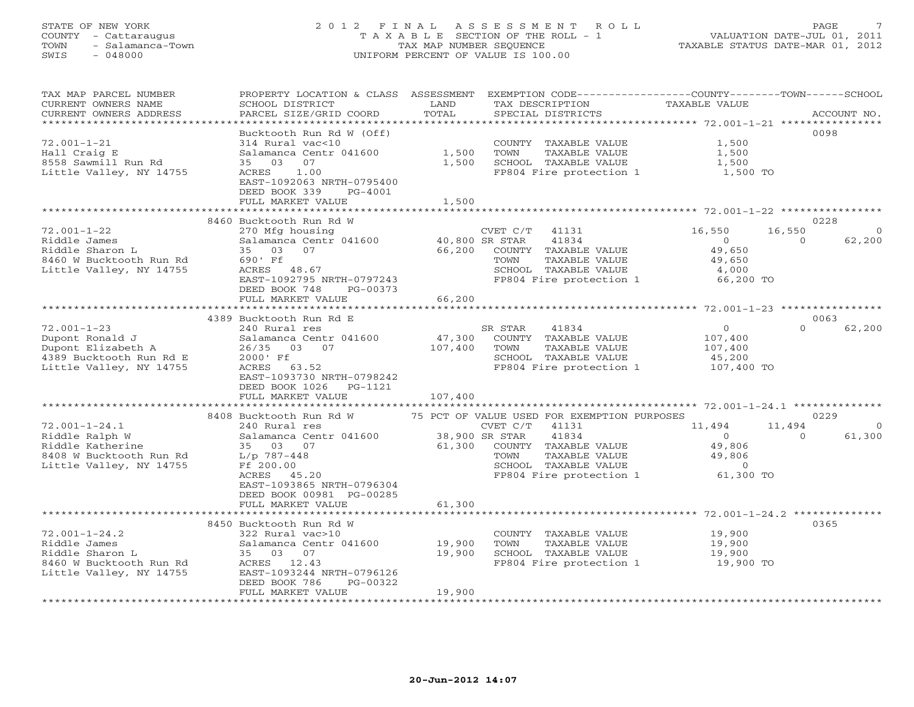# STATE OF NEW YORK 2 0 1 2 F I N A L A S S E S S M E N T R O L L PAGE 7 COUNTY - Cattaraugus T A X A B L E SECTION OF THE ROLL - 1 VALUATION DATE-JUL 01, 2011 TOWN - Salamanca-Town TAX MAP NUMBER SEQUENCE TAXABLE STATUS DATE-MAR 01, 2012 SWIS - 048000 UNIFORM PERCENT OF VALUE IS 100.00

| TAX MAP PARCEL NUMBER<br>CURRENT OWNERS NAME<br>CURRENT OWNERS ADDRESS<br>*******************                    | PROPERTY LOCATION & CLASS<br>SCHOOL DISTRICT<br>PARCEL SIZE/GRID COORD                                                                                                                                               | ASSESSMENT<br>LAND<br>TOTAL           | EXEMPTION CODE-----------------COUNTY-------TOWN------SCHOOL<br>TAX DESCRIPTION<br>SPECIAL DISTRICTS                                             | TAXABLE VALUE                                                                         | ACCOUNT NO.                              |
|------------------------------------------------------------------------------------------------------------------|----------------------------------------------------------------------------------------------------------------------------------------------------------------------------------------------------------------------|---------------------------------------|--------------------------------------------------------------------------------------------------------------------------------------------------|---------------------------------------------------------------------------------------|------------------------------------------|
| $72.001 - 1 - 21$<br>Hall Craig E<br>8558 Sawmill Run Rd<br>Little Valley, NY 14755                              | Bucktooth Run Rd W (Off)<br>314 Rural vac<10<br>Salamanca Centr 041600<br>35<br>03<br>07<br>ACRES<br>1.00<br>EAST-1092063 NRTH-0795400<br>DEED BOOK 339<br>PG-4001<br>FULL MARKET VALUE                              | **********<br>1,500<br>1,500<br>1,500 | COUNTY TAXABLE VALUE<br>TOWN<br>TAXABLE VALUE<br>SCHOOL TAXABLE VALUE<br>FP804 Fire protection 1                                                 | ***************** 72.001-1-21 ****************<br>1,500<br>1,500<br>1,500<br>1,500 TO | 0098                                     |
|                                                                                                                  | 8460 Bucktooth Run Rd W                                                                                                                                                                                              |                                       |                                                                                                                                                  |                                                                                       | 0228                                     |
| $72.001 - 1 - 22$<br>Riddle James<br>Riddle Sharon L<br>8460 W Bucktooth Run Rd<br>Little Valley, NY 14755       | 270 Mfg housing<br>Salamanca Centr 041600<br>35<br>03<br>07<br>690' Ff<br>ACRES 48.67<br>EAST-1092795 NRTH-0797243<br>DEED BOOK 748<br>PG-00373                                                                      | 66,200                                | CVET C/T<br>41131<br>40,800 SR STAR<br>41834<br>COUNTY TAXABLE VALUE<br>TAXABLE VALUE<br>TOWN<br>SCHOOL TAXABLE VALUE<br>FP804 Fire protection 1 | 16,550<br>$\circ$<br>49,650<br>49,650<br>4,000<br>66,200 TO                           | 16,550<br>62,200<br>$\circ$              |
|                                                                                                                  | FULL MARKET VALUE                                                                                                                                                                                                    | 66,200                                |                                                                                                                                                  |                                                                                       |                                          |
|                                                                                                                  | 4389 Bucktooth Run Rd E                                                                                                                                                                                              |                                       |                                                                                                                                                  |                                                                                       | 0063                                     |
| $72.001 - 1 - 23$<br>Dupont Ronald J<br>Dupont Elizabeth A<br>4389 Bucktooth Run Rd E<br>Little Valley, NY 14755 | 240 Rural res<br>Salamanca Centr 041600<br>26/35<br>03<br>07<br>2000' Ff<br>ACRES<br>63.52<br>EAST-1093730 NRTH-0798242<br>DEED BOOK 1026<br>PG-1121                                                                 | 47,300<br>107,400                     | 41834<br>SR STAR<br>COUNTY TAXABLE VALUE<br>TAXABLE VALUE<br>TOWN<br>SCHOOL TAXABLE VALUE<br>FP804 Fire protection 1                             | $\mathbf{O}$<br>107,400<br>107,400<br>45,200<br>107,400 TO                            | $\Omega$<br>62,200                       |
|                                                                                                                  | FULL MARKET VALUE                                                                                                                                                                                                    | 107,400                               |                                                                                                                                                  |                                                                                       |                                          |
|                                                                                                                  | 8408 Bucktooth Run Rd W                                                                                                                                                                                              |                                       | 75 PCT OF VALUE USED FOR EXEMPTION PURPOSES                                                                                                      |                                                                                       | 0229                                     |
| $72.001 - 1 - 24.1$<br>Riddle Ralph W<br>Riddle Katherine<br>8408 W Bucktooth Run Rd<br>Little Valley, NY 14755  | 240 Rural res<br>Salamanca Centr 041600<br>35 03 07<br>$L/p$ 787-448<br>Ff 200.00<br>ACRES<br>45.20<br>EAST-1093865 NRTH-0796304<br>DEED BOOK 00981 PG-00285                                                         | 61,300                                | CVET C/T<br>41131<br>38,900 SR STAR<br>41834<br>COUNTY TAXABLE VALUE<br>TAXABLE VALUE<br>TOWN<br>SCHOOL TAXABLE VALUE<br>FP804 Fire protection 1 | 11,494<br>$\Omega$<br>49,806<br>49,806<br>$\circ$<br>61,300 TO                        | 11,494<br>$\Omega$<br>61,300<br>$\Omega$ |
|                                                                                                                  | FULL MARKET VALUE                                                                                                                                                                                                    | 61,300                                |                                                                                                                                                  |                                                                                       | $72.001 - 1 - 24.2$ **************       |
| $72.001 - 1 - 24.2$<br>Riddle James<br>Riddle Sharon L<br>8460 W Bucktooth Run Rd<br>Little Valley, NY 14755     | 8450 Bucktooth Run Rd W<br>322 Rural vac>10<br>Salamanca Centr 041600<br>35 03 07<br>ACRES 12.43<br>EAST-1093244 NRTH-0796126<br>DEED BOOK 786<br>PG-00322<br>FULL MARKET VALUE<br>* * * * * * * * * * * * * * * * * | 19,900<br>19,900<br>19,900            | COUNTY TAXABLE VALUE<br>TOWN<br>TAXABLE VALUE<br>SCHOOL TAXABLE VALUE<br>FP804 Fire protection 1                                                 | 19,900<br>19,900<br>19,900<br>19,900 TO                                               | 0365                                     |
|                                                                                                                  |                                                                                                                                                                                                                      |                                       |                                                                                                                                                  |                                                                                       |                                          |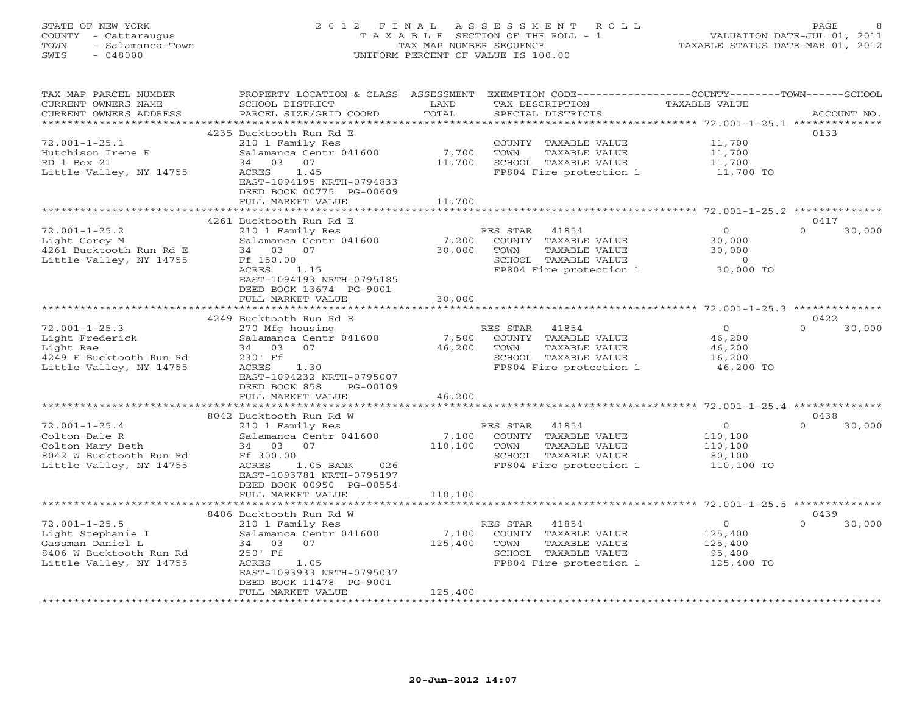# STATE OF NEW YORK 2 0 1 2 F I N A L A S S E S S M E N T R O L L PAGE 8 COUNTY - Cattaraugus T A X A B L E SECTION OF THE ROLL - 1 VALUATION DATE-JUL 01, 2011 TOWN - Salamanca-Town TAX MAP NUMBER SEQUENCE TAXABLE STATUS DATE-MAR 01, 2012 SWIS - 048000 UNIFORM PERCENT OF VALUE IS 100.00

| TAX MAP PARCEL NUMBER<br>CURRENT OWNERS NAME<br>CURRENT OWNERS ADDRESS                                             | PROPERTY LOCATION & CLASS ASSESSMENT<br>SCHOOL DISTRICT<br>PARCEL SIZE/GRID COORD                                                                                                                         | LAND<br>TOTAL               | TAX DESCRIPTION<br>SPECIAL DISTRICTS                                                                                         | EXEMPTION CODE-----------------COUNTY-------TOWN------SCHOOL<br><b>TAXABLE VALUE</b> | ACCOUNT NO.                |
|--------------------------------------------------------------------------------------------------------------------|-----------------------------------------------------------------------------------------------------------------------------------------------------------------------------------------------------------|-----------------------------|------------------------------------------------------------------------------------------------------------------------------|--------------------------------------------------------------------------------------|----------------------------|
|                                                                                                                    |                                                                                                                                                                                                           | *********                   |                                                                                                                              | ******************* 72.001-1-25.1 **************                                     |                            |
| $72.001 - 1 - 25.1$<br>Hutchison Irene F<br>RD 1 Box 21<br>Little Valley, NY 14755                                 | 4235 Bucktooth Run Rd E<br>210 1 Family Res<br>Salamanca Centr 041600<br>03 07<br>34<br>ACRES<br>1.45<br>EAST-1094195 NRTH-0794833<br>DEED BOOK 00775 PG-00609<br>FULL MARKET VALUE                       | 7,700<br>11,700<br>11,700   | COUNTY TAXABLE VALUE<br>TOWN<br>TAXABLE VALUE<br>SCHOOL TAXABLE VALUE<br>FP804 Fire protection 1                             | 11,700<br>11,700<br>11,700<br>11,700 TO                                              | 0133                       |
|                                                                                                                    | ***************************                                                                                                                                                                               |                             |                                                                                                                              |                                                                                      |                            |
| $72.001 - 1 - 25.2$<br>Light Corey M<br>4261 Bucktooth Run Rd E<br>Little Valley, NY 14755                         | 4261 Bucktooth Run Rd E<br>210 1 Family Res<br>Salamanca Centr 041600<br>34 03 07<br>Ff 150.00<br>ACRES<br>1.15<br>EAST-1094193 NRTH-0795185<br>DEED BOOK 13674 PG-9001                                   | 7,200<br>30,000<br>30,000   | RES STAR 41854<br>COUNTY TAXABLE VALUE<br>TOWN<br>TAXABLE VALUE<br>SCHOOL TAXABLE VALUE<br>FP804 Fire protection 1 30,000 TO | $\overline{0}$<br>30,000<br>30,000<br>$\overline{0}$                                 | 0417<br>$\circ$<br>30,000  |
|                                                                                                                    | FULL MARKET VALUE                                                                                                                                                                                         |                             |                                                                                                                              |                                                                                      |                            |
| $72.001 - 1 - 25.3$<br>Light Frederick<br>Light Rae<br>4249 E Bucktooth Run Rd<br>Little Valley, NY 14755          | 4249 Bucktooth Run Rd E<br>270 Mfg housing<br>Salamanca Centr 041600<br>34 03<br>07<br>230' Ff<br>ACRES<br>1.30<br>EAST-1094232 NRTH-0795007<br>DEED BOOK 858<br>PG-00109<br>FULL MARKET VALUE            | 7,500<br>46,200<br>46,200   | RES STAR<br>41854<br>COUNTY TAXABLE VALUE<br>TOWN<br>TAXABLE VALUE<br>SCHOOL TAXABLE VALUE<br>FP804 Fire protection 1        | $\overline{0}$<br>46,200<br>46,200<br>16,200<br>46,200 TO                            | 0422<br>$\Omega$<br>30,000 |
|                                                                                                                    |                                                                                                                                                                                                           |                             |                                                                                                                              |                                                                                      |                            |
| $72.001 - 1 - 25.4$<br>Colton Dale R<br>Colton Mary Beth<br>8042 W Bucktooth Run Rd<br>Little Valley, NY 14755     | 8042 Bucktooth Run Rd W<br>210 1 Family Res<br>Salamanca Centr 041600<br>34 03 07<br>Ff 300.00<br>ACRES<br>1.05 BANK<br>026<br>EAST-1093781 NRTH-0795197<br>DEED BOOK 00950 PG-00554<br>FULL MARKET VALUE | 7,100<br>110,100<br>110,100 | RES STAR<br>41854<br>COUNTY TAXABLE VALUE<br>TOWN<br>TAXABLE VALUE<br>SCHOOL TAXABLE VALUE<br>FP804 Fire protection 1        | $\circ$<br>110,100<br>110,100<br>80,100<br>110,100 TO                                | 0438<br>$\Omega$<br>30,000 |
|                                                                                                                    |                                                                                                                                                                                                           |                             |                                                                                                                              |                                                                                      |                            |
| $72.001 - 1 - 25.5$<br>Light Stephanie I<br>Gassman Daniel L<br>8406 W Bucktooth Run Rd<br>Little Valley, NY 14755 | 8406 Bucktooth Run Rd W<br>210 1 Family Res<br>Salamanca Centr 041600<br>34 03 07<br>250' Ff<br>ACRES<br>1.05<br>EAST-1093933 NRTH-0795037<br>DEED BOOK 11478 PG-9001<br>FULL MARKET VALUE                | 7,100<br>125,400<br>125,400 | RES STAR<br>41854<br>COUNTY TAXABLE VALUE<br>TOWN<br>TAXABLE VALUE<br>SCHOOL TAXABLE VALUE<br>FP804 Fire protection 1        | $\overline{O}$<br>125,400<br>125,400<br>95,400<br>125,400 TO                         | 0439<br>$\Omega$<br>30,000 |
|                                                                                                                    |                                                                                                                                                                                                           |                             |                                                                                                                              |                                                                                      |                            |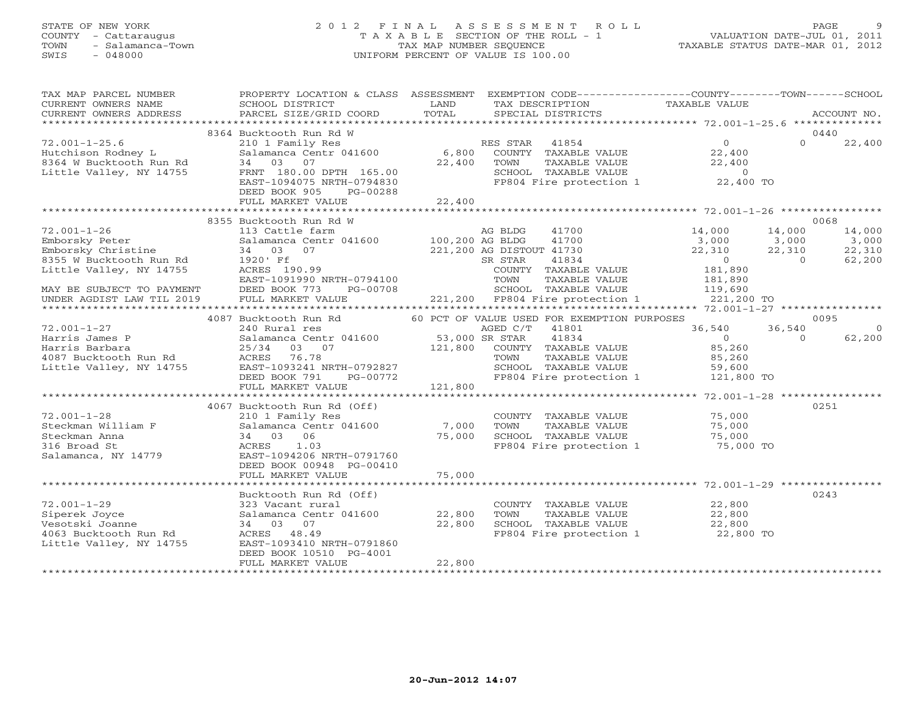# STATE OF NEW YORK 2 0 1 2 F I N A L A S S E S S M E N T R O L L PAGE 9 COUNTY - Cattaraugus T A X A B L E SECTION OF THE ROLL - 1 VALUATION DATE-JUL 01, 2011 TOWN - Salamanca-Town TAX MAP NUMBER SEQUENCE TAXABLE STATUS DATE-MAR 01, 2012 SWIS - 048000 UNIFORM PERCENT OF VALUE IS 100.00

| TAX MAP PARCEL NUMBER                                                                    | PROPERTY LOCATION & CLASS ASSESSMENT EXEMPTION CODE----------------COUNTY-------TOWN------SCHOOL                                                                                                                                       |        |                                                                                                        |                                                                                      |                                                                                                             |
|------------------------------------------------------------------------------------------|----------------------------------------------------------------------------------------------------------------------------------------------------------------------------------------------------------------------------------------|--------|--------------------------------------------------------------------------------------------------------|--------------------------------------------------------------------------------------|-------------------------------------------------------------------------------------------------------------|
| CURRENT OWNERS NAME                                                                      | SCHOOL DISTRICT                                                                                                                                                                                                                        | LAND   | TAX DESCRIPTION                                                                                        | TAXABLE VALUE                                                                        |                                                                                                             |
|                                                                                          |                                                                                                                                                                                                                                        |        |                                                                                                        |                                                                                      |                                                                                                             |
|                                                                                          |                                                                                                                                                                                                                                        |        |                                                                                                        |                                                                                      |                                                                                                             |
|                                                                                          | 8364 Bucktooth Run Rd W<br>72.001-1-25.6<br>Hutchison Rodney L<br>8364 W Bucktooth Run Rd 34 03 07<br>Little Valley, NY 14755 FRNT 180.00 DPTH 165.00 SCHOC<br>EAST-1094075 NRTH-0794830 FP804<br>TIMBIANG PG-00288                    |        |                                                                                                        |                                                                                      | 0440                                                                                                        |
|                                                                                          | 210 1 Family Res<br>210 1 Family Res<br>311 1 Family Res  (6,800 COUNTY TAXABLE VALUE 22,400                                                                                                                                           |        |                                                                                                        |                                                                                      | $\Omega$<br>22,400                                                                                          |
|                                                                                          |                                                                                                                                                                                                                                        |        |                                                                                                        |                                                                                      |                                                                                                             |
|                                                                                          |                                                                                                                                                                                                                                        |        | TOWN TAXABLE VALUE 22,400<br>SCHOOL TAXABLE VALUE 22,400<br>FP804 Fire protection 1 22,400 TO          |                                                                                      |                                                                                                             |
|                                                                                          |                                                                                                                                                                                                                                        |        |                                                                                                        |                                                                                      |                                                                                                             |
|                                                                                          |                                                                                                                                                                                                                                        |        |                                                                                                        |                                                                                      |                                                                                                             |
|                                                                                          |                                                                                                                                                                                                                                        |        |                                                                                                        |                                                                                      |                                                                                                             |
|                                                                                          | FULL MARKET VALUE                                                                                                                                                                                                                      | 22,400 |                                                                                                        |                                                                                      |                                                                                                             |
|                                                                                          |                                                                                                                                                                                                                                        |        |                                                                                                        |                                                                                      | 0068                                                                                                        |
| $72.001 - 1 - 26$                                                                        | 8355 Bucktooth Run Rd W                                                                                                                                                                                                                |        | AG BLDG 41700                                                                                          |                                                                                      |                                                                                                             |
| Emborsky Peter<br>Emborsky Christine<br>Entry Christine                                  | 113 Cattle farm<br>Salamanca Centr 041600 $100,200$ AG BLDG<br>$24$ 02                                                                                                                                                                 |        | 41700                                                                                                  | 14,000                                                                               |                                                                                                             |
|                                                                                          |                                                                                                                                                                                                                                        |        |                                                                                                        |                                                                                      |                                                                                                             |
|                                                                                          | 34 03 07 221, 200 AG DISTOUT 41730 22, 310 22<br>1920' Ff SR STAR 41834 0<br>ACRES 190.99 COUNTY TAXABLE VALUE 181, 890<br>EAST-1091990 NRTH-0794100 TOWN TAXABLE VALUE 181, 890<br>DEED BOOK 773 PG-00708 221, 200 FP804 Fire protect |        |                                                                                                        | $\begin{bmatrix} 3,000 & 3,000 \\ 22,310 & 22,310 \\ 0 & 0 \\ 181,890 \end{bmatrix}$ | $\begin{array}{cccc} 11,000 & & 11,000 \\ 3,000 & & 3,000 \\ 22,310 & & 22,310 \\ 0 & & 62,200 \end{array}$ |
| 2007 M Bucktooth Run Rd<br>2015 W Bucktooth Run Rd<br>2016 Little Valley, NY 14755 ACRES |                                                                                                                                                                                                                                        |        |                                                                                                        |                                                                                      |                                                                                                             |
|                                                                                          |                                                                                                                                                                                                                                        |        |                                                                                                        |                                                                                      |                                                                                                             |
|                                                                                          |                                                                                                                                                                                                                                        |        |                                                                                                        |                                                                                      |                                                                                                             |
| MAY BE SUBJECT TO PAYMENT                                                                |                                                                                                                                                                                                                                        |        |                                                                                                        |                                                                                      |                                                                                                             |
| UNDER AGDIST LAW TIL 2019                                                                |                                                                                                                                                                                                                                        |        |                                                                                                        |                                                                                      |                                                                                                             |
|                                                                                          |                                                                                                                                                                                                                                        |        | 60 PCT OF VALUE USED FOR EXEMPTION PURPOSES                                                            |                                                                                      | 0095                                                                                                        |
|                                                                                          | 4087 Bucktooth Run Rd                                                                                                                                                                                                                  |        | AGED C/T<br>41801                                                                                      | 36,540<br>36,540                                                                     | $\overline{0}$                                                                                              |
|                                                                                          | Salamanca Centr 041600<br>Salamanca Centr 041600<br>25/34 03 07 121,800 COUNTY TAXABLE VALUE<br>ACRES 76.78 TOWN TAXABLE VALUE                                                                                                         |        |                                                                                                        | $\overline{0}$                                                                       | $\Omega$<br>62,200                                                                                          |
|                                                                                          |                                                                                                                                                                                                                                        |        |                                                                                                        | 85,260                                                                               |                                                                                                             |
|                                                                                          |                                                                                                                                                                                                                                        |        |                                                                                                        |                                                                                      |                                                                                                             |
|                                                                                          |                                                                                                                                                                                                                                        |        |                                                                                                        |                                                                                      |                                                                                                             |
|                                                                                          |                                                                                                                                                                                                                                        |        | TOWN TAXABLE VALUE<br>TOWN TAXABLE VALUE<br>SCHOOL TAXABLE VALUE<br>FP804 Fire protection 1 121,800 TO |                                                                                      |                                                                                                             |
|                                                                                          |                                                                                                                                                                                                                                        |        |                                                                                                        |                                                                                      |                                                                                                             |
|                                                                                          |                                                                                                                                                                                                                                        |        |                                                                                                        |                                                                                      |                                                                                                             |
|                                                                                          | 4067 Bucktooth Run Rd (Off)                                                                                                                                                                                                            |        |                                                                                                        |                                                                                      | 0251                                                                                                        |
| $72.001 - 1 - 28$                                                                        |                                                                                                                                                                                                                                        |        |                                                                                                        |                                                                                      |                                                                                                             |
|                                                                                          |                                                                                                                                                                                                                                        |        |                                                                                                        |                                                                                      |                                                                                                             |
|                                                                                          |                                                                                                                                                                                                                                        |        |                                                                                                        |                                                                                      |                                                                                                             |
| Steckman William F<br>Steckman Anna<br>316 Broad St<br>316 Broad St                      |                                                                                                                                                                                                                                        |        |                                                                                                        |                                                                                      |                                                                                                             |
| Salamanca, NY 14779                                                                      | EAST-1094206 NRTH-0791760                                                                                                                                                                                                              |        |                                                                                                        |                                                                                      |                                                                                                             |
|                                                                                          | DEED BOOK 00948 PG-00410                                                                                                                                                                                                               |        |                                                                                                        |                                                                                      |                                                                                                             |
|                                                                                          | FULL MARKET VALUE                                                                                                                                                                                                                      | 75,000 |                                                                                                        |                                                                                      |                                                                                                             |
|                                                                                          |                                                                                                                                                                                                                                        |        |                                                                                                        |                                                                                      |                                                                                                             |
|                                                                                          | Bucktooth Run Rd (Off)                                                                                                                                                                                                                 |        |                                                                                                        |                                                                                      | 0243                                                                                                        |
|                                                                                          | 323 Vacant rural<br>Salamanca Centr 041600 22,800                                                                                                                                                                                      |        | COUNTY TAXABLE VALUE<br>TOWN TAXABLE VALUE 22,800                                                      |                                                                                      |                                                                                                             |
|                                                                                          |                                                                                                                                                                                                                                        |        |                                                                                                        |                                                                                      |                                                                                                             |
| 72.001-1-29<br>Siperek Joyce<br>Vesotski Joanne                                          | 34 03 07                                                                                                                                                                                                                               | 22,800 | SCHOOL TAXABLE VALUE 22,800<br>FP804 Fire protection 1 22,800 TO                                       |                                                                                      |                                                                                                             |
| 4063 Bucktooth Run Rd                                                                    | ACRES 48.49                                                                                                                                                                                                                            |        |                                                                                                        |                                                                                      |                                                                                                             |
| Little Valley, NY 14755                                                                  | EAST-1093410 NRTH-0791860                                                                                                                                                                                                              |        |                                                                                                        |                                                                                      |                                                                                                             |
|                                                                                          | DEED BOOK 10510 PG-4001                                                                                                                                                                                                                |        |                                                                                                        |                                                                                      |                                                                                                             |
|                                                                                          | FULL MARKET VALUE                                                                                                                                                                                                                      | 22,800 |                                                                                                        |                                                                                      |                                                                                                             |
|                                                                                          |                                                                                                                                                                                                                                        |        |                                                                                                        |                                                                                      |                                                                                                             |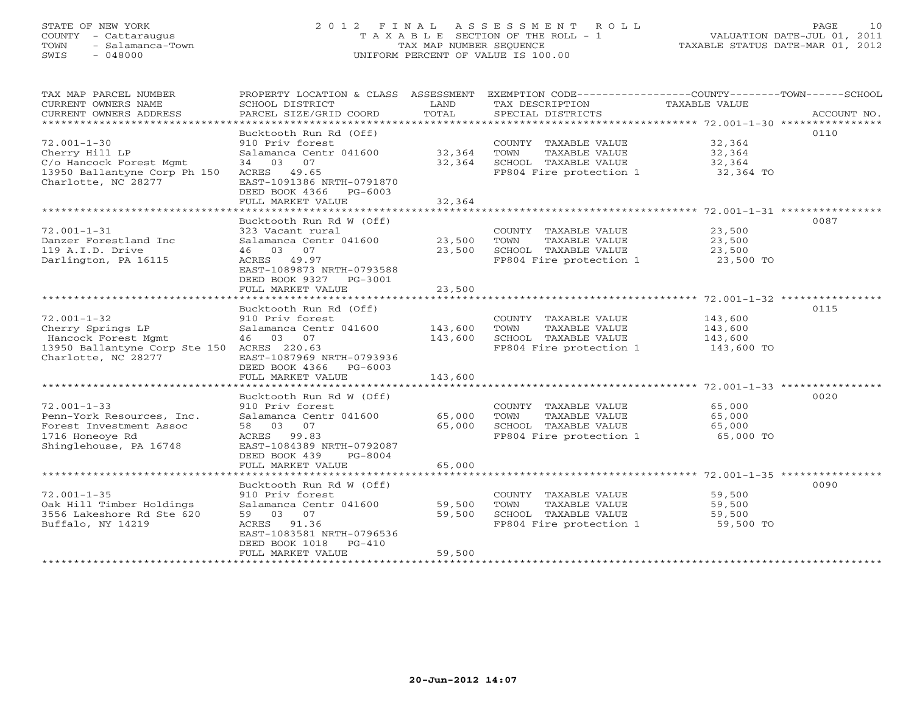# STATE OF NEW YORK 2 0 1 2 F I N A L A S S E S S M E N T R O L L PAGE 10 COUNTY - Cattaraugus T A X A B L E SECTION OF THE ROLL - 1 VALUATION DATE-JUL 01, 2011 TOWN - Salamanca-Town TAX MAP NUMBER SEQUENCE TAXABLE STATUS DATE-MAR 01, 2012 SWIS - 048000 UNIFORM PERCENT OF VALUE IS 100.00

| TAX MAP PARCEL NUMBER<br>CURRENT OWNERS NAME<br>CURRENT OWNERS ADDRESS<br>******************************                           | PROPERTY LOCATION & CLASS ASSESSMENT<br>SCHOOL DISTRICT<br>PARCEL SIZE/GRID COORD                                                                                          | LAND<br>TOTAL              | EXEMPTION CODE-----------------COUNTY-------TOWN------SCHOOL<br>TAX DESCRIPTION<br>SPECIAL DISTRICTS | TAXABLE VALUE                               | ACCOUNT NO. |
|------------------------------------------------------------------------------------------------------------------------------------|----------------------------------------------------------------------------------------------------------------------------------------------------------------------------|----------------------------|------------------------------------------------------------------------------------------------------|---------------------------------------------|-------------|
| $72.001 - 1 - 30$<br>Cherry Hill LP<br>C/o Hancock Forest Mgmt<br>13950 Ballantyne Corp Ph 150<br>Charlotte, NC 28277              | Bucktooth Run Rd (Off)<br>910 Priv forest<br>Salamanca Centr 041600<br>34 03 07<br>ACRES 49.65<br>EAST-1091386 NRTH-0791870<br>DEED BOOK 4366 PG-6003<br>FULL MARKET VALUE | 32,364<br>32,364<br>32,364 | COUNTY TAXABLE VALUE<br>TAXABLE VALUE<br>TOWN<br>SCHOOL TAXABLE VALUE<br>FP804 Fire protection 1     | 32,364<br>32,364<br>32,364<br>32,364 TO     | 0110        |
|                                                                                                                                    | Bucktooth Run Rd W (Off)                                                                                                                                                   |                            |                                                                                                      |                                             | 0087        |
| $72.001 - 1 - 31$<br>Danzer Forestland Inc<br>119 A.I.D. Drive<br>Darlington, PA 16115                                             | 323 Vacant rural<br>Salamanca Centr 041600<br>46 03 07<br>ACRES 49.97<br>EAST-1089873 NRTH-0793588<br>DEED BOOK 9327 PG-3001                                               | 23,500<br>23,500           | COUNTY TAXABLE VALUE<br>TOWN<br>TAXABLE VALUE<br>SCHOOL TAXABLE VALUE<br>FP804 Fire protection 1     | 23,500<br>23,500<br>23,500<br>23,500 TO     |             |
|                                                                                                                                    | FULL MARKET VALUE                                                                                                                                                          | 23,500                     |                                                                                                      |                                             |             |
| $72.001 - 1 - 32$<br>Cherry Springs LP<br>Hancock Forest Mgmt<br>13950 Ballantyne Corp Ste 150 ACRES 220.63<br>Charlotte, NC 28277 | Bucktooth Run Rd (Off)<br>910 Priv forest<br>Salamanca Centr 041600<br>46 03 07<br>EAST-1087969 NRTH-0793936<br>DEED BOOK 4366<br>PG-6003                                  | 143,600<br>143,600         | COUNTY TAXABLE VALUE<br>TOWN<br>TAXABLE VALUE<br>SCHOOL TAXABLE VALUE<br>FP804 Fire protection 1     | 143,600<br>143,600<br>143,600<br>143,600 TO | 0115        |
|                                                                                                                                    | FULL MARKET VALUE                                                                                                                                                          | 143,600                    |                                                                                                      |                                             |             |
| $72.001 - 1 - 33$<br>Penn-York Resources, Inc.<br>Forest Investment Assoc<br>1716 Honeoye Rd<br>Shinglehouse, PA 16748             | Bucktooth Run Rd W (Off)<br>910 Priv forest<br>Salamanca Centr 041600<br>58 03 07<br>ACRES 99.83<br>EAST-1084389 NRTH-0792087<br>DEED BOOK 439<br>PG-8004                  | 65,000<br>65,000           | COUNTY TAXABLE VALUE<br>TOWN<br>TAXABLE VALUE<br>SCHOOL TAXABLE VALUE<br>FP804 Fire protection 1     | 65,000<br>65,000<br>65,000<br>65,000 TO     | 0020        |
|                                                                                                                                    | FULL MARKET VALUE                                                                                                                                                          | 65,000                     |                                                                                                      |                                             |             |
| $72.001 - 1 - 35$<br>Oak Hill Timber Holdings<br>3556 Lakeshore Rd Ste 620<br>Buffalo, NY 14219                                    | Bucktooth Run Rd W (Off)<br>910 Priv forest<br>Salamanca Centr 041600<br>59 03 07<br>ACRES 91.36<br>EAST-1083581 NRTH-0796536<br>DEED BOOK 1018 PG-410                     | 59,500<br>59,500           | COUNTY TAXABLE VALUE<br>TOWN<br>TAXABLE VALUE<br>SCHOOL TAXABLE VALUE<br>FP804 Fire protection 1     | 59,500<br>59,500<br>59,500<br>59,500 TO     | 0090        |
|                                                                                                                                    | FULL MARKET VALUE                                                                                                                                                          | 59,500                     |                                                                                                      |                                             |             |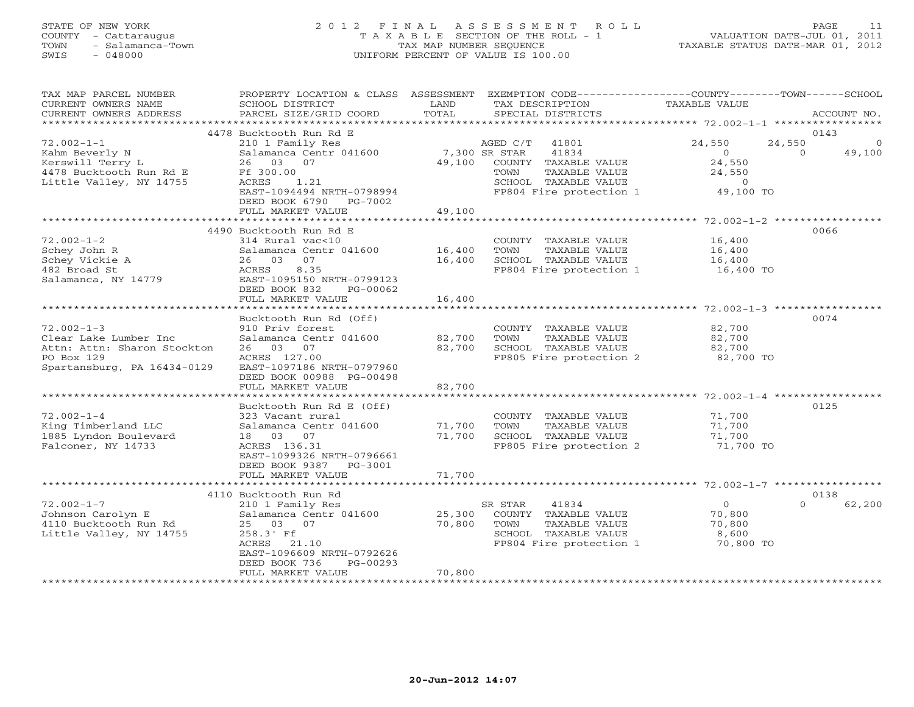# STATE OF NEW YORK 2 0 1 2 F I N A L A S S E S S M E N T R O L L PAGE 11 COUNTY - Cattaraugus T A X A B L E SECTION OF THE ROLL - 1 VALUATION DATE-JUL 01, 2011 TOWN - Salamanca-Town TAX MAP NUMBER SEQUENCE TAXABLE STATUS DATE-MAR 01, 2012 SWIS - 048000 UNIFORM PERCENT OF VALUE IS 100.00

| TAX MAP PARCEL NUMBER<br>CURRENT OWNERS NAME<br>CURRENT OWNERS ADDRESS<br>************************* | PROPERTY LOCATION & CLASS ASSESSMENT<br>SCHOOL DISTRICT<br>PARCEL SIZE/GRID COORD<br>************************ | LAND<br>TOTAL | TAX DESCRIPTION<br>SPECIAL DISTRICTS          | EXEMPTION CODE-----------------COUNTY-------TOWN------SCHOOL<br>TAXABLE VALUE | ACCOUNT NO. |
|-----------------------------------------------------------------------------------------------------|---------------------------------------------------------------------------------------------------------------|---------------|-----------------------------------------------|-------------------------------------------------------------------------------|-------------|
|                                                                                                     | 4478 Bucktooth Run Rd E                                                                                       |               |                                               |                                                                               | 0143        |
| $72.002 - 1 - 1$                                                                                    |                                                                                                               |               |                                               |                                                                               | $\Omega$    |
|                                                                                                     | 210 1 Family Res                                                                                              |               | AGED C/T<br>41801                             | 24,550<br>24,550                                                              |             |
| Kahm Beverly N<br>Kerswill Terry L                                                                  | Salamanca Centr 041600                                                                                        |               | 7,300 SR STAR<br>41834                        | $\Omega$<br>$\Omega$<br>24,550                                                | 49,100      |
|                                                                                                     | 26 03 07                                                                                                      | 49,100        | COUNTY TAXABLE VALUE                          |                                                                               |             |
| 4478 Bucktooth Run Rd E<br>Little Valley, NY 14755                                                  | Ff 300.00<br>ACRES<br>1.21                                                                                    |               | TAXABLE VALUE<br>TOWN<br>SCHOOL TAXABLE VALUE | 24,550<br>$\overline{0}$                                                      |             |
|                                                                                                     | EAST-1094494 NRTH-0798994                                                                                     |               | FP804 Fire protection 1                       |                                                                               |             |
|                                                                                                     | DEED BOOK 6790<br>PG-7002                                                                                     |               |                                               | 49,100 TO                                                                     |             |
|                                                                                                     | FULL MARKET VALUE                                                                                             | 49,100        |                                               |                                                                               |             |
|                                                                                                     |                                                                                                               |               |                                               |                                                                               |             |
|                                                                                                     | 4490 Bucktooth Run Rd E                                                                                       |               |                                               |                                                                               | 0066        |
| $72.002 - 1 - 2$                                                                                    | $314$ Rural vac<10                                                                                            |               | COUNTY TAXABLE VALUE                          | 16,400                                                                        |             |
| Schey John R                                                                                        | Salamanca Centr 041600                                                                                        | 16,400        | TOWN<br>TAXABLE VALUE                         | 16,400                                                                        |             |
| Schey Vickie A                                                                                      | 26 03 07                                                                                                      | 16,400        | SCHOOL TAXABLE VALUE                          | 16,400                                                                        |             |
| 482 Broad St                                                                                        | 8.35<br>ACRES                                                                                                 |               | FP804 Fire protection 1                       | 16,400 TO                                                                     |             |
| Salamanca, NY 14779                                                                                 | EAST-1095150 NRTH-0799123                                                                                     |               |                                               |                                                                               |             |
|                                                                                                     | DEED BOOK 832<br>PG-00062                                                                                     |               |                                               |                                                                               |             |
|                                                                                                     | FULL MARKET VALUE                                                                                             | 16,400        |                                               |                                                                               |             |
|                                                                                                     | ***********************                                                                                       |               |                                               |                                                                               |             |
|                                                                                                     | Bucktooth Run Rd (Off)                                                                                        |               |                                               |                                                                               | 0074        |
| $72.002 - 1 - 3$                                                                                    | 910 Priv forest                                                                                               |               | COUNTY TAXABLE VALUE                          | 82,700                                                                        |             |
| Clear Lake Lumber Inc                                                                               | Salamanca Centr 041600                                                                                        | 82,700        | TOWN<br>TAXABLE VALUE                         | 82,700                                                                        |             |
| Attn: Attn: Sharon Stockton                                                                         | 26 03 07                                                                                                      | 82,700        | SCHOOL TAXABLE VALUE                          | 82,700                                                                        |             |
| PO Box 129                                                                                          | ACRES 127.00                                                                                                  |               | FP805 Fire protection 2                       | 82,700 TO                                                                     |             |
| Spartansburg, PA 16434-0129                                                                         | EAST-1097186 NRTH-0797960                                                                                     |               |                                               |                                                                               |             |
|                                                                                                     | DEED BOOK 00988 PG-00498                                                                                      |               |                                               |                                                                               |             |
|                                                                                                     | FULL MARKET VALUE                                                                                             | 82,700        |                                               |                                                                               |             |
|                                                                                                     | ******************                                                                                            |               |                                               | ************************ 72.002-1-4 **********                                |             |
|                                                                                                     | Bucktooth Run Rd E (Off)                                                                                      |               |                                               |                                                                               | 0125        |
| $72.002 - 1 - 4$                                                                                    | 323 Vacant rural                                                                                              |               | COUNTY TAXABLE VALUE                          | 71,700                                                                        |             |
| King Timberland LLC                                                                                 | Salamanca Centr 041600                                                                                        | 71,700        | TAXABLE VALUE<br>TOWN                         | 71,700                                                                        |             |
| 1885 Lyndon Boulevard                                                                               | 18  03  07                                                                                                    | 71,700        | SCHOOL TAXABLE VALUE                          | 71,700                                                                        |             |
| Falconer, NY 14733                                                                                  | ACRES 136.31                                                                                                  |               | FP805 Fire protection 2                       | 71,700 TO                                                                     |             |
|                                                                                                     | EAST-1099326 NRTH-0796661                                                                                     |               |                                               |                                                                               |             |
|                                                                                                     | DEED BOOK 9387 PG-3001                                                                                        |               |                                               |                                                                               |             |
|                                                                                                     | FULL MARKET VALUE                                                                                             | 71,700        |                                               |                                                                               |             |
|                                                                                                     |                                                                                                               |               |                                               |                                                                               |             |
|                                                                                                     | 4110 Bucktooth Run Rd                                                                                         |               |                                               |                                                                               | 0138        |
| $72.002 - 1 - 7$                                                                                    | 210 1 Family Res                                                                                              |               | SR STAR<br>41834                              | $\Omega$<br>$\Omega$                                                          | 62,200      |
| Johnson Carolyn E                                                                                   | Salamanca Centr 041600                                                                                        | 25,300        | COUNTY TAXABLE VALUE                          | 70,800                                                                        |             |
| 4110 Bucktooth Run Rd                                                                               | 25 03 07                                                                                                      | 70,800        | TOWN<br>TAXABLE VALUE                         | 70,800                                                                        |             |
| Little Valley, NY 14755                                                                             | 258.3' Ff                                                                                                     |               | SCHOOL TAXABLE VALUE                          | 8,600                                                                         |             |
|                                                                                                     | ACRES 21.10                                                                                                   |               | FP804 Fire protection 1                       | 70,800 TO                                                                     |             |
|                                                                                                     | EAST-1096609 NRTH-0792626                                                                                     |               |                                               |                                                                               |             |
|                                                                                                     | DEED BOOK 736<br>PG-00293                                                                                     |               |                                               |                                                                               |             |
|                                                                                                     | FULL MARKET VALUE                                                                                             | 70,800        |                                               |                                                                               |             |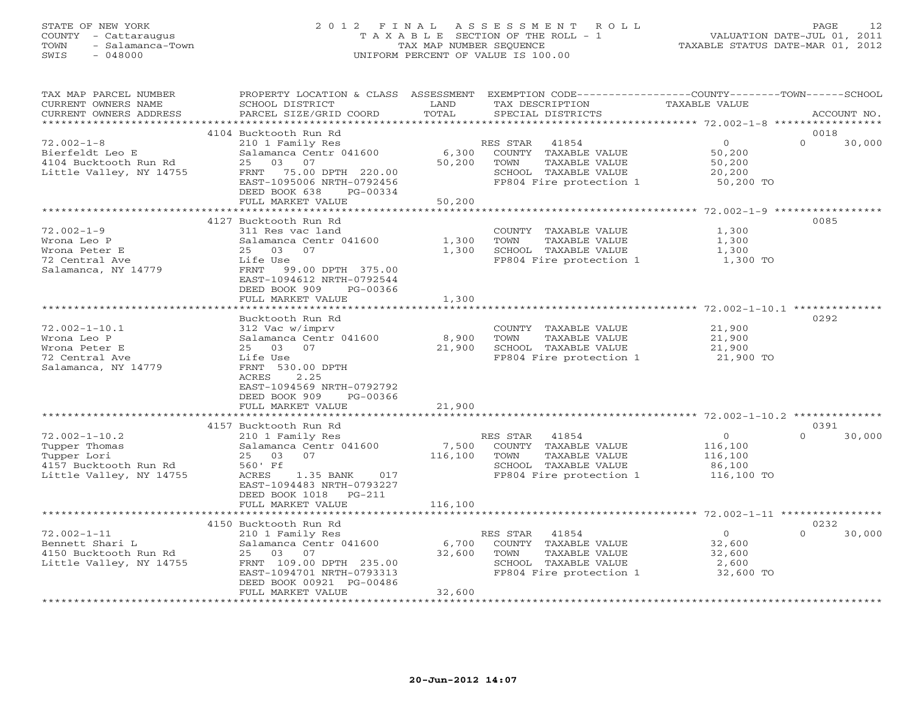# STATE OF NEW YORK 2 0 1 2 F I N A L A S S E S S M E N T R O L L PAGE 12 COUNTY - Cattaraugus T A X A B L E SECTION OF THE ROLL - 1 VALUATION DATE-JUL 01, 2011 TOWN - Salamanca-Town TAX MAP NUMBER SEQUENCE TAXABLE STATUS DATE-MAR 01, 2012 SWIS - 048000 UNIFORM PERCENT OF VALUE IS 100.00

| TAX MAP PARCEL NUMBER<br>CURRENT OWNERS NAME<br>CURRENT OWNERS ADDRESS                                  | PROPERTY LOCATION & CLASS ASSESSMENT<br>SCHOOL DISTRICT<br>PARCEL SIZE/GRID COORD                                                                                                                         | LAND<br>TOTAL               | EXEMPTION CODE-----------------COUNTY-------TOWN------SCHOOL<br>TAX DESCRIPTION<br>SPECIAL DISTRICTS                  | TAXABLE VALUE                                                | ACCOUNT NO.                |
|---------------------------------------------------------------------------------------------------------|-----------------------------------------------------------------------------------------------------------------------------------------------------------------------------------------------------------|-----------------------------|-----------------------------------------------------------------------------------------------------------------------|--------------------------------------------------------------|----------------------------|
| *************************                                                                               |                                                                                                                                                                                                           |                             |                                                                                                                       |                                                              |                            |
| $72.002 - 1 - 8$<br>Bierfeldt Leo E<br>4104 Bucktooth Run Rd<br>Little Valley, NY 14755                 | 4104 Bucktooth Run Rd<br>210 1 Family Res<br>Salamanca Centr 041600<br>25<br>03<br>07<br>FRNT<br>75.00 DPTH 220.00<br>EAST-1095006 NRTH-0792456<br>DEED BOOK 638<br>PG-00334<br>FULL MARKET VALUE         | 6,300<br>50,200<br>50,200   | RES STAR<br>41854<br>COUNTY TAXABLE VALUE<br>TAXABLE VALUE<br>TOWN<br>SCHOOL TAXABLE VALUE<br>FP804 Fire protection 1 | $\overline{0}$<br>50,200<br>50,200<br>20,200<br>50,200 TO    | 0018<br>$\Omega$<br>30,000 |
|                                                                                                         |                                                                                                                                                                                                           |                             |                                                                                                                       | ************************ 72.002-1-9 **********               |                            |
| $72.002 - 1 - 9$<br>Wrona Leo P<br>Wrona Peter E<br>72 Central Ave<br>Salamanca, NY 14779               | 4127 Bucktooth Run Rd<br>311 Res vac land<br>Salamanca Centr 041600<br>25 03<br>07<br>Life Use<br>FRNT 99.00 DPTH 375.00<br>EAST-1094612 NRTH-0792544<br>DEED BOOK 909<br>PG-00366<br>FULL MARKET VALUE   | 1,300<br>1,300<br>1,300     | COUNTY TAXABLE VALUE<br>TOWN<br>TAXABLE VALUE<br>SCHOOL TAXABLE VALUE<br>FP804 Fire protection 1                      | 1,300<br>1,300<br>1,300<br>1,300 TO                          | 0085                       |
|                                                                                                         |                                                                                                                                                                                                           |                             |                                                                                                                       |                                                              |                            |
| $72.002 - 1 - 10.1$<br>Wrona Leo P<br>Wrona Peter E<br>72 Central Ave<br>Salamanca, NY 14779            | Bucktooth Run Rd<br>312 Vac w/imprv<br>Salamanca Centr 041600<br>25 03 07<br>Life Use<br>FRNT 530.00 DPTH<br>ACRES<br>2.25<br>EAST-1094569 NRTH-0792792<br>DEED BOOK 909<br>PG-00366<br>FULL MARKET VALUE | 8,900<br>21,900<br>21,900   | COUNTY TAXABLE VALUE<br>TOWN<br>TAXABLE VALUE<br>SCHOOL TAXABLE VALUE<br>FP804 Fire protection 1                      | 21,900<br>21,900<br>21,900<br>21,900 TO                      | 0292                       |
|                                                                                                         |                                                                                                                                                                                                           |                             |                                                                                                                       |                                                              |                            |
| $72.002 - 1 - 10.2$<br>Tupper Thomas<br>Tupper Lori<br>4157 Bucktooth Run Rd<br>Little Valley, NY 14755 | 4157 Bucktooth Run Rd<br>210 1 Family Res<br>Salamanca Centr 041600<br>07<br>25 03<br>560' Ff<br>ACRES<br>1.35 BANK 017<br>EAST-1094483 NRTH-0793227<br>DEED BOOK 1018<br>$PG-211$<br>FULL MARKET VALUE   | 7,500<br>116,100<br>116,100 | RES STAR<br>41854<br>COUNTY TAXABLE VALUE<br>TAXABLE VALUE<br>TOWN<br>SCHOOL TAXABLE VALUE<br>FP804 Fire protection 1 | $\overline{0}$<br>116,100<br>116,100<br>86,100<br>116,100 TO | 0391<br>$\Omega$<br>30,000 |
|                                                                                                         |                                                                                                                                                                                                           |                             |                                                                                                                       |                                                              |                            |
| $72.002 - 1 - 11$<br>Bennett Shari L<br>4150 Bucktooth Run Rd<br>Little Valley, NY 14755                | 4150 Bucktooth Run Rd<br>210 1 Family Res<br>Salamanca Centr 041600<br>25 03 07<br>FRNT 109.00 DPTH 235.00<br>EAST-1094701 NRTH-0793313<br>DEED BOOK 00921 PG-00486<br>FULL MARKET VALUE                  | 6,700<br>32,600<br>32,600   | 41854<br>RES STAR<br>COUNTY TAXABLE VALUE<br>TAXABLE VALUE<br>TOWN<br>SCHOOL TAXABLE VALUE<br>FP804 Fire protection 1 | $\overline{0}$<br>32,600<br>32,600<br>2,600<br>32,600 TO     | 0232<br>$\Omega$<br>30,000 |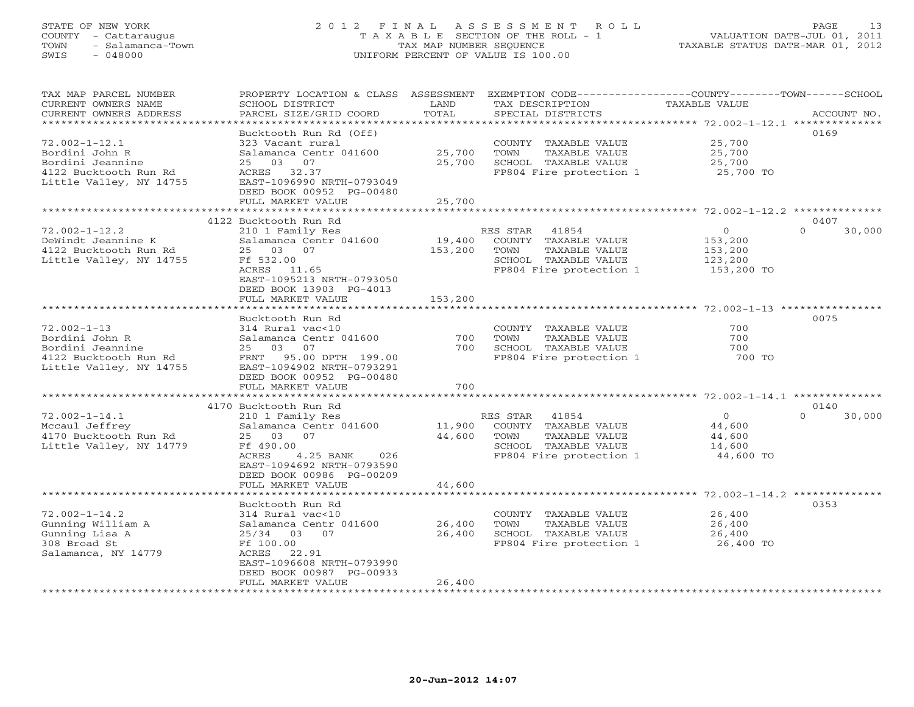# STATE OF NEW YORK 2 0 1 2 F I N A L A S S E S S M E N T R O L L PAGE 13 COUNTY - Cattaraugus T A X A B L E SECTION OF THE ROLL - 1 VALUATION DATE-JUL 01, 2011 TOWN - Salamanca-Town TAX MAP NUMBER SEQUENCE TAXABLE STATUS DATE-MAR 01, 2012 SWIS - 048000 UNIFORM PERCENT OF VALUE IS 100.00

| TAX MAP PARCEL NUMBER<br>CURRENT OWNERS NAME<br>CURRENT OWNERS ADDRESS                                        | PROPERTY LOCATION & CLASS ASSESSMENT<br>SCHOOL DISTRICT<br>PARCEL SIZE/GRID COORD                                                                                                  | LAND<br>TOTAL     | TAX DESCRIPTION<br>SPECIAL DISTRICTS                                                                                  | EXEMPTION CODE-----------------COUNTY-------TOWN------SCHOOL<br>TAXABLE VALUE<br>ACCOUNT NO. |
|---------------------------------------------------------------------------------------------------------------|------------------------------------------------------------------------------------------------------------------------------------------------------------------------------------|-------------------|-----------------------------------------------------------------------------------------------------------------------|----------------------------------------------------------------------------------------------|
| *************************                                                                                     |                                                                                                                                                                                    |                   |                                                                                                                       |                                                                                              |
| $72.002 - 1 - 12.1$<br>Bordini John R<br>Bordini Jeannine<br>4122 Bucktooth Run Rd<br>Little Valley, NY 14755 | Bucktooth Run Rd (Off)<br>323 Vacant rural<br>Salamanca Centr 041600<br>25<br>03<br>07<br>ACRES 32.37<br>EAST-1096990 NRTH-0793049<br>DEED BOOK 00952 PG-00480                     | 25,700<br>25,700  | COUNTY TAXABLE VALUE<br>TOWN<br>TAXABLE VALUE<br>SCHOOL TAXABLE VALUE<br>FP804 Fire protection 1                      | 0169<br>25,700<br>25,700<br>25,700<br>25,700 TO                                              |
|                                                                                                               | FULL MARKET VALUE                                                                                                                                                                  | 25,700            |                                                                                                                       |                                                                                              |
|                                                                                                               |                                                                                                                                                                                    |                   |                                                                                                                       |                                                                                              |
| $72.002 - 1 - 12.2$<br>DeWindt Jeannine K<br>4122 Bucktooth Run Rd<br>Little Valley, NY 14755                 | 4122 Bucktooth Run Rd<br>210 1 Family Res<br>Salamanca Centr 041600<br>25 03 07<br>Ff 532.00<br>ACRES 11.65<br>EAST-1095213 NRTH-0793050<br>DEED BOOK 13903 PG-4013                | 19,400<br>153,200 | RES STAR<br>41854<br>COUNTY TAXABLE VALUE<br>TOWN<br>TAXABLE VALUE<br>SCHOOL TAXABLE VALUE<br>FP804 Fire protection 1 | 0407<br>$\circ$<br>$\Omega$<br>30,000<br>153,200<br>153,200<br>123,200<br>153,200 TO         |
|                                                                                                               | FULL MARKET VALUE                                                                                                                                                                  | 153,200           |                                                                                                                       |                                                                                              |
| $72.002 - 1 - 13$<br>Bordini John R<br>Bordini Jeannine<br>4122 Bucktooth Run Rd<br>Little Valley, NY 14755   | Bucktooth Run Rd<br>314 Rural vac<10<br>Salamanca Centr 041600<br>25 03 07<br>FRNT 95.00 DPTH 199.00<br>EAST-1094902 NRTH-0793291<br>DEED BOOK 00952 PG-00480<br>FULL MARKET VALUE | 700<br>700<br>700 | COUNTY TAXABLE VALUE<br>TAXABLE VALUE<br>TOWN<br>SCHOOL TAXABLE VALUE<br>FP804 Fire protection 1                      | 0075<br>700<br>700<br>700<br>700 TO                                                          |
|                                                                                                               | 4170 Bucktooth Run Rd                                                                                                                                                              |                   |                                                                                                                       | 0140                                                                                         |
| $72.002 - 1 - 14.1$<br>Mccaul Jeffrey<br>4170 Bucktooth Run Rd<br>Little Valley, NY 14779                     | 210 1 Family Res<br>Salamanca Centr 041600<br>25 03 07<br>Ff 490.00<br>ACRES<br>4.25 BANK<br>026<br>EAST-1094692 NRTH-0793590<br>DEED BOOK 00986 PG-00209                          | 11,900<br>44,600  | RES STAR 41854<br>COUNTY TAXABLE VALUE<br>TOWN<br>TAXABLE VALUE<br>SCHOOL TAXABLE VALUE<br>FP804 Fire protection 1    | $\Omega$<br>$\overline{0}$<br>30,000<br>44,600<br>44,600<br>14,600<br>44,600 TO              |
|                                                                                                               | FULL MARKET VALUE                                                                                                                                                                  | 44,600            |                                                                                                                       |                                                                                              |
|                                                                                                               |                                                                                                                                                                                    |                   |                                                                                                                       |                                                                                              |
| $72.002 - 1 - 14.2$<br>Gunning William A<br>Gunning Lisa A<br>308 Broad St<br>Salamanca, NY 14779             | Bucktooth Run Rd<br>314 Rural vac<10<br>Salamanca Centr 041600<br>$25/34$ 03<br>07<br>Ff 100.00<br>22.91<br>ACRES<br>EAST-1096608 NRTH-0793990<br>DEED BOOK 00987 PG-00933         | 26,400<br>26,400  | COUNTY TAXABLE VALUE<br>TOWN<br>TAXABLE VALUE<br>SCHOOL TAXABLE VALUE<br>FP804 Fire protection 1                      | 0353<br>26,400<br>26,400<br>26,400<br>26,400 TO                                              |
|                                                                                                               | FULL MARKET VALUE                                                                                                                                                                  | 26,400            | ************************                                                                                              |                                                                                              |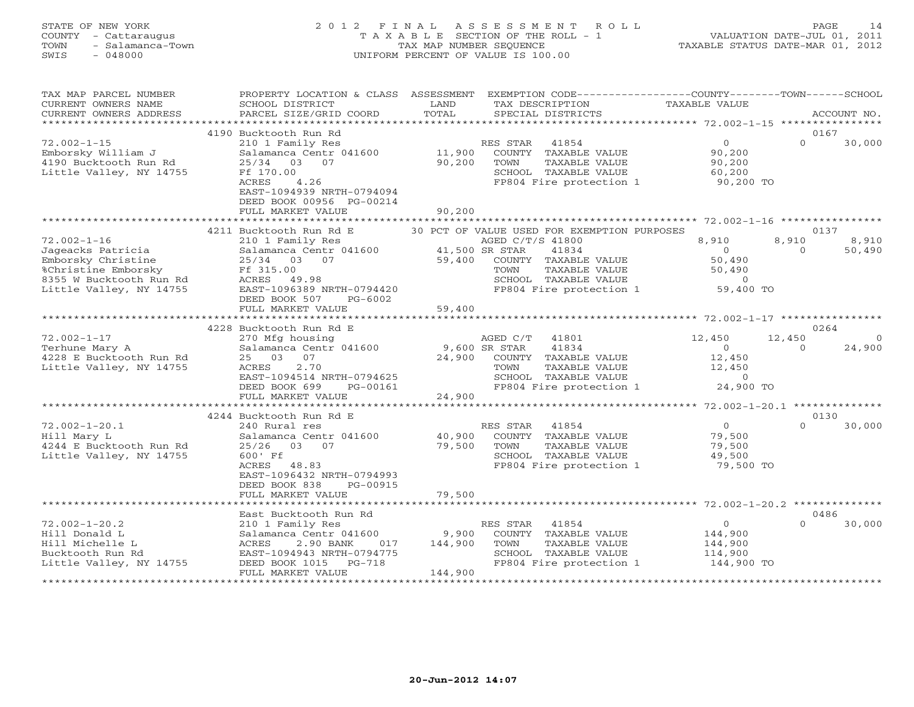# STATE OF NEW YORK 2 0 1 2 F I N A L A S S E S S M E N T R O L L PAGE 14 COUNTY - Cattaraugus T A X A B L E SECTION OF THE ROLL - 1 VALUATION DATE-JUL 01, 2011 TOWN - Salamanca-Town TAX MAP NUMBER SEQUENCE TAXABLE STATUS DATE-MAR 01, 2012 SWIS - 048000 UNIFORM PERCENT OF VALUE IS 100.00

| TAX MAP PARCEL NUMBER   | PROPERTY LOCATION & CLASS ASSESSMENT |                | EXEMPTION CODE-----------------COUNTY-------TOWN------SCHOOL |                   |          |                |
|-------------------------|--------------------------------------|----------------|--------------------------------------------------------------|-------------------|----------|----------------|
| CURRENT OWNERS NAME     | SCHOOL DISTRICT                      | LAND           | TAX DESCRIPTION                                              | TAXABLE VALUE     |          |                |
| CURRENT OWNERS ADDRESS  | PARCEL SIZE/GRID COORD               | TOTAL          | SPECIAL DISTRICTS                                            |                   |          | ACCOUNT NO.    |
|                         |                                      |                |                                                              |                   |          |                |
|                         | 4190 Bucktooth Run Rd                |                |                                                              |                   | 0167     |                |
| $72.002 - 1 - 15$       | 210 1 Family Res                     |                | RES STAR 41854                                               | $0 \qquad \qquad$ | $\Omega$ | 30,000         |
| Emborsky William J      | Salamanca Centr 041600               | 11,900         | COUNTY TAXABLE VALUE                                         | 90,200            |          |                |
| 4190 Bucktooth Run Rd   | 25/34 03 07                          | 90,200         | TOWN<br>TAXABLE VALUE                                        | 90,200            |          |                |
| Little Valley, NY 14755 | Ff 170.00                            |                | SCHOOL TAXABLE VALUE                                         | 60,200            |          |                |
|                         | 4.26<br>ACRES                        |                | FP804 Fire protection 1                                      | 90,200 TO         |          |                |
|                         | EAST-1094939 NRTH-0794094            |                |                                                              |                   |          |                |
|                         | DEED BOOK 00956 PG-00214             |                |                                                              |                   |          |                |
|                         | FULL MARKET VALUE                    | 90,200         |                                                              |                   |          |                |
|                         | ***************************          |                |                                                              |                   |          |                |
|                         | 4211 Bucktooth Run Rd E              |                | 30 PCT OF VALUE USED FOR EXEMPTION PURPOSES                  |                   |          | 0137           |
| $72.002 - 1 - 16$       | 210 1 Family Res                     |                | AGED C/T/S 41800                                             | 8,910             | 8,910    | 8,910          |
| Jageacks Patricia       | Salamanca Centr 041600               | 41,500 SR STAR | 41834                                                        | $\overline{0}$    | $\Omega$ | 50,490         |
| Emborsky Christine      | 25/34 03 07                          | 59,400         | COUNTY TAXABLE VALUE                                         | 50,490            |          |                |
| %Christine Emborsky     | Ff 315.00                            |                | TAXABLE VALUE<br>TOWN                                        | 50,490            |          |                |
| 8355 W Bucktooth Run Rd | ACRES 49.98                          |                | SCHOOL TAXABLE VALUE                                         | $\sim$ 0          |          |                |
| Little Valley, NY 14755 | EAST-1096389 NRTH-0794420            |                | FP804 Fire protection 1 59,400 TO                            |                   |          |                |
|                         | DEED BOOK 507<br>PG-6002             |                |                                                              |                   |          |                |
|                         | FULL MARKET VALUE                    | 59,400         |                                                              |                   |          |                |
|                         |                                      |                |                                                              |                   |          |                |
|                         | 4228 Bucktooth Run Rd E              |                |                                                              |                   |          | 0264           |
| $72.002 - 1 - 17$       | 270 Mfg housing                      |                | AGED C/T<br>41801                                            | 12,450            | 12,450   | $\bigcap$      |
| Terhune Mary A          | Salamanca Centr 041600               | 9,600 SR STAR  | 41834                                                        | $\Omega$          | $\Omega$ | 24,900         |
| 4228 E Bucktooth Run Rd | 25 03<br>07                          | 24,900         | COUNTY TAXABLE VALUE                                         | 12,450            |          |                |
| Little Valley, NY 14755 | ACRES<br>2.70                        |                | TOWN<br>TAXABLE VALUE                                        | 12,450            |          |                |
|                         | EAST-1094514 NRTH-0794625            |                | SCHOOL TAXABLE VALUE                                         | $\Omega$          |          |                |
|                         | DEED BOOK 699<br>PG-00161            |                | FP804 Fire protection 1 24,900 TO                            |                   |          |                |
|                         |                                      | 24,900         |                                                              |                   |          |                |
|                         | FULL MARKET VALUE                    |                |                                                              |                   |          |                |
|                         |                                      |                |                                                              |                   |          |                |
|                         | 4244 Bucktooth Run Rd E              |                |                                                              | $\overline{0}$    | $\cap$   | 0130<br>30,000 |
| $72.002 - 1 - 20.1$     | 240 Rural res                        | 40,900         | RES STAR 41854                                               |                   |          |                |
| Hill Mary L             | Salamanca Centr 041600               |                | COUNTY TAXABLE VALUE                                         | 79,500            |          |                |
| 4244 E Bucktooth Run Rd | 25/26 03 07                          | 79,500         | TAXABLE VALUE<br>TOWN                                        | 79,500            |          |                |
| Little Valley, NY 14755 | 600' Ff                              |                | SCHOOL TAXABLE VALUE<br>FP804 Fire protection 1              | 49,500            |          |                |
|                         | ACRES 48.83                          |                |                                                              | 79,500 TO         |          |                |
|                         | EAST-1096432 NRTH-0794993            |                |                                                              |                   |          |                |
|                         | DEED BOOK 838<br>PG-00915            |                |                                                              |                   |          |                |
|                         | FULL MARKET VALUE                    | 79,500         |                                                              |                   |          |                |
|                         |                                      |                |                                                              |                   |          |                |
|                         | East Bucktooth Run Rd                |                |                                                              |                   |          | 0486           |
| $72.002 - 1 - 20.2$     | 210 1 Family Res                     |                | RES STAR<br>41854                                            | $\overline{0}$    | $\Omega$ | 30,000         |
| Hill Donald L           | Salamanca Centr 041600               | 9,900          | COUNTY TAXABLE VALUE                                         | 144,900           |          |                |
| Hill Michelle L         | ACRES<br>2.90 BANK<br>017            | 144,900        | TOWN<br>TAXABLE VALUE                                        | 144,900           |          |                |
| Bucktooth Run Rd        | EAST-1094943 NRTH-0794775            |                | SCHOOL TAXABLE VALUE                                         | 114,900           |          |                |
| Little Valley, NY 14755 | DEED BOOK 1015<br>PG-718             |                | FP804 Fire protection 1                                      | 144,900 TO        |          |                |
|                         | FULL MARKET VALUE                    | 144,900        |                                                              |                   |          |                |
|                         |                                      |                |                                                              |                   |          |                |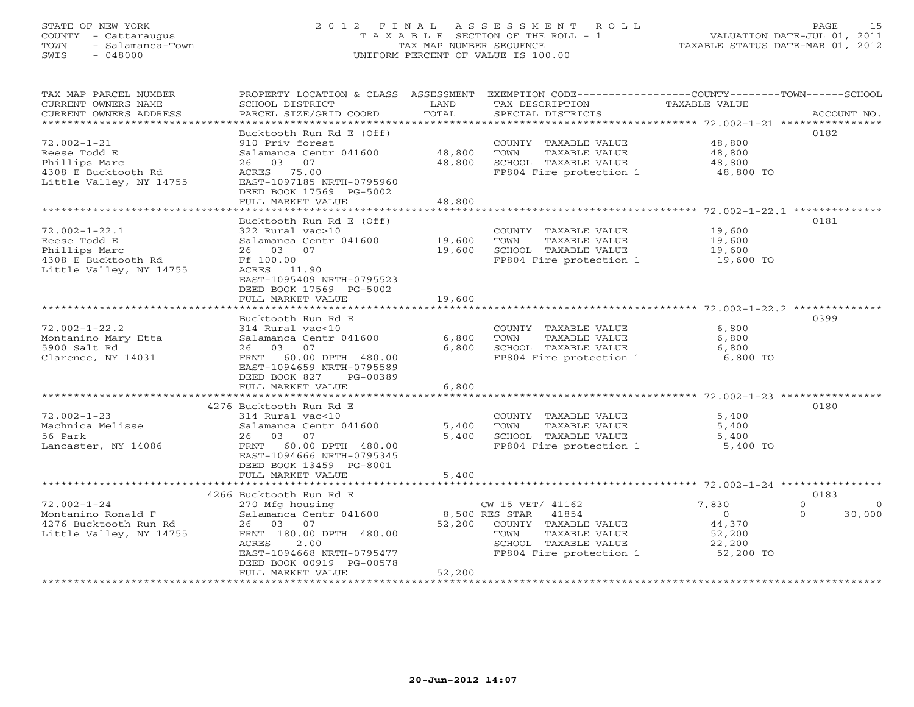# STATE OF NEW YORK 2 0 1 2 F I N A L A S S E S S M E N T R O L L PAGE 15 COUNTY - Cattaraugus T A X A B L E SECTION OF THE ROLL - 1 VALUATION DATE-JUL 01, 2011 TOWN - Salamanca-Town TAX MAP NUMBER SEQUENCE TAXABLE STATUS DATE-MAR 01, 2012 SWIS - 048000 UNIFORM PERCENT OF VALUE IS 100.00

| TAX MAP PARCEL NUMBER<br>CURRENT OWNERS NAME<br>CURRENT OWNERS ADDRESS | PROPERTY LOCATION & CLASS<br>SCHOOL DISTRICT<br>PARCEL SIZE/GRID COORD         | ASSESSMENT<br>LAND<br>TOTAL | EXEMPTION CODE-----------------COUNTY-------TOWN------SCHOOL<br>TAX DESCRIPTION<br>SPECIAL DISTRICTS | TAXABLE VALUE                                               | ACCOUNT NO. |
|------------------------------------------------------------------------|--------------------------------------------------------------------------------|-----------------------------|------------------------------------------------------------------------------------------------------|-------------------------------------------------------------|-------------|
| *************************                                              |                                                                                |                             |                                                                                                      |                                                             |             |
| $72.002 - 1 - 21$<br>Reese Todd E                                      | Bucktooth Run Rd E (Off)<br>910 Priv forest<br>Salamanca Centr 041600          | 48,800                      | COUNTY TAXABLE VALUE<br>TOWN<br>TAXABLE VALUE                                                        | 48,800<br>48,800                                            | 0182        |
| Phillips Marc<br>4308 E Bucktooth Rd<br>Little Valley, NY 14755        | 03<br>07<br>26<br>ACRES 75.00<br>EAST-1097185 NRTH-0795960                     | 48,800                      | SCHOOL TAXABLE VALUE<br>FP804 Fire protection 1                                                      | 48,800<br>48,800 TO                                         |             |
|                                                                        | DEED BOOK 17569 PG-5002<br>FULL MARKET VALUE                                   | 48,800                      |                                                                                                      |                                                             |             |
|                                                                        | ***********************                                                        |                             |                                                                                                      | ********* 72.002-1-22.1 ********                            |             |
| $72.002 - 1 - 22.1$                                                    | Bucktooth Run Rd E (Off)<br>322 Rural vac>10                                   |                             | COUNTY TAXABLE VALUE                                                                                 | 19,600                                                      | 0181        |
| Reese Todd E                                                           | Salamanca Centr 041600                                                         | 19,600                      | TOWN<br>TAXABLE VALUE                                                                                | 19,600                                                      |             |
| Phillips Marc                                                          | 26 03<br>07                                                                    | 19,600                      | SCHOOL TAXABLE VALUE                                                                                 | 19,600                                                      |             |
| 4308 E Bucktooth Rd<br>Little Valley, NY 14755                         | Ff 100.00<br>ACRES 11.90<br>EAST-1095409 NRTH-0795523                          |                             | FP804 Fire protection 1                                                                              | 19,600 TO                                                   |             |
|                                                                        | DEED BOOK 17569 PG-5002                                                        |                             |                                                                                                      |                                                             |             |
|                                                                        | FULL MARKET VALUE<br>*******************                                       | 19,600                      |                                                                                                      | ****************************** 72.002-1-22.2 ************** |             |
|                                                                        |                                                                                |                             |                                                                                                      |                                                             | 0399        |
|                                                                        | Bucktooth Run Rd E                                                             |                             |                                                                                                      |                                                             |             |
| $72.002 - 1 - 22.2$                                                    | 314 Rural vac<10<br>Salamanca Centr 041600                                     |                             | COUNTY TAXABLE VALUE<br>TOWN                                                                         | 6,800<br>6,800                                              |             |
| Montanino Mary Etta<br>5900 Salt Rd                                    | 26<br>03<br>07                                                                 | 6,800<br>6,800              | TAXABLE VALUE<br>SCHOOL TAXABLE VALUE                                                                | 6,800                                                       |             |
| Clarence, NY 14031                                                     | 60.00 DPTH 480.00<br>FRNT<br>EAST-1094659 NRTH-0795589                         |                             | FP804 Fire protection 1                                                                              | 6,800 TO                                                    |             |
|                                                                        | DEED BOOK 827<br>PG-00389                                                      |                             |                                                                                                      |                                                             |             |
|                                                                        | FULL MARKET VALUE                                                              | 6,800                       |                                                                                                      |                                                             |             |
|                                                                        | 4276 Bucktooth Run Rd E                                                        |                             |                                                                                                      |                                                             | 0180        |
| $72.002 - 1 - 23$                                                      | $314$ Rural vac<10                                                             |                             | COUNTY TAXABLE VALUE                                                                                 | 5,400                                                       |             |
| Machnica Melisse                                                       | Salamanca Centr 041600                                                         | 5,400                       | TOWN<br>TAXABLE VALUE                                                                                | 5,400                                                       |             |
| 56 Park                                                                | 26<br>03<br>07                                                                 | 5,400                       | SCHOOL TAXABLE VALUE                                                                                 | 5,400                                                       |             |
| Lancaster, NY 14086                                                    | FRNT 60.00 DPTH 480.00<br>EAST-1094666 NRTH-0795345<br>DEED BOOK 13459 PG-8001 |                             | FP804 Fire protection 1                                                                              | 5,400 TO                                                    |             |
|                                                                        | FULL MARKET VALUE                                                              | 5,400                       |                                                                                                      |                                                             |             |
|                                                                        | *******************                                                            |                             | ****************************                                                                         | ************ 72.002-1-24 ***************                    |             |
|                                                                        | 4266 Bucktooth Run Rd E                                                        |                             |                                                                                                      |                                                             | 0183        |
| $72.002 - 1 - 24$                                                      | 270 Mfg housing                                                                |                             | CW 15 VET/ 41162                                                                                     | 7,830<br>$\Omega$                                           | - 0         |
| Montanino Ronald F                                                     | Salamanca Centr 041600                                                         | 8,500 RES STAR              | 41854                                                                                                | $\circ$<br>$\circ$                                          | 30,000      |
| 4276 Bucktooth Run Rd                                                  | 26 03<br>07                                                                    | 52,200                      | COUNTY TAXABLE VALUE                                                                                 | 44,370                                                      |             |
| Little Valley, NY 14755                                                | FRNT 180.00 DPTH 480.00                                                        |                             | TAXABLE VALUE<br>TOWN                                                                                | 52,200                                                      |             |
|                                                                        | ACRES<br>2.00                                                                  |                             | SCHOOL TAXABLE VALUE                                                                                 | 22,200                                                      |             |
|                                                                        | EAST-1094668 NRTH-0795477                                                      |                             | FP804 Fire protection 1                                                                              | 52,200 TO                                                   |             |
|                                                                        | DEED BOOK 00919 PG-00578<br>FULL MARKET VALUE                                  |                             |                                                                                                      |                                                             |             |
|                                                                        |                                                                                | 52,200                      |                                                                                                      |                                                             |             |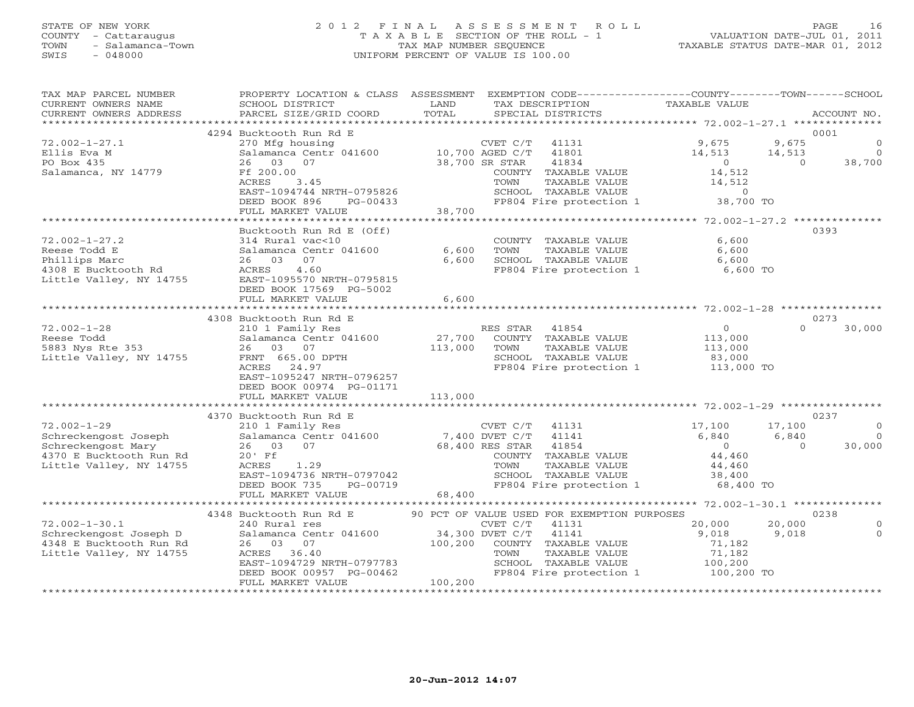# STATE OF NEW YORK 2 0 1 2 F I N A L A S S E S S M E N T R O L L PAGE 16 COUNTY - Cattaraugus T A X A B L E SECTION OF THE ROLL - 1 VALUATION DATE-JUL 01, 2011 TOWN - Salamanca-Town TAX MAP NUMBER SEQUENCE TAXABLE STATUS DATE-MAR 01, 2012 SWIS - 048000 UNIFORM PERCENT OF VALUE IS 100.00

| TAX MAP PARCEL NUMBER<br>CURRENT OWNERS NAME<br>CURRENT OWNERS ADDRESS                                 | PROPERTY LOCATION & CLASS ASSESSMENT<br>SCHOOL DISTRICT<br>PARCEL SIZE/GRID COORD                                                   | LAND<br>TOTAL       | EXEMPTION CODE-----------------COUNTY-------TOWN------SCHOOL<br>TAX DESCRIPTION<br>SPECIAL DISTRICTS                                                                  | TAXABLE VALUE                                       |                         | ACCOUNT NO.                     |
|--------------------------------------------------------------------------------------------------------|-------------------------------------------------------------------------------------------------------------------------------------|---------------------|-----------------------------------------------------------------------------------------------------------------------------------------------------------------------|-----------------------------------------------------|-------------------------|---------------------------------|
| *************************                                                                              |                                                                                                                                     |                     |                                                                                                                                                                       |                                                     |                         |                                 |
| $72.002 - 1 - 27.1$                                                                                    | 4294 Bucktooth Run Rd E<br>270 Mfg housing                                                                                          |                     | CVET C/T<br>41131                                                                                                                                                     | 9,675                                               | 9,675                   | 0001<br>$\Omega$                |
| Ellis Eva M<br>PO Box 435                                                                              | Salamanca Centr 041600<br>03<br>07<br>26                                                                                            | $10,700$ AGED $C/T$ | 41801<br>38,700 SR STAR<br>41834                                                                                                                                      | 14,513<br>$\overline{O}$                            | 14,513<br>$\Omega$      | $\overline{0}$<br>38,700        |
| Salamanca, NY 14779                                                                                    | Ff 200.00<br>ACRES<br>3.45<br>EAST-1094744 NRTH-0795826                                                                             |                     | COUNTY TAXABLE VALUE<br>TOWN<br>TAXABLE VALUE<br>SCHOOL TAXABLE VALUE                                                                                                 | 14,512<br>14,512<br>$\Omega$                        |                         |                                 |
|                                                                                                        | DEED BOOK 896<br>PG-00433<br>FULL MARKET VALUE                                                                                      | 38,700              | FP804 Fire protection 1                                                                                                                                               | 38,700 TO                                           |                         |                                 |
|                                                                                                        |                                                                                                                                     |                     |                                                                                                                                                                       |                                                     |                         |                                 |
| $72.002 - 1 - 27.2$<br>Reese Todd E<br>Phillips Marc<br>4308 E Bucktooth Rd<br>Little Valley, NY 14755 | Bucktooth Run Rd E (Off)<br>314 Rural vac<10<br>Salamanca Centr 041600<br>26 03<br>07<br>4.60<br>ACRES<br>EAST-1095570 NRTH-0795815 | 6,600<br>6,600      | COUNTY TAXABLE VALUE<br>TOWN<br>TAXABLE VALUE<br>SCHOOL TAXABLE VALUE<br>FP804 Fire protection 1                                                                      | 6,600<br>6,600<br>6,600<br>6,600 TO                 |                         | 0393                            |
|                                                                                                        | DEED BOOK 17569 PG-5002<br>FULL MARKET VALUE                                                                                        | 6,600               |                                                                                                                                                                       |                                                     |                         |                                 |
|                                                                                                        |                                                                                                                                     |                     |                                                                                                                                                                       |                                                     |                         |                                 |
| $72.002 - 1 - 28$                                                                                      | 4308 Bucktooth Run Rd E<br>210 1 Family Res                                                                                         |                     | RES STAR<br>41854                                                                                                                                                     | $\circ$                                             | $\Omega$                | 0273<br>30,000                  |
| Reese Todd<br>5883 Nys Rte 353<br>Little Valley, NY 14755                                              | Salamanca Centr 041600<br>26 03 07<br>FRNT 665.00 DPTH<br>ACRES 24.97<br>EAST-1095247 NRTH-0796257<br>DEED BOOK 00974 PG-01171      | 27,700<br>113,000   | COUNTY TAXABLE VALUE<br>TOWN<br>TAXABLE VALUE<br>SCHOOL TAXABLE VALUE<br>FP804 Fire protection 1                                                                      | 113,000<br>113,000<br>83,000<br>113,000 TO          |                         |                                 |
|                                                                                                        | FULL MARKET VALUE                                                                                                                   | 113,000             |                                                                                                                                                                       |                                                     |                         |                                 |
|                                                                                                        | ***************************<br>4370 Bucktooth Run Rd E                                                                              |                     |                                                                                                                                                                       |                                                     |                         | 0237                            |
| $72.002 - 1 - 29$<br>Schreckengost Joseph                                                              | 210 1 Family Res<br>Salamanca Centr 041600                                                                                          |                     | CVET C/T<br>41131<br>7,400 DVET C/T<br>41141                                                                                                                          | 17,100<br>6,840                                     | 17,100<br>6,840         | $\mathbf 0$<br>$\Omega$         |
| Schreckengost Mary<br>4370 E Bucktooth Run Rd<br>Little Valley, NY 14755                               | 26 03<br>07<br>$20'$ Ff<br>ACRES<br>1.29<br>EAST-1094736 NRTH-0797042<br>DEED BOOK 735<br>PG-00719<br>FULL MARKET VALUE             | 68,400              | 41854<br>68,400 RES STAR<br>COUNTY TAXABLE VALUE<br>TOWN<br>TAXABLE VALUE<br>SCHOOL TAXABLE VALUE<br>FP804 Fire protection 1                                          | $\Omega$<br>44,460<br>44,460<br>38,400<br>68,400 TO | $\Omega$                | 30,000                          |
|                                                                                                        | ***************************                                                                                                         |                     |                                                                                                                                                                       |                                                     |                         |                                 |
| $72.002 - 1 - 30.1$<br>Schreckengost Joseph D<br>4348 E Bucktooth Run Rd<br>Little Valley, NY 14755    | 4348 Bucktooth Run Rd E<br>240 Rural res<br>Salamanca Centr 041600<br>26 03 07<br>ACRES 36.40<br>EAST-1094729 NRTH-0797783          | 100,200             | 90 PCT OF VALUE USED FOR EXEMPTION PURPOSES<br>CVET C/T<br>41131<br>34,300 DVET C/T<br>41141<br>COUNTY TAXABLE VALUE<br>TAXABLE VALUE<br>TOWN<br>SCHOOL TAXABLE VALUE | 20,000<br>9,018<br>71,182<br>71,182<br>100,200      | 20,000<br>9,018         | 0238<br>$\circ$<br>$\mathbf{O}$ |
| ************************                                                                               | DEED BOOK 00957 PG-00462<br>FULL MARKET VALUE<br>**************************                                                         | 100,200             | FP804 Fire protection 1<br>***********************************                                                                                                        | 100,200 TO                                          | *********************** |                                 |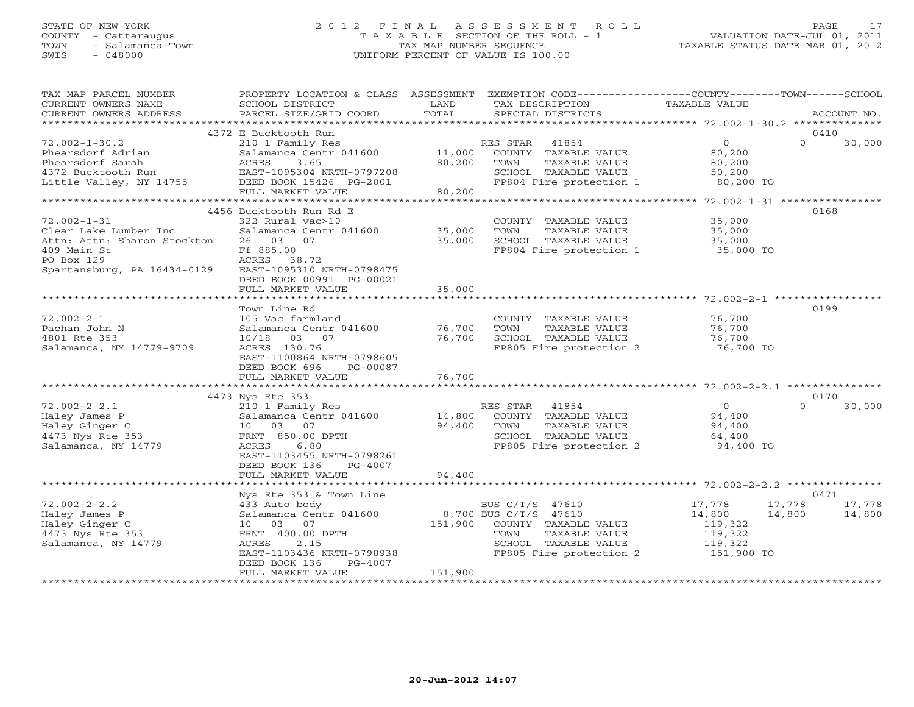# STATE OF NEW YORK 2 0 1 2 F I N A L A S S E S S M E N T R O L L PAGE 17 COUNTY - Cattaraugus T A X A B L E SECTION OF THE ROLL - 1 VALUATION DATE-JUL 01, 2011 TOWN - Salamanca-Town TAX MAP NUMBER SEQUENCE TAXABLE STATUS DATE-MAR 01, 2012 SWIS - 048000 UNIFORM PERCENT OF VALUE IS 100.00

| TAX MAP PARCEL NUMBER<br>CURRENT OWNERS NAME<br>CURRENT OWNERS ADDRESS                                                                | PROPERTY LOCATION & CLASS ASSESSMENT<br>SCHOOL DISTRICT<br>PARCEL SIZE/GRID COORD                                                                                                              | LAND<br>TOTAL              | EXEMPTION CODE-----------------COUNTY-------TOWN------SCHOOL<br>TAX DESCRIPTION<br>SPECIAL DISTRICTS                                         | TAXABLE VALUE                                                                       | ACCOUNT NO.                |
|---------------------------------------------------------------------------------------------------------------------------------------|------------------------------------------------------------------------------------------------------------------------------------------------------------------------------------------------|----------------------------|----------------------------------------------------------------------------------------------------------------------------------------------|-------------------------------------------------------------------------------------|----------------------------|
| *******************                                                                                                                   |                                                                                                                                                                                                |                            |                                                                                                                                              |                                                                                     |                            |
| $72.002 - 1 - 30.2$<br>Phearsdorf Adrian<br>Phearsdorf Sarah                                                                          | 4372 E Bucktooth Run<br>210 1 Family Res<br>Salamanca Centr 041600<br>3.65<br>ACRES                                                                                                            | 11,000<br>80,200           | RES STAR<br>41854<br>COUNTY TAXABLE VALUE<br>TOWN<br>TAXABLE VALUE                                                                           | $\circ$<br>80,200<br>80,200                                                         | 0410<br>$\Omega$<br>30,000 |
| 4372 Bucktooth Run<br>Little Valley, NY 14755                                                                                         | EAST-1095304 NRTH-0797208<br>DEED BOOK 15426 PG-2001<br>FULL MARKET VALUE                                                                                                                      | 80,200                     | SCHOOL TAXABLE VALUE<br>FP804 Fire protection 1                                                                                              | 50,200<br>80,200 TO                                                                 |                            |
| **********************                                                                                                                |                                                                                                                                                                                                |                            |                                                                                                                                              |                                                                                     |                            |
| $72.002 - 1 - 31$<br>Clear Lake Lumber Inc<br>Attn: Attn: Sharon Stockton<br>409 Main St<br>PO Box 129<br>Spartansburg, PA 16434-0129 | 4456 Bucktooth Run Rd E<br>322 Rural vac>10<br>Salamanca Centr 041600<br>26 03 07<br>Ff 885.00<br>ACRES<br>38.72<br>EAST-1095310 NRTH-0798475<br>DEED BOOK 00991 PG-00021<br>FULL MARKET VALUE | 35,000<br>35,000<br>35,000 | COUNTY TAXABLE VALUE<br>TOWN<br>TAXABLE VALUE<br>SCHOOL TAXABLE VALUE<br>FP804 Fire protection 1                                             | 35,000<br>35,000<br>35,000<br>35,000 TO                                             | 0168                       |
|                                                                                                                                       |                                                                                                                                                                                                |                            |                                                                                                                                              |                                                                                     |                            |
| $72.002 - 2 - 1$<br>Pachan John N<br>4801 Rte 353<br>Salamanca, NY 14779-9709                                                         | Town Line Rd<br>105 Vac farmland<br>Salamanca Centr 041600<br>10/18 03 07<br>ACRES 130.76<br>EAST-1100864 NRTH-0798605<br>DEED BOOK 696<br>PG-00087                                            | 76,700<br>76,700           | COUNTY TAXABLE VALUE<br>TAXABLE VALUE<br>TOWN<br>SCHOOL TAXABLE VALUE<br>FP805 Fire protection 2                                             | 76,700<br>76,700<br>76,700<br>76,700 TO                                             | 0199                       |
|                                                                                                                                       | FULL MARKET VALUE<br>**********************                                                                                                                                                    | 76,700<br>*********        |                                                                                                                                              | ******************** 72.002-2-2.1 **********                                        |                            |
|                                                                                                                                       | 4473 Nys Rte 353                                                                                                                                                                               |                            |                                                                                                                                              |                                                                                     | 0170                       |
| $72.002 - 2 - 2.1$<br>Haley James P<br>Haley Ginger C<br>4473 Nys Rte 353<br>Salamanca, NY 14779                                      | 210 1 Family Res<br>Salamanca Centr 041600<br>03<br>07<br>10<br>FRNT 850.00 DPTH<br>ACRES<br>6.80<br>EAST-1103455 NRTH-0798261<br>DEED BOOK 136<br>PG-4007                                     | 14,800<br>94,400           | RES STAR<br>41854<br>COUNTY TAXABLE VALUE<br>TOWN<br>TAXABLE VALUE<br>SCHOOL TAXABLE VALUE<br>FP805 Fire protection 2                        | $\overline{0}$<br>94,400<br>94,400<br>64,400<br>94,400 TO                           | $\Omega$<br>30,000         |
|                                                                                                                                       | FULL MARKET VALUE                                                                                                                                                                              | 94,400                     |                                                                                                                                              |                                                                                     |                            |
|                                                                                                                                       |                                                                                                                                                                                                |                            |                                                                                                                                              |                                                                                     |                            |
|                                                                                                                                       | Nys Rte 353 & Town Line                                                                                                                                                                        |                            |                                                                                                                                              |                                                                                     | 0471                       |
| $72.002 - 2 - 2.2$<br>Haley James P<br>Haley Ginger C<br>4473 Nys Rte 353<br>Salamanca, NY 14779                                      | 433 Auto body<br>Salamanca Centr 041600<br>07<br>10<br>03<br>FRNT 400.00 DPTH<br>ACRES<br>2.15<br>EAST-1103436 NRTH-0798938<br>DEED BOOK 136<br>PG-4007<br>FULL MARKET VALUE                   | 151,900<br>151,900         | BUS C/T/S 47610<br>8,700 BUS C/T/S 47610<br>COUNTY TAXABLE VALUE<br>TAXABLE VALUE<br>TOWN<br>SCHOOL TAXABLE VALUE<br>FP805 Fire protection 2 | 17,778<br>17,778<br>14,800<br>14,800<br>119,322<br>119,322<br>119,322<br>151,900 TO | 17,778<br>14,800           |
|                                                                                                                                       |                                                                                                                                                                                                |                            |                                                                                                                                              |                                                                                     |                            |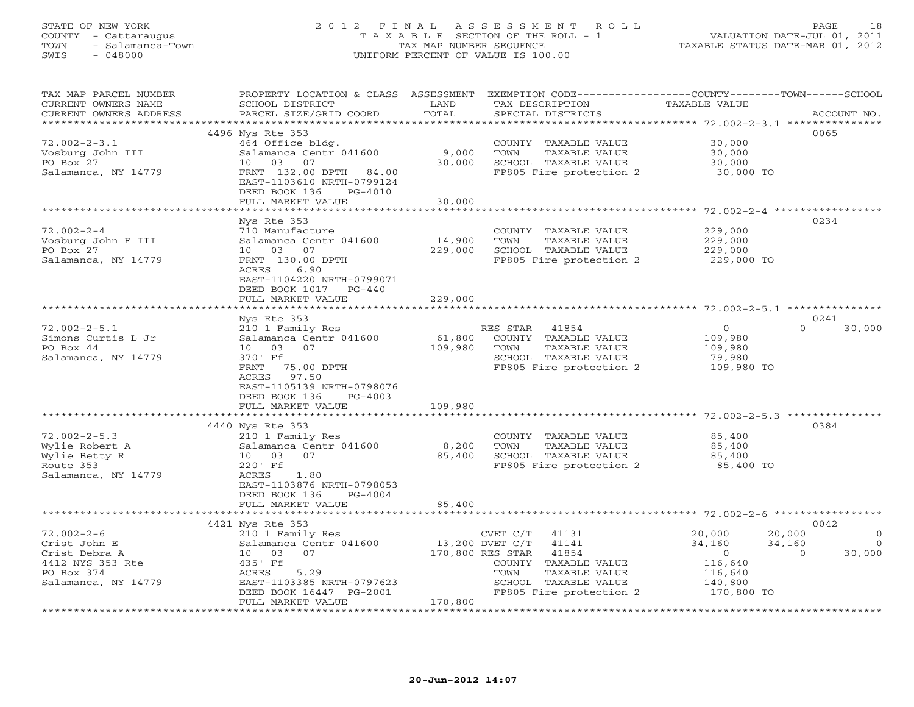#### STATE OF NEW YORK 2 0 1 2 F I N A L A S S E S S M E N T R O L L PAGE 18COUNTY - Cattaraugus T A X A B L E SECTION OF THE ROLL - 1 VALUATION DATE-JUL 01, 2011 TOWN - Salamanca-Town TAX MAP NUMBER SEQUENCE TAXABLE STATUS DATE-MAR 01, 2012<br>SWIS - 048000 - TAXABLE STATUS DATE-MAR 01, 2012 SWIS - 048000 UNIFORM PERCENT OF VALUE IS 100.00

| TAX MAP PARCEL NUMBER<br>CURRENT OWNERS NAME       | PROPERTY LOCATION & CLASS ASSESSMENT<br>SCHOOL DISTRICT | LAND            | TAX DESCRIPTION           | EXEMPTION CODE-----------------COUNTY-------TOWN------SCHOOL<br><b>TAXABLE VALUE</b> |                |
|----------------------------------------------------|---------------------------------------------------------|-----------------|---------------------------|--------------------------------------------------------------------------------------|----------------|
| CURRENT OWNERS ADDRESS<br>************************ | PARCEL SIZE/GRID COORD                                  | TOTAL           | SPECIAL DISTRICTS         |                                                                                      | ACCOUNT NO.    |
|                                                    | 4496 Nys Rte 353                                        |                 |                           |                                                                                      | 0065           |
| $72.002 - 2 - 3.1$                                 | 464 Office bldg.                                        |                 | COUNTY TAXABLE VALUE      | 30,000                                                                               |                |
| Vosburg John III                                   | Salamanca Centr 041600                                  | 9,000           | TOWN<br>TAXABLE VALUE     | 30,000                                                                               |                |
| PO Box 27                                          | 10 03 07                                                | 30,000          | SCHOOL TAXABLE VALUE      | 30,000                                                                               |                |
| Salamanca, NY 14779                                | FRNT 132.00 DPTH 84.00                                  |                 | FP805 Fire protection 2   | 30,000 TO                                                                            |                |
|                                                    | EAST-1103610 NRTH-0799124                               |                 |                           |                                                                                      |                |
|                                                    | DEED BOOK 136<br>PG-4010<br>FULL MARKET VALUE           | 30,000          |                           |                                                                                      |                |
|                                                    |                                                         |                 |                           | ******************* 72.002-2-4 ******                                                |                |
|                                                    | Nys Rte 353                                             |                 |                           |                                                                                      | 0234           |
| $72.002 - 2 - 4$                                   | 710 Manufacture                                         |                 | COUNTY TAXABLE VALUE      | 229,000                                                                              |                |
| Vosburg John F III                                 | Salamanca Centr 041600                                  | 14,900          | TOWN<br>TAXABLE VALUE     | 229,000                                                                              |                |
| PO Box 27                                          | 07<br>10 03                                             | 229,000         | SCHOOL TAXABLE VALUE      | 229,000                                                                              |                |
| Salamanca, NY 14779                                | FRNT 130.00 DPTH                                        |                 | FP805 Fire protection 2   | 229,000 TO                                                                           |                |
|                                                    | ACRES<br>6.90                                           |                 |                           |                                                                                      |                |
|                                                    | EAST-1104220 NRTH-0799071                               |                 |                           |                                                                                      |                |
|                                                    | DEED BOOK 1017 PG-440                                   |                 |                           |                                                                                      |                |
|                                                    | FULL MARKET VALUE<br>*******************                | 229,000         |                           |                                                                                      |                |
|                                                    | Nys Rte 353                                             |                 |                           |                                                                                      | 0241           |
| $72.002 - 2 - 5.1$                                 | 210 1 Family Res                                        |                 | RES STAR<br>41854         | $\overline{O}$<br>$\Omega$                                                           | 30,000         |
| Simons Curtis L Jr                                 | Salamanca Centr 041600                                  | 61,800          | COUNTY TAXABLE VALUE      | 109,980                                                                              |                |
| PO Box 44                                          | 10 03 07                                                | 109,980         | TAXABLE VALUE<br>TOWN     | 109,980                                                                              |                |
| Salamanca, NY 14779                                | 370' Ff                                                 |                 | SCHOOL TAXABLE VALUE      | 79,980                                                                               |                |
|                                                    | FRNT<br>75.00 DPTH                                      |                 | FP805 Fire protection 2   | 109,980 TO                                                                           |                |
|                                                    | ACRES 97.50                                             |                 |                           |                                                                                      |                |
|                                                    | EAST-1105139 NRTH-0798076                               |                 |                           |                                                                                      |                |
|                                                    | DEED BOOK 136<br>$PG-4003$                              |                 |                           |                                                                                      |                |
|                                                    | FULL MARKET VALUE                                       | 109,980         |                           |                                                                                      |                |
|                                                    | 4440 Nys Rte 353                                        |                 |                           |                                                                                      | 0384           |
| $72.002 - 2 - 5.3$                                 | 210 1 Family Res                                        |                 | COUNTY TAXABLE VALUE      | 85,400                                                                               |                |
| Wylie Robert A                                     | Salamanca Centr 041600                                  | 8,200           | TOWN<br>TAXABLE VALUE     | 85,400                                                                               |                |
| Wylie Betty R                                      | 10 03<br>07                                             | 85,400          | SCHOOL TAXABLE VALUE      | 85,400                                                                               |                |
| Route 353                                          | 220' Ff                                                 |                 | FP805 Fire protection 2   | 85,400 TO                                                                            |                |
| Salamanca, NY 14779                                | ACRES<br>1.80                                           |                 |                           |                                                                                      |                |
|                                                    | EAST-1103876 NRTH-0798053                               |                 |                           |                                                                                      |                |
|                                                    | DEED BOOK 136<br>PG-4004                                |                 |                           |                                                                                      |                |
|                                                    | FULL MARKET VALUE<br>*************************          | 85,400          |                           |                                                                                      |                |
|                                                    | 4421 Nys Rte 353                                        |                 |                           |                                                                                      | 0042           |
| $72.002 - 2 - 6$                                   | 210 1 Family Res                                        |                 | CVET C/T<br>41131         | 20,000<br>20,000                                                                     | $\Omega$       |
| Crist John E                                       | Salamanca Centr 041600                                  | 13,200 DVET C/T | 41141                     | 34,160<br>34,160                                                                     | $\overline{0}$ |
| Crist Debra A                                      | 10 03 07                                                |                 | 170,800 RES STAR<br>41854 | $\overline{0}$<br>$\Omega$                                                           | 30,000         |
| 4412 NYS 353 Rte                                   | 435' Ff                                                 |                 | COUNTY TAXABLE VALUE      | 116,640                                                                              |                |
| PO Box 374                                         | ACRES<br>5.29                                           |                 | TOWN<br>TAXABLE VALUE     | 116,640                                                                              |                |
| Salamanca, NY 14779                                | EAST-1103385 NRTH-0797623                               |                 | SCHOOL TAXABLE VALUE      | 140,800                                                                              |                |
|                                                    | DEED BOOK 16447 PG-2001<br>FULL MARKET VALUE            | 170,800         | FP805 Fire protection 2   | 170,800 TO                                                                           |                |
|                                                    |                                                         |                 |                           |                                                                                      |                |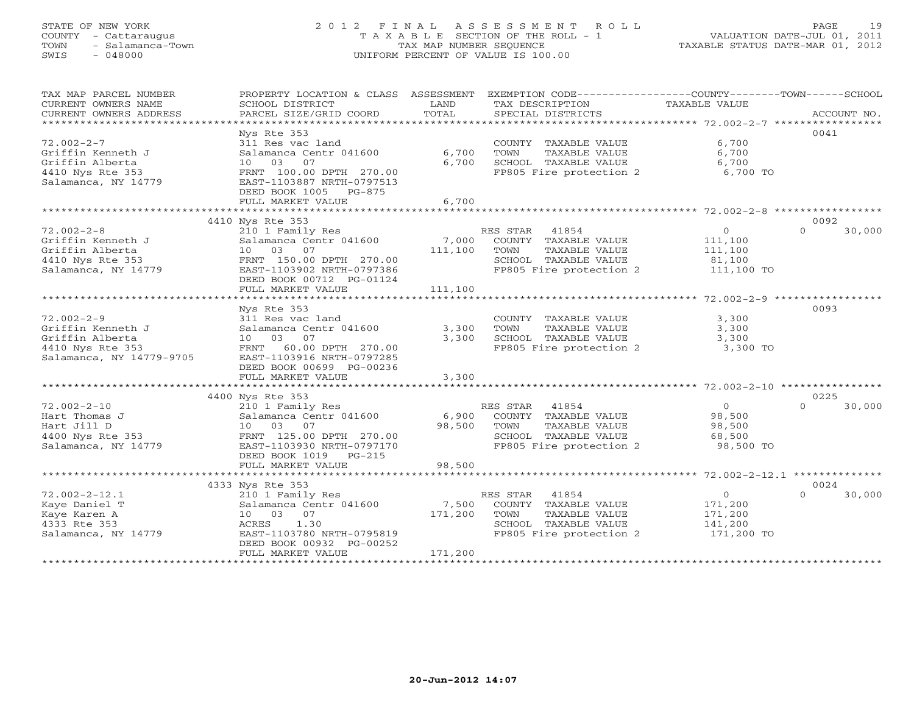#### STATE OF NEW YORK 2 0 1 2 F I N A L A S S E S S M E N T R O L L PAGE 19 COUNTY - Cattaraugus T A X A B L E SECTION OF THE ROLL - 1 VALUATION DATE-JUL 01, 2011 TOWN - Salamanca-Town TAX MAP NUMBER SEQUENCE TAXABLE STATUS DATE-MAR 01, 2012 SWIS - 048000 UNIFORM PERCENT OF VALUE IS 100.00UNIFORM PERCENT OF VALUE IS 100.00

TAX MAP PARCEL NUMBER PROPERTY LOCATION & CLASS ASSESSMENT EXEMPTION CODE----------------COUNTY-------TOWN------SCHOOL

| CURRENT OWNERS NAME      | SCHOOL DISTRICT                  | LAND           | TAX DESCRIPTION         | TAXABLE VALUE                                      |             |
|--------------------------|----------------------------------|----------------|-------------------------|----------------------------------------------------|-------------|
| CURRENT OWNERS ADDRESS   | PARCEL SIZE/GRID COORD           | TOTAL          | SPECIAL DISTRICTS       |                                                    | ACCOUNT NO. |
|                          |                                  |                |                         |                                                    |             |
|                          | Nys Rte 353                      |                |                         |                                                    | 0041        |
| $72.002 - 2 - 7$         | 311 Res vac land                 |                | COUNTY TAXABLE VALUE    | 6,700                                              |             |
| Griffin Kenneth J        | Salamanca Centr 041600           | 6,700          | TOWN<br>TAXABLE VALUE   | 6,700                                              |             |
| Griffin Alberta          | 07<br>10 03                      | 6,700          | SCHOOL TAXABLE VALUE    | 6,700                                              |             |
| 4410 Nys Rte 353         | FRNT 100.00 DPTH 270.00          |                | FP805 Fire protection 2 | 6,700 TO                                           |             |
| Salamanca, NY 14779      | EAST-1103887 NRTH-0797513        |                |                         |                                                    |             |
|                          | DEED BOOK 1005<br>PG-875         |                |                         |                                                    |             |
|                          | FULL MARKET VALUE                | 6,700          |                         |                                                    |             |
|                          | **********************           |                |                         |                                                    |             |
|                          | 4410 Nys Rte 353                 |                |                         |                                                    | 0092        |
| $72.002 - 2 - 8$         | 210 1 Family Res                 |                | RES STAR<br>41854       | $\Omega$<br>$\circ$                                | 30,000      |
| Griffin Kenneth J        | Salamanca Centr 041600           | 7,000          | COUNTY TAXABLE VALUE    | 111,100                                            |             |
| Griffin Alberta          | 07<br>03<br>10                   | 111,100        | TOWN<br>TAXABLE VALUE   | 111,100                                            |             |
| 4410 Nys Rte 353         | FRNT 150.00 DPTH 270.00          |                | SCHOOL TAXABLE VALUE    | 81,100                                             |             |
| Salamanca, NY 14779      | EAST-1103902 NRTH-0797386        |                | FP805 Fire protection 2 | 111,100 TO                                         |             |
|                          | DEED BOOK 00712 PG-01124         |                |                         |                                                    |             |
|                          | FULL MARKET VALUE                | 111,100        |                         |                                                    |             |
|                          |                                  |                |                         |                                                    |             |
|                          | Nys Rte 353                      |                |                         |                                                    | 0093        |
| $72.002 - 2 - 9$         | 311 Res vac land                 |                | COUNTY TAXABLE VALUE    | 3,300                                              |             |
| Griffin Kenneth J        | Salamanca Centr 041600           | 3,300          | TOWN<br>TAXABLE VALUE   | 3,300                                              |             |
| Griffin Alberta          | 03 07<br>10                      | 3,300          | SCHOOL TAXABLE VALUE    | 3,300                                              |             |
| 4410 Nys Rte 353         | <b>FRNT</b><br>60.00 DPTH 270.00 |                | FP805 Fire protection 2 | 3,300 TO                                           |             |
| Salamanca, NY 14779-9705 | EAST-1103916 NRTH-0797285        |                |                         |                                                    |             |
|                          | DEED BOOK 00699 PG-00236         |                |                         |                                                    |             |
|                          | FULL MARKET VALUE                | 3,300          |                         |                                                    |             |
|                          | ************************         |                |                         |                                                    |             |
|                          | 4400 Nys Rte 353                 |                |                         |                                                    | 0225        |
| $72.002 - 2 - 10$        | 210 1 Family Res                 |                | RES STAR<br>41854       | $\circ$<br>$\Omega$                                | 30,000      |
| Hart Thomas J            | Salamanca Centr 041600           | 6,900          | COUNTY TAXABLE VALUE    | 98,500                                             |             |
| Hart Jill D              | 03 07<br>10                      | 98,500         | TOWN<br>TAXABLE VALUE   | 98,500                                             |             |
| 4400 Nys Rte 353         | FRNT 125.00 DPTH 270.00          |                | SCHOOL TAXABLE VALUE    | 68,500                                             |             |
| Salamanca, NY 14779      | EAST-1103930 NRTH-0797170        |                | FP805 Fire protection 2 | 98,500 TO                                          |             |
|                          | DEED BOOK 1019<br>$PG-215$       |                |                         |                                                    |             |
|                          | FULL MARKET VALUE                | 98,500         |                         |                                                    |             |
|                          | *********************            | ************** |                         | ********************* 72.002-2-12.1 ************** |             |
|                          | 4333 Nys Rte 353                 |                |                         |                                                    | 0024        |
| $72.002 - 2 - 12.1$      | 210 1 Family Res                 |                | RES STAR<br>41854       | $\circ$<br>$\cap$                                  | 30,000      |
| Kaye Daniel T            | Salamanca Centr 041600           | 7,500          | COUNTY TAXABLE VALUE    | 171,200                                            |             |
| Kaye Karen A             | 07<br>10 03                      | 171,200        | TOWN<br>TAXABLE VALUE   | 171,200                                            |             |
| 4333 Rte 353             | 1.30<br>ACRES                    |                | SCHOOL TAXABLE VALUE    | 141,200                                            |             |
| Salamanca, NY 14779      | EAST-1103780 NRTH-0795819        |                | FP805 Fire protection 2 | 171,200 TO                                         |             |
|                          | DEED BOOK 00932 PG-00252         |                |                         |                                                    |             |
|                          | FULL MARKET VALUE                | 171,200        |                         |                                                    |             |
|                          | ********************             | *************  |                         |                                                    |             |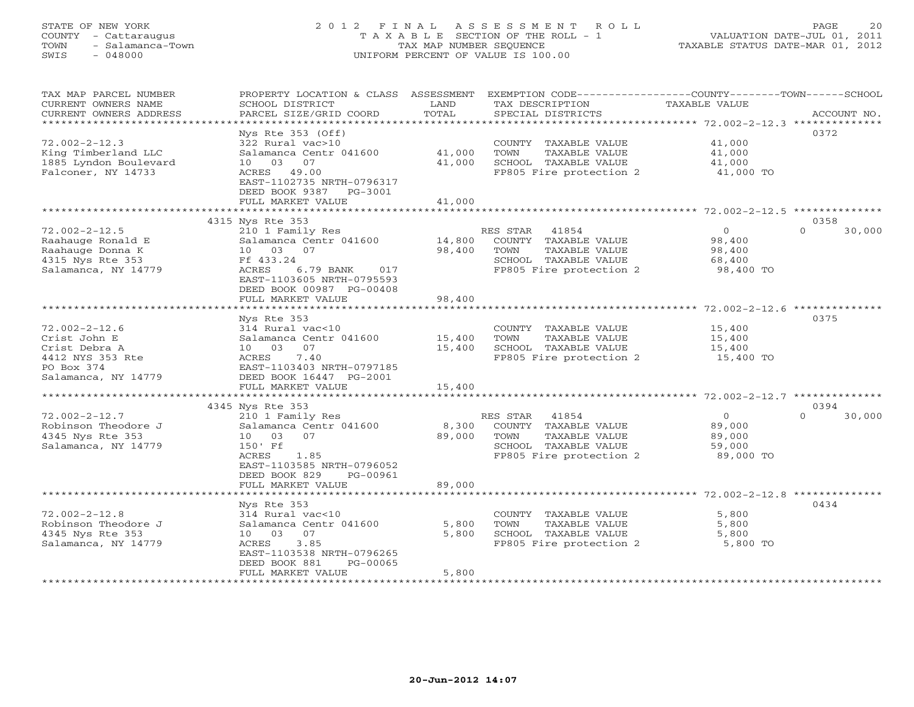# STATE OF NEW YORK 2 0 1 2 F I N A L A S S E S S M E N T R O L L PAGE 20 COUNTY - Cattaraugus T A X A B L E SECTION OF THE ROLL - 1 VALUATION DATE-JUL 01, 2011 TOWN - Salamanca-Town TAX MAP NUMBER SEQUENCE TAXABLE STATUS DATE-MAR 01, 2012 SWIS - 048000 UNIFORM PERCENT OF VALUE IS 100.00

| TAX MAP PARCEL NUMBER<br>CURRENT OWNERS NAME | PROPERTY LOCATION & CLASS ASSESSMENT<br>SCHOOL DISTRICT | LAND                        | TAX DESCRIPTION                               | EXEMPTION CODE-----------------COUNTY-------TOWN------SCHOOL<br>TAXABLE VALUE |                    |
|----------------------------------------------|---------------------------------------------------------|-----------------------------|-----------------------------------------------|-------------------------------------------------------------------------------|--------------------|
| CURRENT OWNERS ADDRESS                       | PARCEL SIZE/GRID COORD                                  | TOTAL                       | SPECIAL DISTRICTS                             |                                                                               | ACCOUNT NO.        |
| *********************                        |                                                         |                             |                                               |                                                                               |                    |
|                                              | Nys Rte $353$ (Off)                                     |                             |                                               |                                                                               | 0372               |
| $72.002 - 2 - 12.3$                          | 322 Rural vac>10                                        |                             | COUNTY TAXABLE VALUE                          | 41,000                                                                        |                    |
| King Timberland LLC                          | Salamanca Centr 041600                                  | 41,000                      | TOWN<br>TAXABLE VALUE                         | 41,000                                                                        |                    |
| 1885 Lyndon Boulevard                        | 03 07<br>10                                             | 41,000                      | SCHOOL TAXABLE VALUE                          | 41,000                                                                        |                    |
| Falconer, NY 14733                           | ACRES 49.00                                             |                             | FP805 Fire protection 2                       | 41,000 TO                                                                     |                    |
|                                              | EAST-1102735 NRTH-0796317                               |                             |                                               |                                                                               |                    |
|                                              | DEED BOOK 9387 PG-3001                                  |                             |                                               |                                                                               |                    |
|                                              | FULL MARKET VALUE                                       | 41,000                      |                                               |                                                                               |                    |
|                                              | ***********************                                 | * * * * * * * * * * * * * * |                                               | ****************************** 72.002-2-12.5 **************                   |                    |
|                                              | 4315 Nys Rte 353                                        |                             |                                               |                                                                               | 0358               |
| $72.002 - 2 - 12.5$                          | 210 1 Family Res                                        |                             | RES STAR<br>41854                             | $\Omega$                                                                      | $\Omega$<br>30,000 |
| Raahauge Ronald E                            | Salamanca Centr 041600                                  | 14,800                      | COUNTY TAXABLE VALUE                          | 98,400                                                                        |                    |
| Raahauge Donna K                             | 10 03 07                                                | 98,400                      | TOWN<br>TAXABLE VALUE                         | 98,400                                                                        |                    |
| 4315 Nys Rte 353                             | Ff 433.24                                               |                             | SCHOOL TAXABLE VALUE                          | 68,400                                                                        |                    |
| Salamanca, NY 14779                          | ACRES<br>6.79 BANK<br>017                               |                             | FP805 Fire protection 2                       | 98,400 TO                                                                     |                    |
|                                              | EAST-1103605 NRTH-0795593                               |                             |                                               |                                                                               |                    |
|                                              | DEED BOOK 00987 PG-00408                                |                             |                                               |                                                                               |                    |
|                                              | FULL MARKET VALUE<br>*************************          | 98,400                      |                                               |                                                                               |                    |
|                                              | Nys Rte 353                                             |                             |                                               |                                                                               | 0375               |
| $72.002 - 2 - 12.6$                          | 314 Rural vac<10                                        |                             | COUNTY TAXABLE VALUE                          | 15,400                                                                        |                    |
| Crist John E                                 | Salamanca Centr 041600                                  | 15,400                      | TOWN<br>TAXABLE VALUE                         | 15,400                                                                        |                    |
| Crist Debra A                                | 07<br>10 03                                             | 15,400                      | SCHOOL TAXABLE VALUE                          | 15,400                                                                        |                    |
| 4412 NYS 353 Rte                             | 7.40<br>ACRES                                           |                             | FP805 Fire protection 2                       | 15,400 TO                                                                     |                    |
| PO Box 374                                   | EAST-1103403 NRTH-0797185                               |                             |                                               |                                                                               |                    |
| Salamanca, NY 14779                          | DEED BOOK 16447 PG-2001                                 |                             |                                               |                                                                               |                    |
|                                              | FULL MARKET VALUE                                       | 15,400                      |                                               |                                                                               |                    |
|                                              |                                                         |                             |                                               |                                                                               |                    |
|                                              | 4345 Nys Rte 353                                        |                             |                                               |                                                                               | 0394               |
| $72.002 - 2 - 12.7$                          | 210 1 Family Res                                        |                             | RES STAR 41854                                | $\circ$                                                                       | $\Omega$<br>30,000 |
| Robinson Theodore J                          | Salamanca Centr 041600                                  | 8,300                       | COUNTY TAXABLE VALUE                          | 89,000                                                                        |                    |
| 4345 Nys Rte 353                             | 10 03<br>07                                             | 89,000                      | TOWN<br>TAXABLE VALUE                         | 89,000                                                                        |                    |
| Salamanca, NY 14779                          | 150' Ff                                                 |                             | SCHOOL TAXABLE VALUE                          | 59,000                                                                        |                    |
|                                              | ACRES<br>1.85                                           |                             | FP805 Fire protection 2                       | 89,000 TO                                                                     |                    |
|                                              | EAST-1103585 NRTH-0796052                               |                             |                                               |                                                                               |                    |
|                                              | DEED BOOK 829<br>PG-00961                               |                             |                                               |                                                                               |                    |
|                                              | FULL MARKET VALUE                                       | 89,000                      |                                               |                                                                               |                    |
|                                              | *********************                                   |                             |                                               | ************************* 72.002-2-12.8 **************                        |                    |
|                                              | Nys Rte 353                                             |                             |                                               |                                                                               | 0434               |
| $72.002 - 2 - 12.8$                          | 314 Rural vac<10                                        |                             | COUNTY TAXABLE VALUE                          | 5,800                                                                         |                    |
| Robinson Theodore J                          | Salamanca Centr 041600<br>10 03<br>07                   | 5,800<br>5,800              | TOWN<br>TAXABLE VALUE<br>SCHOOL TAXABLE VALUE | 5,800                                                                         |                    |
| 4345 Nys Rte 353<br>Salamanca, NY 14779      | ACRES<br>3.85                                           |                             | FP805 Fire protection 2                       | 5,800<br>5,800 TO                                                             |                    |
|                                              | EAST-1103538 NRTH-0796265                               |                             |                                               |                                                                               |                    |
|                                              | DEED BOOK 881<br>PG-00065                               |                             |                                               |                                                                               |                    |
|                                              | FULL MARKET VALUE                                       | 5,800                       |                                               |                                                                               |                    |
|                                              | ****************************                            |                             |                                               |                                                                               |                    |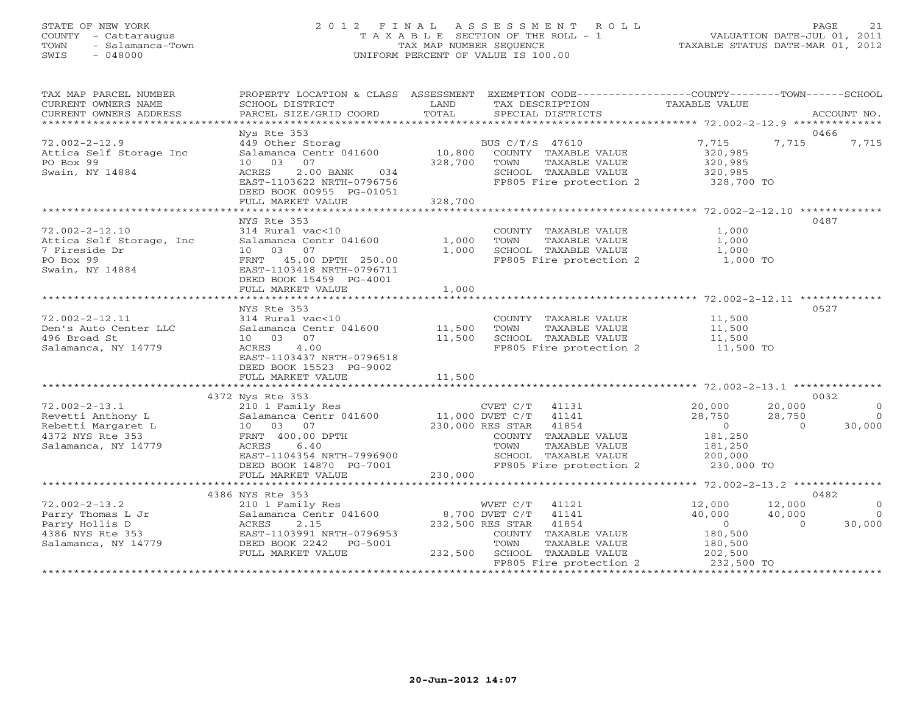#### STATE OF NEW YORK 2 0 1 2 F I N A L A S S E S S M E N T R O L L PAGE 21 COUNTY - Cattaraugus T A X A B L E SECTION OF THE ROLL - 1 VALUATION DATE-JUL 01, 2011 TOWN - Salamanca-Town TAX MAP NUMBER SEQUENCE TAXABLE STATUS DATE-MAR 01, 2012 SWIS - 048000 UNIFORM PERCENT OF VALUE IS 100.00UNIFORM PERCENT OF VALUE IS 100.00

| TAX MAP PARCEL NUMBER<br>CURRENT OWNERS NAME<br>CURRENT OWNERS ADDRESS                                    | SCHOOL DISTRICT<br>PARCEL SIZE/GRID COORD                                                                                                                                             | LAND<br>TOTAL           | PROPERTY LOCATION & CLASS ASSESSMENT EXEMPTION CODE----------------COUNTY-------TOWN------SCHOOL<br>TAX DESCRIPTION<br>SPECIAL DISTRICTS                                                  | TAXABLE VALUE                                                                     |                                      | ACCOUNT NO.                            |
|-----------------------------------------------------------------------------------------------------------|---------------------------------------------------------------------------------------------------------------------------------------------------------------------------------------|-------------------------|-------------------------------------------------------------------------------------------------------------------------------------------------------------------------------------------|-----------------------------------------------------------------------------------|--------------------------------------|----------------------------------------|
| *****************************                                                                             |                                                                                                                                                                                       |                         |                                                                                                                                                                                           |                                                                                   |                                      |                                        |
| $72.002 - 2 - 12.9$<br>Attica Self Storage Inc<br>PO Box 99<br>Swain, NY 14884                            | Nys Rte 353<br>449 Other Storag<br>Salamanca Centr 041600<br>10 03<br>07<br>2.00 BANK 034<br>ACRES<br>EAST-1103622 NRTH-0796756<br>DEED BOOK 00955 PG-01051                           | 328,700                 | BUS C/T/S 47610<br>10,800 COUNTY TAXABLE VALUE<br>TOWN<br>TAXABLE VALUE<br>SCHOOL TAXABLE VALUE<br>FP805 Fire protection 2                                                                | 7,715<br>320,985<br>320,985<br>320,985<br>328,700 TO                              | 0466<br>7,715                        | 7,715                                  |
|                                                                                                           | FULL MARKET VALUE                                                                                                                                                                     | 328,700                 |                                                                                                                                                                                           |                                                                                   |                                      |                                        |
| $72.002 - 2 - 12.10$<br>Attica Self Storage, Inc<br>7 Fireside Dr<br>PO Box 99<br>Swain, NY 14884         | NYS Rte 353<br>314 Rural vac<10<br>Salamanca Centr 041600<br>07<br>03<br>10<br>45.00 DPTH 250.00<br>FRNT<br>EAST-1103418 NRTH-0796711<br>DEED BOOK 15459 PG-4001<br>FULL MARKET VALUE | 1,000<br>1,000<br>1,000 | COUNTY TAXABLE VALUE<br>TOWN<br>TAXABLE VALUE<br>SCHOOL TAXABLE VALUE<br>SCHOOL TAXABLE VALUE<br>FP805 Fire protection 2                                                                  | 1,000<br>1,000<br>1,000<br>$1,000$ TO                                             | 0487                                 |                                        |
|                                                                                                           |                                                                                                                                                                                       |                         |                                                                                                                                                                                           |                                                                                   |                                      |                                        |
| $72.002 - 2 - 12.11$<br>Den's Auto Center LLC<br>496 Broad St<br>Salamanca, NY 14779                      | NYS Rte 353<br>314 Rural vac<10<br>Salamanca Centr 041600<br>10 03 07<br>4.00<br>ACRES<br>EAST-1103437 NRTH-0796518<br>DEED BOOK 15523 PG-9002                                        | 11,500<br>11,500        | COUNTY TAXABLE VALUE<br>TAXABLE VALUE<br>TOWN<br>SCHOOL TAXABLE VALUE<br>FP805 Fire protection 2 11,500 TO                                                                                | 11,500<br>11,500<br>11,500                                                        | 0527                                 |                                        |
|                                                                                                           | 4372 Nys Rte 353                                                                                                                                                                      |                         |                                                                                                                                                                                           |                                                                                   | 0032                                 |                                        |
| $72.002 - 2 - 13.1$<br>Revetti Anthony L<br>Rebetti Margaret L<br>4372 NYS Rte 353<br>Salamanca, NY 14779 | 210 1 Family Res<br>Salamanca Centr 041600<br>10 03 07<br>FRNT 400.00 DPTH<br>ACRES<br>6.40<br>EAST-1104354 NRTH-7996900<br>DEED BOOK 14870 PG-7001<br>FULL MARKET VALUE              | 230,000                 | CVET C/T<br>41131<br>11,000 DVET C/T<br>41141<br>230,000 RES STAR<br>41854<br>COUNTY TAXABLE VALUE<br>TOWN<br>TAXABLE VALUE<br>SCHOOL TAXABLE VALUE<br>FP805 Fire protection 2 230,000 TO | 20,000<br>28,750<br>$\overline{0}$<br>181,250<br>181,250<br>200,000               | 20,000<br>28,750<br>$\cap$           | $\Omega$<br>$\overline{0}$<br>30,000   |
|                                                                                                           | *****************************                                                                                                                                                         |                         |                                                                                                                                                                                           |                                                                                   |                                      |                                        |
| $72.002 - 2 - 13.2$<br>Parry Thomas L Jr<br>Parry Hollis D<br>4386 NYS Rte 353<br>Salamanca, NY 14779     | 4386 NYS Rte 353<br>210 1 Family Res<br>Salamanca Centr 041600<br>ACRES<br>2.15<br>EAST-1103991 NRTH-0796953<br>DEED BOOK 2242 PG-5001<br>FULL MARKET VALUE                           |                         | WVET C/T 41121<br>8,700 DVET C/T 41141<br>232,500 RES STAR<br>41854<br>COUNTY TAXABLE VALUE<br>TOWN<br>TAXABLE VALUE<br>232,500 SCHOOL TAXABLE VALUE<br>FP805 Fire protection 2           | 12,000<br>40,000<br>$\overline{0}$<br>180,500<br>180,500<br>202,500<br>232,500 TO | 0482<br>12,000<br>40,000<br>$\Omega$ | $\overline{0}$<br>$\bigcirc$<br>30,000 |
|                                                                                                           |                                                                                                                                                                                       |                         |                                                                                                                                                                                           |                                                                                   |                                      |                                        |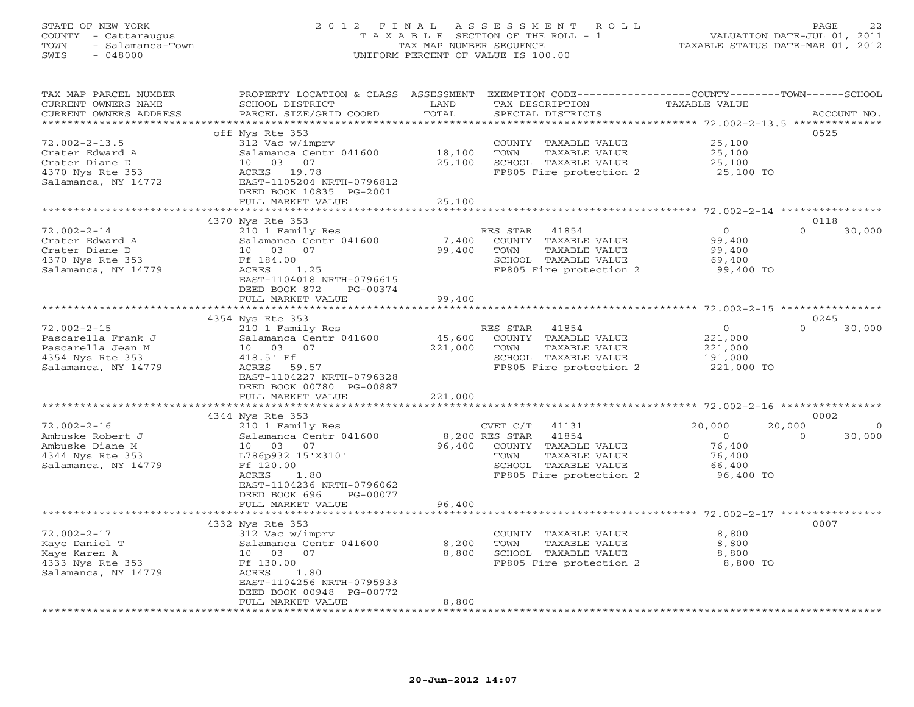# STATE OF NEW YORK 2 0 1 2 F I N A L A S S E S S M E N T R O L L PAGE 22 COUNTY - Cattaraugus T A X A B L E SECTION OF THE ROLL - 1 VALUATION DATE-JUL 01, 2011 TOWN - Salamanca-Town TAX MAP NUMBER SEQUENCE TAXABLE STATUS DATE-MAR 01, 2012 SWIS - 048000 UNIFORM PERCENT OF VALUE IS 100.00

| TOTAL<br>CURRENT OWNERS ADDRESS<br>PARCEL SIZE/GRID COORD<br>SPECIAL DISTRICTS<br>ACCOUNT NO.<br>**************<br>********************<br>**********************<br>0525<br>off Nys Rte 353<br>$72.002 - 2 - 13.5$<br>312 Vac w/imprv<br>25,100<br>COUNTY TAXABLE VALUE<br>Crater Edward A<br>Salamanca Centr 041600<br>18,100<br>TOWN<br>TAXABLE VALUE<br>25,100<br>Crater Diane D<br>10 03 07<br>25,100<br>SCHOOL TAXABLE VALUE<br>25,100<br>4370 Nys Rte 353<br>ACRES 19.78<br>FP805 Fire protection 2<br>25,100 TO<br>Salamanca, NY 14772<br>EAST-1105204 NRTH-0796812<br>DEED BOOK 10835 PG-2001<br>FULL MARKET VALUE<br>25,100<br>$72.002 - 2 - 14$ *<br>4370 Nys Rte 353<br>0118<br>$\Omega$<br>$72.002 - 2 - 14$<br>210 1 Family Res<br>41854<br>$\circ$<br>30,000<br>RES STAR<br>7,400<br>COUNTY TAXABLE VALUE<br>99,400<br>Crater Edward A<br>Salamanca Centr 041600<br>Crater Diane D<br>03<br>07<br>99,400<br>TOWN<br>TAXABLE VALUE<br>99,400<br>10<br>SCHOOL TAXABLE VALUE<br>4370 Nys Rte 353<br>Ff 184.00<br>69,400<br>Salamanca, NY 14779<br>ACRES<br>FP805 Fire protection 2<br>99,400 TO<br>1.25<br>EAST-1104018 NRTH-0796615<br>DEED BOOK 872<br>PG-00374<br>99,400<br>FULL MARKET VALUE<br>$72.002 - 2 - 15$ **********<br>0245<br>4354 Nys Rte 353<br>$72.002 - 2 - 15$<br>30,000<br>210 1 Family Res<br>RES STAR<br>41854<br>$\circ$<br>$\Omega$<br>45,600<br>Pascarella Frank J<br>Salamanca Centr 041600<br>COUNTY TAXABLE VALUE<br>221,000<br>Pascarella Jean M<br>TAXABLE VALUE<br>10 03 07<br>221,000<br>TOWN<br>221,000<br>4354 Nys Rte 353<br>SCHOOL TAXABLE VALUE<br>191,000<br>418.5' Ff<br>FP805 Fire protection 2<br>221,000 TO<br>Salamanca, NY 14779<br>ACRES<br>59.57<br>EAST-1104227 NRTH-0796328<br>DEED BOOK 00780 PG-00887<br>FULL MARKET VALUE<br>221,000<br>$72.002 - 2 - 16$ *********<br>0002<br>4344 Nys Rte 353<br>$72.002 - 2 - 16$<br>20,000<br>20,000<br>210 1 Family Res<br>CVET C/T<br>41131<br>$\Omega$<br>Ambuske Robert J<br>8,200 RES STAR<br>41854<br>Salamanca Centr 041600<br>$\Omega$<br>30,000<br>$\Omega$<br>Ambuske Diane M<br>10 03 07<br>96,400<br>76,400<br>COUNTY TAXABLE VALUE<br>4344 Nys Rte 353<br>L786p932 15'X310'<br>TAXABLE VALUE<br>TOWN<br>76,400<br>Ff 120.00<br>SCHOOL TAXABLE VALUE<br>Salamanca, NY 14779<br>66,400<br>FP805 Fire protection 2<br>ACRES<br>1.80<br>96,400 TO<br>EAST-1104236 NRTH-0796062<br>DEED BOOK 696<br>PG-00077<br>FULL MARKET VALUE<br>96,400<br>0007<br>4332 Nys Rte 353<br>$72.002 - 2 - 17$<br>312 Vac w/imprv<br>COUNTY TAXABLE VALUE<br>8,800<br>Kaye Daniel T<br>Salamanca Centr 041600<br>8,200<br>TOWN<br>TAXABLE VALUE<br>8,800<br>8,800<br>SCHOOL TAXABLE VALUE<br>Kaye Karen A<br>10 03 07<br>8,800<br>4333 Nys Rte 353<br>Ff 130.00<br>FP805 Fire protection 2<br>8,800 TO<br>Salamanca, NY 14779<br>ACRES<br>1.80<br>EAST-1104256 NRTH-0795933<br>DEED BOOK 00948 PG-00772<br>FULL MARKET VALUE<br>8,800<br>* * * * * * * * * * * * * * * * * | TAX MAP PARCEL NUMBER<br>CURRENT OWNERS NAME | PROPERTY LOCATION & CLASS ASSESSMENT<br>SCHOOL DISTRICT | LAND | EXEMPTION CODE-----------------COUNTY-------TOWN------SCHOOL<br>TAX DESCRIPTION | <b>TAXABLE VALUE</b> |  |
|---------------------------------------------------------------------------------------------------------------------------------------------------------------------------------------------------------------------------------------------------------------------------------------------------------------------------------------------------------------------------------------------------------------------------------------------------------------------------------------------------------------------------------------------------------------------------------------------------------------------------------------------------------------------------------------------------------------------------------------------------------------------------------------------------------------------------------------------------------------------------------------------------------------------------------------------------------------------------------------------------------------------------------------------------------------------------------------------------------------------------------------------------------------------------------------------------------------------------------------------------------------------------------------------------------------------------------------------------------------------------------------------------------------------------------------------------------------------------------------------------------------------------------------------------------------------------------------------------------------------------------------------------------------------------------------------------------------------------------------------------------------------------------------------------------------------------------------------------------------------------------------------------------------------------------------------------------------------------------------------------------------------------------------------------------------------------------------------------------------------------------------------------------------------------------------------------------------------------------------------------------------------------------------------------------------------------------------------------------------------------------------------------------------------------------------------------------------------------------------------------------------------------------------------------------------------------------------------------------------------------------------------------------------------------------------------------------------------------------------------------------------------------------------------------------------------------------------------------------------------------------------------------------------------------------------------------------------------|----------------------------------------------|---------------------------------------------------------|------|---------------------------------------------------------------------------------|----------------------|--|
|                                                                                                                                                                                                                                                                                                                                                                                                                                                                                                                                                                                                                                                                                                                                                                                                                                                                                                                                                                                                                                                                                                                                                                                                                                                                                                                                                                                                                                                                                                                                                                                                                                                                                                                                                                                                                                                                                                                                                                                                                                                                                                                                                                                                                                                                                                                                                                                                                                                                                                                                                                                                                                                                                                                                                                                                                                                                                                                                                                     |                                              |                                                         |      |                                                                                 |                      |  |
|                                                                                                                                                                                                                                                                                                                                                                                                                                                                                                                                                                                                                                                                                                                                                                                                                                                                                                                                                                                                                                                                                                                                                                                                                                                                                                                                                                                                                                                                                                                                                                                                                                                                                                                                                                                                                                                                                                                                                                                                                                                                                                                                                                                                                                                                                                                                                                                                                                                                                                                                                                                                                                                                                                                                                                                                                                                                                                                                                                     |                                              |                                                         |      |                                                                                 |                      |  |
|                                                                                                                                                                                                                                                                                                                                                                                                                                                                                                                                                                                                                                                                                                                                                                                                                                                                                                                                                                                                                                                                                                                                                                                                                                                                                                                                                                                                                                                                                                                                                                                                                                                                                                                                                                                                                                                                                                                                                                                                                                                                                                                                                                                                                                                                                                                                                                                                                                                                                                                                                                                                                                                                                                                                                                                                                                                                                                                                                                     |                                              |                                                         |      |                                                                                 |                      |  |
|                                                                                                                                                                                                                                                                                                                                                                                                                                                                                                                                                                                                                                                                                                                                                                                                                                                                                                                                                                                                                                                                                                                                                                                                                                                                                                                                                                                                                                                                                                                                                                                                                                                                                                                                                                                                                                                                                                                                                                                                                                                                                                                                                                                                                                                                                                                                                                                                                                                                                                                                                                                                                                                                                                                                                                                                                                                                                                                                                                     |                                              |                                                         |      |                                                                                 |                      |  |
|                                                                                                                                                                                                                                                                                                                                                                                                                                                                                                                                                                                                                                                                                                                                                                                                                                                                                                                                                                                                                                                                                                                                                                                                                                                                                                                                                                                                                                                                                                                                                                                                                                                                                                                                                                                                                                                                                                                                                                                                                                                                                                                                                                                                                                                                                                                                                                                                                                                                                                                                                                                                                                                                                                                                                                                                                                                                                                                                                                     |                                              |                                                         |      |                                                                                 |                      |  |
|                                                                                                                                                                                                                                                                                                                                                                                                                                                                                                                                                                                                                                                                                                                                                                                                                                                                                                                                                                                                                                                                                                                                                                                                                                                                                                                                                                                                                                                                                                                                                                                                                                                                                                                                                                                                                                                                                                                                                                                                                                                                                                                                                                                                                                                                                                                                                                                                                                                                                                                                                                                                                                                                                                                                                                                                                                                                                                                                                                     |                                              |                                                         |      |                                                                                 |                      |  |
|                                                                                                                                                                                                                                                                                                                                                                                                                                                                                                                                                                                                                                                                                                                                                                                                                                                                                                                                                                                                                                                                                                                                                                                                                                                                                                                                                                                                                                                                                                                                                                                                                                                                                                                                                                                                                                                                                                                                                                                                                                                                                                                                                                                                                                                                                                                                                                                                                                                                                                                                                                                                                                                                                                                                                                                                                                                                                                                                                                     |                                              |                                                         |      |                                                                                 |                      |  |
|                                                                                                                                                                                                                                                                                                                                                                                                                                                                                                                                                                                                                                                                                                                                                                                                                                                                                                                                                                                                                                                                                                                                                                                                                                                                                                                                                                                                                                                                                                                                                                                                                                                                                                                                                                                                                                                                                                                                                                                                                                                                                                                                                                                                                                                                                                                                                                                                                                                                                                                                                                                                                                                                                                                                                                                                                                                                                                                                                                     |                                              |                                                         |      |                                                                                 |                      |  |
|                                                                                                                                                                                                                                                                                                                                                                                                                                                                                                                                                                                                                                                                                                                                                                                                                                                                                                                                                                                                                                                                                                                                                                                                                                                                                                                                                                                                                                                                                                                                                                                                                                                                                                                                                                                                                                                                                                                                                                                                                                                                                                                                                                                                                                                                                                                                                                                                                                                                                                                                                                                                                                                                                                                                                                                                                                                                                                                                                                     |                                              |                                                         |      |                                                                                 |                      |  |
|                                                                                                                                                                                                                                                                                                                                                                                                                                                                                                                                                                                                                                                                                                                                                                                                                                                                                                                                                                                                                                                                                                                                                                                                                                                                                                                                                                                                                                                                                                                                                                                                                                                                                                                                                                                                                                                                                                                                                                                                                                                                                                                                                                                                                                                                                                                                                                                                                                                                                                                                                                                                                                                                                                                                                                                                                                                                                                                                                                     |                                              |                                                         |      |                                                                                 |                      |  |
|                                                                                                                                                                                                                                                                                                                                                                                                                                                                                                                                                                                                                                                                                                                                                                                                                                                                                                                                                                                                                                                                                                                                                                                                                                                                                                                                                                                                                                                                                                                                                                                                                                                                                                                                                                                                                                                                                                                                                                                                                                                                                                                                                                                                                                                                                                                                                                                                                                                                                                                                                                                                                                                                                                                                                                                                                                                                                                                                                                     |                                              |                                                         |      |                                                                                 |                      |  |
|                                                                                                                                                                                                                                                                                                                                                                                                                                                                                                                                                                                                                                                                                                                                                                                                                                                                                                                                                                                                                                                                                                                                                                                                                                                                                                                                                                                                                                                                                                                                                                                                                                                                                                                                                                                                                                                                                                                                                                                                                                                                                                                                                                                                                                                                                                                                                                                                                                                                                                                                                                                                                                                                                                                                                                                                                                                                                                                                                                     |                                              |                                                         |      |                                                                                 |                      |  |
|                                                                                                                                                                                                                                                                                                                                                                                                                                                                                                                                                                                                                                                                                                                                                                                                                                                                                                                                                                                                                                                                                                                                                                                                                                                                                                                                                                                                                                                                                                                                                                                                                                                                                                                                                                                                                                                                                                                                                                                                                                                                                                                                                                                                                                                                                                                                                                                                                                                                                                                                                                                                                                                                                                                                                                                                                                                                                                                                                                     |                                              |                                                         |      |                                                                                 |                      |  |
|                                                                                                                                                                                                                                                                                                                                                                                                                                                                                                                                                                                                                                                                                                                                                                                                                                                                                                                                                                                                                                                                                                                                                                                                                                                                                                                                                                                                                                                                                                                                                                                                                                                                                                                                                                                                                                                                                                                                                                                                                                                                                                                                                                                                                                                                                                                                                                                                                                                                                                                                                                                                                                                                                                                                                                                                                                                                                                                                                                     |                                              |                                                         |      |                                                                                 |                      |  |
|                                                                                                                                                                                                                                                                                                                                                                                                                                                                                                                                                                                                                                                                                                                                                                                                                                                                                                                                                                                                                                                                                                                                                                                                                                                                                                                                                                                                                                                                                                                                                                                                                                                                                                                                                                                                                                                                                                                                                                                                                                                                                                                                                                                                                                                                                                                                                                                                                                                                                                                                                                                                                                                                                                                                                                                                                                                                                                                                                                     |                                              |                                                         |      |                                                                                 |                      |  |
|                                                                                                                                                                                                                                                                                                                                                                                                                                                                                                                                                                                                                                                                                                                                                                                                                                                                                                                                                                                                                                                                                                                                                                                                                                                                                                                                                                                                                                                                                                                                                                                                                                                                                                                                                                                                                                                                                                                                                                                                                                                                                                                                                                                                                                                                                                                                                                                                                                                                                                                                                                                                                                                                                                                                                                                                                                                                                                                                                                     |                                              |                                                         |      |                                                                                 |                      |  |
|                                                                                                                                                                                                                                                                                                                                                                                                                                                                                                                                                                                                                                                                                                                                                                                                                                                                                                                                                                                                                                                                                                                                                                                                                                                                                                                                                                                                                                                                                                                                                                                                                                                                                                                                                                                                                                                                                                                                                                                                                                                                                                                                                                                                                                                                                                                                                                                                                                                                                                                                                                                                                                                                                                                                                                                                                                                                                                                                                                     |                                              |                                                         |      |                                                                                 |                      |  |
|                                                                                                                                                                                                                                                                                                                                                                                                                                                                                                                                                                                                                                                                                                                                                                                                                                                                                                                                                                                                                                                                                                                                                                                                                                                                                                                                                                                                                                                                                                                                                                                                                                                                                                                                                                                                                                                                                                                                                                                                                                                                                                                                                                                                                                                                                                                                                                                                                                                                                                                                                                                                                                                                                                                                                                                                                                                                                                                                                                     |                                              |                                                         |      |                                                                                 |                      |  |
|                                                                                                                                                                                                                                                                                                                                                                                                                                                                                                                                                                                                                                                                                                                                                                                                                                                                                                                                                                                                                                                                                                                                                                                                                                                                                                                                                                                                                                                                                                                                                                                                                                                                                                                                                                                                                                                                                                                                                                                                                                                                                                                                                                                                                                                                                                                                                                                                                                                                                                                                                                                                                                                                                                                                                                                                                                                                                                                                                                     |                                              |                                                         |      |                                                                                 |                      |  |
|                                                                                                                                                                                                                                                                                                                                                                                                                                                                                                                                                                                                                                                                                                                                                                                                                                                                                                                                                                                                                                                                                                                                                                                                                                                                                                                                                                                                                                                                                                                                                                                                                                                                                                                                                                                                                                                                                                                                                                                                                                                                                                                                                                                                                                                                                                                                                                                                                                                                                                                                                                                                                                                                                                                                                                                                                                                                                                                                                                     |                                              |                                                         |      |                                                                                 |                      |  |
|                                                                                                                                                                                                                                                                                                                                                                                                                                                                                                                                                                                                                                                                                                                                                                                                                                                                                                                                                                                                                                                                                                                                                                                                                                                                                                                                                                                                                                                                                                                                                                                                                                                                                                                                                                                                                                                                                                                                                                                                                                                                                                                                                                                                                                                                                                                                                                                                                                                                                                                                                                                                                                                                                                                                                                                                                                                                                                                                                                     |                                              |                                                         |      |                                                                                 |                      |  |
|                                                                                                                                                                                                                                                                                                                                                                                                                                                                                                                                                                                                                                                                                                                                                                                                                                                                                                                                                                                                                                                                                                                                                                                                                                                                                                                                                                                                                                                                                                                                                                                                                                                                                                                                                                                                                                                                                                                                                                                                                                                                                                                                                                                                                                                                                                                                                                                                                                                                                                                                                                                                                                                                                                                                                                                                                                                                                                                                                                     |                                              |                                                         |      |                                                                                 |                      |  |
|                                                                                                                                                                                                                                                                                                                                                                                                                                                                                                                                                                                                                                                                                                                                                                                                                                                                                                                                                                                                                                                                                                                                                                                                                                                                                                                                                                                                                                                                                                                                                                                                                                                                                                                                                                                                                                                                                                                                                                                                                                                                                                                                                                                                                                                                                                                                                                                                                                                                                                                                                                                                                                                                                                                                                                                                                                                                                                                                                                     |                                              |                                                         |      |                                                                                 |                      |  |
|                                                                                                                                                                                                                                                                                                                                                                                                                                                                                                                                                                                                                                                                                                                                                                                                                                                                                                                                                                                                                                                                                                                                                                                                                                                                                                                                                                                                                                                                                                                                                                                                                                                                                                                                                                                                                                                                                                                                                                                                                                                                                                                                                                                                                                                                                                                                                                                                                                                                                                                                                                                                                                                                                                                                                                                                                                                                                                                                                                     |                                              |                                                         |      |                                                                                 |                      |  |
|                                                                                                                                                                                                                                                                                                                                                                                                                                                                                                                                                                                                                                                                                                                                                                                                                                                                                                                                                                                                                                                                                                                                                                                                                                                                                                                                                                                                                                                                                                                                                                                                                                                                                                                                                                                                                                                                                                                                                                                                                                                                                                                                                                                                                                                                                                                                                                                                                                                                                                                                                                                                                                                                                                                                                                                                                                                                                                                                                                     |                                              |                                                         |      |                                                                                 |                      |  |
|                                                                                                                                                                                                                                                                                                                                                                                                                                                                                                                                                                                                                                                                                                                                                                                                                                                                                                                                                                                                                                                                                                                                                                                                                                                                                                                                                                                                                                                                                                                                                                                                                                                                                                                                                                                                                                                                                                                                                                                                                                                                                                                                                                                                                                                                                                                                                                                                                                                                                                                                                                                                                                                                                                                                                                                                                                                                                                                                                                     |                                              |                                                         |      |                                                                                 |                      |  |
|                                                                                                                                                                                                                                                                                                                                                                                                                                                                                                                                                                                                                                                                                                                                                                                                                                                                                                                                                                                                                                                                                                                                                                                                                                                                                                                                                                                                                                                                                                                                                                                                                                                                                                                                                                                                                                                                                                                                                                                                                                                                                                                                                                                                                                                                                                                                                                                                                                                                                                                                                                                                                                                                                                                                                                                                                                                                                                                                                                     |                                              |                                                         |      |                                                                                 |                      |  |
|                                                                                                                                                                                                                                                                                                                                                                                                                                                                                                                                                                                                                                                                                                                                                                                                                                                                                                                                                                                                                                                                                                                                                                                                                                                                                                                                                                                                                                                                                                                                                                                                                                                                                                                                                                                                                                                                                                                                                                                                                                                                                                                                                                                                                                                                                                                                                                                                                                                                                                                                                                                                                                                                                                                                                                                                                                                                                                                                                                     |                                              |                                                         |      |                                                                                 |                      |  |
|                                                                                                                                                                                                                                                                                                                                                                                                                                                                                                                                                                                                                                                                                                                                                                                                                                                                                                                                                                                                                                                                                                                                                                                                                                                                                                                                                                                                                                                                                                                                                                                                                                                                                                                                                                                                                                                                                                                                                                                                                                                                                                                                                                                                                                                                                                                                                                                                                                                                                                                                                                                                                                                                                                                                                                                                                                                                                                                                                                     |                                              |                                                         |      |                                                                                 |                      |  |
|                                                                                                                                                                                                                                                                                                                                                                                                                                                                                                                                                                                                                                                                                                                                                                                                                                                                                                                                                                                                                                                                                                                                                                                                                                                                                                                                                                                                                                                                                                                                                                                                                                                                                                                                                                                                                                                                                                                                                                                                                                                                                                                                                                                                                                                                                                                                                                                                                                                                                                                                                                                                                                                                                                                                                                                                                                                                                                                                                                     |                                              |                                                         |      |                                                                                 |                      |  |
|                                                                                                                                                                                                                                                                                                                                                                                                                                                                                                                                                                                                                                                                                                                                                                                                                                                                                                                                                                                                                                                                                                                                                                                                                                                                                                                                                                                                                                                                                                                                                                                                                                                                                                                                                                                                                                                                                                                                                                                                                                                                                                                                                                                                                                                                                                                                                                                                                                                                                                                                                                                                                                                                                                                                                                                                                                                                                                                                                                     |                                              |                                                         |      |                                                                                 |                      |  |
|                                                                                                                                                                                                                                                                                                                                                                                                                                                                                                                                                                                                                                                                                                                                                                                                                                                                                                                                                                                                                                                                                                                                                                                                                                                                                                                                                                                                                                                                                                                                                                                                                                                                                                                                                                                                                                                                                                                                                                                                                                                                                                                                                                                                                                                                                                                                                                                                                                                                                                                                                                                                                                                                                                                                                                                                                                                                                                                                                                     |                                              |                                                         |      |                                                                                 |                      |  |
|                                                                                                                                                                                                                                                                                                                                                                                                                                                                                                                                                                                                                                                                                                                                                                                                                                                                                                                                                                                                                                                                                                                                                                                                                                                                                                                                                                                                                                                                                                                                                                                                                                                                                                                                                                                                                                                                                                                                                                                                                                                                                                                                                                                                                                                                                                                                                                                                                                                                                                                                                                                                                                                                                                                                                                                                                                                                                                                                                                     |                                              |                                                         |      |                                                                                 |                      |  |
|                                                                                                                                                                                                                                                                                                                                                                                                                                                                                                                                                                                                                                                                                                                                                                                                                                                                                                                                                                                                                                                                                                                                                                                                                                                                                                                                                                                                                                                                                                                                                                                                                                                                                                                                                                                                                                                                                                                                                                                                                                                                                                                                                                                                                                                                                                                                                                                                                                                                                                                                                                                                                                                                                                                                                                                                                                                                                                                                                                     |                                              |                                                         |      |                                                                                 |                      |  |
|                                                                                                                                                                                                                                                                                                                                                                                                                                                                                                                                                                                                                                                                                                                                                                                                                                                                                                                                                                                                                                                                                                                                                                                                                                                                                                                                                                                                                                                                                                                                                                                                                                                                                                                                                                                                                                                                                                                                                                                                                                                                                                                                                                                                                                                                                                                                                                                                                                                                                                                                                                                                                                                                                                                                                                                                                                                                                                                                                                     |                                              |                                                         |      |                                                                                 |                      |  |
|                                                                                                                                                                                                                                                                                                                                                                                                                                                                                                                                                                                                                                                                                                                                                                                                                                                                                                                                                                                                                                                                                                                                                                                                                                                                                                                                                                                                                                                                                                                                                                                                                                                                                                                                                                                                                                                                                                                                                                                                                                                                                                                                                                                                                                                                                                                                                                                                                                                                                                                                                                                                                                                                                                                                                                                                                                                                                                                                                                     |                                              |                                                         |      |                                                                                 |                      |  |
|                                                                                                                                                                                                                                                                                                                                                                                                                                                                                                                                                                                                                                                                                                                                                                                                                                                                                                                                                                                                                                                                                                                                                                                                                                                                                                                                                                                                                                                                                                                                                                                                                                                                                                                                                                                                                                                                                                                                                                                                                                                                                                                                                                                                                                                                                                                                                                                                                                                                                                                                                                                                                                                                                                                                                                                                                                                                                                                                                                     |                                              |                                                         |      |                                                                                 |                      |  |
|                                                                                                                                                                                                                                                                                                                                                                                                                                                                                                                                                                                                                                                                                                                                                                                                                                                                                                                                                                                                                                                                                                                                                                                                                                                                                                                                                                                                                                                                                                                                                                                                                                                                                                                                                                                                                                                                                                                                                                                                                                                                                                                                                                                                                                                                                                                                                                                                                                                                                                                                                                                                                                                                                                                                                                                                                                                                                                                                                                     |                                              |                                                         |      |                                                                                 |                      |  |
|                                                                                                                                                                                                                                                                                                                                                                                                                                                                                                                                                                                                                                                                                                                                                                                                                                                                                                                                                                                                                                                                                                                                                                                                                                                                                                                                                                                                                                                                                                                                                                                                                                                                                                                                                                                                                                                                                                                                                                                                                                                                                                                                                                                                                                                                                                                                                                                                                                                                                                                                                                                                                                                                                                                                                                                                                                                                                                                                                                     |                                              |                                                         |      |                                                                                 |                      |  |
|                                                                                                                                                                                                                                                                                                                                                                                                                                                                                                                                                                                                                                                                                                                                                                                                                                                                                                                                                                                                                                                                                                                                                                                                                                                                                                                                                                                                                                                                                                                                                                                                                                                                                                                                                                                                                                                                                                                                                                                                                                                                                                                                                                                                                                                                                                                                                                                                                                                                                                                                                                                                                                                                                                                                                                                                                                                                                                                                                                     |                                              |                                                         |      |                                                                                 |                      |  |
|                                                                                                                                                                                                                                                                                                                                                                                                                                                                                                                                                                                                                                                                                                                                                                                                                                                                                                                                                                                                                                                                                                                                                                                                                                                                                                                                                                                                                                                                                                                                                                                                                                                                                                                                                                                                                                                                                                                                                                                                                                                                                                                                                                                                                                                                                                                                                                                                                                                                                                                                                                                                                                                                                                                                                                                                                                                                                                                                                                     |                                              |                                                         |      |                                                                                 |                      |  |
|                                                                                                                                                                                                                                                                                                                                                                                                                                                                                                                                                                                                                                                                                                                                                                                                                                                                                                                                                                                                                                                                                                                                                                                                                                                                                                                                                                                                                                                                                                                                                                                                                                                                                                                                                                                                                                                                                                                                                                                                                                                                                                                                                                                                                                                                                                                                                                                                                                                                                                                                                                                                                                                                                                                                                                                                                                                                                                                                                                     |                                              |                                                         |      |                                                                                 |                      |  |
|                                                                                                                                                                                                                                                                                                                                                                                                                                                                                                                                                                                                                                                                                                                                                                                                                                                                                                                                                                                                                                                                                                                                                                                                                                                                                                                                                                                                                                                                                                                                                                                                                                                                                                                                                                                                                                                                                                                                                                                                                                                                                                                                                                                                                                                                                                                                                                                                                                                                                                                                                                                                                                                                                                                                                                                                                                                                                                                                                                     |                                              |                                                         |      |                                                                                 |                      |  |
|                                                                                                                                                                                                                                                                                                                                                                                                                                                                                                                                                                                                                                                                                                                                                                                                                                                                                                                                                                                                                                                                                                                                                                                                                                                                                                                                                                                                                                                                                                                                                                                                                                                                                                                                                                                                                                                                                                                                                                                                                                                                                                                                                                                                                                                                                                                                                                                                                                                                                                                                                                                                                                                                                                                                                                                                                                                                                                                                                                     |                                              |                                                         |      |                                                                                 |                      |  |
|                                                                                                                                                                                                                                                                                                                                                                                                                                                                                                                                                                                                                                                                                                                                                                                                                                                                                                                                                                                                                                                                                                                                                                                                                                                                                                                                                                                                                                                                                                                                                                                                                                                                                                                                                                                                                                                                                                                                                                                                                                                                                                                                                                                                                                                                                                                                                                                                                                                                                                                                                                                                                                                                                                                                                                                                                                                                                                                                                                     |                                              |                                                         |      |                                                                                 |                      |  |
|                                                                                                                                                                                                                                                                                                                                                                                                                                                                                                                                                                                                                                                                                                                                                                                                                                                                                                                                                                                                                                                                                                                                                                                                                                                                                                                                                                                                                                                                                                                                                                                                                                                                                                                                                                                                                                                                                                                                                                                                                                                                                                                                                                                                                                                                                                                                                                                                                                                                                                                                                                                                                                                                                                                                                                                                                                                                                                                                                                     |                                              |                                                         |      |                                                                                 |                      |  |
|                                                                                                                                                                                                                                                                                                                                                                                                                                                                                                                                                                                                                                                                                                                                                                                                                                                                                                                                                                                                                                                                                                                                                                                                                                                                                                                                                                                                                                                                                                                                                                                                                                                                                                                                                                                                                                                                                                                                                                                                                                                                                                                                                                                                                                                                                                                                                                                                                                                                                                                                                                                                                                                                                                                                                                                                                                                                                                                                                                     |                                              |                                                         |      |                                                                                 |                      |  |
|                                                                                                                                                                                                                                                                                                                                                                                                                                                                                                                                                                                                                                                                                                                                                                                                                                                                                                                                                                                                                                                                                                                                                                                                                                                                                                                                                                                                                                                                                                                                                                                                                                                                                                                                                                                                                                                                                                                                                                                                                                                                                                                                                                                                                                                                                                                                                                                                                                                                                                                                                                                                                                                                                                                                                                                                                                                                                                                                                                     |                                              |                                                         |      |                                                                                 |                      |  |
|                                                                                                                                                                                                                                                                                                                                                                                                                                                                                                                                                                                                                                                                                                                                                                                                                                                                                                                                                                                                                                                                                                                                                                                                                                                                                                                                                                                                                                                                                                                                                                                                                                                                                                                                                                                                                                                                                                                                                                                                                                                                                                                                                                                                                                                                                                                                                                                                                                                                                                                                                                                                                                                                                                                                                                                                                                                                                                                                                                     |                                              |                                                         |      |                                                                                 |                      |  |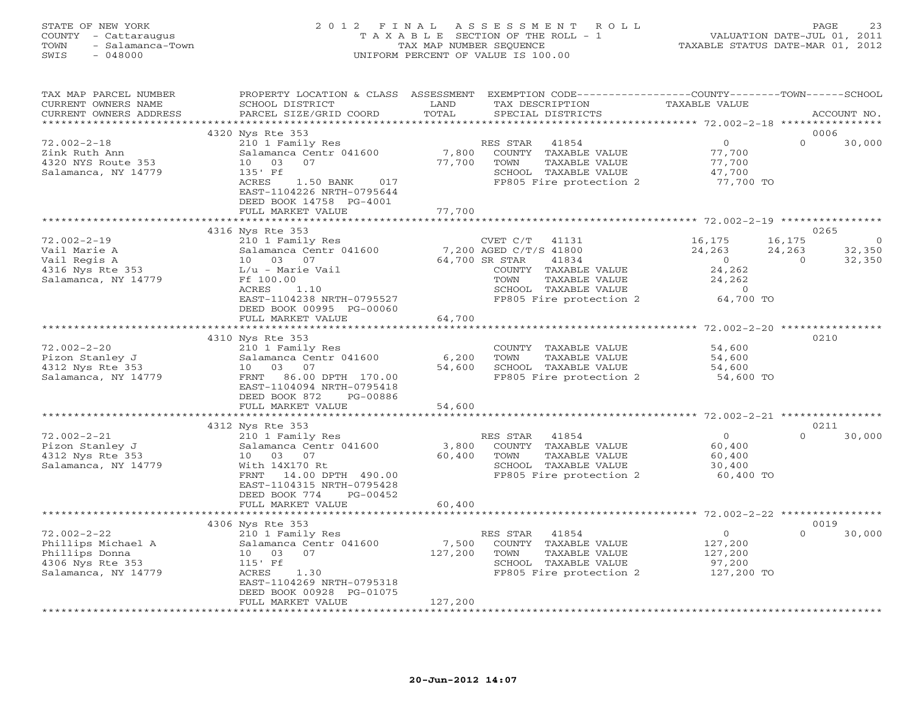# STATE OF NEW YORK 2 0 1 2 F I N A L A S S E S S M E N T R O L L PAGE 23 COUNTY - Cattaraugus T A X A B L E SECTION OF THE ROLL - 1 VALUATION DATE-JUL 01, 2011 TOWN - Salamanca-Town TAX MAP NUMBER SEQUENCE TAXABLE STATUS DATE-MAR 01, 2012 SWIS - 048000 UNIFORM PERCENT OF VALUE IS 100.00

| TAX MAP PARCEL NUMBER<br>CURRENT OWNERS NAME<br>CURRENT OWNERS ADDRESS                               | PROPERTY LOCATION & CLASS ASSESSMENT<br>SCHOOL DISTRICT<br>PARCEL SIZE/GRID COORD                                                                                                            | LAND<br>TOTAL                   | EXEMPTION CODE-----------------COUNTY-------TOWN------SCHOOL<br>TAX DESCRIPTION<br>SPECIAL DISTRICTS                                                                       | TAXABLE VALUE                                                            | ACCOUNT NO.                                                         |
|------------------------------------------------------------------------------------------------------|----------------------------------------------------------------------------------------------------------------------------------------------------------------------------------------------|---------------------------------|----------------------------------------------------------------------------------------------------------------------------------------------------------------------------|--------------------------------------------------------------------------|---------------------------------------------------------------------|
| **********************                                                                               |                                                                                                                                                                                              |                                 |                                                                                                                                                                            |                                                                          |                                                                     |
| $72.002 - 2 - 18$<br>Zink Ruth Ann<br>4320 NYS Route 353<br>Salamanca, NY 14779                      | 4320 Nys Rte 353<br>210 1 Family Res<br>Salamanca Centr 041600<br>0 <sub>3</sub><br>07<br>10<br>135' Ff<br>ACRES<br>1.50 BANK<br>017<br>EAST-1104226 NRTH-0795644<br>DEED BOOK 14758 PG-4001 | 7,800<br>77,700                 | RES STAR<br>41854<br>COUNTY TAXABLE VALUE<br>TAXABLE VALUE<br>TOWN<br>SCHOOL TAXABLE VALUE<br>FP805 Fire protection 2                                                      | $\overline{O}$<br>77,700<br>77,700<br>47,700<br>77,700 TO                | 0006<br>$\Omega$<br>30,000                                          |
|                                                                                                      | FULL MARKET VALUE                                                                                                                                                                            | 77,700<br>* * * * * * * * * * * |                                                                                                                                                                            |                                                                          |                                                                     |
|                                                                                                      |                                                                                                                                                                                              |                                 |                                                                                                                                                                            | *********************** 72.002-2-19 *****************                    |                                                                     |
| $72.002 - 2 - 19$<br>Vail Marie A<br>Vail Regis A<br>4316 Nys Rte 353<br>Salamanca, NY 14779         | 4316 Nys Rte 353<br>210 1 Family Res<br>Salamanca Centr 041600<br>10 03 07<br>L/u - Marie Vail<br>Ff 100.00<br>ACRES<br>1.10<br>EAST-1104238 NRTH-0795527<br>DEED BOOK 00995 PG-00060        |                                 | CVET C/T<br>41131<br>7,200 AGED C/T/S 41800<br>64,700 SR STAR<br>41834<br>COUNTY TAXABLE VALUE<br>TOWN<br>TAXABLE VALUE<br>SCHOOL TAXABLE VALUE<br>FP805 Fire protection 2 | 16,175<br>24,263<br>$\circ$<br>24,262<br>24,262<br>$\Omega$<br>64,700 TO | 0265<br>16,175<br>$\circ$<br>32,350<br>24,263<br>32,350<br>$\Omega$ |
|                                                                                                      | FULL MARKET VALUE                                                                                                                                                                            | 64,700                          |                                                                                                                                                                            |                                                                          |                                                                     |
|                                                                                                      |                                                                                                                                                                                              |                                 |                                                                                                                                                                            |                                                                          |                                                                     |
| $72.002 - 2 - 20$<br>Pizon Stanley J<br>4312 Nys Rte 353<br>Salamanca, NY 14779                      | 4310 Nys Rte 353<br>210 1 Family Res<br>Salamanca Centr 041600<br>03 07<br>10<br>86.00 DPTH 170.00<br>FRNT<br>EAST-1104094 NRTH-0795418<br>DEED BOOK 872<br>PG-00886                         | 6,200<br>54,600                 | COUNTY TAXABLE VALUE<br>TOWN<br>TAXABLE VALUE<br>SCHOOL TAXABLE VALUE<br>FP805 Fire protection 2                                                                           | 54,600<br>54,600<br>54,600<br>54,600 TO                                  | 0210                                                                |
|                                                                                                      | FULL MARKET VALUE                                                                                                                                                                            | 54,600                          |                                                                                                                                                                            |                                                                          |                                                                     |
|                                                                                                      | ***************************                                                                                                                                                                  |                                 |                                                                                                                                                                            |                                                                          |                                                                     |
| $72.002 - 2 - 21$<br>Pizon Stanley J<br>4312 Nys Rte 353<br>Salamanca, NY 14779                      | 4312 Nys Rte 353<br>210 1 Family Res<br>Salamanca Centr 041600<br>10 03 07<br>With 14X170 Rt<br>FRNT<br>14.00 DPTH 490.00<br>EAST-1104315 NRTH-0795428<br>DEED BOOK 774<br>PG-00452          | 3,800<br>60,400                 | RES STAR<br>41854<br>COUNTY TAXABLE VALUE<br>TOWN<br>TAXABLE VALUE<br>SCHOOL TAXABLE VALUE<br>FP805 Fire protection 2                                                      | $\circ$<br>60,400<br>60,400<br>30,400<br>60,400 TO                       | 0211<br>$\Omega$<br>30,000                                          |
|                                                                                                      | FULL MARKET VALUE                                                                                                                                                                            | 60,400                          |                                                                                                                                                                            |                                                                          |                                                                     |
|                                                                                                      | ************************************                                                                                                                                                         |                                 |                                                                                                                                                                            |                                                                          |                                                                     |
| $72.002 - 2 - 22$<br>Phillips Michael A<br>Phillips Donna<br>4306 Nys Rte 353<br>Salamanca, NY 14779 | 4306 Nys Rte 353<br>210 1 Family Res<br>Salamanca Centr 041600<br>10 03<br>07<br>$115'$ Ff<br>ACRES<br>1.30<br>EAST-1104269 NRTH-0795318                                                     | 7,500<br>127,200                | RES STAR<br>41854<br>COUNTY TAXABLE VALUE<br>TOWN<br>TAXABLE VALUE<br>SCHOOL TAXABLE VALUE<br>FP805 Fire protection 2                                                      | $\overline{0}$<br>127,200<br>127,200<br>97,200<br>127,200 TO             | 0019<br>$\Omega$<br>30,000                                          |
|                                                                                                      | DEED BOOK 00928 PG-01075<br>FULL MARKET VALUE<br>**************************                                                                                                                  | 127,200<br>*****************    |                                                                                                                                                                            |                                                                          |                                                                     |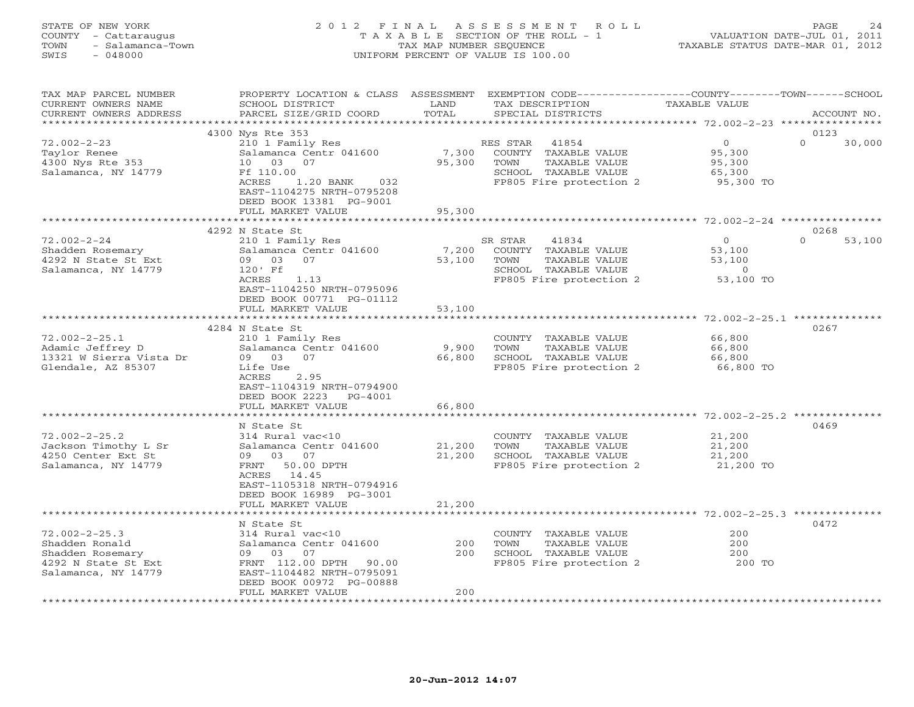# STATE OF NEW YORK 2 0 1 2 F I N A L A S S E S S M E N T R O L L PAGE 24 COUNTY - Cattaraugus T A X A B L E SECTION OF THE ROLL - 1 VALUATION DATE-JUL 01, 2011 TOWN - Salamanca-Town TAX MAP NUMBER SEQUENCE TAXABLE STATUS DATE-MAR 01, 2012 SWIS - 048000 UNIFORM PERCENT OF VALUE IS 100.00

| TAX MAP PARCEL NUMBER<br>CURRENT OWNERS NAME<br>CURRENT OWNERS ADDRESS                                  | PROPERTY LOCATION & CLASS ASSESSMENT<br>SCHOOL DISTRICT<br>PARCEL SIZE/GRID COORD                                                                                                                         | LAND<br>TOTAL              | EXEMPTION CODE-----------------COUNTY-------TOWN------SCHOOL<br>TAX DESCRIPTION<br>SPECIAL DISTRICTS                  | TAXABLE VALUE                                                     | ACCOUNT NO.                |
|---------------------------------------------------------------------------------------------------------|-----------------------------------------------------------------------------------------------------------------------------------------------------------------------------------------------------------|----------------------------|-----------------------------------------------------------------------------------------------------------------------|-------------------------------------------------------------------|----------------------------|
| ********************                                                                                    |                                                                                                                                                                                                           |                            |                                                                                                                       |                                                                   |                            |
| $72.002 - 2 - 23$<br>Taylor Renee<br>4300 Nys Rte 353<br>Salamanca, NY 14779                            | 4300 Nys Rte 353<br>210 1 Family Res<br>Salamanca Centr 041600<br>10<br>03<br>07<br>Ff 110.00<br>ACRES<br>$1.20$ BANK<br>032<br>EAST-1104275 NRTH-0795208<br>DEED BOOK 13381 PG-9001<br>FULL MARKET VALUE | 7,300<br>95,300<br>95,300  | RES STAR<br>41854<br>COUNTY TAXABLE VALUE<br>TOWN<br>TAXABLE VALUE<br>SCHOOL TAXABLE VALUE<br>FP805 Fire protection 2 | $\circ$<br>95,300<br>95,300<br>65,300<br>95,300 TO                | 0123<br>$\Omega$<br>30,000 |
|                                                                                                         |                                                                                                                                                                                                           |                            |                                                                                                                       |                                                                   |                            |
| $72.002 - 2 - 24$<br>Shadden Rosemary<br>4292 N State St Ext<br>Salamanca, NY 14779                     | 4292 N State St<br>210 1 Family Res<br>Salamanca Centr 041600<br>07<br>09 03<br>120' Ff<br>ACRES<br>1.13<br>EAST-1104250 NRTH-0795096<br>DEED BOOK 00771 PG-01112<br>FULL MARKET VALUE                    | 7,200<br>53,100<br>53,100  | SR STAR<br>41834<br>COUNTY TAXABLE VALUE<br>TAXABLE VALUE<br>TOWN<br>SCHOOL TAXABLE VALUE<br>FP805 Fire protection 2  | $\overline{O}$<br>53,100<br>53,100<br>$\overline{0}$<br>53,100 TO | 0268<br>$\Omega$<br>53,100 |
|                                                                                                         |                                                                                                                                                                                                           | ********************       |                                                                                                                       | ********************** 72.002-2-25.1 **                           |                            |
| $72.002 - 2 - 25.1$<br>Adamic Jeffrey D<br>13321 W Sierra Vista Dr<br>Glendale, AZ 85307                | 4284 N State St<br>210 1 Family Res<br>Salamanca Centr 041600<br>09 03<br>07<br>Life Use<br>ACRES<br>2.95<br>EAST-1104319 NRTH-0794900<br>DEED BOOK 2223<br>PG-4001<br>FULL MARKET VALUE                  | 9,900<br>66,800<br>66,800  | COUNTY TAXABLE VALUE<br>TOWN<br>TAXABLE VALUE<br>SCHOOL TAXABLE VALUE<br>FP805 Fire protection 2                      | 66,800<br>66,800<br>66,800<br>66,800 TO                           | 0267                       |
|                                                                                                         |                                                                                                                                                                                                           |                            |                                                                                                                       |                                                                   |                            |
| $72.002 - 2 - 25.2$<br>Jackson Timothy L Sr<br>4250 Center Ext St<br>Salamanca, NY 14779                | N State St<br>314 Rural vac<10<br>Salamanca Centr 041600<br>03<br>07<br>09<br>FRNT<br>50.00 DPTH<br>ACRES<br>14.45<br>EAST-1105318 NRTH-0794916<br>DEED BOOK 16989 PG-3001<br>FULL MARKET VALUE           | 21,200<br>21,200<br>21,200 | COUNTY TAXABLE VALUE<br>TAXABLE VALUE<br>TOWN<br>SCHOOL TAXABLE VALUE<br>FP805 Fire protection 2                      | 21,200<br>21,200<br>21,200<br>21,200 TO                           | 0469                       |
|                                                                                                         | *******************                                                                                                                                                                                       |                            |                                                                                                                       |                                                                   |                            |
| $72.002 - 2 - 25.3$<br>Shadden Ronald<br>Shadden Rosemary<br>4292 N State St Ext<br>Salamanca, NY 14779 | N State St<br>314 Rural vac<10<br>Salamanca Centr 041600<br>07<br>09 03<br>FRNT 112.00 DPTH<br>90.00<br>EAST-1104482 NRTH-0795091<br>DEED BOOK 00972 PG-00888                                             | 200<br>200                 | COUNTY TAXABLE VALUE<br>TOWN<br>TAXABLE VALUE<br>SCHOOL TAXABLE VALUE<br>FP805 Fire protection 2                      | 200<br>200<br>200<br>200 TO                                       | 0472                       |
| ********************                                                                                    | FULL MARKET VALUE                                                                                                                                                                                         | 200                        |                                                                                                                       |                                                                   |                            |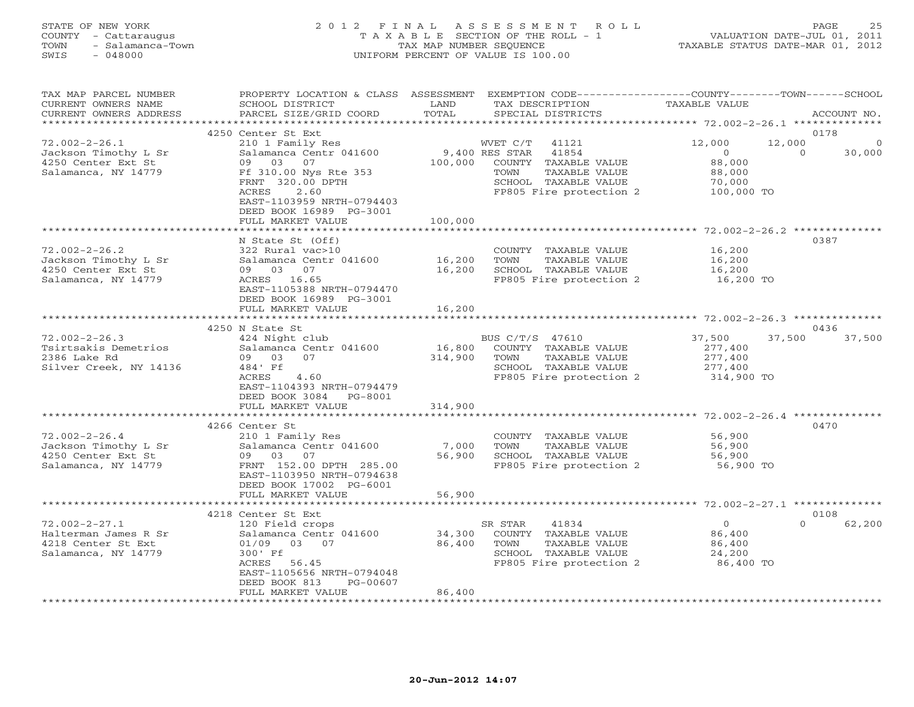# STATE OF NEW YORK 2 0 1 2 F I N A L A S S E S S M E N T R O L L PAGE 25 COUNTY - Cattaraugus T A X A B L E SECTION OF THE ROLL - 1 VALUATION DATE-JUL 01, 2011 TOWN - Salamanca-Town TAX MAP NUMBER SEQUENCE TAXABLE STATUS DATE-MAR 01, 2012 SWIS - 048000 UNIFORM PERCENT OF VALUE IS 100.00

| TAX MAP PARCEL NUMBER<br>CURRENT OWNERS NAME<br>CURRENT OWNERS ADDRESS                   | PROPERTY LOCATION & CLASS<br>SCHOOL DISTRICT<br>PARCEL SIZE/GRID COORD                                                                                                                                   | ASSESSMENT<br>LAND<br>TOTAL  | EXEMPTION CODE-----------------COUNTY-------TOWN------SCHOOL<br>TAX DESCRIPTION<br>SPECIAL DISTRICTS                                                       | <b>TAXABLE VALUE</b>                                                                       | ACCOUNT NO.                |
|------------------------------------------------------------------------------------------|----------------------------------------------------------------------------------------------------------------------------------------------------------------------------------------------------------|------------------------------|------------------------------------------------------------------------------------------------------------------------------------------------------------|--------------------------------------------------------------------------------------------|----------------------------|
|                                                                                          |                                                                                                                                                                                                          | ******                       |                                                                                                                                                            | ******* 72.002-2-26.1 *********                                                            |                            |
| $72.002 - 2 - 26.1$<br>Jackson Timothy L Sr<br>4250 Center Ext St<br>Salamanca, NY 14779 | 4250 Center St Ext<br>210 1 Family Res<br>Salamanca Centr 041600<br>03<br>09<br>07<br>Ff 310.00 Nys Rte 353<br>FRNT 320.00 DPTH<br>ACRES<br>2.60<br>EAST-1103959 NRTH-0794403<br>DEED BOOK 16989 PG-3001 | 100,000                      | WVET C/T<br>41121<br>9,400 RES STAR<br>41854<br>COUNTY<br>TAXABLE VALUE<br>TOWN<br><b>TAXABLE VALUE</b><br>SCHOOL TAXABLE VALUE<br>FP805 Fire protection 2 | 12,000<br>12,000<br>$\circ$<br>88,000<br>88,000<br>70,000<br>100,000 TO                    | 0178<br>30,000<br>$\Omega$ |
|                                                                                          | FULL MARKET VALUE                                                                                                                                                                                        | 100,000                      |                                                                                                                                                            |                                                                                            |                            |
| $72.002 - 2 - 26.2$<br>Jackson Timothy L Sr<br>4250 Center Ext St<br>Salamanca, NY 14779 | N State St (Off)<br>322 Rural vac>10<br>Salamanca Centr 041600<br>03<br>07<br>09<br>16.65<br>ACRES<br>EAST-1105388 NRTH-0794470<br>DEED BOOK 16989 PG-3001                                               | 16,200<br>16,200             | COUNTY TAXABLE VALUE<br>TOWN<br>TAXABLE VALUE<br>SCHOOL TAXABLE VALUE<br>FP805 Fire protection 2                                                           | ************************ 72.002-2-26.2 ********<br>16,200<br>16,200<br>16,200<br>16,200 TO | 0387                       |
|                                                                                          | FULL MARKET VALUE                                                                                                                                                                                        | 16,200                       |                                                                                                                                                            |                                                                                            |                            |
|                                                                                          | 4250 N State St                                                                                                                                                                                          |                              |                                                                                                                                                            | ******************** 72.002-2-26.3 **************                                          | 0436                       |
| $72.002 - 2 - 26.3$                                                                      | 424 Night club                                                                                                                                                                                           |                              | BUS C/T/S 47610                                                                                                                                            | 37,500<br>37,500                                                                           | 37,500                     |
| Tsirtsakis Demetrios<br>2386 Lake Rd<br>Silver Creek, NY 14136                           | Salamanca Centr 041600<br>03<br>09<br>07<br>484' Ff<br>ACRES<br>4.60<br>EAST-1104393 NRTH-0794479<br>DEED BOOK 3084<br>PG-8001<br>FULL MARKET VALUE                                                      | 16,800<br>314,900<br>314,900 | COUNTY TAXABLE VALUE<br>TOWN<br>TAXABLE VALUE<br>SCHOOL TAXABLE VALUE<br>FP805 Fire protection 2                                                           | 277,400<br>277,400<br>277,400<br>314,900 TO                                                |                            |
|                                                                                          |                                                                                                                                                                                                          | *************                |                                                                                                                                                            | ********************** 72.002-2-26.4 ***************                                       |                            |
| $72.002 - 2 - 26.4$<br>Jackson Timothy L Sr<br>4250 Center Ext St<br>Salamanca, NY 14779 | 4266 Center St<br>210 1 Family Res<br>Salamanca Centr 041600<br>09<br>03<br>07<br>FRNT 152.00 DPTH 285.00<br>EAST-1103950 NRTH-0794638<br>DEED BOOK 17002 PG-6001                                        | 7,000<br>56,900              | COUNTY TAXABLE VALUE<br>TOWN<br>TAXABLE VALUE<br>SCHOOL TAXABLE VALUE<br>FP805 Fire protection 2                                                           | 56,900<br>56,900<br>56,900<br>56,900 TO                                                    | 0470                       |
|                                                                                          | FULL MARKET VALUE                                                                                                                                                                                        | 56,900                       |                                                                                                                                                            |                                                                                            |                            |
|                                                                                          | 4218 Center St Ext                                                                                                                                                                                       |                              |                                                                                                                                                            |                                                                                            | 0108                       |
| $72.002 - 2 - 27.1$<br>Halterman James R Sr<br>4218 Center St Ext<br>Salamanca, NY 14779 | 120 Field crops<br>Salamanca Centr 041600<br>01/09<br>03<br>07<br>300' Ff<br>ACRES<br>56.45<br>EAST-1105656 NRTH-0794048<br>DEED BOOK 813<br>PG-00607<br>FULL MARKET VALUE                               | 34,300<br>86,400<br>86,400   | SR STAR<br>41834<br>COUNTY TAXABLE VALUE<br>TOWN<br>TAXABLE VALUE<br>SCHOOL TAXABLE VALUE<br>FP805 Fire protection 2                                       | $\circ$<br>86,400<br>86,400<br>24,200<br>86,400 TO                                         | $\Omega$<br>62,200         |
|                                                                                          |                                                                                                                                                                                                          |                              |                                                                                                                                                            |                                                                                            |                            |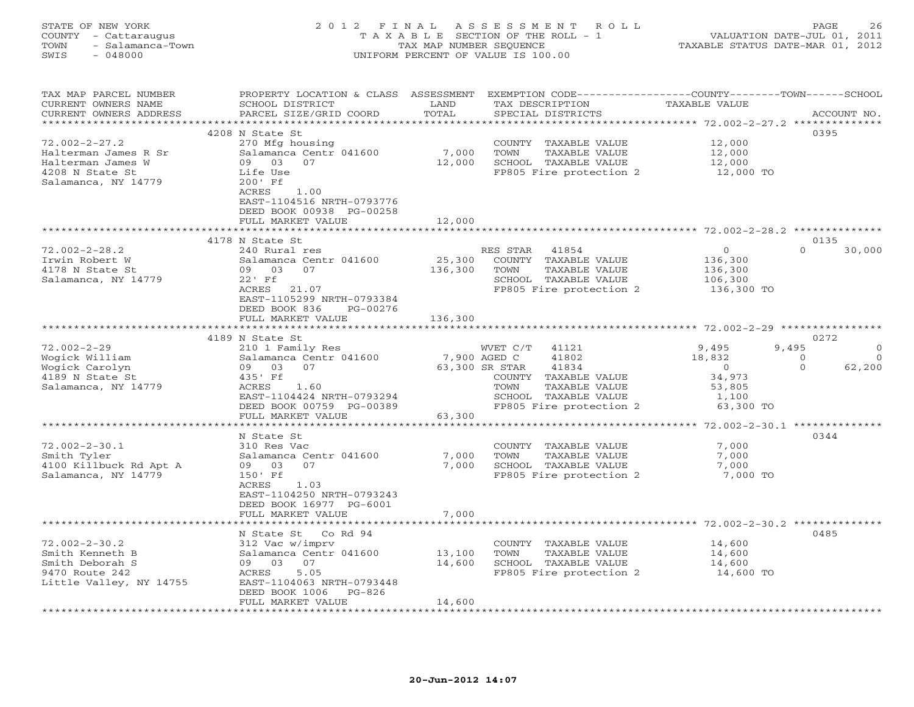#### STATE OF NEW YORK 2 0 1 2 F I N A L A S S E S S M E N T R O L L PAGE 26 COUNTY - Cattaraugus T A X A B L E SECTION OF THE ROLL - 1 VALUATION DATE-JUL 01, 2011 TOWN - Salamanca-Town TAX MAP NUMBER SEQUENCE TAXABLE STATUS DATE-MAR 01, 2012 SWIS - 048000 UNIFORM PERCENT OF VALUE IS 100.00

| ********************<br>* * * * * * * * * * * * * *<br>4208 N State St<br>0395<br>$72.002 - 2 - 27.2$<br>270 Mfg housing<br>12,000<br>COUNTY TAXABLE VALUE<br>Salamanca Centr 041600<br>7,000<br>TOWN<br>TAXABLE VALUE<br>12,000<br>Halterman James R Sr<br>09 03<br>12,000<br>07<br>SCHOOL TAXABLE VALUE<br>12,000<br>Halterman James W<br>4208 N State St<br>FP805 Fire protection 2<br>12,000 TO<br>Life Use<br>Salamanca, NY 14779<br>200' Ff<br>1.00<br>ACRES<br>EAST-1104516 NRTH-0793776<br>DEED BOOK 00938 PG-00258<br>FULL MARKET VALUE<br>12,000<br>4178 N State St<br>0135<br>$72.002 - 2 - 28.2$<br>RES STAR 41854<br>$\overline{0}$<br>$\Omega$<br>30,000<br>240 Rural res<br>Salamanca Centr 041600<br>25,300<br>Irwin Robert W<br>COUNTY TAXABLE VALUE<br>136,300<br>09 03<br>07<br>136,300<br>TOWN<br>TAXABLE VALUE<br>4178 N State St<br>136,300<br>$22'$ Ff<br>SCHOOL TAXABLE VALUE<br>106,300<br>Salamanca, NY 14779<br>ACRES 21.07<br>FP805 Fire protection 2<br>136,300 TO<br>EAST-1105299 NRTH-0793384<br>DEED BOOK 836<br>PG-00276<br>136,300<br>FULL MARKET VALUE<br>************************ 72.002-2-29 ********<br>0272<br>4189 N State St<br>$72.002 - 2 - 29$<br>9,495<br>210 1 Family Res<br>WVET C/T<br>41121<br>9,495<br>$\circ$<br>Wogick William<br>Salamanca Centr 041600<br>7,900 AGED C<br>41802<br>18,832<br>$\overline{0}$<br>$\circ$<br>63,300 SR STAR<br>41834<br>$\Omega$<br>62,200<br>Wogick Carolyn<br>09 03<br>07<br>$\overline{0}$<br>34,973<br>4189 N State St<br>COUNTY TAXABLE VALUE<br>435' Ff<br>Salamanca, NY 14779<br>ACRES<br>1.60<br>TOWN<br>TAXABLE VALUE<br>53,805<br>EAST-1104424 NRTH-0793294<br>SCHOOL TAXABLE VALUE<br>1,100<br>FP805 Fire protection 2<br>63,300 TO<br>DEED BOOK 00759 PG-00389<br>63,300<br>FULL MARKET VALUE<br>***********<br>***************<br>0344<br>N State St<br>$72.002 - 2 - 30.1$<br>310 Res Vac<br>COUNTY TAXABLE VALUE<br>7,000<br>Smith Tyler<br>Salamanca Centr 041600<br>7,000<br>TOWN<br>TAXABLE VALUE<br>7,000<br>4100 Killbuck Rd Apt A<br>7,000<br>SCHOOL TAXABLE VALUE<br>09 03<br>07<br>7,000<br>Salamanca, NY 14779<br>FP805 Fire protection 2<br>7,000 TO<br>150' Ff<br>ACRES<br>1.03 | TAX MAP PARCEL NUMBER<br>CURRENT OWNERS NAME | PROPERTY LOCATION & CLASS ASSESSMENT<br>SCHOOL DISTRICT | LAND  | EXEMPTION CODE-----------------COUNTY-------TOWN------SCHOOL<br>TAX DESCRIPTION | TAXABLE VALUE |             |
|----------------------------------------------------------------------------------------------------------------------------------------------------------------------------------------------------------------------------------------------------------------------------------------------------------------------------------------------------------------------------------------------------------------------------------------------------------------------------------------------------------------------------------------------------------------------------------------------------------------------------------------------------------------------------------------------------------------------------------------------------------------------------------------------------------------------------------------------------------------------------------------------------------------------------------------------------------------------------------------------------------------------------------------------------------------------------------------------------------------------------------------------------------------------------------------------------------------------------------------------------------------------------------------------------------------------------------------------------------------------------------------------------------------------------------------------------------------------------------------------------------------------------------------------------------------------------------------------------------------------------------------------------------------------------------------------------------------------------------------------------------------------------------------------------------------------------------------------------------------------------------------------------------------------------------------------------------------------------------------------------------------------------------------------------------------------------------------------------------------------------------------------------------------------------------------------|----------------------------------------------|---------------------------------------------------------|-------|---------------------------------------------------------------------------------|---------------|-------------|
|                                                                                                                                                                                                                                                                                                                                                                                                                                                                                                                                                                                                                                                                                                                                                                                                                                                                                                                                                                                                                                                                                                                                                                                                                                                                                                                                                                                                                                                                                                                                                                                                                                                                                                                                                                                                                                                                                                                                                                                                                                                                                                                                                                                              | CURRENT OWNERS ADDRESS                       | PARCEL SIZE/GRID COORD                                  | TOTAL | SPECIAL DISTRICTS                                                               |               | ACCOUNT NO. |
|                                                                                                                                                                                                                                                                                                                                                                                                                                                                                                                                                                                                                                                                                                                                                                                                                                                                                                                                                                                                                                                                                                                                                                                                                                                                                                                                                                                                                                                                                                                                                                                                                                                                                                                                                                                                                                                                                                                                                                                                                                                                                                                                                                                              |                                              |                                                         |       |                                                                                 |               |             |
|                                                                                                                                                                                                                                                                                                                                                                                                                                                                                                                                                                                                                                                                                                                                                                                                                                                                                                                                                                                                                                                                                                                                                                                                                                                                                                                                                                                                                                                                                                                                                                                                                                                                                                                                                                                                                                                                                                                                                                                                                                                                                                                                                                                              |                                              |                                                         |       |                                                                                 |               |             |
|                                                                                                                                                                                                                                                                                                                                                                                                                                                                                                                                                                                                                                                                                                                                                                                                                                                                                                                                                                                                                                                                                                                                                                                                                                                                                                                                                                                                                                                                                                                                                                                                                                                                                                                                                                                                                                                                                                                                                                                                                                                                                                                                                                                              |                                              |                                                         |       |                                                                                 |               |             |
|                                                                                                                                                                                                                                                                                                                                                                                                                                                                                                                                                                                                                                                                                                                                                                                                                                                                                                                                                                                                                                                                                                                                                                                                                                                                                                                                                                                                                                                                                                                                                                                                                                                                                                                                                                                                                                                                                                                                                                                                                                                                                                                                                                                              |                                              |                                                         |       |                                                                                 |               |             |
|                                                                                                                                                                                                                                                                                                                                                                                                                                                                                                                                                                                                                                                                                                                                                                                                                                                                                                                                                                                                                                                                                                                                                                                                                                                                                                                                                                                                                                                                                                                                                                                                                                                                                                                                                                                                                                                                                                                                                                                                                                                                                                                                                                                              |                                              |                                                         |       |                                                                                 |               |             |
|                                                                                                                                                                                                                                                                                                                                                                                                                                                                                                                                                                                                                                                                                                                                                                                                                                                                                                                                                                                                                                                                                                                                                                                                                                                                                                                                                                                                                                                                                                                                                                                                                                                                                                                                                                                                                                                                                                                                                                                                                                                                                                                                                                                              |                                              |                                                         |       |                                                                                 |               |             |
|                                                                                                                                                                                                                                                                                                                                                                                                                                                                                                                                                                                                                                                                                                                                                                                                                                                                                                                                                                                                                                                                                                                                                                                                                                                                                                                                                                                                                                                                                                                                                                                                                                                                                                                                                                                                                                                                                                                                                                                                                                                                                                                                                                                              |                                              |                                                         |       |                                                                                 |               |             |
|                                                                                                                                                                                                                                                                                                                                                                                                                                                                                                                                                                                                                                                                                                                                                                                                                                                                                                                                                                                                                                                                                                                                                                                                                                                                                                                                                                                                                                                                                                                                                                                                                                                                                                                                                                                                                                                                                                                                                                                                                                                                                                                                                                                              |                                              |                                                         |       |                                                                                 |               |             |
|                                                                                                                                                                                                                                                                                                                                                                                                                                                                                                                                                                                                                                                                                                                                                                                                                                                                                                                                                                                                                                                                                                                                                                                                                                                                                                                                                                                                                                                                                                                                                                                                                                                                                                                                                                                                                                                                                                                                                                                                                                                                                                                                                                                              |                                              |                                                         |       |                                                                                 |               |             |
|                                                                                                                                                                                                                                                                                                                                                                                                                                                                                                                                                                                                                                                                                                                                                                                                                                                                                                                                                                                                                                                                                                                                                                                                                                                                                                                                                                                                                                                                                                                                                                                                                                                                                                                                                                                                                                                                                                                                                                                                                                                                                                                                                                                              |                                              |                                                         |       |                                                                                 |               |             |
|                                                                                                                                                                                                                                                                                                                                                                                                                                                                                                                                                                                                                                                                                                                                                                                                                                                                                                                                                                                                                                                                                                                                                                                                                                                                                                                                                                                                                                                                                                                                                                                                                                                                                                                                                                                                                                                                                                                                                                                                                                                                                                                                                                                              |                                              |                                                         |       |                                                                                 |               |             |
|                                                                                                                                                                                                                                                                                                                                                                                                                                                                                                                                                                                                                                                                                                                                                                                                                                                                                                                                                                                                                                                                                                                                                                                                                                                                                                                                                                                                                                                                                                                                                                                                                                                                                                                                                                                                                                                                                                                                                                                                                                                                                                                                                                                              |                                              |                                                         |       |                                                                                 |               |             |
|                                                                                                                                                                                                                                                                                                                                                                                                                                                                                                                                                                                                                                                                                                                                                                                                                                                                                                                                                                                                                                                                                                                                                                                                                                                                                                                                                                                                                                                                                                                                                                                                                                                                                                                                                                                                                                                                                                                                                                                                                                                                                                                                                                                              |                                              |                                                         |       |                                                                                 |               |             |
|                                                                                                                                                                                                                                                                                                                                                                                                                                                                                                                                                                                                                                                                                                                                                                                                                                                                                                                                                                                                                                                                                                                                                                                                                                                                                                                                                                                                                                                                                                                                                                                                                                                                                                                                                                                                                                                                                                                                                                                                                                                                                                                                                                                              |                                              |                                                         |       |                                                                                 |               |             |
|                                                                                                                                                                                                                                                                                                                                                                                                                                                                                                                                                                                                                                                                                                                                                                                                                                                                                                                                                                                                                                                                                                                                                                                                                                                                                                                                                                                                                                                                                                                                                                                                                                                                                                                                                                                                                                                                                                                                                                                                                                                                                                                                                                                              |                                              |                                                         |       |                                                                                 |               |             |
|                                                                                                                                                                                                                                                                                                                                                                                                                                                                                                                                                                                                                                                                                                                                                                                                                                                                                                                                                                                                                                                                                                                                                                                                                                                                                                                                                                                                                                                                                                                                                                                                                                                                                                                                                                                                                                                                                                                                                                                                                                                                                                                                                                                              |                                              |                                                         |       |                                                                                 |               |             |
|                                                                                                                                                                                                                                                                                                                                                                                                                                                                                                                                                                                                                                                                                                                                                                                                                                                                                                                                                                                                                                                                                                                                                                                                                                                                                                                                                                                                                                                                                                                                                                                                                                                                                                                                                                                                                                                                                                                                                                                                                                                                                                                                                                                              |                                              |                                                         |       |                                                                                 |               |             |
|                                                                                                                                                                                                                                                                                                                                                                                                                                                                                                                                                                                                                                                                                                                                                                                                                                                                                                                                                                                                                                                                                                                                                                                                                                                                                                                                                                                                                                                                                                                                                                                                                                                                                                                                                                                                                                                                                                                                                                                                                                                                                                                                                                                              |                                              |                                                         |       |                                                                                 |               |             |
|                                                                                                                                                                                                                                                                                                                                                                                                                                                                                                                                                                                                                                                                                                                                                                                                                                                                                                                                                                                                                                                                                                                                                                                                                                                                                                                                                                                                                                                                                                                                                                                                                                                                                                                                                                                                                                                                                                                                                                                                                                                                                                                                                                                              |                                              |                                                         |       |                                                                                 |               |             |
|                                                                                                                                                                                                                                                                                                                                                                                                                                                                                                                                                                                                                                                                                                                                                                                                                                                                                                                                                                                                                                                                                                                                                                                                                                                                                                                                                                                                                                                                                                                                                                                                                                                                                                                                                                                                                                                                                                                                                                                                                                                                                                                                                                                              |                                              |                                                         |       |                                                                                 |               |             |
|                                                                                                                                                                                                                                                                                                                                                                                                                                                                                                                                                                                                                                                                                                                                                                                                                                                                                                                                                                                                                                                                                                                                                                                                                                                                                                                                                                                                                                                                                                                                                                                                                                                                                                                                                                                                                                                                                                                                                                                                                                                                                                                                                                                              |                                              |                                                         |       |                                                                                 |               |             |
|                                                                                                                                                                                                                                                                                                                                                                                                                                                                                                                                                                                                                                                                                                                                                                                                                                                                                                                                                                                                                                                                                                                                                                                                                                                                                                                                                                                                                                                                                                                                                                                                                                                                                                                                                                                                                                                                                                                                                                                                                                                                                                                                                                                              |                                              |                                                         |       |                                                                                 |               |             |
|                                                                                                                                                                                                                                                                                                                                                                                                                                                                                                                                                                                                                                                                                                                                                                                                                                                                                                                                                                                                                                                                                                                                                                                                                                                                                                                                                                                                                                                                                                                                                                                                                                                                                                                                                                                                                                                                                                                                                                                                                                                                                                                                                                                              |                                              |                                                         |       |                                                                                 |               |             |
|                                                                                                                                                                                                                                                                                                                                                                                                                                                                                                                                                                                                                                                                                                                                                                                                                                                                                                                                                                                                                                                                                                                                                                                                                                                                                                                                                                                                                                                                                                                                                                                                                                                                                                                                                                                                                                                                                                                                                                                                                                                                                                                                                                                              |                                              |                                                         |       |                                                                                 |               |             |
|                                                                                                                                                                                                                                                                                                                                                                                                                                                                                                                                                                                                                                                                                                                                                                                                                                                                                                                                                                                                                                                                                                                                                                                                                                                                                                                                                                                                                                                                                                                                                                                                                                                                                                                                                                                                                                                                                                                                                                                                                                                                                                                                                                                              |                                              |                                                         |       |                                                                                 |               |             |
|                                                                                                                                                                                                                                                                                                                                                                                                                                                                                                                                                                                                                                                                                                                                                                                                                                                                                                                                                                                                                                                                                                                                                                                                                                                                                                                                                                                                                                                                                                                                                                                                                                                                                                                                                                                                                                                                                                                                                                                                                                                                                                                                                                                              |                                              |                                                         |       |                                                                                 |               |             |
|                                                                                                                                                                                                                                                                                                                                                                                                                                                                                                                                                                                                                                                                                                                                                                                                                                                                                                                                                                                                                                                                                                                                                                                                                                                                                                                                                                                                                                                                                                                                                                                                                                                                                                                                                                                                                                                                                                                                                                                                                                                                                                                                                                                              |                                              |                                                         |       |                                                                                 |               |             |
|                                                                                                                                                                                                                                                                                                                                                                                                                                                                                                                                                                                                                                                                                                                                                                                                                                                                                                                                                                                                                                                                                                                                                                                                                                                                                                                                                                                                                                                                                                                                                                                                                                                                                                                                                                                                                                                                                                                                                                                                                                                                                                                                                                                              |                                              |                                                         |       |                                                                                 |               |             |
|                                                                                                                                                                                                                                                                                                                                                                                                                                                                                                                                                                                                                                                                                                                                                                                                                                                                                                                                                                                                                                                                                                                                                                                                                                                                                                                                                                                                                                                                                                                                                                                                                                                                                                                                                                                                                                                                                                                                                                                                                                                                                                                                                                                              |                                              |                                                         |       |                                                                                 |               |             |
|                                                                                                                                                                                                                                                                                                                                                                                                                                                                                                                                                                                                                                                                                                                                                                                                                                                                                                                                                                                                                                                                                                                                                                                                                                                                                                                                                                                                                                                                                                                                                                                                                                                                                                                                                                                                                                                                                                                                                                                                                                                                                                                                                                                              |                                              |                                                         |       |                                                                                 |               |             |
|                                                                                                                                                                                                                                                                                                                                                                                                                                                                                                                                                                                                                                                                                                                                                                                                                                                                                                                                                                                                                                                                                                                                                                                                                                                                                                                                                                                                                                                                                                                                                                                                                                                                                                                                                                                                                                                                                                                                                                                                                                                                                                                                                                                              |                                              |                                                         |       |                                                                                 |               |             |
|                                                                                                                                                                                                                                                                                                                                                                                                                                                                                                                                                                                                                                                                                                                                                                                                                                                                                                                                                                                                                                                                                                                                                                                                                                                                                                                                                                                                                                                                                                                                                                                                                                                                                                                                                                                                                                                                                                                                                                                                                                                                                                                                                                                              |                                              |                                                         |       |                                                                                 |               |             |
|                                                                                                                                                                                                                                                                                                                                                                                                                                                                                                                                                                                                                                                                                                                                                                                                                                                                                                                                                                                                                                                                                                                                                                                                                                                                                                                                                                                                                                                                                                                                                                                                                                                                                                                                                                                                                                                                                                                                                                                                                                                                                                                                                                                              |                                              |                                                         |       |                                                                                 |               |             |
|                                                                                                                                                                                                                                                                                                                                                                                                                                                                                                                                                                                                                                                                                                                                                                                                                                                                                                                                                                                                                                                                                                                                                                                                                                                                                                                                                                                                                                                                                                                                                                                                                                                                                                                                                                                                                                                                                                                                                                                                                                                                                                                                                                                              |                                              |                                                         |       |                                                                                 |               |             |
|                                                                                                                                                                                                                                                                                                                                                                                                                                                                                                                                                                                                                                                                                                                                                                                                                                                                                                                                                                                                                                                                                                                                                                                                                                                                                                                                                                                                                                                                                                                                                                                                                                                                                                                                                                                                                                                                                                                                                                                                                                                                                                                                                                                              |                                              |                                                         |       |                                                                                 |               |             |
|                                                                                                                                                                                                                                                                                                                                                                                                                                                                                                                                                                                                                                                                                                                                                                                                                                                                                                                                                                                                                                                                                                                                                                                                                                                                                                                                                                                                                                                                                                                                                                                                                                                                                                                                                                                                                                                                                                                                                                                                                                                                                                                                                                                              |                                              |                                                         |       |                                                                                 |               |             |
|                                                                                                                                                                                                                                                                                                                                                                                                                                                                                                                                                                                                                                                                                                                                                                                                                                                                                                                                                                                                                                                                                                                                                                                                                                                                                                                                                                                                                                                                                                                                                                                                                                                                                                                                                                                                                                                                                                                                                                                                                                                                                                                                                                                              |                                              | EAST-1104250 NRTH-0793243                               |       |                                                                                 |               |             |
| DEED BOOK 16977 PG-6001                                                                                                                                                                                                                                                                                                                                                                                                                                                                                                                                                                                                                                                                                                                                                                                                                                                                                                                                                                                                                                                                                                                                                                                                                                                                                                                                                                                                                                                                                                                                                                                                                                                                                                                                                                                                                                                                                                                                                                                                                                                                                                                                                                      |                                              |                                                         |       |                                                                                 |               |             |
| 7,000<br>FULL MARKET VALUE                                                                                                                                                                                                                                                                                                                                                                                                                                                                                                                                                                                                                                                                                                                                                                                                                                                                                                                                                                                                                                                                                                                                                                                                                                                                                                                                                                                                                                                                                                                                                                                                                                                                                                                                                                                                                                                                                                                                                                                                                                                                                                                                                                   |                                              |                                                         |       |                                                                                 |               |             |
|                                                                                                                                                                                                                                                                                                                                                                                                                                                                                                                                                                                                                                                                                                                                                                                                                                                                                                                                                                                                                                                                                                                                                                                                                                                                                                                                                                                                                                                                                                                                                                                                                                                                                                                                                                                                                                                                                                                                                                                                                                                                                                                                                                                              |                                              |                                                         |       |                                                                                 |               |             |
| 0485<br>Co Rd 94<br>N State St                                                                                                                                                                                                                                                                                                                                                                                                                                                                                                                                                                                                                                                                                                                                                                                                                                                                                                                                                                                                                                                                                                                                                                                                                                                                                                                                                                                                                                                                                                                                                                                                                                                                                                                                                                                                                                                                                                                                                                                                                                                                                                                                                               |                                              |                                                         |       |                                                                                 |               |             |
| $72.002 - 2 - 30.2$<br>COUNTY TAXABLE VALUE<br>14,600<br>312 Vac w/imprv                                                                                                                                                                                                                                                                                                                                                                                                                                                                                                                                                                                                                                                                                                                                                                                                                                                                                                                                                                                                                                                                                                                                                                                                                                                                                                                                                                                                                                                                                                                                                                                                                                                                                                                                                                                                                                                                                                                                                                                                                                                                                                                     |                                              |                                                         |       |                                                                                 |               |             |
| 13,100<br>Smith Kenneth B<br>Salamanca Centr 041600<br>TOWN<br>TAXABLE VALUE<br>14,600                                                                                                                                                                                                                                                                                                                                                                                                                                                                                                                                                                                                                                                                                                                                                                                                                                                                                                                                                                                                                                                                                                                                                                                                                                                                                                                                                                                                                                                                                                                                                                                                                                                                                                                                                                                                                                                                                                                                                                                                                                                                                                       |                                              |                                                         |       |                                                                                 |               |             |
| Smith Deborah S<br>09 03 07<br>14,600<br>SCHOOL TAXABLE VALUE<br>14,600                                                                                                                                                                                                                                                                                                                                                                                                                                                                                                                                                                                                                                                                                                                                                                                                                                                                                                                                                                                                                                                                                                                                                                                                                                                                                                                                                                                                                                                                                                                                                                                                                                                                                                                                                                                                                                                                                                                                                                                                                                                                                                                      |                                              |                                                         |       |                                                                                 |               |             |
| FP805 Fire protection 2<br>9470 Route 242<br>ACRES<br>5.05<br>14,600 TO<br>Little Valley, NY 14755<br>EAST-1104063 NRTH-0793448                                                                                                                                                                                                                                                                                                                                                                                                                                                                                                                                                                                                                                                                                                                                                                                                                                                                                                                                                                                                                                                                                                                                                                                                                                                                                                                                                                                                                                                                                                                                                                                                                                                                                                                                                                                                                                                                                                                                                                                                                                                              |                                              |                                                         |       |                                                                                 |               |             |
| DEED BOOK 1006<br>$PG-826$                                                                                                                                                                                                                                                                                                                                                                                                                                                                                                                                                                                                                                                                                                                                                                                                                                                                                                                                                                                                                                                                                                                                                                                                                                                                                                                                                                                                                                                                                                                                                                                                                                                                                                                                                                                                                                                                                                                                                                                                                                                                                                                                                                   |                                              |                                                         |       |                                                                                 |               |             |
| FULL MARKET VALUE<br>14,600                                                                                                                                                                                                                                                                                                                                                                                                                                                                                                                                                                                                                                                                                                                                                                                                                                                                                                                                                                                                                                                                                                                                                                                                                                                                                                                                                                                                                                                                                                                                                                                                                                                                                                                                                                                                                                                                                                                                                                                                                                                                                                                                                                  |                                              |                                                         |       |                                                                                 |               |             |
|                                                                                                                                                                                                                                                                                                                                                                                                                                                                                                                                                                                                                                                                                                                                                                                                                                                                                                                                                                                                                                                                                                                                                                                                                                                                                                                                                                                                                                                                                                                                                                                                                                                                                                                                                                                                                                                                                                                                                                                                                                                                                                                                                                                              |                                              |                                                         |       |                                                                                 |               |             |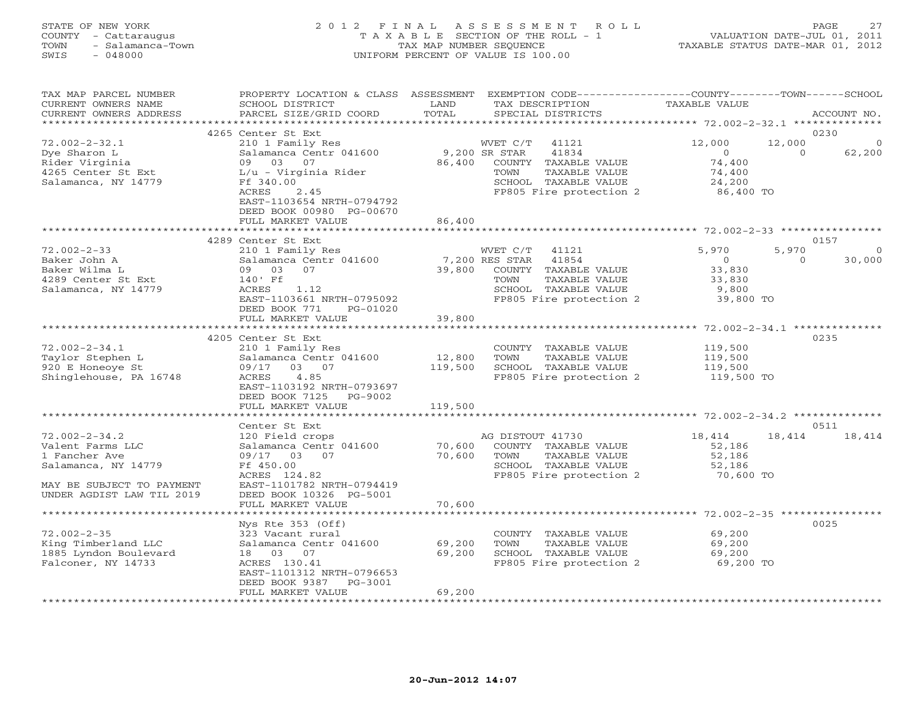#### STATE OF NEW YORK 2 0 1 2 F I N A L A S S E S S M E N T R O L L PAGE 27 COUNTY - Cattaraugus T A X A B L E SECTION OF THE ROLL - 1 VALUATION DATE-JUL 01, 2011 TOWN - Salamanca-Town TAX MAP NUMBER SEQUENCE TAXABLE STATUS DATE-MAR 01, 2012 SWIS - 048000 UNIFORM PERCENT OF VALUE IS 100.00

| TAX MAP PARCEL NUMBER<br>CURRENT OWNERS NAME<br>CURRENT OWNERS ADDRESS                                                                    | PROPERTY LOCATION & CLASS ASSESSMENT<br>SCHOOL DISTRICT<br>PARCEL SIZE/GRID COORD                                                                                                                                             | LAND<br>TOTAL                     | EXEMPTION CODE-----------------COUNTY-------TOWN------SCHOOL<br>TAX DESCRIPTION<br>SPECIAL DISTRICTS                           | <b>TAXABLE VALUE</b>                                              | ACCOUNT NO.                                      |
|-------------------------------------------------------------------------------------------------------------------------------------------|-------------------------------------------------------------------------------------------------------------------------------------------------------------------------------------------------------------------------------|-----------------------------------|--------------------------------------------------------------------------------------------------------------------------------|-------------------------------------------------------------------|--------------------------------------------------|
| *********************                                                                                                                     |                                                                                                                                                                                                                               |                                   |                                                                                                                                |                                                                   |                                                  |
| $72.002 - 2 - 32.1$<br>Dye Sharon L<br>Rider Virginia<br>4265 Center St Ext<br>Salamanca, NY 14779                                        | 4265 Center St Ext<br>210 1 Family Res<br>Salamanca Centr 041600<br>09<br>03<br>07<br>L/u - Virginia Rider<br>Ff 340.00<br><b>ACRES</b><br>2.45<br>EAST-1103654 NRTH-0794792<br>DEED BOOK 00980 PG-00670<br>FULL MARKET VALUE | 9,200 SR STAR<br>86,400<br>86,400 | WVET C/T<br>41121<br>41834<br>COUNTY TAXABLE VALUE<br>TAXABLE VALUE<br>TOWN<br>SCHOOL TAXABLE VALUE<br>FP805 Fire protection 2 | 12,000<br>$\Omega$<br>74,400<br>74,400<br>24,200<br>86,400 TO     | 0230<br>12,000<br>$\Omega$<br>62,200<br>$\Omega$ |
|                                                                                                                                           | *************************                                                                                                                                                                                                     |                                   |                                                                                                                                |                                                                   |                                                  |
|                                                                                                                                           | 4289 Center St Ext                                                                                                                                                                                                            |                                   |                                                                                                                                |                                                                   | 0157                                             |
| $72.002 - 2 - 33$<br>Baker John A<br>Baker Wilma L<br>4289 Center St Ext<br>Salamanca, NY 14779                                           | 210 1 Family Res<br>Salamanca Centr 041600<br>09 03<br>07<br>140' Ff<br>1.12<br>ACRES<br>EAST-1103661 NRTH-0795092<br>DEED BOOK 771<br>PG-01020                                                                               | 7,200 RES STAR<br>39,800          | WVET C/T 41121<br>41854<br>COUNTY TAXABLE VALUE<br>TOWN<br>TAXABLE VALUE<br>SCHOOL TAXABLE VALUE<br>FP805 Fire protection 2    | 5,970<br>$\overline{0}$<br>33,830<br>33,830<br>9,800<br>39,800 TO | 5,970<br>$\circ$<br>30,000<br>$\Omega$           |
|                                                                                                                                           | FULL MARKET VALUE                                                                                                                                                                                                             | 39,800                            |                                                                                                                                |                                                                   |                                                  |
|                                                                                                                                           |                                                                                                                                                                                                                               |                                   |                                                                                                                                |                                                                   |                                                  |
|                                                                                                                                           | 4205 Center St Ext                                                                                                                                                                                                            |                                   |                                                                                                                                |                                                                   | 0235                                             |
| $72.002 - 2 - 34.1$<br>Taylor Stephen L<br>920 E Honeove St<br>Shinglehouse, PA 16748                                                     | 210 1 Family Res<br>Salamanca Centr 041600<br>09/17<br>03 07<br>4.85<br>ACRES<br>EAST-1103192 NRTH-0793697<br>DEED BOOK 7125 PG-9002                                                                                          | 12,800<br>119,500                 | COUNTY TAXABLE VALUE<br>TOWN<br>TAXABLE VALUE<br>SCHOOL TAXABLE VALUE<br>FP805 Fire protection 2                               | 119,500<br>119,500<br>119,500<br>119,500 TO                       |                                                  |
|                                                                                                                                           | FULL MARKET VALUE                                                                                                                                                                                                             | 119,500                           |                                                                                                                                |                                                                   |                                                  |
|                                                                                                                                           | *************************                                                                                                                                                                                                     |                                   |                                                                                                                                |                                                                   |                                                  |
| $72.002 - 2 - 34.2$<br>Valent Farms LLC<br>1 Fancher Ave<br>Salamanca, NY 14779<br>MAY BE SUBJECT TO PAYMENT<br>UNDER AGDIST LAW TIL 2019 | Center St Ext<br>120 Field crops<br>Salamanca Centr 041600<br>09/17 03 07<br>Ff 450.00<br>ACRES 124.82<br>EAST-1101782 NRTH-0794419<br>DEED BOOK 10326 PG-5001<br>FULL MARKET VALUE                                           | 70,600<br>70,600<br>70,600        | AG DISTOUT 41730<br>COUNTY TAXABLE VALUE<br>TAXABLE VALUE<br>TOWN<br>SCHOOL TAXABLE VALUE<br>FP805 Fire protection 2           | 18,414<br>52,186<br>52,186<br>52,186<br>70,600 TO                 | 0511<br>18,414<br>18,414                         |
|                                                                                                                                           |                                                                                                                                                                                                                               |                                   |                                                                                                                                |                                                                   |                                                  |
| $72.002 - 2 - 35$<br>King Timberland LLC<br>1885 Lyndon Boulevard<br>Falconer, NY 14733                                                   | Nys Rte $353$ (Off)<br>323 Vacant rural<br>Salamanca Centr 041600<br>18  03  07<br>ACRES 130.41<br>EAST-1101312 NRTH-0796653<br>DEED BOOK 9387<br>PG-3001                                                                     | 69,200<br>69,200                  | COUNTY TAXABLE VALUE<br>TOWN<br>TAXABLE VALUE<br>SCHOOL TAXABLE VALUE<br>FP805 Fire protection 2                               | 69,200<br>69,200<br>69,200<br>69,200 TO                           | 0025                                             |
|                                                                                                                                           | FULL MARKET VALUE                                                                                                                                                                                                             | 69,200                            |                                                                                                                                |                                                                   |                                                  |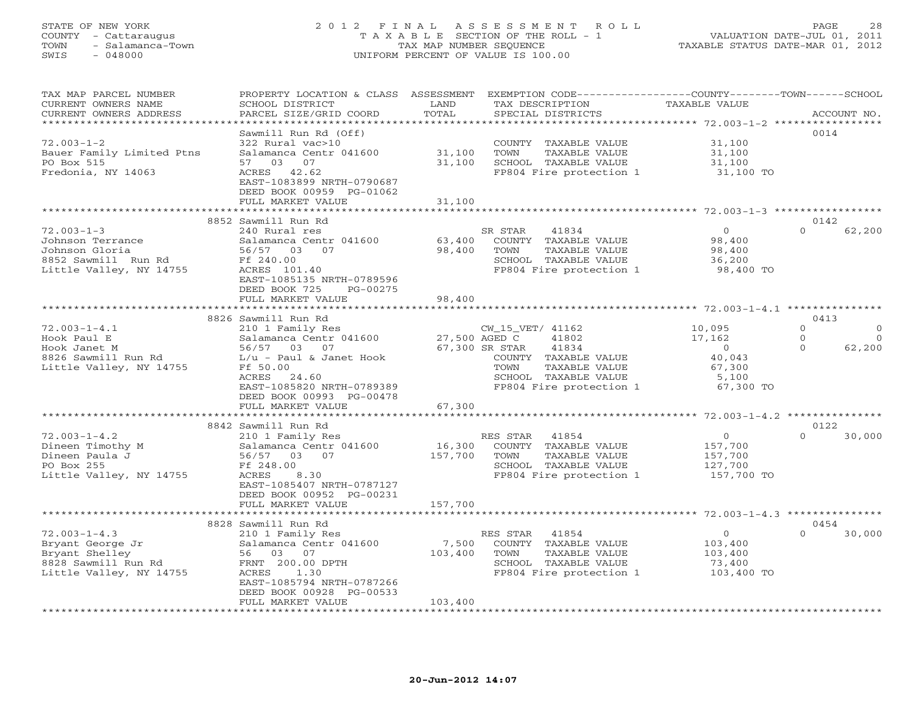# STATE OF NEW YORK 2 0 1 2 F I N A L A S S E S S M E N T R O L L PAGE 28 COUNTY - Cattaraugus T A X A B L E SECTION OF THE ROLL - 1 VALUATION DATE-JUL 01, 2011 TOWN - Salamanca-Town TAX MAP NUMBER SEQUENCE TAXABLE STATUS DATE-MAR 01, 2012 SWIS - 048000 UNIFORM PERCENT OF VALUE IS 100.00

| TAX MAP PARCEL NUMBER<br>CURRENT OWNERS NAME                | PROPERTY LOCATION & CLASS ASSESSMENT<br>SCHOOL DISTRICT                                   | LAND             | EXEMPTION CODE----------------COUNTY-------TOWN------SCHOOL<br>TAX DESCRIPTION | TAXABLE VALUE                                 |                  |             |
|-------------------------------------------------------------|-------------------------------------------------------------------------------------------|------------------|--------------------------------------------------------------------------------|-----------------------------------------------|------------------|-------------|
| CURRENT OWNERS ADDRESS<br>*********************             | PARCEL SIZE/GRID COORD<br>* * * * * * * * * * * * * * * * * * *                           | TOTAL            | SPECIAL DISTRICTS                                                              |                                               |                  | ACCOUNT NO. |
|                                                             | Sawmill Run Rd (Off)                                                                      |                  |                                                                                |                                               | 0014             |             |
| $72.003 - 1 - 2$<br>Bauer Family Limited Ptns<br>PO Box 515 | 322 Rural vac>10<br>Salamanca Centr 041600<br>57 03 07                                    | 31,100<br>31,100 | COUNTY TAXABLE VALUE<br>TOWN<br>TAXABLE VALUE<br>SCHOOL TAXABLE VALUE          | 31,100<br>31,100<br>31,100                    |                  |             |
| Fredonia, NY 14063                                          | ACRES 42.62<br>EAST-1083899 NRTH-0790687<br>DEED BOOK 00959 PG-01062<br>FULL MARKET VALUE | 31,100           | FP804 Fire protection 1                                                        | 31,100 TO                                     |                  |             |
|                                                             |                                                                                           |                  |                                                                                | ******************** 72.003-1-3 ************* |                  |             |
|                                                             | 8852 Sawmill Run Rd                                                                       |                  |                                                                                |                                               | 0142             |             |
| $72.003 - 1 - 3$                                            | 240 Rural res                                                                             |                  | SR STAR<br>41834                                                               | $\overline{0}$                                | $\Omega$         | 62,200      |
| Johnson Terrance                                            | Salamanca Centr 041600                                                                    | 63,400           | COUNTY TAXABLE VALUE                                                           | 98,400                                        |                  |             |
| Johnson Gloria                                              | 56/57 03<br>07                                                                            | 98,400           | TAXABLE VALUE<br>TOWN                                                          | 98,400                                        |                  |             |
| 8852 Sawmill Run Rd                                         | Ff 240.00                                                                                 |                  | SCHOOL TAXABLE VALUE                                                           | 36,200                                        |                  |             |
| Little Valley, NY 14755                                     | ACRES 101.40                                                                              |                  | FP804 Fire protection 1                                                        | 98,400 TO                                     |                  |             |
|                                                             | EAST-1085135 NRTH-0789596<br>DEED BOOK 725<br>PG-00275                                    |                  |                                                                                |                                               |                  |             |
|                                                             | FULL MARKET VALUE                                                                         | 98,400           |                                                                                |                                               |                  |             |
|                                                             |                                                                                           |                  |                                                                                |                                               |                  |             |
| $72.003 - 1 - 4.1$                                          | 8826 Sawmill Run Rd                                                                       |                  |                                                                                | 10,095                                        | 0413<br>$\circ$  | $\circ$     |
| Hook Paul E                                                 | 210 1 Family Res<br>Salamanca Centr 041600                                                |                  | CW_15_VET/ 41162<br>27,500 AGED C<br>41802                                     | 17,162                                        | $\Omega$         | $\Omega$    |
| Hook Janet M                                                | 56/57 03 07                                                                               |                  | 41834<br>67,300 SR STAR                                                        | $\circ$                                       | $\Omega$         | 62,200      |
| 8826 Sawmill Run Rd                                         | $L/u$ - Paul & Janet Hook                                                                 |                  | COUNTY TAXABLE VALUE                                                           | 40,043                                        |                  |             |
| Little Valley, NY 14755                                     | Ff 50.00                                                                                  |                  | TOWN<br>TAXABLE VALUE                                                          | 67,300                                        |                  |             |
|                                                             | ACRES 24.60                                                                               |                  | SCHOOL TAXABLE VALUE                                                           | 5,100                                         |                  |             |
|                                                             | EAST-1085820 NRTH-0789389                                                                 |                  | FP804 Fire protection 1                                                        | 67,300 TO                                     |                  |             |
|                                                             | DEED BOOK 00993 PG-00478                                                                  |                  |                                                                                |                                               |                  |             |
|                                                             | FULL MARKET VALUE                                                                         | 67,300           |                                                                                |                                               |                  |             |
|                                                             | *******************                                                                       | **************** |                                                                                |                                               |                  |             |
|                                                             | 8842 Sawmill Run Rd                                                                       |                  |                                                                                |                                               | 0122<br>$\Omega$ |             |
| $72.003 - 1 - 4.2$<br>Dineen Timothy M                      | 210 1 Family Res<br>Salamanca Centr 041600                                                | 16,300           | RES STAR<br>41854<br>COUNTY TAXABLE VALUE                                      | $\overline{0}$<br>157,700                     |                  | 30,000      |
| Dineen Paula J                                              | 56/57 03 07                                                                               | 157,700          | TOWN<br>TAXABLE VALUE                                                          | 157,700                                       |                  |             |
| PO Box 255                                                  | Ff 248.00                                                                                 |                  | SCHOOL TAXABLE VALUE                                                           | 127,700                                       |                  |             |
| Little Valley, NY 14755                                     | ACRES<br>8.30                                                                             |                  | FP804 Fire protection 1                                                        | 157,700 TO                                    |                  |             |
|                                                             | EAST-1085407 NRTH-0787127                                                                 |                  |                                                                                |                                               |                  |             |
|                                                             | DEED BOOK 00952 PG-00231                                                                  |                  |                                                                                |                                               |                  |             |
|                                                             | FULL MARKET VALUE                                                                         | 157,700          |                                                                                |                                               |                  |             |
|                                                             |                                                                                           |                  |                                                                                |                                               |                  |             |
|                                                             | 8828 Sawmill Run Rd                                                                       |                  |                                                                                |                                               | 0454             |             |
| $72.003 - 1 - 4.3$                                          | 210 1 Family Res                                                                          |                  | RES STAR<br>41854                                                              | $\Omega$                                      | $\Omega$         | 30,000      |
| Bryant George Jr<br>Bryant Shelley                          | Salamanca Centr 041600<br>56 03 07                                                        | 7,500<br>103,400 | COUNTY TAXABLE VALUE<br>TOWN<br>TAXABLE VALUE                                  | 103,400                                       |                  |             |
| 8828 Sawmill Run Rd                                         | FRNT 200.00 DPTH                                                                          |                  | SCHOOL TAXABLE VALUE                                                           | 103,400<br>73,400                             |                  |             |
| Little Valley, NY 14755                                     | ACRES<br>1.30                                                                             |                  | FP804 Fire protection 1                                                        | 103,400 TO                                    |                  |             |
|                                                             | EAST-1085794 NRTH-0787266                                                                 |                  |                                                                                |                                               |                  |             |
|                                                             | DEED BOOK 00928 PG-00533                                                                  |                  |                                                                                |                                               |                  |             |
|                                                             | FULL MARKET VALUE                                                                         | 103,400          |                                                                                |                                               |                  |             |
|                                                             | * * * * * * * * * * * * * * * * *                                                         |                  |                                                                                |                                               |                  |             |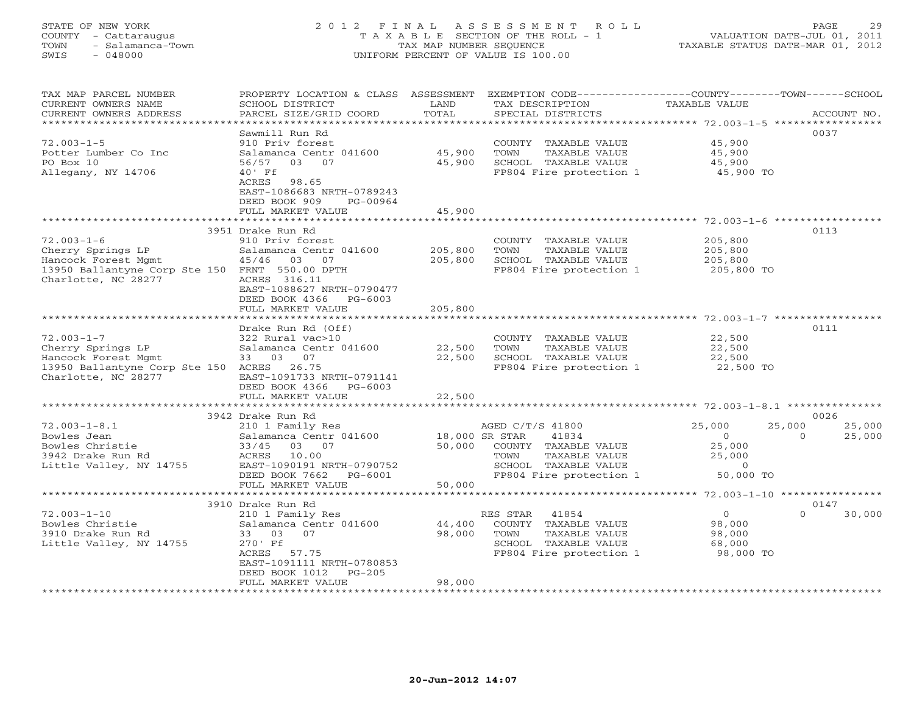# STATE OF NEW YORK 2 0 1 2 F I N A L A S S E S S M E N T R O L L PAGE 29 COUNTY - Cattaraugus T A X A B L E SECTION OF THE ROLL - 1 VALUATION DATE-JUL 01, 2011 TOWN - Salamanca-Town TAX MAP NUMBER SEQUENCE TAXABLE STATUS DATE-MAR 01, 2012 SWIS - 048000 UNIFORM PERCENT OF VALUE IS 100.00

| TAX MAP PARCEL NUMBER<br>CURRENT OWNERS NAME<br>CURRENT OWNERS ADDRESS                                                                | PROPERTY LOCATION & CLASS ASSESSMENT<br>SCHOOL DISTRICT<br>PARCEL SIZE/GRID COORD                                                                       | LAND<br>TOTAL            | EXEMPTION CODE-----------------COUNTY-------TOWN------SCHOOL<br>TAX DESCRIPTION<br>SPECIAL DISTRICTS                          | <b>TAXABLE VALUE</b>                                                      | ACCOUNT NO.                          |
|---------------------------------------------------------------------------------------------------------------------------------------|---------------------------------------------------------------------------------------------------------------------------------------------------------|--------------------------|-------------------------------------------------------------------------------------------------------------------------------|---------------------------------------------------------------------------|--------------------------------------|
| **********************                                                                                                                |                                                                                                                                                         |                          |                                                                                                                               |                                                                           |                                      |
| $72.003 - 1 - 5$<br>Potter Lumber Co Inc<br>PO Box 10<br>Allegany, NY 14706                                                           | Sawmill Run Rd<br>910 Priv forest<br>Salamanca Centr 041600<br>56/57<br>03 07<br>$40'$ Ff<br>98.65<br>ACRES<br>EAST-1086683 NRTH-0789243                | 45,900<br>45,900         | COUNTY TAXABLE VALUE<br>TOWN<br>TAXABLE VALUE<br>SCHOOL TAXABLE VALUE<br>FP804 Fire protection 1                              | 45,900<br>45,900<br>45,900<br>45,900 TO                                   | 0037                                 |
|                                                                                                                                       | DEED BOOK 909<br>PG-00964                                                                                                                               |                          |                                                                                                                               |                                                                           |                                      |
|                                                                                                                                       | FULL MARKET VALUE                                                                                                                                       | 45,900                   |                                                                                                                               |                                                                           |                                      |
|                                                                                                                                       | 3951 Drake Run Rd                                                                                                                                       |                          |                                                                                                                               |                                                                           | 0113                                 |
| $72.003 - 1 - 6$<br>Cherry Springs LP<br>Hancock Forest Mgmt<br>13950 Ballantyne Corp Ste 150 FRNT 550.00 DPTH<br>Charlotte, NC 28277 | 910 Priv forest<br>Salamanca Centr 041600<br>45/46 03 07<br>ACRES 316.11<br>EAST-1088627 NRTH-0790477<br>DEED BOOK 4366<br>PG-6003                      | 205,800<br>205,800       | COUNTY TAXABLE VALUE<br>TOWN<br>TAXABLE VALUE<br>SCHOOL TAXABLE VALUE<br>FP804 Fire protection 1                              | 205,800<br>205,800<br>205,800<br>205,800 TO                               |                                      |
|                                                                                                                                       | FULL MARKET VALUE                                                                                                                                       | 205,800                  |                                                                                                                               |                                                                           |                                      |
|                                                                                                                                       |                                                                                                                                                         |                          | ************************************72.003-1-7 ***********                                                                    |                                                                           |                                      |
| $72.003 - 1 - 7$<br>Cherry Springs LP<br>Hancock Forest Mgmt<br>13950 Ballantyne Corp Ste 150 ACRES<br>Charlotte, NC 28277            | Drake Run Rd (Off)<br>322 Rural vac>10<br>Salamanca Centr 041600<br>33 03 07<br>26.75<br>EAST-1091733 NRTH-0791141<br>DEED BOOK 4366<br>$PG-6003$       | 22,500<br>22,500         | COUNTY TAXABLE VALUE<br>TOWN<br>TAXABLE VALUE<br>SCHOOL TAXABLE VALUE<br>FP804 Fire protection 1                              | 22,500<br>22,500<br>22,500<br>22,500 TO                                   | 0111                                 |
|                                                                                                                                       | FULL MARKET VALUE                                                                                                                                       | 22,500                   |                                                                                                                               |                                                                           |                                      |
|                                                                                                                                       |                                                                                                                                                         | ***********              |                                                                                                                               |                                                                           |                                      |
| $72.003 - 1 - 8.1$<br>Bowles Jean<br>Bowles Christie<br>3942 Drake Run Rd<br>Little Valley, NY 14755                                  | 3942 Drake Run Rd<br>210 1 Family Res<br>Salamanca Centr 041600<br>33/45 03 07<br>ACRES 10.00<br>EAST-1090191 NRTH-0790752<br>DEED BOOK 7662<br>PG-6001 | 18,000 SR STAR<br>50,000 | AGED C/T/S 41800<br>41834<br>COUNTY TAXABLE VALUE<br>TOWN<br>TAXABLE VALUE<br>SCHOOL TAXABLE VALUE<br>FP804 Fire protection 1 | 25,000<br>25,000<br>$\circ$<br>25,000<br>25,000<br>$\circ$<br>$50,000$ TO | 0026<br>25,000<br>$\Omega$<br>25,000 |
|                                                                                                                                       | FULL MARKET VALUE                                                                                                                                       | 50,000                   |                                                                                                                               |                                                                           |                                      |
|                                                                                                                                       | **************************                                                                                                                              |                          |                                                                                                                               |                                                                           |                                      |
|                                                                                                                                       | 3910 Drake Run Rd                                                                                                                                       |                          |                                                                                                                               |                                                                           | 0147                                 |
| $72.003 - 1 - 10$<br>Bowles Christie<br>3910 Drake Run Rd<br>Little Valley, NY 14755                                                  | 210 1 Family Res<br>Salamanca Centr 041600<br>33 03 07<br>270' Ff<br>ACRES 57.75<br>EAST-1091111 NRTH-0780853<br>$PG-205$<br>DEED BOOK 1012             | 44,400<br>98,000         | RES STAR<br>41854<br>COUNTY TAXABLE VALUE<br>TOWN<br>TAXABLE VALUE<br>SCHOOL TAXABLE VALUE<br>FP804 Fire protection 1         | $\overline{O}$<br>98,000<br>98,000<br>68,000<br>98,000 TO                 | $\Omega$<br>30,000                   |
|                                                                                                                                       | FULL MARKET VALUE                                                                                                                                       | 98,000                   |                                                                                                                               |                                                                           |                                      |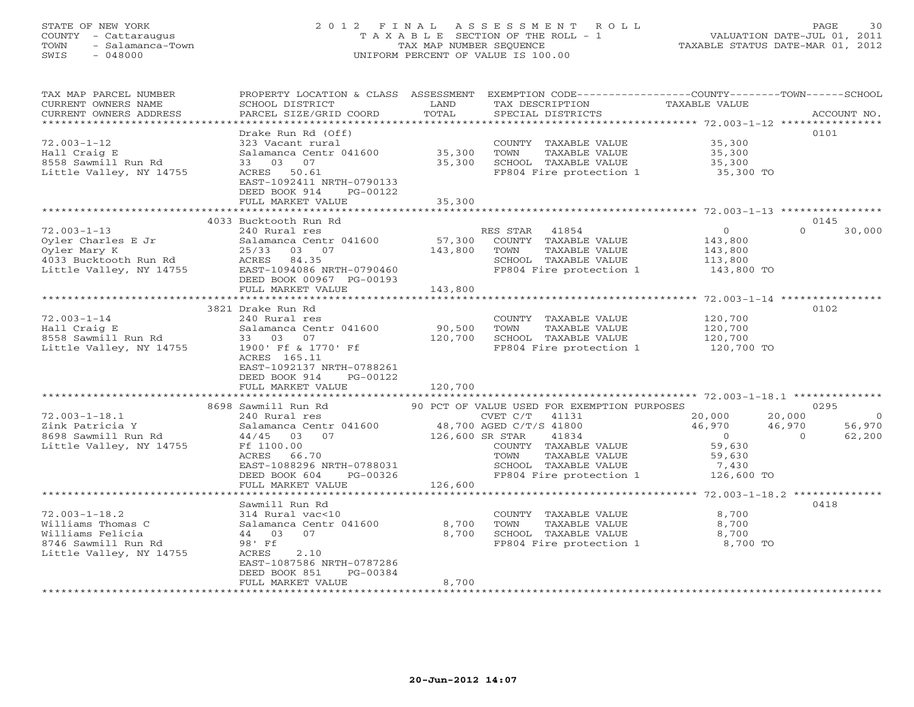# STATE OF NEW YORK 2 0 1 2 F I N A L A S S E S S M E N T R O L L PAGE 30 COUNTY - Cattaraugus T A X A B L E SECTION OF THE ROLL - 1 VALUATION DATE-JUL 01, 2011 TOWN - Salamanca-Town TAX MAP NUMBER SEQUENCE TAXABLE STATUS DATE-MAR 01, 2012 SWIS - 048000 UNIFORM PERCENT OF VALUE IS 100.00

| TAX MAP PARCEL NUMBER<br>CURRENT OWNERS NAME<br>CURRENT OWNERS ADDRESS                                      | PROPERTY LOCATION & CLASS ASSESSMENT EXEMPTION CODE---------------COUNTY-------TOWN-----SCHOOL<br>SCHOOL DISTRICT<br>PARCEL SIZE/GRID COORD | LAND<br>TOTAL     | TAX DESCRIPTION<br>SPECIAL DISTRICTS                                                                                                                      | TAXABLE VALUE                                                                       | ACCOUNT NO.                                    |
|-------------------------------------------------------------------------------------------------------------|---------------------------------------------------------------------------------------------------------------------------------------------|-------------------|-----------------------------------------------------------------------------------------------------------------------------------------------------------|-------------------------------------------------------------------------------------|------------------------------------------------|
|                                                                                                             |                                                                                                                                             |                   |                                                                                                                                                           |                                                                                     |                                                |
| $72.003 - 1 - 12$<br>Hall Craig E<br>8558 Sawmill Run Rd<br>Little Valley, NY 14755                         | Drake Run Rd (Off)<br>323 Vacant rural<br>Salamanca Centr 041600<br>33 03 07<br>ACRES 50.61                                                 | 35,300<br>35,300  | COUNTY TAXABLE VALUE<br>TOWN<br>TAXABLE VALUE<br>SCHOOL TAXABLE VALUE<br>FP804 Fire protection 1                                                          | 35,300<br>35,300<br>35,300<br>35,300 TO                                             | 0101                                           |
|                                                                                                             | EAST-1092411 NRTH-0790133<br>DEED BOOK 914<br>PG-00122<br>FULL MARKET VALUE                                                                 | 35,300            |                                                                                                                                                           |                                                                                     |                                                |
|                                                                                                             |                                                                                                                                             |                   |                                                                                                                                                           |                                                                                     |                                                |
|                                                                                                             | 4033 Bucktooth Run Rd                                                                                                                       |                   |                                                                                                                                                           |                                                                                     | 0145                                           |
| $72.003 - 1 - 13$<br>Oyler Charles E Jr<br>Oyler Mary K<br>4033 Bucktooth Run Rd<br>Little Valley, NY 14755 | 240 Rural res<br>Salamanca Centr 041600<br>25/33 03 07<br>ACRES 84.35<br>EAST-1094086 NRTH-0790460<br>DEED BOOK 00967 PG-00193              | 57,300<br>143,800 | RES STAR 41854<br>COUNTY TAXABLE VALUE<br>TOWN<br>TAXABLE VALUE<br>SCHOOL TAXABLE VALUE<br>FP804 Fire protection 1                                        | $\overline{O}$<br>143,800<br>143,800<br>113,800<br>143,800 TO                       | $\Omega$<br>30,000                             |
|                                                                                                             | FULL MARKET VALUE                                                                                                                           | 143,800           |                                                                                                                                                           |                                                                                     |                                                |
|                                                                                                             | 3821 Drake Run Rd                                                                                                                           |                   |                                                                                                                                                           |                                                                                     | 0102                                           |
| $72.003 - 1 - 14$<br>Hall Craig E<br>8558 Sawmill Run Rd                                                    | 240 Rural res<br>Salamanca Centr 041600<br>33 03 07                                                                                         | 90,500<br>120,700 | COUNTY TAXABLE VALUE<br>TOWN<br>TAXABLE VALUE<br>SCHOOL TAXABLE VALUE                                                                                     | 120,700<br>120,700<br>120,700                                                       |                                                |
| Little Valley, NY 14755                                                                                     | 1900' Ff & 1770' Ff<br>ACRES 165.11<br>EAST-1092137 NRTH-0788261<br>DEED BOOK 914<br>PG-00122<br>FULL MARKET VALUE                          | 120,700           | FP804 Fire protection 1                                                                                                                                   | $120,700$ TO                                                                        |                                                |
|                                                                                                             |                                                                                                                                             |                   |                                                                                                                                                           |                                                                                     |                                                |
|                                                                                                             | 8698 Sawmill Run Rd                                                                                                                         |                   | 90 PCT OF VALUE USED FOR EXEMPTION PURPOSES                                                                                                               |                                                                                     | 0295                                           |
| $72.003 - 1 - 18.1$<br>Zink Patricia Y<br>8698 Sawmill Run Rd<br>Little Valley, NY 14755                    | 240 Rural res<br>Salamanca Centr 041600<br>44/45 03 07<br>Ff 1100.00<br>ACRES<br>66.70<br>EAST-1088296 NRTH-0788031<br>PG-00326             | 126,600 SR STAR   | CVET C/T<br>41131<br>48,700 AGED C/T/S 41800<br>41834<br>COUNTY TAXABLE VALUE<br>TAXABLE VALUE<br>TOWN<br>SCHOOL TAXABLE VALUE<br>FP804 Fire protection 1 | 20,000<br>20,000<br>46,970<br>46,970<br>$\overline{0}$<br>59,630<br>59,630<br>7,430 | $\overline{0}$<br>56,970<br>$\Omega$<br>62,200 |
|                                                                                                             | DEED BOOK 604<br>FULL MARKET VALUE                                                                                                          | 126,600           |                                                                                                                                                           | 126,600 TO                                                                          |                                                |
|                                                                                                             |                                                                                                                                             |                   |                                                                                                                                                           |                                                                                     |                                                |
|                                                                                                             | Sawmill Run Rd                                                                                                                              |                   |                                                                                                                                                           |                                                                                     | 0418                                           |
| $72.003 - 1 - 18.2$                                                                                         | 314 Rural vac<10                                                                                                                            |                   | COUNTY TAXABLE VALUE                                                                                                                                      | 8,700                                                                               |                                                |
| Williams Thomas C                                                                                           | Salamanca Centr 041600                                                                                                                      | 8,700             | TOWN<br>TAXABLE VALUE                                                                                                                                     | 8,700                                                                               |                                                |
| Williams Felicia                                                                                            | 44 03 07                                                                                                                                    | 8,700             | SCHOOL TAXABLE VALUE                                                                                                                                      | 8,700                                                                               |                                                |
| 8746 Sawmill Run Rd<br>Little Valley, NY 14755                                                              | 98' Ff<br>2.10<br>ACRES<br>EAST-1087586 NRTH-0787286<br>DEED BOOK 851<br>PG-00384<br>FULL MARKET VALUE                                      | 8,700             | FP804 Fire protection 1 8,700 TO                                                                                                                          |                                                                                     |                                                |
| *******************                                                                                         |                                                                                                                                             |                   |                                                                                                                                                           |                                                                                     |                                                |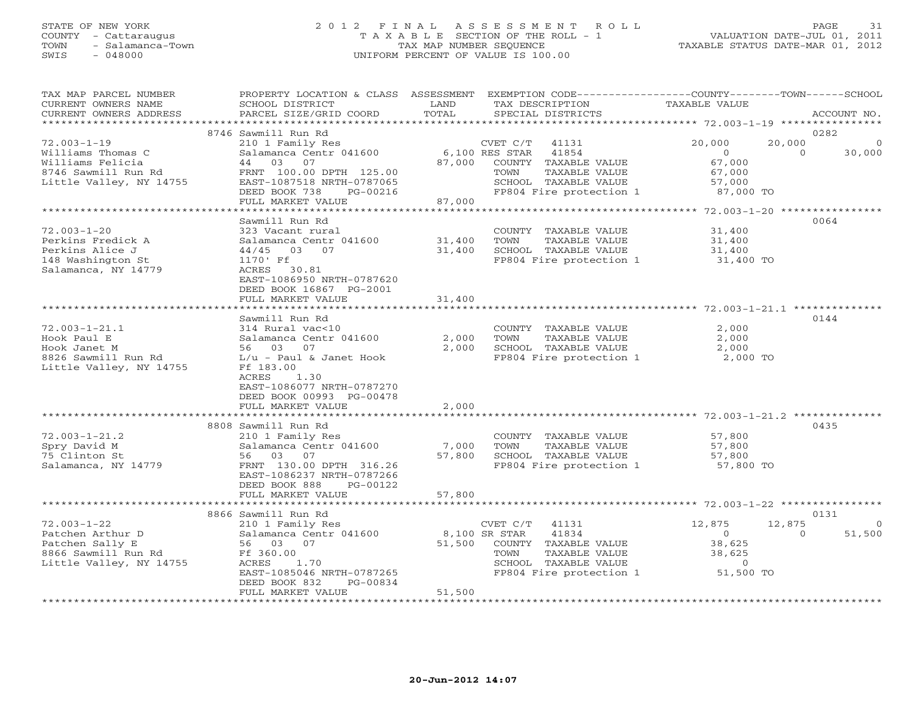#### STATE OF NEW YORK 2 0 1 2 F I N A L A S S E S S M E N T R O L L PAGE 31 COUNTY - Cattaraugus T A X A B L E SECTION OF THE ROLL - 1 VALUATION DATE-JUL 01, 2011 TOWN - Salamanca-Town TAX MAP NUMBER SEQUENCE TAXABLE STATUS DATE-MAR 01, 2012 SWIS - 048000 UNIFORM PERCENT OF VALUE IS 100.00

| TAX MAP PARCEL NUMBER<br>CURRENT OWNERS NAME<br>CURRENT OWNERS ADDRESS                                       | PROPERTY LOCATION & CLASS ASSESSMENT<br>SCHOOL DISTRICT<br>PARCEL SIZE/GRID COORD                                                                                                                                 | LAND<br>TOTAL              | EXEMPTION CODE-----------------COUNTY-------TOWN------SCHOOL<br>TAX DESCRIPTION<br>SPECIAL DISTRICTS                                               | TAXABLE VALUE                                                             | ACCOUNT NO.                           |
|--------------------------------------------------------------------------------------------------------------|-------------------------------------------------------------------------------------------------------------------------------------------------------------------------------------------------------------------|----------------------------|----------------------------------------------------------------------------------------------------------------------------------------------------|---------------------------------------------------------------------------|---------------------------------------|
| *******************                                                                                          |                                                                                                                                                                                                                   |                            |                                                                                                                                                    |                                                                           |                                       |
| $72.003 - 1 - 19$<br>Williams Thomas C<br>Williams Felicia<br>8746 Sawmill Run Rd<br>Little Valley, NY 14755 | 8746 Sawmill Run Rd<br>210 1 Family Res<br>Salamanca Centr 041600<br>44<br>03<br>07<br>FRNT 100.00 DPTH 125.00<br>EAST-1087518 NRTH-0787065<br>DEED BOOK 738<br>PG-00216<br>FULL MARKET VALUE                     | 87,000<br>87,000           | CVET C/T<br>41131<br>41854<br>$6,100$ RES STAR<br>COUNTY TAXABLE VALUE<br>TOWN<br>TAXABLE VALUE<br>SCHOOL TAXABLE VALUE<br>FP804 Fire protection 1 | 20,000<br>20,000<br>$\circ$<br>67,000<br>67,000<br>57,000<br>87,000 TO    | 0282<br>30,000<br>$\Omega$            |
|                                                                                                              | ****************************                                                                                                                                                                                      |                            |                                                                                                                                                    |                                                                           |                                       |
| $72.003 - 1 - 20$<br>Perkins Fredick A<br>Perkins Alice J<br>148 Washington St<br>Salamanca, NY 14779        | Sawmill Run Rd<br>323 Vacant rural<br>Salamanca Centr 041600<br>$44/45$ 03<br>07<br>1170' Ff<br>ACRES 30.81<br>EAST-1086950 NRTH-0787620<br>DEED BOOK 16867 PG-2001<br>FULL MARKET VALUE                          | 31,400<br>31,400<br>31,400 | COUNTY TAXABLE VALUE<br>TOWN<br>TAXABLE VALUE<br>SCHOOL TAXABLE VALUE<br>FP804 Fire protection 1                                                   | 31,400<br>31,400<br>31,400<br>31,400 TO                                   | 0064                                  |
|                                                                                                              | **************************                                                                                                                                                                                        |                            |                                                                                                                                                    | ********************************** 72.003-1-21.1 ***                      |                                       |
| $72.003 - 1 - 21.1$<br>Hook Paul E<br>Hook Janet M<br>8826 Sawmill Run Rd<br>Little Valley, NY 14755         | Sawmill Run Rd<br>314 Rural vac<10<br>Salamanca Centr 041600<br>56 03 07<br>$L/u$ - Paul & Janet Hook<br>Ff 183.00<br>ACRES<br>1.30<br>EAST-1086077 NRTH-0787270<br>DEED BOOK 00993 PG-00478<br>FULL MARKET VALUE | 2,000<br>2,000<br>2,000    | COUNTY TAXABLE VALUE<br>TOWN<br>TAXABLE VALUE<br>SCHOOL TAXABLE VALUE<br>FP804 Fire protection 1                                                   | 2,000<br>2,000<br>2,000<br>2,000 TO                                       | 0144                                  |
|                                                                                                              |                                                                                                                                                                                                                   |                            |                                                                                                                                                    |                                                                           |                                       |
| $72.003 - 1 - 21.2$<br>Spry David M<br>75 Clinton St<br>Salamanca, NY 14779                                  | 8808 Sawmill Run Rd<br>210 1 Family Res<br>Salamanca Centr 041600<br>56 03 07<br>FRNT 130.00 DPTH 316.26<br>EAST-1086237 NRTH-0787266<br>DEED BOOK 888<br>PG-00122<br>FULL MARKET VALUE                           | 7,000<br>57,800<br>57,800  | COUNTY TAXABLE VALUE<br>TOWN<br>TAXABLE VALUE<br>SCHOOL TAXABLE VALUE<br>FP804 Fire protection 1                                                   | 57,800<br>57,800<br>57,800<br>57,800 TO                                   | 0435                                  |
|                                                                                                              |                                                                                                                                                                                                                   |                            |                                                                                                                                                    |                                                                           |                                       |
| $72.003 - 1 - 22$<br>Patchen Arthur D<br>Patchen Sally E<br>8866 Sawmill Run Rd<br>Little Valley, NY 14755   | 8866 Sawmill Run Rd<br>210 1 Family Res<br>Salamanca Centr 041600<br>56 03<br>07<br>Ff 360.00<br>ACRES<br>1.70<br>EAST-1085046 NRTH-0787265<br>DEED BOOK 832<br>PG-00834                                          | 51,500                     | CVET C/T<br>41131<br>8,100 SR STAR<br>41834<br>COUNTY TAXABLE VALUE<br>TOWN<br>TAXABLE VALUE<br>SCHOOL TAXABLE VALUE<br>FP804 Fire protection 1    | 12,875<br>12,875<br>$\Omega$<br>38,625<br>38,625<br>$\Omega$<br>51,500 TO | 0131<br>$\circ$<br>51,500<br>$\Omega$ |
| **********************                                                                                       | FULL MARKET VALUE                                                                                                                                                                                                 | 51,500<br>*************    |                                                                                                                                                    |                                                                           |                                       |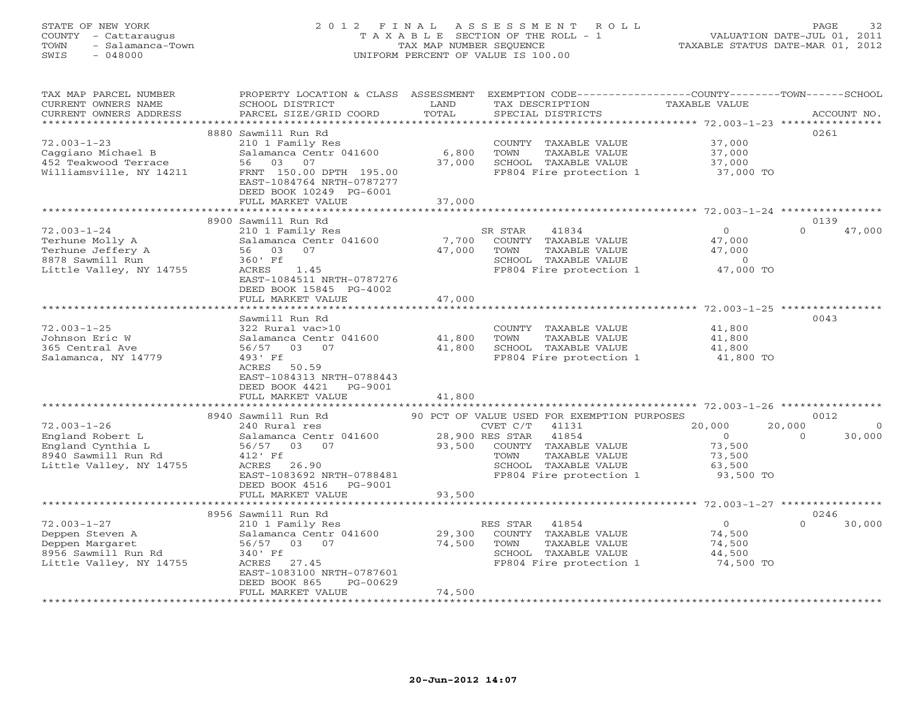# STATE OF NEW YORK 2 0 1 2 F I N A L A S S E S S M E N T R O L L PAGE 32 COUNTY - Cattaraugus T A X A B L E SECTION OF THE ROLL - 1 VALUATION DATE-JUL 01, 2011 TOWN - Salamanca-Town TAX MAP NUMBER SEQUENCE TAXABLE STATUS DATE-MAR 01, 2012 SWIS - 048000 UNIFORM PERCENT OF VALUE IS 100.00

| TAX MAP PARCEL NUMBER<br>CURRENT OWNERS NAME<br>CURRENT OWNERS ADDRESS                                              | PROPERTY LOCATION & CLASS ASSESSMENT<br>SCHOOL DISTRICT<br>PARCEL SIZE/GRID COORD                                                                                                                                      | LAND<br>TOTAL              | EXEMPTION CODE-----------------COUNTY-------TOWN------SCHOOL<br>TAX DESCRIPTION<br>SPECIAL DISTRICTS                                              | TAXABLE VALUE                                                 | ACCOUNT NO.                              |
|---------------------------------------------------------------------------------------------------------------------|------------------------------------------------------------------------------------------------------------------------------------------------------------------------------------------------------------------------|----------------------------|---------------------------------------------------------------------------------------------------------------------------------------------------|---------------------------------------------------------------|------------------------------------------|
| *********************<br>$72.003 - 1 - 23$<br>Caggiano Michael B<br>452 Teakwood Terrace<br>Williamsville, NY 14211 | 8880 Sawmill Run Rd<br>210 1 Family Res<br>Salamanca Centr 041600<br>03<br>07<br>56<br>FRNT 150.00 DPTH 195.00<br>EAST-1084764 NRTH-0787277<br>DEED BOOK 10249 PG-6001<br>FULL MARKET VALUE                            | 6,800<br>37,000<br>37,000  | COUNTY TAXABLE VALUE<br>TOWN<br>TAXABLE VALUE<br>SCHOOL TAXABLE VALUE<br>FP804 Fire protection 1                                                  | 37,000<br>37,000<br>37,000<br>37,000 TO                       | 0261                                     |
|                                                                                                                     |                                                                                                                                                                                                                        |                            |                                                                                                                                                   |                                                               |                                          |
| $72.003 - 1 - 24$<br>Terhune Molly A<br>Terhune Jeffery A<br>8878 Sawmill Run<br>Little Valley, NY 14755            | 8900 Sawmill Run Rd<br>210 1 Family Res<br>Salamanca Centr 041600<br>56<br>03<br>07<br>360' Ff<br>ACRES<br>1.45<br>EAST-1084511 NRTH-0787276<br>DEED BOOK 15845 PG-4002                                                | 7,700<br>47,000            | SR STAR<br>41834<br>COUNTY TAXABLE VALUE<br>TOWN<br>TAXABLE VALUE<br>SCHOOL TAXABLE VALUE<br>FP804 Fire protection 1                              | $\circ$<br>47,000<br>47,000<br>$\circ$<br>47,000 TO           | 0139<br>$\Omega$<br>47,000               |
|                                                                                                                     | FULL MARKET VALUE                                                                                                                                                                                                      | 47,000                     |                                                                                                                                                   |                                                               |                                          |
| $72.003 - 1 - 25$<br>Johnson Eric W<br>365 Central Ave<br>Salamanca, NY 14779                                       | Sawmill Run Rd<br>322 Rural vac>10<br>Salamanca Centr 041600<br>56/57<br>03<br>07<br>493' Ff<br>ACRES<br>50.59<br>EAST-1084313 NRTH-0788443<br>DEED BOOK 4421<br>PG-9001<br>FULL MARKET VALUE<br>********************* | 41,800<br>41,800<br>41,800 | COUNTY TAXABLE VALUE<br>TAXABLE VALUE<br>TOWN<br>SCHOOL TAXABLE VALUE<br>FP804 Fire protection 1                                                  | 41,800<br>41,800<br>41,800<br>41,800 TO                       | 0043                                     |
|                                                                                                                     | 8940 Sawmill Run Rd                                                                                                                                                                                                    |                            | 90 PCT OF VALUE USED FOR EXEMPTION PURPOSES                                                                                                       |                                                               | 0012                                     |
| $72.003 - 1 - 26$<br>England Robert L<br>England Cynthia L<br>8940 Sawmill Run Rd<br>Little Valley, NY 14755        | 240 Rural res<br>Salamanca Centr 041600<br>56/57<br>03 07<br>412' Ff<br>ACRES 26.90<br>EAST-1083692 NRTH-0788481<br>DEED BOOK 4516<br>PG-9001                                                                          | 93,500                     | CVET C/T<br>41131<br>28,900 RES STAR<br>41854<br>COUNTY TAXABLE VALUE<br>TOWN<br>TAXABLE VALUE<br>SCHOOL TAXABLE VALUE<br>FP804 Fire protection 1 | 20,000<br>$\Omega$<br>73,500<br>73,500<br>63,500<br>93,500 TO | 20,000<br>$\Omega$<br>30,000<br>$\Omega$ |
|                                                                                                                     | FULL MARKET VALUE                                                                                                                                                                                                      | 93,500                     |                                                                                                                                                   | ************************************72.003-1-27 **********    |                                          |
| $72.003 - 1 - 27$<br>Deppen Steven A<br>Deppen Margaret<br>8956 Sawmill Run Rd<br>Little Valley, NY 14755           | 8956 Sawmill Run Rd<br>210 1 Family Res<br>Salamanca Centr 041600<br>03 07<br>56/57<br>340' Ff<br>ACRES 27.45<br>EAST-1083100 NRTH-0787601<br>DEED BOOK 865<br>PG-00629<br>FULL MARKET VALUE                           | 29,300<br>74,500<br>74,500 | RES STAR<br>41854<br>COUNTY TAXABLE VALUE<br>TOWN<br>TAXABLE VALUE<br>SCHOOL TAXABLE VALUE<br>FP804 Fire protection 1                             | $\Omega$<br>74,500<br>74,500<br>44,500<br>74,500 TO           | 0246<br>$\Omega$<br>30,000               |
|                                                                                                                     |                                                                                                                                                                                                                        |                            |                                                                                                                                                   |                                                               |                                          |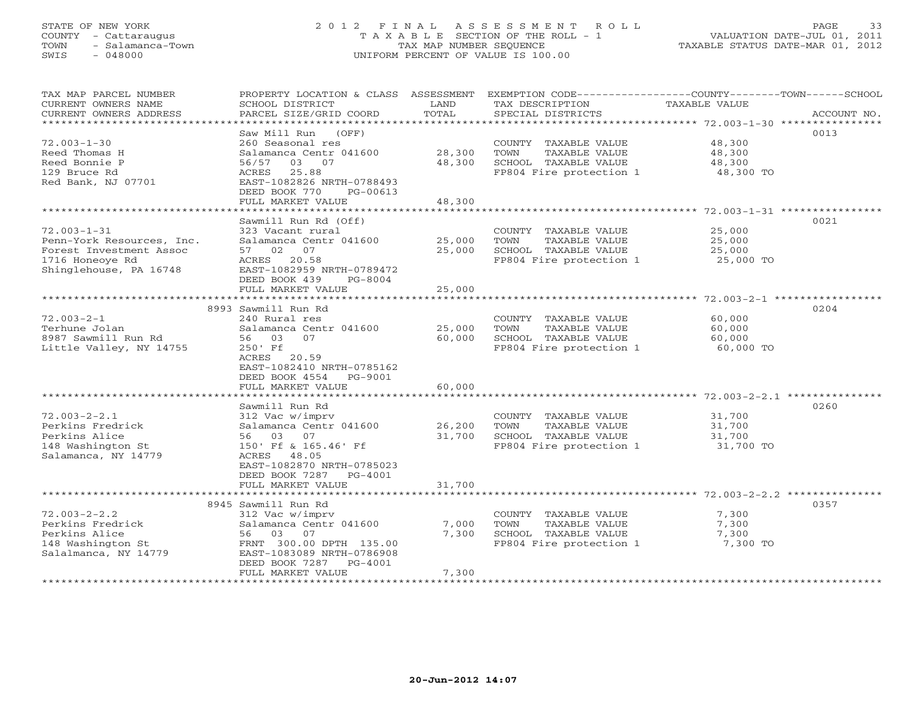# STATE OF NEW YORK 2 0 1 2 F I N A L A S S E S S M E N T R O L L PAGE 33 COUNTY - Cattaraugus T A X A B L E SECTION OF THE ROLL - 1 VALUATION DATE-JUL 01, 2011 TOWN - Salamanca-Town TAX MAP NUMBER SEQUENCE TAXABLE STATUS DATE-MAR 01, 2012 SWIS - 048000 UNIFORM PERCENT OF VALUE IS 100.00

| TAX MAP PARCEL NUMBER<br>CURRENT OWNERS NAME<br>CURRENT OWNERS ADDRESS | PROPERTY LOCATION & CLASS<br>SCHOOL DISTRICT<br>PARCEL SIZE/GRID COORD | ASSESSMENT<br>LAND<br>TOTAL | TAX DESCRIPTION<br>SPECIAL DISTRICTS            | EXEMPTION CODE----------------COUNTY-------TOWN-----SCHOOL<br>TAXABLE VALUE<br>ACCOUNT NO. |  |
|------------------------------------------------------------------------|------------------------------------------------------------------------|-----------------------------|-------------------------------------------------|--------------------------------------------------------------------------------------------|--|
| ***********************                                                | ******************                                                     |                             |                                                 |                                                                                            |  |
| $72.003 - 1 - 30$<br>Reed Thomas H                                     | Saw Mill Run<br>(OFF)<br>260 Seasonal res<br>Salamanca Centr 041600    | 28,300                      | COUNTY TAXABLE VALUE<br>TOWN<br>TAXABLE VALUE   | 0013<br>48,300<br>48,300                                                                   |  |
| Reed Bonnie P                                                          | 03 07<br>56/57                                                         | 48,300                      | SCHOOL TAXABLE VALUE                            | 48,300                                                                                     |  |
| 129 Bruce Rd                                                           | 25.88<br>ACRES                                                         |                             | FP804 Fire protection 1                         | 48,300 TO                                                                                  |  |
| Red Bank, NJ 07701                                                     | EAST-1082826 NRTH-0788493                                              |                             |                                                 |                                                                                            |  |
|                                                                        | DEED BOOK 770<br>PG-00613                                              |                             |                                                 |                                                                                            |  |
|                                                                        | FULL MARKET VALUE                                                      | 48,300                      |                                                 |                                                                                            |  |
|                                                                        | ********************                                                   | ************                |                                                 |                                                                                            |  |
|                                                                        | Sawmill Run Rd (Off)                                                   |                             |                                                 | 0021                                                                                       |  |
| $72.003 - 1 - 31$                                                      | 323 Vacant rural                                                       |                             | COUNTY TAXABLE VALUE                            | 25,000                                                                                     |  |
| Penn-York Resources, Inc.                                              | Salamanca Centr 041600                                                 | 25,000                      | TOWN<br>TAXABLE VALUE                           | 25,000                                                                                     |  |
| Forest Investment Assoc<br>1716 Honeoye Rd                             | 57 02<br>07<br>ACRES 20.58                                             | 25,000                      | SCHOOL TAXABLE VALUE<br>FP804 Fire protection 1 | 25,000<br>25,000 TO                                                                        |  |
| Shinglehouse, PA 16748                                                 | EAST-1082959 NRTH-0789472                                              |                             |                                                 |                                                                                            |  |
|                                                                        | DEED BOOK 439<br>$PG-8004$                                             |                             |                                                 |                                                                                            |  |
|                                                                        | FULL MARKET VALUE                                                      | 25,000                      |                                                 |                                                                                            |  |
|                                                                        |                                                                        |                             |                                                 |                                                                                            |  |
|                                                                        | 8993 Sawmill Run Rd                                                    |                             |                                                 | 0204                                                                                       |  |
| $72.003 - 2 - 1$                                                       | 240 Rural res                                                          |                             | COUNTY TAXABLE VALUE                            | 60,000                                                                                     |  |
| Terhune Jolan                                                          | Salamanca Centr 041600                                                 | 25,000                      | TOWN<br>TAXABLE VALUE                           | 60,000                                                                                     |  |
| 8987 Sawmill Run Rd                                                    | 03<br>07<br>56                                                         | 60,000                      | SCHOOL TAXABLE VALUE                            | 60,000                                                                                     |  |
| Little Valley, NY 14755                                                | $250'$ Ff                                                              |                             | FP804 Fire protection 1                         | 60,000 TO                                                                                  |  |
|                                                                        | ACRES 20.59                                                            |                             |                                                 |                                                                                            |  |
|                                                                        | EAST-1082410 NRTH-0785162                                              |                             |                                                 |                                                                                            |  |
|                                                                        | DEED BOOK 4554<br>PG-9001<br>FULL MARKET VALUE                         | 60,000                      |                                                 |                                                                                            |  |
|                                                                        |                                                                        |                             |                                                 |                                                                                            |  |
|                                                                        | Sawmill Run Rd                                                         |                             |                                                 | 0260                                                                                       |  |
| $72.003 - 2 - 2.1$                                                     | 312 Vac w/imprv                                                        |                             | COUNTY TAXABLE VALUE                            | 31,700                                                                                     |  |
| Perkins Fredrick                                                       | Salamanca Centr 041600                                                 | 26,200                      | TAXABLE VALUE<br>TOWN                           | 31,700                                                                                     |  |
| Perkins Alice                                                          | 56 03<br>07                                                            | 31,700                      | SCHOOL TAXABLE VALUE                            | 31,700                                                                                     |  |
| 148 Washington St                                                      | 150' Ff & 165.46' Ff                                                   |                             | FP804 Fire protection 1                         | 31,700 TO                                                                                  |  |
| Salamanca, NY 14779                                                    | ACRES<br>48.05                                                         |                             |                                                 |                                                                                            |  |
|                                                                        | EAST-1082870 NRTH-0785023                                              |                             |                                                 |                                                                                            |  |
|                                                                        | DEED BOOK 7287<br>PG-4001                                              |                             |                                                 |                                                                                            |  |
|                                                                        | FULL MARKET VALUE                                                      | 31,700                      |                                                 |                                                                                            |  |
|                                                                        |                                                                        |                             |                                                 | 0357                                                                                       |  |
| $72.003 - 2 - 2.2$                                                     | 8945 Sawmill Run Rd<br>312 Vac w/imprv                                 |                             | COUNTY TAXABLE VALUE                            | 7,300                                                                                      |  |
| Perkins Fredrick                                                       | Salamanca Centr 041600                                                 | 7,000                       | TOWN<br>TAXABLE VALUE                           | 7,300                                                                                      |  |
| Perkins Alice                                                          | 03<br>56<br>07                                                         | 7,300                       | SCHOOL TAXABLE VALUE                            | 7,300                                                                                      |  |
| 148 Washington St                                                      | FRNT 300.00 DPTH 135.00                                                |                             | FP804 Fire protection 1                         | 7,300 TO                                                                                   |  |
| Salalmanca, NY 14779                                                   | EAST-1083089 NRTH-0786908                                              |                             |                                                 |                                                                                            |  |
|                                                                        | DEED BOOK 7287<br>$PG-4001$                                            |                             |                                                 |                                                                                            |  |
|                                                                        | FULL MARKET VALUE                                                      | 7,300                       |                                                 |                                                                                            |  |
|                                                                        |                                                                        |                             |                                                 |                                                                                            |  |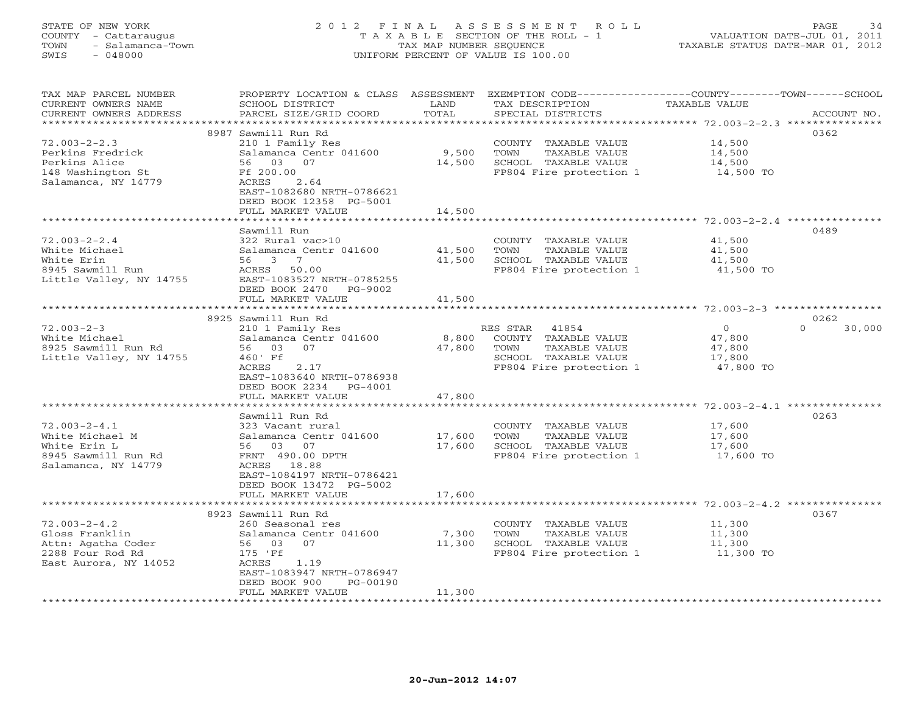#### STATE OF NEW YORK 2 0 1 2 F I N A L A S S E S S M E N T R O L L PAGE 34 COUNTY - Cattaraugus T A X A B L E SECTION OF THE ROLL - 1 VALUATION DATE-JUL 01, 2011 TOWN - Salamanca-Town TAX MAP NUMBER SEQUENCE TAXABLE STATUS DATE-MAR 01, 2012 SWIS - 048000 UNIFORM PERCENT OF VALUE IS 100.00UNIFORM PERCENT OF VALUE IS 100.00

| TAX MAP PARCEL NUMBER<br>CURRENT OWNERS NAME<br>CURRENT OWNERS ADDRESS | PROPERTY LOCATION & CLASS ASSESSMENT<br>SCHOOL DISTRICT<br>PARCEL SIZE/GRID COORD | LAND<br>TOTAL    | EXEMPTION CODE-----------------COUNTY-------TOWN------SCHOOL<br>TAX DESCRIPTION<br>SPECIAL DISTRICTS | <b>TAXABLE VALUE</b>          | ACCOUNT NO.      |
|------------------------------------------------------------------------|-----------------------------------------------------------------------------------|------------------|------------------------------------------------------------------------------------------------------|-------------------------------|------------------|
|                                                                        | + + + + + + + + + + + + + + + + + + +                                             | ***********      |                                                                                                      | ************ 72.003-2-2.3 *** | ************     |
|                                                                        | 8987 Sawmill Run Rd                                                               |                  |                                                                                                      |                               | 0362             |
| $72.003 - 2 - 2.3$                                                     | 210 1 Family Res                                                                  |                  | COUNTY TAXABLE VALUE                                                                                 | 14,500                        |                  |
| Perkins Fredrick                                                       | Salamanca Centr 041600                                                            | 9,500            | TOWN<br>TAXABLE VALUE                                                                                | 14,500                        |                  |
| Perkins Alice                                                          | 56 03<br>07                                                                       | 14,500           | SCHOOL TAXABLE VALUE                                                                                 | 14,500                        |                  |
| 148 Washington St                                                      | Ff 200.00                                                                         |                  | FP804 Fire protection 1                                                                              | 14,500 TO                     |                  |
| Salamanca, NY 14779                                                    | ACRES<br>2.64                                                                     |                  |                                                                                                      |                               |                  |
|                                                                        | EAST-1082680 NRTH-0786621<br>DEED BOOK 12358 PG-5001                              |                  |                                                                                                      |                               |                  |
|                                                                        | FULL MARKET VALUE                                                                 | 14,500           |                                                                                                      |                               |                  |
|                                                                        | ***************************                                                       | ********         |                                                                                                      |                               |                  |
|                                                                        | Sawmill Run                                                                       |                  |                                                                                                      |                               | 0489             |
| $72.003 - 2 - 2.4$                                                     | 322 Rural vac>10                                                                  |                  | COUNTY TAXABLE VALUE                                                                                 | 41,500                        |                  |
| White Michael                                                          | Salamanca Centr 041600                                                            | 41,500           | TOWN<br>TAXABLE VALUE                                                                                | 41,500                        |                  |
| White Erin                                                             | 56 3<br>$\overline{7}$                                                            | 41,500           | SCHOOL TAXABLE VALUE                                                                                 | 41,500                        |                  |
| 8945 Sawmill Run                                                       | ACRES<br>50.00                                                                    |                  | FP804 Fire protection 1                                                                              | 41,500 TO                     |                  |
| Little Valley, NY 14755                                                | EAST-1083527 NRTH-0785255                                                         |                  |                                                                                                      |                               |                  |
|                                                                        | DEED BOOK 2470<br>PG-9002                                                         |                  |                                                                                                      |                               |                  |
|                                                                        | FULL MARKET VALUE                                                                 | 41,500           |                                                                                                      |                               |                  |
|                                                                        |                                                                                   |                  |                                                                                                      |                               |                  |
|                                                                        | 8925 Sawmill Run Rd                                                               |                  | 41854                                                                                                | $\overline{0}$                | 0262<br>$\Omega$ |
| $72.003 - 2 - 3$<br>White Michael                                      | 210 1 Family Res<br>Salamanca Centr 041600                                        | 8,800            | RES STAR<br>COUNTY TAXABLE VALUE                                                                     | 47,800                        | 30,000           |
| 8925 Sawmill Run Rd                                                    | 07<br>56 03                                                                       | 47,800           | TOWN<br>TAXABLE VALUE                                                                                | 47,800                        |                  |
| Little Valley, NY 14755                                                | 460' Ff                                                                           |                  | SCHOOL TAXABLE VALUE                                                                                 | 17,800                        |                  |
|                                                                        | 2.17<br>ACRES                                                                     |                  | FP804 Fire protection 1                                                                              | 47,800 TO                     |                  |
|                                                                        | EAST-1083640 NRTH-0786938                                                         |                  |                                                                                                      |                               |                  |
|                                                                        | DEED BOOK 2234<br>PG-4001                                                         |                  |                                                                                                      |                               |                  |
|                                                                        | FULL MARKET VALUE                                                                 | 47,800           |                                                                                                      |                               |                  |
|                                                                        |                                                                                   |                  |                                                                                                      |                               |                  |
|                                                                        | Sawmill Run Rd                                                                    |                  |                                                                                                      |                               | 0263             |
| $72.003 - 2 - 4.1$                                                     | 323 Vacant rural                                                                  |                  | COUNTY TAXABLE VALUE                                                                                 | 17,600                        |                  |
| White Michael M<br>White Erin L                                        | Salamanca Centr 041600<br>56 03 07                                                | 17,600<br>17,600 | TAXABLE VALUE<br>TOWN<br>SCHOOL TAXABLE VALUE                                                        | 17,600<br>17,600              |                  |
| 8945 Sawmill Run Rd                                                    | FRNT 490.00 DPTH                                                                  |                  | FP804 Fire protection 1                                                                              | 17,600 TO                     |                  |
| Salamanca, NY 14779                                                    | ACRES 18.88                                                                       |                  |                                                                                                      |                               |                  |
|                                                                        | EAST-1084197 NRTH-0786421                                                         |                  |                                                                                                      |                               |                  |
|                                                                        | DEED BOOK 13472 PG-5002                                                           |                  |                                                                                                      |                               |                  |
|                                                                        | FULL MARKET VALUE                                                                 | 17,600           |                                                                                                      |                               |                  |
|                                                                        |                                                                                   |                  |                                                                                                      |                               |                  |
|                                                                        | 8923 Sawmill Run Rd                                                               |                  |                                                                                                      |                               | 0367             |
| $72.003 - 2 - 4.2$                                                     | 260 Seasonal res                                                                  |                  | COUNTY TAXABLE VALUE                                                                                 | 11,300                        |                  |
| Gloss Franklin                                                         | Salamanca Centr 041600                                                            | 7,300            | TOWN<br>TAXABLE VALUE                                                                                | 11,300                        |                  |
| Attn: Agatha Coder                                                     | 56 03 07                                                                          | 11,300           | SCHOOL TAXABLE VALUE                                                                                 | 11,300                        |                  |
| 2288 Four Rod Rd<br>East Aurora, NY 14052                              | 175 'Ff<br>ACRES<br>1.19                                                          |                  | FP804 Fire protection 1                                                                              | 11,300 TO                     |                  |
|                                                                        | EAST-1083947 NRTH-0786947                                                         |                  |                                                                                                      |                               |                  |
|                                                                        | DEED BOOK 900<br>PG-00190                                                         |                  |                                                                                                      |                               |                  |
|                                                                        | FULL MARKET VALUE                                                                 | 11,300           |                                                                                                      |                               |                  |
|                                                                        |                                                                                   |                  |                                                                                                      |                               |                  |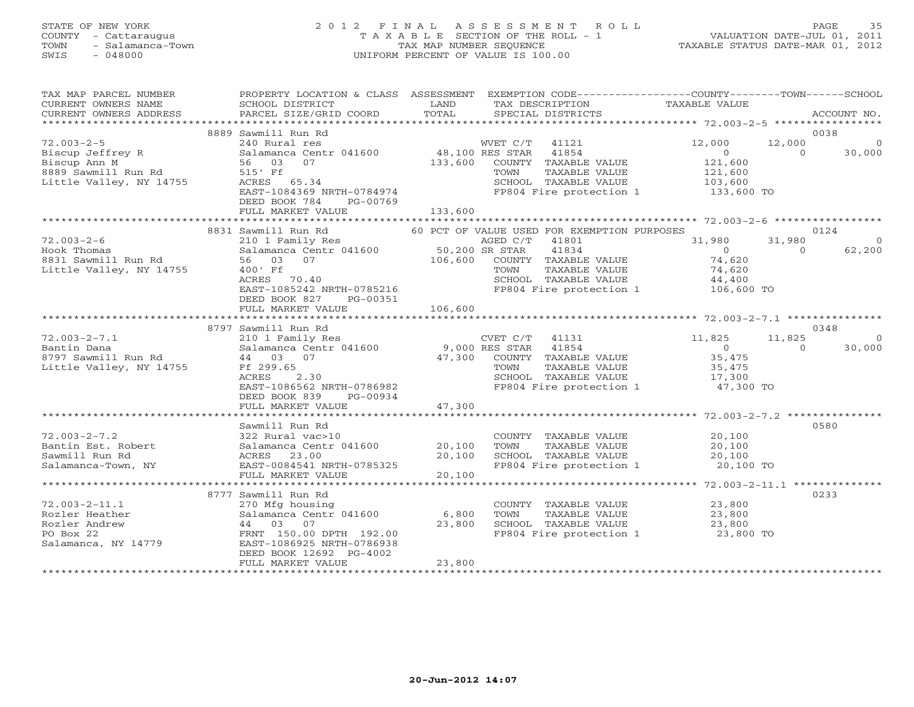# STATE OF NEW YORK 2 0 1 2 F I N A L A S S E S S M E N T R O L L PAGE 35 COUNTY - Cattaraugus T A X A B L E SECTION OF THE ROLL - 1 VALUATION DATE-JUL 01, 2011 TOWN - Salamanca-Town TAX MAP NUMBER SEQUENCE TAXABLE STATUS DATE-MAR 01, 2012 SWIS - 048000 UNIFORM PERCENT OF VALUE IS 100.00

| TAX MAP PARCEL NUMBER<br>CURRENT OWNERS NAME<br>CURRENT OWNERS ADDRESS | PROPERTY LOCATION & CLASS ASSESSMENT<br>SCHOOL DISTRICT<br>PARCEL SIZE/GRID COORD    | LAND<br>TOTAL   | EXEMPTION CODE-----------------COUNTY-------TOWN------SCHOOL<br>TAX DESCRIPTION<br>SPECIAL DISTRICTS | TAXABLE VALUE       | ACCOUNT NO.        |
|------------------------------------------------------------------------|--------------------------------------------------------------------------------------|-----------------|------------------------------------------------------------------------------------------------------|---------------------|--------------------|
|                                                                        |                                                                                      |                 |                                                                                                      |                     |                    |
|                                                                        | 8889 Sawmill Run Rd                                                                  |                 |                                                                                                      |                     | 0038               |
| $72.003 - 2 - 5$                                                       | 240 Rural res                                                                        |                 | WVET C/T 41121                                                                                       | 12,000<br>12,000    | $\overline{0}$     |
| Biscup Jeffrey R                                                       | Salamanca Centr 041600                                                               | 48,100 RES STAR | 41854                                                                                                | $\overline{0}$      | $\Omega$<br>30,000 |
| Biscup Ann M                                                           | 56 03<br>07                                                                          | 133,600         | COUNTY TAXABLE VALUE                                                                                 | 121,600             |                    |
| 8889 Sawmill Run Rd                                                    | 515' Ff                                                                              |                 | TAXABLE VALUE<br>TOWN                                                                                | 121,600<br>103,600  |                    |
| Little Valley, NY 14755                                                | ACRES 65.34                                                                          |                 | SCHOOL TAXABLE VALUE                                                                                 |                     |                    |
|                                                                        | EAST-1084369 NRTH-0784974<br>DEED BOOK 784<br>PG-00769                               |                 | FP804 Fire protection 1 133,600 TO                                                                   |                     |                    |
|                                                                        | FULL MARKET VALUE                                                                    | 133,600         |                                                                                                      |                     |                    |
|                                                                        | 8831 Sawmill Run Rd                                                                  |                 | 60 PCT OF VALUE USED FOR EXEMPTION PURPOSES                                                          |                     | 0124               |
| $72.003 - 2 - 6$                                                       | 210 1 Family Res                                                                     |                 | AGED C/T<br>41801                                                                                    | 31,980<br>31,980    | $\overline{0}$     |
| Hook Thomas                                                            | 210 1 Family Res<br>Salamanca Centr 041600 50,200 SR STAR<br>56 03 07 106,600 COUNT! |                 | 41834                                                                                                | $\overline{0}$      | 62,200<br>$\Omega$ |
| 8831 Sawmill Run Rd                                                    |                                                                                      |                 | COUNTY TAXABLE VALUE                                                                                 | 74,620              |                    |
| Little Valley, NY 14755                                                | 400' Ff                                                                              |                 |                                                                                                      | 74,620              |                    |
|                                                                        | ACRES 70.40                                                                          |                 | TOWN      TAXABLE VALUE<br>SCHOOL   TAXABLE VALUE                                                    | 44,400              |                    |
|                                                                        | EAST-1085242 NRTH-0785216                                                            |                 | FP804 Fire protection 1 106,600 TO                                                                   |                     |                    |
|                                                                        | DEED BOOK 827<br>PG-00351                                                            |                 |                                                                                                      |                     |                    |
|                                                                        | FULL MARKET VALUE                                                                    | 106,600         |                                                                                                      |                     |                    |
|                                                                        |                                                                                      |                 |                                                                                                      |                     |                    |
|                                                                        | 8797 Sawmill Run Rd                                                                  |                 |                                                                                                      |                     | 0348               |
|                                                                        |                                                                                      |                 |                                                                                                      |                     |                    |
| $72.003 - 2 - 7.1$                                                     | 210 1 Family Res                                                                     |                 | CVET C/T 41131                                                                                       | 11,825<br>11,825    | $\Omega$           |
|                                                                        | Salamanca Centr 041600                                                               | 9,000 RES STAR  | 41854                                                                                                | $\overline{0}$      | 30,000<br>$\Omega$ |
| Bantin Dana<br>8797 Sawmill Run Rd                                     | 44 03 07                                                                             |                 | 47,300 COUNTY TAXABLE VALUE                                                                          | 35,475              |                    |
| Little Valley, NY 14755                                                | Ff 299.65                                                                            |                 | TOWN<br>TAXABLE VALUE                                                                                | 35,475              |                    |
|                                                                        | 2.30<br>ACRES                                                                        |                 | SCHOOL TAXABLE VALUE                                                                                 | 17,300              |                    |
|                                                                        | EAST-1086562 NRTH-0786982                                                            |                 | FP804 Fire protection 1 47,300 TO                                                                    |                     |                    |
|                                                                        | DEED BOOK 839<br>PG-00934                                                            |                 |                                                                                                      |                     |                    |
|                                                                        | FULL MARKET VALUE                                                                    | 47,300          |                                                                                                      |                     |                    |
|                                                                        |                                                                                      |                 |                                                                                                      |                     | 0580               |
| $72.003 - 2 - 7.2$                                                     | Sawmill Run Rd<br>322 Rural vac>10                                                   |                 |                                                                                                      | 20,100              |                    |
| Bantin Est. Robert                                                     | Salamanca Centr 041600                                                               | 20,100          | COUNTY TAXABLE VALUE                                                                                 | 20,100              |                    |
| Sawmill Run Rd                                                         | ACRES 23.00                                                                          | 20,100          |                                                                                                      |                     |                    |
| Salamanca-Town, NY                                                     | EAST-0084541 NRTH-0785325                                                            |                 | TOWN      TAXABLE VALUE<br>SCHOOL   TAXABLE VALUE<br>FP804 Fire protection 1 20,100 TO               | 20,100              |                    |
|                                                                        | FULL MARKET VALUE                                                                    | 20,100          |                                                                                                      |                     |                    |
|                                                                        |                                                                                      |                 |                                                                                                      |                     |                    |
|                                                                        | 8777 Sawmill Run Rd                                                                  |                 |                                                                                                      |                     | 0233               |
| $72.003 - 2 - 11.1$                                                    | 270 Mfg housing                                                                      |                 | COUNTY TAXABLE VALUE                                                                                 | 23,800              |                    |
| Rozler Heather                                                         | Salamanca Centr 041600 6,800                                                         |                 | TOWN<br>TAXABLE VALUE                                                                                |                     |                    |
| Rozler Andrew                                                          | 44 03 07                                                                             | 23,800          |                                                                                                      | $\frac{2}{3}$ , 800 |                    |
| PO Box 22                                                              | FRNT 150.00 DPTH 192.00                                                              |                 | SCHOOL TAXABLE VALUE 23,800<br>FP804 Fire protection 1 23,800 TO                                     |                     |                    |
| Salamanca, NY 14779                                                    | EAST-1086925 NRTH-0786938                                                            |                 |                                                                                                      |                     |                    |
|                                                                        | DEED BOOK 12692 PG-4002<br>FULL MARKET VALUE                                         | 23,800          |                                                                                                      |                     |                    |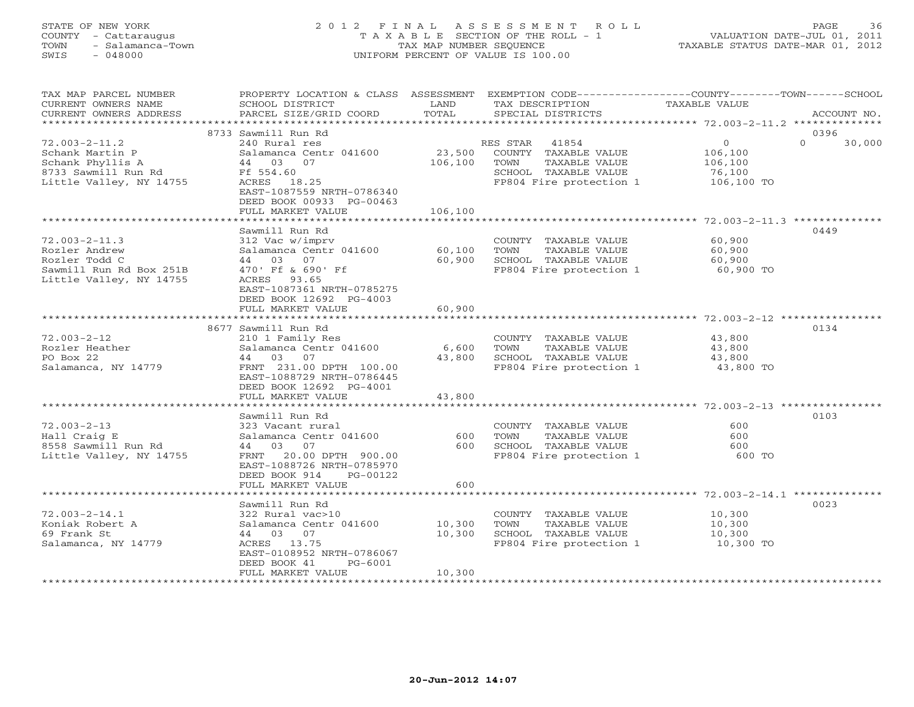### STATE OF NEW YORK 2 0 1 2 F I N A L A S S E S S M E N T R O L L PAGE 36 COUNTY - Cattaraugus T A X A B L E SECTION OF THE ROLL - 1 VALUATION DATE-JUL 01, 2011 TOWN - Salamanca-Town TAX MAP NUMBER SEQUENCE TAXABLE STATUS DATE-MAR 01, 2012 SWIS - 048000 UNIFORM PERCENT OF VALUE IS 100.00

| EXEMPTION CODE-----------------COUNTY-------TOWN------SCHOOL<br>ACCOUNT NO. |
|-----------------------------------------------------------------------------|
|                                                                             |
| 30,000                                                                      |
|                                                                             |
|                                                                             |
|                                                                             |
|                                                                             |
|                                                                             |
|                                                                             |
|                                                                             |
| ******************** 72.003-2-14.1 ************                             |
|                                                                             |
|                                                                             |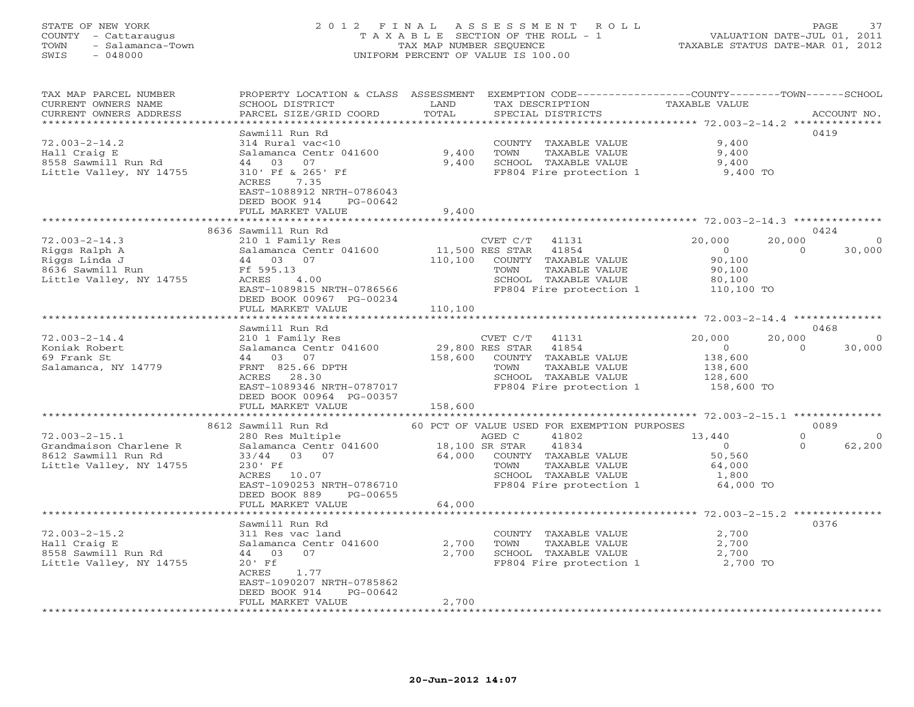#### STATE OF NEW YORK 2 0 1 2 F I N A L A S S E S S M E N T R O L L PAGE 37 COUNTY - Cattaraugus T A X A B L E SECTION OF THE ROLL - 1 VALUATION DATE-JUL 01, 2011 TOWN - Salamanca-Town TAX MAP NUMBER SEQUENCE TAXABLE STATUS DATE-MAR 01, 2012 SWIS - 048000 UNIFORM PERCENT OF VALUE IS 100.00

| TAX MAP PARCEL NUMBER<br>CURRENT OWNERS NAME | PROPERTY LOCATION & CLASS ASSESSMENT<br>SCHOOL DISTRICT         | LAND           | TAX DESCRIPTION                                          | EXEMPTION CODE-----------------COUNTY-------TOWN------SCHOOL<br>TAXABLE VALUE |                                      |
|----------------------------------------------|-----------------------------------------------------------------|----------------|----------------------------------------------------------|-------------------------------------------------------------------------------|--------------------------------------|
| CURRENT OWNERS ADDRESS                       | PARCEL SIZE/GRID COORD<br>* * * * * * * * * * * * * * * * * * * | TOTAL          | SPECIAL DISTRICTS                                        |                                                                               | ACCOUNT NO.                          |
|                                              | Sawmill Run Rd                                                  |                |                                                          |                                                                               | 0419                                 |
| $72.003 - 2 - 14.2$                          | 314 Rural vac<10                                                |                | COUNTY TAXABLE VALUE                                     | 9,400                                                                         |                                      |
| Hall Craig E                                 | Salamanca Centr 041600                                          | 9,400          | TOWN<br>TAXABLE VALUE                                    | 9,400                                                                         |                                      |
| 8558 Sawmill Run Rd                          | 44 03 07                                                        | 9,400          | SCHOOL TAXABLE VALUE                                     | 9,400                                                                         |                                      |
| Little Valley, NY 14755                      | 310' Ff & 265' Ff                                               |                | FP804 Fire protection 1                                  | 9,400 TO                                                                      |                                      |
|                                              | 7.35<br>ACRES                                                   |                |                                                          |                                                                               |                                      |
|                                              | EAST-1088912 NRTH-0786043                                       |                |                                                          |                                                                               |                                      |
|                                              | DEED BOOK 914<br>PG-00642                                       |                |                                                          |                                                                               |                                      |
|                                              | FULL MARKET VALUE                                               | 9,400          |                                                          |                                                                               |                                      |
|                                              | ***********************                                         |                |                                                          |                                                                               |                                      |
|                                              | 8636 Sawmill Run Rd                                             |                |                                                          |                                                                               | 0424                                 |
| $72.003 - 2 - 14.3$<br>Riggs Ralph A         | 210 1 Family Res<br>Salamanca Centr 041600                      |                | CVET C/T 41131<br>11,500 RES STAR 41854                  | 20,000<br>20,000<br>$\overline{0}$                                            | $\overline{0}$<br>$\Omega$<br>30,000 |
| Riggs Linda J                                | 44 03 07                                                        | 110,100        | COUNTY TAXABLE VALUE                                     | 90,100                                                                        |                                      |
| 8636 Sawmill Run                             | Ff 595.13                                                       |                | TOWN<br>TAXABLE VALUE                                    | 90,100                                                                        |                                      |
| Little Valley, NY 14755                      | 4.00<br>ACRES                                                   |                | SCHOOL TAXABLE VALUE                                     | 80,100                                                                        |                                      |
|                                              | EAST-1089815 NRTH-0786566                                       |                | FP804 Fire protection 1                                  | 110,100 TO                                                                    |                                      |
|                                              | DEED BOOK 00967 PG-00234                                        |                |                                                          |                                                                               |                                      |
|                                              | FULL MARKET VALUE                                               | 110,100        |                                                          |                                                                               |                                      |
|                                              |                                                                 |                |                                                          |                                                                               |                                      |
|                                              | Sawmill Run Rd                                                  |                |                                                          |                                                                               | 0468                                 |
| $72.003 - 2 - 14.4$                          | 210 1 Family Res                                                |                | CVET $C/T$ 41131                                         | 20,000<br>20,000                                                              | $\overline{0}$                       |
| Koniak Robert                                | Salamanca Centr 041600                                          |                | 29,800 RES STAR 41854                                    | $\overline{0}$<br>$\overline{0}$<br>138,600                                   | 30,000                               |
| 69 Frank St<br>Salamanca, NY 14779           | 44 03 07<br>FRNT 825.66 DPTH                                    | 158,600        | COUNTY TAXABLE VALUE<br>TOWN<br>TAXABLE VALUE            | 138,600                                                                       |                                      |
|                                              | ACRES 28.30                                                     |                | SCHOOL TAXABLE VALUE                                     |                                                                               |                                      |
|                                              | EAST-1089346 NRTH-0787017                                       |                | FP804 Fire protection 1                                  | 128,600<br>158,600 TO                                                         |                                      |
|                                              | DEED BOOK 00964 PG-00357                                        |                |                                                          |                                                                               |                                      |
|                                              | FULL MARKET VALUE                                               | 158,600        |                                                          |                                                                               |                                      |
|                                              |                                                                 |                |                                                          |                                                                               |                                      |
|                                              | 8612 Sawmill Run Rd                                             |                | 60 PCT OF VALUE USED FOR EXEMPTION PURPOSES              |                                                                               | 0089                                 |
| $72.003 - 2 - 15.1$                          | 280 Res Multiple                                                |                | AGED C<br>41802                                          | 13,440                                                                        | $\circ$<br>$\overline{0}$            |
| Grandmaison Charlene R                       | Salamanca Centr 041600                                          | 18,100 SR STAR | 41834                                                    | $\overline{O}$                                                                | 62,200<br>$\Omega$                   |
| 8612 Sawmill Run Rd                          | 33/44 03 07                                                     |                | 64,000 COUNTY TAXABLE VALUE                              | 50,560                                                                        |                                      |
| Little Valley, NY 14755                      | 230' Ff<br>ACRES 10.07                                          |                | TOWN<br>TAXABLE VALUE<br>SCHOOL TAXABLE VALUE            | 64,000<br>1,800                                                               |                                      |
|                                              | EAST-1090253 NRTH-0786710                                       |                | FP804 Fire protection 1 64,000 TO                        |                                                                               |                                      |
|                                              | DEED BOOK 889<br>PG-00655                                       |                |                                                          |                                                                               |                                      |
|                                              | FULL MARKET VALUE                                               | 64,000         |                                                          |                                                                               |                                      |
|                                              |                                                                 | *************  |                                                          |                                                                               |                                      |
|                                              | Sawmill Run Rd                                                  |                |                                                          |                                                                               | 0376                                 |
| $72.003 - 2 - 15.2$                          | 311 Res vac land                                                |                | COUNTY TAXABLE VALUE                                     | 2,700                                                                         |                                      |
| Hall Craig E                                 | Salamanca Centr 041600                                          | 2,700          | TOWN<br>TAXABLE VALUE                                    | 2,700                                                                         |                                      |
| 8558 Sawmill Run Rd                          | 44 03 07                                                        | 2,700          | SCHOOL TAXABLE VALUE<br>FP804 Fire protection 1 2,700 TO | 2,700                                                                         |                                      |
| Little Valley, NY 14755                      | $20'$ Ff                                                        |                |                                                          |                                                                               |                                      |
|                                              | 1.77<br>ACRES<br>EAST-1090207 NRTH-0785862                      |                |                                                          |                                                                               |                                      |
|                                              | DEED BOOK 914<br>PG-00642                                       |                |                                                          |                                                                               |                                      |
|                                              | FULL MARKET VALUE                                               | 2,700          |                                                          |                                                                               |                                      |
|                                              |                                                                 |                |                                                          |                                                                               |                                      |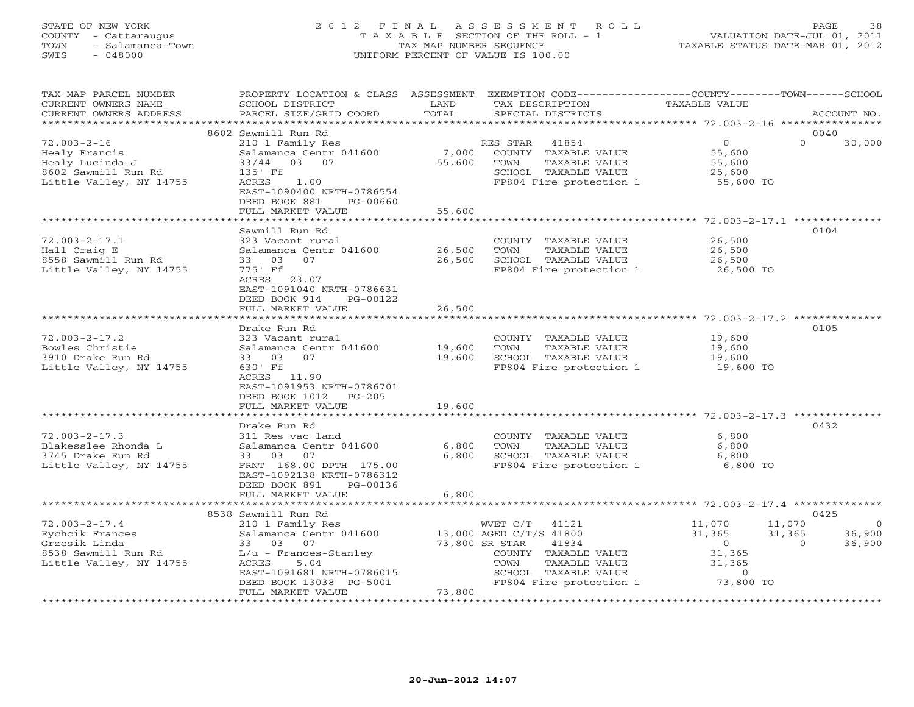# STATE OF NEW YORK 2 0 1 2 F I N A L A S S E S S M E N T R O L L PAGE 38 COUNTY - Cattaraugus T A X A B L E SECTION OF THE ROLL - 1 VALUATION DATE-JUL 01, 2011 TOWN - Salamanca-Town TAX MAP NUMBER SEQUENCE TAXABLE STATUS DATE-MAR 01, 2012 SWIS - 048000 UNIFORM PERCENT OF VALUE IS 100.00

| TAX MAP PARCEL NUMBER<br>CURRENT OWNERS NAME<br>CURRENT OWNERS ADDRESS                                    | PROPERTY LOCATION & CLASS ASSESSMENT<br>SCHOOL DISTRICT<br>PARCEL SIZE/GRID COORD                                                                                                              | LAND<br>TOTAL              | EXEMPTION CODE-----------------COUNTY-------TOWN------SCHOOL<br>TAX DESCRIPTION<br>SPECIAL DISTRICTS                                                                        | <b>TAXABLE VALUE</b>                                                    | ACCOUNT NO.                                                          |
|-----------------------------------------------------------------------------------------------------------|------------------------------------------------------------------------------------------------------------------------------------------------------------------------------------------------|----------------------------|-----------------------------------------------------------------------------------------------------------------------------------------------------------------------------|-------------------------------------------------------------------------|----------------------------------------------------------------------|
| **********************                                                                                    |                                                                                                                                                                                                |                            |                                                                                                                                                                             |                                                                         |                                                                      |
| $72.003 - 2 - 16$<br>Healy Francis<br>Healy Lucinda J<br>8602 Sawmill Run Rd<br>Little Valley, NY 14755   | 8602 Sawmill Run Rd<br>210 1 Family Res<br>Salamanca Centr 041600<br>33/44<br>03 07<br>135' Ff<br>1.00<br>ACRES<br>EAST-1090400 NRTH-0786554<br>DEED BOOK 881<br>PG-00660<br>FULL MARKET VALUE | 7,000<br>55,600<br>55,600  | RES STAR<br>41854<br>COUNTY TAXABLE VALUE<br>TOWN<br>TAXABLE VALUE<br>SCHOOL TAXABLE VALUE<br>FP804 Fire protection 1                                                       | $\circ$<br>55,600<br>55,600<br>25,600<br>55,600 TO                      | 0040<br>$\Omega$<br>30,000                                           |
|                                                                                                           |                                                                                                                                                                                                |                            |                                                                                                                                                                             |                                                                         |                                                                      |
| $72.003 - 2 - 17.1$<br>Hall Craig E<br>8558 Sawmill Run Rd<br>Little Valley, NY 14755                     | Sawmill Run Rd<br>323 Vacant rural<br>Salamanca Centr 041600<br>07<br>33 03<br>775' Ff<br>ACRES 23.07<br>EAST-1091040 NRTH-0786631<br>DEED BOOK 914<br>PG-00122<br>FULL MARKET VALUE           | 26,500<br>26,500<br>26,500 | COUNTY TAXABLE VALUE<br>TOWN<br>TAXABLE VALUE<br>SCHOOL TAXABLE VALUE<br>FP804 Fire protection 1                                                                            | 26,500<br>26,500<br>26,500<br>26,500 TO                                 | 0104                                                                 |
|                                                                                                           |                                                                                                                                                                                                |                            |                                                                                                                                                                             | ********************* 72.003-2-17.2 **************                      |                                                                      |
| $72.003 - 2 - 17.2$<br>Bowles Christie<br>3910 Drake Run Rd<br>Little Valley, NY 14755                    | Drake Run Rd<br>323 Vacant rural<br>Salamanca Centr 041600<br>07<br>33 03<br>630' Ff<br>ACRES 11.90<br>EAST-1091953 NRTH-0786701<br>DEED BOOK 1012<br>$PG-205$<br>FULL MARKET VALUE            | 19,600<br>19,600<br>19,600 | COUNTY TAXABLE VALUE<br>TOWN<br>TAXABLE VALUE<br>SCHOOL TAXABLE VALUE<br>FP804 Fire protection 1                                                                            | 19,600<br>19,600<br>19,600<br>19,600 TO                                 | 0105                                                                 |
|                                                                                                           |                                                                                                                                                                                                |                            |                                                                                                                                                                             |                                                                         |                                                                      |
| $72.003 - 2 - 17.3$<br>Blakesslee Rhonda L<br>3745 Drake Run Rd<br>Little Valley, NY 14755                | Drake Run Rd<br>311 Res vac land<br>Salamanca Centr 041600<br>33 03 07<br>FRNT 168.00 DPTH 175.00<br>EAST-1092138 NRTH-0786312<br>DEED BOOK 891<br>PG-00136<br>FULL MARKET VALUE               | 6,800<br>6,800<br>6,800    | COUNTY TAXABLE VALUE<br>TOWN<br>TAXABLE VALUE<br>SCHOOL TAXABLE VALUE<br>FP804 Fire protection 1                                                                            | 6,800<br>6,800<br>6,800<br>6,800 TO                                     | 0432                                                                 |
|                                                                                                           |                                                                                                                                                                                                |                            |                                                                                                                                                                             |                                                                         |                                                                      |
| $72.003 - 2 - 17.4$<br>Rychcik Frances<br>Grzesik Linda<br>8538 Sawmill Run Rd<br>Little Valley, NY 14755 | 8538 Sawmill Run Rd<br>210 1 Family Res<br>Salamanca Centr 041600<br>33 03<br>07<br>$L/u$ - Frances-Stanley<br>5.04<br>ACRES<br>EAST-1091681 NRTH-0786015<br>DEED BOOK 13038 PG-5001           |                            | WVET C/T<br>41121<br>13,000 AGED C/T/S 41800<br>73,800 SR STAR<br>41834<br>COUNTY TAXABLE VALUE<br>TAXABLE VALUE<br>TOWN<br>SCHOOL TAXABLE VALUE<br>FP804 Fire protection 1 | 11,070<br>31,365<br>$\circ$<br>31,365<br>31,365<br>$\circ$<br>73,800 TO | 0425<br>11,070<br>$\Omega$<br>31,365<br>36,900<br>36,900<br>$\Omega$ |
| ***********************                                                                                   | FULL MARKET VALUE                                                                                                                                                                              | 73,800                     |                                                                                                                                                                             | ********************************                                        |                                                                      |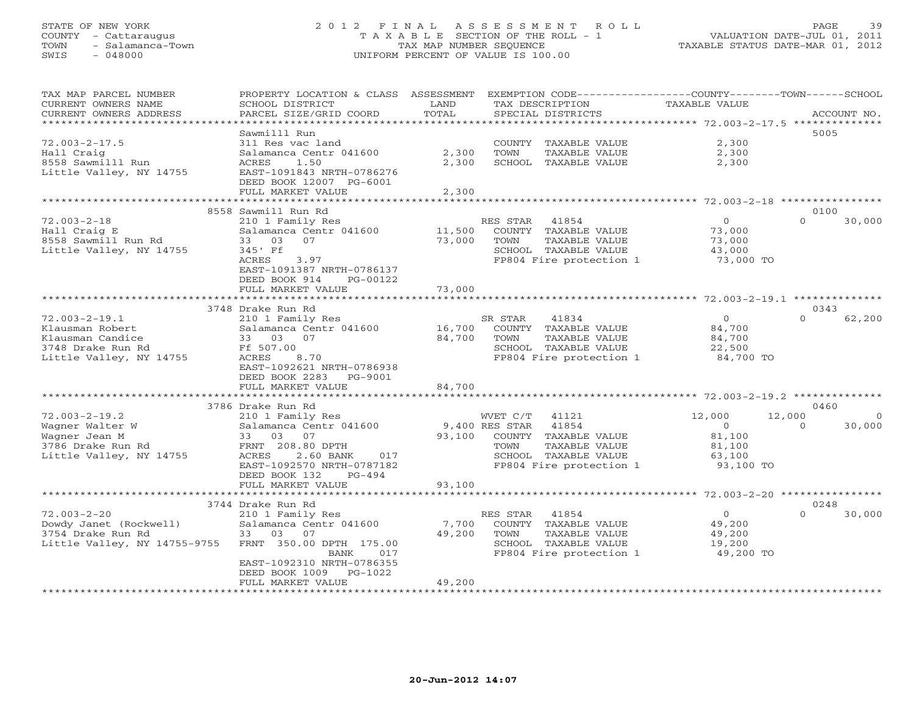#### STATE OF NEW YORK 2 0 1 2 F I N A L A S S E S S M E N T R O L L PAGE 39 COUNTY - Cattaraugus T A X A B L E SECTION OF THE ROLL - 1 VALUATION DATE-JUL 01, 2011 TOWN - Salamanca-Town - The TAX MAP NUMBER SEQUENCE TAXABLE STATUS DATE-MAR 01, 2012<br>
SWIS - 048000 - TAXABLE STATUS DATE-MAR 01, 2012 SWIS - 048000 UNIFORM PERCENT OF VALUE IS 100.00

| <b>TAXABLE VALUE</b><br>SCHOOL DISTRICT<br>LAND<br>TAX DESCRIPTION<br>TOTAL<br>CURRENT OWNERS ADDRESS<br>PARCEL SIZE/GRID COORD<br>SPECIAL DISTRICTS<br>ACCOUNT NO.<br>**************<br>************* 72.003-2-17.5 ***************<br>* * * * * * * * * * * * * * * * * * *<br>Sawmilll Run<br>5005<br>2,300<br>311 Res vac land<br>COUNTY TAXABLE VALUE<br>2,300<br>2,300<br>Salamanca Centr 041600<br>TOWN<br>TAXABLE VALUE<br>2,300<br>2,300<br>ACRES<br>1.50<br>SCHOOL TAXABLE VALUE<br>EAST-1091843 NRTH-0786276<br>DEED BOOK 12007 PG-6001<br>2,300<br>FULL MARKET VALUE<br>*******************<br>*************<br>8558 Sawmill Run Rd<br>0100<br>30,000<br>RES STAR<br>$\circ$<br>$\Omega$<br>210 1 Family Res<br>41854<br>11,500<br>COUNTY TAXABLE VALUE<br>Salamanca Centr 041600<br>73,000<br>33 03<br>07<br>73,000<br>TOWN<br>TAXABLE VALUE<br>73,000<br>345' Ff<br>SCHOOL TAXABLE VALUE<br>43,000<br>FP804 Fire protection 1<br>ACRES<br>3.97<br>73,000 TO<br>EAST-1091387 NRTH-0786137<br>DEED BOOK 914<br>PG-00122<br>73,000<br>FULL MARKET VALUE<br>**************************<br>0343<br>3748 Drake Run Rd<br>210 1 Family Res<br>SR STAR<br>41834<br>$\circ$<br>$\Omega$<br>62,200<br>16,700<br>TAXABLE VALUE<br>84,700<br>Klausman Robert<br>Salamanca Centr 041600<br>COUNTY<br>84,700<br>Klausman Candice<br>33<br>03<br>07<br>TOWN<br>TAXABLE VALUE<br>84,700<br>3748 Drake Run Rd<br>Ff 507.00<br>SCHOOL TAXABLE VALUE<br>22,500<br>8.70<br>FP804 Fire protection 1<br>84,700 TO<br>Little Valley, NY 14755<br>ACRES<br>EAST-1092621 NRTH-0786938<br>DEED BOOK 2283<br>PG-9001<br>84,700<br>FULL MARKET VALUE<br>*************<br>************************************* 72.003-2-19.2 **************<br>3786 Drake Run Rd<br>0460<br>$72.003 - 2 - 19.2$<br>210 1 Family Res<br>WVET C/T<br>41121<br>12,000<br>12,000<br>$\Omega$<br>9,400 RES STAR<br>41854<br>30,000<br>Wagner Walter W<br>Salamanca Centr 041600<br>$\circ$<br>$\Omega$<br>Wagner Jean M<br>33 03<br>07<br>93,100<br>COUNTY TAXABLE VALUE<br>81,100<br>FRNT 208.80 DPTH<br>3786 Drake Run Rd<br>TOWN<br>TAXABLE VALUE<br>81,100<br>Little Valley, NY 14755<br>ACRES<br>2.60 BANK<br>SCHOOL TAXABLE VALUE<br>017<br>63,100<br>FP804 Fire protection 1<br>93,100 TO<br>EAST-1092570 NRTH-0787182<br>DEED BOOK 132<br>$PG-494$<br>93,100<br>FULL MARKET VALUE<br>************************ 72.003-2-20 ****************<br>*********************<br>3744 Drake Run Rd<br>0248<br>$72.003 - 2 - 20$<br>41854<br>$\Omega$<br>30,000<br>RES STAR<br>$\circ$<br>210 1 Family Res<br>Dowdy Janet (Rockwell)<br>Salamanca Centr 041600<br>7,700<br>COUNTY TAXABLE VALUE<br>49,200<br>3754 Drake Run Rd<br>03<br>07<br>49,200<br>TOWN<br>TAXABLE VALUE<br>49,200<br>33<br>Little Valley, NY 14755-9755 FRNT 350.00 DPTH 175.00<br>SCHOOL TAXABLE VALUE<br>19,200<br>FP804 Fire protection 1<br>49,200 TO<br>BANK<br>017<br>EAST-1092310 NRTH-0786355<br>DEED BOOK 1009<br>PG-1022<br>49,200<br>FULL MARKET VALUE | TAX MAP PARCEL NUMBER   | PROPERTY LOCATION & CLASS ASSESSMENT | EXEMPTION CODE-----------------COUNTY-------TOWN------SCHOOL |  |
|---------------------------------------------------------------------------------------------------------------------------------------------------------------------------------------------------------------------------------------------------------------------------------------------------------------------------------------------------------------------------------------------------------------------------------------------------------------------------------------------------------------------------------------------------------------------------------------------------------------------------------------------------------------------------------------------------------------------------------------------------------------------------------------------------------------------------------------------------------------------------------------------------------------------------------------------------------------------------------------------------------------------------------------------------------------------------------------------------------------------------------------------------------------------------------------------------------------------------------------------------------------------------------------------------------------------------------------------------------------------------------------------------------------------------------------------------------------------------------------------------------------------------------------------------------------------------------------------------------------------------------------------------------------------------------------------------------------------------------------------------------------------------------------------------------------------------------------------------------------------------------------------------------------------------------------------------------------------------------------------------------------------------------------------------------------------------------------------------------------------------------------------------------------------------------------------------------------------------------------------------------------------------------------------------------------------------------------------------------------------------------------------------------------------------------------------------------------------------------------------------------------------------------------------------------------------------------------------------------------------------------------------------------------------------------------------------------------------------------------------------------------------------------------------------------------------------------------------------------------------------------------------------------------------------------------------------------------------------------------------------|-------------------------|--------------------------------------|--------------------------------------------------------------|--|
|                                                                                                                                                                                                                                                                                                                                                                                                                                                                                                                                                                                                                                                                                                                                                                                                                                                                                                                                                                                                                                                                                                                                                                                                                                                                                                                                                                                                                                                                                                                                                                                                                                                                                                                                                                                                                                                                                                                                                                                                                                                                                                                                                                                                                                                                                                                                                                                                                                                                                                                                                                                                                                                                                                                                                                                                                                                                                                                                                                                                   | CURRENT OWNERS NAME     |                                      |                                                              |  |
|                                                                                                                                                                                                                                                                                                                                                                                                                                                                                                                                                                                                                                                                                                                                                                                                                                                                                                                                                                                                                                                                                                                                                                                                                                                                                                                                                                                                                                                                                                                                                                                                                                                                                                                                                                                                                                                                                                                                                                                                                                                                                                                                                                                                                                                                                                                                                                                                                                                                                                                                                                                                                                                                                                                                                                                                                                                                                                                                                                                                   |                         |                                      |                                                              |  |
|                                                                                                                                                                                                                                                                                                                                                                                                                                                                                                                                                                                                                                                                                                                                                                                                                                                                                                                                                                                                                                                                                                                                                                                                                                                                                                                                                                                                                                                                                                                                                                                                                                                                                                                                                                                                                                                                                                                                                                                                                                                                                                                                                                                                                                                                                                                                                                                                                                                                                                                                                                                                                                                                                                                                                                                                                                                                                                                                                                                                   |                         |                                      |                                                              |  |
|                                                                                                                                                                                                                                                                                                                                                                                                                                                                                                                                                                                                                                                                                                                                                                                                                                                                                                                                                                                                                                                                                                                                                                                                                                                                                                                                                                                                                                                                                                                                                                                                                                                                                                                                                                                                                                                                                                                                                                                                                                                                                                                                                                                                                                                                                                                                                                                                                                                                                                                                                                                                                                                                                                                                                                                                                                                                                                                                                                                                   |                         |                                      |                                                              |  |
|                                                                                                                                                                                                                                                                                                                                                                                                                                                                                                                                                                                                                                                                                                                                                                                                                                                                                                                                                                                                                                                                                                                                                                                                                                                                                                                                                                                                                                                                                                                                                                                                                                                                                                                                                                                                                                                                                                                                                                                                                                                                                                                                                                                                                                                                                                                                                                                                                                                                                                                                                                                                                                                                                                                                                                                                                                                                                                                                                                                                   | $72.003 - 2 - 17.5$     |                                      |                                                              |  |
|                                                                                                                                                                                                                                                                                                                                                                                                                                                                                                                                                                                                                                                                                                                                                                                                                                                                                                                                                                                                                                                                                                                                                                                                                                                                                                                                                                                                                                                                                                                                                                                                                                                                                                                                                                                                                                                                                                                                                                                                                                                                                                                                                                                                                                                                                                                                                                                                                                                                                                                                                                                                                                                                                                                                                                                                                                                                                                                                                                                                   | Hall Craig              |                                      |                                                              |  |
|                                                                                                                                                                                                                                                                                                                                                                                                                                                                                                                                                                                                                                                                                                                                                                                                                                                                                                                                                                                                                                                                                                                                                                                                                                                                                                                                                                                                                                                                                                                                                                                                                                                                                                                                                                                                                                                                                                                                                                                                                                                                                                                                                                                                                                                                                                                                                                                                                                                                                                                                                                                                                                                                                                                                                                                                                                                                                                                                                                                                   | 8558 Sawmilll Run       |                                      |                                                              |  |
|                                                                                                                                                                                                                                                                                                                                                                                                                                                                                                                                                                                                                                                                                                                                                                                                                                                                                                                                                                                                                                                                                                                                                                                                                                                                                                                                                                                                                                                                                                                                                                                                                                                                                                                                                                                                                                                                                                                                                                                                                                                                                                                                                                                                                                                                                                                                                                                                                                                                                                                                                                                                                                                                                                                                                                                                                                                                                                                                                                                                   | Little Valley, NY 14755 |                                      |                                                              |  |
|                                                                                                                                                                                                                                                                                                                                                                                                                                                                                                                                                                                                                                                                                                                                                                                                                                                                                                                                                                                                                                                                                                                                                                                                                                                                                                                                                                                                                                                                                                                                                                                                                                                                                                                                                                                                                                                                                                                                                                                                                                                                                                                                                                                                                                                                                                                                                                                                                                                                                                                                                                                                                                                                                                                                                                                                                                                                                                                                                                                                   |                         |                                      |                                                              |  |
|                                                                                                                                                                                                                                                                                                                                                                                                                                                                                                                                                                                                                                                                                                                                                                                                                                                                                                                                                                                                                                                                                                                                                                                                                                                                                                                                                                                                                                                                                                                                                                                                                                                                                                                                                                                                                                                                                                                                                                                                                                                                                                                                                                                                                                                                                                                                                                                                                                                                                                                                                                                                                                                                                                                                                                                                                                                                                                                                                                                                   |                         |                                      |                                                              |  |
|                                                                                                                                                                                                                                                                                                                                                                                                                                                                                                                                                                                                                                                                                                                                                                                                                                                                                                                                                                                                                                                                                                                                                                                                                                                                                                                                                                                                                                                                                                                                                                                                                                                                                                                                                                                                                                                                                                                                                                                                                                                                                                                                                                                                                                                                                                                                                                                                                                                                                                                                                                                                                                                                                                                                                                                                                                                                                                                                                                                                   |                         |                                      |                                                              |  |
|                                                                                                                                                                                                                                                                                                                                                                                                                                                                                                                                                                                                                                                                                                                                                                                                                                                                                                                                                                                                                                                                                                                                                                                                                                                                                                                                                                                                                                                                                                                                                                                                                                                                                                                                                                                                                                                                                                                                                                                                                                                                                                                                                                                                                                                                                                                                                                                                                                                                                                                                                                                                                                                                                                                                                                                                                                                                                                                                                                                                   |                         |                                      |                                                              |  |
|                                                                                                                                                                                                                                                                                                                                                                                                                                                                                                                                                                                                                                                                                                                                                                                                                                                                                                                                                                                                                                                                                                                                                                                                                                                                                                                                                                                                                                                                                                                                                                                                                                                                                                                                                                                                                                                                                                                                                                                                                                                                                                                                                                                                                                                                                                                                                                                                                                                                                                                                                                                                                                                                                                                                                                                                                                                                                                                                                                                                   | $72.003 - 2 - 18$       |                                      |                                                              |  |
|                                                                                                                                                                                                                                                                                                                                                                                                                                                                                                                                                                                                                                                                                                                                                                                                                                                                                                                                                                                                                                                                                                                                                                                                                                                                                                                                                                                                                                                                                                                                                                                                                                                                                                                                                                                                                                                                                                                                                                                                                                                                                                                                                                                                                                                                                                                                                                                                                                                                                                                                                                                                                                                                                                                                                                                                                                                                                                                                                                                                   | Hall Craig E            |                                      |                                                              |  |
|                                                                                                                                                                                                                                                                                                                                                                                                                                                                                                                                                                                                                                                                                                                                                                                                                                                                                                                                                                                                                                                                                                                                                                                                                                                                                                                                                                                                                                                                                                                                                                                                                                                                                                                                                                                                                                                                                                                                                                                                                                                                                                                                                                                                                                                                                                                                                                                                                                                                                                                                                                                                                                                                                                                                                                                                                                                                                                                                                                                                   | 8558 Sawmill Run Rd     |                                      |                                                              |  |
|                                                                                                                                                                                                                                                                                                                                                                                                                                                                                                                                                                                                                                                                                                                                                                                                                                                                                                                                                                                                                                                                                                                                                                                                                                                                                                                                                                                                                                                                                                                                                                                                                                                                                                                                                                                                                                                                                                                                                                                                                                                                                                                                                                                                                                                                                                                                                                                                                                                                                                                                                                                                                                                                                                                                                                                                                                                                                                                                                                                                   | Little Valley, NY 14755 |                                      |                                                              |  |
|                                                                                                                                                                                                                                                                                                                                                                                                                                                                                                                                                                                                                                                                                                                                                                                                                                                                                                                                                                                                                                                                                                                                                                                                                                                                                                                                                                                                                                                                                                                                                                                                                                                                                                                                                                                                                                                                                                                                                                                                                                                                                                                                                                                                                                                                                                                                                                                                                                                                                                                                                                                                                                                                                                                                                                                                                                                                                                                                                                                                   |                         |                                      |                                                              |  |
|                                                                                                                                                                                                                                                                                                                                                                                                                                                                                                                                                                                                                                                                                                                                                                                                                                                                                                                                                                                                                                                                                                                                                                                                                                                                                                                                                                                                                                                                                                                                                                                                                                                                                                                                                                                                                                                                                                                                                                                                                                                                                                                                                                                                                                                                                                                                                                                                                                                                                                                                                                                                                                                                                                                                                                                                                                                                                                                                                                                                   |                         |                                      |                                                              |  |
|                                                                                                                                                                                                                                                                                                                                                                                                                                                                                                                                                                                                                                                                                                                                                                                                                                                                                                                                                                                                                                                                                                                                                                                                                                                                                                                                                                                                                                                                                                                                                                                                                                                                                                                                                                                                                                                                                                                                                                                                                                                                                                                                                                                                                                                                                                                                                                                                                                                                                                                                                                                                                                                                                                                                                                                                                                                                                                                                                                                                   |                         |                                      |                                                              |  |
|                                                                                                                                                                                                                                                                                                                                                                                                                                                                                                                                                                                                                                                                                                                                                                                                                                                                                                                                                                                                                                                                                                                                                                                                                                                                                                                                                                                                                                                                                                                                                                                                                                                                                                                                                                                                                                                                                                                                                                                                                                                                                                                                                                                                                                                                                                                                                                                                                                                                                                                                                                                                                                                                                                                                                                                                                                                                                                                                                                                                   |                         |                                      |                                                              |  |
|                                                                                                                                                                                                                                                                                                                                                                                                                                                                                                                                                                                                                                                                                                                                                                                                                                                                                                                                                                                                                                                                                                                                                                                                                                                                                                                                                                                                                                                                                                                                                                                                                                                                                                                                                                                                                                                                                                                                                                                                                                                                                                                                                                                                                                                                                                                                                                                                                                                                                                                                                                                                                                                                                                                                                                                                                                                                                                                                                                                                   |                         |                                      |                                                              |  |
|                                                                                                                                                                                                                                                                                                                                                                                                                                                                                                                                                                                                                                                                                                                                                                                                                                                                                                                                                                                                                                                                                                                                                                                                                                                                                                                                                                                                                                                                                                                                                                                                                                                                                                                                                                                                                                                                                                                                                                                                                                                                                                                                                                                                                                                                                                                                                                                                                                                                                                                                                                                                                                                                                                                                                                                                                                                                                                                                                                                                   |                         |                                      |                                                              |  |
|                                                                                                                                                                                                                                                                                                                                                                                                                                                                                                                                                                                                                                                                                                                                                                                                                                                                                                                                                                                                                                                                                                                                                                                                                                                                                                                                                                                                                                                                                                                                                                                                                                                                                                                                                                                                                                                                                                                                                                                                                                                                                                                                                                                                                                                                                                                                                                                                                                                                                                                                                                                                                                                                                                                                                                                                                                                                                                                                                                                                   | $72.003 - 2 - 19.1$     |                                      |                                                              |  |
|                                                                                                                                                                                                                                                                                                                                                                                                                                                                                                                                                                                                                                                                                                                                                                                                                                                                                                                                                                                                                                                                                                                                                                                                                                                                                                                                                                                                                                                                                                                                                                                                                                                                                                                                                                                                                                                                                                                                                                                                                                                                                                                                                                                                                                                                                                                                                                                                                                                                                                                                                                                                                                                                                                                                                                                                                                                                                                                                                                                                   |                         |                                      |                                                              |  |
|                                                                                                                                                                                                                                                                                                                                                                                                                                                                                                                                                                                                                                                                                                                                                                                                                                                                                                                                                                                                                                                                                                                                                                                                                                                                                                                                                                                                                                                                                                                                                                                                                                                                                                                                                                                                                                                                                                                                                                                                                                                                                                                                                                                                                                                                                                                                                                                                                                                                                                                                                                                                                                                                                                                                                                                                                                                                                                                                                                                                   |                         |                                      |                                                              |  |
|                                                                                                                                                                                                                                                                                                                                                                                                                                                                                                                                                                                                                                                                                                                                                                                                                                                                                                                                                                                                                                                                                                                                                                                                                                                                                                                                                                                                                                                                                                                                                                                                                                                                                                                                                                                                                                                                                                                                                                                                                                                                                                                                                                                                                                                                                                                                                                                                                                                                                                                                                                                                                                                                                                                                                                                                                                                                                                                                                                                                   |                         |                                      |                                                              |  |
|                                                                                                                                                                                                                                                                                                                                                                                                                                                                                                                                                                                                                                                                                                                                                                                                                                                                                                                                                                                                                                                                                                                                                                                                                                                                                                                                                                                                                                                                                                                                                                                                                                                                                                                                                                                                                                                                                                                                                                                                                                                                                                                                                                                                                                                                                                                                                                                                                                                                                                                                                                                                                                                                                                                                                                                                                                                                                                                                                                                                   |                         |                                      |                                                              |  |
|                                                                                                                                                                                                                                                                                                                                                                                                                                                                                                                                                                                                                                                                                                                                                                                                                                                                                                                                                                                                                                                                                                                                                                                                                                                                                                                                                                                                                                                                                                                                                                                                                                                                                                                                                                                                                                                                                                                                                                                                                                                                                                                                                                                                                                                                                                                                                                                                                                                                                                                                                                                                                                                                                                                                                                                                                                                                                                                                                                                                   |                         |                                      |                                                              |  |
|                                                                                                                                                                                                                                                                                                                                                                                                                                                                                                                                                                                                                                                                                                                                                                                                                                                                                                                                                                                                                                                                                                                                                                                                                                                                                                                                                                                                                                                                                                                                                                                                                                                                                                                                                                                                                                                                                                                                                                                                                                                                                                                                                                                                                                                                                                                                                                                                                                                                                                                                                                                                                                                                                                                                                                                                                                                                                                                                                                                                   |                         |                                      |                                                              |  |
|                                                                                                                                                                                                                                                                                                                                                                                                                                                                                                                                                                                                                                                                                                                                                                                                                                                                                                                                                                                                                                                                                                                                                                                                                                                                                                                                                                                                                                                                                                                                                                                                                                                                                                                                                                                                                                                                                                                                                                                                                                                                                                                                                                                                                                                                                                                                                                                                                                                                                                                                                                                                                                                                                                                                                                                                                                                                                                                                                                                                   |                         |                                      |                                                              |  |
|                                                                                                                                                                                                                                                                                                                                                                                                                                                                                                                                                                                                                                                                                                                                                                                                                                                                                                                                                                                                                                                                                                                                                                                                                                                                                                                                                                                                                                                                                                                                                                                                                                                                                                                                                                                                                                                                                                                                                                                                                                                                                                                                                                                                                                                                                                                                                                                                                                                                                                                                                                                                                                                                                                                                                                                                                                                                                                                                                                                                   |                         |                                      |                                                              |  |
|                                                                                                                                                                                                                                                                                                                                                                                                                                                                                                                                                                                                                                                                                                                                                                                                                                                                                                                                                                                                                                                                                                                                                                                                                                                                                                                                                                                                                                                                                                                                                                                                                                                                                                                                                                                                                                                                                                                                                                                                                                                                                                                                                                                                                                                                                                                                                                                                                                                                                                                                                                                                                                                                                                                                                                                                                                                                                                                                                                                                   |                         |                                      |                                                              |  |
|                                                                                                                                                                                                                                                                                                                                                                                                                                                                                                                                                                                                                                                                                                                                                                                                                                                                                                                                                                                                                                                                                                                                                                                                                                                                                                                                                                                                                                                                                                                                                                                                                                                                                                                                                                                                                                                                                                                                                                                                                                                                                                                                                                                                                                                                                                                                                                                                                                                                                                                                                                                                                                                                                                                                                                                                                                                                                                                                                                                                   |                         |                                      |                                                              |  |
|                                                                                                                                                                                                                                                                                                                                                                                                                                                                                                                                                                                                                                                                                                                                                                                                                                                                                                                                                                                                                                                                                                                                                                                                                                                                                                                                                                                                                                                                                                                                                                                                                                                                                                                                                                                                                                                                                                                                                                                                                                                                                                                                                                                                                                                                                                                                                                                                                                                                                                                                                                                                                                                                                                                                                                                                                                                                                                                                                                                                   |                         |                                      |                                                              |  |
|                                                                                                                                                                                                                                                                                                                                                                                                                                                                                                                                                                                                                                                                                                                                                                                                                                                                                                                                                                                                                                                                                                                                                                                                                                                                                                                                                                                                                                                                                                                                                                                                                                                                                                                                                                                                                                                                                                                                                                                                                                                                                                                                                                                                                                                                                                                                                                                                                                                                                                                                                                                                                                                                                                                                                                                                                                                                                                                                                                                                   |                         |                                      |                                                              |  |
|                                                                                                                                                                                                                                                                                                                                                                                                                                                                                                                                                                                                                                                                                                                                                                                                                                                                                                                                                                                                                                                                                                                                                                                                                                                                                                                                                                                                                                                                                                                                                                                                                                                                                                                                                                                                                                                                                                                                                                                                                                                                                                                                                                                                                                                                                                                                                                                                                                                                                                                                                                                                                                                                                                                                                                                                                                                                                                                                                                                                   |                         |                                      |                                                              |  |
|                                                                                                                                                                                                                                                                                                                                                                                                                                                                                                                                                                                                                                                                                                                                                                                                                                                                                                                                                                                                                                                                                                                                                                                                                                                                                                                                                                                                                                                                                                                                                                                                                                                                                                                                                                                                                                                                                                                                                                                                                                                                                                                                                                                                                                                                                                                                                                                                                                                                                                                                                                                                                                                                                                                                                                                                                                                                                                                                                                                                   |                         |                                      |                                                              |  |
|                                                                                                                                                                                                                                                                                                                                                                                                                                                                                                                                                                                                                                                                                                                                                                                                                                                                                                                                                                                                                                                                                                                                                                                                                                                                                                                                                                                                                                                                                                                                                                                                                                                                                                                                                                                                                                                                                                                                                                                                                                                                                                                                                                                                                                                                                                                                                                                                                                                                                                                                                                                                                                                                                                                                                                                                                                                                                                                                                                                                   |                         |                                      |                                                              |  |
|                                                                                                                                                                                                                                                                                                                                                                                                                                                                                                                                                                                                                                                                                                                                                                                                                                                                                                                                                                                                                                                                                                                                                                                                                                                                                                                                                                                                                                                                                                                                                                                                                                                                                                                                                                                                                                                                                                                                                                                                                                                                                                                                                                                                                                                                                                                                                                                                                                                                                                                                                                                                                                                                                                                                                                                                                                                                                                                                                                                                   |                         |                                      |                                                              |  |
|                                                                                                                                                                                                                                                                                                                                                                                                                                                                                                                                                                                                                                                                                                                                                                                                                                                                                                                                                                                                                                                                                                                                                                                                                                                                                                                                                                                                                                                                                                                                                                                                                                                                                                                                                                                                                                                                                                                                                                                                                                                                                                                                                                                                                                                                                                                                                                                                                                                                                                                                                                                                                                                                                                                                                                                                                                                                                                                                                                                                   |                         |                                      |                                                              |  |
|                                                                                                                                                                                                                                                                                                                                                                                                                                                                                                                                                                                                                                                                                                                                                                                                                                                                                                                                                                                                                                                                                                                                                                                                                                                                                                                                                                                                                                                                                                                                                                                                                                                                                                                                                                                                                                                                                                                                                                                                                                                                                                                                                                                                                                                                                                                                                                                                                                                                                                                                                                                                                                                                                                                                                                                                                                                                                                                                                                                                   |                         |                                      |                                                              |  |
|                                                                                                                                                                                                                                                                                                                                                                                                                                                                                                                                                                                                                                                                                                                                                                                                                                                                                                                                                                                                                                                                                                                                                                                                                                                                                                                                                                                                                                                                                                                                                                                                                                                                                                                                                                                                                                                                                                                                                                                                                                                                                                                                                                                                                                                                                                                                                                                                                                                                                                                                                                                                                                                                                                                                                                                                                                                                                                                                                                                                   |                         |                                      |                                                              |  |
|                                                                                                                                                                                                                                                                                                                                                                                                                                                                                                                                                                                                                                                                                                                                                                                                                                                                                                                                                                                                                                                                                                                                                                                                                                                                                                                                                                                                                                                                                                                                                                                                                                                                                                                                                                                                                                                                                                                                                                                                                                                                                                                                                                                                                                                                                                                                                                                                                                                                                                                                                                                                                                                                                                                                                                                                                                                                                                                                                                                                   |                         |                                      |                                                              |  |
|                                                                                                                                                                                                                                                                                                                                                                                                                                                                                                                                                                                                                                                                                                                                                                                                                                                                                                                                                                                                                                                                                                                                                                                                                                                                                                                                                                                                                                                                                                                                                                                                                                                                                                                                                                                                                                                                                                                                                                                                                                                                                                                                                                                                                                                                                                                                                                                                                                                                                                                                                                                                                                                                                                                                                                                                                                                                                                                                                                                                   |                         |                                      |                                                              |  |
|                                                                                                                                                                                                                                                                                                                                                                                                                                                                                                                                                                                                                                                                                                                                                                                                                                                                                                                                                                                                                                                                                                                                                                                                                                                                                                                                                                                                                                                                                                                                                                                                                                                                                                                                                                                                                                                                                                                                                                                                                                                                                                                                                                                                                                                                                                                                                                                                                                                                                                                                                                                                                                                                                                                                                                                                                                                                                                                                                                                                   |                         |                                      |                                                              |  |
|                                                                                                                                                                                                                                                                                                                                                                                                                                                                                                                                                                                                                                                                                                                                                                                                                                                                                                                                                                                                                                                                                                                                                                                                                                                                                                                                                                                                                                                                                                                                                                                                                                                                                                                                                                                                                                                                                                                                                                                                                                                                                                                                                                                                                                                                                                                                                                                                                                                                                                                                                                                                                                                                                                                                                                                                                                                                                                                                                                                                   |                         |                                      |                                                              |  |
|                                                                                                                                                                                                                                                                                                                                                                                                                                                                                                                                                                                                                                                                                                                                                                                                                                                                                                                                                                                                                                                                                                                                                                                                                                                                                                                                                                                                                                                                                                                                                                                                                                                                                                                                                                                                                                                                                                                                                                                                                                                                                                                                                                                                                                                                                                                                                                                                                                                                                                                                                                                                                                                                                                                                                                                                                                                                                                                                                                                                   |                         |                                      |                                                              |  |
|                                                                                                                                                                                                                                                                                                                                                                                                                                                                                                                                                                                                                                                                                                                                                                                                                                                                                                                                                                                                                                                                                                                                                                                                                                                                                                                                                                                                                                                                                                                                                                                                                                                                                                                                                                                                                                                                                                                                                                                                                                                                                                                                                                                                                                                                                                                                                                                                                                                                                                                                                                                                                                                                                                                                                                                                                                                                                                                                                                                                   |                         |                                      |                                                              |  |
|                                                                                                                                                                                                                                                                                                                                                                                                                                                                                                                                                                                                                                                                                                                                                                                                                                                                                                                                                                                                                                                                                                                                                                                                                                                                                                                                                                                                                                                                                                                                                                                                                                                                                                                                                                                                                                                                                                                                                                                                                                                                                                                                                                                                                                                                                                                                                                                                                                                                                                                                                                                                                                                                                                                                                                                                                                                                                                                                                                                                   |                         |                                      |                                                              |  |
|                                                                                                                                                                                                                                                                                                                                                                                                                                                                                                                                                                                                                                                                                                                                                                                                                                                                                                                                                                                                                                                                                                                                                                                                                                                                                                                                                                                                                                                                                                                                                                                                                                                                                                                                                                                                                                                                                                                                                                                                                                                                                                                                                                                                                                                                                                                                                                                                                                                                                                                                                                                                                                                                                                                                                                                                                                                                                                                                                                                                   |                         |                                      |                                                              |  |
|                                                                                                                                                                                                                                                                                                                                                                                                                                                                                                                                                                                                                                                                                                                                                                                                                                                                                                                                                                                                                                                                                                                                                                                                                                                                                                                                                                                                                                                                                                                                                                                                                                                                                                                                                                                                                                                                                                                                                                                                                                                                                                                                                                                                                                                                                                                                                                                                                                                                                                                                                                                                                                                                                                                                                                                                                                                                                                                                                                                                   |                         |                                      |                                                              |  |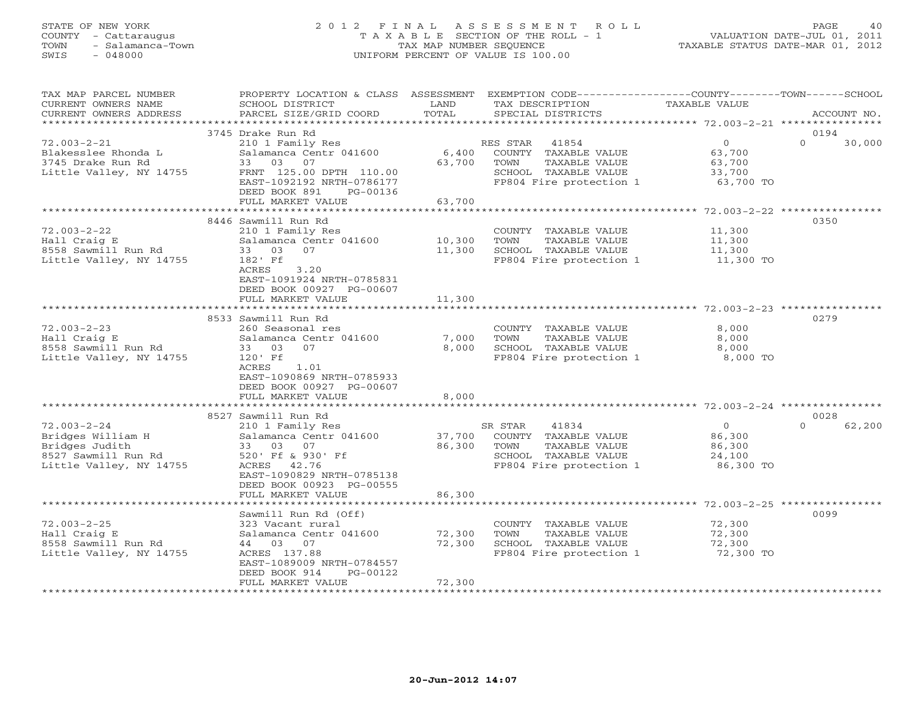#### STATE OF NEW YORK 2 0 1 2 F I N A L A S S E S S M E N T R O L L PAGE 40 COUNTY - Cattaraugus T A X A B L E SECTION OF THE ROLL - 1 VALUATION DATE-JUL 01, 2011 TOWN - Salamanca-Town TAX MAP NUMBER SEQUENCE TAXABLE STATUS DATE-MAR 01, 2012 SWIS - 048000 UNIFORM PERCENT OF VALUE IS 100.00UNIFORM PERCENT OF VALUE IS 100.00

TAX MAP PARCEL NUMBER PROPERTY LOCATION & CLASS ASSESSMENT EXEMPTION CODE----------------COUNTY-------TOWN------SCHOOL

| CURRENT OWNERS NAME<br>CURRENT OWNERS ADDRESS | SCHOOL DISTRICT<br>PARCEL SIZE/GRID COORD  | LAND<br>TOTAL     | TAX DESCRIPTION<br>SPECIAL DISTRICTS            | TAXABLE VALUE                             | ACCOUNT NO.        |
|-----------------------------------------------|--------------------------------------------|-------------------|-------------------------------------------------|-------------------------------------------|--------------------|
|                                               |                                            | *********         |                                                 | ****************** 72.003-2-21 ********** |                    |
|                                               | 3745 Drake Run Rd                          |                   |                                                 |                                           | 0194               |
| $72.003 - 2 - 21$                             | 210 1 Family Res                           |                   | 41854<br>RES STAR                               | $\Omega$                                  | $\Omega$<br>30,000 |
| Blakesslee Rhonda L                           | Salamanca Centr 041600                     | 6,400             | COUNTY TAXABLE VALUE                            | 63,700                                    |                    |
| 3745 Drake Run Rd                             | 33<br>03<br>07                             | 63,700            | TOWN<br>TAXABLE VALUE                           | 63,700                                    |                    |
| Little Valley, NY 14755                       | FRNT 125.00 DPTH 110.00                    |                   | SCHOOL TAXABLE VALUE                            | 33,700                                    |                    |
|                                               | EAST-1092192 NRTH-0786177                  |                   | FP804 Fire protection 1                         | 63,700 TO                                 |                    |
|                                               | DEED BOOK 891<br>PG-00136                  |                   |                                                 |                                           |                    |
|                                               | FULL MARKET VALUE                          | 63,700            |                                                 |                                           |                    |
|                                               |                                            |                   |                                                 |                                           |                    |
|                                               | 8446 Sawmill Run Rd                        |                   |                                                 |                                           | 0350               |
| $72.003 - 2 - 22$                             | 210 1 Family Res                           |                   | COUNTY TAXABLE VALUE                            | 11,300                                    |                    |
| Hall Craig E                                  | Salamanca Centr 041600                     | 10,300            | TOWN<br>TAXABLE VALUE                           | 11,300                                    |                    |
| 8558 Sawmill Run Rd                           | 03<br>07<br>33                             | 11,300            | SCHOOL TAXABLE VALUE                            | 11,300                                    |                    |
| Little Valley, NY 14755                       | 182' Ff                                    |                   | FP804 Fire protection 1                         | 11,300 TO                                 |                    |
|                                               | ACRES<br>3.20<br>EAST-1091924 NRTH-0785831 |                   |                                                 |                                           |                    |
|                                               | DEED BOOK 00927 PG-00607                   |                   |                                                 |                                           |                    |
|                                               | FULL MARKET VALUE                          | 11,300            |                                                 |                                           |                    |
|                                               |                                            |                   |                                                 |                                           |                    |
|                                               | 8533 Sawmill Run Rd                        |                   |                                                 |                                           | 0279               |
| $72.003 - 2 - 23$                             | 260 Seasonal res                           |                   | COUNTY TAXABLE VALUE                            | 8,000                                     |                    |
| Hall Craig E                                  | Salamanca Centr 041600                     | 7,000             | TOWN<br>TAXABLE VALUE                           | 8,000                                     |                    |
| 8558 Sawmill Run Rd                           | 33 03<br>07                                | 8,000             | SCHOOL TAXABLE VALUE                            | 8,000                                     |                    |
| Little Valley, NY 14755                       | 120' Ff                                    |                   | FP804 Fire protection 1                         | 8,000 TO                                  |                    |
|                                               | ACRES<br>1.01                              |                   |                                                 |                                           |                    |
|                                               | EAST-1090869 NRTH-0785933                  |                   |                                                 |                                           |                    |
|                                               | DEED BOOK 00927 PG-00607                   |                   |                                                 |                                           |                    |
|                                               | FULL MARKET VALUE                          | 8,000             |                                                 |                                           |                    |
|                                               |                                            |                   |                                                 |                                           |                    |
|                                               | 8527 Sawmill Run Rd                        |                   |                                                 |                                           | 0028               |
| $72.003 - 2 - 24$                             | 210 1 Family Res                           |                   | 41834<br>SR STAR                                | $\overline{0}$                            | $\Omega$<br>62,200 |
| Bridges William H                             | Salamanca Centr 041600                     | 37,700            | COUNTY TAXABLE VALUE                            | 86,300                                    |                    |
| Bridges Judith<br>8527 Sawmill Run Rd         | 07<br>33 03                                | 86,300            | TAXABLE VALUE<br>TOWN                           | 86,300                                    |                    |
| Little Valley, NY 14755                       | 520' Ff & 930' Ff<br>ACRES<br>42.76        |                   | SCHOOL TAXABLE VALUE<br>FP804 Fire protection 1 | 24,100<br>86,300 TO                       |                    |
|                                               | EAST-1090829 NRTH-0785138                  |                   |                                                 |                                           |                    |
|                                               | DEED BOOK 00923 PG-00555                   |                   |                                                 |                                           |                    |
|                                               | FULL MARKET VALUE                          | 86,300            |                                                 |                                           |                    |
|                                               | **************************                 |                   |                                                 |                                           |                    |
|                                               | Sawmill Run Rd (Off)                       |                   |                                                 |                                           | 0099               |
| $72.003 - 2 - 25$                             | 323 Vacant rural                           |                   | COUNTY TAXABLE VALUE                            | 72,300                                    |                    |
| Hall Craig E                                  | Salamanca Centr 041600                     | 72,300            | TOWN<br>TAXABLE VALUE                           | 72,300                                    |                    |
| 8558 Sawmill Run Rd                           | 44 03 07                                   | 72,300            | SCHOOL TAXABLE VALUE                            | 72,300                                    |                    |
| Little Valley, NY 14755                       | ACRES 137.88                               |                   | FP804 Fire protection 1                         | 72,300 TO                                 |                    |
|                                               | EAST-1089009 NRTH-0784557                  |                   |                                                 |                                           |                    |
|                                               | DEED BOOK 914<br>PG-00122                  |                   |                                                 |                                           |                    |
|                                               | FULL MARKET VALUE                          | 72,300<br>******* |                                                 |                                           |                    |
|                                               |                                            |                   |                                                 |                                           |                    |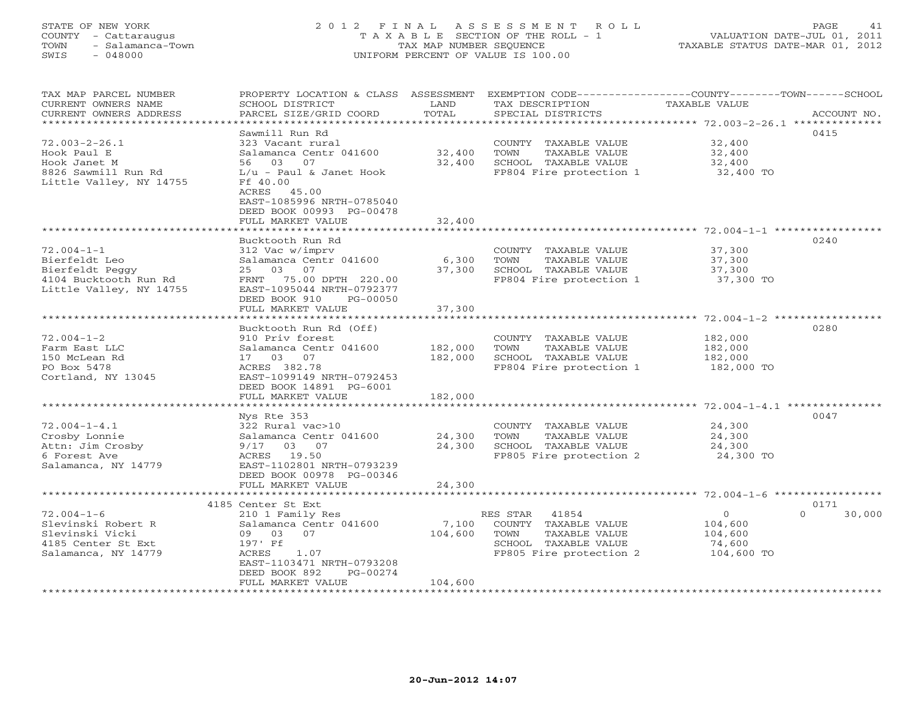# STATE OF NEW YORK 2 0 1 2 F I N A L A S S E S S M E N T R O L L PAGE 41 COUNTY - Cattaraugus T A X A B L E SECTION OF THE ROLL - 1 VALUATION DATE-JUL 01, 2011 TOWN - Salamanca-Town TAX MAP NUMBER SEQUENCE TAXABLE STATUS DATE-MAR 01, 2012 SWIS - 048000 UNIFORM PERCENT OF VALUE IS 100.00

| TAX MAP PARCEL NUMBER<br>CURRENT OWNERS NAME    | PROPERTY LOCATION & CLASS<br>SCHOOL DISTRICT      | ASSESSMENT<br>LAND<br>TOTAL | TAX DESCRIPTION                                 | EXEMPTION CODE-----------------COUNTY-------TOWN------SCHOOL<br><b>TAXABLE VALUE</b><br>ACCOUNT NO. |
|-------------------------------------------------|---------------------------------------------------|-----------------------------|-------------------------------------------------|-----------------------------------------------------------------------------------------------------|
| CURRENT OWNERS ADDRESS<br>********************* | PARCEL SIZE/GRID COORD<br>*********************** |                             | SPECIAL DISTRICTS                               |                                                                                                     |
|                                                 | Sawmill Run Rd                                    |                             |                                                 | 0415                                                                                                |
| $72.003 - 2 - 26.1$                             | 323 Vacant rural                                  |                             | COUNTY TAXABLE VALUE                            | 32,400                                                                                              |
| Hook Paul E                                     | Salamanca Centr 041600                            | 32,400                      | TOWN<br>TAXABLE VALUE                           | 32,400                                                                                              |
| Hook Janet M                                    | 03<br>56<br>07                                    | 32,400                      | SCHOOL TAXABLE VALUE                            | 32,400                                                                                              |
| 8826 Sawmill Run Rd                             | $L/u$ - Paul & Janet Hook                         |                             | FP804 Fire protection 1                         | 32,400 TO                                                                                           |
| Little Valley, NY 14755                         | Ff 40.00                                          |                             |                                                 |                                                                                                     |
|                                                 | ACRES 45.00                                       |                             |                                                 |                                                                                                     |
|                                                 | EAST-1085996 NRTH-0785040                         |                             |                                                 |                                                                                                     |
|                                                 | DEED BOOK 00993 PG-00478                          |                             |                                                 |                                                                                                     |
|                                                 | FULL MARKET VALUE<br>*****************            | 32,400<br>* * * * * * * * * |                                                 | ******************** 72.004-1-1 ******************                                                  |
|                                                 | Bucktooth Run Rd                                  |                             |                                                 | 0240                                                                                                |
| $72.004 - 1 - 1$                                | 312 Vac w/imprv                                   |                             | COUNTY TAXABLE VALUE                            | 37,300                                                                                              |
| Bierfeldt Leo                                   | Salamanca Centr 041600                            | 6,300                       | TOWN<br>TAXABLE VALUE                           | 37,300                                                                                              |
| Bierfeldt Peggy                                 | 03<br>07<br>25                                    | 37,300                      | SCHOOL TAXABLE VALUE                            | 37,300                                                                                              |
| 4104 Bucktooth Run Rd                           | FRNT 75.00 DPTH 220.00                            |                             | FP804 Fire protection 1                         | 37,300 TO                                                                                           |
| Little Valley, NY 14755                         | EAST-1095044 NRTH-0792377                         |                             |                                                 |                                                                                                     |
|                                                 | DEED BOOK 910<br>PG-00050                         |                             |                                                 |                                                                                                     |
|                                                 | FULL MARKET VALUE                                 | 37,300                      |                                                 |                                                                                                     |
|                                                 |                                                   |                             |                                                 | ************************ 72.004-1-2 **********                                                      |
|                                                 | Bucktooth Run Rd (Off)                            |                             |                                                 | 0280                                                                                                |
| $72.004 - 1 - 2$                                | 910 Priv forest                                   |                             | COUNTY TAXABLE VALUE                            | 182,000                                                                                             |
| Farm East LLC                                   | Salamanca Centr 041600<br>17 03 07                | 182,000<br>182,000          | TOWN<br>TAXABLE VALUE                           | 182,000                                                                                             |
| 150 McLean Rd<br>PO Box 5478                    | ACRES 382.78                                      |                             | SCHOOL TAXABLE VALUE<br>FP804 Fire protection 1 | 182,000<br>182,000 TO                                                                               |
| Cortland, NY 13045                              | EAST-1099149 NRTH-0792453                         |                             |                                                 |                                                                                                     |
|                                                 | DEED BOOK 14891 PG-6001                           |                             |                                                 |                                                                                                     |
|                                                 | FULL MARKET VALUE                                 | 182,000                     |                                                 |                                                                                                     |
|                                                 |                                                   |                             |                                                 | ******************** 72.004-1-4.1 **********                                                        |
|                                                 | Nys Rte 353                                       |                             |                                                 | 0047                                                                                                |
| $72.004 - 1 - 4.1$                              | 322 Rural vac>10                                  |                             | COUNTY TAXABLE VALUE                            | 24,300                                                                                              |
| Crosby Lonnie                                   | Salamanca Centr 041600                            | 24,300                      | TOWN<br>TAXABLE VALUE                           | 24,300                                                                                              |
| Attn: Jim Crosby                                | 9/17 03 07                                        | 24,300                      | SCHOOL TAXABLE VALUE                            | 24,300                                                                                              |
| 6 Forest Ave                                    | ACRES 19.50                                       |                             | FP805 Fire protection 2                         | 24,300 TO                                                                                           |
| Salamanca, NY 14779                             | EAST-1102801 NRTH-0793239                         |                             |                                                 |                                                                                                     |
|                                                 | DEED BOOK 00978 PG-00346                          |                             |                                                 |                                                                                                     |
|                                                 | FULL MARKET VALUE<br>***************              | 24,300                      |                                                 | **************************************6004-1-6******************                                    |
|                                                 | 4185 Center St Ext                                |                             |                                                 | 0171                                                                                                |
| $72.004 - 1 - 6$                                | 210 1 Family Res                                  |                             | RES STAR<br>41854                               | $\circ$<br>$\Omega$<br>30,000                                                                       |
| Slevinski Robert R                              | Salamanca Centr 041600                            | 7,100                       | COUNTY TAXABLE VALUE                            | 104,600                                                                                             |
| Slevinski Vicki                                 | 07<br>09 03                                       | 104,600                     | TOWN<br>TAXABLE VALUE                           | 104,600                                                                                             |
| 4185 Center St Ext                              | 197' Ff                                           |                             | SCHOOL TAXABLE VALUE                            | 74,600                                                                                              |
| Salamanca, NY 14779                             | ACRES<br>1.07                                     |                             | FP805 Fire protection 2                         | 104,600 TO                                                                                          |
|                                                 | EAST-1103471 NRTH-0793208                         |                             |                                                 |                                                                                                     |
|                                                 | DEED BOOK 892<br>PG-00274                         |                             |                                                 |                                                                                                     |
|                                                 | FULL MARKET VALUE                                 | 104,600                     |                                                 |                                                                                                     |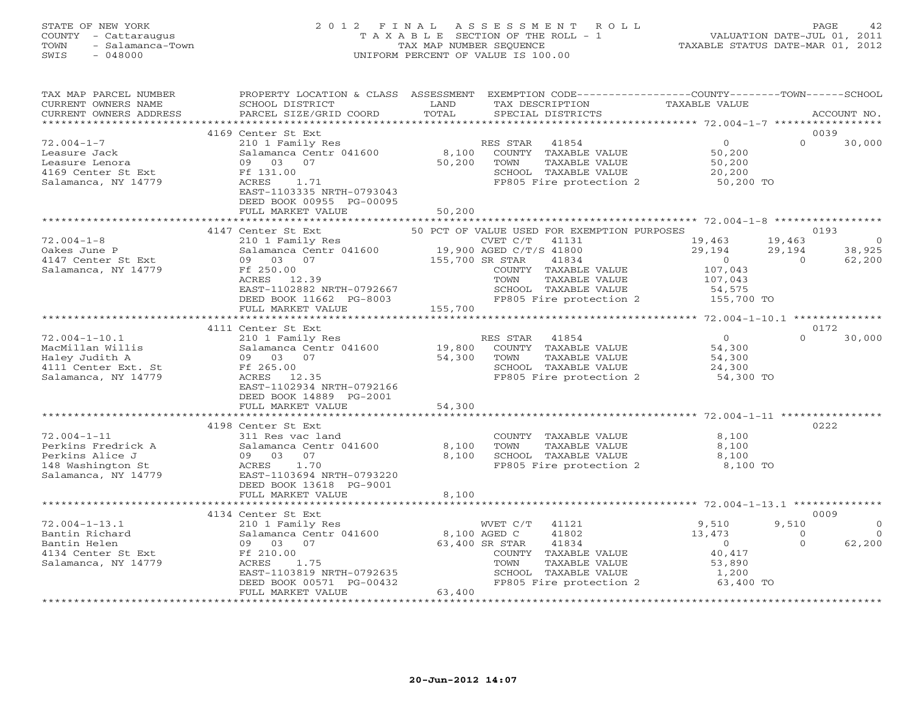#### STATE OF NEW YORK 2 0 1 2 F I N A L A S S E S S M E N T R O L L PAGE 42COUNTY - Cattaraugus T A X A B L E SECTION OF THE ROLL - 1<br>
TOWN - Salamanca-Town TAX MAP NUMBER SEQUENCE<br>
SWIS - 048000 SWIS - 048000 UNIFORM PERCENT OF VALUE IS 100.00

TAXABLE STATUS DATE-MAR 01, 2012

| TAX MAP PARCEL NUMBER<br>CURRENT OWNERS NAME<br>CURRENT OWNERS ADDRESS                                 | PROPERTY LOCATION & CLASS ASSESSMENT<br>SCHOOL DISTRICT<br>PARCEL SIZE/GRID COORD                                                                                                                                                  | LAND<br>TOTAL                               | EXEMPTION CODE-----------------COUNTY-------TOWN------SCHOOL<br>TAX DESCRIPTION<br>SPECIAL DISTRICTS                                                                                                                       | <b>TAXABLE VALUE</b>                                                                         |                                        | ACCOUNT NO.                                                  |
|--------------------------------------------------------------------------------------------------------|------------------------------------------------------------------------------------------------------------------------------------------------------------------------------------------------------------------------------------|---------------------------------------------|----------------------------------------------------------------------------------------------------------------------------------------------------------------------------------------------------------------------------|----------------------------------------------------------------------------------------------|----------------------------------------|--------------------------------------------------------------|
|                                                                                                        | <b>++++++++++++++++++++++++++</b>                                                                                                                                                                                                  | *********************                       |                                                                                                                                                                                                                            | ********************* 72.004-1-7 ******************                                          |                                        |                                                              |
| $72.004 - 1 - 7$<br>Leasure Jack<br>Leasure Lenora<br>4169 Center St Ext<br>Salamanca, NY 14779        | 4169 Center St Ext<br>210 1 Family Res<br>Salamanca Centr 041600<br>09 03<br>07<br>Ff 131.00<br>ACRES<br>1.71<br>EAST-1103335 NRTH-0793043<br>DEED BOOK 00955 PG-00095                                                             | 8,100<br>50,200                             | 41854<br>RES STAR<br>COUNTY TAXABLE VALUE<br>TAXABLE VALUE<br>TOWN<br>SCHOOL TAXABLE VALUE<br>FP805 Fire protection 2                                                                                                      | $\mathbf{O}$<br>50,200<br>50,200<br>20,200<br>50,200 TO                                      | $\Omega$                               | 0039<br>30,000                                               |
|                                                                                                        | FULL MARKET VALUE                                                                                                                                                                                                                  | 50,200                                      |                                                                                                                                                                                                                            |                                                                                              |                                        |                                                              |
| $72.004 - 1 - 8$<br>Oakes June P<br>4147 Center St Ext<br>Salamanca, NY 14779<br>$72.004 - 1 - 10.1$   | 4147 Center St Ext<br>210 1 Family Res<br>Salamanca Centr 041600<br>03 07<br>09<br>Ff 250.00<br>ACRES 12.39<br>EAST-1102882 NRTH-0792667<br>DEED BOOK 11662 PG-8003<br>FULL MARKET VALUE<br>4111 Center St Ext<br>210 1 Family Res | 155,700 SR STAR<br>155,700                  | 50 PCT OF VALUE USED FOR EXEMPTION PURPOSES<br>CVET C/T 41131<br>19,900 AGED C/T/S 41800<br>41834<br>COUNTY TAXABLE VALUE<br>TOWN<br>TAXABLE VALUE<br>SCHOOL TAXABLE VALUE<br>FP805 Fire protection 2<br>41854<br>RES STAR | 19,463<br>29,194<br>$\Omega$<br>107,043<br>107,043<br>54,575<br>155,700 TO<br>$\overline{O}$ | 19,463<br>29,194<br>$\cap$<br>$\Omega$ | 0193<br>$\overline{0}$<br>38,925<br>62,200<br>0172<br>30,000 |
| MacMillan Willis<br>Haley Judith A<br>4111 Center Ext. St<br>Salamanca, NY 14779                       | Salamanca Centr 041600<br>09 03 07<br>Ff 265.00<br>ACRES 12.35<br>EAST-1102934 NRTH-0792166<br>DEED BOOK 14889 PG-2001<br>FULL MARKET VALUE                                                                                        | 19,800<br>54,300<br>54,300                  | COUNTY TAXABLE VALUE<br>TOWN<br>TAXABLE VALUE<br>SCHOOL TAXABLE VALUE<br>FP805 Fire protection 2                                                                                                                           | 54,300<br>54,300<br>24,300<br>54,300 TO                                                      |                                        |                                                              |
|                                                                                                        | 4198 Center St Ext                                                                                                                                                                                                                 |                                             |                                                                                                                                                                                                                            |                                                                                              |                                        | 0222                                                         |
| $72.004 - 1 - 11$<br>Perkins Fredrick A<br>Perkins Alice J<br>148 Washington St<br>Salamanca, NY 14779 | 311 Res vac land<br>Salamanca Centr 041600<br>09 03 07<br>ACRES<br>1.70<br>EAST-1103694 NRTH-0793220<br>DEED BOOK 13618 PG-9001<br>FULL MARKET VALUE                                                                               | 8,100<br>8,100<br>8,100                     | COUNTY TAXABLE VALUE<br>TOWN<br>TAXABLE VALUE<br>SCHOOL TAXABLE VALUE<br>FP805 Fire protection 2                                                                                                                           | 8,100<br>8,100<br>8,100<br>8,100 TO                                                          |                                        |                                                              |
|                                                                                                        | 4134 Center St Ext                                                                                                                                                                                                                 |                                             |                                                                                                                                                                                                                            |                                                                                              |                                        | 0009                                                         |
| $72.004 - 1 - 13.1$<br>Bantin Richard<br>Bantin Helen<br>4134 Center St Ext<br>Salamanca, NY 14779     | 210 1 Family Res<br>Salamanca Centr 041600<br>09 03<br>07<br>Ff 210.00<br>ACRES<br>1.75<br>EAST-1103819 NRTH-0792635<br>DEED BOOK 00571 PG-00432<br>FULL MARKET VALUE                                                              | 8,100 AGED C<br>63,400<br>***************** | WVET C/T<br>41121<br>41802<br>63,400 SR STAR<br>41834<br>COUNTY TAXABLE VALUE<br>TOWN<br>TAXABLE VALUE<br>SCHOOL TAXABLE VALUE<br>FP805 Fire protection 2                                                                  | 9,510<br>13,473<br>$\overline{O}$<br>40,417<br>53,890<br>1,200<br>63,400 TO                  | 9,510<br>$\circ$<br>$\Omega$           | $\Omega$<br>$\Omega$<br>62,200                               |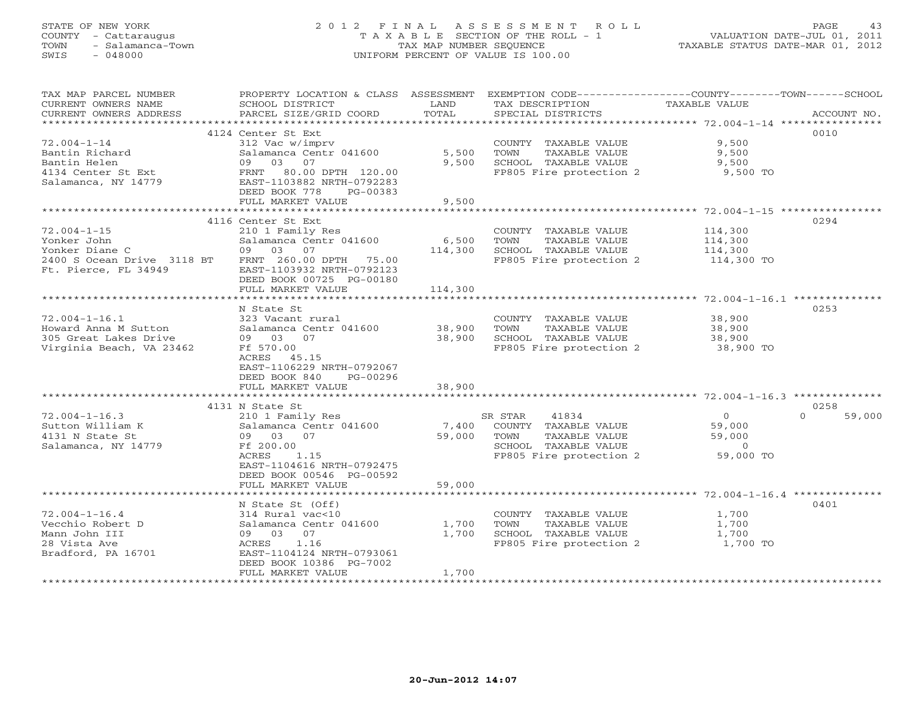# STATE OF NEW YORK 2 0 1 2 F I N A L A S S E S S M E N T R O L L PAGE 43 COUNTY - Cattaraugus T A X A B L E SECTION OF THE ROLL - 1 VALUATION DATE-JUL 01, 2011 TOWN - Salamanca-Town TAX MAP NUMBER SEQUENCE TAXABLE STATUS DATE-MAR 01, 2012 SWIS - 048000 UNIFORM PERCENT OF VALUE IS 100.00

| TAX MAP PARCEL NUMBER      |                                                |         |                         | PROPERTY LOCATION & CLASS ASSESSMENT EXEMPTION CODE----------------COUNTY-------TOWN------SCHOOL |
|----------------------------|------------------------------------------------|---------|-------------------------|--------------------------------------------------------------------------------------------------|
| CURRENT OWNERS NAME        | SCHOOL DISTRICT                                | LAND    | TAX DESCRIPTION         | TAXABLE VALUE                                                                                    |
| CURRENT OWNERS ADDRESS     | PARCEL SIZE/GRID COORD                         | TOTAL   | SPECIAL DISTRICTS       | ACCOUNT NO.                                                                                      |
| ***********************    |                                                |         |                         |                                                                                                  |
|                            | 4124 Center St Ext                             |         |                         | 0010                                                                                             |
| $72.004 - 1 - 14$          | 312 Vac w/imprv                                |         | COUNTY TAXABLE VALUE    | 9,500                                                                                            |
| Bantin Richard             | Salamanca Centr 041600                         | 5,500   | TAXABLE VALUE<br>TOWN   | 9,500                                                                                            |
| Bantin Helen               | 09 03 07                                       | 9,500   | SCHOOL TAXABLE VALUE    | 9,500                                                                                            |
| 4134 Center St Ext         | FRNT 80.00 DPTH 120.00                         |         | FP805 Fire protection 2 | 9,500 TO                                                                                         |
| Salamanca, NY 14779        | EAST-1103882 NRTH-0792283                      |         |                         |                                                                                                  |
|                            | DEED BOOK 778<br>PG-00383<br>FULL MARKET VALUE | 9,500   |                         |                                                                                                  |
|                            |                                                |         |                         |                                                                                                  |
|                            | 4116 Center St Ext                             |         |                         | 0294                                                                                             |
| $72.004 - 1 - 15$          | 210 1 Family Res                               |         | COUNTY TAXABLE VALUE    | 114,300                                                                                          |
| Yonker John                | Salamanca Centr 041600                         | 6,500   | TOWN<br>TAXABLE VALUE   | 114,300                                                                                          |
| Yonker Diane C             | 09 03 07                                       | 114,300 | SCHOOL TAXABLE VALUE    | 114,300                                                                                          |
| 2400 S Ocean Drive 3118 BT | FRNT 260.00 DPTH 75.00                         |         | FP805 Fire protection 2 | 114,300 TO                                                                                       |
| Ft. Pierce, FL 34949       | EAST-1103932 NRTH-0792123                      |         |                         |                                                                                                  |
|                            | DEED BOOK 00725 PG-00180                       |         |                         |                                                                                                  |
|                            | FULL MARKET VALUE                              | 114,300 |                         |                                                                                                  |
|                            |                                                |         |                         |                                                                                                  |
|                            | N State St                                     |         |                         | 0253                                                                                             |
| $72.004 - 1 - 16.1$        | 323 Vacant rural                               |         | COUNTY TAXABLE VALUE    | 38,900                                                                                           |
| Howard Anna M Sutton       | Salamanca Centr 041600                         | 38,900  | TOWN<br>TAXABLE VALUE   | 38,900                                                                                           |
| 305 Great Lakes Drive      | 09 03 07                                       | 38,900  | SCHOOL TAXABLE VALUE    | 38,900                                                                                           |
| Virginia Beach, VA 23462   | Ff 570.00                                      |         | FP805 Fire protection 2 | 38,900 TO                                                                                        |
|                            | ACRES 45.15                                    |         |                         |                                                                                                  |
|                            | EAST-1106229 NRTH-0792067                      |         |                         |                                                                                                  |
|                            | DEED BOOK 840<br>PG-00296                      |         |                         |                                                                                                  |
|                            | FULL MARKET VALUE                              | 38,900  |                         |                                                                                                  |
|                            |                                                |         |                         |                                                                                                  |
| $72.004 - 1 - 16.3$        | 4131 N State St                                |         | SR STAR<br>41834        | 0258<br>$\overline{O}$<br>$\Omega$                                                               |
| Sutton William K           | 210 1 Family Res<br>Salamanca Centr 041600     | 7,400   | COUNTY TAXABLE VALUE    | 59,000<br>59,000                                                                                 |
| 4131 N State St            | 09 03 07                                       | 59,000  | TOWN<br>TAXABLE VALUE   | 59,000                                                                                           |
| Salamanca, NY 14779        | Ff 200.00                                      |         | SCHOOL TAXABLE VALUE    | $\Omega$                                                                                         |
|                            | ACRES<br>1.15                                  |         | FP805 Fire protection 2 | 59,000 TO                                                                                        |
|                            | EAST-1104616 NRTH-0792475                      |         |                         |                                                                                                  |
|                            | DEED BOOK 00546 PG-00592                       |         |                         |                                                                                                  |
|                            | FULL MARKET VALUE                              | 59,000  |                         |                                                                                                  |
|                            |                                                |         |                         |                                                                                                  |
|                            | N State St (Off)                               |         |                         | 0401                                                                                             |
| $72.004 - 1 - 16.4$        | 314 Rural vac<10                               |         | COUNTY TAXABLE VALUE    | 1,700                                                                                            |
| Vecchio Robert D           | Salamanca Centr 041600                         | 1,700   | TAXABLE VALUE<br>TOWN   | 1,700                                                                                            |
| Mann John III              | 09 03 07                                       | 1,700   | SCHOOL TAXABLE VALUE    | 1,700                                                                                            |
| 28 Vista Ave               | ACRES<br>1.16                                  |         | FP805 Fire protection 2 | 1,700 TO                                                                                         |
| Bradford, PA 16701         | EAST-1104124 NRTH-0793061                      |         |                         |                                                                                                  |
|                            | DEED BOOK 10386 PG-7002                        |         |                         |                                                                                                  |
|                            | FULL MARKET VALUE                              | 1,700   |                         |                                                                                                  |
|                            |                                                |         |                         |                                                                                                  |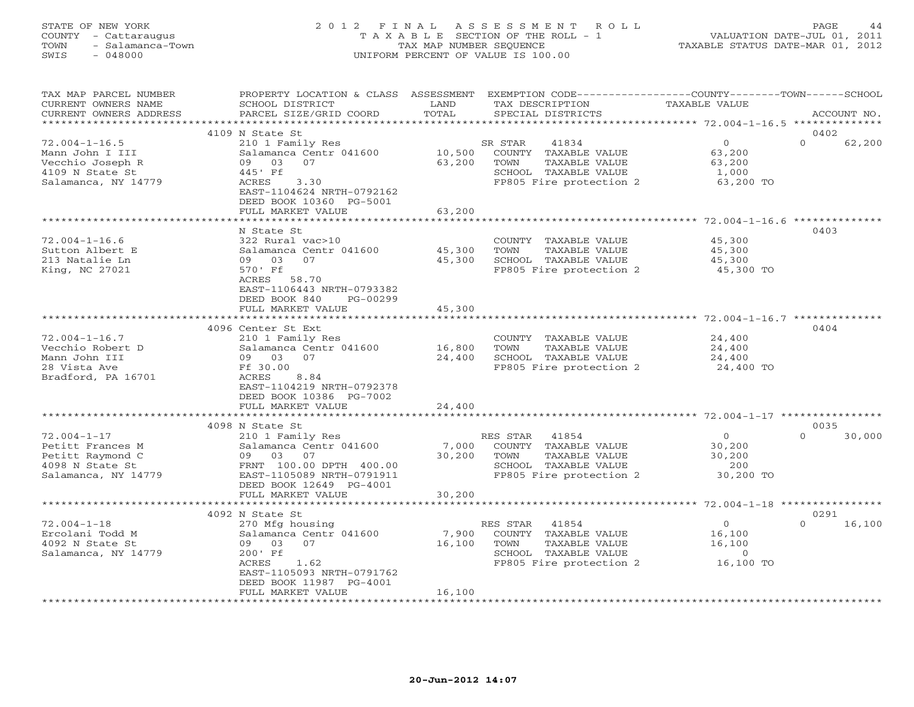#### STATE OF NEW YORK 2 0 1 2 F I N A L A S S E S S M E N T R O L L PAGE 44 COUNTY - Cattaraugus T A X A B L E SECTION OF THE ROLL - 1 VALUATION DATE-JUL 01, 2011 TOWN - Salamanca-Town TAX MAP NUMBER SEQUENCE TAXABLE STATUS DATE-MAR 01, 2012 SWIS - 048000 UNIFORM PERCENT OF VALUE IS 100.00

| TAX MAP PARCEL NUMBER<br>CURRENT OWNERS NAME<br>CURRENT OWNERS ADDRESS                               | PROPERTY LOCATION & CLASS ASSESSMENT<br>SCHOOL DISTRICT<br>PARCEL SIZE/GRID COORD                                                                                                        | LAND<br>TOTAL              | EXEMPTION CODE-----------------COUNTY-------TOWN-----SCHOOL<br>TAX DESCRIPTION<br>SPECIAL DISTRICTS                          | TAXABLE VALUE                                             | ACCOUNT NO.                |
|------------------------------------------------------------------------------------------------------|------------------------------------------------------------------------------------------------------------------------------------------------------------------------------------------|----------------------------|------------------------------------------------------------------------------------------------------------------------------|-----------------------------------------------------------|----------------------------|
| *********************                                                                                |                                                                                                                                                                                          |                            |                                                                                                                              |                                                           |                            |
| $72.004 - 1 - 16.5$<br>Mann John I III<br>Vecchio Joseph R<br>4109 N State St<br>Salamanca, NY 14779 | 4109 N State St<br>210 1 Family Res<br>Salamanca Centr 041600<br>03<br>07<br>09<br>445' Ff<br>ACRES<br>3.30<br>EAST-1104624 NRTH-0792162<br>DEED BOOK 10360 PG-5001<br>FULL MARKET VALUE | 10,500<br>63,200<br>63,200 | SR STAR<br>41834<br>COUNTY TAXABLE VALUE<br>TOWN<br>TAXABLE VALUE<br>SCHOOL TAXABLE VALUE<br>FP805 Fire protection 2         | $\circ$<br>63,200<br>63,200<br>1,000<br>63,200 TO         | 0402<br>$\Omega$<br>62,200 |
|                                                                                                      |                                                                                                                                                                                          |                            |                                                                                                                              | ****************** 72.004-1-16.6 **************           |                            |
| $72.004 - 1 - 16.6$<br>Sutton Albert E<br>213 Natalie Ln<br>King, NC 27021                           | N State St<br>322 Rural vac>10<br>Salamanca Centr 041600<br>03<br>07<br>09<br>570' Ff<br>ACRES 58.70<br>EAST-1106443 NRTH-0793382<br>DEED BOOK 840<br>PG-00299                           | 45,300<br>45,300           | COUNTY TAXABLE VALUE<br>TOWN<br>TAXABLE VALUE<br>SCHOOL TAXABLE VALUE<br>FP805 Fire protection 2                             | 45,300<br>45,300<br>45,300<br>45,300 TO                   | 0403                       |
|                                                                                                      | FULL MARKET VALUE                                                                                                                                                                        | 45,300                     |                                                                                                                              |                                                           |                            |
|                                                                                                      | 4096 Center St Ext                                                                                                                                                                       |                            |                                                                                                                              | $72.004 - 1 - 16.7$ *************                         | 0404                       |
| $72.004 - 1 - 16.7$<br>Vecchio Robert D<br>Mann John III<br>28 Vista Ave<br>Bradford, PA 16701       | 210 1 Family Res<br>Salamanca Centr 041600<br>03<br>07<br>09<br>Ff 30.00<br>ACRES<br>8.84<br>EAST-1104219 NRTH-0792378<br>DEED BOOK 10386 PG-7002<br>FULL MARKET VALUE                   | 16,800<br>24,400<br>24,400 | COUNTY TAXABLE VALUE<br>TOWN<br>TAXABLE VALUE<br>SCHOOL TAXABLE VALUE<br>FP805 Fire protection 2                             | 24,400<br>24,400<br>24,400<br>24,400 TO                   |                            |
|                                                                                                      |                                                                                                                                                                                          |                            |                                                                                                                              |                                                           |                            |
| $72.004 - 1 - 17$<br>Petitt Frances M<br>Petitt Raymond C<br>4098 N State St<br>Salamanca, NY 14779  | 4098 N State St<br>210 1 Family Res<br>Salamanca Centr 041600<br>03<br>07<br>09<br>FRNT 100.00 DPTH 400.00<br>EAST-1105089 NRTH-0791911<br>DEED BOOK 12649 PG-4001<br>FULL MARKET VALUE  | 7,000<br>30,200<br>30,200  | 41854<br>RES STAR<br>COUNTY TAXABLE VALUE<br><b>TOWN</b><br>TAXABLE VALUE<br>SCHOOL TAXABLE VALUE<br>FP805 Fire protection 2 | $\Omega$<br>30,200<br>30,200<br>200<br>30,200 TO          | 0035<br>$\Omega$<br>30,000 |
|                                                                                                      | ******************                                                                                                                                                                       |                            |                                                                                                                              | ****************************** 72.004-1-18 ********       |                            |
|                                                                                                      | 4092 N State St                                                                                                                                                                          |                            |                                                                                                                              |                                                           | 0291                       |
| $72.004 - 1 - 18$<br>Ercolani Todd M<br>4092 N State St<br>Salamanca, NY 14779                       | 270 Mfg housing<br>Salamanca Centr 041600<br>09 03<br>07<br>200' Ff<br>ACRES<br>1.62<br>EAST-1105093 NRTH-0791762<br>DEED BOOK 11987 PG-4001<br>FULL MARKET VALUE                        | 7,900<br>16,100<br>16,100  | 41854<br>RES STAR<br>COUNTY TAXABLE VALUE<br>TOWN<br>TAXABLE VALUE<br>SCHOOL TAXABLE VALUE<br>FP805 Fire protection 2        | $\Omega$<br>16,100<br>16,100<br>$\mathbf{0}$<br>16,100 TO | $\Omega$<br>16,100         |
|                                                                                                      |                                                                                                                                                                                          |                            |                                                                                                                              |                                                           |                            |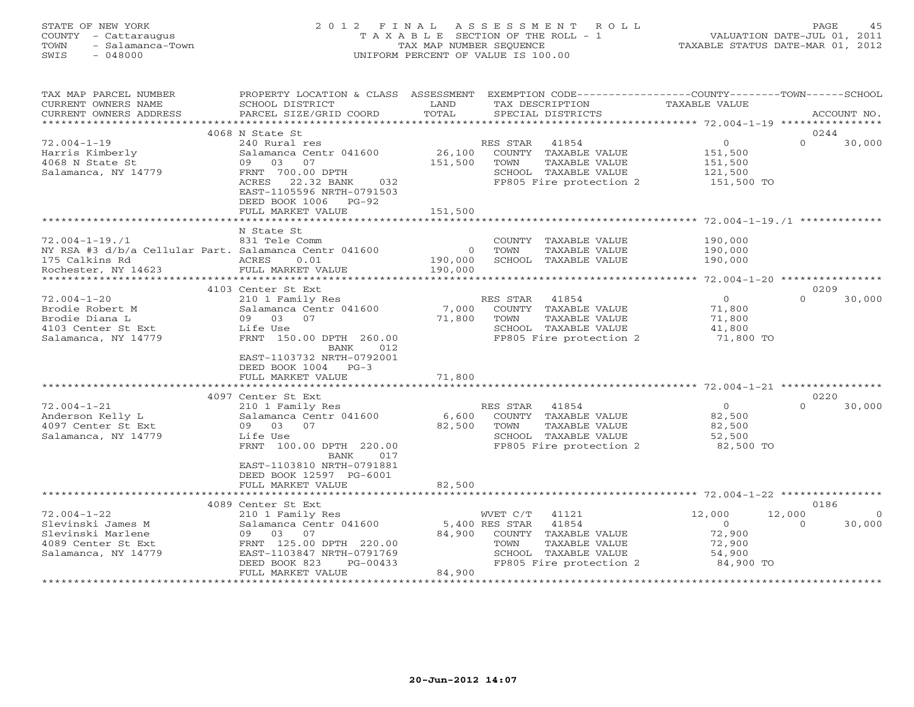# STATE OF NEW YORK 2 0 1 2 F I N A L A S S E S S M E N T R O L L PAGE 45 COUNTY - Cattaraugus T A X A B L E SECTION OF THE ROLL - 1 VALUATION DATE-JUL 01, 2011 TOWN - Salamanca-Town TAX MAP NUMBER SEQUENCE TAXABLE STATUS DATE-MAR 01, 2012 SWIS - 048000 UNIFORM PERCENT OF VALUE IS 100.00

| TAX MAP PARCEL NUMBER                                 | PROPERTY LOCATION & CLASS ASSESSMENT |            | EXEMPTION CODE----------------COUNTY-------TOWN------SCHOOL |                                                            |                    |
|-------------------------------------------------------|--------------------------------------|------------|-------------------------------------------------------------|------------------------------------------------------------|--------------------|
| CURRENT OWNERS NAME                                   | SCHOOL DISTRICT                      | LAND       | TAX DESCRIPTION                                             | <b>TAXABLE VALUE</b>                                       |                    |
| CURRENT OWNERS ADDRESS                                | PARCEL SIZE/GRID COORD               | TOTAL      | SPECIAL DISTRICTS                                           |                                                            | ACCOUNT NO.        |
|                                                       |                                      |            |                                                             |                                                            |                    |
|                                                       | 4068 N State St                      |            |                                                             |                                                            | 0244               |
| $72.004 - 1 - 19$                                     | 240 Rural res                        |            | RES STAR<br>41854                                           | $\circ$                                                    | $\Omega$<br>30,000 |
| Harris Kimberly                                       | Salamanca Centr 041600               | 26,100     | COUNTY TAXABLE VALUE                                        | 151,500                                                    |                    |
| 4068 N State St                                       | 09 03<br>07                          | 151,500    | TOWN<br>TAXABLE VALUE                                       | 151,500                                                    |                    |
| Salamanca, NY 14779                                   | FRNT 700.00 DPTH                     |            | SCHOOL TAXABLE VALUE                                        | 121,500                                                    |                    |
|                                                       | 22.32 BANK<br>032<br>ACRES           |            | FP805 Fire protection 2                                     | 151,500 TO                                                 |                    |
|                                                       | EAST-1105596 NRTH-0791503            |            |                                                             |                                                            |                    |
|                                                       | DEED BOOK 1006<br>$PG-92$            |            |                                                             |                                                            |                    |
|                                                       | FULL MARKET VALUE                    | 151,500    |                                                             |                                                            |                    |
|                                                       |                                      |            |                                                             |                                                            |                    |
|                                                       | N State St                           |            |                                                             |                                                            |                    |
| $72.004 - 1 - 19.71$                                  | 831 Tele Comm                        |            | COUNTY TAXABLE VALUE                                        | 190,000                                                    |                    |
| NY RSA #3 d/b/a Cellular Part. Salamanca Centr 041600 |                                      | $\circ$    | TOWN<br>TAXABLE VALUE                                       | 190,000                                                    |                    |
| 175 Calkins Rd                                        | ACRES<br>0.01                        | 190,000    | SCHOOL TAXABLE VALUE                                        | 190,000                                                    |                    |
| Rochester, NY 14623                                   | FULL MARKET VALUE                    | 190,000    |                                                             |                                                            |                    |
|                                                       | 4103 Center St Ext                   |            |                                                             |                                                            | 0209               |
| $72.004 - 1 - 20$                                     | 210 1 Family Res                     |            | RES STAR 41854                                              | $\overline{0}$                                             | $\Omega$<br>30,000 |
| Brodie Robert M                                       | Salamanca Centr 041600               | 7,000      | COUNTY TAXABLE VALUE                                        | 71,800                                                     |                    |
| Brodie Diana L                                        | 09 03 07                             | 71,800     | TOWN<br>TAXABLE VALUE                                       | 71,800                                                     |                    |
| 4103 Center St Ext                                    | Life Use                             |            | SCHOOL TAXABLE VALUE                                        | 41,800                                                     |                    |
| Salamanca, NY 14779                                   | FRNT 150.00 DPTH 260.00              |            | FP805 Fire protection 2                                     | 71,800 TO                                                  |                    |
|                                                       | BANK<br>012.                         |            |                                                             |                                                            |                    |
|                                                       | EAST-1103732 NRTH-0792001            |            |                                                             |                                                            |                    |
|                                                       | DEED BOOK 1004 PG-3                  |            |                                                             |                                                            |                    |
|                                                       | FULL MARKET VALUE                    | 71,800     |                                                             |                                                            |                    |
|                                                       |                                      |            |                                                             |                                                            |                    |
|                                                       | 4097 Center St Ext                   |            |                                                             |                                                            | 0220               |
| $72.004 - 1 - 21$                                     | 210 1 Family Res                     |            | RES STAR 41854                                              | $\overline{0}$                                             | 30,000<br>$\cap$   |
| Anderson Kelly L                                      | Salamanca Centr 041600               | 6,600      | COUNTY TAXABLE VALUE                                        | 82,500                                                     |                    |
| 4097 Center St Ext                                    | 09 03 07                             | 82,500     | TOWN<br>TAXABLE VALUE                                       | 82,500                                                     |                    |
| Salamanca, NY 14779                                   | Life Use                             |            | SCHOOL TAXABLE VALUE                                        | 52,500                                                     |                    |
|                                                       | FRNT 100.00 DPTH 220.00              |            | FP805 Fire protection 2                                     | 82,500 TO                                                  |                    |
|                                                       | BANK<br>017                          |            |                                                             |                                                            |                    |
|                                                       | EAST-1103810 NRTH-0791881            |            |                                                             |                                                            |                    |
|                                                       | DEED BOOK 12597 PG-6001              |            |                                                             |                                                            |                    |
|                                                       | FULL MARKET VALUE                    | 82,500     |                                                             |                                                            |                    |
|                                                       | ************************             | ********** |                                                             | ***************************** 72.004-1-22 **************** |                    |
|                                                       | 4089 Center St Ext                   |            |                                                             |                                                            | 0186               |
| $72.004 - 1 - 22$                                     | 210 1 Family Res                     |            | WVET C/T<br>41121                                           | 12,000                                                     | 12,000<br>$\Omega$ |
| Slevinski James M                                     | Salamanca Centr 041600               |            | 5,400 RES STAR<br>41854                                     | $\overline{0}$                                             | 30,000<br>$\Omega$ |
| Slevinski Marlene                                     | 09 03 07                             | 84,900     | COUNTY TAXABLE VALUE                                        | 72,900                                                     |                    |
| 4089 Center St Ext                                    | FRNT 125.00 DPTH 220.00              |            | TOWN<br>TAXABLE VALUE                                       | 72,900                                                     |                    |
| Salamanca, NY 14779                                   | EAST-1103847 NRTH-0791769            |            | SCHOOL TAXABLE VALUE                                        | 54,900                                                     |                    |
|                                                       | DEED BOOK 823<br>PG-00433            |            | FP805 Fire protection 2                                     | 84,900 TO                                                  |                    |
|                                                       | FULL MARKET VALUE                    | 84,900     |                                                             |                                                            |                    |
|                                                       |                                      |            |                                                             |                                                            |                    |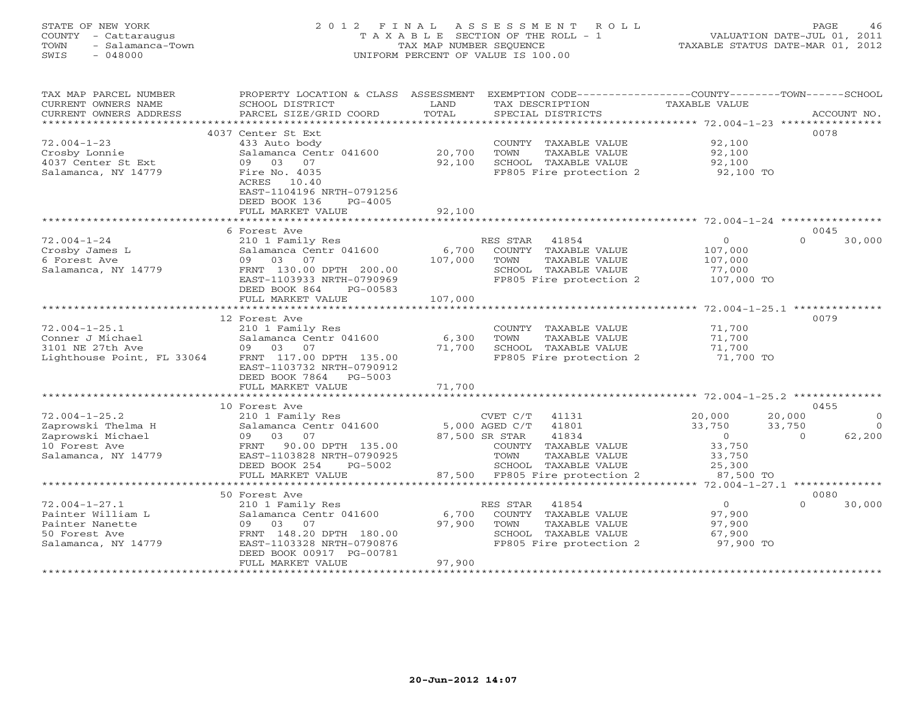# STATE OF NEW YORK 2 0 1 2 F I N A L A S S E S S M E N T R O L L PAGE 46 COUNTY - Cattaraugus T A X A B L E SECTION OF THE ROLL - 1 VALUATION DATE-JUL 01, 2011 TOWN - Salamanca-Town TAX MAP NUMBER SEQUENCE TAXABLE STATUS DATE-MAR 01, 2012 SWIS - 048000 UNIFORM PERCENT OF VALUE IS 100.00

| TAX MAP PARCEL NUMBER      | PROPERTY LOCATION & CLASS       | ASSESSMENT    | EXEMPTION CODE-----------------COUNTY-------TOWN------SCHOOL |                |                      |
|----------------------------|---------------------------------|---------------|--------------------------------------------------------------|----------------|----------------------|
| CURRENT OWNERS NAME        | SCHOOL DISTRICT                 | LAND          | TAX DESCRIPTION                                              | TAXABLE VALUE  |                      |
| CURRENT OWNERS ADDRESS     | PARCEL SIZE/GRID COORD          | TOTAL         | SPECIAL DISTRICTS                                            |                | ACCOUNT NO.          |
| ******************         |                                 | ************* |                                                              |                |                      |
|                            | 4037 Center St Ext              |               |                                                              |                | 0078                 |
| $72.004 - 1 - 23$          | 433 Auto body                   |               | COUNTY TAXABLE VALUE                                         | 92,100         |                      |
| Crosby Lonnie              | Salamanca Centr 041600          | 20,700        | TOWN<br>TAXABLE VALUE                                        | 92,100         |                      |
| 4037 Center St Ext         | 09<br>03<br>07                  | 92,100        | SCHOOL TAXABLE VALUE                                         | 92,100         |                      |
| Salamanca, NY 14779        | Fire No. 4035<br>ACRES<br>10.40 |               | FP805 Fire protection 2                                      | 92,100 TO      |                      |
|                            | EAST-1104196 NRTH-0791256       |               |                                                              |                |                      |
|                            | DEED BOOK 136<br>PG-4005        |               |                                                              |                |                      |
|                            | FULL MARKET VALUE               | 92,100        |                                                              |                |                      |
|                            |                                 |               |                                                              |                |                      |
|                            | 6 Forest Ave                    |               |                                                              |                | 0045                 |
| $72.004 - 1 - 24$          | 210 1 Family Res                |               | RES STAR<br>41854                                            | $\circ$        | $\Omega$<br>30,000   |
| Crosby James L             | Salamanca Centr 041600          | 6,700         | COUNTY TAXABLE VALUE                                         | 107,000        |                      |
| 6 Forest Ave               | 09 03<br>07                     | 107,000       | TOWN<br>TAXABLE VALUE                                        | 107,000        |                      |
| Salamanca, NY 14779        | FRNT 130.00 DPTH 200.00         |               | SCHOOL TAXABLE VALUE                                         | 77,000         |                      |
|                            | EAST-1103933 NRTH-0790969       |               | FP805 Fire protection 2                                      | 107,000 TO     |                      |
|                            | DEED BOOK 864<br>PG-00583       |               |                                                              |                |                      |
|                            | FULL MARKET VALUE               | 107,000       |                                                              |                |                      |
|                            |                                 |               |                                                              |                |                      |
|                            | 12 Forest Ave                   |               |                                                              |                | 0079                 |
| $72.004 - 1 - 25.1$        | 210 1 Family Res                |               | COUNTY TAXABLE VALUE                                         | 71,700         |                      |
| Conner J Michael           | Salamanca Centr 041600          | 6,300         | TOWN<br>TAXABLE VALUE                                        | 71,700         |                      |
| 3101 NE 27th Ave           | 09 03 07                        | 71,700        | SCHOOL TAXABLE VALUE                                         | 71,700         |                      |
| Lighthouse Point, FL 33064 | FRNT 117.00 DPTH 135.00         |               | FP805 Fire protection 2                                      | 71,700 TO      |                      |
|                            | EAST-1103732 NRTH-0790912       |               |                                                              |                |                      |
|                            | DEED BOOK 7864 PG-5003          |               |                                                              |                |                      |
|                            | FULL MARKET VALUE               | 71,700        |                                                              |                |                      |
|                            | *********************           | ************* | ****************************** 72.004-1-25.2 **************  |                |                      |
|                            | 10 Forest Ave                   |               |                                                              |                | 0455                 |
| $72.004 - 1 - 25.2$        | 210 1 Family Res                |               | CVET C/T<br>41131                                            | 20,000         | 20,000<br>$\circ$    |
| Zaprowski Thelma H         | Salamanca Centr 041600          |               | 5,000 AGED C/T<br>41801                                      | 33,750         | 33,750<br>$\bigcirc$ |
| Zaprowski Michael          | 03<br>09<br>07                  |               | 41834<br>87,500 SR STAR                                      | $\overline{0}$ | 62,200<br>$\Omega$   |
| 10 Forest Ave              | 90.00 DPTH 135.00<br>FRNT       |               | COUNTY TAXABLE VALUE                                         | 33,750         |                      |
| Salamanca, NY 14779        | EAST-1103828 NRTH-0790925       |               | TOWN<br>TAXABLE VALUE                                        | 33,750         |                      |
|                            | DEED BOOK 254<br>PG-5002        |               | SCHOOL TAXABLE VALUE                                         | 25,300         |                      |
|                            | FULL MARKET VALUE               |               | 87,500 FP805 Fire protection 2                               | 87,500 TO      |                      |
|                            | **********************          |               |                                                              |                |                      |
|                            | 50 Forest Ave                   |               |                                                              |                | 0080                 |
| $72.004 - 1 - 27.1$        | 210 1 Family Res                |               | 41854<br>RES STAR                                            | $\overline{0}$ | $\Omega$<br>30,000   |
| Painter William L          | Salamanca Centr 041600          | 6,700         | COUNTY TAXABLE VALUE                                         | 97,900         |                      |
| Painter Nanette            | 09 03 07                        | 97,900        | TOWN<br>TAXABLE VALUE                                        | 97,900         |                      |
| 50 Forest Ave              | FRNT 148.20 DPTH 180.00         |               | SCHOOL TAXABLE VALUE                                         | 67,900         |                      |
| Salamanca, NY 14779        | EAST-1103328 NRTH-0790876       |               | FP805 Fire protection 2                                      | 97,900 TO      |                      |
|                            | DEED BOOK 00917 PG-00781        |               |                                                              |                |                      |
|                            | FULL MARKET VALUE               | 97,900        |                                                              |                |                      |
|                            |                                 |               |                                                              |                |                      |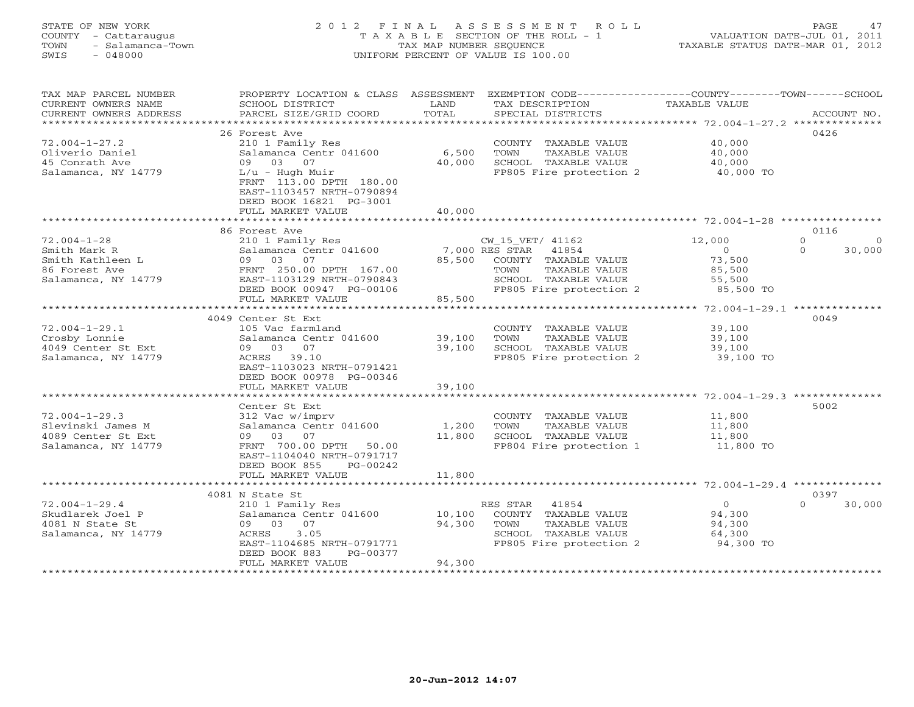# STATE OF NEW YORK 2 0 1 2 F I N A L A S S E S S M E N T R O L L PAGE 47 COUNTY - Cattaraugus T A X A B L E SECTION OF THE ROLL - 1 VALUATION DATE-JUL 01, 2011 TOWN - Salamanca-Town TAX MAP NUMBER SEQUENCE TAXABLE STATUS DATE-MAR 01, 2012 SWIS - 048000 UNIFORM PERCENT OF VALUE IS 100.00

| TAX MAP PARCEL NUMBER<br>CURRENT OWNERS NAME | PROPERTY LOCATION & CLASS ASSESSMENT<br>SCHOOL DISTRICT                                              | LAND                    | EXEMPTION CODE-----------------COUNTY-------TOWN-----SCHOOL<br>TAX DESCRIPTION | <b>TAXABLE VALUE</b>                               |                      |
|----------------------------------------------|------------------------------------------------------------------------------------------------------|-------------------------|--------------------------------------------------------------------------------|----------------------------------------------------|----------------------|
| CURRENT OWNERS ADDRESS                       | PARCEL SIZE/GRID COORD                                                                               | TOTAL                   | SPECIAL DISTRICTS                                                              |                                                    | ACCOUNT NO.          |
| ***********************                      |                                                                                                      |                         |                                                                                |                                                    |                      |
|                                              | 26 Forest Ave                                                                                        |                         |                                                                                |                                                    | 0426                 |
| $72.004 - 1 - 27.2$                          | 210 1 Family Res                                                                                     |                         | COUNTY TAXABLE VALUE                                                           | 40,000                                             |                      |
| Oliverio Daniel                              | Salamanca Centr 041600                                                                               | 6,500                   | TOWN<br>TAXABLE VALUE                                                          | 40,000                                             |                      |
| 45 Conrath Ave                               | 03<br>07<br>09                                                                                       | 40,000                  | SCHOOL TAXABLE VALUE                                                           | 40,000                                             |                      |
| Salamanca, NY 14779                          | $L/u$ - Hugh Muir<br>FRNT 113.00 DPTH 180.00<br>EAST-1103457 NRTH-0790894<br>DEED BOOK 16821 PG-3001 |                         | FP805 Fire protection 2                                                        | 40,000 TO                                          |                      |
|                                              | FULL MARKET VALUE                                                                                    | 40,000                  |                                                                                |                                                    |                      |
|                                              |                                                                                                      |                         |                                                                                |                                                    |                      |
|                                              | 86 Forest Ave                                                                                        |                         |                                                                                |                                                    | 0116                 |
| $72.004 - 1 - 28$                            | 210 1 Family Res                                                                                     |                         | CW_15_VET/ 41162                                                               | 12,000                                             | $\Omega$<br>$\Omega$ |
| Smith Mark R                                 | Salamanca Centr 041600                                                                               |                         | 7,000 RES STAR<br>41854                                                        | $\Omega$                                           | $\Omega$<br>30,000   |
| Smith Kathleen L                             | 09 03<br>07                                                                                          | 85,500                  | COUNTY TAXABLE VALUE                                                           | 73,500                                             |                      |
| 86 Forest Ave                                | FRNT 250.00 DPTH 167.00                                                                              |                         | TOWN<br>TAXABLE VALUE                                                          | 85,500                                             |                      |
| Salamanca, NY 14779                          | EAST-1103129 NRTH-0790843                                                                            |                         | SCHOOL TAXABLE VALUE                                                           | 55,500                                             |                      |
|                                              | DEED BOOK 00947 PG-00106                                                                             |                         | FP805 Fire protection 2                                                        | 85,500 TO                                          |                      |
|                                              | FULL MARKET VALUE                                                                                    | 85,500                  |                                                                                |                                                    |                      |
|                                              |                                                                                                      |                         |                                                                                |                                                    |                      |
|                                              | 4049 Center St Ext                                                                                   |                         |                                                                                |                                                    | 0049                 |
| $72.004 - 1 - 29.1$                          | 105 Vac farmland                                                                                     |                         | COUNTY TAXABLE VALUE                                                           | 39,100                                             |                      |
| Crosby Lonnie                                | Salamanca Centr 041600                                                                               | 39,100                  | TOWN<br>TAXABLE VALUE                                                          | 39,100                                             |                      |
| 4049 Center St Ext                           | 07<br>09 03                                                                                          | 39,100                  | SCHOOL TAXABLE VALUE                                                           | 39,100                                             |                      |
| Salamanca, NY 14779                          | 39.10<br>ACRES                                                                                       |                         | FP805 Fire protection 2                                                        | 39,100 TO                                          |                      |
|                                              | EAST-1103023 NRTH-0791421                                                                            |                         |                                                                                |                                                    |                      |
|                                              | DEED BOOK 00978 PG-00346                                                                             |                         |                                                                                |                                                    |                      |
|                                              | FULL MARKET VALUE                                                                                    | 39,100<br>************* |                                                                                |                                                    |                      |
|                                              |                                                                                                      |                         |                                                                                | ********************* 72.004-1-29.3 ************** |                      |
|                                              | Center St Ext                                                                                        |                         |                                                                                |                                                    | 5002                 |
| $72.004 - 1 - 29.3$                          | 312 Vac w/imprv                                                                                      |                         | COUNTY TAXABLE VALUE                                                           | 11,800                                             |                      |
| Slevinski James M                            | Salamanca Centr 041600                                                                               | 1,200                   | TOWN<br>TAXABLE VALUE                                                          | 11,800                                             |                      |
| 4089 Center St Ext                           | 09 03<br>07                                                                                          | 11,800                  | SCHOOL TAXABLE VALUE<br>FP804 Fire protection 1                                | 11,800                                             |                      |
| Salamanca, NY 14779                          | FRNT 700.00 DPTH<br>50.00<br>EAST-1104040 NRTH-0791717                                               |                         |                                                                                | 11,800 TO                                          |                      |
|                                              | DEED BOOK 855<br>PG-00242                                                                            |                         |                                                                                |                                                    |                      |
|                                              | FULL MARKET VALUE                                                                                    | 11,800                  |                                                                                |                                                    |                      |
|                                              | ************************                                                                             |                         |                                                                                |                                                    |                      |
|                                              | 4081 N State St                                                                                      |                         |                                                                                |                                                    | 0397                 |
| $72.004 - 1 - 29.4$                          | 210 1 Family Res                                                                                     |                         | RES STAR<br>41854                                                              | $\circ$                                            | 30,000<br>$\cap$     |
| Skudlarek Joel P                             | Salamanca Centr 041600                                                                               | 10,100                  | COUNTY TAXABLE VALUE                                                           | 94,300                                             |                      |
| 4081 N State St                              | 09 03<br>07                                                                                          | 94,300                  | TOWN<br><b>TAXABLE VALUE</b>                                                   | 94,300                                             |                      |
| Salamanca, NY 14779                          | ACRES<br>3.05                                                                                        |                         | SCHOOL TAXABLE VALUE                                                           | 64,300                                             |                      |
|                                              | EAST-1104685 NRTH-0791771                                                                            |                         | FP805 Fire protection 2                                                        | 94,300 TO                                          |                      |
|                                              | DEED BOOK 883<br>PG-00377                                                                            |                         |                                                                                |                                                    |                      |
|                                              | FULL MARKET VALUE                                                                                    | 94,300                  |                                                                                |                                                    |                      |
|                                              |                                                                                                      |                         |                                                                                |                                                    |                      |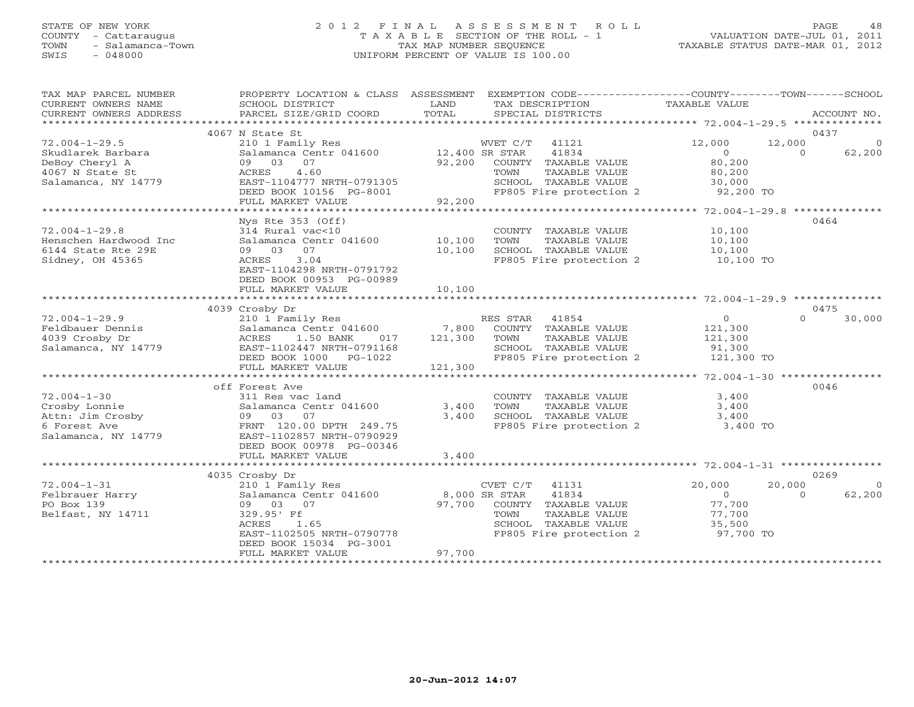# STATE OF NEW YORK 2 0 1 2 F I N A L A S S E S S M E N T R O L L PAGE 48 COUNTY - Cattaraugus T A X A B L E SECTION OF THE ROLL - 1 VALUATION DATE-JUL 01, 2011 TOWN - Salamanca-Town TAX MAP NUMBER SEQUENCE TAXABLE STATUS DATE-MAR 01, 2012 SWIS - 048000 UNIFORM PERCENT OF VALUE IS 100.00

| TAX MAP PARCEL NUMBER<br>CURRENT OWNERS NAME<br>CURRENT OWNERS ADDRESS | PROPERTY LOCATION & CLASS ASSESSMENT<br>SCHOOL DISTRICT<br>PARCEL SIZE/GRID COORD | LAND<br>TOTAL | EXEMPTION CODE-----------------COUNTY-------TOWN------SCHOOL<br>TAX DESCRIPTION<br>SPECIAL DISTRICTS | <b>TAXABLE VALUE</b> | ACCOUNT NO.        |
|------------------------------------------------------------------------|-----------------------------------------------------------------------------------|---------------|------------------------------------------------------------------------------------------------------|----------------------|--------------------|
| ***********************                                                |                                                                                   |               |                                                                                                      |                      |                    |
|                                                                        | 4067 N State St                                                                   |               |                                                                                                      |                      | 0437               |
| $72.004 - 1 - 29.5$                                                    | 210 1 Family Res                                                                  |               | WVET C/T<br>41121                                                                                    | 12,000               | 12,000<br>$\Omega$ |
| Skudlarek Barbara                                                      | Salamanca Centr 041600 12,400 SR STAR                                             |               | 41834                                                                                                | $\Omega$             | 62,200<br>$\Omega$ |
| DeBoy Cheryl A                                                         | 09 03 07                                                                          | 92,200        | COUNTY TAXABLE VALUE                                                                                 | 80,200               |                    |
| 4067 N State St                                                        | 4.60<br>ACRES                                                                     |               | TOWN<br>TAXABLE VALUE                                                                                | 80,200               |                    |
| Salamanca, NY 14779                                                    | EAST-1104777 NRTH-0791305                                                         |               | SCHOOL TAXABLE VALUE                                                                                 | 30,000               |                    |
|                                                                        | DEED BOOK 10156 PG-8001                                                           |               | FP805 Fire protection 2                                                                              | 92,200 TO            |                    |
|                                                                        | FULL MARKET VALUE                                                                 | 92,200        |                                                                                                      |                      |                    |
|                                                                        |                                                                                   |               |                                                                                                      |                      |                    |
|                                                                        | $Nys$ Rte 353 (Off)                                                               |               |                                                                                                      |                      | 0464               |
| $72.004 - 1 - 29.8$                                                    | 314 Rural vac<10                                                                  |               | COUNTY TAXABLE VALUE                                                                                 | 10,100               |                    |
| Henschen Hardwood Inc                                                  | Salamanca Centr 041600                                                            | 10,100        | TOWN<br>TAXABLE VALUE                                                                                | 10,100               |                    |
| 6144 State Rte 29E                                                     | 07<br>09 03                                                                       | 10,100        | SCHOOL TAXABLE VALUE                                                                                 | 10,100               |                    |
| Sidney, OH 45365                                                       | 3.04<br>ACRES                                                                     |               | FP805 Fire protection 2                                                                              | 10,100 TO            |                    |
|                                                                        | EAST-1104298 NRTH-0791792                                                         |               |                                                                                                      |                      |                    |
|                                                                        | DEED BOOK 00953 PG-00989                                                          |               |                                                                                                      |                      |                    |
|                                                                        | FULL MARKET VALUE                                                                 | 10,100        |                                                                                                      |                      |                    |
|                                                                        |                                                                                   |               |                                                                                                      |                      |                    |
|                                                                        | 4039 Crosby Dr                                                                    |               |                                                                                                      |                      | 0475<br>$\cap$     |
| $72.004 - 1 - 29.9$                                                    | 210 1 Family Res                                                                  |               | RES STAR<br>41854                                                                                    | 0                    | 30,000             |
| Feldbauer Dennis                                                       | Salamanca Centr 041600                                                            | 7,800         | COUNTY TAXABLE VALUE                                                                                 | 121,300              |                    |
| 4039 Crosby Dr                                                         | ACRES<br>1.50 BANK<br>017                                                         | 121,300       | TAXABLE VALUE<br>TOWN                                                                                | 121,300              |                    |
| Salamanca, NY 14779                                                    | EAST-1102447 NRTH-0791168                                                         |               | SCHOOL TAXABLE VALUE<br>FP805 Fire protection 2                                                      | 91,300               |                    |
|                                                                        | DEED BOOK 1000 PG-1022<br>FULL MARKET VALUE                                       | 121,300       |                                                                                                      | 121,300 TO           |                    |
|                                                                        |                                                                                   |               |                                                                                                      |                      |                    |
|                                                                        | off Forest Ave                                                                    |               |                                                                                                      |                      | 0046               |
|                                                                        |                                                                                   |               |                                                                                                      |                      |                    |
| $72.004 - 1 - 30$<br>Crosby Lonnie                                     | 311 Res vac land                                                                  | 3,400         | COUNTY TAXABLE VALUE<br>TOWN<br>TAXABLE VALUE                                                        | 3,400<br>3,400       |                    |
|                                                                        | Salamanca Centr 041600                                                            |               | SCHOOL TAXABLE VALUE                                                                                 |                      |                    |
| Attn: Jim Crosby                                                       | 09 03<br>07                                                                       | 3,400         |                                                                                                      | 3,400                |                    |
| 6 Forest Ave                                                           | FRNT 120.00 DPTH 249.75<br>EAST-1102857 NRTH-0790929                              |               | FP805 Fire protection 2                                                                              | 3,400 TO             |                    |
| Salamanca, NY 14779                                                    |                                                                                   |               |                                                                                                      |                      |                    |
|                                                                        | DEED BOOK 00978 PG-00346<br>FULL MARKET VALUE                                     | 3,400         |                                                                                                      |                      |                    |
|                                                                        |                                                                                   |               |                                                                                                      |                      |                    |
|                                                                        | 4035 Crosby Dr                                                                    |               |                                                                                                      |                      | 0269               |
| $72.004 - 1 - 31$                                                      | 210 1 Family Res                                                                  |               | CVET C/T<br>41131                                                                                    | 20,000               | 20,000<br>$\Omega$ |
| Felbrauer Harry                                                        | Salamanca Centr 041600                                                            |               | 8,000 SR STAR<br>41834                                                                               | $\Omega$             | 62,200<br>$\Omega$ |
| PO Box 139                                                             | 09 03 07                                                                          | 97,700        | COUNTY TAXABLE VALUE                                                                                 | 77,700               |                    |
| Belfast, NY 14711                                                      | 329.95' Ff                                                                        |               | TOWN<br>TAXABLE VALUE                                                                                | 77,700               |                    |
|                                                                        | ACRES<br>1.65                                                                     |               | SCHOOL TAXABLE VALUE                                                                                 | 35,500               |                    |
|                                                                        | EAST-1102505 NRTH-0790778                                                         |               | FP805 Fire protection 2                                                                              | 97,700 TO            |                    |
|                                                                        | DEED BOOK 15034 PG-3001                                                           |               |                                                                                                      |                      |                    |
|                                                                        | FULL MARKET VALUE                                                                 | 97,700        |                                                                                                      |                      |                    |
|                                                                        |                                                                                   |               |                                                                                                      |                      |                    |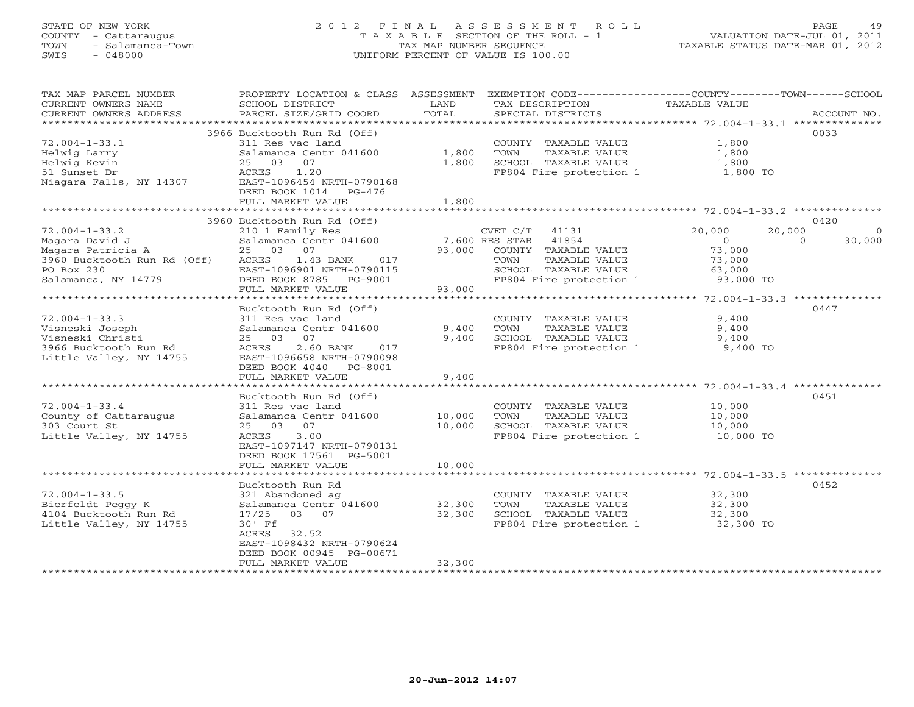# STATE OF NEW YORK 2 0 1 2 F I N A L A S S E S S M E N T R O L L PAGE 49 COUNTY - Cattaraugus T A X A B L E SECTION OF THE ROLL - 1 VALUATION DATE-JUL 01, 2011 TOWN - Salamanca-Town TAX MAP NUMBER SEQUENCE TAXABLE STATUS DATE-MAR 01, 2012 SWIS - 048000 UNIFORM PERCENT OF VALUE IS 100.00

| TAX MAP PARCEL NUMBER<br>CURRENT OWNERS NAME     | PROPERTY LOCATION & CLASS ASSESSMENT<br>SCHOOL DISTRICT                                               | LAND   | EXEMPTION CODE-----------------COUNTY-------TOWN------SCHOOL<br>TAX DESCRIPTION | TAXABLE VALUE                                           |                          |
|--------------------------------------------------|-------------------------------------------------------------------------------------------------------|--------|---------------------------------------------------------------------------------|---------------------------------------------------------|--------------------------|
| CURRENT OWNERS ADDRESS                           | PARCEL SIZE/GRID COORD                                                                                | TOTAL  | SPECIAL DISTRICTS                                                               |                                                         | ACCOUNT NO.              |
| ***********************                          |                                                                                                       |        |                                                                                 |                                                         |                          |
| $72.004 - 1 - 33.1$<br>Helwig Larry              | 3966 Bucktooth Run Rd (Off)<br>311 Res vac land<br>Salamanca Centr 041600                             | 1,800  | COUNTY TAXABLE VALUE<br>TOWN<br>TAXABLE VALUE                                   | 1,800<br>1,800                                          | 0033                     |
| Helwig Kevin                                     | 07<br>25 03                                                                                           | 1,800  | SCHOOL TAXABLE VALUE                                                            | 1,800                                                   |                          |
| 51 Sunset Dr<br>Niagara Falls, NY 14307          | 1.20<br>ACRES<br>EAST-1096454 NRTH-0790168<br>DEED BOOK 1014 PG-476                                   |        | FP804 Fire protection 1                                                         | 1,800 TO                                                |                          |
|                                                  | FULL MARKET VALUE                                                                                     | 1,800  |                                                                                 |                                                         |                          |
|                                                  | 3960 Bucktooth Run Rd (Off)                                                                           |        |                                                                                 |                                                         | 0420                     |
| $72.004 - 1 - 33.2$                              | 210 1 Family Res                                                                                      |        | CVET C/T 41131                                                                  | 20,000                                                  | 20,000<br>$\overline{0}$ |
| Magara David J                                   | Salamanca Centr 041600                                                                                |        | 7,600 RES STAR 41854                                                            | $\circ$                                                 | $\Omega$<br>30,000       |
| Magara Patricia A                                | 25 03 07                                                                                              | 93,000 | COUNTY TAXABLE VALUE                                                            | 73,000                                                  |                          |
| 3960 Bucktooth Run Rd (Off)                      | 1.43 BANK<br>ACRES<br>017                                                                             |        | TAXABLE VALUE<br>TOWN                                                           | 73,000                                                  |                          |
| PO Box 230<br>Salamanca, NY 14779                | EAST-1096901 NRTH-0790115<br>DEED BOOK 8785 PG-9001                                                   |        | SCHOOL TAXABLE VALUE<br>FP804 Fire protection 1                                 | 63,000<br>93,000 TO                                     |                          |
|                                                  | FULL MARKET VALUE                                                                                     | 93,000 |                                                                                 |                                                         |                          |
|                                                  |                                                                                                       |        |                                                                                 | ************************** 72.004-1-33.3 ************** |                          |
|                                                  | Bucktooth Run Rd (Off)                                                                                |        |                                                                                 |                                                         | 0447                     |
| $72.004 - 1 - 33.3$                              | 311 Res vac land                                                                                      |        | COUNTY TAXABLE VALUE                                                            | 9,400                                                   |                          |
| Visneski Joseph                                  | Salamanca Centr 041600                                                                                | 9,400  | TOWN<br>TAXABLE VALUE                                                           | 9,400                                                   |                          |
| Visneski Christi                                 | 07<br>25 03                                                                                           | 9,400  | SCHOOL TAXABLE VALUE                                                            | 9,400                                                   |                          |
| 3966 Bucktooth Run Rd<br>Little Valley, NY 14755 | 2.60 BANK<br>ACRES<br>017<br>EAST-1096658 NRTH-0790098<br>DEED BOOK 4040 PG-8001<br>FULL MARKET VALUE | 9,400  | FP804 Fire protection 1                                                         | 9,400 TO                                                |                          |
|                                                  |                                                                                                       |        |                                                                                 |                                                         |                          |
|                                                  | Bucktooth Run Rd (Off)                                                                                |        |                                                                                 |                                                         | 0451                     |
| $72.004 - 1 - 33.4$                              | 311 Res vac land                                                                                      |        | COUNTY TAXABLE VALUE                                                            | 10,000                                                  |                          |
| County of Cattaraugus                            | Salamanca Centr 041600                                                                                | 10,000 | TOWN<br>TAXABLE VALUE                                                           | 10,000                                                  |                          |
| 303 Court St                                     | 07<br>25 03                                                                                           | 10,000 | SCHOOL TAXABLE VALUE                                                            | 10,000                                                  |                          |
| Little Valley, NY 14755                          | 3.00<br>ACRES<br>EAST-1097147 NRTH-0790131<br>DEED BOOK 17561 PG-5001<br>FULL MARKET VALUE            | 10,000 | FP804 Fire protection 1                                                         | 10,000 TO                                               |                          |
|                                                  |                                                                                                       |        |                                                                                 |                                                         |                          |
|                                                  | Bucktooth Run Rd                                                                                      |        |                                                                                 |                                                         | 0452                     |
| $72.004 - 1 - 33.5$                              | 321 Abandoned ag                                                                                      |        | COUNTY TAXABLE VALUE                                                            | 32,300                                                  |                          |
| Bierfeldt Peqqy K                                | Salamanca Centr 041600                                                                                | 32,300 | TOWN<br>TAXABLE VALUE                                                           | 32,300                                                  |                          |
| 4104 Bucktooth Run Rd                            | 03 07<br>17/25                                                                                        | 32,300 | SCHOOL TAXABLE VALUE                                                            | 32,300                                                  |                          |
| Little Valley, NY 14755                          | $30'$ Ff<br>ACRES<br>32.52<br>EAST-1098432 NRTH-0790624<br>DEED BOOK 00945 PG-00671                   |        | FP804 Fire protection 1                                                         | 32,300 TO                                               |                          |
|                                                  | FULL MARKET VALUE<br>*************************                                                        | 32,300 |                                                                                 |                                                         |                          |
|                                                  |                                                                                                       |        |                                                                                 |                                                         |                          |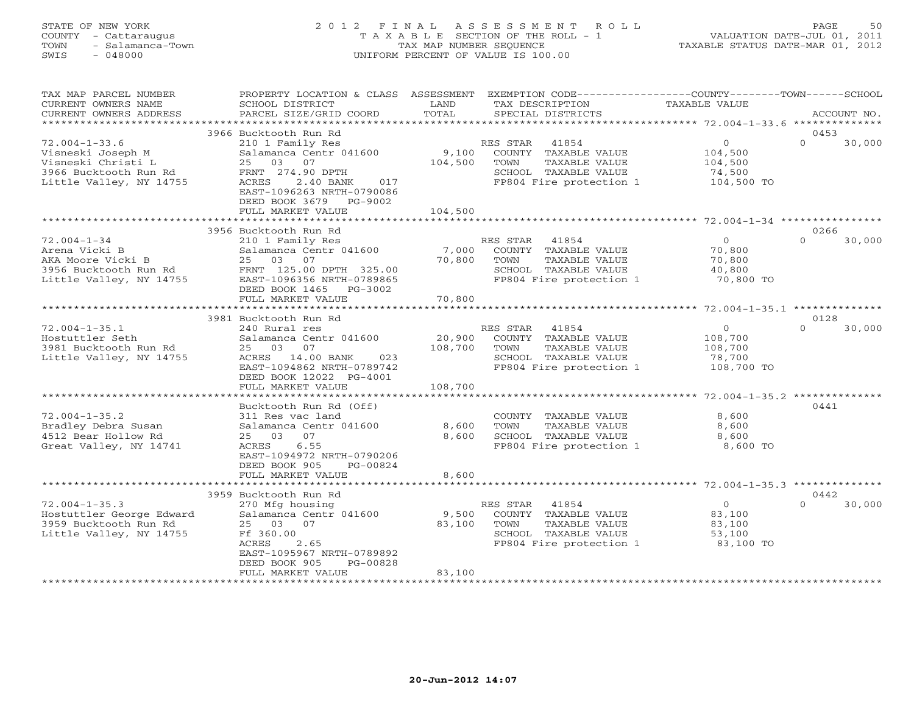# STATE OF NEW YORK 2 0 1 2 F I N A L A S S E S S M E N T R O L L PAGE 50 COUNTY - Cattaraugus T A X A B L E SECTION OF THE ROLL - 1 VALUATION DATE-JUL 01, 2011 TOWN - Salamanca-Town TAX MAP NUMBER SEQUENCE TAXABLE STATUS DATE-MAR 01, 2012 SWIS - 048000 UNIFORM PERCENT OF VALUE IS 100.00

| TAX MAP PARCEL NUMBER<br>CURRENT OWNERS NAME<br>CURRENT OWNERS ADDRESS                                             | PROPERTY LOCATION & CLASS ASSESSMENT<br>SCHOOL DISTRICT<br>PARCEL SIZE/GRID COORD                                                                                                              | LAND<br>TOTAL                | EXEMPTION CODE-----------------COUNTY-------TOWN------SCHOOL<br>TAX DESCRIPTION<br>SPECIAL DISTRICTS                         | <b>TAXABLE VALUE</b>                                         | ACCOUNT NO.                |
|--------------------------------------------------------------------------------------------------------------------|------------------------------------------------------------------------------------------------------------------------------------------------------------------------------------------------|------------------------------|------------------------------------------------------------------------------------------------------------------------------|--------------------------------------------------------------|----------------------------|
| ************************                                                                                           |                                                                                                                                                                                                |                              |                                                                                                                              |                                                              |                            |
| $72.004 - 1 - 33.6$<br>Visneski Joseph M<br>Visneski Christi L<br>3966 Bucktooth Run Rd<br>Little Valley, NY 14755 | 3966 Bucktooth Run Rd<br>210 1 Family Res<br>Salamanca Centr 041600<br>25<br>03 07<br>FRNT 274.90 DPTH<br>ACRES<br>2.40 BANK<br>017<br>EAST-1096263 NRTH-0790086<br>DEED BOOK 3679 PG-9002     | 9,100<br>104,500             | RES STAR<br>41854<br>COUNTY TAXABLE VALUE<br>TOWN<br>TAXABLE VALUE<br>SCHOOL TAXABLE VALUE<br>FP804 Fire protection 1        | $\overline{0}$<br>104,500<br>104,500<br>74,500<br>104,500 TO | 0453<br>$\Omega$<br>30,000 |
|                                                                                                                    | FULL MARKET VALUE                                                                                                                                                                              | 104,500                      |                                                                                                                              |                                                              |                            |
| $72.004 - 1 - 34$<br>Arena Vicki B<br>AKA Moore Vicki B<br>3956 Bucktooth Run Rd<br>Little Valley, NY 14755        | 3956 Bucktooth Run Rd<br>210 1 Family Res<br>Salamanca Centr 041600<br>25 03 07<br>FRNT 125.00 DPTH 325.00<br>EAST-1096356 NRTH-0789865<br>DEED BOOK 1465<br>PG-3002                           | 7,000<br>70,800              | RES STAR<br>41854<br>COUNTY TAXABLE VALUE<br>TAXABLE VALUE<br>TOWN<br>SCHOOL TAXABLE VALUE<br>FP804 Fire protection 1        | $\circ$<br>70,800<br>70,800<br>40,800<br>70,800 TO           | 0266<br>$\Omega$<br>30,000 |
|                                                                                                                    | FULL MARKET VALUE<br>******************************                                                                                                                                            | 70,800                       |                                                                                                                              |                                                              |                            |
|                                                                                                                    | 3981 Bucktooth Run Rd                                                                                                                                                                          |                              |                                                                                                                              |                                                              | 0128                       |
| $72.004 - 1 - 35.1$<br>Hostuttler Seth<br>3981 Bucktooth Run Rd<br>Little Valley, NY 14755                         | 240 Rural res<br>Salamanca Centr 041600<br>25 03<br>07<br>14.00 BANK<br>023<br>ACRES<br>EAST-1094862 NRTH-0789742<br>DEED BOOK 12022 PG-4001<br>FULL MARKET VALUE                              | 20,900<br>108,700<br>108,700 | RES STAR<br>41854<br>COUNTY TAXABLE VALUE<br>TOWN<br><b>TAXABLE VALUE</b><br>SCHOOL TAXABLE VALUE<br>FP804 Fire protection 1 | $\overline{0}$<br>108,700<br>108,700<br>78,700<br>108,700 TO | $\cap$<br>30,000           |
|                                                                                                                    |                                                                                                                                                                                                |                              |                                                                                                                              |                                                              |                            |
| $72.004 - 1 - 35.2$<br>Bradley Debra Susan<br>4512 Bear Hollow Rd<br>Great Valley, NY 14741                        | Bucktooth Run Rd (Off)<br>311 Res vac land<br>Salamanca Centr 041600<br>07<br>25 03<br>ACRES<br>6.55<br>EAST-1094972 NRTH-0790206<br>DEED BOOK 905<br>PG-00824                                 | 8,600<br>8,600               | COUNTY TAXABLE VALUE<br>TOWN<br>TAXABLE VALUE<br>SCHOOL TAXABLE VALUE<br>FP804 Fire protection 1                             | 8,600<br>8,600<br>8,600<br>8,600 TO                          | 0441                       |
|                                                                                                                    | FULL MARKET VALUE                                                                                                                                                                              | 8,600                        |                                                                                                                              |                                                              |                            |
|                                                                                                                    |                                                                                                                                                                                                |                              |                                                                                                                              |                                                              | 0442                       |
| $72.004 - 1 - 35.3$<br>Hostuttler George Edward<br>3959 Bucktooth Run Rd<br>Little Valley, NY 14755                | 3959 Bucktooth Run Rd<br>270 Mfg housing<br>Salamanca Centr 041600<br>25 03<br>07<br>Ff 360.00<br>2.65<br>ACRES<br>EAST-1095967 NRTH-0789892<br>DEED BOOK 905<br>PG-00828<br>FULL MARKET VALUE | 9,500<br>83,100<br>83,100    | RES STAR<br>41854<br>COUNTY TAXABLE VALUE<br>TOWN<br>TAXABLE VALUE<br>SCHOOL TAXABLE VALUE<br>FP804 Fire protection 1        | $\overline{0}$<br>83,100<br>83,100<br>53,100<br>83,100 TO    | $\Omega$<br>30,000         |
|                                                                                                                    |                                                                                                                                                                                                |                              |                                                                                                                              |                                                              |                            |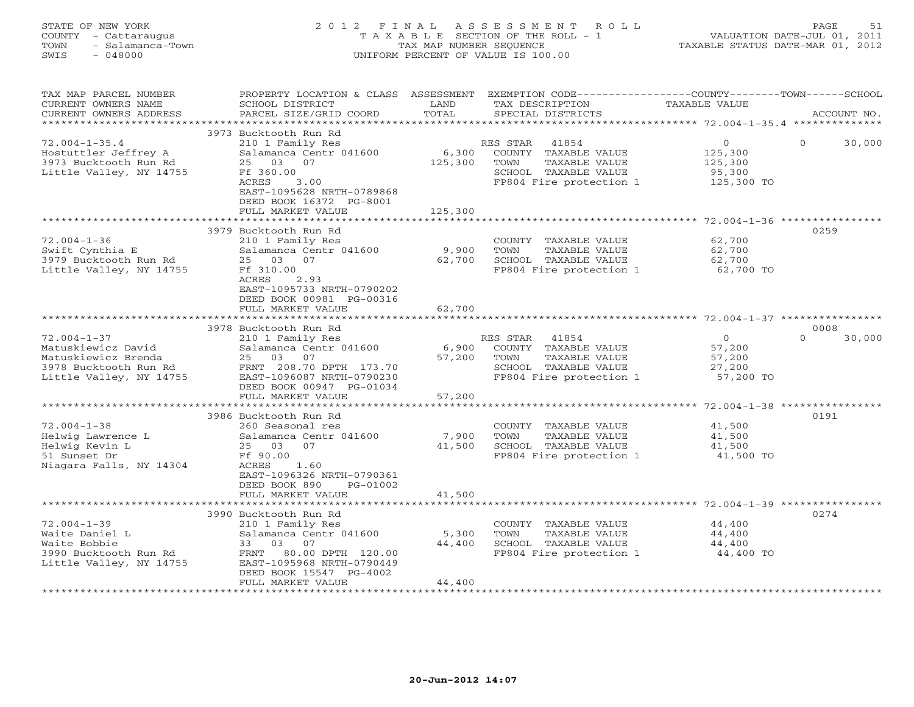# STATE OF NEW YORK 2 0 1 2 F I N A L A S S E S S M E N T R O L L PAGE 51 COUNTY - Cattaraugus T A X A B L E SECTION OF THE ROLL - 1 VALUATION DATE-JUL 01, 2011 TOWN - Salamanca-Town TAX MAP NUMBER SEQUENCE TAXABLE STATUS DATE-MAR 01, 2012 SWIS - 048000 UNIFORM PERCENT OF VALUE IS 100.00

| TAX MAP PARCEL NUMBER<br>CURRENT OWNERS NAME<br>CURRENT OWNERS ADDRESS                                             | PROPERTY LOCATION & CLASS ASSESSMENT<br>SCHOOL DISTRICT<br>PARCEL SIZE/GRID COORD                                                                                                               | LAND<br>TOTAL               | EXEMPTION CODE-----------------COUNTY-------TOWN------SCHOOL<br>TAX DESCRIPTION<br>SPECIAL DISTRICTS                  | <b>TAXABLE VALUE</b>                                  | ACCOUNT NO.        |
|--------------------------------------------------------------------------------------------------------------------|-------------------------------------------------------------------------------------------------------------------------------------------------------------------------------------------------|-----------------------------|-----------------------------------------------------------------------------------------------------------------------|-------------------------------------------------------|--------------------|
| *********************                                                                                              | 3973 Bucktooth Run Rd                                                                                                                                                                           |                             |                                                                                                                       |                                                       |                    |
| $72.004 - 1 - 35.4$<br>Hostuttler Jeffrey A<br>3973 Bucktooth Run Rd<br>Little Valley, NY 14755                    | 210 1 Family Res<br>Salamanca Centr 041600<br>25<br>03 07<br>Ff 360.00<br>ACRES<br>3.00<br>EAST-1095628 NRTH-0789868<br>DEED BOOK 16372 PG-8001<br>FULL MARKET VALUE                            | 6,300<br>125,300<br>125,300 | RES STAR<br>41854<br>COUNTY TAXABLE VALUE<br>TOWN<br>TAXABLE VALUE<br>SCHOOL TAXABLE VALUE<br>FP804 Fire protection 1 | $\circ$<br>125,300<br>125,300<br>95,300<br>125,300 TO | $\Omega$<br>30,000 |
|                                                                                                                    |                                                                                                                                                                                                 | ********************        |                                                                                                                       |                                                       |                    |
| $72.004 - 1 - 36$<br>Swift Cynthia E<br>3979 Bucktooth Run Rd<br>Little Valley, NY 14755                           | 3979 Bucktooth Run Rd<br>210 1 Family Res<br>Salamanca Centr 041600<br>25 03<br>07<br>Ff 310.00<br>ACRES<br>2.93<br>EAST-1095733 NRTH-0790202<br>DEED BOOK 00981 PG-00316                       | 9,900<br>62,700             | COUNTY TAXABLE VALUE<br>TOWN<br>TAXABLE VALUE<br>SCHOOL TAXABLE VALUE<br>FP804 Fire protection 1                      | 62,700<br>62,700<br>62,700<br>62,700 TO               | 0259               |
|                                                                                                                    | FULL MARKET VALUE                                                                                                                                                                               | 62,700                      |                                                                                                                       |                                                       |                    |
|                                                                                                                    | 3978 Bucktooth Run Rd                                                                                                                                                                           |                             |                                                                                                                       |                                                       | 0008               |
| $72.004 - 1 - 37$<br>Matuskiewicz David<br>Matuskiewicz Brenda<br>3978 Bucktooth Run Rd<br>Little Valley, NY 14755 | 210 1 Family Res<br>Salamanca Centr 041600<br>25 03 07<br>FRNT 208.70 DPTH 173.70<br>EAST-1096087 NRTH-0790230<br>DEED BOOK 00947 PG-01034                                                      | 6,900<br>57,200             | 41854<br>RES STAR<br>COUNTY TAXABLE VALUE<br>TOWN<br>TAXABLE VALUE<br>SCHOOL TAXABLE VALUE<br>FP804 Fire protection 1 | $\Omega$<br>57,200<br>57,200<br>27,200<br>57,200 TO   | $\Omega$<br>30,000 |
|                                                                                                                    | FULL MARKET VALUE<br>                                                                                                                                                                           | 57,200<br>************      |                                                                                                                       |                                                       |                    |
| $72.004 - 1 - 38$<br>Helwig Lawrence L<br>Helwig Kevin L<br>51 Sunset Dr<br>Niagara Falls, NY 14304                | 3986 Bucktooth Run Rd<br>260 Seasonal res<br>Salamanca Centr 041600<br>25 03<br>07<br>Ff 90.00<br>ACRES<br>1.60<br>EAST-1096326 NRTH-0790361<br>DEED BOOK 890<br>PG-01002<br>FULL MARKET VALUE  | 7,900<br>41,500<br>41,500   | COUNTY TAXABLE VALUE<br>TAXABLE VALUE<br>TOWN<br>SCHOOL TAXABLE VALUE<br>FP804 Fire protection 1                      | 41,500<br>41,500<br>41,500<br>41,500 TO               | 0191               |
|                                                                                                                    |                                                                                                                                                                                                 |                             |                                                                                                                       |                                                       |                    |
| $72.004 - 1 - 39$<br>Waite Daniel L<br>Waite Bobbie<br>3990 Bucktooth Run Rd<br>Little Valley, NY 14755            | 3990 Bucktooth Run Rd<br>210 1 Family Res<br>Salamanca Centr 041600<br>33<br>03<br>07<br>80.00 DPTH 120.00<br>FRNT<br>EAST-1095968 NRTH-0790449<br>DEED BOOK 15547 PG-4002<br>FULL MARKET VALUE | 5,300<br>44,400<br>44,400   | COUNTY TAXABLE VALUE<br>TOWN<br>TAXABLE VALUE<br>SCHOOL TAXABLE VALUE<br>FP804 Fire protection 1                      | 44,400<br>44,400<br>44,400<br>44,400 TO               | 0274               |
|                                                                                                                    |                                                                                                                                                                                                 |                             |                                                                                                                       |                                                       |                    |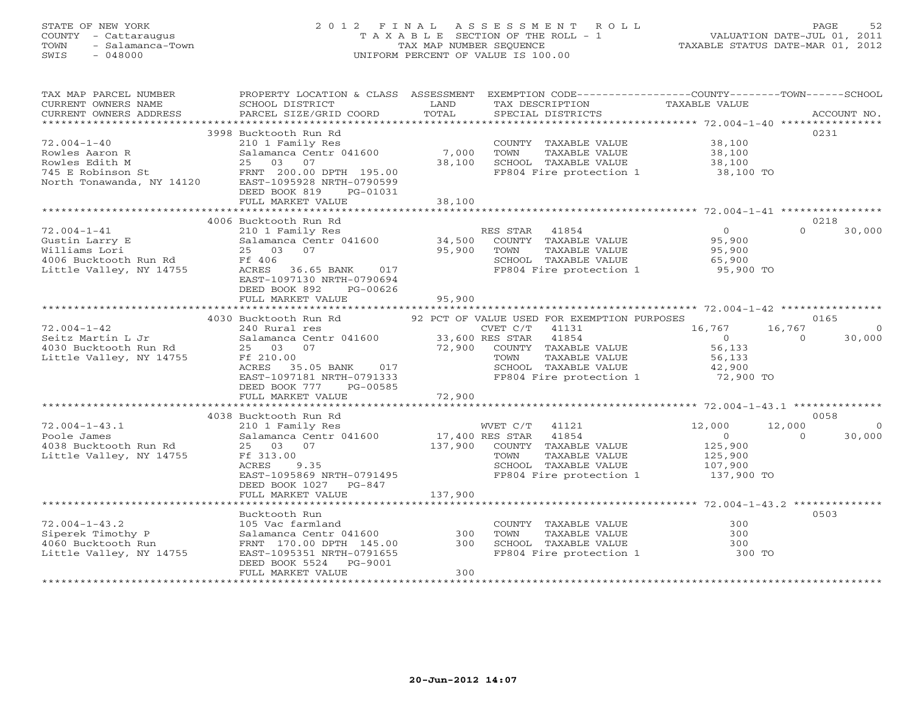# STATE OF NEW YORK 2 0 1 2 F I N A L A S S E S S M E N T R O L L PAGE 52 COUNTY - Cattaraugus T A X A B L E SECTION OF THE ROLL - 1 VALUATION DATE-JUL 01, 2011 TOWN - Salamanca-Town TAX MAP NUMBER SEQUENCE TAXABLE STATUS DATE-MAR 01, 2012 SWIS - 048000 UNIFORM PERCENT OF VALUE IS 100.00

| TAX MAP PARCEL NUMBER                                                                                                                                                                                                                                      | PROPERTY LOCATION & CLASS ASSESSMENT EXEMPTION CODE---------------COUNTY-------TOWN------SCHOOL                                                                                                                                                            |         |                                                                                                                              |                                                                                                                                                                                                    |                          |
|------------------------------------------------------------------------------------------------------------------------------------------------------------------------------------------------------------------------------------------------------------|------------------------------------------------------------------------------------------------------------------------------------------------------------------------------------------------------------------------------------------------------------|---------|------------------------------------------------------------------------------------------------------------------------------|----------------------------------------------------------------------------------------------------------------------------------------------------------------------------------------------------|--------------------------|
| CURRENT OWNERS NAME                                                                                                                                                                                                                                        | SCHOOL DISTRICT                                                                                                                                                                                                                                            | LAND    | TAX DESCRIPTION                                                                                                              | TAXABLE VALUE                                                                                                                                                                                      |                          |
| CURRENT OWNERS ADDRESS                                                                                                                                                                                                                                     | PARCEL SIZE/GRID COORD                                                                                                                                                                                                                                     | TOTAL   | SPECIAL DISTRICTS                                                                                                            |                                                                                                                                                                                                    | ACCOUNT NO.              |
|                                                                                                                                                                                                                                                            |                                                                                                                                                                                                                                                            |         |                                                                                                                              |                                                                                                                                                                                                    |                          |
|                                                                                                                                                                                                                                                            | 3998 Bucktooth Run Rd                                                                                                                                                                                                                                      |         |                                                                                                                              |                                                                                                                                                                                                    | 0231                     |
| $72.004 - 1 - 40$                                                                                                                                                                                                                                          |                                                                                                                                                                                                                                                            |         |                                                                                                                              |                                                                                                                                                                                                    |                          |
|                                                                                                                                                                                                                                                            |                                                                                                                                                                                                                                                            |         |                                                                                                                              |                                                                                                                                                                                                    |                          |
|                                                                                                                                                                                                                                                            |                                                                                                                                                                                                                                                            |         |                                                                                                                              |                                                                                                                                                                                                    |                          |
| 72.004-1-40<br>Rowles Aaron R<br>Rowles Edith M<br>745 E Robinson St<br>745 E Robinson St<br>745 E Robinson St<br>745 E Robinson St<br>745 E Robinson St<br>745 E Robinson St<br>745 E Robinson St<br>790.00 DPTH<br>790599<br>790.00 DPTH<br>790599<br>79 | Exercise<br>210 1 Family Res<br>210 1 Family Res<br>Salamanca Centr 041600 7,000<br>25 03 07 38,100<br>20 20 11 195.00                                                                                                                                     |         | COUNTY TAXABLE VALUE 38,100<br>TOWN TAXABLE VALUE 38,100<br>SCHOOL TAXABLE VALUE 38,100<br>FP804 Fire protection 1 38,100 TO |                                                                                                                                                                                                    |                          |
|                                                                                                                                                                                                                                                            |                                                                                                                                                                                                                                                            |         |                                                                                                                              |                                                                                                                                                                                                    |                          |
|                                                                                                                                                                                                                                                            | DEED BOOK 819<br>PG-01031                                                                                                                                                                                                                                  |         |                                                                                                                              |                                                                                                                                                                                                    |                          |
|                                                                                                                                                                                                                                                            |                                                                                                                                                                                                                                                            |         |                                                                                                                              |                                                                                                                                                                                                    |                          |
|                                                                                                                                                                                                                                                            |                                                                                                                                                                                                                                                            |         |                                                                                                                              |                                                                                                                                                                                                    |                          |
|                                                                                                                                                                                                                                                            | 4006 Bucktooth Run Rd                                                                                                                                                                                                                                      |         |                                                                                                                              |                                                                                                                                                                                                    | 0218                     |
| The correction of the correction of the correction of the correction of the correction of the correction of the correction of the correction of the correction of the correction of the correction of the correction of the co                             |                                                                                                                                                                                                                                                            |         |                                                                                                                              | $\begin{array}{c} 0 \ 95,900 \end{array}$                                                                                                                                                          | $\Omega$<br>30,000       |
|                                                                                                                                                                                                                                                            |                                                                                                                                                                                                                                                            |         |                                                                                                                              |                                                                                                                                                                                                    |                          |
|                                                                                                                                                                                                                                                            |                                                                                                                                                                                                                                                            |         | FOWN TAXABLE VALUE<br>TOWN TAXABLE VALUE<br>SCHOOL TAXABLE VALUE<br>FP804 Fire protection 1 95,900 TO                        |                                                                                                                                                                                                    |                          |
|                                                                                                                                                                                                                                                            |                                                                                                                                                                                                                                                            |         |                                                                                                                              |                                                                                                                                                                                                    |                          |
|                                                                                                                                                                                                                                                            |                                                                                                                                                                                                                                                            |         |                                                                                                                              |                                                                                                                                                                                                    |                          |
|                                                                                                                                                                                                                                                            | EAST-1097130 NRTH-0790694                                                                                                                                                                                                                                  |         |                                                                                                                              |                                                                                                                                                                                                    |                          |
|                                                                                                                                                                                                                                                            | PG-00626<br>DEED BOOK 892                                                                                                                                                                                                                                  |         |                                                                                                                              |                                                                                                                                                                                                    |                          |
|                                                                                                                                                                                                                                                            | FULL MARKET VALUE                                                                                                                                                                                                                                          | 95,900  |                                                                                                                              |                                                                                                                                                                                                    |                          |
|                                                                                                                                                                                                                                                            |                                                                                                                                                                                                                                                            |         |                                                                                                                              |                                                                                                                                                                                                    |                          |
|                                                                                                                                                                                                                                                            | 4030 Bucktooth Run Rd 92 PCT OF VALUE USED FOR EXEMPTION PURPOSES                                                                                                                                                                                          |         |                                                                                                                              |                                                                                                                                                                                                    | 0165                     |
|                                                                                                                                                                                                                                                            |                                                                                                                                                                                                                                                            |         | CVET $C/T$ 41131                                                                                                             | $\begin{bmatrix} 16, 767 & 16, 767 \\ 0 & 0 \end{bmatrix}$                                                                                                                                         | $\overline{0}$           |
|                                                                                                                                                                                                                                                            |                                                                                                                                                                                                                                                            |         |                                                                                                                              |                                                                                                                                                                                                    | 30,000                   |
|                                                                                                                                                                                                                                                            | 25 03 07<br>Ff 210.00<br>RES 35.05 BANK 017<br>EAST-1097181 NRTH-0791333<br>EAST-1097181 NRTH-0791333<br>EAST-1097181 NRTH-0791333<br>FF 210.00<br>FF 210.00<br>FF 210.00<br>FF 210.00<br>FF 210.00<br>FF 210.00<br>FF 210.00<br>CONTY TAXABLE VALUE<br>22 |         |                                                                                                                              |                                                                                                                                                                                                    |                          |
|                                                                                                                                                                                                                                                            |                                                                                                                                                                                                                                                            |         |                                                                                                                              |                                                                                                                                                                                                    |                          |
|                                                                                                                                                                                                                                                            |                                                                                                                                                                                                                                                            |         |                                                                                                                              |                                                                                                                                                                                                    |                          |
|                                                                                                                                                                                                                                                            |                                                                                                                                                                                                                                                            |         | SCHOOL TAXABLE VALUE $42,900$<br>FP804 Fire protection 1 72,900 TO                                                           |                                                                                                                                                                                                    |                          |
|                                                                                                                                                                                                                                                            | DEED BOOK 777 PG-00585                                                                                                                                                                                                                                     |         |                                                                                                                              |                                                                                                                                                                                                    |                          |
|                                                                                                                                                                                                                                                            |                                                                                                                                                                                                                                                            |         |                                                                                                                              |                                                                                                                                                                                                    |                          |
|                                                                                                                                                                                                                                                            |                                                                                                                                                                                                                                                            |         |                                                                                                                              |                                                                                                                                                                                                    |                          |
|                                                                                                                                                                                                                                                            | 4038 Bucktooth Run Rd                                                                                                                                                                                                                                      |         |                                                                                                                              |                                                                                                                                                                                                    | 0058                     |
| 72.004-1-43.1<br>Poole James<br>4038 Bucktooth Run Rd<br>Little Valley, NY 14755                                                                                                                                                                           | 210 1 Family Res                                                                                                                                                                                                                                           |         | WVET $C/T$ 41121                                                                                                             | 12,000                                                                                                                                                                                             | 12,000<br>$\overline{0}$ |
|                                                                                                                                                                                                                                                            |                                                                                                                                                                                                                                                            |         |                                                                                                                              | $\begin{tabular}{c} \bf 41854 \\ \bf 41854 \\ \bf TAXABLE \,\, VALUE \\ \bf TAXABLE \,\, VALUE \\ \bf TAXABLE \,\, VALUE \\ \bf 125,900 \\ \bf TAXABLE \,\, VALUE \\ \bf 107,900 \\ \end{tabular}$ | $\Omega$<br>30,000       |
|                                                                                                                                                                                                                                                            |                                                                                                                                                                                                                                                            |         |                                                                                                                              |                                                                                                                                                                                                    |                          |
|                                                                                                                                                                                                                                                            | 25 03 07<br>Ff 313.00<br>ACRES 9.35                                                                                                                                                                                                                        |         | TOWN                                                                                                                         |                                                                                                                                                                                                    |                          |
|                                                                                                                                                                                                                                                            |                                                                                                                                                                                                                                                            |         | SCHOOL TAXABLE VALUE                                                                                                         |                                                                                                                                                                                                    |                          |
|                                                                                                                                                                                                                                                            | EAST-1095869 NRTH-0791495                                                                                                                                                                                                                                  |         | FP804 Fire protection 1 137,900 TO                                                                                           |                                                                                                                                                                                                    |                          |
|                                                                                                                                                                                                                                                            | DEED BOOK 1027 PG-847                                                                                                                                                                                                                                      |         |                                                                                                                              |                                                                                                                                                                                                    |                          |
|                                                                                                                                                                                                                                                            | FULL MARKET VALUE                                                                                                                                                                                                                                          | 137,900 |                                                                                                                              |                                                                                                                                                                                                    |                          |
|                                                                                                                                                                                                                                                            |                                                                                                                                                                                                                                                            |         |                                                                                                                              |                                                                                                                                                                                                    |                          |
|                                                                                                                                                                                                                                                            | Bucktooth Run                                                                                                                                                                                                                                              |         |                                                                                                                              |                                                                                                                                                                                                    | 0503                     |
| $72.004 - 1 - 43.2$                                                                                                                                                                                                                                        |                                                                                                                                                                                                                                                            |         | COUNTY TAXABLE VALUE 300                                                                                                     |                                                                                                                                                                                                    |                          |
|                                                                                                                                                                                                                                                            |                                                                                                                                                                                                                                                            |         |                                                                                                                              |                                                                                                                                                                                                    |                          |
| Siperek Timothy P<br>4060 Bucktooth Bun<br>4060 Bucktooth Run                                                                                                                                                                                              |                                                                                                                                                                                                                                                            |         |                                                                                                                              |                                                                                                                                                                                                    |                          |
| Little Valley, NY 14755                                                                                                                                                                                                                                    |                                                                                                                                                                                                                                                            |         | FP804 Fire protection 1 300 TO                                                                                               |                                                                                                                                                                                                    |                          |
|                                                                                                                                                                                                                                                            | DEED BOOK 5524 PG-9001                                                                                                                                                                                                                                     |         |                                                                                                                              |                                                                                                                                                                                                    |                          |
|                                                                                                                                                                                                                                                            | FULL MARKET VALUE                                                                                                                                                                                                                                          | 300     |                                                                                                                              |                                                                                                                                                                                                    |                          |
|                                                                                                                                                                                                                                                            |                                                                                                                                                                                                                                                            |         |                                                                                                                              |                                                                                                                                                                                                    |                          |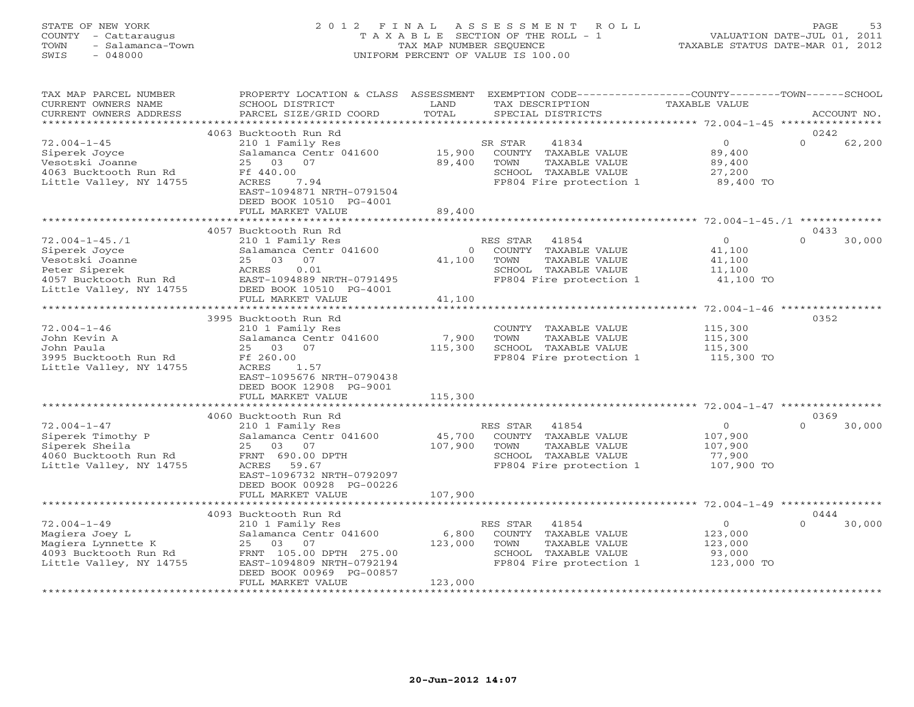#### STATE OF NEW YORK 2 0 1 2 F I N A L A S S E S S M E N T R O L L PAGE 53 COUNTY - Cattaraugus T A X A B L E SECTION OF THE ROLL - 1 VALUATION DATE-JUL 01, 2011 TOWN - Salamanca-Town TAX MAP NUMBER SEQUENCE TAXABLE STATUS DATE-MAR 01, 2012 SWIS - 048000 UNIFORM PERCENT OF VALUE IS 100.00

| TAX MAP PARCEL NUMBER<br>CURRENT OWNERS NAME<br>CURRENT OWNERS ADDRESS                                                        | PROPERTY LOCATION & CLASS ASSESSMENT<br>SCHOOL DISTRICT<br>PARCEL SIZE/GRID COORD                                                                                                                      | LAND<br>TOTAL                | EXEMPTION CODE-----------------COUNTY-------TOWN------SCHOOL<br>TAX DESCRIPTION<br>SPECIAL DISTRICTS                  | TAXABLE VALUE                                           | ACCOUNT NO.                |
|-------------------------------------------------------------------------------------------------------------------------------|--------------------------------------------------------------------------------------------------------------------------------------------------------------------------------------------------------|------------------------------|-----------------------------------------------------------------------------------------------------------------------|---------------------------------------------------------|----------------------------|
| **********************                                                                                                        |                                                                                                                                                                                                        |                              |                                                                                                                       |                                                         |                            |
| $72.004 - 1 - 45$<br>Siperek Joyce<br>Vesotski Joanne<br>4063 Bucktooth Run Rd<br>Little Valley, NY 14755                     | 4063 Bucktooth Run Rd<br>210 1 Family Res<br>Salamanca Centr 041600<br>25<br>03<br>07<br>Ff 440.00<br>ACRES<br>7.94<br>EAST-1094871 NRTH-0791504<br>DEED BOOK 10510 PG-4001<br>FULL MARKET VALUE       | 15,900<br>89,400<br>89,400   | 41834<br>SR STAR<br>COUNTY TAXABLE VALUE<br>TOWN<br>TAXABLE VALUE<br>SCHOOL TAXABLE VALUE<br>FP804 Fire protection 1  | $\circ$<br>89,400<br>89,400<br>27,200<br>89,400 TO      | 0242<br>$\Omega$<br>62,200 |
|                                                                                                                               |                                                                                                                                                                                                        |                              |                                                                                                                       |                                                         |                            |
| $72.004 - 1 - 45.71$<br>Siperek Joyce<br>Vesotski Joanne<br>Peter Siperek<br>4057 Bucktooth Run Rd<br>Little Valley, NY 14755 | 4057 Bucktooth Run Rd<br>210 1 Family Res<br>Salamanca Centr 041600<br>25 03<br>07<br>0.01<br>ACRES<br>EAST-1094889 NRTH-0791495<br>DEED BOOK 10510 PG-4001<br>FULL MARKET VALUE                       | $\circ$<br>41,100<br>41,100  | RES STAR<br>41854<br>COUNTY TAXABLE VALUE<br>TAXABLE VALUE<br>TOWN<br>SCHOOL TAXABLE VALUE<br>FP804 Fire protection 1 | $\circ$<br>41,100<br>41,100<br>11,100<br>41,100 TO      | 0433<br>$\Omega$<br>30,000 |
|                                                                                                                               |                                                                                                                                                                                                        |                              |                                                                                                                       |                                                         |                            |
| $72.004 - 1 - 46$<br>John Kevin A<br>John Paula<br>3995 Bucktooth Run Rd<br>Little Valley, NY 14755                           | 3995 Bucktooth Run Rd<br>210 1 Family Res<br>Salamanca Centr 041600<br>25 03<br>07<br>Ff 260.00<br>ACRES<br>1.57<br>EAST-1095676 NRTH-0790438<br>DEED BOOK 12908 PG-9001<br>FULL MARKET VALUE          | 7,900<br>115,300<br>115,300  | COUNTY TAXABLE VALUE<br>TOWN<br>TAXABLE VALUE<br>SCHOOL TAXABLE VALUE<br>FP804 Fire protection 1                      | 115,300<br>115,300<br>115,300<br>115,300 TO             | 0352                       |
|                                                                                                                               |                                                                                                                                                                                                        | *********                    |                                                                                                                       | ************************** 72.004-1-47 **************** |                            |
| $72.004 - 1 - 47$<br>Siperek Timothy P<br>Siperek Sheila<br>4060 Bucktooth Run Rd<br>Little Valley, NY 14755                  | 4060 Bucktooth Run Rd<br>210 1 Family Res<br>Salamanca Centr 041600<br>25<br>03<br>07<br>FRNT 690.00 DPTH<br>ACRES 59.67<br>EAST-1096732 NRTH-0792097<br>DEED BOOK 00928 PG-00226<br>FULL MARKET VALUE | 45,700<br>107,900<br>107,900 | RES STAR<br>41854<br>COUNTY TAXABLE VALUE<br>TOWN<br>TAXABLE VALUE<br>SCHOOL TAXABLE VALUE<br>FP804 Fire protection 1 | $\circ$<br>107,900<br>107,900<br>77,900<br>107,900 TO   | 0369<br>$\Omega$<br>30,000 |
|                                                                                                                               |                                                                                                                                                                                                        |                              |                                                                                                                       |                                                         |                            |
|                                                                                                                               | 4093 Bucktooth Run Rd                                                                                                                                                                                  |                              |                                                                                                                       |                                                         | 0444<br>$\Omega$           |
| $72.004 - 1 - 49$<br>Magiera Joey L<br>Magiera Lynnette K<br>4093 Bucktooth Run Rd<br>Little Valley, NY 14755                 | 210 1 Family Res<br>Salamanca Centr 041600<br>03<br>07<br>25<br>FRNT 105.00 DPTH 275.00<br>EAST-1094809 NRTH-0792194<br>DEED BOOK 00969 PG-00857<br>FULL MARKET VALUE                                  | 6,800<br>123,000<br>123,000  | RES STAR<br>41854<br>COUNTY TAXABLE VALUE<br>TAXABLE VALUE<br>TOWN<br>SCHOOL TAXABLE VALUE<br>FP804 Fire protection 1 | $\circ$<br>123,000<br>123,000<br>93,000<br>123,000 TO   | 30,000                     |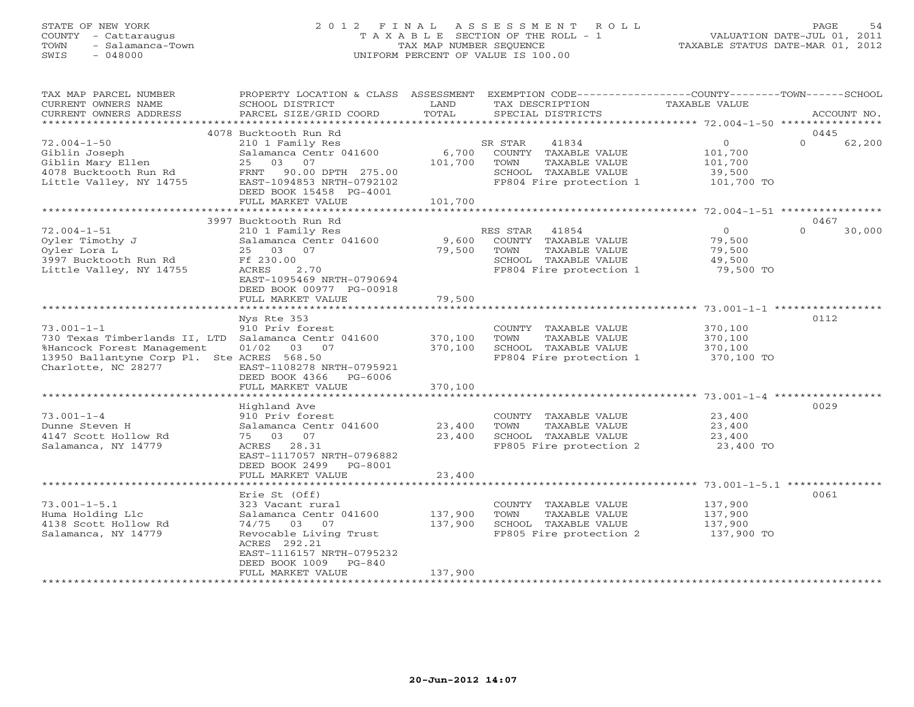# STATE OF NEW YORK 2 0 1 2 F I N A L A S S E S S M E N T R O L L PAGE 54 COUNTY - Cattaraugus T A X A B L E SECTION OF THE ROLL - 1 VALUATION DATE-JUL 01, 2011 TOWN - Salamanca-Town TAX MAP NUMBER SEQUENCE TAXABLE STATUS DATE-MAR 01, 2012 SWIS - 048000 UNIFORM PERCENT OF VALUE IS 100.00

| TAX MAP PARCEL NUMBER<br>CURRENT OWNERS NAME                             | PROPERTY LOCATION & CLASS ASSESSMENT<br>SCHOOL DISTRICT | LAND               | EXEMPTION CODE-----------------COUNTY-------TOWN------SCHOOL<br>TAX DESCRIPTION | TAXABLE VALUE                                         |                    |
|--------------------------------------------------------------------------|---------------------------------------------------------|--------------------|---------------------------------------------------------------------------------|-------------------------------------------------------|--------------------|
| CURRENT OWNERS ADDRESS                                                   | PARCEL SIZE/GRID COORD                                  | TOTAL              | SPECIAL DISTRICTS                                                               |                                                       | ACCOUNT NO.        |
| *********************                                                    |                                                         |                    |                                                                                 |                                                       |                    |
|                                                                          | 4078 Bucktooth Run Rd                                   |                    |                                                                                 |                                                       | 0445               |
| $72.004 - 1 - 50$                                                        | 210 1 Family Res                                        |                    | SR STAR<br>41834                                                                | $\circ$                                               | $\Omega$<br>62,200 |
| Giblin Joseph                                                            | Salamanca Centr 041600                                  | 6,700              | COUNTY TAXABLE VALUE                                                            | 101,700                                               |                    |
| Giblin Mary Ellen                                                        | 25<br>03<br>07                                          | 101,700            | TOWN<br>TAXABLE VALUE                                                           | 101,700                                               |                    |
| 4078 Bucktooth Run Rd                                                    | FRNT<br>90.00 DPTH 275.00                               |                    | SCHOOL TAXABLE VALUE                                                            | 39,500                                                |                    |
| Little Valley, NY 14755                                                  | EAST-1094853 NRTH-0792102                               |                    | FP804 Fire protection 1                                                         | 101,700 TO                                            |                    |
|                                                                          | DEED BOOK 15458 PG-4001                                 |                    |                                                                                 |                                                       |                    |
|                                                                          | FULL MARKET VALUE                                       | 101,700            |                                                                                 |                                                       |                    |
|                                                                          |                                                         |                    |                                                                                 |                                                       |                    |
|                                                                          | 3997 Bucktooth Run Rd                                   |                    |                                                                                 |                                                       | 0467               |
| $72.004 - 1 - 51$                                                        | 210 1 Family Res                                        |                    | RES STAR<br>41854                                                               | $\overline{0}$                                        | $\Omega$<br>30,000 |
| Oyler Timothy J                                                          | Salamanca Centr 041600                                  | 9,600              | COUNTY TAXABLE VALUE                                                            | 79,500                                                |                    |
| Oyler Lora L                                                             | 25 03<br>07                                             | 79,500             | TOWN<br>TAXABLE VALUE                                                           | 79,500                                                |                    |
| 3997 Bucktooth Run Rd                                                    | Ff 230.00                                               |                    | SCHOOL TAXABLE VALUE                                                            | 49,500                                                |                    |
| Little Valley, NY 14755                                                  | 2.70<br>ACRES                                           |                    | FP804 Fire protection 1                                                         | 79,500 TO                                             |                    |
|                                                                          | EAST-1095469 NRTH-0790694                               |                    |                                                                                 |                                                       |                    |
|                                                                          | DEED BOOK 00977 PG-00918                                |                    |                                                                                 |                                                       |                    |
|                                                                          | FULL MARKET VALUE<br>*******************                | 79,500<br>******** |                                                                                 | ************************ 73.001-1-1 ***************** |                    |
|                                                                          |                                                         |                    |                                                                                 |                                                       |                    |
|                                                                          | Nys Rte 353                                             |                    |                                                                                 |                                                       | 0112               |
| $73.001 - 1 - 1$                                                         | 910 Priv forest                                         | 370,100            | COUNTY TAXABLE VALUE<br>TOWN                                                    | 370,100                                               |                    |
| 730 Texas Timberlands II, LTD Salamanca Centr 041600                     | 01/02<br>03 07                                          | 370,100            | TAXABLE VALUE<br>SCHOOL TAXABLE VALUE                                           | 370,100<br>370,100                                    |                    |
| %Hancock Forest Management<br>13950 Ballantyne Corp Pl. Ste ACRES 568.50 |                                                         |                    | FP804 Fire protection 1                                                         | 370,100 TO                                            |                    |
| Charlotte, NC 28277                                                      | EAST-1108278 NRTH-0795921                               |                    |                                                                                 |                                                       |                    |
|                                                                          | DEED BOOK 4366<br>PG-6006                               |                    |                                                                                 |                                                       |                    |
|                                                                          | FULL MARKET VALUE                                       | 370,100            |                                                                                 |                                                       |                    |
|                                                                          |                                                         |                    |                                                                                 |                                                       |                    |
|                                                                          | Highland Ave                                            |                    |                                                                                 |                                                       | 0029               |
| $73.001 - 1 - 4$                                                         | 910 Priv forest                                         |                    | COUNTY TAXABLE VALUE                                                            | 23,400                                                |                    |
| Dunne Steven H                                                           | Salamanca Centr 041600                                  | 23,400             | TOWN<br>TAXABLE VALUE                                                           | 23,400                                                |                    |
| 4147 Scott Hollow Rd                                                     | 75 03<br>07                                             | 23,400             | SCHOOL TAXABLE VALUE                                                            | 23,400                                                |                    |
| Salamanca, NY 14779                                                      | ACRES 28.31                                             |                    | FP805 Fire protection 2                                                         | 23,400 TO                                             |                    |
|                                                                          | EAST-1117057 NRTH-0796882                               |                    |                                                                                 |                                                       |                    |
|                                                                          | DEED BOOK 2499<br>PG-8001                               |                    |                                                                                 |                                                       |                    |
|                                                                          | FULL MARKET VALUE                                       | 23,400             |                                                                                 |                                                       |                    |
|                                                                          |                                                         |                    |                                                                                 |                                                       |                    |
|                                                                          | Erie St (Off)                                           |                    |                                                                                 |                                                       | 0061               |
| $73.001 - 1 - 5.1$                                                       | 323 Vacant rural                                        |                    | COUNTY TAXABLE VALUE                                                            | 137,900                                               |                    |
| Huma Holding Llc                                                         | Salamanca Centr 041600                                  | 137,900            | TOWN<br>TAXABLE VALUE                                                           | 137,900                                               |                    |
| 4138 Scott Hollow Rd                                                     | 74/75 03<br>07                                          | 137,900            | SCHOOL TAXABLE VALUE                                                            | 137,900                                               |                    |
| Salamanca, NY 14779                                                      | Revocable Living Trust                                  |                    | FP805 Fire protection 2                                                         | 137,900 TO                                            |                    |
|                                                                          | ACRES 292.21                                            |                    |                                                                                 |                                                       |                    |
|                                                                          | EAST-1116157 NRTH-0795232                               |                    |                                                                                 |                                                       |                    |
|                                                                          | DEED BOOK 1009<br>$PG-840$                              |                    |                                                                                 |                                                       |                    |
|                                                                          | FULL MARKET VALUE                                       | 137,900            |                                                                                 |                                                       |                    |
|                                                                          |                                                         |                    | *******************************                                                 |                                                       |                    |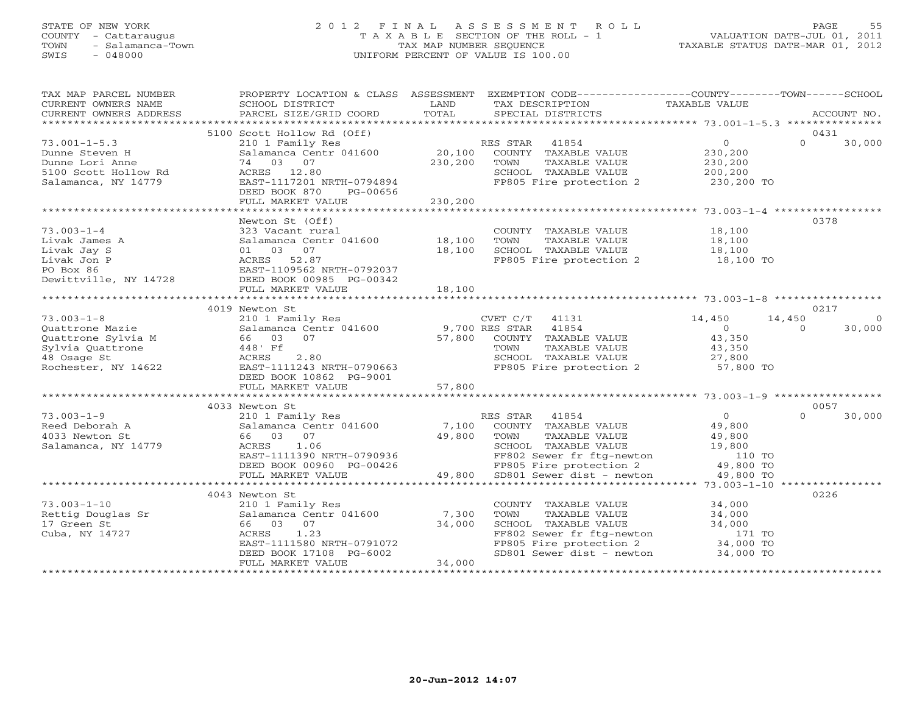#### STATE OF NEW YORK 2 0 1 2 F I N A L A S S E S S M E N T R O L L PAGE 55 COUNTY - Cattaraugus T A X A B L E SECTION OF THE ROLL - 1 VALUATION DATE-JUL 01, 2011 TOWN - Salamanca-Town TAX MAP NUMBER SEQUENCE TAXABLE STATUS DATE-MAR 01, 2012 SWIS - 048000 UNIFORM PERCENT OF VALUE IS 100.00

| TAX MAP PARCEL NUMBER<br>CURRENT OWNERS NAME                                    | SCHOOL DISTRICT                                                                                                                                       | LAND                      | PROPERTY LOCATION & CLASS ASSESSMENT EXEMPTION CODE---------------COUNTY-------TOWN------SCHOOL<br>TAX DESCRIPTION                                                           | TAXABLE VALUE                                                                    |                                         |
|---------------------------------------------------------------------------------|-------------------------------------------------------------------------------------------------------------------------------------------------------|---------------------------|------------------------------------------------------------------------------------------------------------------------------------------------------------------------------|----------------------------------------------------------------------------------|-----------------------------------------|
| CURRENT OWNERS ADDRESS                                                          | PARCEL SIZE/GRID COORD                                                                                                                                | TOTAL                     | SPECIAL DISTRICTS                                                                                                                                                            |                                                                                  | ACCOUNT NO.                             |
|                                                                                 | 5100 Scott Hollow Rd (Off)                                                                                                                            |                           |                                                                                                                                                                              |                                                                                  | 0431                                    |
| $73.001 - 1 - 5.3$<br>Dunne Steven H<br>Dunne Lori Anne<br>5100 Scott Hollow Rd | 210 1 Family Res<br>Salamanca Centr 041600<br>74 03 07                                                                                                | 20,100<br>230,200         | RES STAR 41854<br>COUNTY TAXABLE VALUE<br>TOWN<br>TAXABLE VALUE                                                                                                              | $\overline{O}$<br>230,200<br>230,200                                             | $\Omega$<br>30,000                      |
| Salamanca, NY 14779                                                             | ACRES 12.80<br>EAST-1117201 NRTH-0794894<br>DEED BOOK 870<br>PG-00656<br>FULL MARKET VALUE                                                            | 230,200                   | SCHOOL TAXABLE VALUE<br>FP805 Fire protection 2                                                                                                                              | 200,200<br>230,200 TO                                                            |                                         |
|                                                                                 |                                                                                                                                                       |                           |                                                                                                                                                                              |                                                                                  |                                         |
| $73.003 - 1 - 4$                                                                | Newton St (Off)<br>323 Vacant rural                                                                                                                   |                           | COUNTY TAXABLE VALUE                                                                                                                                                         | 18,100                                                                           | 0378                                    |
| Livak James A<br>Livak Jay S<br>Livak Jon P                                     | Salamanca Centr 041600 18,100<br>01 03 07<br>ACRES 52.87                                                                                              | 18,100                    | TAXABLE VALUE<br>TOWN<br>SCHOOL TAXABLE VALUE<br>FP805 Fire protection 2                                                                                                     | 18,100<br>18,100<br>18,100 TO                                                    |                                         |
| PO Box 86<br>Dewittville, NY 14728                                              | EAST-1109562 NRTH-0792037<br>DEED BOOK 00985 PG-00342<br>FULL MARKET VALUE                                                                            | 18,100                    |                                                                                                                                                                              |                                                                                  |                                         |
|                                                                                 |                                                                                                                                                       |                           |                                                                                                                                                                              |                                                                                  |                                         |
|                                                                                 | 4019 Newton St                                                                                                                                        |                           |                                                                                                                                                                              |                                                                                  | 0217                                    |
| $73.003 - 1 - 8$<br>Ouattrone Mazie                                             | 210 1 Family Res<br>Salamanca Centr 041600                                                                                                            | 9,700 RES STAR            | CVET C/T<br>41131<br>41854                                                                                                                                                   | 14,450<br>$\Omega$                                                               | 14,450<br>$\circ$<br>30,000<br>$\Omega$ |
| Quattrone Sylvia M<br>Sylvia Quattrone<br>48 Osage St                           | 66 03 07<br>448' Ff<br>2.80<br>ACRES                                                                                                                  | 57,800                    | COUNTY TAXABLE VALUE<br>TOWN<br>TAXABLE VALUE<br>SCHOOL TAXABLE VALUE                                                                                                        | 43,350<br>43,350<br>27,800                                                       |                                         |
| Rochester, NY 14622                                                             | EAST-1111243 NRTH-0790663<br>DEED BOOK 10862 PG-9001<br>FULL MARKET VALUE                                                                             | 57,800                    | FP805 Fire protection 2                                                                                                                                                      | 57,800 TO                                                                        |                                         |
|                                                                                 |                                                                                                                                                       |                           |                                                                                                                                                                              |                                                                                  |                                         |
|                                                                                 | 4033 Newton St                                                                                                                                        |                           |                                                                                                                                                                              |                                                                                  | 0057                                    |
| $73.003 - 1 - 9$<br>Reed Deborah A<br>4033 Newton St<br>Salamanca, NY 14779     | 210 1 Family Res<br>Salamanca Centr 041600<br>66 03 07<br>1.06<br>ACRES<br>EAST-1111390 NRTH-0790936<br>DEED BOOK 00960 PG-00426<br>FULL MARKET VALUE | 7,100<br>49,800<br>49,800 | RES STAR 41854<br>COUNTY TAXABLE VALUE<br>TOWN<br>TAXABLE VALUE<br>SCHOOL TAXABLE VALUE<br>FF802 Sewer fr ftg-newton<br>FP805 Fire protection 2<br>SD801 Sewer dist - newton | $\overline{O}$<br>49,800<br>49,800<br>19,800<br>110 TO<br>49,800 TO<br>49,800 TO | 30,000<br>$\Omega$                      |
|                                                                                 |                                                                                                                                                       |                           |                                                                                                                                                                              |                                                                                  |                                         |
|                                                                                 | 4043 Newton St                                                                                                                                        |                           |                                                                                                                                                                              |                                                                                  | 0226                                    |
| $73.003 - 1 - 10$<br>Rettig Douglas Sr<br>17 Green St<br>Cuba, NY 14727         | 210 1 Family Res<br>Salamanca Centr 041600<br>66 03 07<br>1.23<br>ACRES<br>EAST-1111580 NRTH-0791072<br>DEED BOOK 17108 PG-6002                       | 7,300<br>34,000           | COUNTY TAXABLE VALUE<br>TOWN<br>TAXABLE VALUE<br>SCHOOL TAXABLE VALUE<br>FF802 Sewer fr ftg-newton<br>FP805 Fire protection 2<br>SD801 Sewer dist - newton                   | 34,000<br>34,000<br>34,000<br>171 TO<br>34,000 TO<br>34,000 TO                   |                                         |
|                                                                                 | FULL MARKET VALUE                                                                                                                                     | 34,000                    |                                                                                                                                                                              |                                                                                  |                                         |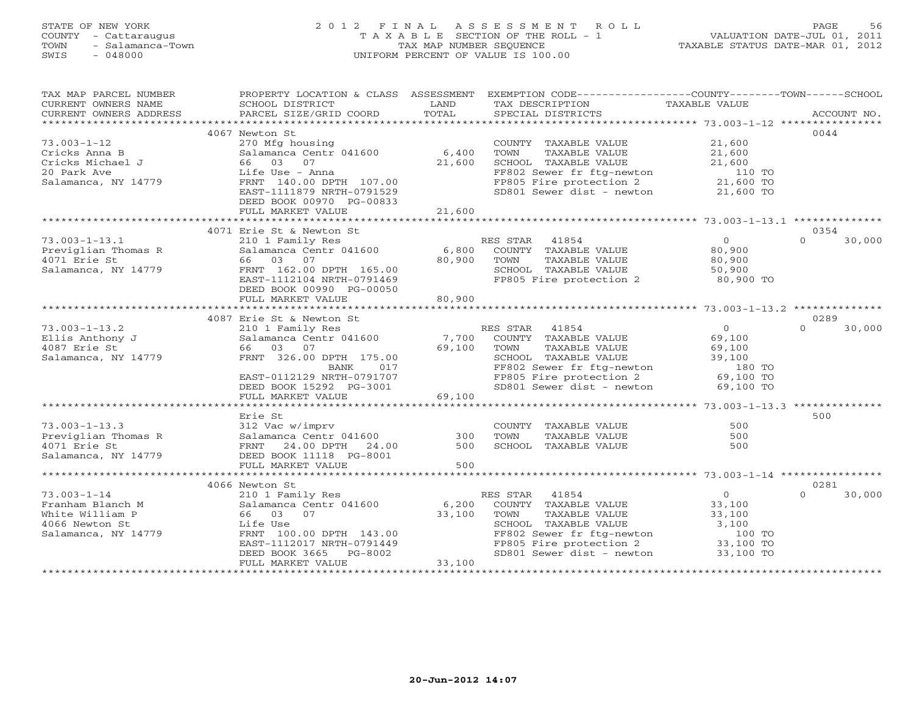#### STATE OF NEW YORK 2 0 1 2 F I N A L A S S E S S M E N T R O L L PAGE 56 COUNTY - Cattaraugus T A X A B L E SECTION OF THE ROLL - 1 VALUATION DATE-JUL 01, 2011 TOWN - Salamanca-Town TAX MAP NUMBER SEQUENCE TAXABLE STATUS DATE-MAR 01, 2012 SWIS - 048000 UNIFORM PERCENT OF VALUE IS 100.00

| TAXABLE VALUE<br>CURRENT OWNERS NAME<br>SCHOOL DISTRICT<br>LAND<br>TAX DESCRIPTION<br>TOTAL<br>PARCEL SIZE/GRID COORD<br>SPECIAL DISTRICTS<br>CURRENT OWNERS ADDRESS<br>ACCOUNT NO.<br>0044<br>4067 Newton St<br>21,600<br>270 Mfg housing<br>COUNTY TAXABLE VALUE<br>6,400<br>Salamanca Centr 041600<br>TOWN<br>TAXABLE VALUE<br>21,600<br>Cricks Anna B<br>66 03<br>21,600<br>SCHOOL TAXABLE VALUE<br>07<br>21,600<br>20 Park Ave<br>FF802 Sewer fr ftg-newton<br>Life Use - Anna<br>110 TO<br>FP805 Fire protection 2 21,600 TO<br>Salamanca, NY 14779<br>FRNT 140.00 DPTH 107.00<br>SD801 Sewer dist - newton<br>EAST-1111879 NRTH-0791529<br>21,600 TO<br>DEED BOOK 00970 PG-00833<br>21,600<br>FULL MARKET VALUE<br>4071 Erie St & Newton St<br>0354<br>$\Omega$<br>210 1 Family Res<br>RES STAR<br>41854<br>$\Omega$<br>30,000<br>Salamanca Centr 041600<br>6,800<br>80,900<br>Previglian Thomas R<br>COUNTY TAXABLE VALUE<br>80,900<br>4071 Erie St<br>66 03<br>07<br>TOWN<br>TAXABLE VALUE<br>80,900<br>FRNT 162.00 DPTH 165.00<br>SCHOOL TAXABLE VALUE<br>Salamanca, NY 14779<br>50,900<br>80,900 TO<br>FP805 Fire protection 2<br>EAST-1112104 NRTH-0791469<br>DEED BOOK 00990 PG-00050<br>FULL MARKET VALUE<br>80,900<br>4087 Erie St & Newton St<br>0289<br>$73.003 - 1 - 13.2$<br>RES STAR<br>41854<br>$\overline{0}$<br>$\Omega$<br>30,000<br>210 1 Family Res<br>Salamanca Centr 041600 7,700<br>69,100<br>Ellis Anthony J<br>COUNTY TAXABLE VALUE<br>4087 Erie St<br>66 03 07<br>69,100<br>TOWN<br>TAXABLE VALUE<br>69,100<br>Salamanca, NY 14779<br>FRNT 326.00 DPTH 175.00<br>SCHOOL TAXABLE VALUE<br>39,100<br>BANK<br>017<br>FF802 Sewer fr ftg-newton 180 TO<br>FP805 Fire protection 2 69,100 TO<br>EAST-0112129 NRTH-0791707<br>SD801 Sewer dist - newton<br>DEED BOOK 15292 PG-3001<br>69,100 TO<br>69,100<br>FULL MARKET VALUE<br>500<br>Erie St<br>500<br>$73.003 - 1 - 13.3$<br>312 Vac w/imprv<br>COUNTY TAXABLE VALUE<br>Salamanca Centr 041600<br>FRNT 24.00 DPTH 24.00<br>$300$<br>Previglian Thomas R<br>500<br>TOWN<br>TAXABLE VALUE<br>4071 Erie St<br>SCHOOL TAXABLE VALUE<br>500<br>500<br>Salamanca, NY 14779<br>DEED BOOK 11118 PG-8001<br>500<br>FULL MARKET VALUE<br>0281<br>4066 Newton St<br>$73.003 - 1 - 14$<br>RES STAR<br>41854<br>$\overline{0}$<br>30,000<br>210 1 Family Res<br>$\Omega$<br>33,100<br>Salamanca Centr 041600<br>6,200<br>COUNTY TAXABLE VALUE<br>Franham Blanch M<br>33,100<br>White William P<br>66 03<br>07<br>TOWN<br>TAXABLE VALUE<br>33,100<br>SCHOOL TAXABLE VALUE<br>3,100<br>4066 Newton St<br>Life Use<br>FF802 Sewer fr ftg-newton<br>Salamanca, NY 14779<br>FRNT 100.00 DPTH 143.00<br>100 TO<br>33,100 TO<br>EAST-1112017 NRTH-0791449<br>FP805 Fire protection 2<br>$SD801$ Sewer dist - newton $33,100$ TO<br>DEED BOOK 3665<br>PG-8002<br>33,100<br>FULL MARKET VALUE | TAX MAP PARCEL NUMBER | PROPERTY LOCATION & CLASS ASSESSMENT | EXEMPTION CODE-----------------COUNTY-------TOWN------SCHOOL |  |
|--------------------------------------------------------------------------------------------------------------------------------------------------------------------------------------------------------------------------------------------------------------------------------------------------------------------------------------------------------------------------------------------------------------------------------------------------------------------------------------------------------------------------------------------------------------------------------------------------------------------------------------------------------------------------------------------------------------------------------------------------------------------------------------------------------------------------------------------------------------------------------------------------------------------------------------------------------------------------------------------------------------------------------------------------------------------------------------------------------------------------------------------------------------------------------------------------------------------------------------------------------------------------------------------------------------------------------------------------------------------------------------------------------------------------------------------------------------------------------------------------------------------------------------------------------------------------------------------------------------------------------------------------------------------------------------------------------------------------------------------------------------------------------------------------------------------------------------------------------------------------------------------------------------------------------------------------------------------------------------------------------------------------------------------------------------------------------------------------------------------------------------------------------------------------------------------------------------------------------------------------------------------------------------------------------------------------------------------------------------------------------------------------------------------------------------------------------------------------------------------------------------------------------------------------------------------------------------------------------------------------------------------------------------------------------------------------------------------------------------------------------------------------------------------------------------------------------------------------------|-----------------------|--------------------------------------|--------------------------------------------------------------|--|
|                                                                                                                                                                                                                                                                                                                                                                                                                                                                                                                                                                                                                                                                                                                                                                                                                                                                                                                                                                                                                                                                                                                                                                                                                                                                                                                                                                                                                                                                                                                                                                                                                                                                                                                                                                                                                                                                                                                                                                                                                                                                                                                                                                                                                                                                                                                                                                                                                                                                                                                                                                                                                                                                                                                                                                                                                                                        |                       |                                      |                                                              |  |
|                                                                                                                                                                                                                                                                                                                                                                                                                                                                                                                                                                                                                                                                                                                                                                                                                                                                                                                                                                                                                                                                                                                                                                                                                                                                                                                                                                                                                                                                                                                                                                                                                                                                                                                                                                                                                                                                                                                                                                                                                                                                                                                                                                                                                                                                                                                                                                                                                                                                                                                                                                                                                                                                                                                                                                                                                                                        |                       |                                      |                                                              |  |
|                                                                                                                                                                                                                                                                                                                                                                                                                                                                                                                                                                                                                                                                                                                                                                                                                                                                                                                                                                                                                                                                                                                                                                                                                                                                                                                                                                                                                                                                                                                                                                                                                                                                                                                                                                                                                                                                                                                                                                                                                                                                                                                                                                                                                                                                                                                                                                                                                                                                                                                                                                                                                                                                                                                                                                                                                                                        |                       |                                      |                                                              |  |
|                                                                                                                                                                                                                                                                                                                                                                                                                                                                                                                                                                                                                                                                                                                                                                                                                                                                                                                                                                                                                                                                                                                                                                                                                                                                                                                                                                                                                                                                                                                                                                                                                                                                                                                                                                                                                                                                                                                                                                                                                                                                                                                                                                                                                                                                                                                                                                                                                                                                                                                                                                                                                                                                                                                                                                                                                                                        |                       |                                      |                                                              |  |
|                                                                                                                                                                                                                                                                                                                                                                                                                                                                                                                                                                                                                                                                                                                                                                                                                                                                                                                                                                                                                                                                                                                                                                                                                                                                                                                                                                                                                                                                                                                                                                                                                                                                                                                                                                                                                                                                                                                                                                                                                                                                                                                                                                                                                                                                                                                                                                                                                                                                                                                                                                                                                                                                                                                                                                                                                                                        | $73.003 - 1 - 12$     |                                      |                                                              |  |
|                                                                                                                                                                                                                                                                                                                                                                                                                                                                                                                                                                                                                                                                                                                                                                                                                                                                                                                                                                                                                                                                                                                                                                                                                                                                                                                                                                                                                                                                                                                                                                                                                                                                                                                                                                                                                                                                                                                                                                                                                                                                                                                                                                                                                                                                                                                                                                                                                                                                                                                                                                                                                                                                                                                                                                                                                                                        |                       |                                      |                                                              |  |
|                                                                                                                                                                                                                                                                                                                                                                                                                                                                                                                                                                                                                                                                                                                                                                                                                                                                                                                                                                                                                                                                                                                                                                                                                                                                                                                                                                                                                                                                                                                                                                                                                                                                                                                                                                                                                                                                                                                                                                                                                                                                                                                                                                                                                                                                                                                                                                                                                                                                                                                                                                                                                                                                                                                                                                                                                                                        | Cricks Michael J      |                                      |                                                              |  |
|                                                                                                                                                                                                                                                                                                                                                                                                                                                                                                                                                                                                                                                                                                                                                                                                                                                                                                                                                                                                                                                                                                                                                                                                                                                                                                                                                                                                                                                                                                                                                                                                                                                                                                                                                                                                                                                                                                                                                                                                                                                                                                                                                                                                                                                                                                                                                                                                                                                                                                                                                                                                                                                                                                                                                                                                                                                        |                       |                                      |                                                              |  |
|                                                                                                                                                                                                                                                                                                                                                                                                                                                                                                                                                                                                                                                                                                                                                                                                                                                                                                                                                                                                                                                                                                                                                                                                                                                                                                                                                                                                                                                                                                                                                                                                                                                                                                                                                                                                                                                                                                                                                                                                                                                                                                                                                                                                                                                                                                                                                                                                                                                                                                                                                                                                                                                                                                                                                                                                                                                        |                       |                                      |                                                              |  |
|                                                                                                                                                                                                                                                                                                                                                                                                                                                                                                                                                                                                                                                                                                                                                                                                                                                                                                                                                                                                                                                                                                                                                                                                                                                                                                                                                                                                                                                                                                                                                                                                                                                                                                                                                                                                                                                                                                                                                                                                                                                                                                                                                                                                                                                                                                                                                                                                                                                                                                                                                                                                                                                                                                                                                                                                                                                        |                       |                                      |                                                              |  |
|                                                                                                                                                                                                                                                                                                                                                                                                                                                                                                                                                                                                                                                                                                                                                                                                                                                                                                                                                                                                                                                                                                                                                                                                                                                                                                                                                                                                                                                                                                                                                                                                                                                                                                                                                                                                                                                                                                                                                                                                                                                                                                                                                                                                                                                                                                                                                                                                                                                                                                                                                                                                                                                                                                                                                                                                                                                        |                       |                                      |                                                              |  |
|                                                                                                                                                                                                                                                                                                                                                                                                                                                                                                                                                                                                                                                                                                                                                                                                                                                                                                                                                                                                                                                                                                                                                                                                                                                                                                                                                                                                                                                                                                                                                                                                                                                                                                                                                                                                                                                                                                                                                                                                                                                                                                                                                                                                                                                                                                                                                                                                                                                                                                                                                                                                                                                                                                                                                                                                                                                        |                       |                                      |                                                              |  |
|                                                                                                                                                                                                                                                                                                                                                                                                                                                                                                                                                                                                                                                                                                                                                                                                                                                                                                                                                                                                                                                                                                                                                                                                                                                                                                                                                                                                                                                                                                                                                                                                                                                                                                                                                                                                                                                                                                                                                                                                                                                                                                                                                                                                                                                                                                                                                                                                                                                                                                                                                                                                                                                                                                                                                                                                                                                        |                       |                                      |                                                              |  |
|                                                                                                                                                                                                                                                                                                                                                                                                                                                                                                                                                                                                                                                                                                                                                                                                                                                                                                                                                                                                                                                                                                                                                                                                                                                                                                                                                                                                                                                                                                                                                                                                                                                                                                                                                                                                                                                                                                                                                                                                                                                                                                                                                                                                                                                                                                                                                                                                                                                                                                                                                                                                                                                                                                                                                                                                                                                        |                       |                                      |                                                              |  |
|                                                                                                                                                                                                                                                                                                                                                                                                                                                                                                                                                                                                                                                                                                                                                                                                                                                                                                                                                                                                                                                                                                                                                                                                                                                                                                                                                                                                                                                                                                                                                                                                                                                                                                                                                                                                                                                                                                                                                                                                                                                                                                                                                                                                                                                                                                                                                                                                                                                                                                                                                                                                                                                                                                                                                                                                                                                        | $73.003 - 1 - 13.1$   |                                      |                                                              |  |
|                                                                                                                                                                                                                                                                                                                                                                                                                                                                                                                                                                                                                                                                                                                                                                                                                                                                                                                                                                                                                                                                                                                                                                                                                                                                                                                                                                                                                                                                                                                                                                                                                                                                                                                                                                                                                                                                                                                                                                                                                                                                                                                                                                                                                                                                                                                                                                                                                                                                                                                                                                                                                                                                                                                                                                                                                                                        |                       |                                      |                                                              |  |
|                                                                                                                                                                                                                                                                                                                                                                                                                                                                                                                                                                                                                                                                                                                                                                                                                                                                                                                                                                                                                                                                                                                                                                                                                                                                                                                                                                                                                                                                                                                                                                                                                                                                                                                                                                                                                                                                                                                                                                                                                                                                                                                                                                                                                                                                                                                                                                                                                                                                                                                                                                                                                                                                                                                                                                                                                                                        |                       |                                      |                                                              |  |
|                                                                                                                                                                                                                                                                                                                                                                                                                                                                                                                                                                                                                                                                                                                                                                                                                                                                                                                                                                                                                                                                                                                                                                                                                                                                                                                                                                                                                                                                                                                                                                                                                                                                                                                                                                                                                                                                                                                                                                                                                                                                                                                                                                                                                                                                                                                                                                                                                                                                                                                                                                                                                                                                                                                                                                                                                                                        |                       |                                      |                                                              |  |
|                                                                                                                                                                                                                                                                                                                                                                                                                                                                                                                                                                                                                                                                                                                                                                                                                                                                                                                                                                                                                                                                                                                                                                                                                                                                                                                                                                                                                                                                                                                                                                                                                                                                                                                                                                                                                                                                                                                                                                                                                                                                                                                                                                                                                                                                                                                                                                                                                                                                                                                                                                                                                                                                                                                                                                                                                                                        |                       |                                      |                                                              |  |
|                                                                                                                                                                                                                                                                                                                                                                                                                                                                                                                                                                                                                                                                                                                                                                                                                                                                                                                                                                                                                                                                                                                                                                                                                                                                                                                                                                                                                                                                                                                                                                                                                                                                                                                                                                                                                                                                                                                                                                                                                                                                                                                                                                                                                                                                                                                                                                                                                                                                                                                                                                                                                                                                                                                                                                                                                                                        |                       |                                      |                                                              |  |
|                                                                                                                                                                                                                                                                                                                                                                                                                                                                                                                                                                                                                                                                                                                                                                                                                                                                                                                                                                                                                                                                                                                                                                                                                                                                                                                                                                                                                                                                                                                                                                                                                                                                                                                                                                                                                                                                                                                                                                                                                                                                                                                                                                                                                                                                                                                                                                                                                                                                                                                                                                                                                                                                                                                                                                                                                                                        |                       |                                      |                                                              |  |
|                                                                                                                                                                                                                                                                                                                                                                                                                                                                                                                                                                                                                                                                                                                                                                                                                                                                                                                                                                                                                                                                                                                                                                                                                                                                                                                                                                                                                                                                                                                                                                                                                                                                                                                                                                                                                                                                                                                                                                                                                                                                                                                                                                                                                                                                                                                                                                                                                                                                                                                                                                                                                                                                                                                                                                                                                                                        |                       |                                      |                                                              |  |
|                                                                                                                                                                                                                                                                                                                                                                                                                                                                                                                                                                                                                                                                                                                                                                                                                                                                                                                                                                                                                                                                                                                                                                                                                                                                                                                                                                                                                                                                                                                                                                                                                                                                                                                                                                                                                                                                                                                                                                                                                                                                                                                                                                                                                                                                                                                                                                                                                                                                                                                                                                                                                                                                                                                                                                                                                                                        |                       |                                      |                                                              |  |
|                                                                                                                                                                                                                                                                                                                                                                                                                                                                                                                                                                                                                                                                                                                                                                                                                                                                                                                                                                                                                                                                                                                                                                                                                                                                                                                                                                                                                                                                                                                                                                                                                                                                                                                                                                                                                                                                                                                                                                                                                                                                                                                                                                                                                                                                                                                                                                                                                                                                                                                                                                                                                                                                                                                                                                                                                                                        |                       |                                      |                                                              |  |
|                                                                                                                                                                                                                                                                                                                                                                                                                                                                                                                                                                                                                                                                                                                                                                                                                                                                                                                                                                                                                                                                                                                                                                                                                                                                                                                                                                                                                                                                                                                                                                                                                                                                                                                                                                                                                                                                                                                                                                                                                                                                                                                                                                                                                                                                                                                                                                                                                                                                                                                                                                                                                                                                                                                                                                                                                                                        |                       |                                      |                                                              |  |
|                                                                                                                                                                                                                                                                                                                                                                                                                                                                                                                                                                                                                                                                                                                                                                                                                                                                                                                                                                                                                                                                                                                                                                                                                                                                                                                                                                                                                                                                                                                                                                                                                                                                                                                                                                                                                                                                                                                                                                                                                                                                                                                                                                                                                                                                                                                                                                                                                                                                                                                                                                                                                                                                                                                                                                                                                                                        |                       |                                      |                                                              |  |
|                                                                                                                                                                                                                                                                                                                                                                                                                                                                                                                                                                                                                                                                                                                                                                                                                                                                                                                                                                                                                                                                                                                                                                                                                                                                                                                                                                                                                                                                                                                                                                                                                                                                                                                                                                                                                                                                                                                                                                                                                                                                                                                                                                                                                                                                                                                                                                                                                                                                                                                                                                                                                                                                                                                                                                                                                                                        |                       |                                      |                                                              |  |
|                                                                                                                                                                                                                                                                                                                                                                                                                                                                                                                                                                                                                                                                                                                                                                                                                                                                                                                                                                                                                                                                                                                                                                                                                                                                                                                                                                                                                                                                                                                                                                                                                                                                                                                                                                                                                                                                                                                                                                                                                                                                                                                                                                                                                                                                                                                                                                                                                                                                                                                                                                                                                                                                                                                                                                                                                                                        |                       |                                      |                                                              |  |
|                                                                                                                                                                                                                                                                                                                                                                                                                                                                                                                                                                                                                                                                                                                                                                                                                                                                                                                                                                                                                                                                                                                                                                                                                                                                                                                                                                                                                                                                                                                                                                                                                                                                                                                                                                                                                                                                                                                                                                                                                                                                                                                                                                                                                                                                                                                                                                                                                                                                                                                                                                                                                                                                                                                                                                                                                                                        |                       |                                      |                                                              |  |
|                                                                                                                                                                                                                                                                                                                                                                                                                                                                                                                                                                                                                                                                                                                                                                                                                                                                                                                                                                                                                                                                                                                                                                                                                                                                                                                                                                                                                                                                                                                                                                                                                                                                                                                                                                                                                                                                                                                                                                                                                                                                                                                                                                                                                                                                                                                                                                                                                                                                                                                                                                                                                                                                                                                                                                                                                                                        |                       |                                      |                                                              |  |
|                                                                                                                                                                                                                                                                                                                                                                                                                                                                                                                                                                                                                                                                                                                                                                                                                                                                                                                                                                                                                                                                                                                                                                                                                                                                                                                                                                                                                                                                                                                                                                                                                                                                                                                                                                                                                                                                                                                                                                                                                                                                                                                                                                                                                                                                                                                                                                                                                                                                                                                                                                                                                                                                                                                                                                                                                                                        |                       |                                      |                                                              |  |
|                                                                                                                                                                                                                                                                                                                                                                                                                                                                                                                                                                                                                                                                                                                                                                                                                                                                                                                                                                                                                                                                                                                                                                                                                                                                                                                                                                                                                                                                                                                                                                                                                                                                                                                                                                                                                                                                                                                                                                                                                                                                                                                                                                                                                                                                                                                                                                                                                                                                                                                                                                                                                                                                                                                                                                                                                                                        |                       |                                      |                                                              |  |
|                                                                                                                                                                                                                                                                                                                                                                                                                                                                                                                                                                                                                                                                                                                                                                                                                                                                                                                                                                                                                                                                                                                                                                                                                                                                                                                                                                                                                                                                                                                                                                                                                                                                                                                                                                                                                                                                                                                                                                                                                                                                                                                                                                                                                                                                                                                                                                                                                                                                                                                                                                                                                                                                                                                                                                                                                                                        |                       |                                      |                                                              |  |
|                                                                                                                                                                                                                                                                                                                                                                                                                                                                                                                                                                                                                                                                                                                                                                                                                                                                                                                                                                                                                                                                                                                                                                                                                                                                                                                                                                                                                                                                                                                                                                                                                                                                                                                                                                                                                                                                                                                                                                                                                                                                                                                                                                                                                                                                                                                                                                                                                                                                                                                                                                                                                                                                                                                                                                                                                                                        |                       |                                      |                                                              |  |
|                                                                                                                                                                                                                                                                                                                                                                                                                                                                                                                                                                                                                                                                                                                                                                                                                                                                                                                                                                                                                                                                                                                                                                                                                                                                                                                                                                                                                                                                                                                                                                                                                                                                                                                                                                                                                                                                                                                                                                                                                                                                                                                                                                                                                                                                                                                                                                                                                                                                                                                                                                                                                                                                                                                                                                                                                                                        |                       |                                      |                                                              |  |
|                                                                                                                                                                                                                                                                                                                                                                                                                                                                                                                                                                                                                                                                                                                                                                                                                                                                                                                                                                                                                                                                                                                                                                                                                                                                                                                                                                                                                                                                                                                                                                                                                                                                                                                                                                                                                                                                                                                                                                                                                                                                                                                                                                                                                                                                                                                                                                                                                                                                                                                                                                                                                                                                                                                                                                                                                                                        |                       |                                      |                                                              |  |
|                                                                                                                                                                                                                                                                                                                                                                                                                                                                                                                                                                                                                                                                                                                                                                                                                                                                                                                                                                                                                                                                                                                                                                                                                                                                                                                                                                                                                                                                                                                                                                                                                                                                                                                                                                                                                                                                                                                                                                                                                                                                                                                                                                                                                                                                                                                                                                                                                                                                                                                                                                                                                                                                                                                                                                                                                                                        |                       |                                      |                                                              |  |
|                                                                                                                                                                                                                                                                                                                                                                                                                                                                                                                                                                                                                                                                                                                                                                                                                                                                                                                                                                                                                                                                                                                                                                                                                                                                                                                                                                                                                                                                                                                                                                                                                                                                                                                                                                                                                                                                                                                                                                                                                                                                                                                                                                                                                                                                                                                                                                                                                                                                                                                                                                                                                                                                                                                                                                                                                                                        |                       |                                      |                                                              |  |
|                                                                                                                                                                                                                                                                                                                                                                                                                                                                                                                                                                                                                                                                                                                                                                                                                                                                                                                                                                                                                                                                                                                                                                                                                                                                                                                                                                                                                                                                                                                                                                                                                                                                                                                                                                                                                                                                                                                                                                                                                                                                                                                                                                                                                                                                                                                                                                                                                                                                                                                                                                                                                                                                                                                                                                                                                                                        |                       |                                      |                                                              |  |
|                                                                                                                                                                                                                                                                                                                                                                                                                                                                                                                                                                                                                                                                                                                                                                                                                                                                                                                                                                                                                                                                                                                                                                                                                                                                                                                                                                                                                                                                                                                                                                                                                                                                                                                                                                                                                                                                                                                                                                                                                                                                                                                                                                                                                                                                                                                                                                                                                                                                                                                                                                                                                                                                                                                                                                                                                                                        |                       |                                      |                                                              |  |
|                                                                                                                                                                                                                                                                                                                                                                                                                                                                                                                                                                                                                                                                                                                                                                                                                                                                                                                                                                                                                                                                                                                                                                                                                                                                                                                                                                                                                                                                                                                                                                                                                                                                                                                                                                                                                                                                                                                                                                                                                                                                                                                                                                                                                                                                                                                                                                                                                                                                                                                                                                                                                                                                                                                                                                                                                                                        |                       |                                      |                                                              |  |
|                                                                                                                                                                                                                                                                                                                                                                                                                                                                                                                                                                                                                                                                                                                                                                                                                                                                                                                                                                                                                                                                                                                                                                                                                                                                                                                                                                                                                                                                                                                                                                                                                                                                                                                                                                                                                                                                                                                                                                                                                                                                                                                                                                                                                                                                                                                                                                                                                                                                                                                                                                                                                                                                                                                                                                                                                                                        |                       |                                      |                                                              |  |
|                                                                                                                                                                                                                                                                                                                                                                                                                                                                                                                                                                                                                                                                                                                                                                                                                                                                                                                                                                                                                                                                                                                                                                                                                                                                                                                                                                                                                                                                                                                                                                                                                                                                                                                                                                                                                                                                                                                                                                                                                                                                                                                                                                                                                                                                                                                                                                                                                                                                                                                                                                                                                                                                                                                                                                                                                                                        |                       |                                      |                                                              |  |
|                                                                                                                                                                                                                                                                                                                                                                                                                                                                                                                                                                                                                                                                                                                                                                                                                                                                                                                                                                                                                                                                                                                                                                                                                                                                                                                                                                                                                                                                                                                                                                                                                                                                                                                                                                                                                                                                                                                                                                                                                                                                                                                                                                                                                                                                                                                                                                                                                                                                                                                                                                                                                                                                                                                                                                                                                                                        |                       |                                      |                                                              |  |
|                                                                                                                                                                                                                                                                                                                                                                                                                                                                                                                                                                                                                                                                                                                                                                                                                                                                                                                                                                                                                                                                                                                                                                                                                                                                                                                                                                                                                                                                                                                                                                                                                                                                                                                                                                                                                                                                                                                                                                                                                                                                                                                                                                                                                                                                                                                                                                                                                                                                                                                                                                                                                                                                                                                                                                                                                                                        |                       |                                      |                                                              |  |
|                                                                                                                                                                                                                                                                                                                                                                                                                                                                                                                                                                                                                                                                                                                                                                                                                                                                                                                                                                                                                                                                                                                                                                                                                                                                                                                                                                                                                                                                                                                                                                                                                                                                                                                                                                                                                                                                                                                                                                                                                                                                                                                                                                                                                                                                                                                                                                                                                                                                                                                                                                                                                                                                                                                                                                                                                                                        |                       |                                      |                                                              |  |
|                                                                                                                                                                                                                                                                                                                                                                                                                                                                                                                                                                                                                                                                                                                                                                                                                                                                                                                                                                                                                                                                                                                                                                                                                                                                                                                                                                                                                                                                                                                                                                                                                                                                                                                                                                                                                                                                                                                                                                                                                                                                                                                                                                                                                                                                                                                                                                                                                                                                                                                                                                                                                                                                                                                                                                                                                                                        |                       |                                      |                                                              |  |
|                                                                                                                                                                                                                                                                                                                                                                                                                                                                                                                                                                                                                                                                                                                                                                                                                                                                                                                                                                                                                                                                                                                                                                                                                                                                                                                                                                                                                                                                                                                                                                                                                                                                                                                                                                                                                                                                                                                                                                                                                                                                                                                                                                                                                                                                                                                                                                                                                                                                                                                                                                                                                                                                                                                                                                                                                                                        |                       |                                      |                                                              |  |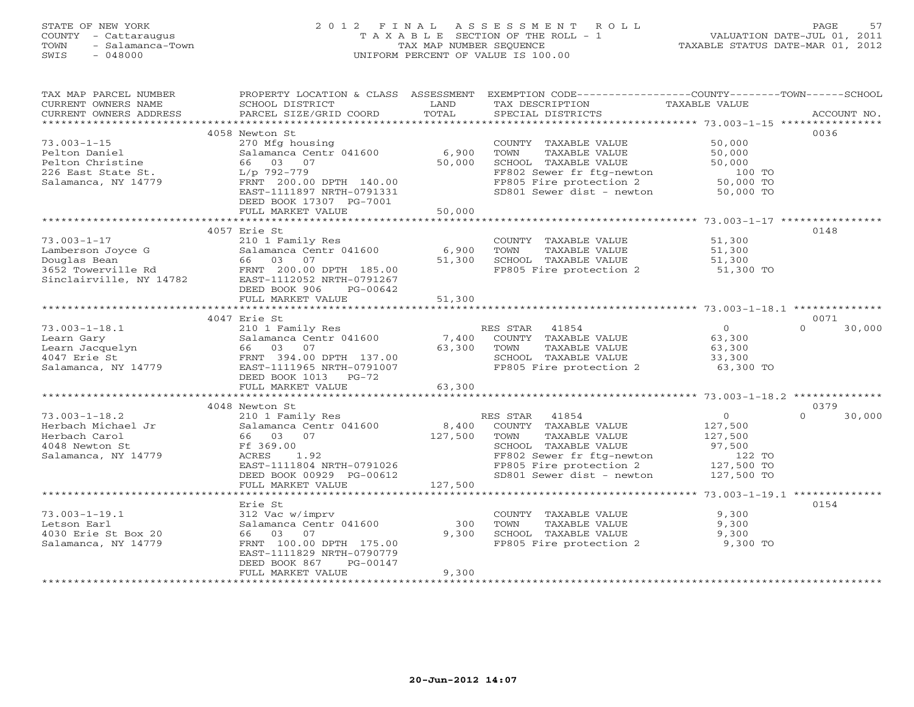# STATE OF NEW YORK 2 0 1 2 F I N A L A S S E S S M E N T R O L L PAGE 57 COUNTY - Cattaraugus T A X A B L E SECTION OF THE ROLL - 1 VALUATION DATE-JUL 01, 2011 TOWN - Salamanca-Town TAX MAP NUMBER SEQUENCE TAXABLE STATUS DATE-MAR 01, 2012 SWIS - 048000 UNIFORM PERCENT OF VALUE IS 100.00

| SCHOOL DISTRICT                                                                                                                                                                  | LAND                                                                                                                                                                                 | TAX DESCRIPTION                                                                                           | TAXABLE VALUE                                                      | ACCOUNT NO.                                                                                                                                                                                                                                                                                                                   |
|----------------------------------------------------------------------------------------------------------------------------------------------------------------------------------|--------------------------------------------------------------------------------------------------------------------------------------------------------------------------------------|-----------------------------------------------------------------------------------------------------------|--------------------------------------------------------------------|-------------------------------------------------------------------------------------------------------------------------------------------------------------------------------------------------------------------------------------------------------------------------------------------------------------------------------|
|                                                                                                                                                                                  |                                                                                                                                                                                      |                                                                                                           |                                                                    |                                                                                                                                                                                                                                                                                                                               |
|                                                                                                                                                                                  |                                                                                                                                                                                      |                                                                                                           |                                                                    | 0036                                                                                                                                                                                                                                                                                                                          |
| 270 Mfg housing<br>Salamanca Centr 041600<br>66 03 07<br>L/p 792-779<br>FRNT 200.00 DPTH 140.00<br>EAST-1111897 NRTH-0791331                                                     | 6,900<br>50,000                                                                                                                                                                      | COUNTY TAXABLE VALUE<br>TOWN<br>TAXABLE VALUE<br>SCHOOL TAXABLE VALUE                                     | 50,000<br>50,000<br>50,000<br>100 TO<br>50,000 TO<br>50,000 TO     |                                                                                                                                                                                                                                                                                                                               |
| FULL MARKET VALUE                                                                                                                                                                | 50,000                                                                                                                                                                               |                                                                                                           |                                                                    |                                                                                                                                                                                                                                                                                                                               |
|                                                                                                                                                                                  |                                                                                                                                                                                      |                                                                                                           |                                                                    |                                                                                                                                                                                                                                                                                                                               |
| 210 1 Family Res<br>Salamanca Centr 041600<br>66 03 07<br>FRNT 200.00 DPTH 185.00<br>EAST-1112052 NRTH-0791267<br>DEED BOOK 906<br>PG-00642                                      | 6,900<br>51,300                                                                                                                                                                      | COUNTY TAXABLE VALUE<br>TOWN<br>TAXABLE VALUE<br>SCHOOL TAXABLE VALUE<br>FP805 Fire protection 2          | 51,300<br>51,300<br>51,300<br>51,300 TO                            | 0148                                                                                                                                                                                                                                                                                                                          |
|                                                                                                                                                                                  |                                                                                                                                                                                      |                                                                                                           |                                                                    |                                                                                                                                                                                                                                                                                                                               |
|                                                                                                                                                                                  |                                                                                                                                                                                      |                                                                                                           |                                                                    | 0071                                                                                                                                                                                                                                                                                                                          |
| 210 1 Family Res<br>Salamanca Centr 041600<br>66 03<br>07<br>FRNT 394.00 DPTH 137.00<br>EAST-1111965 NRTH-0791007<br>DEED BOOK 1013 PG-72                                        | 63,300                                                                                                                                                                               | 41854<br>COUNTY TAXABLE VALUE<br>TOWN<br>TAXABLE VALUE<br>SCHOOL TAXABLE VALUE                            | $0 \qquad \qquad$<br>63,300<br>63,300<br>33,300<br>63,300 TO       | $\Omega$<br>30,000                                                                                                                                                                                                                                                                                                            |
|                                                                                                                                                                                  |                                                                                                                                                                                      |                                                                                                           |                                                                    |                                                                                                                                                                                                                                                                                                                               |
|                                                                                                                                                                                  |                                                                                                                                                                                      |                                                                                                           |                                                                    | 0379                                                                                                                                                                                                                                                                                                                          |
| 210 1 Family Res<br>Salamanca Centr 041600<br>66 03<br>07<br>Ff 369.00<br>1.92<br>ACRES<br>DEED BOOK 00929 PG-00612                                                              | 8,400<br>127,500                                                                                                                                                                     | COUNTY TAXABLE VALUE<br>TAXABLE VALUE<br>TOWN<br>SCHOOL TAXABLE VALUE                                     | 127,500<br>127,500<br>97,500<br>122 TO<br>127,500 TO<br>127,500 TO | $\Omega$<br>30,000                                                                                                                                                                                                                                                                                                            |
| *******************                                                                                                                                                              |                                                                                                                                                                                      |                                                                                                           |                                                                    |                                                                                                                                                                                                                                                                                                                               |
| Erie St<br>312 Vac w/imprv<br>Salamanca Centr 041600<br>03<br>07<br>66<br>FRNT 100.00 DPTH 175.00<br>EAST-1111829 NRTH-0790779<br>DEED BOOK 867<br>PG-00147<br>FULL MARKET VALUE | 300<br>9,300<br>9,300                                                                                                                                                                | COUNTY TAXABLE VALUE<br>TOWN<br>TAXABLE VALUE<br>SCHOOL TAXABLE VALUE<br>FP805 Fire protection 2          | 9,300<br>9,300<br>9,300<br>9,300 TO                                | 0154                                                                                                                                                                                                                                                                                                                          |
|                                                                                                                                                                                  | PARCEL SIZE/GRID COORD<br>4058 Newton St<br>DEED BOOK 17307 PG-7001<br>4057 Erie St<br>FULL MARKET VALUE<br>4047 Erie St<br>FULL MARKET VALUE<br>4048 Newton St<br>FULL MARKET VALUE | PROPERTY LOCATION & CLASS ASSESSMENT<br>TOTAL<br>51,300<br>63,300<br>EAST-1111804 NRTH-0791026<br>127,500 | SPECIAL DISTRICTS<br>RES STAR<br>7,400<br>RES STAR 41854           | EXEMPTION CODE----------------COUNTY-------TOWN------SCHOOL<br>FF802 Sewer fr ftg-newton<br>FP805 Fire protection 2<br>SD801 Sewer dist - newton<br>FP805 Fire protection 2<br>$\circ$<br>FF802 Sewer fr ftg-newton<br>FP805 Fire protection 2<br>SD801 Sewer dist - newton<br>***************** 73.003-1-19.1 ************** |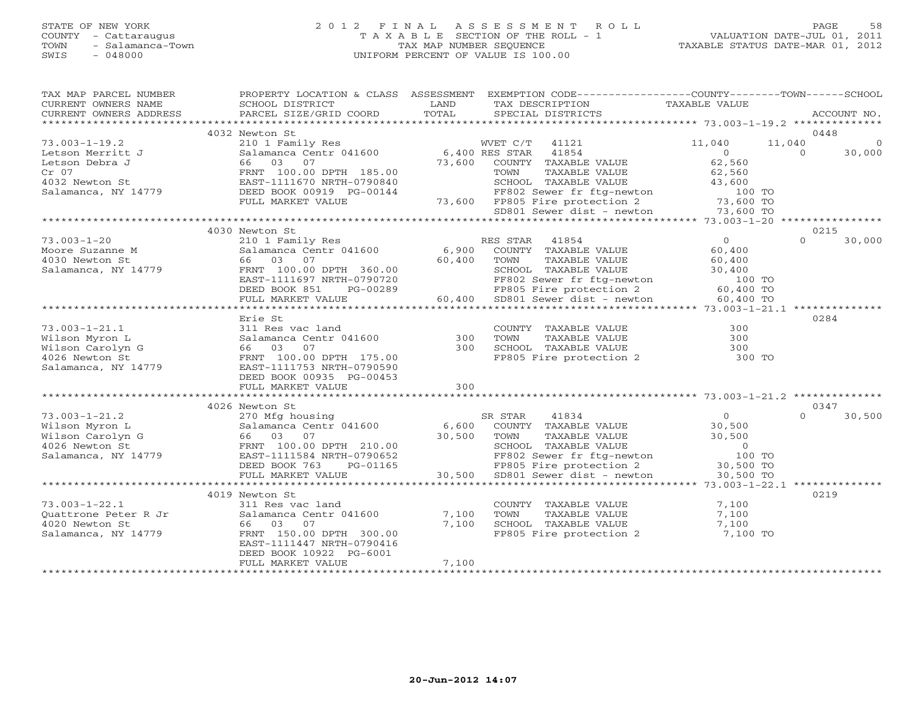#### STATE OF NEW YORK 2 0 1 2 F I N A L A S S E S S M E N T R O L L PAGE 58 COUNTY - Cattaraugus T A X A B L E SECTION OF THE ROLL - 1 VALUATION DATE-JUL 01, 2011 TOWN - Salamanca-Town TAX MAP NUMBER SEQUENCE TAXABLE STATUS DATE-MAR 01, 2012 SWIS - 048000 UNIFORM PERCENT OF VALUE IS 100.00

| TAX MAP PARCEL NUMBER<br>CURRENT OWNERS NAME<br>CURRENT OWNERS ADDRESS                             | PROPERTY LOCATION & CLASS ASSESSMENT<br>SCHOOL DISTRICT<br>PARCEL SIZE/GRID COORD                                                                                                     | LAND<br>TOTAL             | EXEMPTION CODE-----------------COUNTY-------TOWN------SCHOOL<br>TAX DESCRIPTION<br>SPECIAL DISTRICTS                                                                            | TAXABLE VALUE                                                                    | ACCOUNT NO.                    |
|----------------------------------------------------------------------------------------------------|---------------------------------------------------------------------------------------------------------------------------------------------------------------------------------------|---------------------------|---------------------------------------------------------------------------------------------------------------------------------------------------------------------------------|----------------------------------------------------------------------------------|--------------------------------|
| ***********************                                                                            |                                                                                                                                                                                       |                           |                                                                                                                                                                                 |                                                                                  |                                |
|                                                                                                    | 4032 Newton St                                                                                                                                                                        |                           |                                                                                                                                                                                 |                                                                                  | 0448                           |
| $73.003 - 1 - 19.2$<br>Letson Merritt J<br>Letson Debra J<br>$Cr$ 07                               | 210 1 Family Res<br>Salamanca Centr 041600<br>66 03 07                                                                                                                                | 73,600                    | WVET C/T 41121<br>6,400 RES STAR<br>41854<br>COUNTY TAXABLE VALUE                                                                                                               | 11,040<br>11,040<br>$\circ$<br>62,560                                            | $\Omega$<br>30,000<br>$\Omega$ |
| 4032 Newton St<br>Salamanca, NY 14779                                                              | FRNT 100.00 DPTH 185.00<br>EAST-1111670 NRTH-0790840<br>DEED BOOK 00919 PG-00144<br>FULL MARKET VALUE                                                                                 |                           | TAXABLE VALUE<br>TOWN<br>SCHOOL TAXABLE VALUE<br>FF802 Sewer fr ftg-newton<br>73,600 FP805 Fire protection 2                                                                    | 62,560<br>43,600<br>100 TO<br>73,600 TO                                          |                                |
|                                                                                                    |                                                                                                                                                                                       |                           | SD801 Sewer dist - newton                                                                                                                                                       | 73,600 TO                                                                        |                                |
|                                                                                                    |                                                                                                                                                                                       |                           |                                                                                                                                                                                 |                                                                                  |                                |
| $73.003 - 1 - 20$<br>Moore Suzanne M<br>4030 Newton St<br>Salamanca, NY 14779                      | 4030 Newton St<br>210 1 Family Res<br>Salamanca Centr 041600<br>66 03<br>07<br>FRNT 100.00 DPTH 360.00<br>EAST-1111697 NRTH-0790720<br>DEED BOOK 851<br>PG-00289<br>FULL MARKET VALUE | 6,900<br>60,400<br>60,400 | RES STAR<br>41854<br>COUNTY TAXABLE VALUE<br>TOWN<br>TAXABLE VALUE<br>SCHOOL TAXABLE VALUE<br>FF802 Sewer fr ftg-newton<br>FP805 Fire protection 2<br>SD801 Sewer dist - newton | $\overline{O}$<br>60,400<br>60,400<br>30,400<br>100 TO<br>60,400 TO<br>60,400 TO | 0215<br>$\Omega$<br>30,000     |
|                                                                                                    |                                                                                                                                                                                       |                           |                                                                                                                                                                                 |                                                                                  |                                |
| $73.003 - 1 - 21.1$<br>Wilson Myron L<br>Wilson Carolyn G<br>4026 Newton St<br>Salamanca, NY 14779 | Erie St<br>311 Res vac land<br>Salamanca Centr 041600<br>66 03 07<br>FRNT 100.00 DPTH 175.00<br>EAST-1111753 NRTH-0790590<br>DEED BOOK 00935 PG-00453<br>FULL MARKET VALUE            | 300<br>300<br>300         | COUNTY TAXABLE VALUE<br>TOWN<br>TAXABLE VALUE<br>SCHOOL TAXABLE VALUE<br>FP805 Fire protection 2                                                                                | 300<br>300<br>300<br>300 TO                                                      | 0284                           |
|                                                                                                    |                                                                                                                                                                                       |                           |                                                                                                                                                                                 |                                                                                  |                                |
| $73.003 - 1 - 21.2$<br>Wilson Myron L<br>Wilson Carolyn G<br>4026 Newton St<br>Salamanca, NY 14779 | 4026 Newton St<br>270 Mfg housing<br>Salamanca Centr 041600<br>66 03 07<br>FRNT 100.00 DPTH 210.00<br>EAST-1111584 NRTH-0790652                                                       | 6,600<br>30,500           | SR STAR<br>41834<br>COUNTY TAXABLE VALUE<br>TAXABLE VALUE<br>TOWN<br>SCHOOL TAXABLE VALUE<br>FF802 Sewer fr ftg-newton                                                          | $\overline{0}$<br>30,500<br>30,500<br>$\overline{0}$<br>100 TO                   | 0347<br>30,500<br>$\Omega$     |
|                                                                                                    | PG-01165<br>DEED BOOK 763<br>FULL MARKET VALUE                                                                                                                                        | 30,500                    | FP805 Fire protection 2<br>SD801 Sewer dist - newton                                                                                                                            | 30,500 TO<br>30,500 TO                                                           |                                |
|                                                                                                    | 4019 Newton St                                                                                                                                                                        |                           |                                                                                                                                                                                 |                                                                                  | 0219                           |
| $73.003 - 1 - 22.1$<br>Quattrone Peter R Jr<br>4020 Newton St<br>Salamanca, NY 14779               | 311 Res vac land<br>Salamanca Centr 041600<br>66 03<br>07<br>FRNT 150.00 DPTH 300.00<br>EAST-1111447 NRTH-0790416<br>DEED BOOK 10922 PG-6001<br>FULL MARKET VALUE                     | 7,100<br>7,100<br>7,100   | COUNTY TAXABLE VALUE<br>TOWN<br>TAXABLE VALUE<br>SCHOOL TAXABLE VALUE<br>FP805 Fire protection 2                                                                                | 7,100<br>7,100<br>7,100<br>7,100 TO                                              |                                |
|                                                                                                    |                                                                                                                                                                                       |                           |                                                                                                                                                                                 |                                                                                  |                                |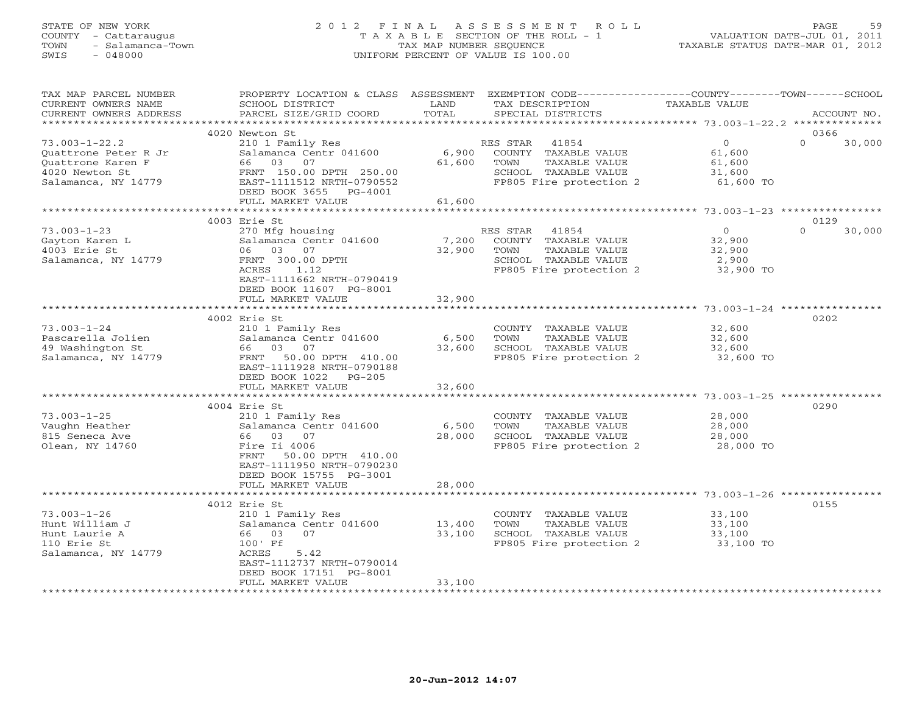# STATE OF NEW YORK 2 0 1 2 F I N A L A S S E S S M E N T R O L L PAGE 59 COUNTY - Cattaraugus T A X A B L E SECTION OF THE ROLL - 1 VALUATION DATE-JUL 01, 2011 TOWN - Salamanca-Town TAX MAP NUMBER SEQUENCE TAXABLE STATUS DATE-MAR 01, 2012 SWIS - 048000 UNIFORM PERCENT OF VALUE IS 100.00

| TAX MAP PARCEL NUMBER  | PROPERTY LOCATION & CLASS ASSESSMENT EXEMPTION CODE---------------COUNTY-------TOWN------SCHOOL |               |                         |               |                            |
|------------------------|-------------------------------------------------------------------------------------------------|---------------|-------------------------|---------------|----------------------------|
| CURRENT OWNERS NAME    | SCHOOL DISTRICT                                                                                 | LAND<br>TOTAL | TAX DESCRIPTION         | TAXABLE VALUE |                            |
| CURRENT OWNERS ADDRESS | PARCEL SIZE/GRID COORD                                                                          |               | SPECIAL DISTRICTS       |               | ACCOUNT NO.                |
|                        | 4020 Newton St                                                                                  |               |                         |               | 0366                       |
| $73.003 - 1 - 22.2$    | 210 1 Family Res                                                                                |               | RES STAR<br>41854       | $\circ$       | $\Omega$<br>30,000         |
| Quattrone Peter R Jr   | Salamanca Centr 041600                                                                          | 6,900         | COUNTY TAXABLE VALUE    | 61,600        |                            |
| Ouattrone Karen F      | 66 03 07                                                                                        | 61,600        | TAXABLE VALUE<br>TOWN   | 61,600        |                            |
| 4020 Newton St         | FRNT 150.00 DPTH 250.00                                                                         |               | SCHOOL TAXABLE VALUE    | 31,600        |                            |
| Salamanca, NY 14779    | EAST-1111512 NRTH-0790552                                                                       |               | FP805 Fire protection 2 | 61,600 TO     |                            |
|                        | DEED BOOK 3655 PG-4001                                                                          |               |                         |               |                            |
|                        | FULL MARKET VALUE                                                                               | 61,600        |                         |               |                            |
|                        |                                                                                                 |               |                         |               |                            |
| $73.003 - 1 - 23$      | 4003 Erie St<br>270 Mfg housing                                                                 |               | RES STAR 41854          | $\Omega$      | 0129<br>$\Omega$<br>30,000 |
| Gayton Karen L         | Salamanca Centr 041600                                                                          | 7,200         | COUNTY TAXABLE VALUE    | 32,900        |                            |
| 4003 Erie St           | 06 03 07                                                                                        | 32,900        | TOWN<br>TAXABLE VALUE   | 32,900        |                            |
| Salamanca, NY 14779    | FRNT 300.00 DPTH                                                                                |               | SCHOOL TAXABLE VALUE    | 2,900         |                            |
|                        | 1.12<br>ACRES                                                                                   |               | FP805 Fire protection 2 | 32,900 TO     |                            |
|                        | EAST-1111662 NRTH-0790419                                                                       |               |                         |               |                            |
|                        | DEED BOOK 11607 PG-8001                                                                         |               |                         |               |                            |
|                        | FULL MARKET VALUE                                                                               | 32,900        |                         |               |                            |
|                        |                                                                                                 |               |                         |               |                            |
|                        | 4002 Erie St                                                                                    |               |                         |               | 0202                       |
| $73.003 - 1 - 24$      | 210 1 Family Res                                                                                |               | COUNTY TAXABLE VALUE    | 32,600        |                            |
| Pascarella Jolien      | Salamanca Centr 041600                                                                          | 6,500         | TAXABLE VALUE<br>TOWN   | 32,600        |                            |
| 49 Washington St       | 03<br>66 —<br>07                                                                                | 32,600        | SCHOOL TAXABLE VALUE    | 32,600        |                            |
| Salamanca, NY 14779    | FRNT<br>50.00 DPTH 410.00<br>EAST-1111928 NRTH-0790188                                          |               | FP805 Fire protection 2 | 32,600 TO     |                            |
|                        | DEED BOOK 1022<br>$PG-205$                                                                      |               |                         |               |                            |
|                        | FULL MARKET VALUE                                                                               | 32,600        |                         |               |                            |
|                        | **************************************                                                          | ************  |                         |               |                            |
|                        | 4004 Erie St                                                                                    |               |                         |               | 0290                       |
| $73.003 - 1 - 25$      | 210 1 Family Res                                                                                |               | COUNTY TAXABLE VALUE    | 28,000        |                            |
| Vaughn Heather         | Salamanca Centr 041600                                                                          | 6,500         | TOWN<br>TAXABLE VALUE   | 28,000        |                            |
| 815 Seneca Ave         | 66 03 07                                                                                        | 28,000        | SCHOOL TAXABLE VALUE    | 28,000        |                            |
| Olean, NY 14760        | Fire Ii 4006                                                                                    |               | FP805 Fire protection 2 | 28,000 TO     |                            |
|                        | FRNT<br>50.00 DPTH 410.00                                                                       |               |                         |               |                            |
|                        | EAST-1111950 NRTH-0790230                                                                       |               |                         |               |                            |
|                        | DEED BOOK 15755 PG-3001                                                                         |               |                         |               |                            |
|                        | FULL MARKET VALUE                                                                               | 28,000        |                         |               |                            |
|                        | 4012 Erie St                                                                                    |               |                         |               | 0155                       |
| $73.003 - 1 - 26$      | 210 1 Family Res                                                                                |               | COUNTY TAXABLE VALUE    | 33,100        |                            |
| Hunt William J         | Salamanca Centr 041600                                                                          | 13,400        | TOWN<br>TAXABLE VALUE   | 33,100        |                            |
| Hunt Laurie A          | 07<br>66 03                                                                                     | 33,100        | SCHOOL TAXABLE VALUE    | 33,100        |                            |
| 110 Erie St            | 100' Ff                                                                                         |               | FP805 Fire protection 2 | 33,100 TO     |                            |
| Salamanca, NY 14779    | ACRES<br>5.42                                                                                   |               |                         |               |                            |
|                        | EAST-1112737 NRTH-0790014                                                                       |               |                         |               |                            |
|                        | DEED BOOK 17151 PG-8001                                                                         |               |                         |               |                            |
|                        | FULL MARKET VALUE                                                                               | 33,100        |                         |               |                            |
|                        |                                                                                                 |               |                         |               |                            |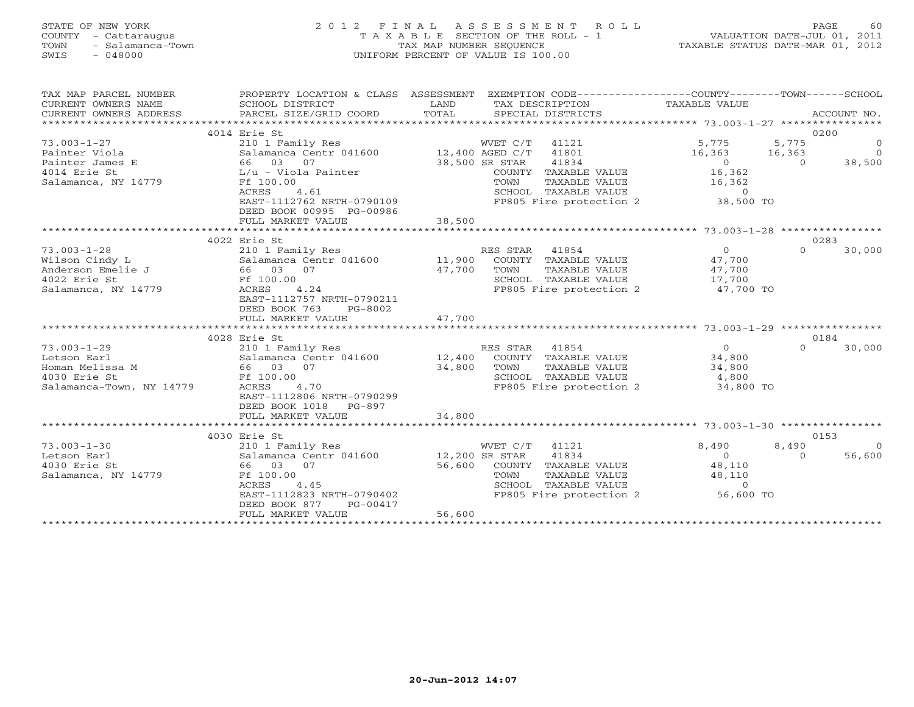#### STATE OF NEW YORK 2 0 1 2 F I N A L A S S E S S M E N T R O L L PAGE 60 COUNTY - Cattaraugus T A X A B L E SECTION OF THE ROLL - 1 VALUATION DATE-JUL 01, 2011 TOWN - Salamanca-Town TAX MAP NUMBER SEQUENCE TAXABLE STATUS DATE-MAR 01, 2012 SWIS - 048000 UNIFORM PERCENT OF VALUE IS 100.00

| **********************<br>0200<br>4014 Erie St<br>$73.003 - 1 - 27$<br>5,775<br>5,775<br>210 1 Family Res<br>WVET C/T<br>41121<br>$\circ$<br>12,400 AGED C/T<br>41801<br>$\Omega$<br>Painter Viola<br>Salamanca Centr 041600<br>16,363<br>16,363<br>66 03<br>38,500 SR STAR<br>41834<br>$\overline{0}$<br>38,500<br>Painter James E<br>07<br>$\Omega$<br>4014 Erie St<br>L/u - Viola Painter<br>16,362<br>COUNTY TAXABLE VALUE<br>Salamanca, NY 14779<br>Ff 100.00<br>16,362<br>TOWN<br>TAXABLE VALUE<br>4.61<br>ACRES<br>SCHOOL TAXABLE VALUE<br>$\circ$<br>FP805 Fire protection 2<br>38,500 TO<br>EAST-1112762 NRTH-0790109<br>DEED BOOK 00995 PG-00986<br>38,500<br>FULL MARKET VALUE<br>4022 Erie St<br>0283<br>$73.003 - 1 - 28$<br>$\Omega$<br>$\Omega$<br>210 1 Family Res<br>RES STAR 41854<br>30,000<br>Salamanca Centr 041600 11,900<br>COUNTY TAXABLE VALUE<br>47,700<br>Wilson Cindy L<br>47,700<br>Anderson Emelie J<br>66 03 07<br>TOWN<br>TAXABLE VALUE<br>47,700<br>4022 Erie St<br>Ff 100.00<br>SCHOOL TAXABLE VALUE<br>17,700<br>Salamanca, NY 14779<br>4.24<br>FP805 Fire protection 2<br>47,700 TO<br>ACRES<br>EAST-1112757 NRTH-0790211<br>DEED BOOK 763<br>PG-8002<br>47,700<br>FULL MARKET VALUE |
|--------------------------------------------------------------------------------------------------------------------------------------------------------------------------------------------------------------------------------------------------------------------------------------------------------------------------------------------------------------------------------------------------------------------------------------------------------------------------------------------------------------------------------------------------------------------------------------------------------------------------------------------------------------------------------------------------------------------------------------------------------------------------------------------------------------------------------------------------------------------------------------------------------------------------------------------------------------------------------------------------------------------------------------------------------------------------------------------------------------------------------------------------------------------------------------------------------------------------|
|                                                                                                                                                                                                                                                                                                                                                                                                                                                                                                                                                                                                                                                                                                                                                                                                                                                                                                                                                                                                                                                                                                                                                                                                                          |
|                                                                                                                                                                                                                                                                                                                                                                                                                                                                                                                                                                                                                                                                                                                                                                                                                                                                                                                                                                                                                                                                                                                                                                                                                          |
|                                                                                                                                                                                                                                                                                                                                                                                                                                                                                                                                                                                                                                                                                                                                                                                                                                                                                                                                                                                                                                                                                                                                                                                                                          |
|                                                                                                                                                                                                                                                                                                                                                                                                                                                                                                                                                                                                                                                                                                                                                                                                                                                                                                                                                                                                                                                                                                                                                                                                                          |
|                                                                                                                                                                                                                                                                                                                                                                                                                                                                                                                                                                                                                                                                                                                                                                                                                                                                                                                                                                                                                                                                                                                                                                                                                          |
|                                                                                                                                                                                                                                                                                                                                                                                                                                                                                                                                                                                                                                                                                                                                                                                                                                                                                                                                                                                                                                                                                                                                                                                                                          |
|                                                                                                                                                                                                                                                                                                                                                                                                                                                                                                                                                                                                                                                                                                                                                                                                                                                                                                                                                                                                                                                                                                                                                                                                                          |
|                                                                                                                                                                                                                                                                                                                                                                                                                                                                                                                                                                                                                                                                                                                                                                                                                                                                                                                                                                                                                                                                                                                                                                                                                          |
|                                                                                                                                                                                                                                                                                                                                                                                                                                                                                                                                                                                                                                                                                                                                                                                                                                                                                                                                                                                                                                                                                                                                                                                                                          |
|                                                                                                                                                                                                                                                                                                                                                                                                                                                                                                                                                                                                                                                                                                                                                                                                                                                                                                                                                                                                                                                                                                                                                                                                                          |
|                                                                                                                                                                                                                                                                                                                                                                                                                                                                                                                                                                                                                                                                                                                                                                                                                                                                                                                                                                                                                                                                                                                                                                                                                          |
|                                                                                                                                                                                                                                                                                                                                                                                                                                                                                                                                                                                                                                                                                                                                                                                                                                                                                                                                                                                                                                                                                                                                                                                                                          |
|                                                                                                                                                                                                                                                                                                                                                                                                                                                                                                                                                                                                                                                                                                                                                                                                                                                                                                                                                                                                                                                                                                                                                                                                                          |
|                                                                                                                                                                                                                                                                                                                                                                                                                                                                                                                                                                                                                                                                                                                                                                                                                                                                                                                                                                                                                                                                                                                                                                                                                          |
|                                                                                                                                                                                                                                                                                                                                                                                                                                                                                                                                                                                                                                                                                                                                                                                                                                                                                                                                                                                                                                                                                                                                                                                                                          |
|                                                                                                                                                                                                                                                                                                                                                                                                                                                                                                                                                                                                                                                                                                                                                                                                                                                                                                                                                                                                                                                                                                                                                                                                                          |
|                                                                                                                                                                                                                                                                                                                                                                                                                                                                                                                                                                                                                                                                                                                                                                                                                                                                                                                                                                                                                                                                                                                                                                                                                          |
|                                                                                                                                                                                                                                                                                                                                                                                                                                                                                                                                                                                                                                                                                                                                                                                                                                                                                                                                                                                                                                                                                                                                                                                                                          |
|                                                                                                                                                                                                                                                                                                                                                                                                                                                                                                                                                                                                                                                                                                                                                                                                                                                                                                                                                                                                                                                                                                                                                                                                                          |
|                                                                                                                                                                                                                                                                                                                                                                                                                                                                                                                                                                                                                                                                                                                                                                                                                                                                                                                                                                                                                                                                                                                                                                                                                          |
|                                                                                                                                                                                                                                                                                                                                                                                                                                                                                                                                                                                                                                                                                                                                                                                                                                                                                                                                                                                                                                                                                                                                                                                                                          |
| 0184                                                                                                                                                                                                                                                                                                                                                                                                                                                                                                                                                                                                                                                                                                                                                                                                                                                                                                                                                                                                                                                                                                                                                                                                                     |
| 4028 Erie St<br>41854                                                                                                                                                                                                                                                                                                                                                                                                                                                                                                                                                                                                                                                                                                                                                                                                                                                                                                                                                                                                                                                                                                                                                                                                    |
| 30,000<br>$73.003 - 1 - 29$<br>210 1 Family Res<br>RES STAR<br>$\circ$<br>$\Omega$                                                                                                                                                                                                                                                                                                                                                                                                                                                                                                                                                                                                                                                                                                                                                                                                                                                                                                                                                                                                                                                                                                                                       |
| 12,400<br>Salamanca Centr 041600<br>COUNTY TAXABLE VALUE<br>34,800<br>Letson Earl                                                                                                                                                                                                                                                                                                                                                                                                                                                                                                                                                                                                                                                                                                                                                                                                                                                                                                                                                                                                                                                                                                                                        |
| 34,800<br>Homan Melissa M<br>66 03 07<br>TOWN<br>TAXABLE VALUE<br>34,800                                                                                                                                                                                                                                                                                                                                                                                                                                                                                                                                                                                                                                                                                                                                                                                                                                                                                                                                                                                                                                                                                                                                                 |
| SCHOOL TAXABLE VALUE<br>4030 Erie St<br>Ff 100.00<br>4,800                                                                                                                                                                                                                                                                                                                                                                                                                                                                                                                                                                                                                                                                                                                                                                                                                                                                                                                                                                                                                                                                                                                                                               |
| 4.70<br>FP805 Fire protection 2<br>Salamanca-Town, NY 14779<br>ACRES<br>34,800 TO                                                                                                                                                                                                                                                                                                                                                                                                                                                                                                                                                                                                                                                                                                                                                                                                                                                                                                                                                                                                                                                                                                                                        |
| EAST-1112806 NRTH-0790299                                                                                                                                                                                                                                                                                                                                                                                                                                                                                                                                                                                                                                                                                                                                                                                                                                                                                                                                                                                                                                                                                                                                                                                                |
| DEED BOOK 1018<br>$PG-897$                                                                                                                                                                                                                                                                                                                                                                                                                                                                                                                                                                                                                                                                                                                                                                                                                                                                                                                                                                                                                                                                                                                                                                                               |
| 34,800<br>FULL MARKET VALUE                                                                                                                                                                                                                                                                                                                                                                                                                                                                                                                                                                                                                                                                                                                                                                                                                                                                                                                                                                                                                                                                                                                                                                                              |
|                                                                                                                                                                                                                                                                                                                                                                                                                                                                                                                                                                                                                                                                                                                                                                                                                                                                                                                                                                                                                                                                                                                                                                                                                          |
| 0153<br>4030 Erie St                                                                                                                                                                                                                                                                                                                                                                                                                                                                                                                                                                                                                                                                                                                                                                                                                                                                                                                                                                                                                                                                                                                                                                                                     |
| $73.003 - 1 - 30$<br>WVET C/T<br>41121<br>8,490<br>8,490<br>210 1 Family Res<br>$\Omega$                                                                                                                                                                                                                                                                                                                                                                                                                                                                                                                                                                                                                                                                                                                                                                                                                                                                                                                                                                                                                                                                                                                                 |
| Letson Earl<br>12,200 SR STAR<br>41834<br>$\Omega$<br>56,600<br>Salamanca Centr 041600<br>$\Omega$                                                                                                                                                                                                                                                                                                                                                                                                                                                                                                                                                                                                                                                                                                                                                                                                                                                                                                                                                                                                                                                                                                                       |
| 4030 Erie St<br>66 03 07<br>56,600<br>COUNTY TAXABLE VALUE<br>48,110                                                                                                                                                                                                                                                                                                                                                                                                                                                                                                                                                                                                                                                                                                                                                                                                                                                                                                                                                                                                                                                                                                                                                     |
| Ff 100.00<br>Salamanca, NY 14779<br>TOWN<br>TAXABLE VALUE<br>48,110                                                                                                                                                                                                                                                                                                                                                                                                                                                                                                                                                                                                                                                                                                                                                                                                                                                                                                                                                                                                                                                                                                                                                      |
| 4.45<br>TAXABLE VALUE<br>$\circ$<br>ACRES<br>SCHOOL                                                                                                                                                                                                                                                                                                                                                                                                                                                                                                                                                                                                                                                                                                                                                                                                                                                                                                                                                                                                                                                                                                                                                                      |
| 56,600 TO<br>EAST-1112823 NRTH-0790402<br>FP805 Fire protection 2                                                                                                                                                                                                                                                                                                                                                                                                                                                                                                                                                                                                                                                                                                                                                                                                                                                                                                                                                                                                                                                                                                                                                        |
| DEED BOOK 877<br>PG-00417                                                                                                                                                                                                                                                                                                                                                                                                                                                                                                                                                                                                                                                                                                                                                                                                                                                                                                                                                                                                                                                                                                                                                                                                |
| 56,600<br>FULL MARKET VALUE                                                                                                                                                                                                                                                                                                                                                                                                                                                                                                                                                                                                                                                                                                                                                                                                                                                                                                                                                                                                                                                                                                                                                                                              |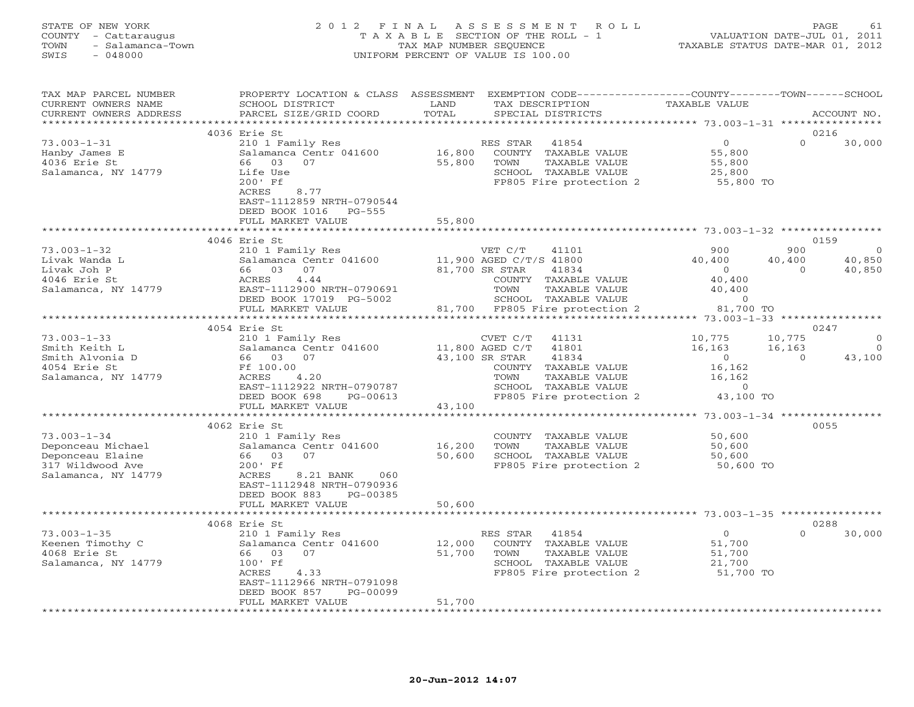#### STATE OF NEW YORK 2 0 1 2 F I N A L A S S E S S M E N T R O L L PAGE 61 COUNTY - Cattaraugus T A X A B L E SECTION OF THE ROLL - 1 VALUATION DATE-JUL 01, 2011 TOWN - Salamanca-Town TAX MAP NUMBER SEQUENCE TAXABLE STATUS DATE-MAR 01, 2012 SWIS - 048000 UNIFORM PERCENT OF VALUE IS 100.00

| TAX MAP PARCEL NUMBER<br>CURRENT OWNERS NAME<br>CURRENT OWNERS ADDRESS | PROPERTY LOCATION & CLASS ASSESSMENT<br>SCHOOL DISTRICT<br>PARCEL SIZE/GRID COORD | LAND<br>TOTAL                     | EXEMPTION CODE-----------------COUNTY-------TOWN------SCHOOL<br>TAX DESCRIPTION<br>SPECIAL DISTRICTS | <b>TAXABLE VALUE</b>                    | ACCOUNT NO.                    |
|------------------------------------------------------------------------|-----------------------------------------------------------------------------------|-----------------------------------|------------------------------------------------------------------------------------------------------|-----------------------------------------|--------------------------------|
|                                                                        |                                                                                   |                                   |                                                                                                      |                                         |                                |
|                                                                        | 4036 Erie St                                                                      |                                   |                                                                                                      |                                         | 0216                           |
| $73.003 - 1 - 31$                                                      | 210 1 Family Res                                                                  |                                   | RES STAR<br>41854                                                                                    | $\Omega$                                | $\Omega$<br>30,000             |
| Hanby James E                                                          | Salamanca Centr 041600                                                            | 16,800                            | COUNTY TAXABLE VALUE                                                                                 | 55,800                                  |                                |
| 4036 Erie St                                                           | 66 03<br>07                                                                       | 55,800                            | TOWN<br>TAXABLE VALUE                                                                                | 55,800                                  |                                |
| Salamanca, NY 14779                                                    | Life Use                                                                          |                                   | SCHOOL TAXABLE VALUE                                                                                 | 25,800                                  |                                |
|                                                                        | $200'$ Ff                                                                         |                                   | FP805 Fire protection 2                                                                              | 55,800 TO                               |                                |
|                                                                        | ACRES<br>8.77                                                                     |                                   |                                                                                                      |                                         |                                |
|                                                                        | EAST-1112859 NRTH-0790544<br>DEED BOOK 1016 PG-555                                |                                   |                                                                                                      |                                         |                                |
|                                                                        | FULL MARKET VALUE                                                                 | 55,800                            |                                                                                                      |                                         |                                |
|                                                                        |                                                                                   |                                   |                                                                                                      |                                         |                                |
|                                                                        | 4046 Erie St                                                                      |                                   |                                                                                                      |                                         | 0159                           |
| $73.003 - 1 - 32$                                                      | 210 1 Family Res                                                                  |                                   | VET C/T<br>41101                                                                                     | 900                                     | 900<br>$\overline{0}$          |
| Livak Wanda L                                                          | Salamanca Centr 041600                                                            |                                   | 11,900 AGED C/T/S 41800                                                                              | 40,400<br>40,400                        | 40,850                         |
| Livak Joh P                                                            | 66 03 07                                                                          |                                   | 81,700 SR STAR<br>41834                                                                              | $\overline{0}$                          | 40,850<br>$\Omega$             |
| 4046 Erie St                                                           | ACRES<br>4.44                                                                     |                                   | COUNTY TAXABLE VALUE                                                                                 | 40,400                                  |                                |
| Salamanca, NY 14779                                                    | EAST-1112900 NRTH-0790691                                                         |                                   | TOWN<br>TAXABLE VALUE                                                                                | 40,400                                  |                                |
|                                                                        | DEED BOOK 17019 PG-5002                                                           |                                   | SCHOOL TAXABLE VALUE                                                                                 | $\circ$                                 |                                |
|                                                                        | FULL MARKET VALUE                                                                 |                                   | 81,700 FP805 Fire protection 2                                                                       | 81,700 TO                               |                                |
|                                                                        |                                                                                   |                                   |                                                                                                      |                                         |                                |
|                                                                        | 4054 Erie St                                                                      |                                   |                                                                                                      |                                         | 0247                           |
| $73.003 - 1 - 33$                                                      | 210 1 Family Res                                                                  |                                   | CVET C/T<br>41131                                                                                    | 10,775<br>10,775                        | $\mathbf{0}$<br>$\overline{0}$ |
| Smith Keith L<br>Smith Alvonia D                                       | Salamanca Centr 041600<br>66 03<br>07                                             | 11,800 AGED C/T<br>43,100 SR STAR | 41801<br>41834                                                                                       | 16,163<br>16,163<br>$\overline{0}$      | 43,100<br>$\Omega$             |
| 4054 Erie St                                                           | Ff 100.00                                                                         |                                   | COUNTY TAXABLE VALUE                                                                                 | 16,162                                  |                                |
| Salamanca, NY 14779                                                    | ACRES<br>4.20                                                                     |                                   | TAXABLE VALUE<br>TOWN                                                                                | 16,162                                  |                                |
|                                                                        | EAST-1112922 NRTH-0790787                                                         |                                   | SCHOOL TAXABLE VALUE                                                                                 | $\overline{0}$                          |                                |
|                                                                        | DEED BOOK 698<br>PG-00613                                                         |                                   | FP805 Fire protection 2                                                                              | 43,100 TO                               |                                |
|                                                                        | FULL MARKET VALUE                                                                 | 43,100                            |                                                                                                      |                                         |                                |
|                                                                        | ************************                                                          | *******************               |                                                                                                      | ********** 73.003-1-34 **************** |                                |
|                                                                        | 4062 Erie St                                                                      |                                   |                                                                                                      |                                         | 0055                           |
| $73.003 - 1 - 34$                                                      | 210 1 Family Res                                                                  |                                   | COUNTY TAXABLE VALUE                                                                                 | 50,600                                  |                                |
| Deponceau Michael                                                      | Salamanca Centr 041600                                                            | 16,200                            | TOWN<br>TAXABLE VALUE                                                                                | 50,600                                  |                                |
| Deponceau Elaine                                                       | 66 03<br>07                                                                       | 50,600                            | SCHOOL TAXABLE VALUE                                                                                 | 50,600                                  |                                |
| 317 Wildwood Ave                                                       | $200'$ Ff                                                                         |                                   | FP805 Fire protection 2                                                                              | 50,600 TO                               |                                |
| Salamanca, NY 14779                                                    | ACRES<br>8.21 BANK<br>060                                                         |                                   |                                                                                                      |                                         |                                |
|                                                                        | EAST-1112948 NRTH-0790936<br>DEED BOOK 883<br>PG-00385                            |                                   |                                                                                                      |                                         |                                |
|                                                                        | FULL MARKET VALUE                                                                 | 50,600                            |                                                                                                      |                                         |                                |
|                                                                        |                                                                                   |                                   |                                                                                                      |                                         |                                |
|                                                                        | 4068 Erie St                                                                      |                                   |                                                                                                      |                                         | 0288                           |
| $73.003 - 1 - 35$                                                      | 210 1 Family Res                                                                  |                                   | RES STAR<br>41854                                                                                    | $\overline{0}$                          | $\Omega$<br>30,000             |
| Keenen Timothy C                                                       | Salamanca Centr 041600                                                            | 12,000                            | COUNTY TAXABLE VALUE                                                                                 | 51,700                                  |                                |
| 4068 Erie St                                                           | 66 03<br>07                                                                       | 51,700                            | TOWN<br>TAXABLE VALUE                                                                                | 51,700                                  |                                |
| Salamanca, NY 14779                                                    | 100' Ff                                                                           |                                   | SCHOOL TAXABLE VALUE                                                                                 | 21,700                                  |                                |
|                                                                        | ACRES<br>4.33                                                                     |                                   | FP805 Fire protection 2                                                                              | 51,700 TO                               |                                |
|                                                                        | EAST-1112966 NRTH-0791098                                                         |                                   |                                                                                                      |                                         |                                |
|                                                                        | DEED BOOK 857<br>PG-00099                                                         |                                   |                                                                                                      |                                         |                                |
|                                                                        | FULL MARKET VALUE                                                                 | 51,700                            |                                                                                                      |                                         |                                |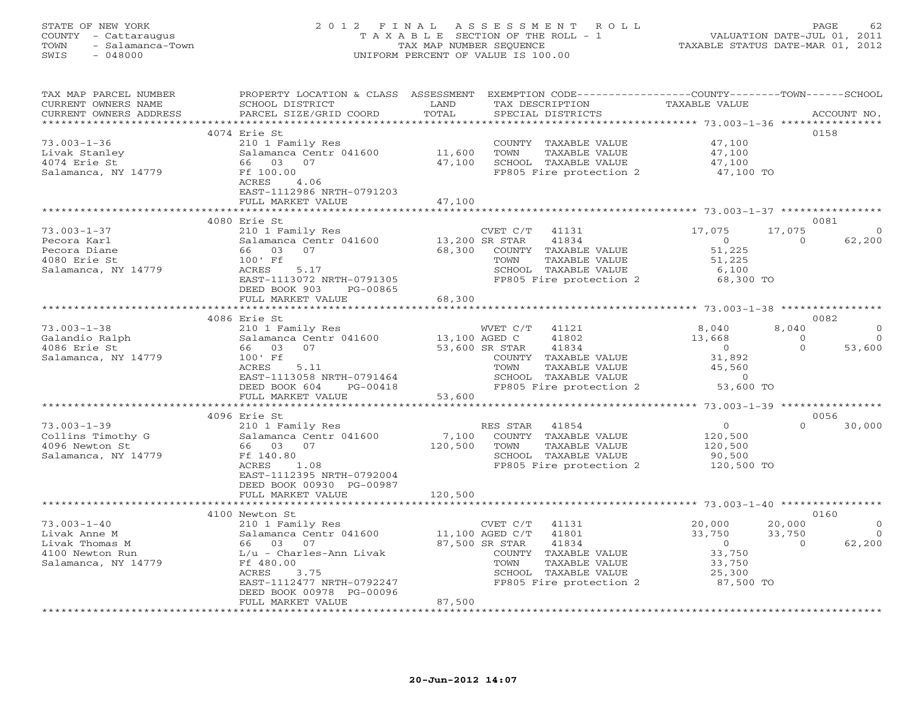#### STATE OF NEW YORK 2 0 1 2 F I N A L A S S E S S M E N T R O L L PAGE 62 COUNTY - Cattaraugus T A X A B L E SECTION OF THE ROLL - 1 VALUATION DATE-JUL 01, 2011 TOWN - Salamanca-Town TAX MAP NUMBER SEQUENCE TAXABLE STATUS DATE-MAR 01, 2012 SWIS - 048000 UNIFORM PERCENT OF VALUE IS 100.00

| TAX MAP PARCEL NUMBER<br>CURRENT OWNERS NAME<br>CURRENT OWNERS ADDRESS | PROPERTY LOCATION & CLASS ASSESSMENT<br>SCHOOL DISTRICT<br>PARCEL SIZE/GRID COORD | LAND<br>TOTAL        | EXEMPTION CODE-----------------COUNTY-------TOWN------SCHOOL<br>TAX DESCRIPTION<br>SPECIAL DISTRICTS | TAXABLE VALUE                                           |          | ACCOUNT NO. |
|------------------------------------------------------------------------|-----------------------------------------------------------------------------------|----------------------|------------------------------------------------------------------------------------------------------|---------------------------------------------------------|----------|-------------|
| *************************                                              |                                                                                   |                      |                                                                                                      |                                                         |          |             |
|                                                                        | 4074 Erie St                                                                      |                      |                                                                                                      |                                                         |          | 0158        |
| $73.003 - 1 - 36$                                                      | 210 1 Family Res                                                                  |                      | COUNTY TAXABLE VALUE                                                                                 | 47,100                                                  |          |             |
| Livak Stanley                                                          | Salamanca Centr 041600                                                            | 11,600               | TOWN<br>TAXABLE VALUE                                                                                | 47,100                                                  |          |             |
| 4074 Erie St                                                           | 66 03<br>07                                                                       | 47,100               | SCHOOL TAXABLE VALUE                                                                                 | 47,100                                                  |          |             |
| Salamanca, NY 14779                                                    | Ff 100.00                                                                         |                      | FP805 Fire protection 2                                                                              | 47,100 TO                                               |          |             |
|                                                                        | ACRES<br>4.06                                                                     |                      |                                                                                                      |                                                         |          |             |
|                                                                        | EAST-1112986 NRTH-0791203                                                         |                      |                                                                                                      |                                                         |          |             |
|                                                                        | FULL MARKET VALUE                                                                 | 47,100               |                                                                                                      |                                                         |          |             |
|                                                                        |                                                                                   | ******************** |                                                                                                      | ************************ 73.003-1-37 ************       |          |             |
|                                                                        | 4080 Erie St                                                                      |                      |                                                                                                      |                                                         |          | 0081        |
| $73.003 - 1 - 37$                                                      | 210 1 Family Res                                                                  |                      | CVET C/T<br>41131                                                                                    | 17,075                                                  | 17,075   | - ( )       |
| Pecora Karl                                                            | Salamanca Centr 041600                                                            | 13,200 SR STAR       | 41834                                                                                                | $\circ$                                                 | $\Omega$ | 62,200      |
| Pecora Diane                                                           | 66 03<br>07                                                                       | 68,300               | COUNTY TAXABLE VALUE                                                                                 | 51,225                                                  |          |             |
|                                                                        |                                                                                   |                      |                                                                                                      |                                                         |          |             |
| 4080 Erie St                                                           | 100' Ff                                                                           |                      | TOWN<br>TAXABLE VALUE                                                                                | 51,225                                                  |          |             |
| Salamanca, NY 14779                                                    | ACRES<br>5.17                                                                     |                      | SCHOOL TAXABLE VALUE                                                                                 | 6,100                                                   |          |             |
|                                                                        | EAST-1113072 NRTH-0791305                                                         |                      | FP805 Fire protection 2                                                                              | 68,300 TO                                               |          |             |
|                                                                        | DEED BOOK 903<br>PG-00865                                                         |                      |                                                                                                      |                                                         |          |             |
|                                                                        | FULL MARKET VALUE                                                                 | 68,300               |                                                                                                      |                                                         |          |             |
|                                                                        |                                                                                   |                      |                                                                                                      |                                                         |          |             |
|                                                                        | 4086 Erie St                                                                      |                      |                                                                                                      |                                                         |          | 0082        |
| $73.003 - 1 - 38$                                                      | 210 1 Family Res                                                                  |                      | WVET C/T<br>41121                                                                                    | 8,040                                                   | 8,040    | $\Omega$    |
| Galandio Ralph                                                         | Salamanca Centr 041600                                                            | 13,100 AGED C        | 41802                                                                                                | 13,668                                                  | $\circ$  | $\Omega$    |
| 4086 Erie St                                                           | 03<br>07<br>66                                                                    |                      | 53,600 SR STAR<br>41834                                                                              | $\overline{0}$                                          | $\Omega$ | 53,600      |
| Salamanca, NY 14779                                                    | 100' Ff                                                                           |                      | COUNTY TAXABLE VALUE                                                                                 | 31,892                                                  |          |             |
|                                                                        | ACRES<br>5.11                                                                     |                      | TOWN<br>TAXABLE VALUE                                                                                | 45,560                                                  |          |             |
|                                                                        | EAST-1113058 NRTH-0791464                                                         |                      | SCHOOL TAXABLE VALUE                                                                                 | $\Omega$                                                |          |             |
|                                                                        | DEED BOOK 604<br>PG-00418                                                         |                      | FP805 Fire protection 2                                                                              | 53,600 TO                                               |          |             |
|                                                                        | FULL MARKET VALUE                                                                 | 53,600               |                                                                                                      |                                                         |          |             |
|                                                                        |                                                                                   |                      |                                                                                                      |                                                         |          |             |
|                                                                        | 4096 Erie St                                                                      |                      |                                                                                                      |                                                         |          | 0056        |
| $73.003 - 1 - 39$                                                      | 210 1 Family Res                                                                  |                      | 41854<br>RES STAR                                                                                    | $\Omega$                                                | $\Omega$ | 30,000      |
| Collins Timothy G                                                      | Salamanca Centr 041600                                                            | 7,100                | COUNTY TAXABLE VALUE                                                                                 | 120,500                                                 |          |             |
| 4096 Newton St                                                         | 66 03 07                                                                          | 120,500              | TOWN<br>TAXABLE VALUE                                                                                | 120,500                                                 |          |             |
| Salamanca, NY 14779                                                    | Ff 140.80                                                                         |                      | SCHOOL TAXABLE VALUE                                                                                 | 90,500                                                  |          |             |
|                                                                        | 1.08<br>ACRES                                                                     |                      | FP805 Fire protection 2                                                                              | 120,500 TO                                              |          |             |
|                                                                        | EAST-1112395 NRTH-0792004                                                         |                      |                                                                                                      |                                                         |          |             |
|                                                                        | DEED BOOK 00930 PG-00987                                                          |                      |                                                                                                      |                                                         |          |             |
|                                                                        | FULL MARKET VALUE                                                                 | 120,500              |                                                                                                      |                                                         |          |             |
|                                                                        |                                                                                   | ***********          |                                                                                                      | ************************* 73.003-1-40 ***************** |          |             |
|                                                                        | 4100 Newton St                                                                    |                      |                                                                                                      |                                                         |          | 0160        |
| $73.003 - 1 - 40$                                                      | 210 1 Family Res                                                                  |                      | CVET C/T<br>41131                                                                                    | 20,000                                                  | 20,000   | $\Omega$    |
| Livak Anne M                                                           | Salamanca Centr 041600                                                            | 11,100 AGED C/T      | 41801                                                                                                | 33,750                                                  | 33,750   | $\circ$     |
| Livak Thomas M                                                         | 66 03 07                                                                          |                      | 87,500 SR STAR<br>41834                                                                              | $\circ$                                                 | $\Omega$ | 62,200      |
| 4100 Newton Run                                                        | $L/u$ - Charles-Ann Livak                                                         |                      | COUNTY TAXABLE VALUE                                                                                 | 33,750                                                  |          |             |
| Salamanca, NY 14779                                                    | Ff 480.00                                                                         |                      | TAXABLE VALUE<br>TOWN                                                                                | 33,750                                                  |          |             |
|                                                                        | ACRES<br>3.75                                                                     |                      | SCHOOL TAXABLE VALUE                                                                                 | 25,300                                                  |          |             |
|                                                                        | EAST-1112477 NRTH-0792247                                                         |                      | FP805 Fire protection 2                                                                              | 87,500 TO                                               |          |             |
|                                                                        | DEED BOOK 00978 PG-00096                                                          |                      |                                                                                                      |                                                         |          |             |
|                                                                        | FULL MARKET VALUE                                                                 | 87,500               |                                                                                                      |                                                         |          |             |
|                                                                        | *******************                                                               |                      |                                                                                                      |                                                         |          |             |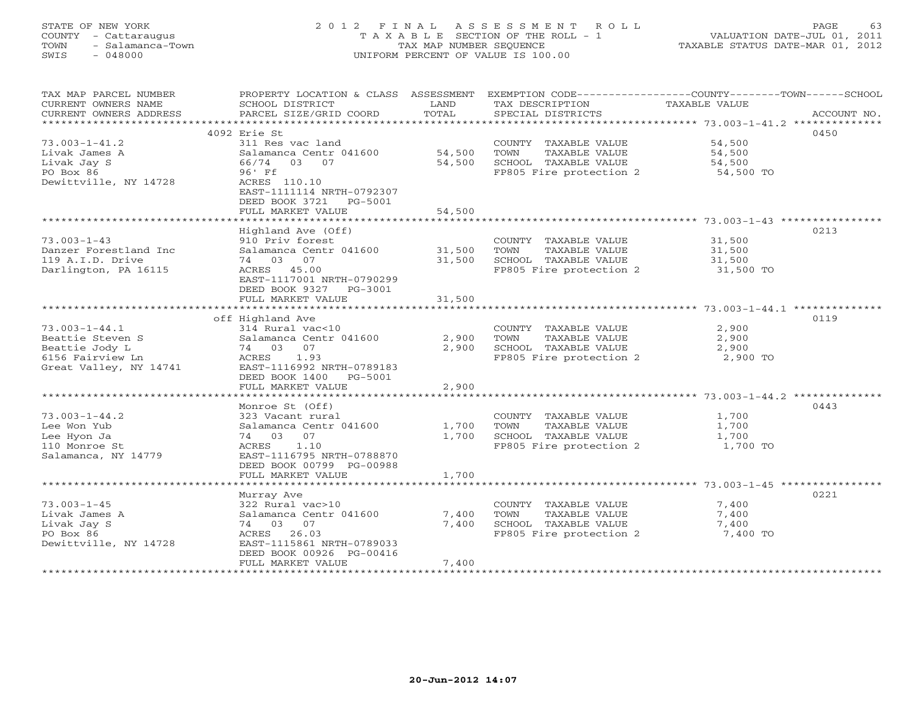# STATE OF NEW YORK 2 0 1 2 F I N A L A S S E S S M E N T R O L L PAGE 63 COUNTY - Cattaraugus T A X A B L E SECTION OF THE ROLL - 1 VALUATION DATE-JUL 01, 2011 TOWN - Salamanca-Town TAX MAP NUMBER SEQUENCE TAXABLE STATUS DATE-MAR 01, 2012 SWIS - 048000 UNIFORM PERCENT OF VALUE IS 100.00

| TAX MAP PARCEL NUMBER<br>CURRENT OWNERS NAME<br>CURRENT OWNERS ADDRESS | PROPERTY LOCATION & CLASS ASSESSMENT<br>SCHOOL DISTRICT<br>PARCEL SIZE/GRID COORD | LAND<br>TOTAL | TAX DESCRIPTION<br>SPECIAL DISTRICTS            | EXEMPTION CODE-----------------COUNTY-------TOWN------SCHOOL<br>TAXABLE VALUE<br>ACCOUNT NO. |
|------------------------------------------------------------------------|-----------------------------------------------------------------------------------|---------------|-------------------------------------------------|----------------------------------------------------------------------------------------------|
| *************************                                              |                                                                                   |               |                                                 |                                                                                              |
|                                                                        | 4092 Erie St                                                                      |               |                                                 | 0450                                                                                         |
| $73.003 - 1 - 41.2$                                                    | 311 Res vac land                                                                  |               | COUNTY TAXABLE VALUE                            | 54,500                                                                                       |
| Livak James A                                                          | Salamanca Centr 041600                                                            | 54,500        | TOWN<br>TAXABLE VALUE                           | 54,500                                                                                       |
| Livak Jay S<br>PO Box 86                                               | 03 07<br>66/74<br>96' Ff                                                          | 54,500        | SCHOOL TAXABLE VALUE<br>FP805 Fire protection 2 | 54,500<br>54,500 TO                                                                          |
| Dewittville, NY 14728                                                  | ACRES 110.10<br>EAST-1111114 NRTH-0792307<br>DEED BOOK 3721<br>PG-5001            |               |                                                 |                                                                                              |
|                                                                        | FULL MARKET VALUE                                                                 | 54,500        |                                                 |                                                                                              |
|                                                                        | Highland Ave (Off)                                                                |               |                                                 | 0213                                                                                         |
| $73.003 - 1 - 43$                                                      | 910 Priv forest                                                                   |               | COUNTY TAXABLE VALUE                            | 31,500                                                                                       |
| Danzer Forestland Inc                                                  | Salamanca Centr 041600                                                            | 31,500        | TAXABLE VALUE<br>TOWN                           | 31,500                                                                                       |
| 119 A.I.D. Drive                                                       | 74 03 07                                                                          | 31,500        | SCHOOL TAXABLE VALUE                            | 31,500                                                                                       |
| Darlington, PA 16115                                                   | ACRES 45.00                                                                       |               | FP805 Fire protection 2                         | 31,500 TO                                                                                    |
|                                                                        | EAST-1117001 NRTH-0790299                                                         |               |                                                 |                                                                                              |
|                                                                        | DEED BOOK 9327<br>PG-3001                                                         |               |                                                 |                                                                                              |
|                                                                        | FULL MARKET VALUE                                                                 | 31,500        |                                                 |                                                                                              |
|                                                                        | off Highland Ave                                                                  |               |                                                 | 0119                                                                                         |
| $73.003 - 1 - 44.1$                                                    | 314 Rural vac<10                                                                  |               | COUNTY TAXABLE VALUE                            | 2,900                                                                                        |
| Beattie Steven S                                                       | Salamanca Centr 041600                                                            | 2,900         | TOWN<br>TAXABLE VALUE                           | 2,900                                                                                        |
| Beattie Jody L                                                         | 74 03 07                                                                          | 2,900         | SCHOOL TAXABLE VALUE                            | 2,900                                                                                        |
| 6156 Fairview Ln                                                       | 1.93<br>ACRES                                                                     |               | FP805 Fire protection 2                         | 2,900 TO                                                                                     |
| Great Valley, NY 14741                                                 | EAST-1116992 NRTH-0789183                                                         |               |                                                 |                                                                                              |
|                                                                        | DEED BOOK 1400<br>PG-5001                                                         |               |                                                 |                                                                                              |
|                                                                        | FULL MARKET VALUE                                                                 | 2,900         |                                                 |                                                                                              |
|                                                                        | Monroe St (Off)                                                                   |               |                                                 | 0443                                                                                         |
| $73.003 - 1 - 44.2$                                                    | 323 Vacant rural                                                                  |               | COUNTY TAXABLE VALUE                            | 1,700                                                                                        |
| Lee Won Yub                                                            | Salamanca Centr 041600                                                            | 1,700         | TOWN<br>TAXABLE VALUE                           | 1,700                                                                                        |
| Lee Hyon Ja                                                            | 07<br>74 03                                                                       | 1,700         | SCHOOL TAXABLE VALUE                            | 1,700                                                                                        |
| 110 Monroe St                                                          | 1.10<br>ACRES                                                                     |               | FP805 Fire protection 2                         | 1,700 TO                                                                                     |
| Salamanca, NY 14779                                                    | EAST-1116795 NRTH-0788870                                                         |               |                                                 |                                                                                              |
|                                                                        | DEED BOOK 00799 PG-00988<br>FULL MARKET VALUE                                     |               |                                                 |                                                                                              |
|                                                                        |                                                                                   | 1,700         |                                                 |                                                                                              |
|                                                                        | Murray Ave                                                                        |               |                                                 | 0221                                                                                         |
| $73.003 - 1 - 45$                                                      | 322 Rural vac>10                                                                  |               | COUNTY TAXABLE VALUE                            | 7,400                                                                                        |
| Livak James A                                                          | Salamanca Centr 041600                                                            | 7,400         | TOWN<br>TAXABLE VALUE                           | 7,400                                                                                        |
| Livak Jay S                                                            | 74 03 07                                                                          | 7,400         | SCHOOL TAXABLE VALUE                            | 7,400                                                                                        |
| PO Box 86                                                              | ACRES<br>26.03                                                                    |               | FP805 Fire protection 2                         | 7,400 TO                                                                                     |
| Dewittville, NY 14728                                                  | EAST-1115861 NRTH-0789033<br>DEED BOOK 00926 PG-00416                             |               |                                                 |                                                                                              |
|                                                                        | FULL MARKET VALUE                                                                 | 7,400         |                                                 |                                                                                              |
|                                                                        |                                                                                   |               |                                                 |                                                                                              |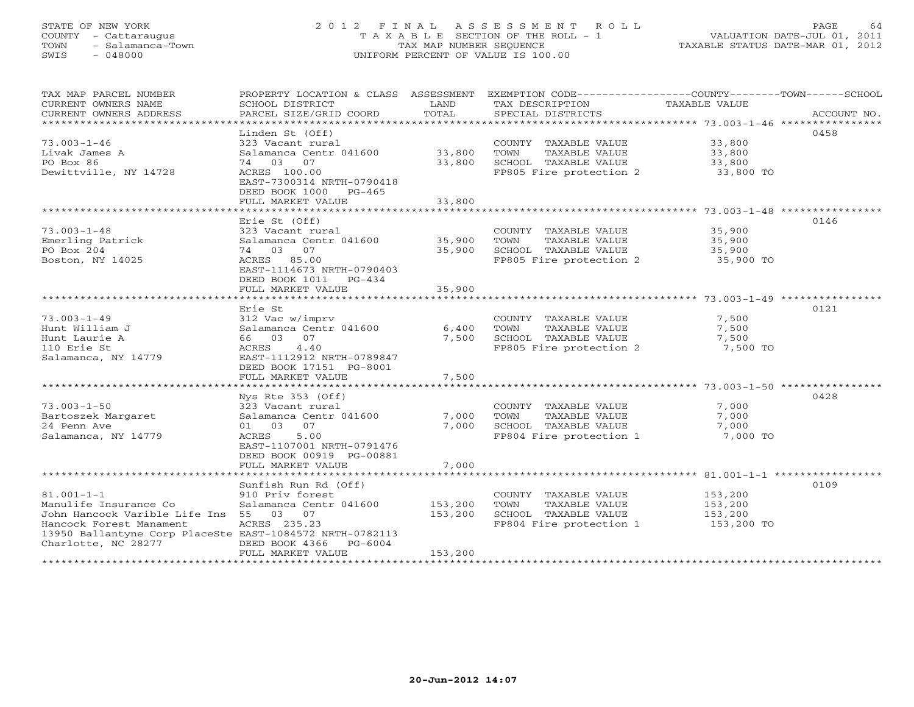# STATE OF NEW YORK 2 0 1 2 F I N A L A S S E S S M E N T R O L L PAGE 64 COUNTY - Cattaraugus T A X A B L E SECTION OF THE ROLL - 1 VALUATION DATE-JUL 01, 2011 TOWN - Salamanca-Town TAX MAP NUMBER SEQUENCE TAXABLE STATUS DATE-MAR 01, 2012 SWIS - 048000 UNIFORM PERCENT OF VALUE IS 100.00

| TAX MAP PARCEL NUMBER<br>CURRENT OWNERS NAME                    | PROPERTY LOCATION & CLASS ASSESSMENT<br>SCHOOL DISTRICT                 | LAND                    | EXEMPTION CODE-----------------COUNTY-------TOWN------SCHOOL<br>TAX DESCRIPTION | TAXABLE VALUE      |             |
|-----------------------------------------------------------------|-------------------------------------------------------------------------|-------------------------|---------------------------------------------------------------------------------|--------------------|-------------|
| CURRENT OWNERS ADDRESS<br>***********************               | PARCEL SIZE/GRID COORD                                                  | TOTAL                   | SPECIAL DISTRICTS                                                               |                    | ACCOUNT NO. |
|                                                                 | Linden St (Off)                                                         |                         |                                                                                 |                    | 0458        |
| $73.003 - 1 - 46$                                               | 323 Vacant rural                                                        |                         | COUNTY TAXABLE VALUE                                                            | 33,800             |             |
| Livak James A                                                   | Salamanca Centr 041600                                                  | 33,800                  | TOWN<br>TAXABLE VALUE                                                           | 33,800             |             |
| PO Box 86                                                       | 74 03 07                                                                | 33,800                  | SCHOOL TAXABLE VALUE                                                            | 33,800             |             |
| Dewittville, NY 14728                                           | ACRES 100.00<br>EAST-7300314 NRTH-0790418<br>DEED BOOK 1000<br>$PG-465$ |                         | FP805 Fire protection 2                                                         | 33,800 TO          |             |
|                                                                 | FULL MARKET VALUE<br>***************************                        | 33,800<br>************* | ************************************* 73.003-1-48 *****************             |                    |             |
|                                                                 | Erie St (Off)                                                           |                         |                                                                                 |                    | 0146        |
| $73.003 - 1 - 48$                                               | 323 Vacant rural                                                        |                         | COUNTY TAXABLE VALUE                                                            | 35,900             |             |
| Emerling Patrick                                                | Salamanca Centr 041600                                                  | 35,900                  | TOWN<br>TAXABLE VALUE                                                           | 35,900             |             |
| PO Box 204                                                      | 74 03<br>07                                                             | 35,900                  | SCHOOL TAXABLE VALUE                                                            | 35,900             |             |
| Boston, NY 14025                                                | ACRES 85.00                                                             |                         | FP805 Fire protection 2                                                         | 35,900 TO          |             |
|                                                                 | EAST-1114673 NRTH-0790403<br>DEED BOOK 1011<br>$PG-434$                 | 35,900                  |                                                                                 |                    |             |
|                                                                 | FULL MARKET VALUE                                                       |                         |                                                                                 |                    |             |
|                                                                 | Erie St                                                                 |                         |                                                                                 |                    | 0121        |
| $73.003 - 1 - 49$                                               | 312 Vac w/imprv                                                         |                         | COUNTY TAXABLE VALUE                                                            | 7,500              |             |
| Hunt William J                                                  | Salamanca Centr 041600                                                  | 6,400                   | TOWN<br>TAXABLE VALUE                                                           | 7,500              |             |
| Hunt Laurie A                                                   | 66 03<br>07                                                             | 7,500                   | SCHOOL TAXABLE VALUE                                                            | 7,500              |             |
| 110 Erie St                                                     | 4.40<br>ACRES                                                           |                         | FP805 Fire protection 2                                                         | 7,500 TO           |             |
| Salamanca, NY 14779                                             | EAST-1112912 NRTH-0789847                                               |                         |                                                                                 |                    |             |
|                                                                 | DEED BOOK 17151 PG-8001                                                 |                         |                                                                                 |                    |             |
|                                                                 | FULL MARKET VALUE                                                       | 7,500                   |                                                                                 |                    |             |
|                                                                 | Nys Rte $353$ (Off)                                                     |                         |                                                                                 |                    | 0428        |
| $73.003 - 1 - 50$                                               | 323 Vacant rural                                                        |                         | COUNTY TAXABLE VALUE                                                            | 7,000              |             |
| Bartoszek Margaret                                              | Salamanca Centr 041600                                                  | 7,000                   | TOWN<br>TAXABLE VALUE                                                           | 7,000              |             |
| 24 Penn Ave                                                     | 07<br>01 03                                                             | 7,000                   | SCHOOL TAXABLE VALUE                                                            | 7,000              |             |
| Salamanca, NY 14779                                             | 5.00<br>ACRES                                                           |                         | FP804 Fire protection 1                                                         | 7,000 TO           |             |
|                                                                 | EAST-1107001 NRTH-0791476<br>DEED BOOK 00919 PG-00881                   |                         |                                                                                 |                    |             |
|                                                                 | FULL MARKET VALUE                                                       | 7,000                   |                                                                                 |                    |             |
|                                                                 |                                                                         |                         |                                                                                 |                    |             |
|                                                                 | Sunfish Run Rd (Off)                                                    |                         |                                                                                 |                    | 0109        |
| $81.001 - 1 - 1$                                                | 910 Priv forest                                                         |                         | COUNTY TAXABLE VALUE<br>TOWN                                                    | 153,200            |             |
| Manulife Insurance Co<br>John Hancock Varible Life Ins 55 03 07 | Salamanca Centr 041600                                                  | 153,200<br>153,200      | TAXABLE VALUE<br>SCHOOL TAXABLE VALUE                                           | 153,200<br>153,200 |             |
| Hancock Forest Manament                                         | ACRES 235.23                                                            |                         | FP804 Fire protection 1                                                         | 153,200 TO         |             |
| 13950 Ballantyne Corp PlaceSte EAST-1084572 NRTH-0782113        |                                                                         |                         |                                                                                 |                    |             |
| Charlotte, NC 28277                                             | DEED BOOK 4366<br>$PG-6004$                                             |                         |                                                                                 |                    |             |
|                                                                 | FULL MARKET VALUE                                                       | 153,200                 |                                                                                 |                    |             |
|                                                                 |                                                                         |                         |                                                                                 |                    |             |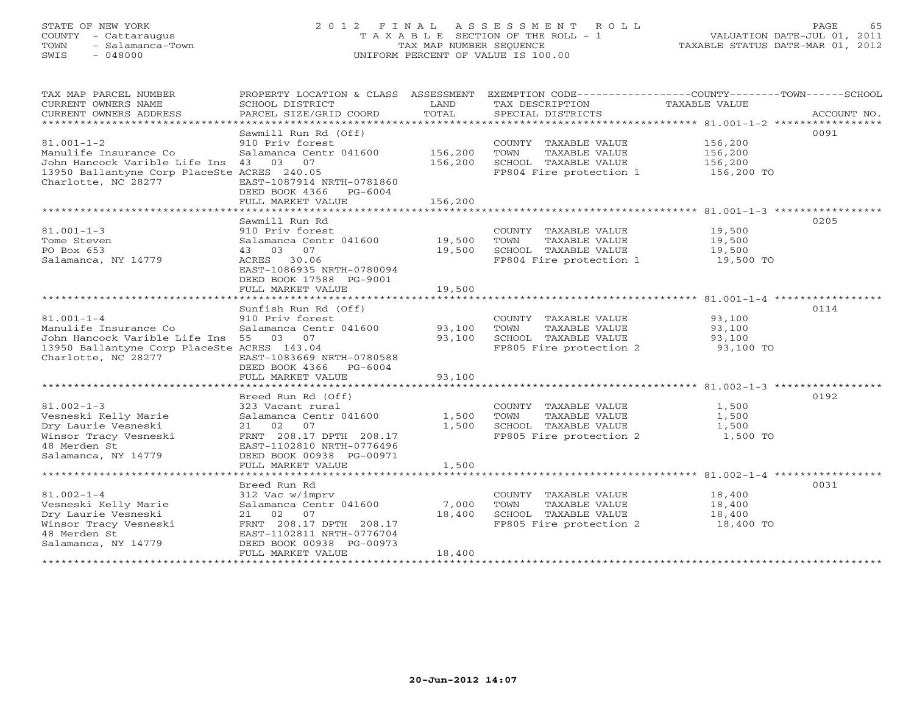#### STATE OF NEW YORK 2 0 1 2 F I N A L A S S E S S M E N T R O L L PAGE 65COUNTY - Cattaraugus T A X A B L E SECTION OF THE ROLL - 1<br>
TOWN - Salamanca-Town TAX MAP NUMBER SEQUENCE<br>
SWIS - 048000 SWIS - 048000 UNIFORM PERCENT OF VALUE IS 100.00

| TAX MAP PARCEL NUMBER<br>CURRENT OWNERS NAME<br>CURRENT OWNERS ADDRESS | PROPERTY LOCATION & CLASS ASSESSMENT<br>SCHOOL DISTRICT<br>PARCEL SIZE/GRID COORD | LAND<br>TOTAL  | TAX DESCRIPTION<br>SPECIAL DISTRICTS            | EXEMPTION CODE-----------------COUNTY-------TOWN------SCHOOL<br>TAXABLE VALUE<br>ACCOUNT NO. |
|------------------------------------------------------------------------|-----------------------------------------------------------------------------------|----------------|-------------------------------------------------|----------------------------------------------------------------------------------------------|
|                                                                        |                                                                                   |                |                                                 |                                                                                              |
|                                                                        | Sawmill Run Rd (Off)                                                              |                |                                                 | 0091                                                                                         |
| $81.001 - 1 - 2$                                                       | 910 Priv forest                                                                   |                | COUNTY TAXABLE VALUE                            | 156,200                                                                                      |
| Manulife Insurance Co                                                  | Salamanca Centr 041600                                                            | 156,200        | TOWN<br>TAXABLE VALUE                           | 156,200                                                                                      |
| John Hancock Varible Life Ins 43 03 07                                 |                                                                                   | 156,200        | SCHOOL TAXABLE VALUE                            | 156,200                                                                                      |
| 13950 Ballantyne Corp PlaceSte ACRES 240.05<br>Charlotte, NC 28277     | EAST-1087914 NRTH-0781860                                                         |                | FP804 Fire protection 1                         | 156,200 TO                                                                                   |
|                                                                        | DEED BOOK 4366<br>$PG-6004$                                                       |                |                                                 |                                                                                              |
|                                                                        | FULL MARKET VALUE                                                                 | 156,200        |                                                 |                                                                                              |
|                                                                        |                                                                                   |                |                                                 |                                                                                              |
|                                                                        | Sawmill Run Rd                                                                    |                |                                                 | 0205                                                                                         |
| $81.001 - 1 - 3$                                                       | 910 Priv forest                                                                   |                | COUNTY TAXABLE VALUE                            | 19,500                                                                                       |
| Tome Steven                                                            | Salamanca Centr 041600                                                            | 19,500         | TOWN<br>TAXABLE VALUE                           | 19,500                                                                                       |
| PO Box 653                                                             | 43 03 07                                                                          | 19,500         | SCHOOL TAXABLE VALUE                            | 19,500                                                                                       |
| Salamanca, NY 14779                                                    | ACRES 30.06                                                                       |                | FP804 Fire protection 1                         | 19,500 TO                                                                                    |
|                                                                        | EAST-1086935 NRTH-0780094                                                         |                |                                                 |                                                                                              |
|                                                                        | DEED BOOK 17588 PG-9001                                                           |                |                                                 |                                                                                              |
|                                                                        | FULL MARKET VALUE                                                                 | 19,500         |                                                 |                                                                                              |
|                                                                        | ********************                                                              | ************** |                                                 |                                                                                              |
|                                                                        | Sunfish Run Rd (Off)                                                              |                |                                                 | 0114                                                                                         |
| $81.001 - 1 - 4$                                                       | 910 Priv forest                                                                   |                | COUNTY TAXABLE VALUE                            | 93,100                                                                                       |
| Manulife Insurance Co                                                  | Salamanca Centr 041600                                                            | 93,100         | TOWN<br>TAXABLE VALUE                           | 93,100                                                                                       |
| John Hancock Varible Life Ins 55 03 07                                 |                                                                                   | 93,100         | SCHOOL TAXABLE VALUE                            | 93,100                                                                                       |
| 13950 Ballantyne Corp PlaceSte ACRES 143.04                            |                                                                                   |                | FP805 Fire protection 2                         | 93,100 TO                                                                                    |
| Charlotte, NC 28277                                                    | EAST-1083669 NRTH-0780588                                                         |                |                                                 |                                                                                              |
|                                                                        | DEED BOOK 4366<br>$PG-6004$                                                       |                |                                                 |                                                                                              |
|                                                                        | FULL MARKET VALUE                                                                 | 93,100         |                                                 |                                                                                              |
|                                                                        |                                                                                   |                |                                                 |                                                                                              |
|                                                                        | Breed Run Rd (Off)                                                                |                |                                                 | 0192                                                                                         |
| $81.002 - 1 - 3$                                                       | 323 Vacant rural                                                                  |                | COUNTY TAXABLE VALUE                            | 1,500                                                                                        |
| Vesneski Kelly Marie                                                   | Salamanca Centr 041600                                                            | 1,500          | TOWN<br>TAXABLE VALUE                           | 1,500                                                                                        |
| Dry Laurie Vesneski                                                    | 21 02<br>07                                                                       | 1,500          | SCHOOL TAXABLE VALUE<br>FP805 Fire protection 2 | 1,500                                                                                        |
| Winsor Tracy Vesneski<br>48 Merden St                                  | FRNT 208.17 DPTH 208.17<br>EAST-1102810 NRTH-0776496                              |                |                                                 | 1,500 TO                                                                                     |
| Salamanca, NY 14779                                                    | DEED BOOK 00938 PG-00971                                                          |                |                                                 |                                                                                              |
|                                                                        | FULL MARKET VALUE                                                                 | 1,500          |                                                 |                                                                                              |
|                                                                        |                                                                                   |                |                                                 |                                                                                              |
|                                                                        | Breed Run Rd                                                                      |                |                                                 | 0031                                                                                         |
| $81.002 - 1 - 4$                                                       | 312 Vac w/imprv                                                                   |                | COUNTY TAXABLE VALUE                            | 18,400                                                                                       |
| Vesneski Kelly Marie                                                   | Salamanca Centr 041600                                                            | 7,000          | TAXABLE VALUE<br>TOWN                           | 18,400                                                                                       |
| Dry Laurie Vesneski                                                    | 21 02<br>07                                                                       | 18,400         | SCHOOL TAXABLE VALUE                            | 18,400                                                                                       |
| Winsor Tracy Vesneski                                                  | FRNT 208.17 DPTH 208.17                                                           |                | FP805 Fire protection 2                         | 18,400 TO                                                                                    |
| 48 Merden St                                                           | EAST-1102811 NRTH-0776704                                                         |                |                                                 |                                                                                              |
| Salamanca, NY 14779                                                    | DEED BOOK 00938 PG-00973                                                          |                |                                                 |                                                                                              |
|                                                                        | FULL MARKET VALUE                                                                 | 18,400         |                                                 |                                                                                              |
|                                                                        |                                                                                   |                |                                                 |                                                                                              |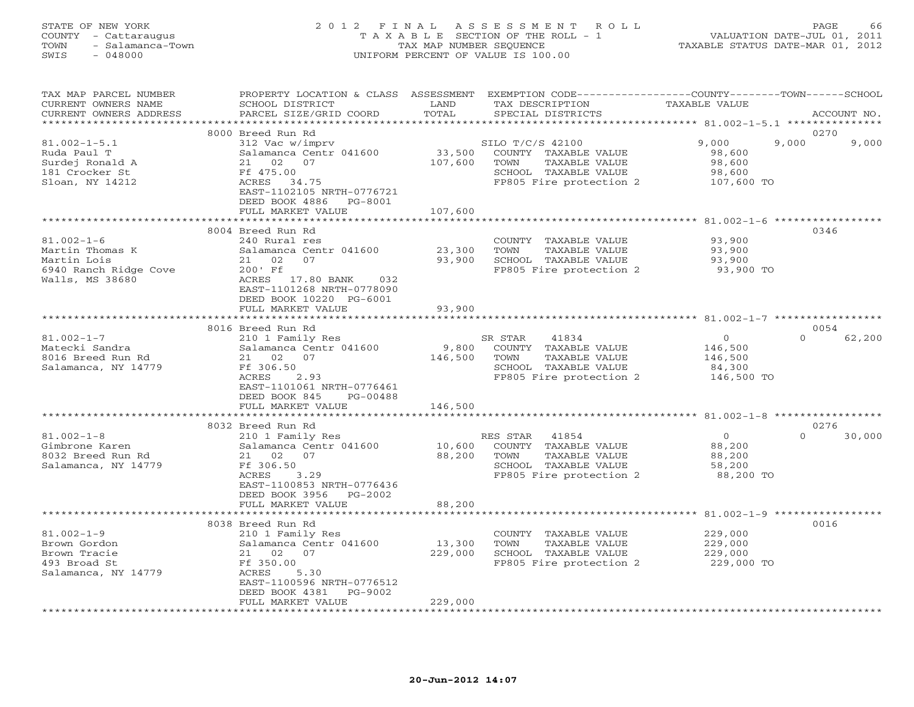#### STATE OF NEW YORK 2 0 1 2 F I N A L A S S E S S M E N T R O L L PAGE 66COUNTY - Cattaraugus T A X A B L E SECTION OF THE ROLL - 1 VALUATION DATE-JUL 01, 2011 TOWN - Salamanca-Town TAX MAP NUMBER SEQUENCE TAXABLE STATUS DATE-MAR 01, 2012<br>SWIS - 048000 - TAXABLE STATUS DATE-MAR 01, 2012 SWIS - 048000 UNIFORM PERCENT OF VALUE IS 100.00

| TAX MAP PARCEL NUMBER<br>CURRENT OWNERS NAME<br>CURRENT OWNERS ADDRESS                         | PROPERTY LOCATION & CLASS ASSESSMENT<br>SCHOOL DISTRICT<br>PARCEL SIZE/GRID COORD                                                                                                           | LAND<br>TOTAL                | EXEMPTION CODE----------------COUNTY-------TOWN------SCHOOL<br>TAX DESCRIPTION<br>SPECIAL DISTRICTS                   | <b>TAXABLE VALUE</b>                                       | ACCOUNT NO.            |
|------------------------------------------------------------------------------------------------|---------------------------------------------------------------------------------------------------------------------------------------------------------------------------------------------|------------------------------|-----------------------------------------------------------------------------------------------------------------------|------------------------------------------------------------|------------------------|
|                                                                                                |                                                                                                                                                                                             |                              |                                                                                                                       | ***************** 81.002-1-5.1 *********                   |                        |
| $81.002 - 1 - 5.1$<br>Ruda Paul T<br>Surdej Ronald A<br>181 Crocker St<br>Sloan, NY 14212      | 8000 Breed Run Rd<br>312 Vac w/imprv<br>Salamanca Centr 041600<br>02<br>07<br>21<br>Ff 475.00<br>ACRES 34.75<br>EAST-1102105 NRTH-0776721<br>DEED BOOK 4886<br>PG-8001                      | 33,500<br>107,600            | SILO T/C/S 42100<br>COUNTY TAXABLE VALUE<br>TOWN<br>TAXABLE VALUE<br>SCHOOL TAXABLE VALUE<br>FP805 Fire protection 2  | 9,000<br>98,600<br>98,600<br>98,600<br>107,600 TO          | 0270<br>9,000<br>9,000 |
|                                                                                                | FULL MARKET VALUE                                                                                                                                                                           | 107,600                      |                                                                                                                       |                                                            |                        |
|                                                                                                | ********************                                                                                                                                                                        | * * * * * * * * * * *        |                                                                                                                       | ************************ 81.002-1-6 ************           |                        |
| $81.002 - 1 - 6$<br>Martin Thomas K<br>Martin Lois<br>6940 Ranch Ridge Cove<br>Walls, MS 38680 | 8004 Breed Run Rd<br>240 Rural res<br>Salamanca Centr 041600<br>02<br>07<br>21<br>200' Ff<br>ACRES 17.80 BANK<br>032<br>EAST-1101268 NRTH-0778090<br>DEED BOOK 10220 PG-6001                | 23,300<br>93,900             | COUNTY TAXABLE VALUE<br>TOWN<br>TAXABLE VALUE<br>SCHOOL TAXABLE VALUE<br>FP805 Fire protection 2                      | 93,900<br>93,900<br>93,900<br>93,900 TO                    | 0346                   |
|                                                                                                | FULL MARKET VALUE                                                                                                                                                                           | 93,900                       |                                                                                                                       |                                                            |                        |
|                                                                                                |                                                                                                                                                                                             |                              |                                                                                                                       |                                                            |                        |
|                                                                                                | 8016 Breed Run Rd                                                                                                                                                                           |                              |                                                                                                                       |                                                            | 0054                   |
| $81.002 - 1 - 7$<br>Matecki Sandra<br>8016 Breed Run Rd<br>Salamanca, NY 14779                 | 210 1 Family Res<br>Salamanca Centr 041600<br>21 02<br>07<br>Ff 306.50<br>ACRES<br>2.93<br>EAST-1101061 NRTH-0776461<br>DEED BOOK 845<br>PG-00488<br>FULL MARKET VALUE                      | 9,800<br>146,500<br>146,500  | SR STAR<br>41834<br>COUNTY TAXABLE VALUE<br>TOWN<br>TAXABLE VALUE<br>SCHOOL TAXABLE VALUE<br>FP805 Fire protection 2  | $\mathbf{0}$<br>146,500<br>146,500<br>84,300<br>146,500 TO | 62,200<br>$\Omega$     |
|                                                                                                |                                                                                                                                                                                             |                              |                                                                                                                       |                                                            |                        |
|                                                                                                | 8032 Breed Run Rd                                                                                                                                                                           |                              |                                                                                                                       |                                                            | 0276                   |
| $81.002 - 1 - 8$<br>Gimbrone Karen<br>8032 Breed Run Rd<br>Salamanca, NY 14779                 | 210 1 Family Res<br>Salamanca Centr 041600<br>21 02<br>07<br>Ff 306.50<br>ACRES<br>3.29<br>EAST-1100853 NRTH-0776436<br>DEED BOOK 3956<br>PG-2002                                           | 10,600<br>88,200             | RES STAR<br>41854<br>COUNTY TAXABLE VALUE<br>TOWN<br>TAXABLE VALUE<br>SCHOOL TAXABLE VALUE<br>FP805 Fire protection 2 | $\circ$<br>88,200<br>88,200<br>58,200<br>88,200 TO         | $\Omega$<br>30,000     |
|                                                                                                | FULL MARKET VALUE                                                                                                                                                                           | 88,200                       |                                                                                                                       |                                                            |                        |
|                                                                                                | ******************                                                                                                                                                                          |                              |                                                                                                                       | ******** 81.002-1-9 ***********                            |                        |
| $81.002 - 1 - 9$<br>Brown Gordon<br>Brown Tracie<br>493 Broad St<br>Salamanca, NY 14779        | 8038 Breed Run Rd<br>210 1 Family Res<br>Salamanca Centr 041600<br>02 07<br>21<br>Ff 350.00<br>ACRES<br>5.30<br>EAST-1100596 NRTH-0776512<br>DEED BOOK 4381<br>PG-9002<br>FULL MARKET VALUE | 13,300<br>229,000<br>229,000 | COUNTY TAXABLE VALUE<br>TOWN<br>TAXABLE VALUE<br>SCHOOL TAXABLE VALUE<br>FP805 Fire protection 2                      | 229,000<br>229,000<br>229,000<br>229,000 TO                | 0016                   |
|                                                                                                |                                                                                                                                                                                             |                              |                                                                                                                       |                                                            |                        |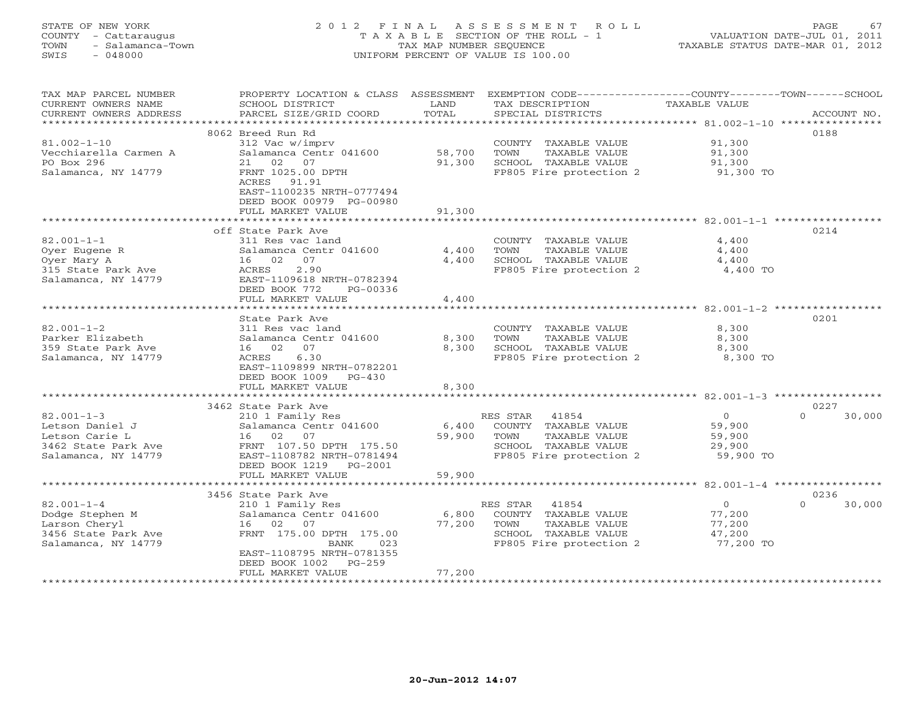#### STATE OF NEW YORK 2 0 1 2 F I N A L A S S E S S M E N T R O L L PAGE 67 COUNTY - Cattaraugus T A X A B L E SECTION OF THE ROLL - 1 VALUATION DATE-JUL 01, 2011 TOWN - Salamanca-Town TAX MAP NUMBER SEQUENCE TAXABLE STATUS DATE-MAR 01, 2012 SWIS - 048000 UNIFORM PERCENT OF VALUE IS 100.00

| TAX MAP PARCEL NUMBER  | PROPERTY LOCATION & CLASS ASSESSMENT |        | EXEMPTION CODE-----------------COUNTY-------TOWN------SCHOOL |                |                    |
|------------------------|--------------------------------------|--------|--------------------------------------------------------------|----------------|--------------------|
| CURRENT OWNERS NAME    | SCHOOL DISTRICT                      | LAND   | TAX DESCRIPTION                                              | TAXABLE VALUE  |                    |
| CURRENT OWNERS ADDRESS | PARCEL SIZE/GRID COORD               | TOTAL  | SPECIAL DISTRICTS                                            |                | ACCOUNT NO.        |
| *******************    |                                      |        |                                                              |                |                    |
|                        | 8062 Breed Run Rd                    |        |                                                              |                | 0188               |
| $81.002 - 1 - 10$      | 312 Vac w/imprv                      |        | COUNTY TAXABLE VALUE                                         | 91,300         |                    |
| Vecchiarella Carmen A  | Salamanca Centr 041600               | 58,700 | TOWN<br>TAXABLE VALUE                                        | 91,300         |                    |
| PO Box 296             | 21 02 07                             | 91,300 | SCHOOL TAXABLE VALUE                                         | 91,300         |                    |
| Salamanca, NY 14779    | FRNT 1025.00 DPTH                    |        | FP805 Fire protection 2                                      | 91,300 TO      |                    |
|                        | ACRES 91.91                          |        |                                                              |                |                    |
|                        | EAST-1100235 NRTH-0777494            |        |                                                              |                |                    |
|                        | DEED BOOK 00979 PG-00980             |        |                                                              |                |                    |
|                        | FULL MARKET VALUE                    | 91,300 |                                                              |                |                    |
|                        |                                      |        |                                                              |                |                    |
|                        | off State Park Ave                   |        |                                                              |                | 0214               |
| $82.001 - 1 - 1$       | 311 Res vac land                     |        | COUNTY TAXABLE VALUE                                         | 4,400          |                    |
| Oyer Eugene R          | Salamanca Centr 041600               | 4,400  | TAXABLE VALUE<br>TOWN                                        | 4,400          |                    |
| Oyer Mary A            | 16 02 07                             | 4,400  | SCHOOL TAXABLE VALUE                                         | 4,400          |                    |
| 315 State Park Ave     | 2.90<br>ACRES                        |        | FP805 Fire protection 2                                      | 4,400 TO       |                    |
| Salamanca, NY 14779    | EAST-1109618 NRTH-0782394            |        |                                                              |                |                    |
|                        | DEED BOOK 772<br>PG-00336            |        |                                                              |                |                    |
|                        | FULL MARKET VALUE                    | 4,400  |                                                              |                |                    |
|                        |                                      |        |                                                              |                |                    |
|                        | State Park Ave                       |        |                                                              |                | 0201               |
| $82.001 - 1 - 2$       | 311 Res vac land                     |        | COUNTY TAXABLE VALUE                                         | 8,300          |                    |
| Parker Elizabeth       | Salamanca Centr 041600               | 8,300  | TOWN<br>TAXABLE VALUE                                        | 8,300          |                    |
| 359 State Park Ave     | 16 02<br>07                          | 8,300  | SCHOOL TAXABLE VALUE                                         | 8,300          |                    |
| Salamanca, NY 14779    | ACRES<br>6.30                        |        | FP805 Fire protection 2                                      | 8,300 TO       |                    |
|                        | EAST-1109899 NRTH-0782201            |        |                                                              |                |                    |
|                        | DEED BOOK 1009<br>$PG-430$           |        |                                                              |                |                    |
|                        | FULL MARKET VALUE                    | 8,300  |                                                              |                |                    |
|                        |                                      |        |                                                              |                |                    |
|                        | 3462 State Park Ave                  |        |                                                              |                | 0227               |
| $82.001 - 1 - 3$       | 210 1 Family Res                     |        | RES STAR 41854                                               | $\overline{0}$ | $\Omega$<br>30,000 |
| Letson Daniel J        | Salamanca Centr 041600               | 6,400  | COUNTY TAXABLE VALUE                                         | 59,900         |                    |
| Letson Carie L         | 16 02 07                             | 59,900 | TOWN<br>TAXABLE VALUE                                        | 59,900         |                    |
| 3462 State Park Ave    | FRNT 107.50 DPTH 175.50              |        | SCHOOL TAXABLE VALUE                                         | 29,900         |                    |
| Salamanca, NY 14779    | EAST-1108782 NRTH-0781494            |        | FP805 Fire protection 2                                      | 59,900 TO      |                    |
|                        | DEED BOOK 1219<br>$PG-2001$          |        |                                                              |                |                    |
|                        | FULL MARKET VALUE                    | 59,900 |                                                              |                |                    |
|                        | *************************            |        |                                                              |                |                    |
|                        | 3456 State Park Ave                  |        |                                                              |                | 0236               |
| $82.001 - 1 - 4$       | 210 1 Family Res                     |        | RES STAR<br>41854                                            | $\overline{0}$ | $\Omega$<br>30,000 |
| Dodge Stephen M        | Salamanca Centr 041600               | 6,800  | COUNTY TAXABLE VALUE                                         | 77,200         |                    |
| Larson Cheryl          | 02<br>07<br>16                       | 77,200 | TAXABLE VALUE<br>TOWN                                        | 77,200         |                    |
| 3456 State Park Ave    | FRNT 175.00 DPTH 175.00              |        | SCHOOL TAXABLE VALUE                                         | 47,200         |                    |
| Salamanca, NY 14779    | BANK<br>023                          |        | FP805 Fire protection 2                                      | 77,200 TO      |                    |
|                        | EAST-1108795 NRTH-0781355            |        |                                                              |                |                    |
|                        | DEED BOOK 1002<br>$PG-259$           |        |                                                              |                |                    |
|                        | FULL MARKET VALUE                    | 77,200 |                                                              |                |                    |
|                        |                                      |        |                                                              |                |                    |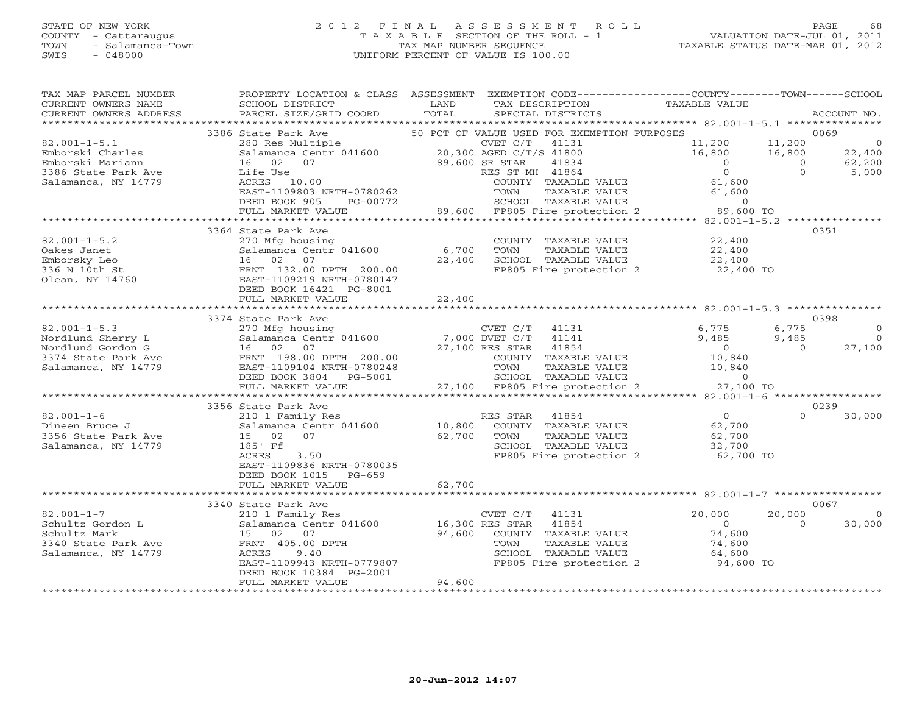#### STATE OF NEW YORK 2 0 1 2 F I N A L A S S E S S M E N T R O L L PAGE 68 COUNTY - Cattaraugus T A X A B L E SECTION OF THE ROLL - 1 VALUATION DATE-JUL 01, 2011 TOWN - Salamanca-Town TAX MAP NUMBER SEQUENCE TAXABLE STATUS DATE-MAR 01, 2012 SWIS - 048000 UNIFORM PERCENT OF VALUE IS 100.00

| TAX MAP PARCEL NUMBER<br>CURRENT OWNERS NAME<br>CURRENT OWNERS ADDRESS | PROPERTY LOCATION & CLASS ASSESSMENT EXEMPTION CODE----------------COUNTY-------TOWN------SCHOOL<br>SCHOOL DISTRICT<br>PARCEL SIZE/GRID COORD | LAND<br>TOTAL | TAX DESCRIPTION            | SPECIAL DISTRICTS                               | TAXABLE VALUE                                          |                      | ACCOUNT NO.          |
|------------------------------------------------------------------------|-----------------------------------------------------------------------------------------------------------------------------------------------|---------------|----------------------------|-------------------------------------------------|--------------------------------------------------------|----------------------|----------------------|
| * * * * * * * * * * * * * * * * * * *                                  |                                                                                                                                               |               |                            |                                                 |                                                        |                      |                      |
|                                                                        | 3386 State Park Ave                                                                                                                           |               |                            | 50 PCT OF VALUE USED FOR EXEMPTION PURPOSES     |                                                        |                      | 0069                 |
| $82.001 - 1 - 5.1$                                                     | 280 Res Multiple                                                                                                                              |               | CVET C/T                   | 41131                                           | 11,200                                                 | 11,200               | $\overline{0}$       |
| Emborski Charles                                                       | Salamanca Centr 041600                                                                                                                        |               | 20,300 AGED C/T/S 41800    |                                                 | 16,800                                                 | 16,800               | 22,400               |
| Emborski Mariann                                                       | 16<br>02<br>07                                                                                                                                |               | 89,600 SR STAR             | 41834                                           | $\Omega$                                               | $\Omega$<br>$\Omega$ | 62,200               |
| 3386 State Park Ave<br>Salamanca, NY 14779                             | Life Use<br>ACRES 10.00                                                                                                                       |               | RES ST MH 41864            | COUNTY TAXABLE VALUE                            | $\overline{0}$<br>61,600                               |                      | 5,000                |
|                                                                        | EAST-1109803 NRTH-0780262                                                                                                                     |               | TOWN                       | TAXABLE VALUE                                   | 61,600                                                 |                      |                      |
|                                                                        | DEED BOOK 905<br>PG-00772                                                                                                                     |               |                            | SCHOOL TAXABLE VALUE                            | $\circ$                                                |                      |                      |
|                                                                        | FULL MARKET VALUE                                                                                                                             |               |                            | 89,600 FP805 Fire protection 2                  | 89,600 TO                                              |                      |                      |
|                                                                        |                                                                                                                                               |               |                            |                                                 | ****** 82.001-1-5.2 *************                      |                      |                      |
|                                                                        | 3364 State Park Ave                                                                                                                           |               |                            |                                                 |                                                        |                      | 0351                 |
| $82.001 - 1 - 5.2$<br>Oakes Janet                                      | 270 Mfg housing<br>Salamanca Centr 041600                                                                                                     | 6,700         | TOWN                       | COUNTY TAXABLE VALUE<br>TAXABLE VALUE           | 22,400                                                 |                      |                      |
| Emborsky Leo                                                           | 16 02 07                                                                                                                                      | 22,400        |                            | SCHOOL TAXABLE VALUE                            | 22,400<br>22,400                                       |                      |                      |
| 336 N 10th St                                                          | FRNT 132.00 DPTH 200.00                                                                                                                       |               |                            | FP805 Fire protection 2                         | 22,400 TO                                              |                      |                      |
| Olean, NY 14760                                                        | EAST-1109219 NRTH-0780147                                                                                                                     |               |                            |                                                 |                                                        |                      |                      |
|                                                                        | DEED BOOK 16421 PG-8001                                                                                                                       |               |                            |                                                 |                                                        |                      |                      |
|                                                                        | FULL MARKET VALUE                                                                                                                             | 22,400        |                            |                                                 |                                                        |                      |                      |
|                                                                        | *********************                                                                                                                         | ***********   |                            |                                                 | ·************************ 82.001-1-5.3 *************** |                      |                      |
|                                                                        | 3374 State Park Ave                                                                                                                           |               |                            |                                                 |                                                        |                      | 0398                 |
| $82.001 - 1 - 5.3$<br>Nordlund Sherry L                                | 270 Mfg housing<br>Salamanca Centr 041600                                                                                                     |               | CVET C/T<br>7,000 DVET C/T | 41131<br>41141                                  | 6,775<br>9,485                                         | 6,775<br>9,485       | $\Omega$<br>$\Omega$ |
| Nordlund Gordon G                                                      | 16 02<br>07                                                                                                                                   |               | 27,100 RES STAR            | 41854                                           | $\overline{O}$                                         | $\Omega$             | 27,100               |
| 3374 State Park Ave                                                    | FRNT 198.00 DPTH 200.00                                                                                                                       |               |                            | COUNTY TAXABLE VALUE                            | 10,840                                                 |                      |                      |
| Salamanca, NY 14779                                                    | EAST-1109104 NRTH-0780248                                                                                                                     |               | TOWN                       | TAXABLE VALUE                                   | 10,840                                                 |                      |                      |
|                                                                        | DEED BOOK 3804<br>PG-5001                                                                                                                     |               |                            | SCHOOL TAXABLE VALUE                            | $\circ$                                                |                      |                      |
|                                                                        | FULL MARKET VALUE<br>******************                                                                                                       |               |                            | 27,100 FP805 Fire protection 2                  | 27,100 TO                                              |                      |                      |
|                                                                        |                                                                                                                                               |               |                            |                                                 | **** 82.001-1-6 ******************                     |                      | 0239                 |
| $82.001 - 1 - 6$                                                       | 3356 State Park Ave<br>210 1 Family Res                                                                                                       |               | RES STAR                   | 41854                                           | $\overline{0}$                                         | $\Omega$             | 30,000               |
| Dineen Bruce J                                                         | Salamanca Centr 041600                                                                                                                        | 10,800        |                            | COUNTY TAXABLE VALUE                            | 62,700                                                 |                      |                      |
| 3356 State Park Ave                                                    | 15<br>02<br>07                                                                                                                                | 62,700        | TOWN                       | TAXABLE VALUE                                   | 62,700                                                 |                      |                      |
| Salamanca, NY 14779                                                    | 185' Ff                                                                                                                                       |               |                            | SCHOOL TAXABLE VALUE                            | 32,700                                                 |                      |                      |
|                                                                        | ACRES<br>3.50                                                                                                                                 |               |                            | FP805 Fire protection 2                         | 62,700 TO                                              |                      |                      |
|                                                                        | EAST-1109836 NRTH-0780035                                                                                                                     |               |                            |                                                 |                                                        |                      |                      |
|                                                                        | DEED BOOK 1015<br>PG-659                                                                                                                      |               |                            |                                                 |                                                        |                      |                      |
|                                                                        | FULL MARKET VALUE<br>*************************                                                                                                | 62,700        |                            |                                                 |                                                        |                      |                      |
|                                                                        | 3340 State Park Ave                                                                                                                           |               |                            |                                                 |                                                        |                      | 0067                 |
| $82.001 - 1 - 7$                                                       | 210 1 Family Res                                                                                                                              |               | CVET C/T                   | 41131                                           | 20,000                                                 | 20,000               | $\Omega$             |
| Schultz Gordon L                                                       | Salamanca Centr 041600                                                                                                                        |               | 16,300 RES STAR            | 41854                                           | $\overline{0}$                                         | $\Omega$             | 30,000               |
| Schultz Mark                                                           | 15 02 07                                                                                                                                      | 94,600        |                            | COUNTY TAXABLE VALUE                            | 74,600                                                 |                      |                      |
| 3340 State Park Ave                                                    | FRNT 405.00 DPTH                                                                                                                              |               | TOWN                       | TAXABLE VALUE                                   | 74,600                                                 |                      |                      |
| Salamanca, NY 14779                                                    | ACRES<br>9.40<br>EAST-1109943 NRTH-0779807                                                                                                    |               |                            | SCHOOL TAXABLE VALUE<br>FP805 Fire protection 2 | 64,600<br>94,600 TO                                    |                      |                      |
|                                                                        | DEED BOOK 10384 PG-2001                                                                                                                       |               |                            |                                                 |                                                        |                      |                      |
|                                                                        | FULL MARKET VALUE                                                                                                                             | 94,600        |                            |                                                 |                                                        |                      |                      |
|                                                                        |                                                                                                                                               |               |                            |                                                 |                                                        |                      |                      |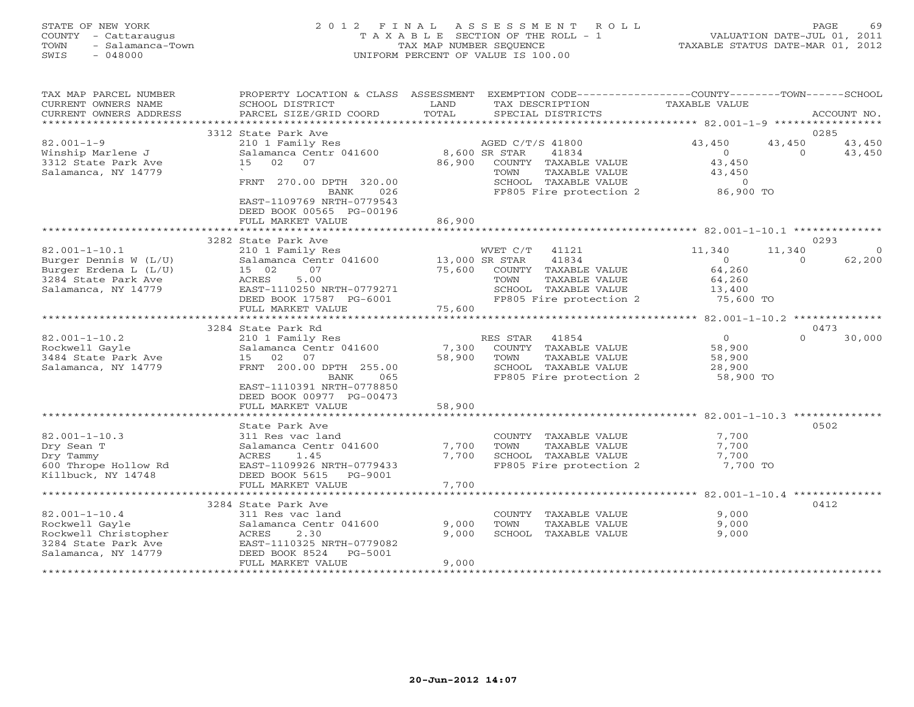#### STATE OF NEW YORK 2 0 1 2 F I N A L A S S E S S M E N T R O L L PAGE 69 COUNTY - Cattaraugus T A X A B L E SECTION OF THE ROLL - 1 VALUATION DATE-JUL 01, 2011 TOWN - Salamanca-Town TAX MAP NUMBER SEQUENCE TAXABLE STATUS DATE-MAR 01, 2012 SWIS - 048000 UNIFORM PERCENT OF VALUE IS 100.00

| TAX MAP PARCEL NUMBER<br>CURRENT OWNERS NAME<br>CURRENT OWNERS ADDRESS                                      | PROPERTY LOCATION & CLASS ASSESSMENT<br>SCHOOL DISTRICT<br>PARCEL SIZE/GRID COORD                                                            | LAND<br>TOTAL   | EXEMPTION CODE----------------COUNTY-------TOWN-----SCHOOL<br>TAX DESCRIPTION<br>SPECIAL DISTRICTS                         | TAXABLE VALUE                                   | ACCOUNT NO.                                    |
|-------------------------------------------------------------------------------------------------------------|----------------------------------------------------------------------------------------------------------------------------------------------|-----------------|----------------------------------------------------------------------------------------------------------------------------|-------------------------------------------------|------------------------------------------------|
|                                                                                                             |                                                                                                                                              |                 |                                                                                                                            |                                                 |                                                |
| $82.001 - 1 - 9$                                                                                            | 3312 State Park Ave<br>210 1 Family Res                                                                                                      |                 | AGED C/T/S 41800                                                                                                           | 43,450<br>$\circ$                               | 0285<br>43,450<br>43,450<br>43,450<br>$\Omega$ |
| Winship Marlene J<br>3312 State Park Ave<br>Salamanca, NY 14779                                             | Salamanca Centr 041600<br>15<br>02<br>07<br>270.00 DPTH 320.00<br>FRNT<br>026<br><b>BANK</b><br>EAST-1109769 NRTH-0779543                    | 86,900          | 8,600 SR STAR<br>41834<br>COUNTY TAXABLE VALUE<br>TOWN<br>TAXABLE VALUE<br>SCHOOL TAXABLE VALUE<br>FP805 Fire protection 2 | 43,450<br>43,450<br>$\overline{0}$<br>86,900 TO |                                                |
|                                                                                                             | DEED BOOK 00565 PG-00196<br>FULL MARKET VALUE                                                                                                | 86,900          |                                                                                                                            |                                                 |                                                |
|                                                                                                             | 3282 State Park Ave                                                                                                                          |                 |                                                                                                                            |                                                 | 0293                                           |
| $82.001 - 1 - 10.1$<br>Burger Dennis W (L/U)                                                                | 210 1 Family Res<br>Salamanca Centr 041600<br>07                                                                                             | 13,000 SR STAR  | WVET C/T<br>41121<br>41834                                                                                                 | 11,340<br>$\Omega$<br>64,260                    | 11,340<br>$\Omega$<br>62,200<br>$\Omega$       |
| Burger Erdena L (L/U)<br>3284 State Park Ave<br>Salamanca, NY 14779                                         | 15 02<br>5.00<br>ACRES<br>EAST-1110250 NRTH-0779271<br>DEED BOOK 17587 PG-6001                                                               | 75,600          | COUNTY TAXABLE VALUE<br>TOWN<br>TAXABLE VALUE<br>SCHOOL TAXABLE VALUE<br>FP805 Fire protection 2                           | 64,260<br>13,400<br>75,600 TO                   |                                                |
|                                                                                                             | FULL MARKET VALUE                                                                                                                            | 75,600          |                                                                                                                            |                                                 |                                                |
|                                                                                                             |                                                                                                                                              |                 |                                                                                                                            |                                                 |                                                |
| $82.001 - 1 - 10.2$                                                                                         | 3284 State Park Rd<br>210 1 Family Res                                                                                                       |                 | RES STAR<br>41854                                                                                                          | $\overline{0}$                                  | 0473<br>$\Omega$<br>30,000                     |
| Rockwell Gayle<br>3484 State Park Ave                                                                       | Salamanca Centr 041600<br>02<br>07<br>15                                                                                                     | 7,300<br>58,900 | COUNTY TAXABLE VALUE<br>TAXABLE VALUE<br>TOWN                                                                              | 58,900<br>58,900                                |                                                |
| Salamanca, NY 14779                                                                                         | FRNT 200.00 DPTH 255.00<br>BANK<br>065<br>EAST-1110391 NRTH-0778850<br>DEED BOOK 00977 PG-00473                                              |                 | SCHOOL TAXABLE VALUE<br>FP805 Fire protection 2                                                                            | 28,900<br>58,900 TO                             |                                                |
|                                                                                                             | FULL MARKET VALUE                                                                                                                            | 58,900          |                                                                                                                            |                                                 |                                                |
|                                                                                                             | State Park Ave                                                                                                                               |                 |                                                                                                                            |                                                 | 0502                                           |
| $82.001 - 1 - 10.3$<br>Dry Sean T<br>Dry Tammy<br>600 Thrope Hollow Rd<br>Killbuck, NY 14748                | 311 Res vac land<br>Salamanca Centr 041600<br>ACRES<br>1.45<br>EAST-1109926 NRTH-0779433<br>DEED BOOK 5615<br>PG-9001                        | 7,700<br>7,700  | COUNTY TAXABLE VALUE<br>TOWN<br>TAXABLE VALUE<br>SCHOOL TAXABLE VALUE<br>FP805 Fire protection 2                           | 7,700<br>7,700<br>7,700<br>7,700 TO             |                                                |
|                                                                                                             | FULL MARKET VALUE                                                                                                                            | 7,700           |                                                                                                                            |                                                 |                                                |
|                                                                                                             |                                                                                                                                              |                 |                                                                                                                            |                                                 |                                                |
| $82.001 - 1 - 10.4$<br>Rockwell Gayle<br>Rockwell Christopher<br>3284 State Park Ave<br>Salamanca, NY 14779 | 3284 State Park Ave<br>311 Res vac land<br>Salamanca Centr 041600<br>ACRES<br>2.30<br>EAST-1110325 NRTH-0779082<br>DEED BOOK 8524<br>PG-5001 | 9,000<br>9,000  | COUNTY TAXABLE VALUE<br>TOWN<br>TAXABLE VALUE<br>SCHOOL TAXABLE VALUE                                                      | 9,000<br>9,000<br>9,000                         | 0412                                           |
|                                                                                                             | FULL MARKET VALUE                                                                                                                            | 9,000           |                                                                                                                            |                                                 |                                                |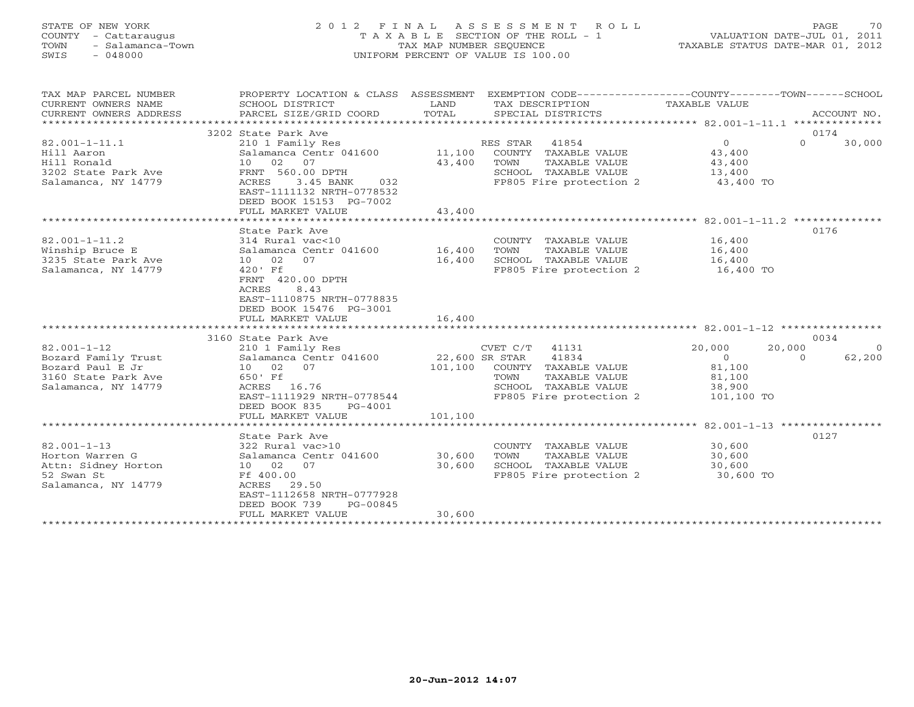#### STATE OF NEW YORK 2 0 1 2 F I N A L A S S E S S M E N T R O L L PAGE 70 COUNTY - Cattaraugus T A X A B L E SECTION OF THE ROLL - 1 VALUATION DATE-JUL 01, 2011 TOWN - Salamanca-Town TAX MAP NUMBER SEQUENCE TAXABLE STATUS DATE-MAR 01, 2012 SWIS - 048000 UNIFORM PERCENT OF VALUE IS 100.00

| TAX MAP PARCEL NUMBER     |                               |         | PROPERTY LOCATION & CLASS ASSESSMENT EXEMPTION CODE----------------COUNTY-------TOWN------SCHOOL |                               |                |
|---------------------------|-------------------------------|---------|--------------------------------------------------------------------------------------------------|-------------------------------|----------------|
| CURRENT OWNERS NAME       | SCHOOL DISTRICT               | LAND    | TAX DESCRIPTION                                                                                  | TAXABLE VALUE                 |                |
| CURRENT OWNERS ADDRESS    | PARCEL SIZE/GRID COORD        | TOTAL   | SPECIAL DISTRICTS                                                                                |                               | ACCOUNT NO.    |
| ************************* |                               |         |                                                                                                  |                               |                |
|                           | 3202 State Park Ave           |         |                                                                                                  |                               | 0174           |
| $82.001 - 1 - 11.1$       | 210 1 Family Res              |         | RES STAR 41854                                                                                   | $0 \qquad \qquad$<br>$\Omega$ | 30,000         |
| Hill Aaron                | Salamanca Centr 041600 11,100 |         | COUNTY TAXABLE VALUE                                                                             | 43,400                        |                |
| Hill Ronald               | 10 02 07                      | 43,400  | TOWN<br>TAXABLE VALUE                                                                            | 43,400                        |                |
| 3202 State Park Ave       | FRNT 560.00 DPTH              |         | SCHOOL TAXABLE VALUE                                                                             | 13,400                        |                |
| Salamanca, NY 14779       | ACRES<br>3.45 BANK<br>032     |         | FP805 Fire protection 2                                                                          | 43,400 TO                     |                |
|                           | EAST-1111132 NRTH-0778532     |         |                                                                                                  |                               |                |
|                           | DEED BOOK 15153 PG-7002       |         |                                                                                                  |                               |                |
|                           | FULL MARKET VALUE             | 43,400  |                                                                                                  |                               |                |
|                           |                               |         |                                                                                                  |                               |                |
|                           |                               |         |                                                                                                  |                               | 0176           |
|                           | State Park Ave                |         |                                                                                                  |                               |                |
| $82.001 - 1 - 11.2$       | 314 Rural vac<10              |         | COUNTY TAXABLE VALUE                                                                             | 16,400                        |                |
| Winship Bruce E           | Salamanca Centr 041600 16,400 |         | TOWN<br>TAXABLE VALUE                                                                            | 16,400                        |                |
| 3235 State Park Ave       | 10 02<br>07                   | 16,400  | SCHOOL TAXABLE VALUE                                                                             | 16,400<br>$16,400$ TO         |                |
| Salamanca, NY 14779       | 420' Ff                       |         | FP805 Fire protection 2                                                                          |                               |                |
|                           | FRNT 420.00 DPTH              |         |                                                                                                  |                               |                |
|                           | 8.43<br>ACRES                 |         |                                                                                                  |                               |                |
|                           | EAST-1110875 NRTH-0778835     |         |                                                                                                  |                               |                |
|                           | DEED BOOK 15476 PG-3001       |         |                                                                                                  |                               |                |
|                           | FULL MARKET VALUE             | 16,400  |                                                                                                  |                               |                |
|                           |                               |         |                                                                                                  |                               |                |
|                           | 3160 State Park Ave           |         |                                                                                                  |                               | 0034           |
| $82.001 - 1 - 12$         | 210 1 Family Res              |         | $CVEI$ $C/I$ $-$<br>22,600 SR STAR $41834$<br>$CCTNIPV$ TAXABLI                                  | 20,000<br>20,000              | $\overline{0}$ |
| Bozard Family Trust       | Salamanca Centr 041600        |         |                                                                                                  | $\overline{0}$<br>$\Omega$    | 62,200         |
| Bozard Paul E Jr          | 10 02 07                      |         | 101,100 COUNTY TAXABLE VALUE                                                                     | 81,100                        |                |
| 3160 State Park Ave       | 650' Ff                       |         | TOWN<br>TAXABLE VALUE                                                                            | 81,100                        |                |
| Salamanca, NY 14779       | ACRES 16.76                   |         | SCHOOL TAXABLE VALUE                                                                             | 38,900                        |                |
|                           | EAST-1111929 NRTH-0778544     |         | FP805 Fire protection 2                                                                          | 101,100 TO                    |                |
|                           | DEED BOOK 835<br>PG-4001      |         |                                                                                                  |                               |                |
|                           | FULL MARKET VALUE             | 101,100 |                                                                                                  |                               |                |
|                           |                               |         |                                                                                                  |                               |                |
|                           | State Park Ave                |         |                                                                                                  |                               | 0127           |
| $82.001 - 1 - 13$         | 322 Rural vac>10              |         | COUNTY TAXABLE VALUE                                                                             | 30,600                        |                |
| Horton Warren G           | Salamanca Centr 041600 30,600 |         | TOWN<br>TAXABLE VALUE                                                                            | 30,600                        |                |
| Attn: Sidney Horton       | 10 02 07                      | 30,600  | SCHOOL TAXABLE VALUE                                                                             | 30,600                        |                |
| 52 Swan St                | Ff 400.00                     |         | FP805 Fire protection 2                                                                          | 30,600 TO                     |                |
|                           |                               |         |                                                                                                  |                               |                |
| Salamanca, NY 14779       | ACRES 29.50                   |         |                                                                                                  |                               |                |
|                           | EAST-1112658 NRTH-0777928     |         |                                                                                                  |                               |                |
|                           | DEED BOOK 739<br>PG-00845     |         |                                                                                                  |                               |                |
|                           | FULL MARKET VALUE             | 30,600  |                                                                                                  |                               |                |
|                           |                               |         |                                                                                                  |                               |                |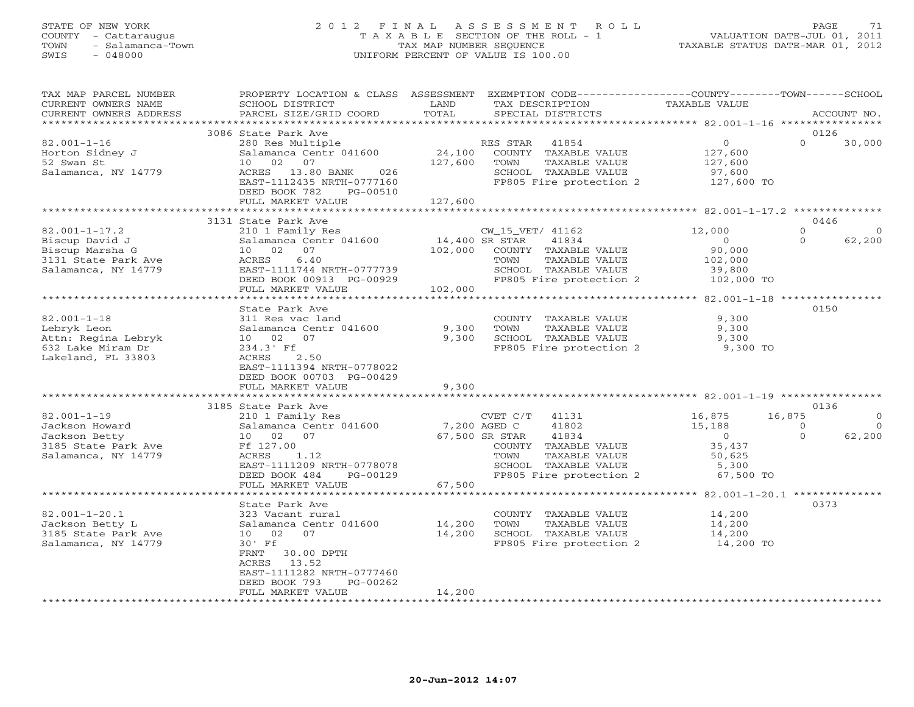## STATE OF NEW YORK 2 0 1 2 F I N A L A S S E S S M E N T R O L L PAGE 71 COUNTY - Cattaraugus T A X A B L E SECTION OF THE ROLL - 1 VALUATION DATE-JUL 01, 2011 TOWN - Salamanca-Town TAX MAP NUMBER SEQUENCE TAXABLE STATUS DATE-MAR 01, 2012 SWIS - 048000 UNIFORM PERCENT OF VALUE IS 100.00

| TAX MAP PARCEL NUMBER<br>CURRENT OWNERS NAME<br>CURRENT OWNERS ADDRESS                                 | PROPERTY LOCATION & CLASS ASSESSMENT EXEMPTION CODE---------------COUNTY-------TOWN-----SCHOOL<br>SCHOOL DISTRICT<br>PARCEL SIZE/GRID COORD                                                               | LAND<br>TOTAL                | TAX DESCRIPTION<br>SPECIAL DISTRICTS                                                                                                                   | <b>TAXABLE VALUE</b>                                                   | ACCOUNT NO.                                                                          |
|--------------------------------------------------------------------------------------------------------|-----------------------------------------------------------------------------------------------------------------------------------------------------------------------------------------------------------|------------------------------|--------------------------------------------------------------------------------------------------------------------------------------------------------|------------------------------------------------------------------------|--------------------------------------------------------------------------------------|
| *******************                                                                                    |                                                                                                                                                                                                           |                              |                                                                                                                                                        |                                                                        |                                                                                      |
| $82.001 - 1 - 16$<br>Horton Sidney J<br>52 Swan St<br>Salamanca, NY 14779                              | 3086 State Park Ave<br>280 Res Multiple<br>Salamanca Centr 041600<br>10 02 07<br>ACRES 13.80 BANK<br>026<br>EAST-1112435 NRTH-0777160<br>DEED BOOK 782<br>PG-00510<br>FULL MARKET VALUE                   | 24,100<br>127,600<br>127,600 | RES STAR<br>41854<br>COUNTY TAXABLE VALUE<br>TOWN<br>TAXABLE VALUE<br>SCHOOL TAXABLE VALUE<br>FP805 Fire protection 2                                  | $\overline{0}$<br>127,600<br>127,600<br>97,600<br>127,600 TO           | 0126<br>$\Omega$<br>30,000                                                           |
|                                                                                                        |                                                                                                                                                                                                           |                              |                                                                                                                                                        |                                                                        |                                                                                      |
| $82.001 - 1 - 17.2$<br>Biscup David J<br>Biscup Marsha G<br>3131 State Park Ave<br>Salamanca, NY 14779 | 3131 State Park Ave<br>210 1 Family Res<br>Salamanca Centr 041600<br>10 02 07<br>6.40<br>ACRES<br>EAST-1111744 NRTH-0777739<br>DEED BOOK 00913 PG-00929<br>FULL MARKET VALUE                              | 14,400 SR STAR<br>102,000    | CW_15_VET/ 41162<br>41834<br>102,000 COUNTY TAXABLE VALUE<br>TOWN<br>TAXABLE VALUE<br>SCHOOL TAXABLE VALUE<br>FP805 Fire protection 2                  | 12,000<br>$\overline{0}$<br>90,000<br>102,000<br>39,800<br>102,000 TO  | 0446<br>$\Omega$<br>$\circ$<br>62,200<br>$\Omega$                                    |
|                                                                                                        | **********************************                                                                                                                                                                        |                              | ********************************                                                                                                                       | *********** 82.001-1-18 *****************                              |                                                                                      |
| $82.001 - 1 - 18$<br>Lebryk Leon<br>Attn: Regina Lebryk<br>632 Lake Miram Dr<br>Lakeland, FL 33803     | State Park Ave<br>311 Res vac land<br>Salamanca Centr 041600<br>10  02  07<br>$234.3'$ Ff<br>ACRES<br>2.50<br>EAST-1111394 NRTH-0778022<br>DEED BOOK 00703 PG-00429<br>FULL MARKET VALUE                  | 9,300<br>9,300<br>9,300      | COUNTY TAXABLE VALUE<br>TAXABLE VALUE<br>TOWN<br>SCHOOL TAXABLE VALUE<br>FP805 Fire protection 2                                                       | 9,300<br>9,300<br>9,300<br>9,300 TO                                    | 0150                                                                                 |
|                                                                                                        |                                                                                                                                                                                                           |                              |                                                                                                                                                        |                                                                        |                                                                                      |
| $82.001 - 1 - 19$<br>Jackson Howard<br>Jackson Betty<br>3185 State Park Ave<br>Salamanca, NY 14779     | 3185 State Park Ave<br>210 1 Family Res<br>Salamanca Centr 041600<br>10 02 07<br>Ff 127.00<br>ACRES<br>1.12<br>EAST-1111209 NRTH-0778078<br>DEED BOOK 484<br>PG-00129<br>FULL MARKET VALUE                | 7,200 AGED C<br>67,500       | CVET C/T 41131<br>41802<br>67,500 SR STAR<br>41834<br>COUNTY TAXABLE VALUE<br>TAXABLE VALUE<br>TOWN<br>SCHOOL TAXABLE VALUE<br>FP805 Fire protection 2 | 16,875<br>15,188<br>$\sim$ 0<br>35,437<br>50,625<br>5,300<br>67,500 TO | 0136<br>16,875<br>$\overline{0}$<br>$\Omega$<br>$\overline{0}$<br>$\Omega$<br>62,200 |
|                                                                                                        |                                                                                                                                                                                                           |                              |                                                                                                                                                        |                                                                        |                                                                                      |
| $82.001 - 1 - 20.1$<br>Jackson Betty L<br>3185 State Park Ave<br>Salamanca, NY 14779                   | State Park Ave<br>323 Vacant rural<br>Salamanca Centr 041600<br>10 02 07<br>30' Ff<br>FRNT<br>30.00 DPTH<br>13.52<br>ACRES<br>EAST-1111282 NRTH-0777460<br>DEED BOOK 793<br>PG-00262<br>FULL MARKET VALUE | 14,200<br>14,200<br>14,200   | COUNTY TAXABLE VALUE<br>TOWN<br>TAXABLE VALUE<br>SCHOOL TAXABLE VALUE<br>FP805 Fire protection 2 14,200 TO                                             | 14,200<br>14,200<br>14,200                                             | 0373                                                                                 |
|                                                                                                        |                                                                                                                                                                                                           |                              |                                                                                                                                                        |                                                                        |                                                                                      |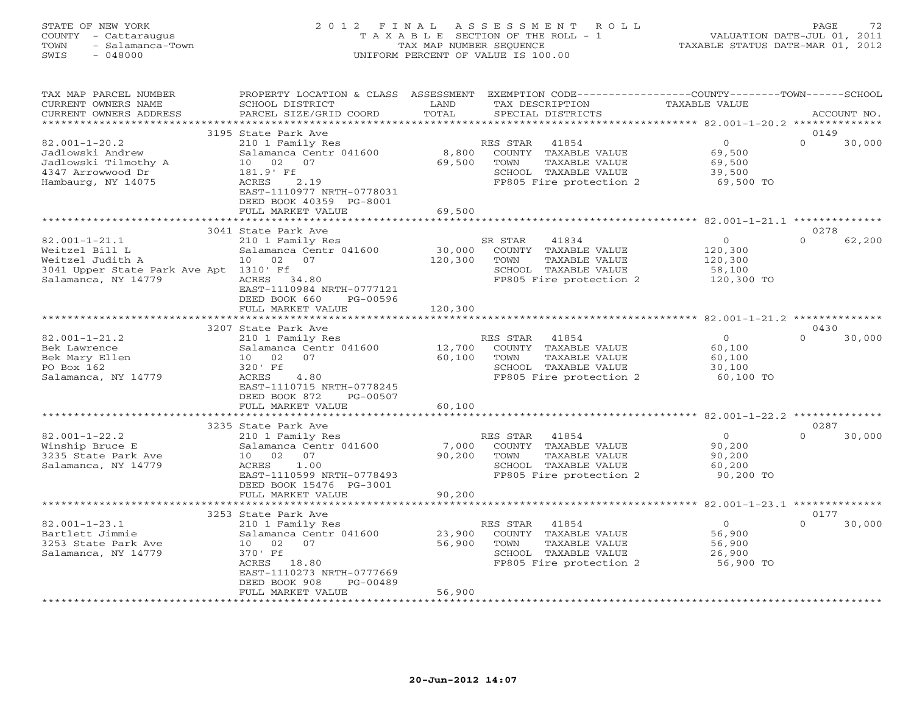# STATE OF NEW YORK 2 0 1 2 F I N A L A S S E S S M E N T R O L L PAGE 72 COUNTY - Cattaraugus T A X A B L E SECTION OF THE ROLL - 1 VALUATION DATE-JUL 01, 2011 TOWN - Salamanca-Town TAX MAP NUMBER SEQUENCE TAXABLE STATUS DATE-MAR 01, 2012 SWIS - 048000 UNIFORM PERCENT OF VALUE IS 100.00

| TAX MAP PARCEL NUMBER<br>CURRENT OWNERS NAME<br>CURRENT OWNERS ADDRESS                                                     | PROPERTY LOCATION & CLASS ASSESSMENT<br>SCHOOL DISTRICT<br>PARCEL SIZE/GRID COORD                                                                                                           | LAND<br>TOTAL                | EXEMPTION CODE-----------------COUNTY-------TOWN------SCHOOL<br>TAX DESCRIPTION<br>SPECIAL DISTRICTS                         | TAXABLE VALUE                                             | ACCOUNT NO.                |
|----------------------------------------------------------------------------------------------------------------------------|---------------------------------------------------------------------------------------------------------------------------------------------------------------------------------------------|------------------------------|------------------------------------------------------------------------------------------------------------------------------|-----------------------------------------------------------|----------------------------|
| *********************                                                                                                      |                                                                                                                                                                                             |                              |                                                                                                                              |                                                           |                            |
| $82.001 - 1 - 20.2$<br>Jadlowski Andrew<br>Jadlowski Tilmothy A<br>4347 Arrowwood Dr<br>Hambaurg, NY 14075                 | 3195 State Park Ave<br>210 1 Family Res<br>Salamanca Centr 041600<br>10 02<br>07<br>181.9' Ff<br>2.19<br>ACRES<br>EAST-1110977 NRTH-0778031<br>DEED BOOK 40359 PG-8001<br>FULL MARKET VALUE | 8,800<br>69,500<br>69,500    | RES STAR<br>41854<br>COUNTY<br>TAXABLE VALUE<br>TOWN<br>TAXABLE VALUE<br>SCHOOL TAXABLE VALUE<br>FP805 Fire protection 2     | $\overline{0}$<br>69,500<br>69,500<br>39,500<br>69,500 TO | 0149<br>$\Omega$<br>30,000 |
| $82.001 - 1 - 21.1$ ******<br>0278<br>3041 State Park Ave                                                                  |                                                                                                                                                                                             |                              |                                                                                                                              |                                                           |                            |
| $82.001 - 1 - 21.1$<br>Weitzel Bill L<br>Weitzel Judith A<br>3041 Upper State Park Ave Apt 1310' Ff<br>Salamanca, NY 14779 | 210 1 Family Res<br>Salamanca Centr 041600<br>07<br>10 02<br>34.80<br>ACRES<br>EAST-1110984 NRTH-0777121<br>DEED BOOK 660<br>PG-00596<br>FULL MARKET VALUE                                  | 30,000<br>120,300<br>120,300 | SR STAR<br>41834<br>COUNTY TAXABLE VALUE<br>TOWN<br>TAXABLE VALUE<br>SCHOOL TAXABLE VALUE<br>FP805 Fire protection 2         | $\circ$<br>120,300<br>120,300<br>58,100<br>120,300 TO     | $\Omega$<br>62,200         |
| ** 82.001-1-21.2 ******                                                                                                    |                                                                                                                                                                                             |                              |                                                                                                                              |                                                           |                            |
|                                                                                                                            | 3207 State Park Ave                                                                                                                                                                         |                              |                                                                                                                              |                                                           | 0430                       |
| $82.001 - 1 - 21.2$<br>Bek Lawrence<br>Bek Mary Ellen<br>PO Box 162<br>Salamanca, NY 14779                                 | 210 1 Family Res<br>Salamanca Centr 041600<br>02<br>07<br>10<br>320' Ff<br>4.80<br>ACRES<br>EAST-1110715 NRTH-0778245<br>DEED BOOK 872<br>PG-00507<br>FULL MARKET VALUE                     | 12,700<br>60,100<br>60,100   | 41854<br>RES STAR<br>COUNTY TAXABLE VALUE<br>TOWN<br>TAXABLE VALUE<br>SCHOOL TAXABLE VALUE<br>FP805 Fire protection 2        | $\circ$<br>60,100<br>60,100<br>30,100<br>60,100 TO        | $\Omega$<br>30,000         |
|                                                                                                                            |                                                                                                                                                                                             |                              |                                                                                                                              |                                                           |                            |
|                                                                                                                            | 3235 State Park Ave                                                                                                                                                                         |                              |                                                                                                                              |                                                           | 0287                       |
| $82.001 - 1 - 22.2$<br>Winship Bruce E<br>3235 State Park Ave<br>Salamanca, NY 14779                                       | 210 1 Family Res<br>Salamanca Centr 041600<br>07<br>10<br>02<br>ACRES<br>1.00<br>EAST-1110599 NRTH-0778493<br>DEED BOOK 15476 PG-3001                                                       | 7,000<br>90,200              | 41854<br>RES STAR<br>COUNTY TAXABLE VALUE<br>TAXABLE VALUE<br>TOWN<br>SCHOOL TAXABLE VALUE<br>FP805 Fire protection 2        | $\circ$<br>90,200<br>90,200<br>60,200<br>90,200 TO        | $\Omega$<br>30,000         |
|                                                                                                                            | FULL MARKET VALUE                                                                                                                                                                           | 90,200                       |                                                                                                                              |                                                           |                            |
| ********** 82.001-1-23.1 **************                                                                                    |                                                                                                                                                                                             |                              |                                                                                                                              |                                                           |                            |
|                                                                                                                            | 3253 State Park Ave                                                                                                                                                                         |                              |                                                                                                                              |                                                           | 0177                       |
| $82.001 - 1 - 23.1$<br>Bartlett Jimmie<br>3253 State Park Ave<br>Salamanca, NY 14779                                       | 210 1 Family Res<br>Salamanca Centr 041600<br>02<br>07<br>10<br>370' Ff<br>ACRES<br>18.80<br>EAST-1110273 NRTH-0777669                                                                      | 23,900<br>56,900             | 41854<br>RES STAR<br>COUNTY TAXABLE VALUE<br>TOWN<br><b>TAXABLE VALUE</b><br>SCHOOL TAXABLE VALUE<br>FP805 Fire protection 2 | $\Omega$<br>56,900<br>56,900<br>26,900<br>56,900 TO       | $\Omega$<br>30,000         |
|                                                                                                                            | DEED BOOK 908<br>$PG-00489$<br>FULL MARKET VALUE<br>************************                                                                                                                | 56,900                       |                                                                                                                              |                                                           |                            |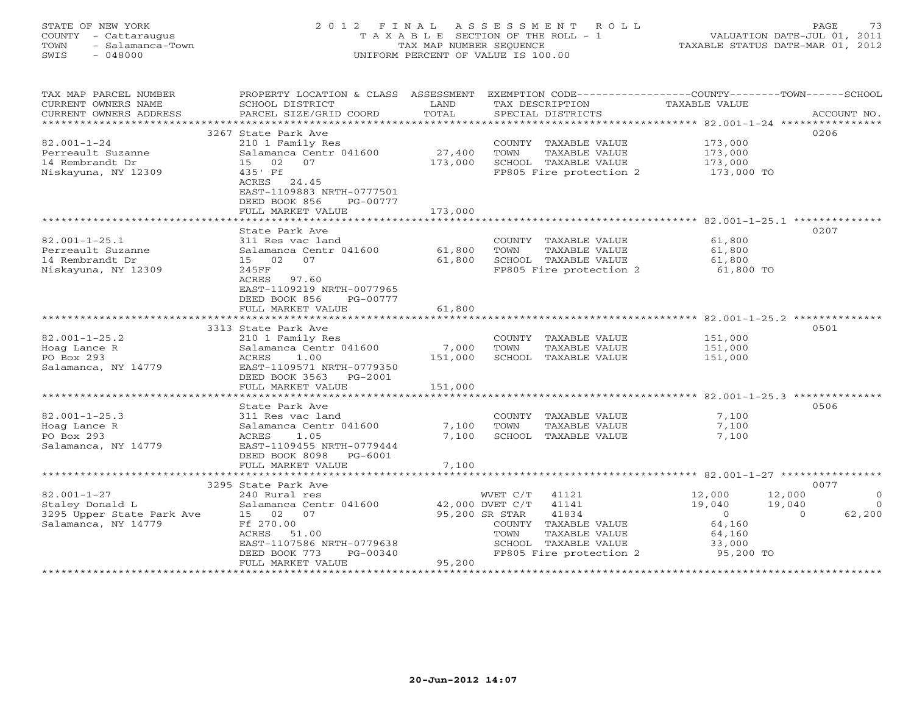## STATE OF NEW YORK 2 0 1 2 F I N A L A S S E S S M E N T R O L L PAGE 73 COUNTY - Cattaraugus T A X A B L E SECTION OF THE ROLL - 1 VALUATION DATE-JUL 01, 2011 TOWN - Salamanca-Town TAX MAP NUMBER SEQUENCE TAXABLE STATUS DATE-MAR 01, 2012 SWIS - 048000 UNIFORM PERCENT OF VALUE IS 100.00

| TAX MAP PARCEL NUMBER<br>CURRENT OWNERS NAME<br>CURRENT OWNERS ADDRESS | PROPERTY LOCATION & CLASS ASSESSMENT<br>SCHOOL DISTRICT<br>PARCEL SIZE/GRID COORD | LAND<br>TOTAL      | TAX DESCRIPTION<br>SPECIAL DISTRICTS | EXEMPTION CODE----------------COUNTY-------TOWN------SCHOOL<br>TAXABLE VALUE | ACCOUNT NO. |
|------------------------------------------------------------------------|-----------------------------------------------------------------------------------|--------------------|--------------------------------------|------------------------------------------------------------------------------|-------------|
|                                                                        |                                                                                   |                    |                                      |                                                                              |             |
|                                                                        | 3267 State Park Ave                                                               |                    |                                      |                                                                              | 0206        |
| $82.001 - 1 - 24$                                                      | 210 1 Family Res                                                                  |                    | COUNTY TAXABLE VALUE                 | 173,000                                                                      |             |
| Perreault Suzanne                                                      | Salamanca Centr 041600                                                            | 27,400             | TOWN<br>TAXABLE VALUE                | 173,000                                                                      |             |
| 14 Rembrandt Dr                                                        | 07<br>15<br>02                                                                    | 173,000            | SCHOOL TAXABLE VALUE                 | 173,000                                                                      |             |
| Niskayuna, NY 12309                                                    | 435' Ff                                                                           |                    | FP805 Fire protection 2              | 173,000 TO                                                                   |             |
|                                                                        | ACRES 24.45                                                                       |                    |                                      |                                                                              |             |
|                                                                        | EAST-1109883 NRTH-0777501                                                         |                    |                                      |                                                                              |             |
|                                                                        | DEED BOOK 856<br>PG-00777                                                         |                    |                                      |                                                                              |             |
|                                                                        | FULL MARKET VALUE                                                                 | 173,000            |                                      |                                                                              |             |
|                                                                        |                                                                                   |                    |                                      |                                                                              |             |
|                                                                        | State Park Ave                                                                    |                    |                                      |                                                                              | 0207        |
| $82.001 - 1 - 25.1$                                                    | 311 Res vac land                                                                  |                    | COUNTY TAXABLE VALUE                 | 61,800                                                                       |             |
| Perreault Suzanne                                                      | Salamanca Centr 041600                                                            | 61,800             | TAXABLE VALUE<br>TOWN                | 61,800                                                                       |             |
| 14 Rembrandt Dr                                                        | 15 02<br>07                                                                       | 61,800             | SCHOOL TAXABLE VALUE                 | 61,800                                                                       |             |
| Niskayuna, NY 12309                                                    | 245FF                                                                             |                    | FP805 Fire protection 2              | 61,800 TO                                                                    |             |
|                                                                        | ACRES<br>97.60                                                                    |                    |                                      |                                                                              |             |
|                                                                        | EAST-1109219 NRTH-0077965                                                         |                    |                                      |                                                                              |             |
|                                                                        | DEED BOOK 856<br>PG-00777                                                         |                    |                                      |                                                                              |             |
|                                                                        | FULL MARKET VALUE                                                                 | 61,800             |                                      |                                                                              |             |
|                                                                        |                                                                                   |                    |                                      |                                                                              |             |
|                                                                        | 3313 State Park Ave                                                               |                    |                                      |                                                                              | 0501        |
| $82.001 - 1 - 25.2$                                                    | 210 1 Family Res                                                                  |                    | COUNTY<br>TAXABLE VALUE              | 151,000                                                                      |             |
| Hoag Lance R                                                           | Salamanca Centr 041600                                                            | 7,000              | <b>TOWN</b><br>TAXABLE VALUE         | 151,000                                                                      |             |
| PO Box 293                                                             | <b>ACRES</b><br>1.00                                                              | 151,000            | SCHOOL TAXABLE VALUE                 | 151,000                                                                      |             |
| Salamanca, NY 14779                                                    | EAST-1109571 NRTH-0779350                                                         |                    |                                      |                                                                              |             |
|                                                                        | DEED BOOK 3563<br>PG-2001                                                         |                    |                                      |                                                                              |             |
|                                                                        | FULL MARKET VALUE<br>******************                                           | 151,000<br>******* |                                      |                                                                              |             |
|                                                                        |                                                                                   |                    |                                      | ********** 82.001-1-25.3 **********                                          |             |
|                                                                        | State Park Ave                                                                    |                    |                                      |                                                                              | 0506        |
| $82.001 - 1 - 25.3$                                                    | 311 Res vac land                                                                  |                    | COUNTY TAXABLE VALUE                 | 7,100                                                                        |             |
| Hoag Lance R                                                           | Salamanca Centr 041600                                                            | 7,100              | TOWN<br>TAXABLE VALUE                | 7,100                                                                        |             |
| PO Box 293                                                             | ACRES<br>1.05                                                                     | 7,100              | SCHOOL TAXABLE VALUE                 | 7,100                                                                        |             |
| Salamanca, NY 14779                                                    | EAST-1109455 NRTH-0779444                                                         |                    |                                      |                                                                              |             |
|                                                                        | DEED BOOK 8098<br>PG-6001                                                         |                    |                                      |                                                                              |             |
|                                                                        | FULL MARKET VALUE                                                                 | 7,100              |                                      |                                                                              |             |
|                                                                        | 3295 State Park Ave                                                               |                    |                                      |                                                                              | 0077        |
| $82.001 - 1 - 27$                                                      | 240 Rural res                                                                     |                    | 41121<br>WVET C/T                    | 12,000<br>12,000                                                             | $\Omega$    |
| Staley Donald L                                                        | Salamanca Centr 041600                                                            |                    | 42,000 DVET C/T<br>41141             | 19,040<br>19,040                                                             | $\Omega$    |
| 3295 Upper State Park Ave                                              | 15 02 07                                                                          |                    | 95,200 SR STAR<br>41834              | $\Omega$<br>$\Omega$                                                         | 62,200      |
| Salamanca, NY 14779                                                    | Ff 270.00                                                                         |                    | COUNTY TAXABLE VALUE                 | 64,160                                                                       |             |
|                                                                        | ACRES<br>51.00                                                                    |                    | TOWN<br>TAXABLE VALUE                | 64,160                                                                       |             |
|                                                                        | EAST-1107586 NRTH-0779638                                                         |                    | SCHOOL TAXABLE VALUE                 | 33,000                                                                       |             |
|                                                                        | DEED BOOK 773<br>PG-00340                                                         |                    | FP805 Fire protection 2              | 95,200 TO                                                                    |             |
|                                                                        | FULL MARKET VALUE                                                                 | 95,200             |                                      |                                                                              |             |
|                                                                        |                                                                                   |                    |                                      |                                                                              |             |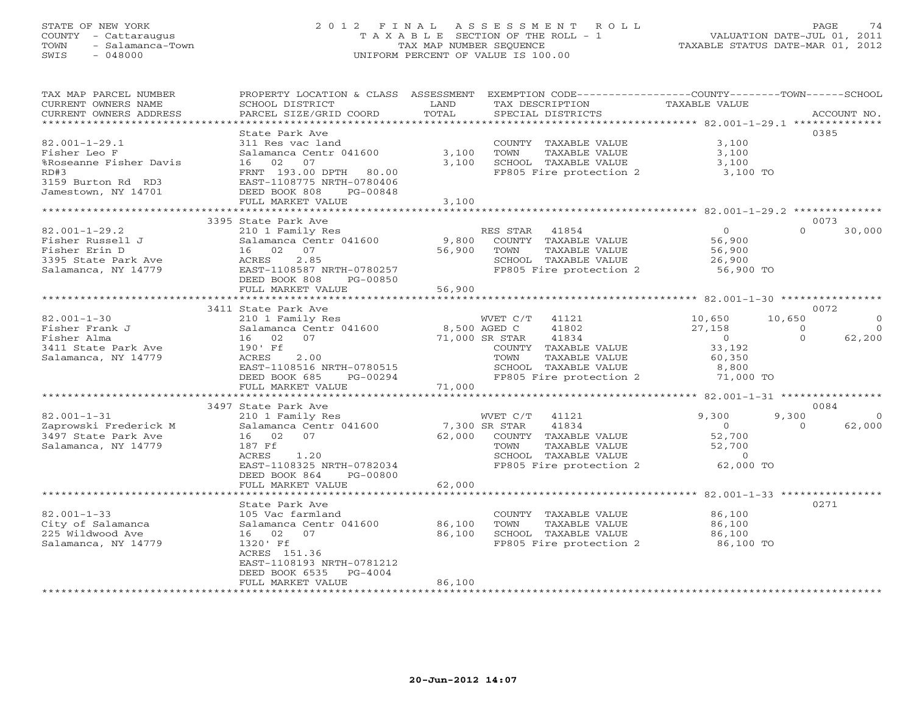## STATE OF NEW YORK 2 0 1 2 F I N A L A S S E S S M E N T R O L L PAGE 74 COUNTY - Cattaraugus T A X A B L E SECTION OF THE ROLL - 1 VALUATION DATE-JUL 01, 2011 TOWN - Salamanca-Town TAX MAP NUMBER SEQUENCE TAXABLE STATUS DATE-MAR 01, 2012 SWIS - 048000 UNIFORM PERCENT OF VALUE IS 100.00

| TAX MAP PARCEL NUMBER<br>CURRENT OWNERS NAME         | PROPERTY LOCATION & CLASS ASSESSMENT EXEMPTION CODE---------------COUNTY-------TOWN------SCHOOL<br>SCHOOL DISTRICT | LAND             | TAX DESCRIPTION                               | TAXABLE VALUE                                       |                        |
|------------------------------------------------------|--------------------------------------------------------------------------------------------------------------------|------------------|-----------------------------------------------|-----------------------------------------------------|------------------------|
| CURRENT OWNERS ADDRESS<br>************************** | PARCEL SIZE/GRID COORD                                                                                             | TOTAL            | SPECIAL DISTRICTS                             |                                                     | ACCOUNT NO.            |
|                                                      | State Park Ave                                                                                                     |                  |                                               |                                                     | 0385                   |
| $82.001 - 1 - 29.1$                                  | 311 Res vac land                                                                                                   |                  | COUNTY TAXABLE VALUE                          | 3,100                                               |                        |
| Fisher Leo F                                         | Salamanca Centr 041600                                                                                             | 3,100            | TOWN<br>TAXABLE VALUE                         | 3,100                                               |                        |
| %Roseanne Fisher Davis                               | 16 02<br>07                                                                                                        | 3,100            | SCHOOL TAXABLE VALUE                          | 3,100                                               |                        |
| RD#3                                                 | FRNT 193.00 DPTH 80.00                                                                                             |                  | FP805 Fire protection 2                       | 3,100 TO                                            |                        |
| 3159 Burton Rd RD3                                   | EAST-1108775 NRTH-0780406                                                                                          |                  |                                               |                                                     |                        |
| Jamestown, NY 14701                                  | DEED BOOK 808<br>PG-00848                                                                                          |                  |                                               |                                                     |                        |
|                                                      | FULL MARKET VALUE                                                                                                  | 3,100            |                                               |                                                     |                        |
|                                                      |                                                                                                                    |                  |                                               |                                                     |                        |
|                                                      | 3395 State Park Ave                                                                                                |                  |                                               |                                                     | 0073                   |
| $82.001 - 1 - 29.2$                                  | 210 1 Family Res                                                                                                   |                  | RES STAR 41854                                | $\overline{O}$                                      | $\Omega$<br>30,000     |
| Fisher Russell J                                     | Salamanca Centr 041600                                                                                             | 9,800            | COUNTY TAXABLE VALUE                          | 56,900                                              |                        |
| Fisher Erin D                                        | 16 02 07                                                                                                           | 56,900           | TOWN<br>TAXABLE VALUE                         | 56,900                                              |                        |
| 3395 State Park Ave                                  | 2.85<br>ACRES                                                                                                      |                  | SCHOOL TAXABLE VALUE                          | 26,900                                              |                        |
| Salamanca, NY 14779                                  | EAST-1108587 NRTH-0780257                                                                                          |                  | FP805 Fire protection 2 56,900 TO             |                                                     |                        |
|                                                      | DEED BOOK 808<br>PG-00850                                                                                          |                  |                                               |                                                     |                        |
|                                                      | FULL MARKET VALUE                                                                                                  | 56,900           |                                               |                                                     |                        |
|                                                      | ***********************                                                                                            | ************     |                                               | ********************** 82.001-1-30 **************** |                        |
|                                                      | 3411 State Park Ave                                                                                                |                  |                                               |                                                     | 0072                   |
| $82.001 - 1 - 30$                                    | 210 1 Family Res                                                                                                   |                  | WVET C/T 41121                                | 10,650                                              | 10,650<br>$\circ$      |
| Fisher Frank J                                       | Salamanca Centr 041600                                                                                             |                  | 8,500 AGED C<br>41802                         | 27,158                                              | $\Omega$<br>$\bigcirc$ |
| Fisher Alma                                          | 16 02<br>07                                                                                                        |                  | 71,000 SR STAR<br>41834                       | $\overline{0}$<br>33,192                            | $\Omega$<br>62,200     |
| 3411 State Park Ave                                  | 190' Ff<br>ACRES<br>2.00                                                                                           |                  | COUNTY TAXABLE VALUE<br>TOWN<br>TAXABLE VALUE | 60,350                                              |                        |
| Salamanca, NY 14779                                  | EAST-1108516 NRTH-0780515                                                                                          |                  | SCHOOL TAXABLE VALUE                          |                                                     |                        |
|                                                      | DEED BOOK 685<br>PG-00294                                                                                          |                  | FP805 Fire protection 2                       | 8,800<br>71,000 TO                                  |                        |
|                                                      | FULL MARKET VALUE                                                                                                  | 71,000           |                                               |                                                     |                        |
|                                                      |                                                                                                                    |                  |                                               |                                                     |                        |
|                                                      | 3497 State Park Ave                                                                                                |                  |                                               |                                                     | 0084                   |
| $82.001 - 1 - 31$                                    | 210 1 Family Res                                                                                                   |                  | WVET C/T 41121                                | 9,300                                               | 9,300<br>$\Omega$      |
| Zaprowski Frederick M                                | Salamanca Centr 041600                                                                                             | 7,300 SR STAR    | 41834                                         | $\overline{0}$                                      | 62,000<br>$\Omega$     |
| 3497 State Park Ave                                  | 07<br>16 02                                                                                                        |                  | 62,000 COUNTY TAXABLE VALUE                   | 52,700                                              |                        |
| Salamanca, NY 14779                                  | 187 Ff                                                                                                             |                  | TAXABLE VALUE<br>TOWN                         | 52,700                                              |                        |
|                                                      | ACRES<br>1.20                                                                                                      |                  | SCHOOL TAXABLE VALUE                          | $\sim$ 0                                            |                        |
|                                                      | EAST-1108325 NRTH-0782034                                                                                          |                  | FP805 Fire protection 2                       | 62,000 TO                                           |                        |
|                                                      | DEED BOOK 864<br>PG-00800                                                                                          |                  |                                               |                                                     |                        |
|                                                      | FULL MARKET VALUE                                                                                                  | 62,000           |                                               |                                                     |                        |
|                                                      | **************************                                                                                         |                  |                                               |                                                     |                        |
|                                                      | State Park Ave                                                                                                     |                  |                                               |                                                     | 0271                   |
| $82.001 - 1 - 33$                                    | 105 Vac farmland                                                                                                   |                  | COUNTY TAXABLE VALUE                          | 86,100                                              |                        |
| City of Salamanca<br>225 Wildwood Ave                | Salamanca Centr 041600<br>16 02 07                                                                                 | 86,100<br>86,100 | TOWN<br>TAXABLE VALUE<br>SCHOOL TAXABLE VALUE | 86,100<br>86,100                                    |                        |
| Salamanca, NY 14779                                  | 1320' Ff                                                                                                           |                  | FP805 Fire protection 2 86,100 TO             |                                                     |                        |
|                                                      | ACRES 151.36                                                                                                       |                  |                                               |                                                     |                        |
|                                                      | EAST-1108193 NRTH-0781212                                                                                          |                  |                                               |                                                     |                        |
|                                                      | DEED BOOK 6535<br>PG-4004                                                                                          |                  |                                               |                                                     |                        |
|                                                      | FULL MARKET VALUE                                                                                                  | 86,100           |                                               |                                                     |                        |
|                                                      |                                                                                                                    |                  | ****************************                  |                                                     |                        |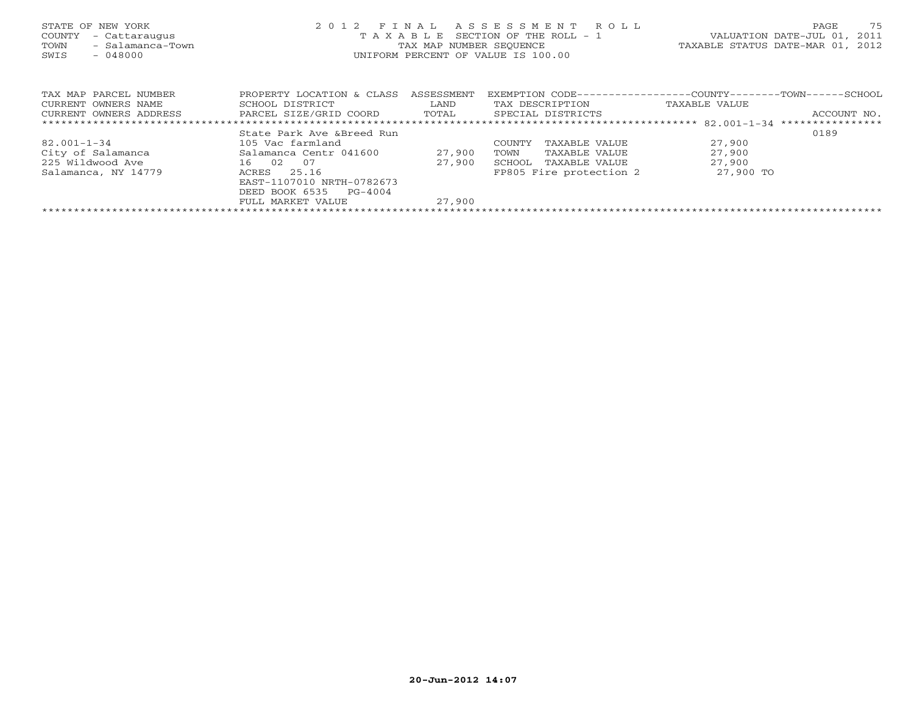| STATE OF NEW YORK<br>COUNTY<br>- Cattaraugus<br>- Salamanca-Town<br>TOWN<br>$-048000$<br>SWIS | 2012 FINAL<br>T A X A B L E SECTION OF THE ROLL - 1<br>TAX MAP NUMBER SEQUENCE<br>UNIFORM PERCENT OF VALUE IS 100.00 | VALUATION DATE-JUL 01,<br>TAXABLE STATUS DATE-MAR 01, 2012 | 75<br>PAGE<br>2011      |                                                |                  |
|-----------------------------------------------------------------------------------------------|----------------------------------------------------------------------------------------------------------------------|------------------------------------------------------------|-------------------------|------------------------------------------------|------------------|
| TAX MAP PARCEL NUMBER                                                                         | PROPERTY LOCATION & CLASS                                                                                            | ASSESSMENT                                                 | EXEMPTION CODE---       | ---------------COUNTY--------TOWN-------SCHOOL |                  |
| CURRENT OWNERS NAME                                                                           | SCHOOL DISTRICT                                                                                                      | LAND                                                       | TAX DESCRIPTION         | TAXABLE VALUE                                  |                  |
| CURRENT OWNERS ADDRESS                                                                        | PARCEL SIZE/GRID COORD                                                                                               | TOTAL                                                      | SPECIAL DISTRICTS       |                                                | ACCOUNT NO.      |
|                                                                                               |                                                                                                                      |                                                            |                         |                                                | **************** |
|                                                                                               | State Park Ave & Breed Run                                                                                           |                                                            |                         |                                                | 0189             |
| $82.001 - 1 - 34$                                                                             | 105 Vac farmland                                                                                                     |                                                            | COUNTY<br>TAXABLE VALUE | 27,900                                         |                  |
| City of Salamanca                                                                             | Salamanca Centr 041600                                                                                               | 27,900                                                     | TOWN<br>TAXABLE VALUE   | 27,900                                         |                  |
| 225 Wildwood Ave                                                                              | 16 02<br>07                                                                                                          | 27,900                                                     | SCHOOL<br>TAXABLE VALUE | 27,900                                         |                  |
| Salamanca, NY 14779                                                                           | 25.16<br>ACRES                                                                                                       |                                                            | FP805 Fire protection 2 | 27,900 TO                                      |                  |
|                                                                                               | EAST-1107010 NRTH-0782673                                                                                            |                                                            |                         |                                                |                  |
|                                                                                               | DEED BOOK 6535<br>PG-4004                                                                                            |                                                            |                         |                                                |                  |
|                                                                                               | FULL MARKET VALUE                                                                                                    | 27,900                                                     |                         |                                                |                  |
|                                                                                               |                                                                                                                      |                                                            |                         |                                                |                  |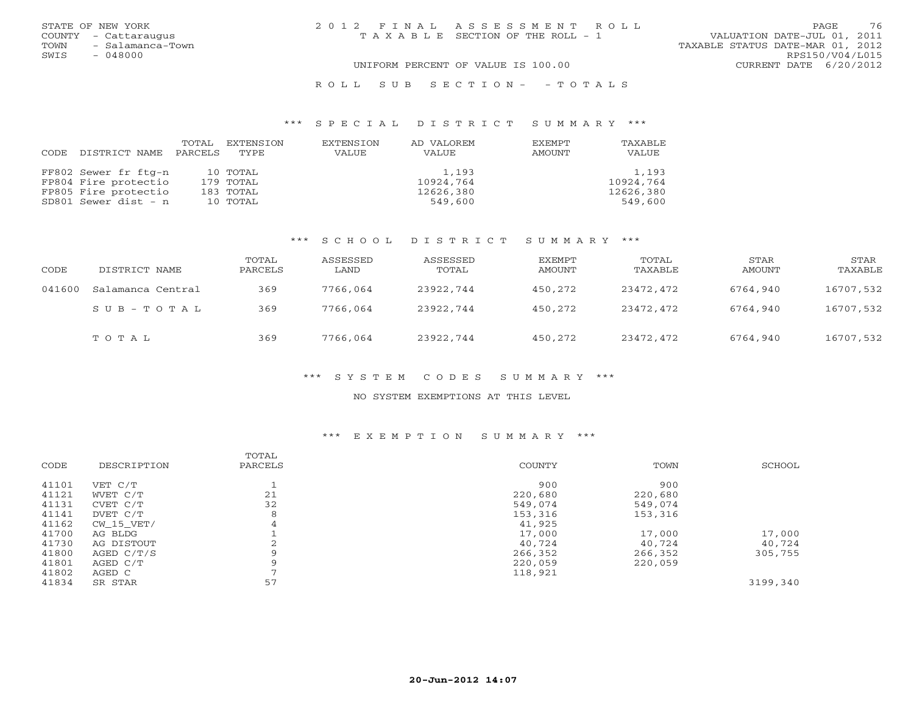| STATE OF NEW YORK |                      | 2012 FINAL ASSESSMENT ROLL            |                                  | <b>PAGE</b>            | 76 |
|-------------------|----------------------|---------------------------------------|----------------------------------|------------------------|----|
|                   | COUNTY - Cattaraugus | T A X A B L E SECTION OF THE ROLL - 1 | VALUATION DATE-JUL 01, 2011      |                        |    |
| TOWN              | - Salamanca-Town     |                                       | TAXABLE STATUS DATE-MAR 01, 2012 |                        |    |
| SWIS              | - 048000             |                                       |                                  | RPS150/V04/L015        |    |
|                   |                      | UNIFORM PERCENT OF VALUE IS 100.00    |                                  | CURRENT DATE 6/20/2012 |    |
|                   |                      |                                       |                                  |                        |    |

#### R O L L S U B S E C T I O N - - T O T A L S

#### \*\*\* S P E C I A L D I S T R I C T S U M M A R Y \*\*\*

|      |                      | TOTAL   | EXTENSION | EXTENSION | AD VALOREM | <b>EXEMPT</b> | TAXABLE   |
|------|----------------------|---------|-----------|-----------|------------|---------------|-----------|
| CODE | DISTRICT NAME        | PARCELS | TYPE      | VALUE     | VALUE      | AMOUNT        | VALUE     |
|      |                      |         |           |           |            |               |           |
|      | FF802 Sewer fr ftg-n |         | 10 TOTAL  |           | 1,193      |               | 1,193     |
|      | FP804 Fire protectio |         | 179 TOTAL |           | 10924,764  |               | 10924,764 |
|      | FP805 Fire protectio |         | 183 TOTAL |           | 12626,380  |               | 12626,380 |
|      | SD801 Sewer dist - n |         | 10 TOTAL  |           | 549,600    |               | 549,600   |

## \*\*\* S C H O O L D I S T R I C T S U M M A R Y \*\*\*

| CODE   | DISTRICT NAME     | TOTAL<br>PARCELS | ASSESSED<br>LAND | ASSESSED<br>TOTAL | EXEMPT<br>AMOUNT | TOTAL<br>TAXABLE | STAR<br>AMOUNT | STAR<br>TAXABLE |
|--------|-------------------|------------------|------------------|-------------------|------------------|------------------|----------------|-----------------|
| 041600 | Salamanca Central | 369              | 7766,064         | 23922,744         | 450,272          | 23472,472        | 6764,940       | 16707,532       |
|        | SUB-TOTAL         | 369              | 7766,064         | 23922,744         | 450,272          | 23472,472        | 6764,940       | 16707,532       |
|        | TOTAL             | 369              | 7766,064         | 23922,744         | 450,272          | 23472,472        | 6764,940       | 16707,532       |

## \*\*\* S Y S T E M C O D E S S U M M A R Y \*\*\*

#### NO SYSTEM EXEMPTIONS AT THIS LEVEL

#### \*\*\* E X E M P T I O N S U M M A R Y \*\*\*

| CODE  | DESCRIPTION | TOTAL<br>PARCELS | COUNTY  | TOWN    | SCHOOL   |
|-------|-------------|------------------|---------|---------|----------|
| 41101 | VET C/T     |                  | 900     | 900     |          |
| 41121 | WVET C/T    | 21               | 220,680 | 220,680 |          |
| 41131 | CVET C/T    | 32               | 549,074 | 549,074 |          |
| 41141 | DVET C/T    | 8                | 153,316 | 153,316 |          |
| 41162 | CW 15 VET/  | 4                | 41,925  |         |          |
| 41700 | AG BLDG     |                  | 17,000  | 17,000  | 17,000   |
| 41730 | AG DISTOUT  |                  | 40,724  | 40,724  | 40,724   |
| 41800 | AGED C/T/S  |                  | 266,352 | 266,352 | 305,755  |
| 41801 | AGED C/T    | Q                | 220,059 | 220,059 |          |
| 41802 | AGED C      |                  | 118,921 |         |          |
| 41834 | SR STAR     | 57               |         |         | 3199,340 |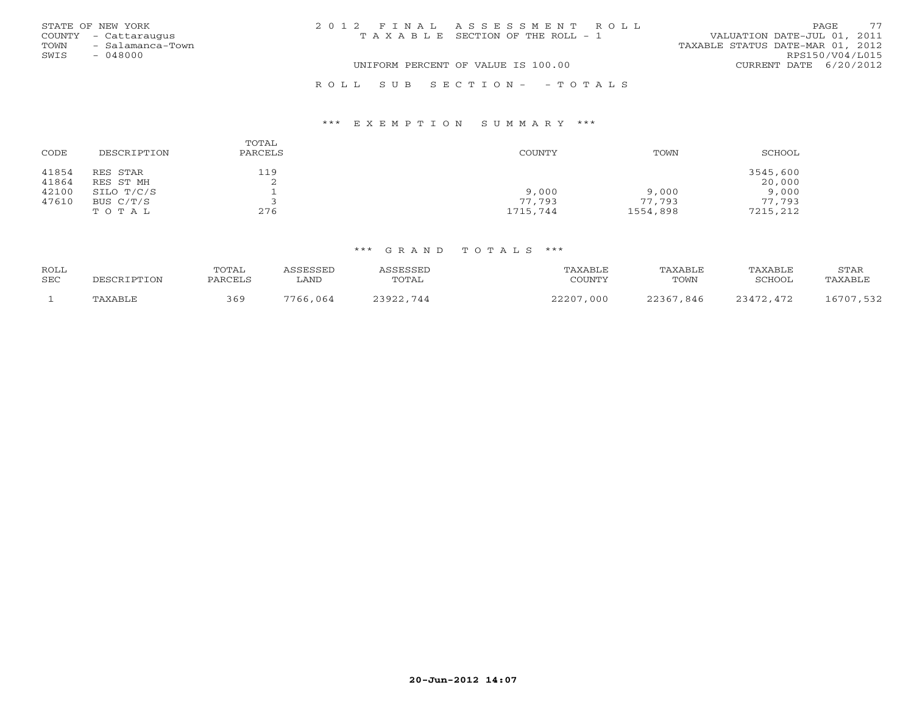|      | STATE OF NEW YORK    | 2012 FINAL ASSESSMENT ROLL |                                       |                                  | PAGE.           | 77 |
|------|----------------------|----------------------------|---------------------------------------|----------------------------------|-----------------|----|
|      | COUNTY - Cattaraugus |                            | T A X A B L E SECTION OF THE ROLL - 1 | VALUATION DATE-JUL 01, 2011      |                 |    |
| TOWN | - Salamanca-Town     |                            |                                       | TAXABLE STATUS DATE-MAR 01, 2012 |                 |    |
| SWIS | $-048000$            |                            |                                       |                                  | RPS150/V04/L015 |    |
|      |                      |                            | UNIFORM PERCENT OF VALUE IS 100.00    | CURRENT DATE 6/20/2012           |                 |    |
|      |                      |                            |                                       |                                  |                 |    |

| CODE  | DESCRIPTION | TOTAL<br>PARCELS | COUNTY   | TOWN     | SCHOOL   |
|-------|-------------|------------------|----------|----------|----------|
| 41854 | RES STAR    | 119              |          |          | 3545,600 |
| 41864 | RES ST MH   | ▵                |          |          | 20,000   |
| 42100 | SILO T/C/S  |                  | 9,000    | 9,000    | 9,000    |
| 47610 | BUS C/T/S   |                  | 77,793   | 77.793   | 77.793   |
|       | TOTAL       | 276              | 1715,744 | 1554,898 | 7215,212 |

R O L L S U B S E C T I O N - - T O T A L S

\*\*\* E X E M P T I O N S U M M A R Y \*\*\*

| ROLL |             | <b>TOTAI</b> | ASSESSED    | ASSESSED  | TAXABLE   | TAXABLE   | TAXABLE   | STAR      |
|------|-------------|--------------|-------------|-----------|-----------|-----------|-----------|-----------|
| SEC  | DESCRIPTION | PARCELS      | <b>LAND</b> | TOTAL     | COUNTY    | TOWN      | SCHOOL    | TAXABLE   |
|      |             |              |             |           |           |           |           |           |
|      | TAXABLE     | 369          | 7766,064    | 23922.744 | 22207,000 | 22367,846 | 23472.472 | 16707,532 |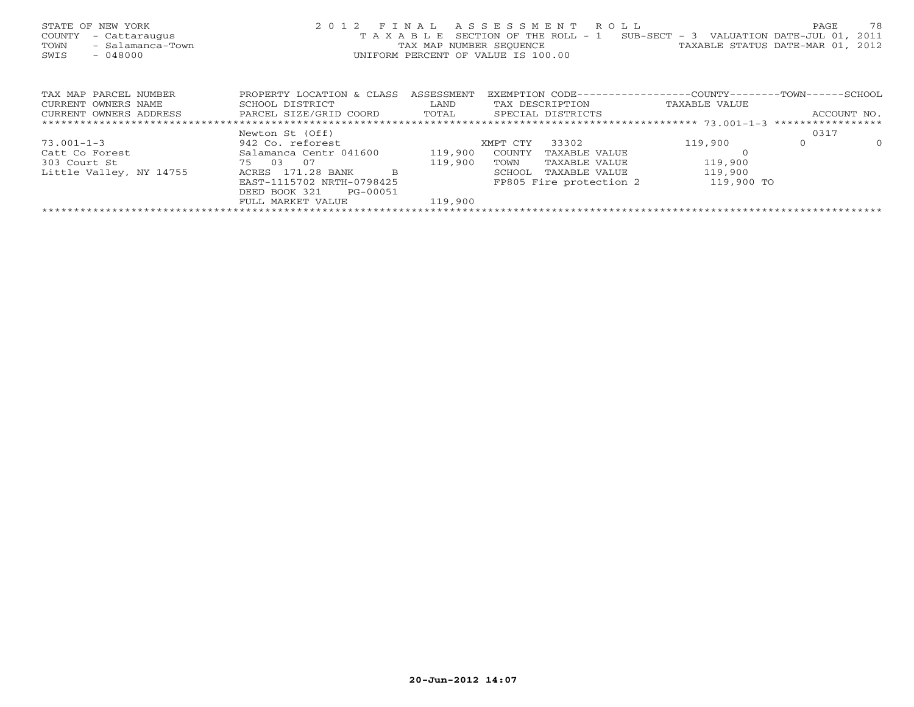| STATE OF NEW YORK<br>- Cattaraugus<br>COUNTY<br>- Salamanca-Town<br>TOWN<br>- 048000<br>SWIS |                                                |            | 2012 FINAL ASSESSMENT ROLL<br>T A X A B L E SECTION OF THE ROLL - 1 SUB-SECT - 3 VALUATION DATE-JUL 01, 2011<br>TAX MAP NUMBER SEQUENCE TAN TAXABLE STATUS DATE-MAR 01, 2012<br>UNIFORM PERCENT OF VALUE IS 100.00 |               | 78<br>PAGE           |
|----------------------------------------------------------------------------------------------|------------------------------------------------|------------|--------------------------------------------------------------------------------------------------------------------------------------------------------------------------------------------------------------------|---------------|----------------------|
| TAX MAP PARCEL NUMBER                                                                        | PROPERTY LOCATION & CLASS                      | ASSESSMENT | EXEMPTION CODE-----------------COUNTY--------TOWN------SCHOOL                                                                                                                                                      |               |                      |
| CURRENT OWNERS NAME                                                                          | SCHOOL DISTRICT                                | LAND       | TAX DESCRIPTION                                                                                                                                                                                                    | TAXABLE VALUE |                      |
| CURRENT OWNERS ADDRESS                                                                       | PARCEL SIZE/GRID COORD TOTAL SPECIAL DISTRICTS |            |                                                                                                                                                                                                                    |               | ACCOUNT NO.          |
|                                                                                              |                                                |            |                                                                                                                                                                                                                    |               |                      |
|                                                                                              | Newton St (Off)                                |            |                                                                                                                                                                                                                    |               | 0317                 |
| $73.001 - 1 - 3$                                                                             | 942 Co. reforest                               |            | 33302<br>XMPT CTY                                                                                                                                                                                                  | 119,900       | $\Omega$<br>$\Omega$ |
| Catt Co Forest                                                                               | Salamanca Centr 041600                         | 119,900    | COUNTY<br>TAXABLE VALUE                                                                                                                                                                                            |               |                      |
| 75 03 07<br>303 Court St                                                                     |                                                | 119,900    | TOWN<br>TAXABLE VALUE                                                                                                                                                                                              | 119,900       |                      |
| Little Valley, NY 14755                                                                      | ACRES 171.28 BANK<br>-B                        |            | TAXABLE VALUE<br>SCHOOL                                                                                                                                                                                            | 119,900       |                      |
|                                                                                              | EAST-1115702 NRTH-0798425                      |            | FP805 Fire protection 2                                                                                                                                                                                            | 119,900 TO    |                      |
|                                                                                              | DEED BOOK 321 PG-00051                         |            |                                                                                                                                                                                                                    |               |                      |
|                                                                                              | FULL MARKET VALUE                              | 119,900    |                                                                                                                                                                                                                    |               |                      |
|                                                                                              |                                                |            |                                                                                                                                                                                                                    |               |                      |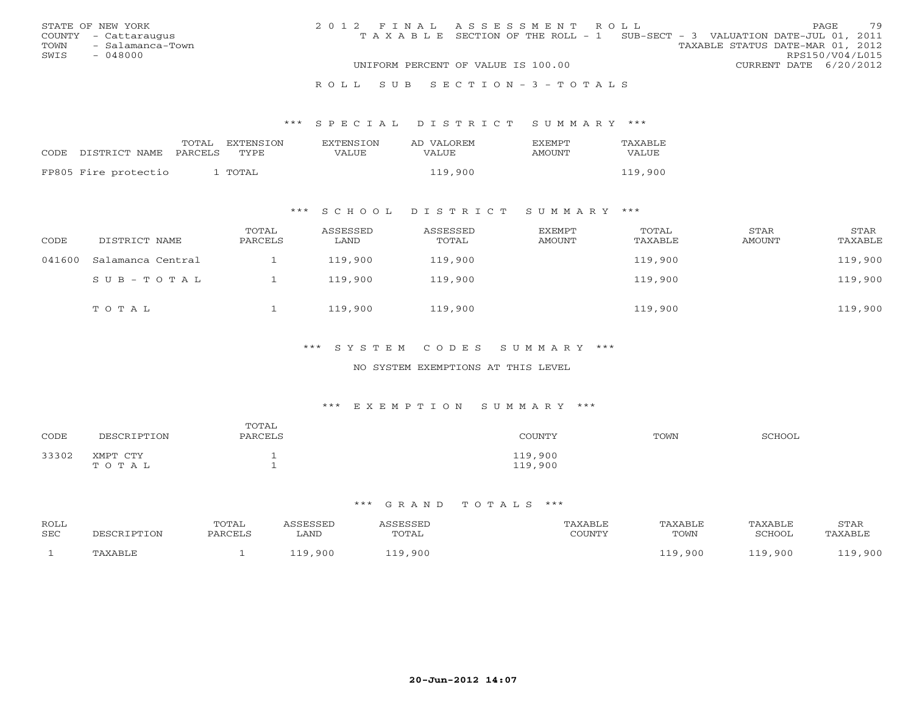|      | STATE OF NEW YORK    | 2012 FINAL ASSESSMENT ROLL |                                                                                |                                  |                        | <b>PAGE</b> | 79 |
|------|----------------------|----------------------------|--------------------------------------------------------------------------------|----------------------------------|------------------------|-------------|----|
|      | COUNTY - Cattaraugus |                            | T A X A B L E SECTION OF THE ROLL - 1 SUB-SECT - 3 VALUATION DATE-JUL 01, 2011 |                                  |                        |             |    |
| TOWN | - Salamanca-Town     |                            |                                                                                | TAXABLE STATUS DATE-MAR 01, 2012 |                        |             |    |
| SWIS | - 048000             |                            |                                                                                |                                  | RPS150/V04/L015        |             |    |
|      |                      |                            | UNIFORM PERCENT OF VALUE IS 100.00                                             |                                  | CURRENT DATE 6/20/2012 |             |    |
|      |                      |                            |                                                                                |                                  |                        |             |    |

#### R O L L S U B S E C T I O N - 3 - T O T A L S

#### \*\*\* S P E C I A L D I S T R I C T S U M M A R Y \*\*\*

|                      | TOTAL<br>PARCELS | EXTENSION<br>TYPE. | <b>EXTENSION</b><br>VALUE | AD VALOREM | <b>FXFMPT</b> | TAXABLE<br>VALUE |
|----------------------|------------------|--------------------|---------------------------|------------|---------------|------------------|
| CODE DISTRICT NAME   |                  |                    |                           | VALUE      | AMOUNT        |                  |
| FP805 Fire protectio |                  | ' TOTAL            |                           | 119,900    |               | 119,900          |

## \*\*\* S C H O O L D I S T R I C T S U M M A R Y \*\*\*

| CODE   | DISTRICT NAME     | TOTAL<br>PARCELS | ASSESSED<br>LAND | ASSESSED<br>TOTAL | EXEMPT<br>AMOUNT | TOTAL<br>TAXABLE | STAR<br><b>AMOUNT</b> | STAR<br>TAXABLE |
|--------|-------------------|------------------|------------------|-------------------|------------------|------------------|-----------------------|-----------------|
| 041600 | Salamanca Central |                  | 119,900          | 119,900           |                  | 119,900          |                       | 119,900         |
|        | SUB-TOTAL         |                  | 119,900          | 119,900           |                  | 119,900          |                       | 119,900         |
|        | TOTAL             |                  | 119,900          | 119,900           |                  | 119,900          |                       | 119,900         |

## \*\*\* S Y S T E M C O D E S S U M M A R Y \*\*\*

#### NO SYSTEM EXEMPTIONS AT THIS LEVEL

#### \*\*\* E X E M P T I O N S U M M A R Y \*\*\*

| CODE  | DESCRIPTION       | TOTAL<br>PARCELS | COUNTY             | TOWN | SCHOOL |
|-------|-------------------|------------------|--------------------|------|--------|
| 33302 | XMPT CTY<br>TOTAL |                  | 119,900<br>119,900 |      |        |

| ROLL<br>SEC | CRIPTION | TOTAL<br>PARCELS | ASSESSED<br>LAND | SSESSED<br>TOTAL | TAXABLE<br>$\gamma$ $\cap$ the true $\gamma$<br>. UUIN 1 | TAXABLE<br>TOWN | TAXABLE<br>SCHOOL | <b>STAR</b><br>'AXABLE |
|-------------|----------|------------------|------------------|------------------|----------------------------------------------------------|-----------------|-------------------|------------------------|
|             | PAXABLE  |                  | 110<br>,900      | ,900<br>110      |                                                          | 119,900         | 19,900            | 119,900                |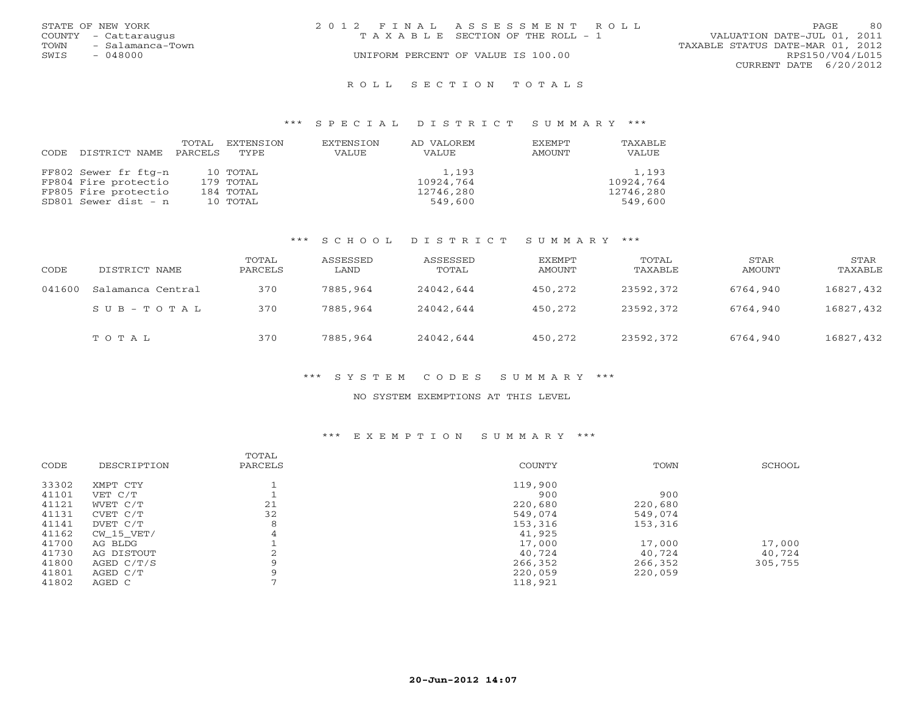| STATE OF NEW YORK    |                                                | 2012 FINAL ASSESSMENT ROLL            | 80<br>PAGE                       |
|----------------------|------------------------------------------------|---------------------------------------|----------------------------------|
| COUNTY - Cattaraugus |                                                | T A X A B L E SECTION OF THE ROLL - 1 | VALUATION DATE-JUL 01, 2011      |
| TOWN                 | - Salamanca-Town                               |                                       | TAXABLE STATUS DATE-MAR 01, 2012 |
| SWIS                 | - 048000<br>UNIFORM PERCENT OF VALUE IS 100.00 |                                       | RPS150/V04/L015                  |
|                      |                                                |                                       | CURRENT DATE 6/20/2012           |
|                      |                                                | ROLL SECTION TOTALS                   |                                  |

### \*\*\* S P E C I A L D I S T R I C T S U M M A R Y \*\*\*

| CODE. | DISTRICT NAME        | TOTAL<br>PARCELS | EXTENSION<br>TYPE | EXTENSION<br>VALUE | AD VALOREM<br>VALUE | EXEMPT<br>AMOUNT | TAXABLE<br>VALUE |
|-------|----------------------|------------------|-------------------|--------------------|---------------------|------------------|------------------|
|       | FF802 Sewer fr ftq-n |                  | 10 TOTAL          |                    | 1,193               |                  | 1,193            |
|       | FP804 Fire protectio |                  | 179 TOTAL         |                    | 10924,764           |                  | 10924,764        |
|       | FP805 Fire protectio |                  | 184 TOTAL         |                    | 12746,280           |                  | 12746,280        |
|       | SD801 Sewer dist - n |                  | 10 TOTAL          |                    | 549,600             |                  | 549,600          |

## \*\*\* S C H O O L D I S T R I C T S U M M A R Y \*\*\*

| CODE   | DISTRICT NAME     | TOTAL<br>PARCELS | ASSESSED<br>LAND | ASSESSED<br>TOTAL | EXEMPT<br>AMOUNT | TOTAL<br>TAXABLE | STAR<br>AMOUNT | STAR<br>TAXABLE |
|--------|-------------------|------------------|------------------|-------------------|------------------|------------------|----------------|-----------------|
| 041600 | Salamanca Central | 370              | 7885,964         | 24042,644         | 450,272          | 23592,372        | 6764,940       | 16827,432       |
|        | SUB-TOTAL         | 370              | 7885,964         | 24042,644         | 450,272          | 23592,372        | 6764,940       | 16827,432       |
|        | TOTAL             | 370              | 7885,964         | 24042,644         | 450,272          | 23592,372        | 6764,940       | 16827,432       |

## \*\*\* S Y S T E M C O D E S S U M M A R Y \*\*\*

#### NO SYSTEM EXEMPTIONS AT THIS LEVEL

## \*\*\* E X E M P T I O N S U M M A R Y \*\*\*

|             | TOTAL   |               |         |         |
|-------------|---------|---------------|---------|---------|
| DESCRIPTION | PARCELS | <b>COUNTY</b> | TOWN    | SCHOOL  |
| XMPT CTY    |         | 119,900       |         |         |
| VET C/T     |         | 900           | 900     |         |
| WVET C/T    | 21      | 220,680       | 220,680 |         |
| CVET C/T    | 32      | 549,074       | 549,074 |         |
| DVET C/T    | 8       | 153,316       | 153,316 |         |
| CW 15 VET/  | 4       | 41,925        |         |         |
| AG BLDG     |         | 17,000        | 17,000  | 17,000  |
| AG DISTOUT  |         | 40,724        | 40.724  | 40,724  |
| AGED C/T/S  | 9       | 266,352       | 266,352 | 305,755 |
| AGED C/T    | a       | 220,059       | 220,059 |         |
| AGED C      |         | 118,921       |         |         |
|             |         |               |         |         |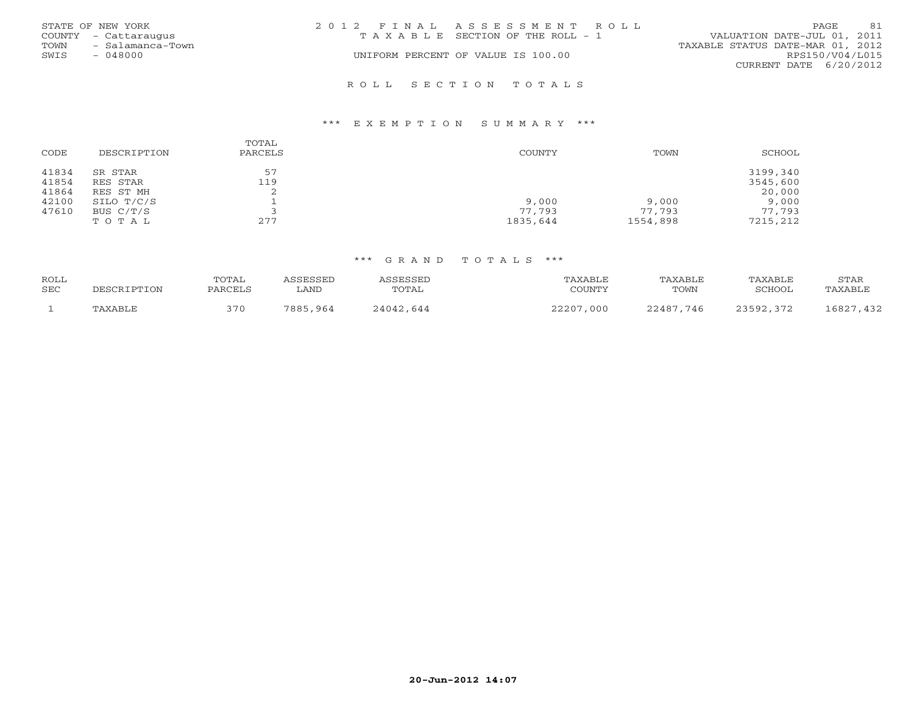|      | STATE OF NEW YORK    | 2012 FINAL ASSESSMENT ROLL            | 81<br>PAGE.                      |
|------|----------------------|---------------------------------------|----------------------------------|
|      | COUNTY - Cattaraugus | T A X A B L E SECTION OF THE ROLL - 1 | VALUATION DATE-JUL 01, 2011      |
| TOWN | - Salamanca-Town     |                                       | TAXABLE STATUS DATE-MAR 01, 2012 |
| SWIS | - 048000             | UNIFORM PERCENT OF VALUE IS 100.00    | RPS150/V04/L015                  |
|      |                      |                                       | CURRENT DATE 6/20/2012           |
|      |                      | ROLL SECTION TOTALS                   |                                  |

#### \*\*\* E X E M P T I O N S U M M A R Y \*\*\*

| CODE           | DESCRIPTION         | TOTAL<br>PARCELS | COUNTY   | TOWN     | SCHOOL               |
|----------------|---------------------|------------------|----------|----------|----------------------|
| 41834<br>41854 | SR STAR<br>RES STAR | 57<br>119        |          |          | 3199,340<br>3545,600 |
| 41864          | RES ST MH           | ∠                |          |          | 20,000               |
| 42100          | SILO T/C/S          |                  | 9,000    | 9,000    | 9,000                |
| 47610          | BUS $C/T/S$         |                  | 77,793   | 77,793   | 77,793               |
|                | TOTAL               | 277              | 1835,644 | 1554,898 | 7215,212             |

| ROLL<br><b>SEC</b> | DESCRIPTION | TOTAL<br>PARCELS | <i>CC</i> PCCPI<br>LAND | ASSESSED<br>TOTAL | 'AXABLE<br>COUNTY | TAXABLE<br>TOWN | TAXABLE<br>SCHOOL | STAR<br>TAXABLE            |
|--------------------|-------------|------------------|-------------------------|-------------------|-------------------|-----------------|-------------------|----------------------------|
|                    | TAXABLE     | 370              | 7885<br>964             | 24042.644         | つつつハワ<br>000      | 22487<br>-746   | つつちロつ<br>$\cap$   | 1682 <sup>7</sup><br>, 432 |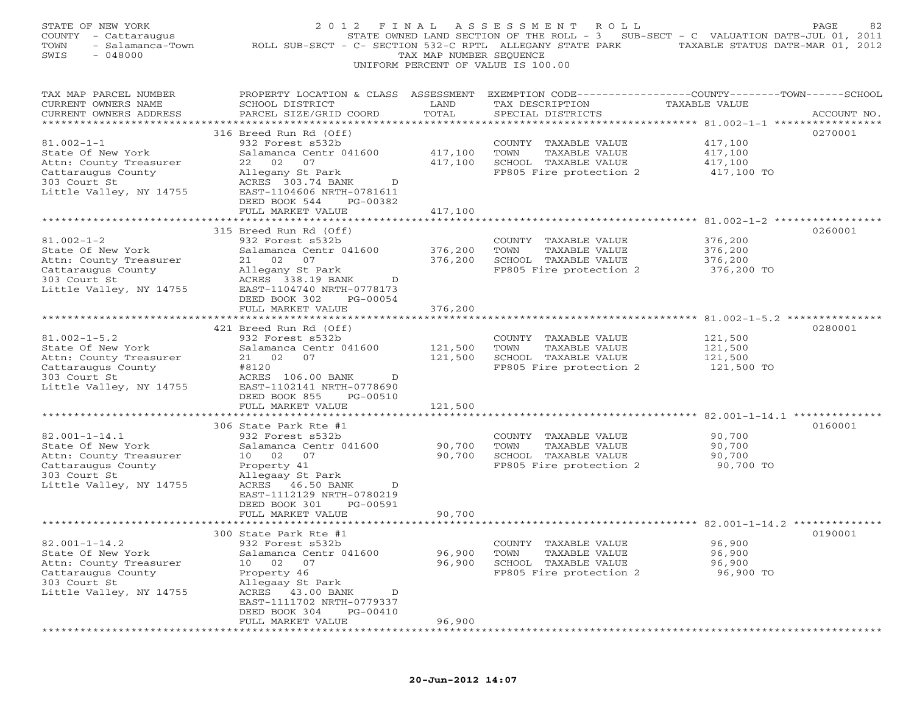| STATE OF NEW YORK        | 2012                                                                                           | FINAL                   | A S S E S S M E N T<br>R O L L                                                    |            | PAGE        |
|--------------------------|------------------------------------------------------------------------------------------------|-------------------------|-----------------------------------------------------------------------------------|------------|-------------|
| COUNTY - Cattaraugus     |                                                                                                |                         | STATE OWNED LAND SECTION OF THE ROLL - 3 SUB-SECT - C VALUATION DATE-JUL 01, 2011 |            |             |
| TOWN<br>- Salamanca-Town | ROLL SUB-SECT - C- SECTION 532-C RPTL ALLEGANY STATE PARK TAXABLE STATUS DATE-MAR 01, 2012     |                         |                                                                                   |            |             |
| SWIS<br>$-048000$        |                                                                                                | TAX MAP NUMBER SEQUENCE |                                                                                   |            |             |
|                          |                                                                                                |                         | UNIFORM PERCENT OF VALUE IS 100.00                                                |            |             |
|                          |                                                                                                |                         |                                                                                   |            |             |
|                          |                                                                                                |                         |                                                                                   |            |             |
| TAX MAP PARCEL NUMBER    | PROPERTY LOCATION & CLASS ASSESSMENT EXEMPTION CODE---------------COUNTY-------TOWN-----SCHOOL |                         |                                                                                   |            |             |
| CURRENT OWNERS NAME      | SCHOOL DISTRICT                                                                                | LAND                    | TAX DESCRIPTION TAXABLE VALUE                                                     |            |             |
| CURRENT OWNERS ADDRESS   | PARCEL SIZE/GRID COORD                                                                         | TOTAL                   | SPECIAL DISTRICTS                                                                 |            | ACCOUNT NO. |
|                          |                                                                                                |                         |                                                                                   |            |             |
|                          | 316 Breed Run Rd (Off)                                                                         |                         |                                                                                   |            | 0270001     |
| $81.002 - 1 - 1$         | 932 Forest s532b                                                                               |                         | COUNTY TAXABLE VALUE                                                              | 417,100    |             |
| State Of New York        | Salamanca Centr 041600                                                                         | 417,100                 | TOWN<br>TAXABLE VALUE                                                             | 417,100    |             |
| Attn: County Treasurer   | 22 02<br>07                                                                                    | 417,100                 | SCHOOL TAXABLE VALUE                                                              | 417,100    |             |
| Cattaraugus County       | Allegany St Park                                                                               |                         | FP805 Fire protection 2                                                           | 417,100 TO |             |
| 303 Court St             | ACRES 303.74 BANK<br>D                                                                         |                         |                                                                                   |            |             |
| Little Valley, NY 14755  | EAST-1104606 NRTH-0781611                                                                      |                         |                                                                                   |            |             |
|                          | DEED BOOK 544<br>PG-00382                                                                      |                         |                                                                                   |            |             |
|                          | FULL MARKET VALUE                                                                              | 417,100                 |                                                                                   |            |             |
|                          |                                                                                                |                         |                                                                                   |            |             |
|                          | 315 Breed Run Rd (Off)                                                                         |                         |                                                                                   |            | 0260001     |
| $81.002 - 1 - 2$         | 932 Forest s532b                                                                               |                         | COUNTY TAXABLE VALUE                                                              | 376,200    |             |
| State Of New York        | Salamanca Centr 041600                                                                         | 376,200                 | TOWN<br>TAXABLE VALUE                                                             | 376,200    |             |
| Attn: County Treasurer   | 21  02  07                                                                                     | 376,200                 | SCHOOL TAXABLE VALUE                                                              | 376,200    |             |
|                          |                                                                                                |                         |                                                                                   |            |             |
| Cattaraugus County       | Allegany St Park                                                                               |                         | FP805 Fire protection 2                                                           | 376,200 TO |             |
| 303 Court St             | ACRES 338.19 BANK<br>D                                                                         |                         |                                                                                   |            |             |
| Little Valley, NY 14755  | EAST-1104740 NRTH-0778173                                                                      |                         |                                                                                   |            |             |
|                          | DEED BOOK 302<br>PG-00054                                                                      |                         |                                                                                   |            |             |
|                          | FULL MARKET VALUE                                                                              | 376,200                 |                                                                                   |            |             |
|                          |                                                                                                |                         |                                                                                   |            |             |
|                          | 421 Breed Run Rd (Off)                                                                         |                         |                                                                                   |            | 0280001     |
| $81.002 - 1 - 5.2$       | 932 Forest s532b                                                                               |                         | COUNTY TAXABLE VALUE                                                              | 121,500    |             |
| State Of New York        | Salamanca Centr 041600                                                                         | 121,500                 | TOWN<br>TAXABLE VALUE                                                             | 121,500    |             |
| Attn: County Treasurer   | 21 02 07                                                                                       | 121,500                 | SCHOOL TAXABLE VALUE                                                              | 121,500    |             |
| Cattaraugus County       | #8120                                                                                          |                         | FP805 Fire protection 2                                                           | 121,500 TO |             |
| 303 Court St             | ACRES 106.00 BANK<br>D                                                                         |                         |                                                                                   |            |             |
| Little Valley, NY 14755  | EAST-1102141 NRTH-0778690                                                                      |                         |                                                                                   |            |             |
|                          | DEED BOOK 855<br>PG-00510                                                                      |                         |                                                                                   |            |             |
|                          | FULL MARKET VALUE                                                                              | 121,500                 |                                                                                   |            |             |
|                          |                                                                                                |                         |                                                                                   |            |             |
|                          | 306 State Park Rte #1                                                                          |                         |                                                                                   |            | 0160001     |
| $82.001 - 1 - 14.1$      | 932 Forest s532b                                                                               |                         | COUNTY TAXABLE VALUE                                                              | 90,700     |             |
| State Of New York        | Salamanca Centr 041600                                                                         | 90,700                  | TOWN<br>TAXABLE VALUE                                                             | 90,700     |             |
| Attn: County Treasurer   | 10 02 07                                                                                       | 90,700                  | SCHOOL TAXABLE VALUE                                                              | 90,700     |             |
| Cattaraugus County       | Property 41                                                                                    |                         | FP805 Fire protection 2                                                           | 90,700 TO  |             |
| 303 Court St             | Allegaay St Park                                                                               |                         |                                                                                   |            |             |
| Little Valley, NY 14755  | ACRES 46.50 BANK<br>D                                                                          |                         |                                                                                   |            |             |
|                          | EAST-1112129 NRTH-0780219                                                                      |                         |                                                                                   |            |             |
|                          | DEED BOOK 301<br>PG-00591                                                                      |                         |                                                                                   |            |             |
|                          | FULL MARKET VALUE                                                                              | 90,700                  |                                                                                   |            |             |
|                          | ********************                                                                           |                         |                                                                                   |            |             |
|                          | 300 State Park Rte #1                                                                          |                         |                                                                                   |            | 0190001     |
| $82.001 - 1 - 14.2$      | 932 Forest s532b                                                                               |                         |                                                                                   | 96,900     |             |
|                          |                                                                                                | 96,900                  | COUNTY TAXABLE VALUE<br>TOWN                                                      |            |             |
| State Of New York        | Salamanca Centr 041600                                                                         |                         | TAXABLE VALUE                                                                     | 96,900     |             |
| Attn: County Treasurer   | 10 02<br>07                                                                                    | 96,900                  | SCHOOL TAXABLE VALUE                                                              | 96,900     |             |
| Cattaraugus County       | Property 46                                                                                    |                         | FP805 Fire protection 2                                                           | 96,900 TO  |             |
| 303 Court St             | Allegaay St Park                                                                               |                         |                                                                                   |            |             |
| Little Valley, NY 14755  | ACRES 43.00 BANK<br>D                                                                          |                         |                                                                                   |            |             |
|                          | EAST-1111702 NRTH-0779337                                                                      |                         |                                                                                   |            |             |
|                          | DEED BOOK 304<br>PG-00410                                                                      |                         |                                                                                   |            |             |
|                          | FULL MARKET VALUE                                                                              | 96,900                  |                                                                                   |            |             |

\*\*\*\*\*\*\*\*\*\*\*\*\*\*\*\*\*\*\*\*\*\*\*\*\*\*\*\*\*\*\*\*\*\*\*\*\*\*\*\*\*\*\*\*\*\*\*\*\*\*\*\*\*\*\*\*\*\*\*\*\*\*\*\*\*\*\*\*\*\*\*\*\*\*\*\*\*\*\*\*\*\*\*\*\*\*\*\*\*\*\*\*\*\*\*\*\*\*\*\*\*\*\*\*\*\*\*\*\*\*\*\*\*\*\*\*\*\*\*\*\*\*\*\*\*\*\*\*\*\*\*\*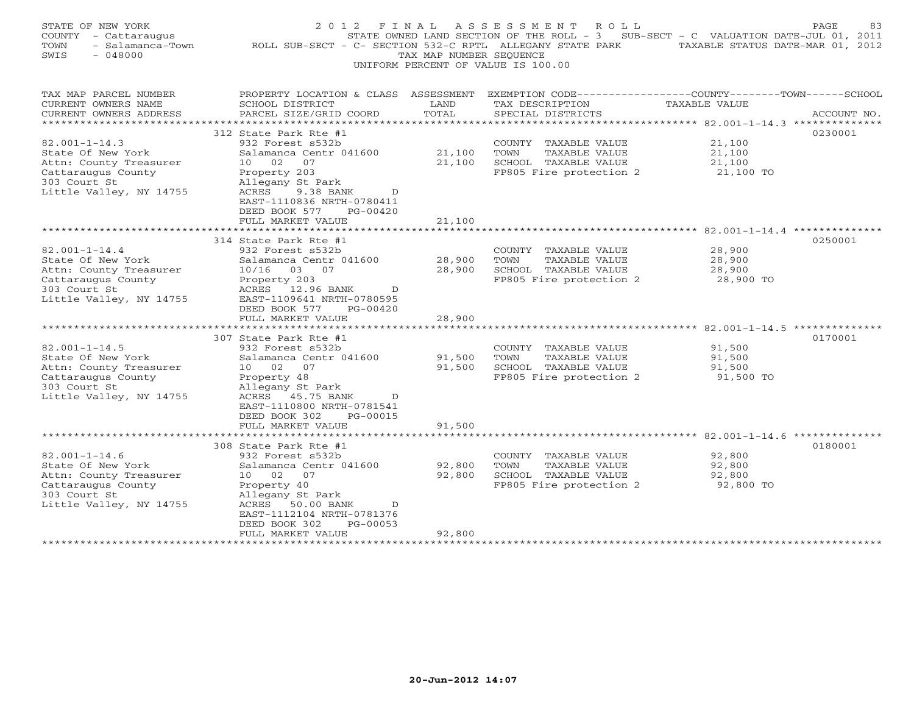| STATE OF NEW YORK<br>COUNTY - Cattaraugus<br>- Salamanca-Town<br>TOWN<br>$-048000$<br>SWIS | 2 0 1 2<br>ROLL SUB-SECT - C- SECTION 532-C RPTL ALLEGANY STATE PARK TAXABLE STATUS DATE-MAR 01, 2012    | F I N A L<br>TAX MAP NUMBER SEQUENCE | A S S E S S M E N T<br>ROLL<br>STATE OWNED LAND SECTION OF THE ROLL - 3 SUB-SECT - C VALUATION DATE-JUL 01, 2011<br>UNIFORM PERCENT OF VALUE IS 100.00 |                      | PAGE<br>83  |
|--------------------------------------------------------------------------------------------|----------------------------------------------------------------------------------------------------------|--------------------------------------|--------------------------------------------------------------------------------------------------------------------------------------------------------|----------------------|-------------|
| TAX MAP PARCEL NUMBER<br>CURRENT OWNERS NAME                                               | PROPERTY LOCATION & CLASS ASSESSMENT<br>SCHOOL DISTRICT                                                  | LAND                                 | EXEMPTION CODE----------------COUNTY-------TOWN------SCHOOL<br>TAX DESCRIPTION                                                                         | <b>TAXABLE VALUE</b> |             |
| CURRENT OWNERS ADDRESS                                                                     | PARCEL SIZE/GRID COORD                                                                                   | TOTAL                                | SPECIAL DISTRICTS                                                                                                                                      |                      | ACCOUNT NO. |
|                                                                                            |                                                                                                          |                                      |                                                                                                                                                        |                      |             |
| $82.001 - 1 - 14.3$                                                                        | 312 State Park Rte #1                                                                                    |                                      |                                                                                                                                                        |                      | 0230001     |
| State Of New York                                                                          | 932 Forest s532b<br>Salamanca Centr 041600                                                               | 21,100                               | COUNTY TAXABLE VALUE<br>TOWN<br>TAXABLE VALUE                                                                                                          | 21,100<br>21,100     |             |
| Attn: County Treasurer                                                                     | 10 02<br>07                                                                                              | 21,100                               | SCHOOL TAXABLE VALUE                                                                                                                                   | 21,100               |             |
| Cattaraugus County                                                                         | Property 203                                                                                             |                                      | FP805 Fire protection 2                                                                                                                                | 21,100 TO            |             |
| 303 Court St                                                                               | Allegany St Park                                                                                         |                                      |                                                                                                                                                        |                      |             |
| Little Valley, NY 14755                                                                    | ACRES<br>9.38 BANK<br>D<br>EAST-1110836 NRTH-0780411<br>DEED BOOK 577<br>$PG-00420$<br>FULL MARKET VALUE | 21,100                               |                                                                                                                                                        |                      |             |
|                                                                                            |                                                                                                          |                                      |                                                                                                                                                        |                      |             |
|                                                                                            | 314 State Park Rte #1                                                                                    |                                      |                                                                                                                                                        |                      | 0250001     |
| $82.001 - 1 - 14.4$                                                                        | 932 Forest s532b                                                                                         |                                      | COUNTY TAXABLE VALUE                                                                                                                                   | 28,900               |             |
| State Of New York                                                                          | Salamanca Centr 041600                                                                                   | 28,900                               | TOWN<br>TAXABLE VALUE                                                                                                                                  | 28,900               |             |
| Attn: County Treasurer                                                                     | 10/16 03 07                                                                                              | 28,900                               | SCHOOL TAXABLE VALUE                                                                                                                                   | 28,900               |             |
| Cattaraugus County<br>303 Court St                                                         | Property 203<br>ACRES<br>D                                                                               |                                      | FP805 Fire protection 2                                                                                                                                | 28,900 TO            |             |
| Little Valley, NY 14755                                                                    | 12.96 BANK<br>EAST-1109641 NRTH-0780595                                                                  |                                      |                                                                                                                                                        |                      |             |
|                                                                                            | DEED BOOK 577<br>PG-00420                                                                                |                                      |                                                                                                                                                        |                      |             |
|                                                                                            | FULL MARKET VALUE                                                                                        | 28,900                               |                                                                                                                                                        |                      |             |
| **********************                                                                     |                                                                                                          |                                      |                                                                                                                                                        |                      |             |
|                                                                                            | 307 State Park Rte #1                                                                                    |                                      |                                                                                                                                                        |                      | 0170001     |
| $82.001 - 1 - 14.5$                                                                        | 932 Forest s532b                                                                                         |                                      | COUNTY TAXABLE VALUE                                                                                                                                   | 91,500               |             |
| State Of New York                                                                          | Salamanca Centr 041600                                                                                   | 91,500                               | TOWN<br>TAXABLE VALUE                                                                                                                                  | 91,500               |             |
| Attn: County Treasurer                                                                     | 10 02<br>07                                                                                              | 91,500                               | SCHOOL TAXABLE VALUE                                                                                                                                   | 91,500               |             |
| Cattaraugus County                                                                         | Property 48                                                                                              |                                      | FP805 Fire protection 2                                                                                                                                | 91,500 TO            |             |
| 303 Court St                                                                               | Allegany St Park                                                                                         |                                      |                                                                                                                                                        |                      |             |
| Little Valley, NY 14755                                                                    | ACRES 45.75 BANK<br>D                                                                                    |                                      |                                                                                                                                                        |                      |             |
|                                                                                            | EAST-1110800 NRTH-0781541                                                                                |                                      |                                                                                                                                                        |                      |             |
|                                                                                            | DEED BOOK 302<br>PG-00015                                                                                |                                      |                                                                                                                                                        |                      |             |
|                                                                                            | FULL MARKET VALUE<br>**********************************                                                  | 91,500                               |                                                                                                                                                        |                      |             |
|                                                                                            | 308 State Park Rte #1                                                                                    |                                      |                                                                                                                                                        |                      | 0180001     |
| $82.001 - 1 - 14.6$                                                                        | 932 Forest s532b                                                                                         |                                      | COUNTY TAXABLE VALUE                                                                                                                                   | 92,800               |             |
| State Of New York                                                                          | Salamanca Centr 041600                                                                                   | 92,800                               | TOWN<br>TAXABLE VALUE                                                                                                                                  | 92,800               |             |
| Attn: County Treasurer                                                                     | 10 02 07                                                                                                 | 92,800                               | SCHOOL TAXABLE VALUE                                                                                                                                   | 92,800               |             |
| Cattaraugus County                                                                         | Property 40                                                                                              |                                      | FP805 Fire protection 2                                                                                                                                | 92,800 TO            |             |
| 303 Court St                                                                               | Allegany St Park                                                                                         |                                      |                                                                                                                                                        |                      |             |
| Little Valley, NY 14755                                                                    | ACRES<br>50.00 BANK<br>$\Box$                                                                            |                                      |                                                                                                                                                        |                      |             |
|                                                                                            | EAST-1112104 NRTH-0781376                                                                                |                                      |                                                                                                                                                        |                      |             |
|                                                                                            | DEED BOOK 302<br>PG-00053                                                                                |                                      |                                                                                                                                                        |                      |             |
|                                                                                            | FULL MARKET VALUE                                                                                        | 92,800                               |                                                                                                                                                        |                      |             |
| ***********************                                                                    |                                                                                                          |                                      |                                                                                                                                                        |                      |             |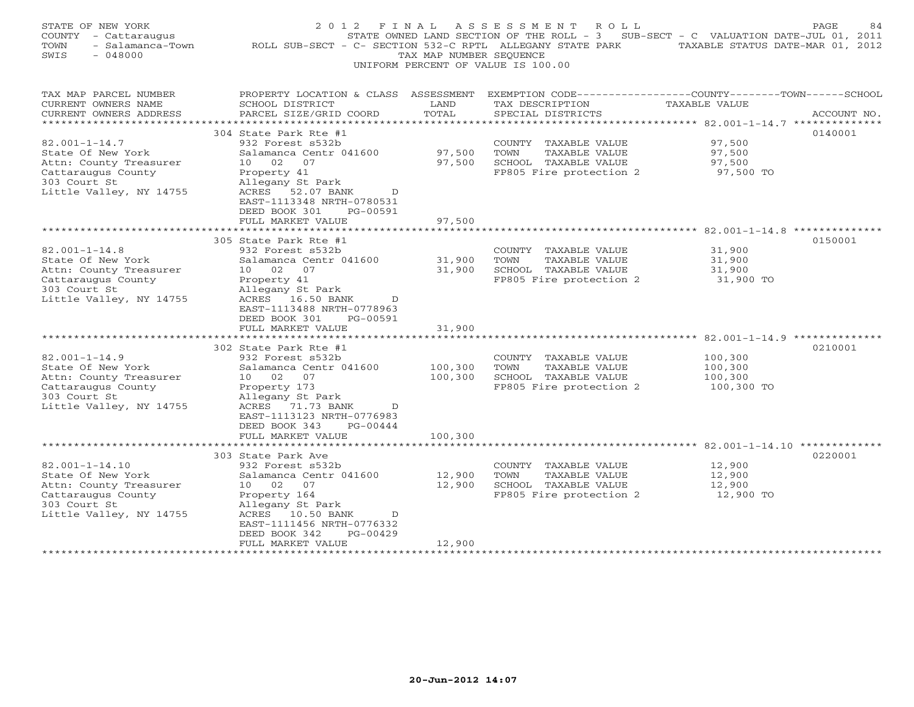| STATE OF NEW YORK<br>COUNTY - Cattaraugus<br>- Salamanca-Town<br>TOWN<br>$-048000$<br>SWIS                                           | 2012 FINAL<br>ROLL SUB-SECT - C- SECTION 532-C RPTL ALLEGANY STATE PARK TAXABLE STATUS DATE-MAR 01, 2012                                                                                                                   | TAX MAP NUMBER SEQUENCE    | ASSESSMENT ROLL<br>STATE OWNED LAND SECTION OF THE ROLL - $3$ SUB-SECT - C VALUATION DATE-JUL 01, 2011<br>UNIFORM PERCENT OF VALUE IS 100.00 |                                             | PAGE<br>84  |
|--------------------------------------------------------------------------------------------------------------------------------------|----------------------------------------------------------------------------------------------------------------------------------------------------------------------------------------------------------------------------|----------------------------|----------------------------------------------------------------------------------------------------------------------------------------------|---------------------------------------------|-------------|
| TAX MAP PARCEL NUMBER<br>CURRENT OWNERS NAME<br>CURRENT OWNERS ADDRESS<br>***********************                                    | PROPERTY LOCATION & CLASS ASSESSMENT<br>SCHOOL DISTRICT<br>PARCEL SIZE/GRID COORD                                                                                                                                          | LAND<br>TOTAL              | EXEMPTION CODE-----------------COUNTY-------TOWN------SCHOOL<br>TAX DESCRIPTION<br>SPECIAL DISTRICTS                                         | TAXABLE VALUE                               | ACCOUNT NO. |
| $82.001 - 1 - 14.7$<br>State Of New York<br>Attn: County Treasurer<br>Cattaraugus County<br>303 Court St<br>Little Valley, NY 14755  | 304 State Park Rte #1<br>932 Forest s532b<br>Salamanca Centr 041600<br>10 02 07<br>Property 41<br>Allegany St Park<br>ACRES 52.07 BANK<br>D<br>EAST-1113348 NRTH-0780531<br>DEED BOOK 301<br>PG-00591<br>FULL MARKET VALUE | 97,500<br>97,500<br>97,500 | COUNTY TAXABLE VALUE<br>TAXABLE VALUE<br>TOWN<br>SCHOOL TAXABLE VALUE<br>FP805 Fire protection 2                                             | 97,500<br>97,500<br>97,500<br>97,500 TO     | 0140001     |
|                                                                                                                                      | 305 State Park Rte #1                                                                                                                                                                                                      |                            |                                                                                                                                              |                                             | 0150001     |
| $82.001 - 1 - 14.8$<br>State Of New York<br>Attn: County Treasurer<br>Cattaraugus County<br>303 Court St<br>Little Valley, NY 14755  | 932 Forest s532b<br>Salamanca Centr 041600<br>10 02 07<br>Property 41<br>Allegany St Park<br>ACRES 16.50 BANK<br>$\mathcal{D}$<br>EAST-1113488 NRTH-0778963<br>DEED BOOK 301<br>PG-00591<br>FULL MARKET VALUE              | 31,900<br>31,900<br>31,900 | COUNTY TAXABLE VALUE<br>TOWN<br>TAXABLE VALUE<br>SCHOOL TAXABLE VALUE<br>FP805 Fire protection 2                                             | 31,900<br>31,900<br>31,900<br>31,900 TO     |             |
|                                                                                                                                      | *************************<br>302 State Park Rte #1                                                                                                                                                                         |                            |                                                                                                                                              |                                             | 0210001     |
| $82.001 - 1 - 14.9$<br>State Of New York<br>Attn: County Treasurer<br>Cattaraugus County<br>303 Court St<br>Little Valley, NY 14755  | 932 Forest s532b<br>Salamanca Centr 041600<br>10 02 07<br>Property 173<br>Allegany St Park<br>ACRES 71.73 BANK<br>D<br>EAST-1113123 NRTH-0776983<br>$PG-00444$<br>DEED BOOK 343                                            | 100,300<br>100,300         | COUNTY TAXABLE VALUE<br>TAXABLE VALUE<br>TOWN<br>SCHOOL TAXABLE VALUE<br>FP805 Fire protection 2                                             | 100,300<br>100,300<br>100,300<br>100,300 TO |             |
|                                                                                                                                      | FULL MARKET VALUE<br>********************                                                                                                                                                                                  | 100,300                    |                                                                                                                                              |                                             |             |
| $82.001 - 1 - 14.10$<br>State Of New York<br>Attn: County Treasurer<br>Cattaraugus County<br>303 Court St<br>Little Valley, NY 14755 | 303 State Park Ave<br>932 Forest s532b<br>Salamanca Centr 041600<br>10 02 07<br>Property 164<br>Allegany St Park<br>ACRES 10.50 BANK<br>D<br>EAST-1111456 NRTH-0776332<br>PG-00429<br>DEED BOOK 342<br>FULL MARKET VALUE   | 12,900<br>12,900<br>12,900 | COUNTY TAXABLE VALUE<br>TOWN<br>TAXABLE VALUE<br>SCHOOL TAXABLE VALUE<br>FP805 Fire protection 2                                             | 12,900<br>12,900<br>12,900<br>12,900 TO     | 0220001     |
| ***********************                                                                                                              | **********************                                                                                                                                                                                                     | * * * * * * * * * * * *    |                                                                                                                                              |                                             |             |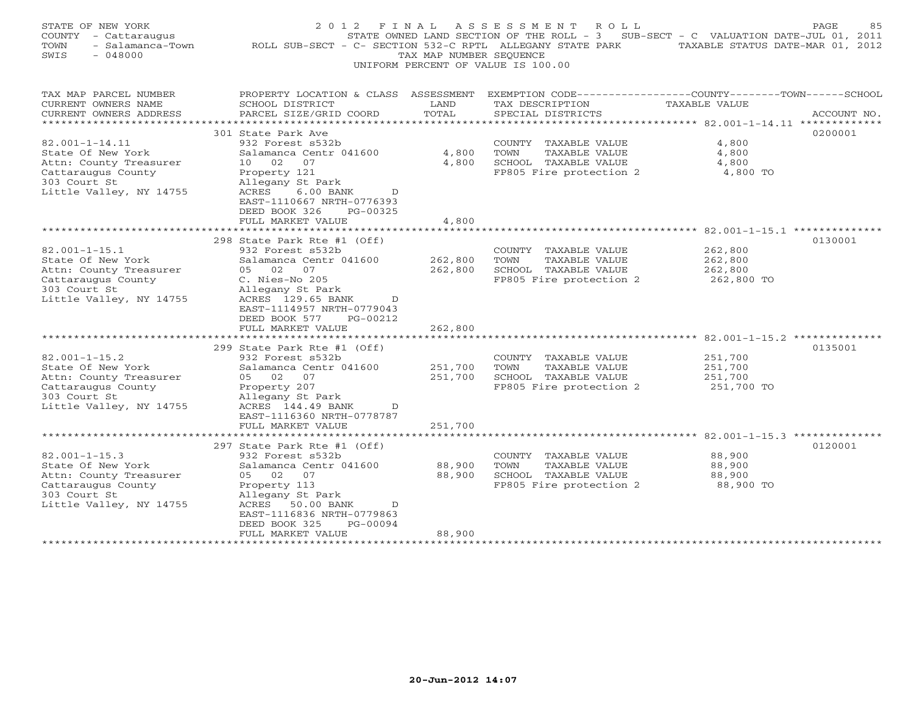| STATE OF NEW YORK<br>COUNTY - Cattaraugus<br>- Salamanca-Town<br>TOWN<br>SWIS<br>$-048000$                                           | 2 0 1 2<br>ROLL SUB-SECT - C- SECTION 532-C RPTL ALLEGANY STATE PARK                                                                                                                                                                                           | FINAL<br>TAX MAP NUMBER SEQUENCE         | ASSESSMENT<br>R O L L<br>STATE OWNED LAND SECTION OF THE ROLL - 3<br>UNIFORM PERCENT OF VALUE IS 100.00 | SUB-SECT - C VALUATION DATE-JUL 01, 2011<br>TAXABLE STATUS DATE-MAR 01, 2012                                              | PAGE<br>85  |
|--------------------------------------------------------------------------------------------------------------------------------------|----------------------------------------------------------------------------------------------------------------------------------------------------------------------------------------------------------------------------------------------------------------|------------------------------------------|---------------------------------------------------------------------------------------------------------|---------------------------------------------------------------------------------------------------------------------------|-------------|
| TAX MAP PARCEL NUMBER<br>CURRENT OWNERS NAME<br>CURRENT OWNERS ADDRESS<br>********************                                       | PROPERTY LOCATION & CLASS<br>SCHOOL DISTRICT<br>PARCEL SIZE/GRID COORD<br>******************                                                                                                                                                                   | ASSESSMENT<br>LAND<br>TOTAL<br>********* | TAX DESCRIPTION<br>SPECIAL DISTRICTS<br>*******************                                             | EXEMPTION CODE-----------------COUNTY-------TOWN------SCHOOL<br>TAXABLE VALUE<br>*********** 82.001-1-14.11 ************* | ACCOUNT NO. |
| $82.001 - 1 - 14.11$<br>State Of New York<br>Attn: County Treasurer<br>Cattaraugus County<br>303 Court St<br>Little Valley, NY 14755 | 301 State Park Ave<br>932 Forest s532b<br>Salamanca Centr 041600<br>1 O<br>02<br>07<br>Property 121<br>Allegany St Park<br>ACRES<br>$6.00$ BANK<br>D<br>EAST-1110667 NRTH-0776393<br>DEED BOOK 326<br>PG-00325<br>FULL MARKET VALUE                            | 4,800<br>4,800<br>4,800                  | COUNTY TAXABLE VALUE<br>TOWN<br>TAXABLE VALUE<br>SCHOOL TAXABLE VALUE<br>FP805 Fire protection 2        | 4,800<br>4,800<br>4,800<br>4,800 TO                                                                                       | 0200001     |
|                                                                                                                                      | *******************                                                                                                                                                                                                                                            | ****************                         |                                                                                                         |                                                                                                                           |             |
| $82.001 - 1 - 15.1$<br>State Of New York<br>Attn: County Treasurer<br>Cattaraugus County<br>303 Court St<br>Little Valley, NY 14755  | 298 State Park Rte #1 (Off)<br>932 Forest s532b<br>Salamanca Centr 041600<br>05 02 07<br>C. Nies-No 205<br>Allegany St Park<br>ACRES 129.65 BANK<br>D.<br>EAST-1114957 NRTH-0779043<br>DEED BOOK 577<br>PG-00212<br>FULL MARKET VALUE<br>********************* | 262,800<br>262,800<br>262,800            | COUNTY TAXABLE VALUE<br>TAXABLE VALUE<br>TOWN<br>SCHOOL TAXABLE VALUE<br>FP805 Fire protection 2        | 262,800<br>262,800<br>262,800<br>262,800 TO<br>82.001-1-15.2 ***************                                              | 0130001     |
| $82.001 - 1 - 15.2$<br>State Of New York<br>Attn: County Treasurer<br>Cattaraugus County<br>303 Court St<br>Little Valley, NY 14755  | 299 State Park Rte #1 (Off)<br>932 Forest s532b<br>Salamanca Centr 041600<br>05 02 07<br>Property 207<br>Allegany St Park<br>ACRES 144.49 BANK<br>D<br>EAST-1116360 NRTH-0778787                                                                               | 251,700<br>251,700                       | COUNTY TAXABLE VALUE<br>TOWN<br>TAXABLE VALUE<br>SCHOOL TAXABLE VALUE<br>FP805 Fire protection 2        | 251,700<br>251,700<br>251,700<br>251,700 TO                                                                               | 0135001     |
|                                                                                                                                      | FULL MARKET VALUE                                                                                                                                                                                                                                              | 251,700                                  |                                                                                                         |                                                                                                                           |             |
| $82.001 - 1 - 15.3$<br>State Of New York<br>Attn: County Treasurer<br>Cattaraugus County<br>303 Court St<br>Little Valley, NY 14755  | *******************<br>297 State Park Rte #1 (Off)<br>932 Forest s532b<br>Salamanca Centr 041600<br>05 02<br>07<br>Property 113<br>Allegany St Park<br>ACRES<br>50.00 BANK<br>D<br>EAST-1116836 NRTH-0779863                                                   | ***********<br>88,900<br>88,900          | COUNTY TAXABLE VALUE<br>TOWN<br>TAXABLE VALUE<br>SCHOOL TAXABLE VALUE<br>FP805 Fire protection 2        | ******************************** 82.001-1-15.3 **************<br>88,900<br>88,900<br>88,900<br>88,900 TO                  | 0120001     |
|                                                                                                                                      | DEED BOOK 325<br>PG-00094<br>FULL MARKET VALUE<br>********************                                                                                                                                                                                         | 88,900<br>* * * * * * * * * *            |                                                                                                         |                                                                                                                           |             |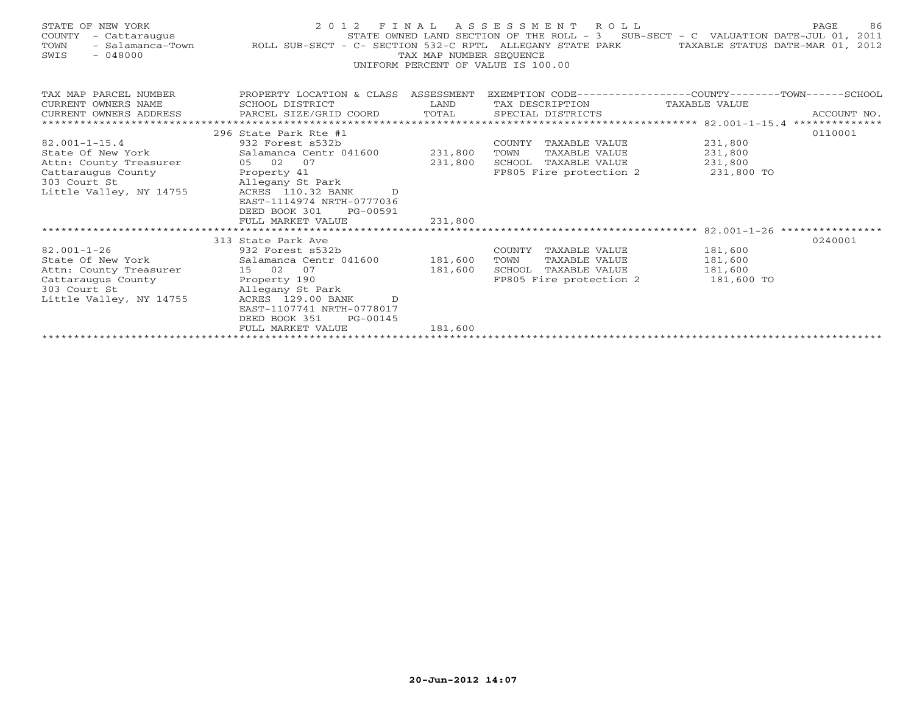| STATE OF NEW YORK<br>COUNTY<br>- Cattaraugus<br>TOWN<br>$-048000$<br>SWIS | 2 0 1 2<br>STATE OWNED LAND SECTION OF THE ROLL - 3 SUB-SECT - C VALUATION DATE-JUL 01, 2011 - Salamanca-Town - ROLL SUB-SECT - C- SECTION 532-C RPTL ALLEGANY STATE PARK TAXABLE STATUS DATE-MAR 01, 2012 | TAX MAP NUMBER SEQUENCE | FINAL ASSESSMENT ROLL<br>UNIFORM PERCENT OF VALUE IS 100.00 | STATE OWNED LAND SECTION OF THE ROLL - 3 SUB-SECT - C VALUATION DATE-JUL 01, 2011 | 86<br>PAGE  |
|---------------------------------------------------------------------------|------------------------------------------------------------------------------------------------------------------------------------------------------------------------------------------------------------|-------------------------|-------------------------------------------------------------|-----------------------------------------------------------------------------------|-------------|
| TAX MAP PARCEL NUMBER                                                     | PROPERTY LOCATION & CLASS ASSESSMENT                                                                                                                                                                       |                         |                                                             | EXEMPTION CODE-----------------COUNTY-------TOWN-----SCHOOL                       |             |
| CURRENT OWNERS NAME                                                       | SCHOOL DISTRICT                                                                                                                                                                                            | LAND                    | TAX DESCRIPTION TAXABLE VALUE                               |                                                                                   |             |
| CURRENT OWNERS ADDRESS                                                    | PARCEL SIZE/GRID COORD                                                                                                                                                                                     | TOTAL                   | SPECIAL DISTRICTS                                           |                                                                                   | ACCOUNT NO. |
|                                                                           | 296 State Park Rte #1                                                                                                                                                                                      |                         |                                                             |                                                                                   |             |
| $82.001 - 1 - 15.4$                                                       | 932 Forest s532b                                                                                                                                                                                           |                         | COUNTY TAXABLE VALUE                                        | 231,800                                                                           | 0110001     |
| State Of New York                                                         | Salamanca Centr 041600 231,800                                                                                                                                                                             |                         | TOWN<br>TAXABLE VALUE                                       |                                                                                   |             |
| Attn: County Treasurer                                                    | 05 02 07                                                                                                                                                                                                   | 231,800                 | SCHOOL TAXABLE VALUE                                        | 231,800<br>231,800                                                                |             |
| Cattaraugus County                                                        | Property 41                                                                                                                                                                                                |                         |                                                             | FP805 Fire protection 2 331,800 TO                                                |             |
| 303 Court St                                                              | Allegany St Park                                                                                                                                                                                           |                         |                                                             |                                                                                   |             |
| Little Valley, NY 14755                                                   | ACRES 110.32 BANK<br>$\Gamma$                                                                                                                                                                              |                         |                                                             |                                                                                   |             |
|                                                                           | EAST-1114974 NRTH-0777036                                                                                                                                                                                  |                         |                                                             |                                                                                   |             |
|                                                                           | DEED BOOK 301<br>PG-00591                                                                                                                                                                                  |                         |                                                             |                                                                                   |             |
|                                                                           | FULL MARKET VALUE                                                                                                                                                                                          | 231,800                 |                                                             |                                                                                   |             |
|                                                                           |                                                                                                                                                                                                            |                         |                                                             |                                                                                   |             |
|                                                                           | 313 State Park Ave                                                                                                                                                                                         |                         |                                                             |                                                                                   | 0240001     |
| $82.001 - 1 - 26$                                                         | 932 Forest s532b                                                                                                                                                                                           |                         | COUNTY TAXABLE VALUE                                        | 181,600                                                                           |             |
| State Of New York                                                         | Salamanca Centr 041600 181,600                                                                                                                                                                             |                         | TOWN<br>TAXABLE VALUE                                       | 181,600                                                                           |             |
| Attn: County Treasurer 15 02 07                                           |                                                                                                                                                                                                            | 181,600                 | SCHOOL TAXABLE VALUE                                        | 181,600                                                                           |             |
| Cattaraugus County                                                        | Property 190                                                                                                                                                                                               |                         | FP805 Fire protection 2                                     | 181,600 TO                                                                        |             |
| 303 Court St                                                              | Allegany St Park                                                                                                                                                                                           |                         |                                                             |                                                                                   |             |
| Little Valley, NY 14755                                                   | ACRES 129.00 BANK D                                                                                                                                                                                        |                         |                                                             |                                                                                   |             |
|                                                                           | EAST-1107741 NRTH-0778017                                                                                                                                                                                  |                         |                                                             |                                                                                   |             |
|                                                                           | DEED BOOK 351<br>PG-00145                                                                                                                                                                                  |                         |                                                             |                                                                                   |             |
|                                                                           | FULL MARKET VALUE                                                                                                                                                                                          | 181,600                 |                                                             |                                                                                   |             |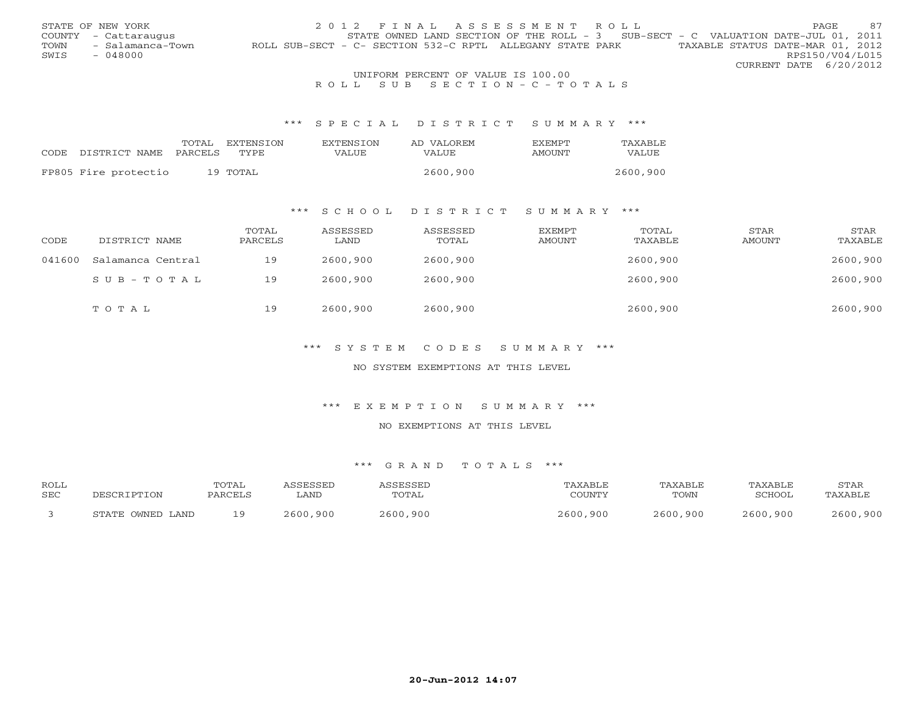|      | STATE OF NEW YORK    | 2012 FINAL ASSESSMENT ROLL                                                                    | <b>PAGE</b>            | 87 |
|------|----------------------|-----------------------------------------------------------------------------------------------|------------------------|----|
|      | COUNTY - Cattaraugus | STATE OWNED LAND SECTION OF THE ROLL - $3$ SUB-SECT - C VALUATION DATE-JUL 01, 2011           |                        |    |
| TOWN | - Salamanca-Town     | TAXABLE STATUS DATE-MAR 01, 2012<br>ROLL SUB-SECT - C- SECTION 532-C RPTL ALLEGANY STATE PARK |                        |    |
| SWIS | $-048000$            |                                                                                               | RPS150/V04/L015        |    |
|      |                      |                                                                                               | CURRENT DATE 6/20/2012 |    |
|      |                      | LINITRODM DRDORME OR 1731 UR IO 100 00                                                        |                        |    |

## UNIFORM PERCENT OF VALUE IS 100.00<br>R O L L S U B S E C T I O N - C - T O T A L S

#### \*\*\* S P E C I A L D I S T R I C T S U M M A R Y \*\*\*

|                                 | TOTAL. | <b>FXTENSTON</b> | <b>EXTENSION</b> | AD VALOREM   | <b>FXFMPT</b> | TAXABLE  |
|---------------------------------|--------|------------------|------------------|--------------|---------------|----------|
| CODE DISTRICT NAME PARCELS TYPE |        |                  | VALUE            | <b>VALUE</b> | AMOUNT        | VALUE    |
|                                 |        |                  |                  |              |               |          |
| FP805 Fire protectio            |        | 19 TOTAL         |                  | 2600,900     |               | 2600,900 |

## \*\*\* S C H O O L D I S T R I C T S U M M A R Y \*\*\*

| CODE   | DISTRICT NAME     | TOTAL<br>PARCELS | ASSESSED<br>LAND | ASSESSED<br>TOTAL | EXEMPT<br>AMOUNT | TOTAL<br>TAXABLE | STAR<br>AMOUNT | STAR<br>TAXABLE |
|--------|-------------------|------------------|------------------|-------------------|------------------|------------------|----------------|-----------------|
| 041600 | Salamanca Central | 19               | 2600,900         | 2600,900          |                  | 2600,900         |                | 2600,900        |
|        | SUB-TOTAL         | 19               | 2600,900         | 2600,900          |                  | 2600,900         |                | 2600,900        |
|        | TOTAL             | 19               | 2600,900         | 2600,900          |                  | 2600,900         |                | 2600,900        |

## \*\*\* S Y S T E M C O D E S S U M M A R Y \*\*\*

#### NO SYSTEM EXEMPTIONS AT THIS LEVEL

#### \*\*\* E X E M P T I O N S U M M A R Y \*\*\*

#### NO EXEMPTIONS AT THIS LEVEL

| <b>ROLL</b> |                  | TOTAL   | <i><b>\SSESSED</b></i> | ASSESSED | TAXABLE       | TAXABLE  | TAXABLE  | STAR     |
|-------------|------------------|---------|------------------------|----------|---------------|----------|----------|----------|
| <b>SEC</b>  | DESCRIPTION      | PARCELS | LAND                   | TOTAL    | COUNTY        | TOWN     | SCHOOL   | TAXABLE  |
|             | STATE OWNED LAND | ∣⊂      | 2600,900               | 2600,900 | 2600.<br>.900 | 2600,900 | 2600,900 | 2600,900 |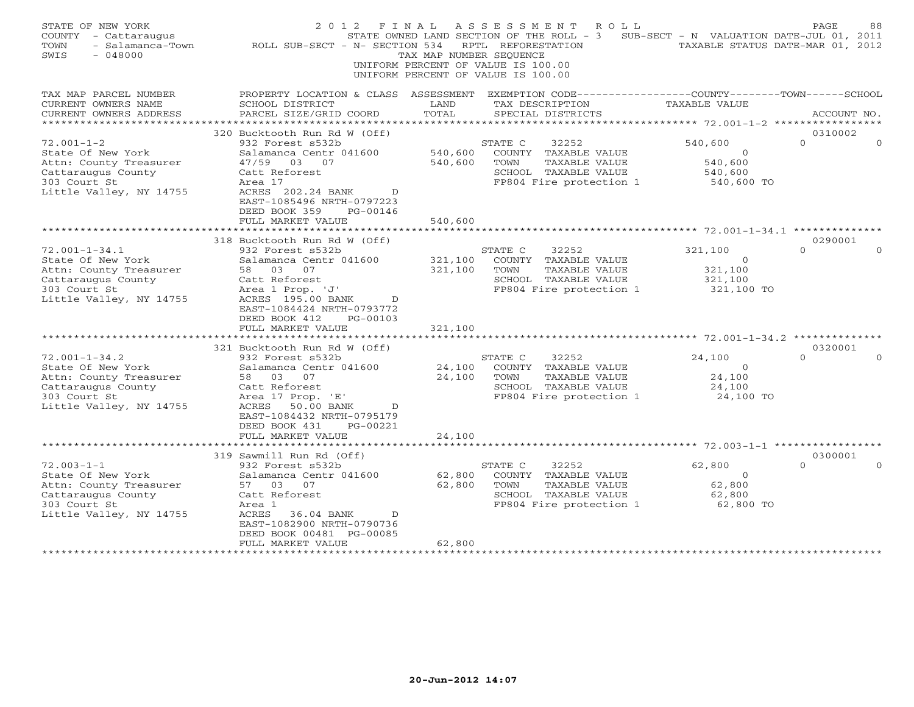| STATE OF NEW YORK<br>COUNTY - Cattaraugus<br>- Salamanca-Town<br>TOWN<br>SWIS<br>$-048000$                                          | 2012 FINAL<br>ROLL SUB-SECT - N- SECTION 534                                                                                                                                                                                                            | TAX MAP NUMBER SEQUENCE       | ASSESSMENT<br>R O L L<br>STATE OWNED LAND SECTION OF THE ROLL - 3<br>RPTL REFORESTATION<br>UNIFORM PERCENT OF VALUE IS 100.00<br>UNIFORM PERCENT OF VALUE IS 100.00 | SUB-SECT - N VALUATION DATE-JUL 01, 2011<br>TAXABLE STATUS DATE-MAR 01, 2012 | 88<br>PAGE                      |
|-------------------------------------------------------------------------------------------------------------------------------------|---------------------------------------------------------------------------------------------------------------------------------------------------------------------------------------------------------------------------------------------------------|-------------------------------|---------------------------------------------------------------------------------------------------------------------------------------------------------------------|------------------------------------------------------------------------------|---------------------------------|
| TAX MAP PARCEL NUMBER<br>CURRENT OWNERS NAME<br>CURRENT OWNERS ADDRESS                                                              | PROPERTY LOCATION & CLASS ASSESSMENT<br>SCHOOL DISTRICT<br>PARCEL SIZE/GRID COORD                                                                                                                                                                       | LAND<br>TOTAL                 | EXEMPTION CODE-----------------COUNTY-------TOWN------SCHOOL<br>TAX DESCRIPTION<br>SPECIAL DISTRICTS                                                                | TAXABLE VALUE                                                                | ACCOUNT NO.                     |
|                                                                                                                                     |                                                                                                                                                                                                                                                         |                               |                                                                                                                                                                     | *********** 72.001-1-2 ***********                                           |                                 |
| $72.001 - 1 - 2$<br>State Of New York<br>Attn: County Treasurer<br>Cattaraugus County<br>303 Court St<br>Little Valley, NY 14755    | 320 Bucktooth Run Rd W (Off)<br>932 Forest s532b<br>Salamanca Centr 041600<br>47/59 03 07<br>Catt Reforest<br>Area 17<br>ACRES 202.24 BANK<br>D<br>EAST-1085496 NRTH-0797223                                                                            | 540,600<br>540,600            | 32252<br>STATE C<br>COUNTY TAXABLE VALUE<br>TOWN<br>TAXABLE VALUE<br>SCHOOL TAXABLE VALUE<br>FP804 Fire protection 1                                                | 540,600<br>$\circ$<br>540,600<br>540,600<br>540,600 TO                       | 0310002<br>$\Omega$             |
|                                                                                                                                     | DEED BOOK 359<br>PG-00146<br>FULL MARKET VALUE<br>**********************                                                                                                                                                                                | 540,600                       |                                                                                                                                                                     |                                                                              |                                 |
|                                                                                                                                     | 318 Bucktooth Run Rd W (Off)                                                                                                                                                                                                                            |                               |                                                                                                                                                                     |                                                                              | 0290001                         |
| $72.001 - 1 - 34.1$<br>State Of New York<br>Attn: County Treasurer<br>Cattaraugus County<br>303 Court St<br>Little Valley, NY 14755 | 932 Forest s532b<br>Salamanca Centr 041600<br>03<br>58<br>07<br>Catt Reforest<br>Area 1 Prop. 'J'<br>ACRES 195.00 BANK<br>$\overline{D}$<br>EAST-1084424 NRTH-0793772<br>DEED BOOK 412<br>PG-00103<br>FULL MARKET VALUE<br>321 Bucktooth Run Rd W (Off) | 321,100<br>321,100<br>321,100 | 32252<br>STATE C<br>COUNTY TAXABLE VALUE<br>TOWN<br>TAXABLE VALUE<br>SCHOOL TAXABLE VALUE<br>FP804 Fire protection 1                                                | 321,100<br>$\overline{0}$<br>321,100<br>321,100<br>321,100 TO                | $\Omega$<br>$\Omega$<br>0320001 |
| $72.001 - 1 - 34.2$<br>State Of New York<br>Attn: County Treasurer<br>Cattaraugus County<br>303 Court St<br>Little Valley, NY 14755 | 932 Forest s532b<br>Salamanca Centr 041600<br>58 03 07<br>Catt Reforest<br>Area 17 Prop. 'E'<br>ACRES<br>50.00 BANK<br>$\mathbb D$<br>EAST-1084432 NRTH-0795179<br>DEED BOOK 431<br>PG-00221<br>FULL MARKET VALUE                                       | 24,100<br>24,100<br>24,100    | STATE C<br>32252<br>COUNTY TAXABLE VALUE<br>TOWN<br>TAXABLE VALUE<br>SCHOOL TAXABLE VALUE<br>FP804 Fire protection 1                                                | 24,100<br>$\circ$<br>24,100<br>24,100<br>24,100 TO                           | $\Omega$                        |
|                                                                                                                                     | ********************                                                                                                                                                                                                                                    |                               |                                                                                                                                                                     |                                                                              |                                 |
| $72.003 - 1 - 1$<br>State Of New York<br>Attn: County Treasurer<br>Cattaraugus County<br>303 Court St<br>Little Valley, NY 14755    | 319 Sawmill Run Rd (Off)<br>932 Forest s532b<br>Salamanca Centr 041600<br>57<br>03<br>07<br>Catt Reforest<br>Area 1<br>ACRES<br>36.04 BANK<br>$\Box$<br>EAST-1082900 NRTH-0790736<br>DEED BOOK 00481 PG-00085<br>FULL MARKET VALUE                      | 62,800<br>62,800<br>62,800    | 32252<br>STATE C<br>COUNTY TAXABLE VALUE<br>TOWN<br>TAXABLE VALUE<br>SCHOOL TAXABLE VALUE<br>FP804 Fire protection 1                                                | 62,800<br>$\circ$<br>62,800<br>62,800<br>62,800 TO                           | 0300001<br>$\Omega$             |
|                                                                                                                                     |                                                                                                                                                                                                                                                         |                               |                                                                                                                                                                     |                                                                              |                                 |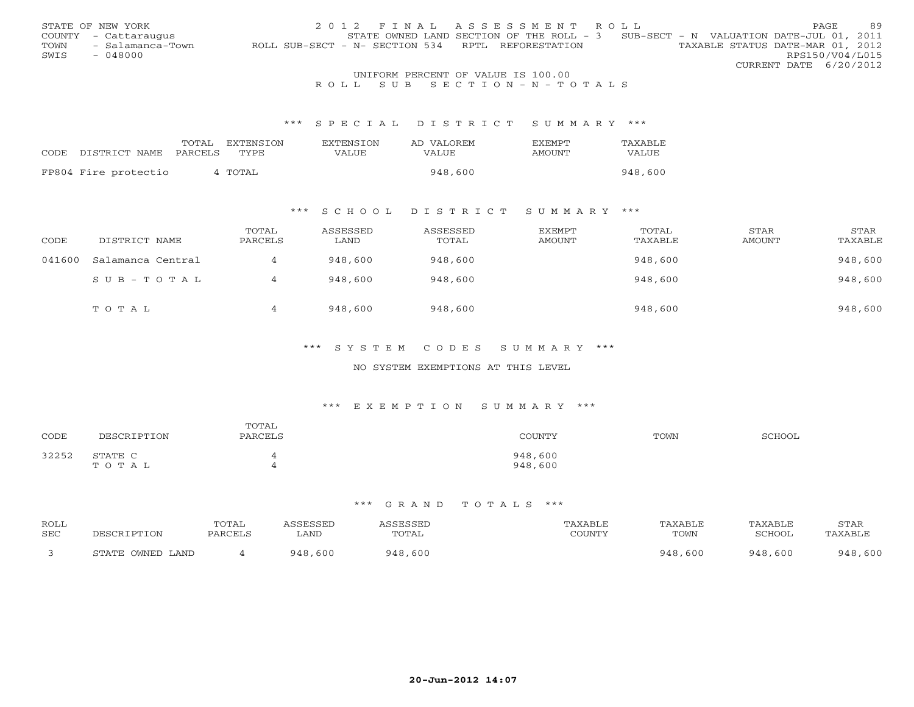|      | STATE OF NEW YORK    | 2012 FINAL ASSESSMENT ROLL                                                            | <b>PAGE</b>            | 89 |
|------|----------------------|---------------------------------------------------------------------------------------|------------------------|----|
|      | COUNTY - Cattaraugus | STATE OWNED LAND SECTION OF THE ROLL - 3 SUB-SECT - N VALUATION DATE-JUL 01, 2011     |                        |    |
| TOWN | - Salamanca-Town     | TAXABLE STATUS DATE-MAR 01, 2012<br>ROLL SUB-SECT - N- SECTION 534 RPTL REFORESTATION |                        |    |
| SWIS | $-048000$            |                                                                                       | RPS150/V04/L015        |    |
|      |                      |                                                                                       | CURRENT DATE 6/20/2012 |    |
|      |                      | UNIFORM PERCENT OF VALUE IS 100.00                                                    |                        |    |

## R O L L S U B S E C T I O N - N - T O T A L S

#### \*\*\* S P E C I A L D I S T R I C T S U M M A R Y \*\*\*

|                      | TOTAL   | EXTENSTON | EXTENSTON | AD VALOREM | <b>FXFMPT</b> | TAXABLE |
|----------------------|---------|-----------|-----------|------------|---------------|---------|
| CODE DISTRICT NAME   | PARCELS | TYPE.     | VALUE     | VALUE      | <b>AMOUNT</b> | VALUE   |
| FP804 Fire protectio |         | 4 TOTAL   |           | 948,600    |               | 948,600 |

## \*\*\* S C H O O L D I S T R I C T S U M M A R Y \*\*\*

| CODE   | DISTRICT NAME     | TOTAL<br>PARCELS | ASSESSED<br>LAND | ASSESSED<br>TOTAL | EXEMPT<br>AMOUNT | TOTAL<br>TAXABLE | STAR<br>AMOUNT | STAR<br>TAXABLE |
|--------|-------------------|------------------|------------------|-------------------|------------------|------------------|----------------|-----------------|
| 041600 | Salamanca Central |                  | 948,600          | 948,600           |                  | 948,600          |                | 948,600         |
|        | $SUB - TO T AL$   |                  | 948,600          | 948,600           |                  | 948,600          |                | 948,600         |
|        | TOTAL             | 4                | 948,600          | 948,600           |                  | 948,600          |                | 948,600         |

## \*\*\* S Y S T E M C O D E S S U M M A R Y \*\*\*

#### NO SYSTEM EXEMPTIONS AT THIS LEVEL

#### \*\*\* E X E M P T I O N S U M M A R Y \*\*\*

| CODE  | DESCRIPTION      | TOTAL<br>PARCELS | COUNTY             | TOWN | <b>SCHOOL</b> |
|-------|------------------|------------------|--------------------|------|---------------|
| 32252 | STATE C<br>TOTAL |                  | 948,600<br>948,600 |      |               |

| ROLL<br>SEC | IPTION           | <b>COTAL</b><br>PARCEL | SSEL<br>LAND | ESSED<br><b>TOTAL</b> | AXABLF<br>$\gamma$ of tatifies | <b>TAXABLE</b><br>TOWN | TAXABLE<br>SCHOOL | <b>STAR</b><br>√AXABL™ |
|-------------|------------------|------------------------|--------------|-----------------------|--------------------------------|------------------------|-------------------|------------------------|
|             | STATE OWNED LAND |                        | 010<br>. 600 | 948<br>,600           |                                | 600                    | . 600<br>919      | 600<br>948             |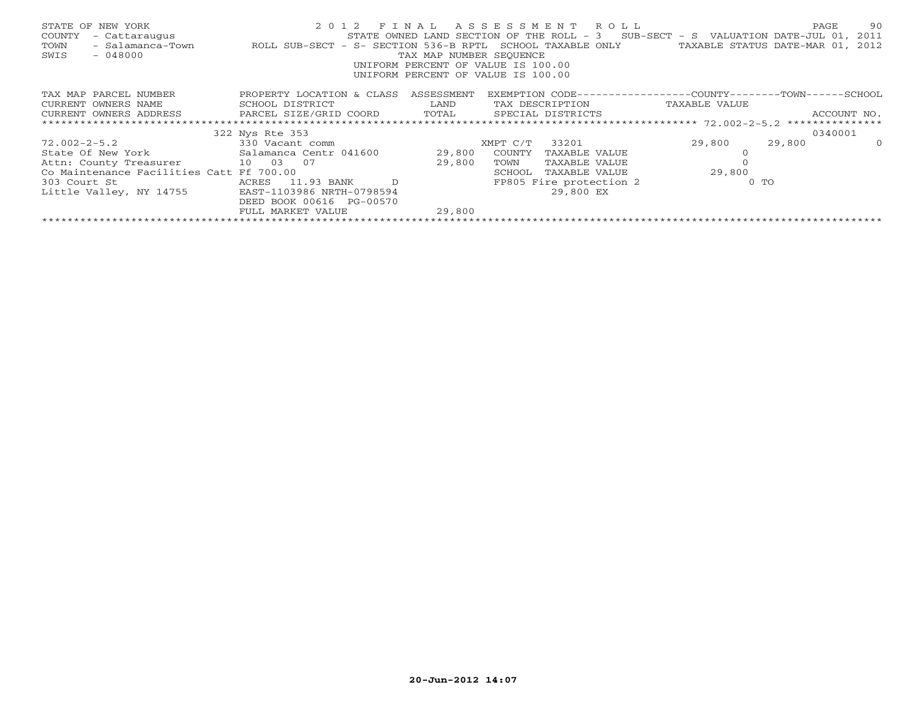| STATE OF NEW YORK<br>- Cattaraugus<br>COUNTY<br>TOWN<br>$-048000$<br>SWIS                       | - Salamanca-Town ROLL SUB-SECT - S- SECTION 536-B RPTL | TAX MAP NUMBER SEQUENCE | 2012 FINAL ASSESSMENT ROLL<br>STATE OWNED LAND SECTION OF THE ROLL - 3 SUB-SECT - S VALUATION DATE-JUL 01, 2011<br>SCHOOL TAXABLE ONLY<br>UNIFORM PERCENT OF VALUE IS 100.00<br>UNIFORM PERCENT OF VALUE IS 100.00 |        | 90<br>PAGE<br>TAXABLE STATUS DATE-MAR 01, 2012 |
|-------------------------------------------------------------------------------------------------|--------------------------------------------------------|-------------------------|--------------------------------------------------------------------------------------------------------------------------------------------------------------------------------------------------------------------|--------|------------------------------------------------|
| TAX MAP PARCEL NUMBER                                                                           | PROPERTY LOCATION & CLASS ASSESSMENT                   |                         | EXEMPTION CODE-----------------COUNTY-------TOWN------SCHOOL                                                                                                                                                       |        |                                                |
| CURRENT OWNERS NAME                                                                             | SCHOOL DISTRICT                                        | LAND                    | TAX DESCRIPTION TAXABLE VALUE                                                                                                                                                                                      |        |                                                |
| CURRENT OWNERS ADDRESS             PARCEL SIZE/GRID COORD         TOTAL       SPECIAL DISTRICTS |                                                        |                         |                                                                                                                                                                                                                    |        | ACCOUNT NO.                                    |
|                                                                                                 |                                                        |                         |                                                                                                                                                                                                                    |        |                                                |
|                                                                                                 | 322 Nys Rte 353                                        |                         |                                                                                                                                                                                                                    |        | 0340001                                        |
| $72.002 - 2 - 5.2$                                                                              | 330 Vacant comm                                        |                         | 33201<br>XMPT C/T                                                                                                                                                                                                  | 29,800 | 29,800<br>$\Omega$                             |
| State Of New York Salamanca Centr 041600 29,800                                                 |                                                        |                         | COUNTY<br>TAXABLE VALUE                                                                                                                                                                                            |        |                                                |
| Attn: County Treasurer 10 03 07                                                                 |                                                        | 29,800                  | TOWN<br>TAXABLE VALUE                                                                                                                                                                                              |        |                                                |
| Co Maintenance Facilities Catt Ff 700.00                                                        |                                                        |                         | SCHOOL<br>TAXABLE VALUE                                                                                                                                                                                            | 29,800 |                                                |
| 303 Court St                                                                                    | 11.93 BANK D<br>ACRES                                  |                         | FP805 Fire protection 2                                                                                                                                                                                            | $0$ TO |                                                |
| Little Valley, NY 14755                                                                         | EAST-1103986 NRTH-0798594                              |                         | 29,800 EX                                                                                                                                                                                                          |        |                                                |
|                                                                                                 | DEED BOOK 00616 PG-00570                               |                         |                                                                                                                                                                                                                    |        |                                                |
|                                                                                                 | FULL MARKET VALUE                                      | 29,800                  |                                                                                                                                                                                                                    |        |                                                |
|                                                                                                 |                                                        |                         |                                                                                                                                                                                                                    |        |                                                |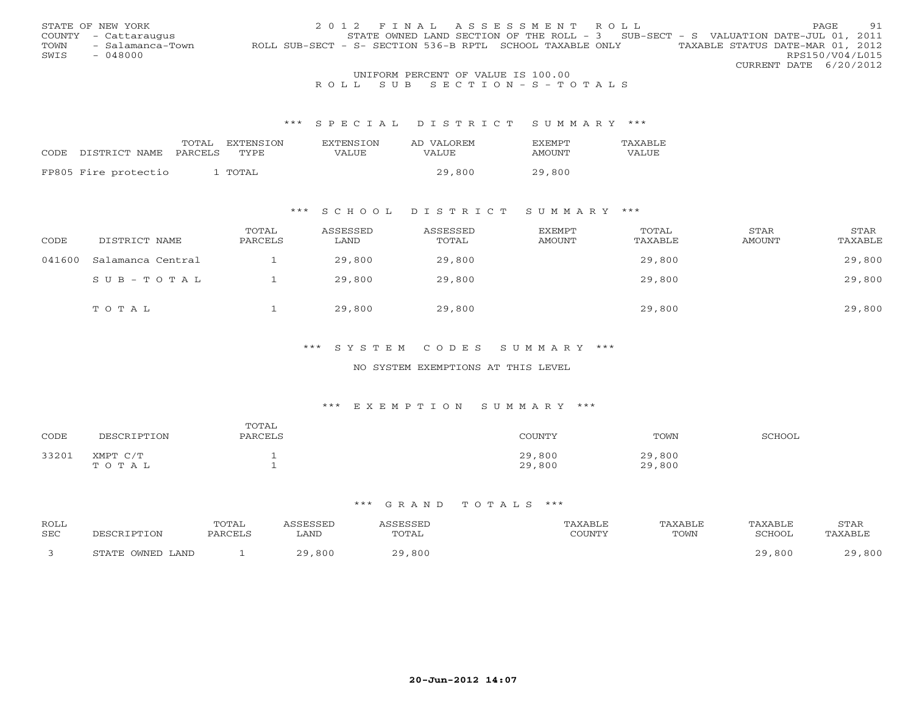|      | STATE OF NEW YORK                   | 2012 FINAL ASSESSMENT ROLL                                                                    | PAGE.           | 91 |  |  |  |  |
|------|-------------------------------------|-----------------------------------------------------------------------------------------------|-----------------|----|--|--|--|--|
|      | COUNTY - Cattaraugus                | STATE OWNED LAND SECTION OF THE ROLL - 3 SUB-SECT - S VALUATION DATE-JUL 01, 2011             |                 |    |  |  |  |  |
| TOWN | - Salamanca-Town                    | TAXABLE STATUS DATE-MAR 01, 2012<br>ROLL SUB-SECT - S- SECTION 536-B RPTL SCHOOL TAXABLE ONLY |                 |    |  |  |  |  |
| SWIS | $-048000$                           |                                                                                               | RPS150/V04/L015 |    |  |  |  |  |
|      |                                     | CURRENT DATE 6/20/2012                                                                        |                 |    |  |  |  |  |
|      | INITEOPM PEPCENT OF WAITE TO 100 00 |                                                                                               |                 |    |  |  |  |  |

## UNIFORM PERCENT OF VALUE IS 100.00<br>R O L L S U B S E C T I O N – S – T O T A L S

#### \*\*\* S P E C I A L D I S T R I C T S U M M A R Y \*\*\*

|                      | TOTAL   | EXTENSTON | <b>EXTENSION</b> | AD VALOREM | <b>FXFMPT</b> | <b>TAXABLE</b> |
|----------------------|---------|-----------|------------------|------------|---------------|----------------|
| CODE DISTRICT NAME   | PARCELS | TYPE      | <b>VALUE</b>     | VALUE      | AMOUNT        | VALUE          |
|                      |         |           |                  |            |               |                |
| FP805 Fire protectio |         | . TOTAL   |                  | 29,800     | 29,800        |                |

### \*\*\* S C H O O L D I S T R I C T S U M M A R Y \*\*\*

| CODE   | DISTRICT NAME     | TOTAL<br>PARCELS | ASSESSED<br>LAND | ASSESSED<br>TOTAL | EXEMPT<br>AMOUNT | TOTAL<br>TAXABLE | STAR<br>AMOUNT | STAR<br>TAXABLE |
|--------|-------------------|------------------|------------------|-------------------|------------------|------------------|----------------|-----------------|
| 041600 | Salamanca Central |                  | 29,800           | 29,800            |                  | 29,800           |                | 29,800          |
|        | $SUB - TO T AL$   |                  | 29,800           | 29,800            |                  | 29,800           |                | 29,800          |
|        | TOTAL             |                  | 29,800           | 29,800            |                  | 29,800           |                | 29,800          |

## \*\*\* S Y S T E M C O D E S S U M M A R Y \*\*\*

#### NO SYSTEM EXEMPTIONS AT THIS LEVEL

#### \*\*\* E X E M P T I O N S U M M A R Y \*\*\*

| CODE  | DESCRIPTION       | TOTAL<br>PARCELS | COUNTY           | TOWN             | SCHOOL |
|-------|-------------------|------------------|------------------|------------------|--------|
| 33201 | XMPT C/T<br>TOTAL |                  | 29,800<br>29,800 | 29,800<br>29,800 |        |

| ROLL |                  | TOTAL   | SSESSED | <b>CORCORT</b> |           | TAXABLE | TAXABLE | STAR                  |
|------|------------------|---------|---------|----------------|-----------|---------|---------|-----------------------|
| SEC  | DESCRIPTION      | PARCELL | LAND    | TOTAL          | $\bigcap$ | TOWN    | 'CHOOL  | TAXABLE               |
|      | STATE OWNED LAND |         | 29,800  | 29,800         |           |         | .800    | ,800<br>$\cap$ $\cap$ |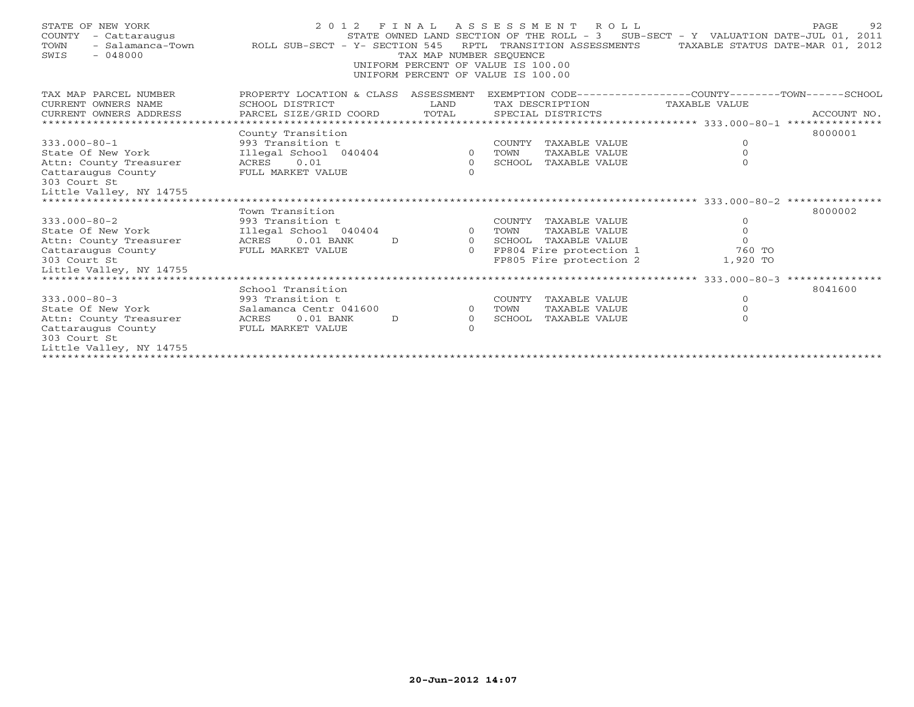| STATE OF NEW YORK<br>COUNTY<br>- Cattaraugus<br>TOWN<br>$-048000$<br>SWIS | - Salamanca-Town ROLL SUB-SECT - Y- SECTION 545 | TAX MAP NUMBER SEOUENCE<br>UNIFORM PERCENT OF VALUE IS 100.00<br>UNIFORM PERCENT OF VALUE IS 100.00 | 2012 FINAL ASSESSMENT ROLL<br>RPTL TRANSITION ASSESSMENTS | PAGE<br>STATE OWNED LAND SECTION OF THE ROLL - 3 SUB-SECT - Y VALUATION DATE-JUL 01, 2011<br>TAXABLE STATUS DATE-MAR 01, 2012 | 92 |
|---------------------------------------------------------------------------|-------------------------------------------------|-----------------------------------------------------------------------------------------------------|-----------------------------------------------------------|-------------------------------------------------------------------------------------------------------------------------------|----|
| TAX MAP PARCEL NUMBER                                                     | PROPERTY LOCATION & CLASS ASSESSMENT            |                                                                                                     |                                                           | EXEMPTION CODE-----------------COUNTY-------TOWN------SCHOOL                                                                  |    |
| CURRENT OWNERS NAME                                                       | SCHOOL DISTRICT                                 | LAND                                                                                                | TAX DESCRIPTION                                           | TAXABLE VALUE                                                                                                                 |    |
| CURRENT OWNERS ADDRESS                                                    | PARCEL SIZE/GRID COORD                          | TOTAL                                                                                               | SPECIAL DISTRICTS                                         | ACCOUNT NO.                                                                                                                   |    |
|                                                                           |                                                 |                                                                                                     |                                                           |                                                                                                                               |    |
|                                                                           | County Transition                               |                                                                                                     |                                                           | 8000001                                                                                                                       |    |
| $333.000 - 80 - 1$                                                        | 993 Transition t                                |                                                                                                     | COUNTY TAXABLE VALUE                                      | $\circ$                                                                                                                       |    |
| State Of New York                                                         | Illegal School 040404                           | $\circ$                                                                                             | <b>TAXABLE VALUE</b><br>TOWN                              | $\circ$                                                                                                                       |    |
| Attn: County Treasurer                                                    | 0.01<br>ACRES                                   | $\circ$                                                                                             | SCHOOL TAXABLE VALUE                                      | $\Omega$                                                                                                                      |    |
| Cattaraugus County<br>303 Court St                                        | FULL MARKET VALUE                               | $\Omega$                                                                                            |                                                           |                                                                                                                               |    |
| Little Valley, NY 14755                                                   |                                                 |                                                                                                     |                                                           |                                                                                                                               |    |
|                                                                           |                                                 |                                                                                                     |                                                           |                                                                                                                               |    |
|                                                                           | Town Transition                                 |                                                                                                     |                                                           | 8000002                                                                                                                       |    |
| $333.000 - 80 - 2$                                                        | 993 Transition t                                |                                                                                                     | COUNTY TAXABLE VALUE                                      | $\circ$                                                                                                                       |    |
| State Of New York                                                         | Illegal School 040404                           | $\circ$                                                                                             | TOWN<br>TAXABLE VALUE                                     | $\circ$                                                                                                                       |    |
| Attn: County Treasurer                                                    | $0.01$ BANK<br>ACRES                            | $\overline{O}$<br>D                                                                                 | SCHOOL TAXABLE VALUE                                      | $\Omega$                                                                                                                      |    |
| Cattaraugus County                                                        | FULL MARKET VALUE                               | $\Omega$                                                                                            | FP804 Fire protection 1                                   | 760 TO                                                                                                                        |    |
| 303 Court St                                                              |                                                 |                                                                                                     | FP805 Fire protection 2                                   | 1,920 TO                                                                                                                      |    |
| Little Valley, NY 14755                                                   |                                                 |                                                                                                     |                                                           |                                                                                                                               |    |
|                                                                           |                                                 |                                                                                                     |                                                           |                                                                                                                               |    |
|                                                                           | School Transition                               |                                                                                                     |                                                           | 8041600                                                                                                                       |    |
| $333.000 - 80 - 3$                                                        | 993 Transition t                                |                                                                                                     | COUNTY TAXABLE VALUE                                      | $\circ$                                                                                                                       |    |
| State Of New York                                                         | Salamanca Centr 041600                          | $\Omega$                                                                                            | TOWN<br>TAXABLE VALUE                                     | $\Omega$                                                                                                                      |    |
| Attn: County Treasurer                                                    | $0.01$ BANK<br>ACRES                            | $\circ$<br>D                                                                                        | SCHOOL<br>TAXABLE VALUE                                   | $\Omega$                                                                                                                      |    |
| Cattaraugus County                                                        | FULL MARKET VALUE                               | $\Omega$                                                                                            |                                                           |                                                                                                                               |    |
| 303 Court St                                                              |                                                 |                                                                                                     |                                                           |                                                                                                                               |    |
| Little Valley, NY 14755                                                   |                                                 |                                                                                                     |                                                           |                                                                                                                               |    |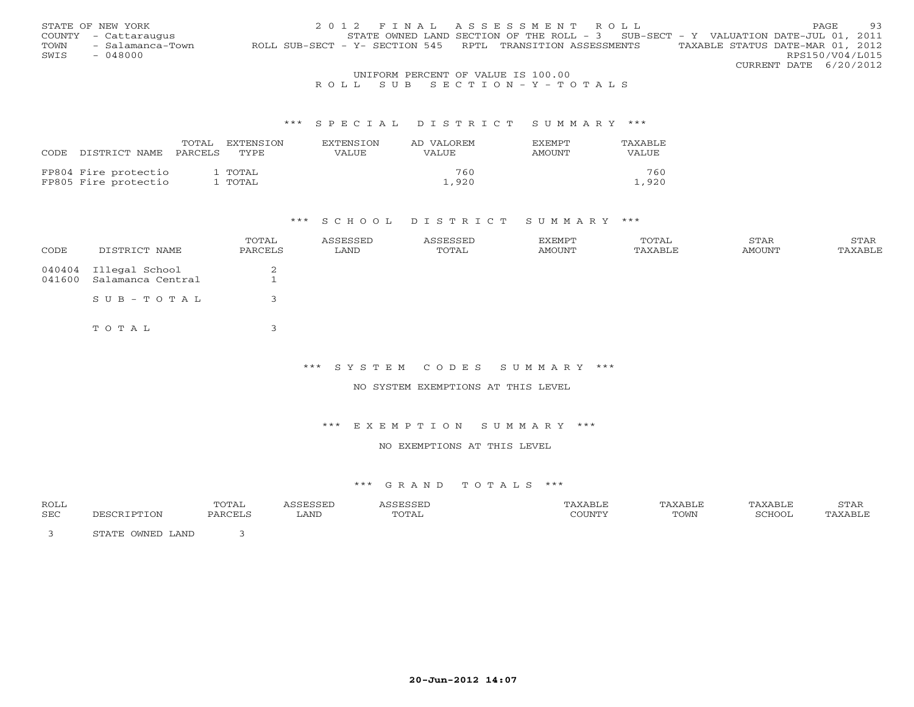|      | STATE OF NEW YORK                  | 2012 FINAL ASSESSMENT ROLL                                                                     | <b>PAGE</b>            | 93 |  |  |  |  |
|------|------------------------------------|------------------------------------------------------------------------------------------------|------------------------|----|--|--|--|--|
|      | COUNTY - Cattaraugus               | STATE OWNED LAND SECTION OF THE ROLL - 3 SUB-SECT - Y VALUATION DATE-JUL 01, 2011              |                        |    |  |  |  |  |
| TOWN | - Salamanca-Town                   | TAXABLE STATUS DATE-MAR 01, 2012<br>ROLL SUB-SECT - Y- SECTION 545 RPTL TRANSITION ASSESSMENTS |                        |    |  |  |  |  |
| SWIS | $-048000$                          |                                                                                                | RPS150/V04/L015        |    |  |  |  |  |
|      |                                    |                                                                                                | CURRENT DATE 6/20/2012 |    |  |  |  |  |
|      | UNIFORM PERCENT OF VALUE IS 100.00 |                                                                                                |                        |    |  |  |  |  |

## R O L L S U B S E C T I O N - Y - T O T A L S

#### \*\*\* S P E C I A L D I S T R I C T S U M M A R Y \*\*\*

| CODE. | DISTRICT NAME PARCELS | TOTAL | EXTENSTON<br>TYPE. | <b>EXTENSION</b><br>VALUE | AD VALOREM<br>VALUE | <b>FXEMPT</b><br>AMOUNT | TAXABLE<br>VALUE. |
|-------|-----------------------|-------|--------------------|---------------------------|---------------------|-------------------------|-------------------|
|       | FP804 Fire protectio  |       | 1 TOTAL            |                           | 760                 |                         | 760               |
|       | FP805 Fire protectio  |       | 1 TOTAL            |                           | 1,920               |                         | 1,920             |

#### \*\*\* S C H O O L D I S T R I C T S U M M A R Y \*\*\*

| CODE | DISTRICT NAME                                     | TOTAL<br>PARCELS | ASSESSED<br>LAND | ASSESSED<br>TOTAL | EXEMPT<br>AMOUNT | TOTAL<br>TAXABLE | STAR<br>AMOUNT | STAR<br>TAXABLE |
|------|---------------------------------------------------|------------------|------------------|-------------------|------------------|------------------|----------------|-----------------|
|      | 040404 Illegal School<br>041600 Salamanca Central | 2                |                  |                   |                  |                  |                |                 |
|      | SUB-TOTAL                                         |                  |                  |                   |                  |                  |                |                 |
|      | TOTAL                                             |                  |                  |                   |                  |                  |                |                 |

\*\*\* S Y S T E M C O D E S S U M M A R Y \*\*\*

NO SYSTEM EXEMPTIONS AT THIS LEVEL

#### \*\*\* E X E M P T I O N S U M M A R Y \*\*\*

## NO EXEMPTIONS AT THIS LEVEL

| ROLL |                                     | TOTAL    |      |       |        | 'AXABLE | <b>XART</b> | STAR |
|------|-------------------------------------|----------|------|-------|--------|---------|-------------|------|
| SEC  |                                     | יחי∩ת גם | LAND | TOTAL | COUNTY | TOWN    | SCHOOT      | 7 TR |
|      | OWNED LAND<br>$C$ m $\lambda$ m $D$ |          |      |       |        |         |             |      |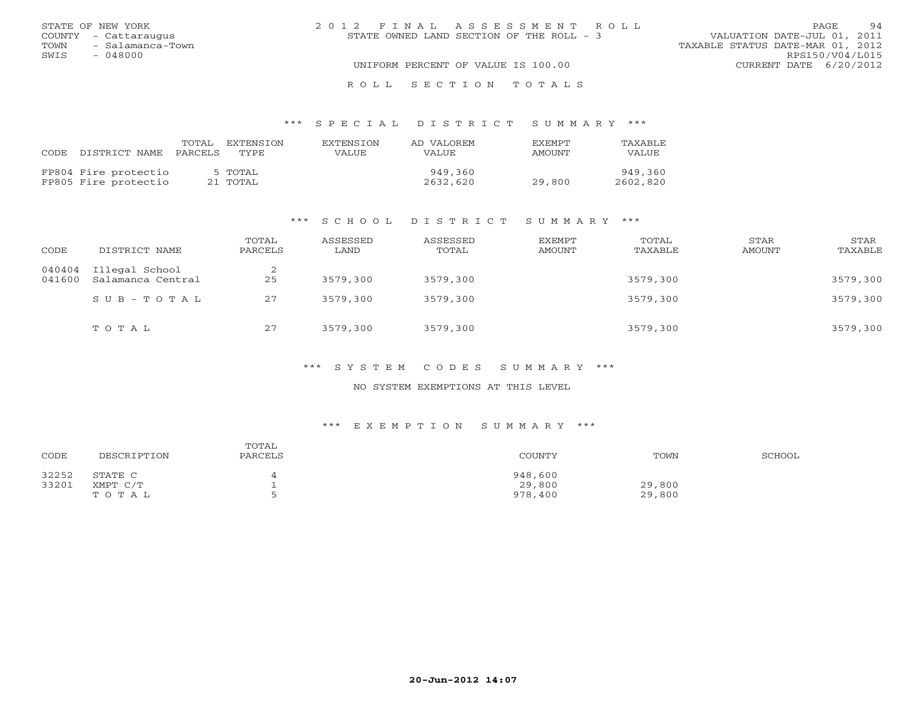|      | STATE OF NEW YORK     | 2012 FINAL ASSESSMENT ROLL                                                | PAGE.                  | 94 |
|------|-----------------------|---------------------------------------------------------------------------|------------------------|----|
|      | COUNTY - Cattaraugus  | VALUATION DATE-JUL 01, 2011<br>STATE OWNED LAND SECTION OF THE ROLL $-$ 3 |                        |    |
|      | TOWN - Salamanca-Town | TAXABLE STATUS DATE-MAR 01, 2012                                          |                        |    |
| SWIS | - 048000              |                                                                           | RPS150/V04/L015        |    |
|      |                       | UNIFORM PERCENT OF VALUE IS 100.00                                        | CURRENT DATE 6/20/2012 |    |
|      |                       | ROLL SECTION TOTALS                                                       |                        |    |

#### \*\*\* S P E C I A L D I S T R I C T S U M M A R Y \*\*\*

| CODE | DISTRICT NAME                                | TOTAL<br>PARCELS | EXTENSTON<br>TYPE.  | <b>EXTENSION</b><br>VALUE | AD VALOREM<br>VALUE | <b>EXEMPT</b><br>AMOUNT | TAXABLE<br><b>VALUE</b> |
|------|----------------------------------------------|------------------|---------------------|---------------------------|---------------------|-------------------------|-------------------------|
|      | FP804 Fire protectio<br>FP805 Fire protectio |                  | 5 TOTAL<br>21 TOTAL |                           | 949,360<br>2632,620 | 29,800                  | 949,360<br>2602,820     |

#### \*\*\* S C H O O L D I S T R I C T S U M M A R Y \*\*\*

| CODE             | DISTRICT NAME                       | TOTAL<br>PARCELS | ASSESSED<br>LAND | ASSESSED<br>TOTAL | EXEMPT<br>AMOUNT | TOTAL<br>TAXABLE | STAR<br>AMOUNT | STAR<br>TAXABLE |
|------------------|-------------------------------------|------------------|------------------|-------------------|------------------|------------------|----------------|-----------------|
| 040404<br>041600 | Illegal School<br>Salamanca Central | 25               | 3579,300         | 3579,300          |                  | 3579,300         |                | 3579,300        |
|                  | SUB-TOTAL                           | 27               | 3579,300         | 3579,300          |                  | 3579,300         |                | 3579,300        |
|                  | TOTAL                               | 27               | 3579,300         | 3579,300          |                  | 3579,300         |                | 3579,300        |

#### \*\*\* S Y S T E M C O D E S S U M M A R Y \*\*\*

### NO SYSTEM EXEMPTIONS AT THIS LEVEL

#### \*\*\* E X E M P T I O N S U M M A R Y \*\*\*

| CODE  | DESCRIPTION | TOTAL<br>PARCELS | COUNTY  | TOWN   | SCHOOL |
|-------|-------------|------------------|---------|--------|--------|
| 32252 | STATE C     |                  | 948,600 |        |        |
| 33201 | XMPT C/T    |                  | 29,800  | 29,800 |        |
|       | ТОТАЬ       |                  | 978,400 | 29,800 |        |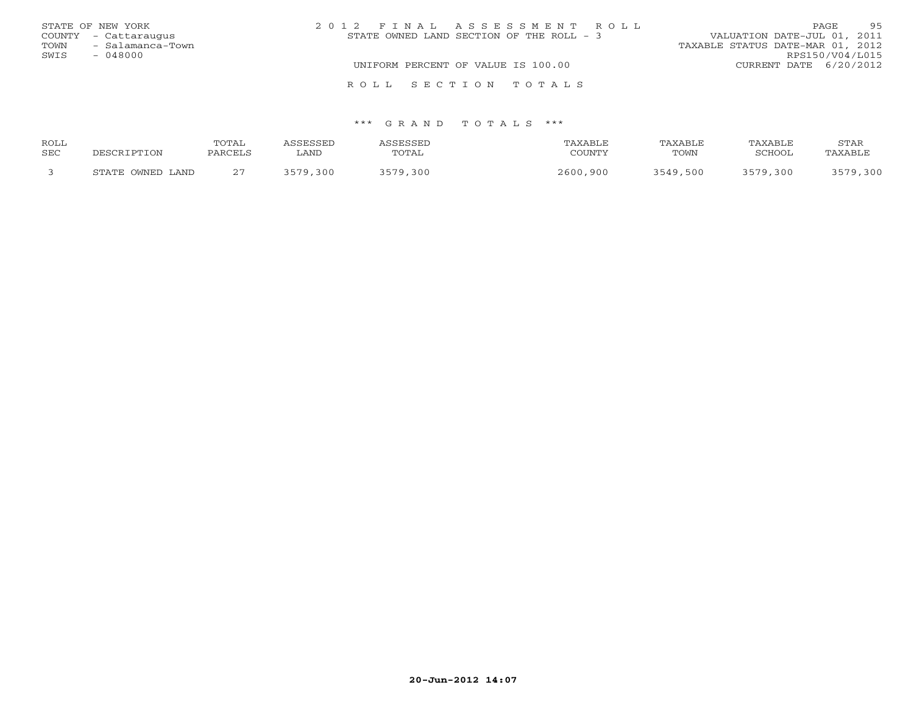|      | STATE OF NEW YORK    | 2012 FINAL ASSESSMENT ROLL                | 95<br><b>PAGE</b>                |
|------|----------------------|-------------------------------------------|----------------------------------|
|      | COUNTY - Cattaraugus | STATE OWNED LAND SECTION OF THE ROLL $-3$ | VALUATION DATE-JUL 01, 2011      |
| TOWN | - Salamanca-Town     |                                           | TAXABLE STATUS DATE-MAR 01, 2012 |
| SWIS | $-048000$            |                                           | RPS150/V04/L015                  |
|      |                      | UNIFORM PERCENT OF VALUE IS 100.00        | CURRENT DATE 6/20/2012           |
|      |                      | ROLL SECTION TOTALS                       |                                  |

| <b>ROLL</b> |                  | "OTAL                                     |             |       |             | Y∆RT.⊩   |        | STAR           |
|-------------|------------------|-------------------------------------------|-------------|-------|-------------|----------|--------|----------------|
| SEC         | ־ פרים הר        | <b>DARCET</b>                             | ∟AND        | TOTAL | COUNTY      | TOWN     | SCHOOL | <b>TAYARLE</b> |
|             | STATE OWNED LAND | $\sim$ $\sim$<br>$\overline{\phantom{a}}$ | ノビワハ<br>300 | 30C   | 2600<br>900 | 3549,500 | ,300   |                |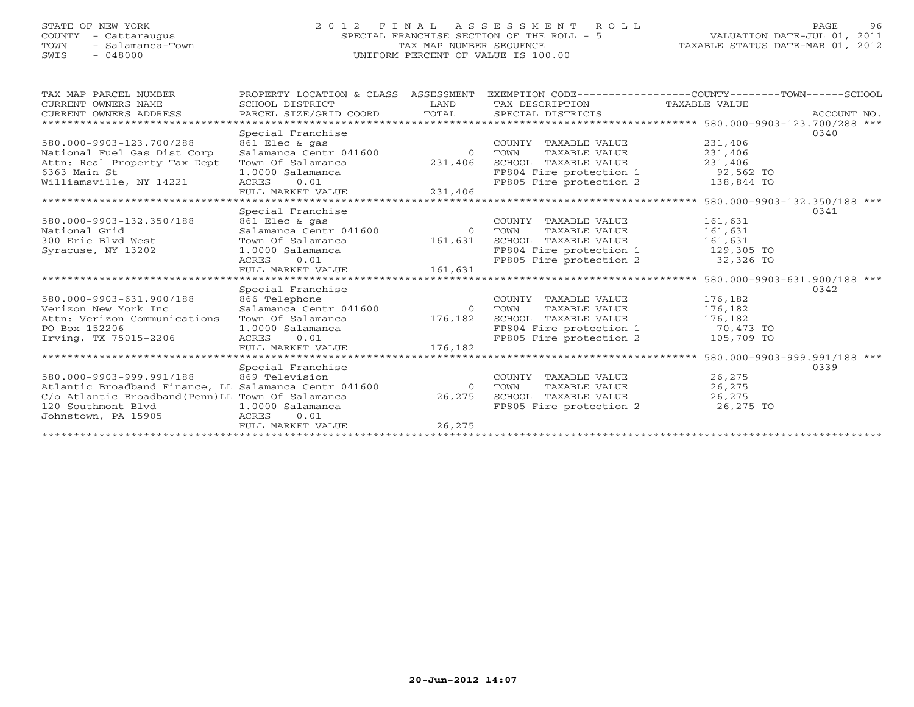# STATE OF NEW YORK 2 0 1 2 F I N A L A S S E S S M E N T R O L L PAGE 96 COUNTY - Cattaraugus SPECIAL FRANCHISE SECTION OF THE ROLL - 5 VALUATION DATE-JUL 01, 2011 TOWN - Salamanca-Town TAX MAP NUMBER SEQUENCE TAXABLE STATUS DATE-MAR 01, 2012 SWIS - 048000 UNIFORM PERCENT OF VALUE IS 100.00

| TAX MAP PARCEL NUMBER                                 | PROPERTY LOCATION & CLASS ASSESSMENT           |         | EXEMPTION CODE-----------------COUNTY-------TOWN------SCHOOL |            |             |
|-------------------------------------------------------|------------------------------------------------|---------|--------------------------------------------------------------|------------|-------------|
| CURRENT OWNERS NAME                                   | SCHOOL DISTRICT                                | LAND    | TAX DESCRIPTION TAXABLE VALUE                                |            |             |
| CURRENT OWNERS ADDRESS                                | PARCEL SIZE/GRID COORD TOTAL SPECIAL DISTRICTS |         |                                                              |            | ACCOUNT NO. |
|                                                       |                                                |         |                                                              |            |             |
|                                                       | Special Franchise                              |         |                                                              |            | 0340        |
| 580.000-9903-123.700/288                              | 861 Elec & gas                                 |         | COUNTY TAXABLE VALUE                                         | 231,406    |             |
| National Fuel Gas Dist Corp                           |                                                |         | TOWN<br>TAXABLE VALUE                                        | 231,406    |             |
| Attn: Real Property Tax Dept                          | Town Of Salamanca                              | 231,406 | SCHOOL TAXABLE VALUE 231,406                                 |            |             |
| 6363 Main St                                          | 1.0000 Salamanca                               |         | FP804 Fire protection 1 92,562 TO                            |            |             |
| Williamsville, NY 14221                               | ACRES 0.01                                     |         | FP805 Fire protection 2                                      | 138,844 TO |             |
|                                                       | FULL MARKET VALUE                              | 231,406 |                                                              |            |             |
|                                                       |                                                |         |                                                              |            |             |
|                                                       | Special Franchise                              |         |                                                              |            | 0341        |
| 580.000-9903-132.350/188                              | 861 Elec & gas                                 |         | COUNTY TAXABLE VALUE                                         | 161,631    |             |
| National Grid                                         |                                                |         | TAXABLE VALUE                                                | 161,631    |             |
| 300 Erie Blvd West                                    | Town Of Salamanca                              | 161,631 | SCHOOL TAXABLE VALUE 161,631                                 |            |             |
| Syracuse, NY 13202                                    | 1.0000 Salamanca                               |         | FP804 Fire protection 1 129,305 TO                           |            |             |
|                                                       | ACRES 0.01                                     |         | FP805 Fire protection 2 32,326 TO                            |            |             |
|                                                       | FULL MARKET VALUE 161,631                      |         |                                                              |            |             |
|                                                       |                                                |         |                                                              |            |             |
|                                                       | Special Franchise                              |         |                                                              |            | 0342        |
| 580.000-9903-631.900/188                              | 866 Telephone                                  |         | COUNTY TAXABLE VALUE                                         | 176,182    |             |
| Verizon New York Inc                                  | Salamanca Centr 041600                         | 0 TOWN  | TAXABLE VALUE                                                | 176,182    |             |
| Attn: Verizon Communications                          | Town Of Salamanca                              | 176,182 | SCHOOL TAXABLE VALUE 176,182                                 |            |             |
| PO Box 152206                                         | 1.0000 Salamanca                               |         | FP804 Fire protection 1 70,473 TO                            |            |             |
| Irving, TX 75015-2206                                 | ACRES 0.01                                     |         | FP805 Fire protection 2 105,709 TO                           |            |             |
|                                                       | FULL MARKET VALUE                              | 176,182 |                                                              |            |             |
|                                                       |                                                |         |                                                              |            |             |
|                                                       | Special Franchise                              |         |                                                              |            | 0339        |
| 580.000-9903-999.991/188 869 Television               |                                                |         | COUNTY TAXABLE VALUE                                         | 26,275     |             |
| Atlantic Broadband Finance, LL Salamanca Centr 041600 |                                                | 0 TOWN  | TAXABLE VALUE                                                | 26,275     |             |
| C/o Atlantic Broadband (Penn) LL Town Of Salamanca    |                                                | 26,275  | SCHOOL TAXABLE VALUE 26,275                                  |            |             |
| 120 Southmont Blvd 1.0000 Salamanca                   |                                                |         | FP805 Fire protection 2 26,275 TO                            |            |             |
| Johnstown, PA 15905                                   | 0.01<br>ACRES                                  |         |                                                              |            |             |
|                                                       | FULL MARKET VALUE                              | 26,275  |                                                              |            |             |
|                                                       |                                                |         |                                                              |            |             |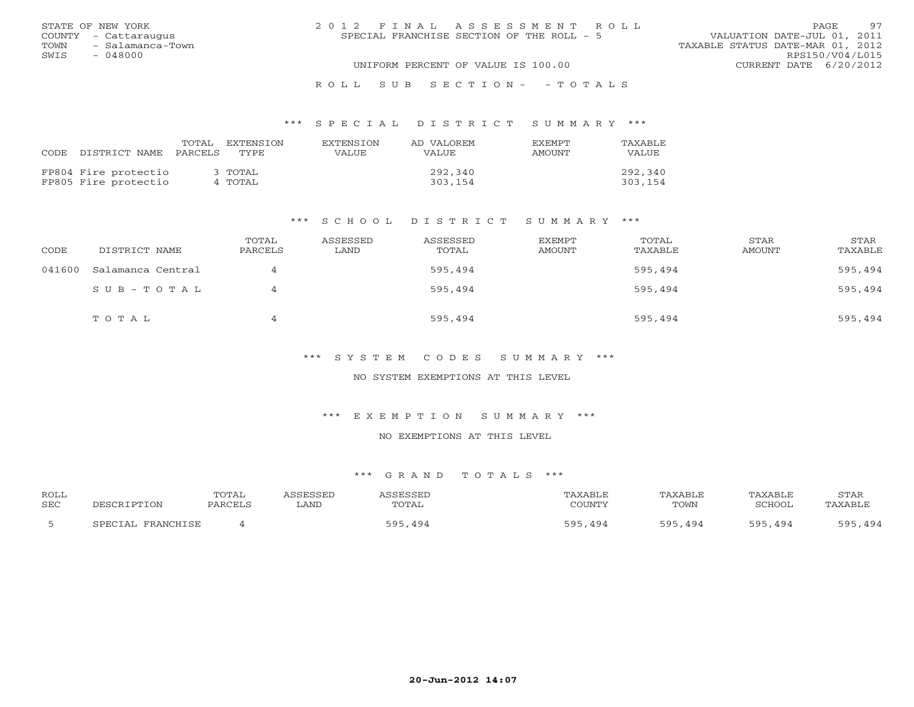|      | STATE OF NEW YORK    | 2012 FINAL ASSESSMENT ROLL                                               | PAGE            | 97 |
|------|----------------------|--------------------------------------------------------------------------|-----------------|----|
|      | COUNTY - Cattaraugus | VALUATION DATE-JUL 01, 2011<br>SPECIAL FRANCHISE SECTION OF THE ROLL - 5 |                 |    |
| TOWN | - Salamanca-Town     | TAXABLE STATUS DATE-MAR 01, 2012                                         |                 |    |
| SWIS | - 048000             |                                                                          | RPS150/V04/L015 |    |
|      |                      | UNIFORM PERCENT OF VALUE IS 100.00<br>CURRENT DATE 6/20/2012             |                 |    |
|      |                      |                                                                          |                 |    |

#### R O L L S U B S E C T I O N - - T O T A L S

#### \*\*\* S P E C I A L D I S T R I C T S U M M A R Y \*\*\*

| CODE | DISTRICT NAME                                | TOTAL<br>PARCELS | EXTENSTON<br>TYPE. | <b>EXTENSION</b><br>VALUE | AD VALOREM<br>VALUE | <b>EXEMPT</b><br>AMOUNT | <b>TAXABLE</b><br>VALUE |
|------|----------------------------------------------|------------------|--------------------|---------------------------|---------------------|-------------------------|-------------------------|
|      | FP804 Fire protectio<br>FP805 Fire protectio |                  | 3 TOTAL<br>4 TOTAL |                           | 292,340<br>303,154  |                         | 292,340<br>303,154      |

#### \*\*\* S C H O O L D I S T R I C T S U M M A R Y \*\*\*

| CODE   | DISTRICT NAME     | TOTAL<br>PARCELS | ASSESSED<br>LAND | ASSESSED<br>TOTAL | <b>EXEMPT</b><br>AMOUNT | TOTAL<br>TAXABLE | STAR<br>AMOUNT | STAR<br>TAXABLE |
|--------|-------------------|------------------|------------------|-------------------|-------------------------|------------------|----------------|-----------------|
| 041600 | Salamanca Central |                  |                  | 595,494           |                         | 595,494          |                | 595,494         |
|        | SUB-TOTAL         |                  |                  | 595,494           |                         | 595,494          |                | 595,494         |
|        | TOTAL             |                  |                  | 595,494           |                         | 595,494          |                | 595,494         |

\*\*\* S Y S T E M C O D E S S U M M A R Y \*\*\*

NO SYSTEM EXEMPTIONS AT THIS LEVEL

\*\*\* E X E M P T I O N S U M M A R Y \*\*\*

NO EXEMPTIONS AT THIS LEVEL

| ROLL |                   | TOTAL   | ASSESSED | ASSESSED | TAXABLE | TAXABLE | TAXABLE | STAR    |
|------|-------------------|---------|----------|----------|---------|---------|---------|---------|
| SEC  | DESCRIPTION       | PARCELS | LAND     | TOTAL    | COUNTY  | TOWN    | SCHOOL  | TAXABLE |
|      | SPECIAL FRANCHISE |         |          | 595,494  | 595,494 | 595,494 | 595,494 | 595,494 |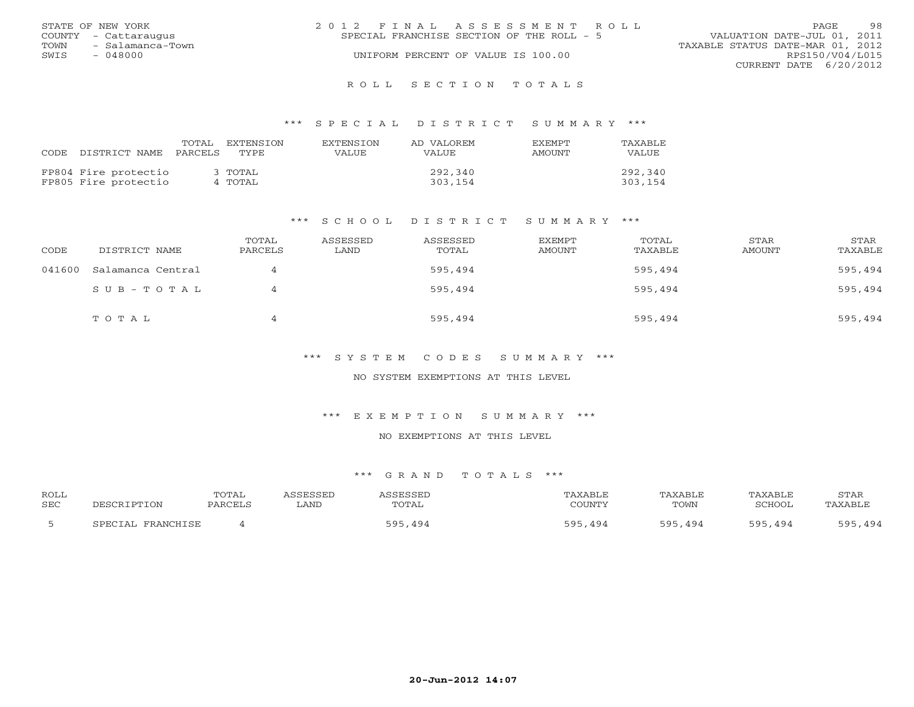|      | STATE OF NEW YORK    | 2012 FINAL ASSESSMENT ROLL                |  |                                  |                        | PAGE. | 98 |
|------|----------------------|-------------------------------------------|--|----------------------------------|------------------------|-------|----|
|      | COUNTY - Cattaraugus | SPECIAL FRANCHISE SECTION OF THE ROLL - 5 |  | VALUATION DATE-JUL 01, 2011      |                        |       |    |
| TOWN | - Salamanca-Town     |                                           |  | TAXABLE STATUS DATE-MAR 01, 2012 |                        |       |    |
| SWIS | $-048000$            | UNIFORM PERCENT OF VALUE IS 100.00        |  |                                  | RPS150/V04/L015        |       |    |
|      |                      |                                           |  |                                  | CURRENT DATE 6/20/2012 |       |    |
|      |                      |                                           |  |                                  |                        |       |    |

#### R O L L S E C T I O N T O T A L S

#### \*\*\* S P E C I A L D I S T R I C T S U M M A R Y \*\*\*

| CODE. | DISTRICT NAME                                | TOTAL<br>PARCELS | <b>EXTENSION</b><br>TYPE. | EXTENSION<br>VALUE | AD VALOREM<br><b>VALUE</b> | <b>FXFMPT</b><br>AMOUNT | TAXABLE<br><b>VALUE</b> |
|-------|----------------------------------------------|------------------|---------------------------|--------------------|----------------------------|-------------------------|-------------------------|
|       | FP804 Fire protectio<br>FP805 Fire protectio |                  | 3 TOTAL<br>4 TOTAL        |                    | 292,340<br>303,154         |                         | 292,340<br>303,154      |

#### \*\*\* S C H O O L D I S T R I C T S U M M A R Y \*\*\*

| CODE   | DISTRICT NAME     | TOTAL<br>PARCELS | ASSESSED<br>LAND | ASSESSED<br>TOTAL | EXEMPT<br>AMOUNT | TOTAL<br>TAXABLE | STAR<br>AMOUNT | STAR<br>TAXABLE |
|--------|-------------------|------------------|------------------|-------------------|------------------|------------------|----------------|-----------------|
| 041600 | Salamanca Central |                  |                  | 595,494           |                  | 595,494          |                | 595,494         |
|        | SUB-TOTAL         |                  |                  | 595,494           |                  | 595,494          |                | 595,494         |
|        | TOTAL             |                  |                  | 595,494           |                  | 595,494          |                | 595,494         |

\*\*\* S Y S T E M C O D E S S U M M A R Y \*\*\*

NO SYSTEM EXEMPTIONS AT THIS LEVEL

\*\*\* E X E M P T I O N S U M M A R Y \*\*\*

NO EXEMPTIONS AT THIS LEVEL

| ROLL       |                   | TOTAL   | ASSESSED | ASSESSED | TAXABLE       | TAXABLE | TAXABLE | STAR    |
|------------|-------------------|---------|----------|----------|---------------|---------|---------|---------|
| <b>SEC</b> | DESCRIPTION       | PARCELS | LAND     | TOTAL    | COUNTY        | TOWN    | SCHOOL  | TAXABLE |
|            | SPECIAL FRANCHISE |         |          | 595,494  | 595.<br>, 494 | 595,494 | 595,494 | 595,494 |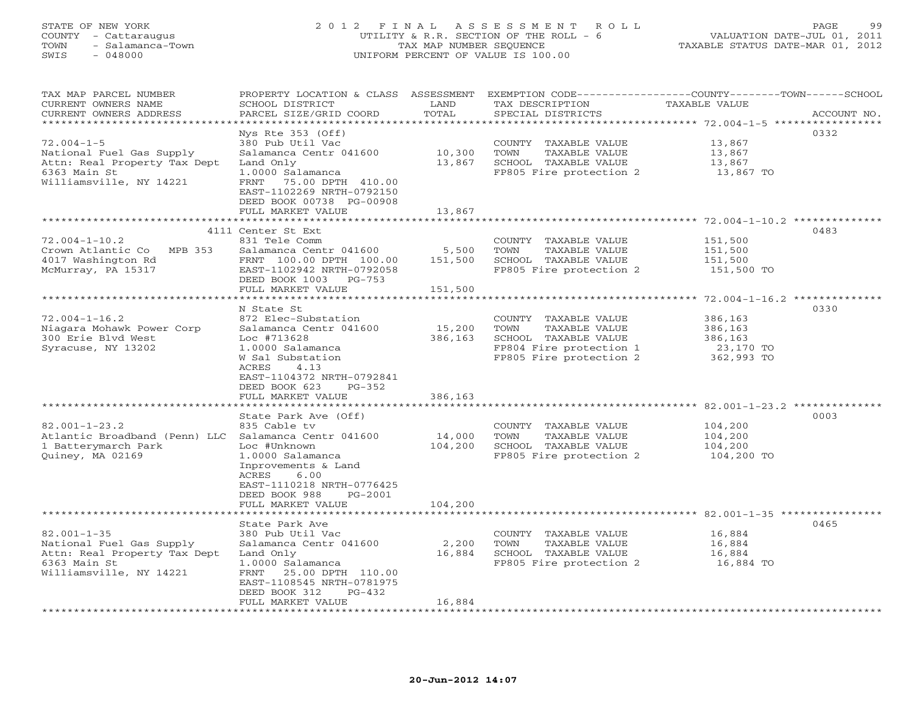## STATE OF NEW YORK 2 0 1 2 F I N A L A S S E S S M E N T R O L L PAGE 99 COUNTY - Cattaraugus UTILITY & R.R. SECTION OF THE ROLL - 6 VALUATION DATE-JUL 01, 2011 TOWN - Salamanca-Town TAX MAP NUMBER SEQUENCE TAXABLE STATUS DATE-MAR 01, 2012 SWIS - 048000 UNIFORM PERCENT OF VALUE IS 100.00

| TAX MAP PARCEL NUMBER<br>CURRENT OWNERS NAME<br>CURRENT OWNERS ADDRESS                                                   | PROPERTY LOCATION & CLASS ASSESSMENT<br>SCHOOL DISTRICT<br>PARCEL SIZE/GRID COORD                                                                                                                                                                                | LAND<br>TOTAL                | TAX DESCRIPTION<br>SPECIAL DISTRICTS                                                                                        | EXEMPTION CODE----------------COUNTY-------TOWN------SCHOOL<br>TAXABLE VALUE<br>ACCOUNT NO.                                                  |
|--------------------------------------------------------------------------------------------------------------------------|------------------------------------------------------------------------------------------------------------------------------------------------------------------------------------------------------------------------------------------------------------------|------------------------------|-----------------------------------------------------------------------------------------------------------------------------|----------------------------------------------------------------------------------------------------------------------------------------------|
| *********************                                                                                                    | * * * * * * * * * * * * * * * * *                                                                                                                                                                                                                                | *********                    |                                                                                                                             |                                                                                                                                              |
| $72.004 - 1 - 5$<br>National Fuel Gas Supply<br>Attn: Real Property Tax Dept<br>6363 Main St<br>Williamsville, NY 14221  | Nys Rte $353$ (Off)<br>380 Pub Util Vac<br>Salamanca Centr 041600<br>Land Only<br>1.0000 Salamanca<br>75.00 DPTH 410.00<br>FRNT<br>EAST-1102269 NRTH-0792150<br>DEED BOOK 00738 PG-00908                                                                         | 10,300<br>13,867             | COUNTY TAXABLE VALUE<br>TOWN<br>TAXABLE VALUE<br>SCHOOL TAXABLE VALUE<br>FP805 Fire protection 2                            | 0332<br>13,867<br>13,867<br>13,867<br>13,867 TO                                                                                              |
|                                                                                                                          | FULL MARKET VALUE                                                                                                                                                                                                                                                | 13,867                       |                                                                                                                             |                                                                                                                                              |
|                                                                                                                          |                                                                                                                                                                                                                                                                  |                              |                                                                                                                             |                                                                                                                                              |
| $72.004 - 1 - 10.2$<br>Crown Atlantic Co MPB 353<br>4017 Washington Rd<br>McMurray, PA 15317                             | 4111 Center St Ext<br>831 Tele Comm<br>Salamanca Centr 041600<br>FRNT 100.00 DPTH 100.00<br>EAST-1102942 NRTH-0792058<br>DEED BOOK 1003 PG-753<br>FULL MARKET VALUE                                                                                              | 5,500<br>151,500<br>151,500  | COUNTY TAXABLE VALUE<br>TOWN<br>TAXABLE VALUE<br>SCHOOL TAXABLE VALUE<br>FP805 Fire protection 2                            | 0483<br>151,500<br>151,500<br>151,500<br>151,500 TO                                                                                          |
|                                                                                                                          |                                                                                                                                                                                                                                                                  |                              |                                                                                                                             |                                                                                                                                              |
| $72.004 - 1 - 16.2$<br>Niagara Mohawk Power Corp<br>300 Erie Blvd West<br>Syracuse, NY 13202                             | N State St<br>872 Elec-Substation<br>Salamanca Centr 041600<br>Loc #713628<br>1.0000 Salamanca<br>W Sal Substation<br>ACRES<br>4.13<br>EAST-1104372 NRTH-0792841<br>DEED BOOK 623<br>$PG-352$<br>FULL MARKET VALUE<br>******************<br>State Park Ave (Off) | 15,200<br>386,163<br>386,163 | COUNTY TAXABLE VALUE<br>TOWN<br>TAXABLE VALUE<br>SCHOOL TAXABLE VALUE<br>FP804 Fire protection 1<br>FP805 Fire protection 2 | 0330<br>386,163<br>386,163<br>386,163<br>23,170 TO<br>362,993 TO<br>********************************** 82.001-1-23.2 ***************<br>0003 |
| $82.001 - 1 - 23.2$                                                                                                      | 835 Cable tv                                                                                                                                                                                                                                                     |                              | COUNTY TAXABLE VALUE                                                                                                        | 104,200                                                                                                                                      |
| Atlantic Broadband (Penn) LLC Salamanca Centr 041600<br>1 Batterymarch Park<br>Quiney, MA 02169                          | Loc #Unknown<br>1.0000 Salamanca<br>Inprovements & Land<br>ACRES<br>6.00<br>EAST-1110218 NRTH-0776425<br>DEED BOOK 988<br>PG-2001<br>FULL MARKET VALUE                                                                                                           | 14,000<br>104,200<br>104,200 | TOWN<br>TAXABLE VALUE<br>SCHOOL TAXABLE VALUE<br>FP805 Fire protection 2                                                    | 104,200<br>104,200<br>104,200 TO                                                                                                             |
|                                                                                                                          |                                                                                                                                                                                                                                                                  |                              |                                                                                                                             |                                                                                                                                              |
| $82.001 - 1 - 35$<br>National Fuel Gas Supply<br>Attn: Real Property Tax Dept<br>6363 Main St<br>Williamsville, NY 14221 | State Park Ave<br>380 Pub Util Vac<br>Salamanca Centr 041600<br>Land Only<br>1.0000 Salamanca<br>25.00 DPTH 110.00<br>FRNT<br>EAST-1108545 NRTH-0781975<br>DEED BOOK 312<br>$PG-432$<br>FULL MARKET VALUE                                                        | 2,200<br>16,884<br>16,884    | COUNTY TAXABLE VALUE<br>TOWN<br>TAXABLE VALUE<br>SCHOOL TAXABLE VALUE<br>FP805 Fire protection 2                            | 0465<br>16,884<br>16,884<br>16,884<br>16,884 TO                                                                                              |
|                                                                                                                          |                                                                                                                                                                                                                                                                  |                              |                                                                                                                             |                                                                                                                                              |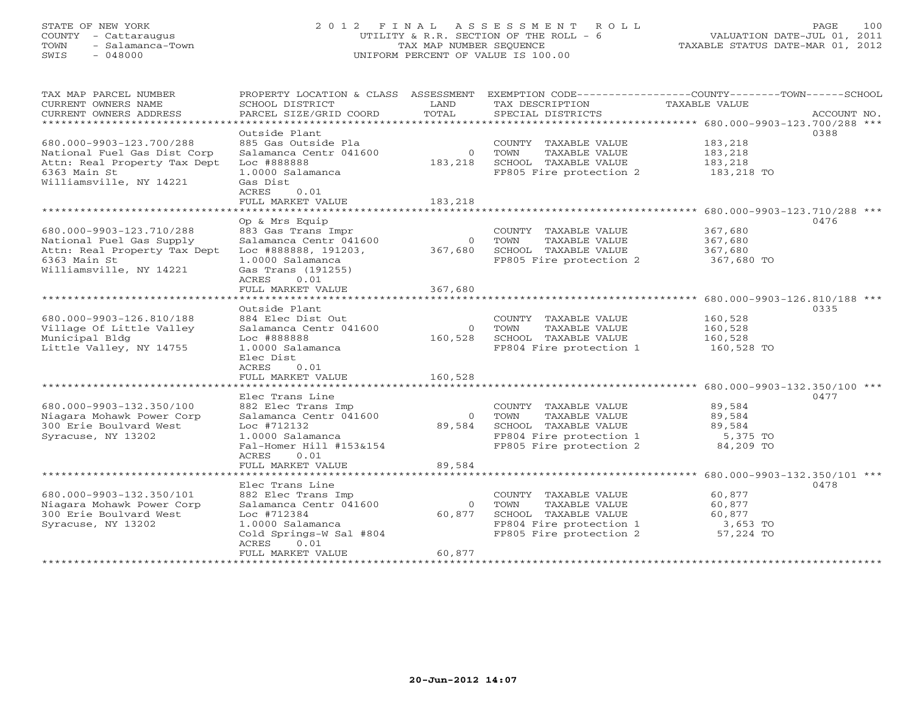## STATE OF NEW YORK 2 0 1 2 F I N A L A S S E S S M E N T R O L L PAGE 100 COUNTY - Cattaraugus UTILITY & R.R. SECTION OF THE ROLL - 6 VALUATION DATE-JUL 01, 2011 TOWN - Salamanca-Town TAX MAP NUMBER SEQUENCE TAXABLE STATUS DATE-MAR 01, 2012 SWIS - 048000 UNIFORM PERCENT OF VALUE IS 100.00

| TAX MAP PARCEL NUMBER        | PROPERTY LOCATION & CLASS ASSESSMENT EXEMPTION CODE----------------COUNTY-------TOWN------SCHOOL |                      |                                                    |                       |             |
|------------------------------|--------------------------------------------------------------------------------------------------|----------------------|----------------------------------------------------|-----------------------|-------------|
| CURRENT OWNERS NAME          | SCHOOL DISTRICT                                                                                  | LAND                 | TAX DESCRIPTION                                    | TAXABLE VALUE         |             |
| CURRENT OWNERS ADDRESS       | PARCEL SIZE/GRID COORD                                                                           | TOTAL                | SPECIAL DISTRICTS                                  |                       | ACCOUNT NO. |
| *************************    |                                                                                                  |                      |                                                    |                       |             |
|                              | Outside Plant                                                                                    |                      |                                                    |                       | 0388        |
| 680.000-9903-123.700/288     | 885 Gas Outside Pla                                                                              |                      | COUNTY TAXABLE VALUE                               | 183,218               |             |
| National Fuel Gas Dist Corp  | Salamanca Centr 041600                                                                           | $\overline{0}$       | TOWN<br>TAXABLE VALUE                              | 183,218               |             |
| Attn: Real Property Tax Dept | Loc #888888                                                                                      | 183,218              | SCHOOL TAXABLE VALUE                               | 183,218               |             |
| 6363 Main St                 | 1.0000 Salamanca                                                                                 |                      | FP805 Fire protection 2 183,218 TO                 |                       |             |
| Williamsville, NY 14221      | Gas Dist                                                                                         |                      |                                                    |                       |             |
|                              | 0.01<br>ACRES                                                                                    |                      |                                                    |                       |             |
| ************************     | FULL MARKET VALUE                                                                                | 183,218              |                                                    |                       |             |
|                              |                                                                                                  |                      |                                                    |                       |             |
|                              | Op & Mrs Equip                                                                                   |                      |                                                    |                       | 0476        |
| 680.000-9903-123.710/288     | 883 Gas Trans Impr                                                                               |                      | COUNTY TAXABLE VALUE                               | 367,680               |             |
| National Fuel Gas Supply     | Salamanca Centr 041600                                                                           | $\overline{0}$       | TOWN<br>TAXABLE VALUE                              | 367,680               |             |
| Attn: Real Property Tax Dept | Loc #888888, 191203, 367,680                                                                     |                      | SCHOOL TAXABLE VALUE                               | 367,680               |             |
| 6363 Main St                 | 1.0000 Salamanca                                                                                 |                      | FP805 Fire protection 2                            | 367,680 TO            |             |
| Williamsville, NY 14221      | Gas Trans (191255)                                                                               |                      |                                                    |                       |             |
|                              | ACRES<br>0.01                                                                                    |                      |                                                    |                       |             |
|                              | FULL MARKET VALUE                                                                                | 367,680              |                                                    |                       |             |
| *************************    |                                                                                                  |                      |                                                    |                       |             |
|                              | Outside Plant                                                                                    |                      |                                                    |                       | 0335        |
| 680.000-9903-126.810/188     | 884 Elec Dist Out                                                                                |                      | COUNTY TAXABLE VALUE                               | 160,528               |             |
| Village Of Little Valley     | Salamanca Centr 041600                                                                           | $\overline{0}$       | TOWN<br>TAXABLE VALUE                              | 160,528               |             |
| Municipal Bldg               | Loc #888888                                                                                      | 160,528              | SCHOOL TAXABLE VALUE                               | 160,528               |             |
| Little Valley, NY 14755      | 1.0000 Salamanca                                                                                 |                      | FP804 Fire protection 1                            | 160,528 TO            |             |
|                              | Elec Dist                                                                                        |                      |                                                    |                       |             |
|                              | 0.01<br>ACRES                                                                                    |                      |                                                    |                       |             |
|                              | FULL MARKET VALUE                                                                                | 160,528              |                                                    |                       |             |
|                              |                                                                                                  |                      |                                                    |                       |             |
|                              | Elec Trans Line                                                                                  |                      |                                                    |                       | 0477        |
| 680.000-9903-132.350/100     | 882 Elec Trans Imp                                                                               |                      | COUNTY TAXABLE VALUE                               | 89,584                |             |
| Niagara Mohawk Power Corp    | Salamanca Centr 041600<br>Loc #712132                                                            | $\bigcirc$<br>89,584 | TOWN<br>TAXABLE VALUE<br>SCHOOL TAXABLE VALUE      | 89,584                |             |
| 300 Erie Boulvard West       |                                                                                                  |                      |                                                    | 89,584                |             |
| Syracuse, NY 13202           | 1.0000 Salamanca<br>Fal-Homer Hill #153&154                                                      |                      | FP804 Fire protection 1<br>FP805 Fire protection 2 | 5,375 TO<br>84,209 TO |             |
|                              | 0.01                                                                                             |                      |                                                    |                       |             |
|                              | ACRES<br>FULL MARKET VALUE                                                                       | 89,584               |                                                    |                       |             |
|                              |                                                                                                  |                      |                                                    |                       |             |
|                              | Elec Trans Line                                                                                  |                      |                                                    |                       | 0478        |
| 680.000-9903-132.350/101     | 882 Elec Trans Imp                                                                               |                      | COUNTY TAXABLE VALUE                               | 60,877                |             |
| Niagara Mohawk Power Corp    | Salamanca Centr 041600                                                                           | $\Omega$             | TOWN<br>TAXABLE VALUE                              | 60,877                |             |
| 300 Erie Boulvard West       | Loc #712384                                                                                      | 60,877               | SCHOOL TAXABLE VALUE                               | 60,877                |             |
| Syracuse, NY 13202           | 1.0000 Salamanca                                                                                 |                      | FP804 Fire protection 1                            | 3,653 TO              |             |
|                              | Cold Springs-W Sal #804                                                                          |                      | FP805 Fire protection 2                            | 57,224 TO             |             |
|                              | ACRES<br>0.01                                                                                    |                      |                                                    |                       |             |
|                              | FULL MARKET VALUE                                                                                | 60,877               |                                                    |                       |             |
|                              |                                                                                                  |                      |                                                    |                       |             |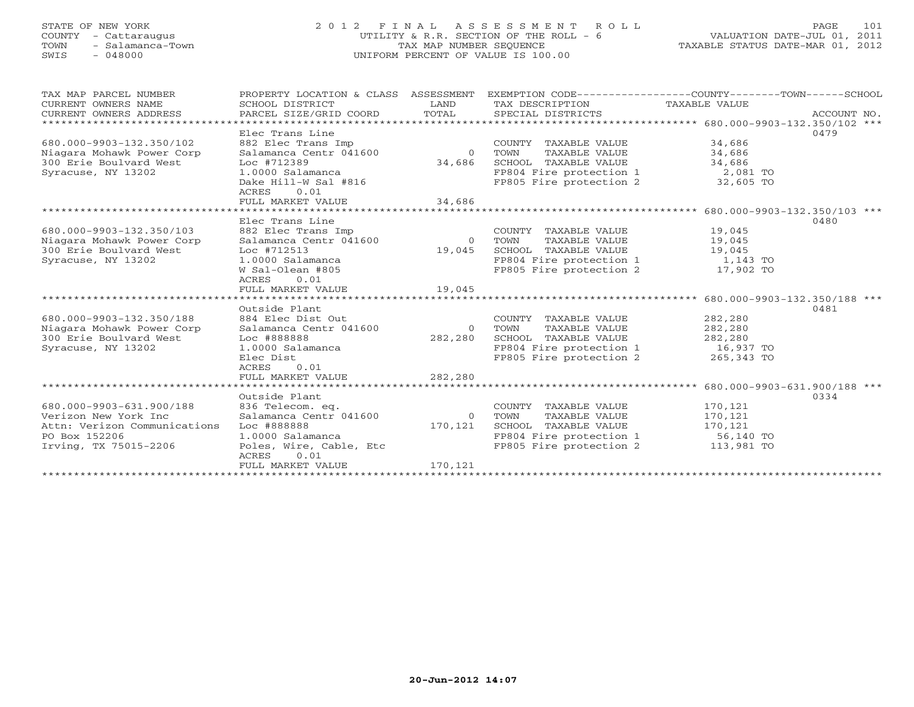## STATE OF NEW YORK 2 0 1 2 F I N A L A S S E S S M E N T R O L L PAGE 101 COUNTY - Cattaraugus UTILITY & R.R. SECTION OF THE ROLL - 6 VALUATION DATE-JUL 01, 2011 TOWN - Salamanca-Town TAX MAP NUMBER SEQUENCE TAXABLE STATUS DATE-MAR 01, 2012 SWIS - 048000 UNIFORM PERCENT OF VALUE IS 100.00UNIFORM PERCENT OF VALUE IS 100.00

| TAX MAP PARCEL NUMBER<br>CURRENT OWNERS NAME<br>CURRENT OWNERS ADDRESS                                                            | SCHOOL DISTRICT<br>PARCEL SIZE/GRID COORD                                                                                                                                                                                                                   | LAND<br>TOTAL                        | TAX DESCRIPTION TAXABLE VALUE<br>SPECIAL DISTRICTS                                                                                                                    | PROPERTY LOCATION & CLASS ASSESSMENT EXEMPTION CODE---------------COUNTY-------TOWN-----SCHOOL<br>ACCOUNT NO. |
|-----------------------------------------------------------------------------------------------------------------------------------|-------------------------------------------------------------------------------------------------------------------------------------------------------------------------------------------------------------------------------------------------------------|--------------------------------------|-----------------------------------------------------------------------------------------------------------------------------------------------------------------------|---------------------------------------------------------------------------------------------------------------|
| *************************                                                                                                         |                                                                                                                                                                                                                                                             |                                      |                                                                                                                                                                       |                                                                                                               |
| 680.000-9903-132.350/102<br>Niagara Mohawk Power Corp<br>300 Erie Boulvard West<br>Syracuse, NY 13202                             | Elec Trans Line<br>882 Elec Trans Imp<br>882 Elec Trans Imp<br>Salamanca Centr 041600<br>Loc #712389<br>1.0000 Salamanca                                                                                                                                    | $\overline{0}$<br>34,686             | COUNTY TAXABLE VALUE<br>TOWN<br>TAXABLE VALUE<br>SCHOOL TAXABLE VALUE<br>FP804 Fire protection $1$ 2,081 TO                                                           | 0479<br>34,686<br>34,686<br>34,686                                                                            |
|                                                                                                                                   | Dake Hill-W Sal #816<br>ACRES<br>0.01                                                                                                                                                                                                                       |                                      | FP805 Fire protection 2 32,605 TO                                                                                                                                     |                                                                                                               |
|                                                                                                                                   | FULL MARKET VALUE                                                                                                                                                                                                                                           | 34,686                               |                                                                                                                                                                       |                                                                                                               |
|                                                                                                                                   |                                                                                                                                                                                                                                                             |                                      |                                                                                                                                                                       |                                                                                                               |
| 680.000-9903-132.350/103<br>Niagara Mohawk Power Corp<br>300 Erie Boulvard West<br>Syracuse, NY 13202<br>680.000-9903-132.350/188 | Elec Trans Line<br>882 Elec Trans Imp<br>882 Elec Trans Imp<br>Salamanca Centr 041600                          0    TOWN<br>Loc #712513<br>1.0000 Salamanca<br>W Sal-Olean #805<br>0.01<br>ACRES<br>FULL MARKET VALUE<br>Outside Plant<br>884 Elec Dist Out | 19,045<br>19,045<br>**************** | COUNTY TAXABLE VALUE<br>TAXABLE VALUE<br>SCHOOL TAXABLE VALUE 19,045<br>FP804 Fire protection 1 1,143 TO<br>FP805 Fire protection 2 17,902 TO<br>COUNTY TAXABLE VALUE | 0480<br>19,045<br>19,045<br>******************* 680.000-9903-132.350/188 ***<br>0481<br>282,280               |
| Niagara Mohawk Power Corp<br>300 Erie Boulvard West<br>Syracuse, NY 13202                                                         | Salamanca Centr 041600<br>Loc #888888<br>1.0000 Salamanca<br>Elec Dist<br>ACRES<br>0.01<br>FULL MARKET VALUE                                                                                                                                                | 282,280<br>282,280                   | 0 TOWN<br>TAXABLE VALUE<br>SCHOOL TAXABLE VALUE<br>FP804 Fire protection 1 16,937 TO<br>FP805 Fire protection 2 265,343 TO                                            | 282,280<br>282,280                                                                                            |
|                                                                                                                                   |                                                                                                                                                                                                                                                             |                                      |                                                                                                                                                                       |                                                                                                               |
| 680.000-9903-631.900/188<br>Verizon New York Inc<br>Attn: Verizon Communications<br>PO Box 152206<br>Irving, TX 75015-2206        | Outside Plant<br>836 Telecom. eq.<br>Salamanca Centr 041600<br>Loc #888888<br>1.0000 Salamanca<br>Poles, Wire, Cable, Etc<br>0.01<br>ACRES<br>FULL MARKET VALUE                                                                                             | $\Omega$<br>170,121<br>170,121       | COUNTY TAXABLE VALUE<br>TOWN<br>TAXABLE VALUE<br>SCHOOL TAXABLE VALUE<br>FP804 Fire protection 1 56,140 TO<br>FP805 Fire protection 2 113,981 TO                      | 0334<br>170,121<br>170,121<br>170,121                                                                         |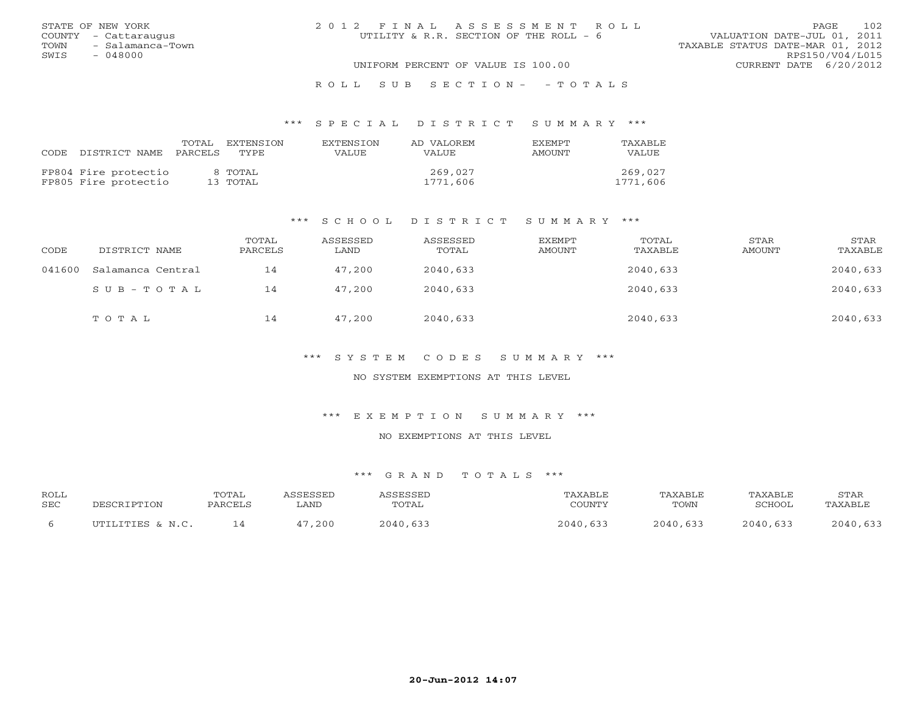|      | STATE OF NEW YORK    | 2012 FINAL ASSESSMENT ROLL                                            | <b>PAGE</b>            | 102 |
|------|----------------------|-----------------------------------------------------------------------|------------------------|-----|
|      | COUNTY - Cattaraugus | UTILITY & R.R. SECTION OF THE ROLL - 6<br>VALUATION DATE-JUL 01, 2011 |                        |     |
| TOWN | - Salamanca-Town     | TAXABLE STATUS DATE-MAR 01, 2012                                      |                        |     |
| SWIS | - 048000             |                                                                       | RPS150/V04/L015        |     |
|      |                      | UNIFORM PERCENT OF VALUE IS 100.00                                    | CURRENT DATE 6/20/2012 |     |
|      |                      |                                                                       |                        |     |

## R O L L S U B S E C T I O N - - T O T A L S

#### \*\*\* S P E C I A L D I S T R I C T S U M M A R Y \*\*\*

| CODE DISTRICT NAME                           | TOTAL<br>PARCELS | EXTENSTON<br>TYPE.  | <b>EXTENSION</b><br>VALUE. | AD VALOREM<br>VALUE. | <b>FXFMPT</b><br>AMOUNT | <b>TAXABLE</b><br>VALUE |
|----------------------------------------------|------------------|---------------------|----------------------------|----------------------|-------------------------|-------------------------|
| FP804 Fire protectio<br>FP805 Fire protectio |                  | 8 TOTAL<br>13 ТОТАL |                            | 269,027<br>1771,606  |                         | 269,027<br>1771,606     |

#### \*\*\* S C H O O L D I S T R I C T S U M M A R Y \*\*\*

| CODE   | DISTRICT NAME     | TOTAL<br>PARCELS | ASSESSED<br>LAND | ASSESSED<br>TOTAL | <b>EXEMPT</b><br><b>AMOUNT</b> | TOTAL<br>TAXABLE | STAR<br><b>AMOUNT</b> | STAR<br>TAXABLE |
|--------|-------------------|------------------|------------------|-------------------|--------------------------------|------------------|-----------------------|-----------------|
| 041600 | Salamanca Central | 14               | 47,200           | 2040,633          |                                | 2040,633         |                       | 2040,633        |
|        | $SUB - TO T AL$   | 14               | 47,200           | 2040,633          |                                | 2040,633         |                       | 2040,633        |
|        | TOTAL             | 14               | 47,200           | 2040,633          |                                | 2040,633         |                       | 2040,633        |

\*\*\* S Y S T E M C O D E S S U M M A R Y \*\*\*

NO SYSTEM EXEMPTIONS AT THIS LEVEL

\*\*\* E X E M P T I O N S U M M A R Y \*\*\*

NO EXEMPTIONS AT THIS LEVEL

| ROLL       |                       | <b>TOTAL</b> | <b>GGESSED</b> | <b>ACCECCEL</b> |           | TAXABLE          | TAXABLE    | STAR     |
|------------|-----------------------|--------------|----------------|-----------------|-----------|------------------|------------|----------|
| <b>SEC</b> | ־סים הדר              | PARCELL      | LAND           | TOTAL           | $\bigcap$ | TOWN             | SCHOOL     | TAXABLE  |
|            | יחידו דיחידום נ. או ר |              | , 200          | 2040,633        | 2040,633  | $2010 -$<br>,633 | $2040$ 633 | 2040,633 |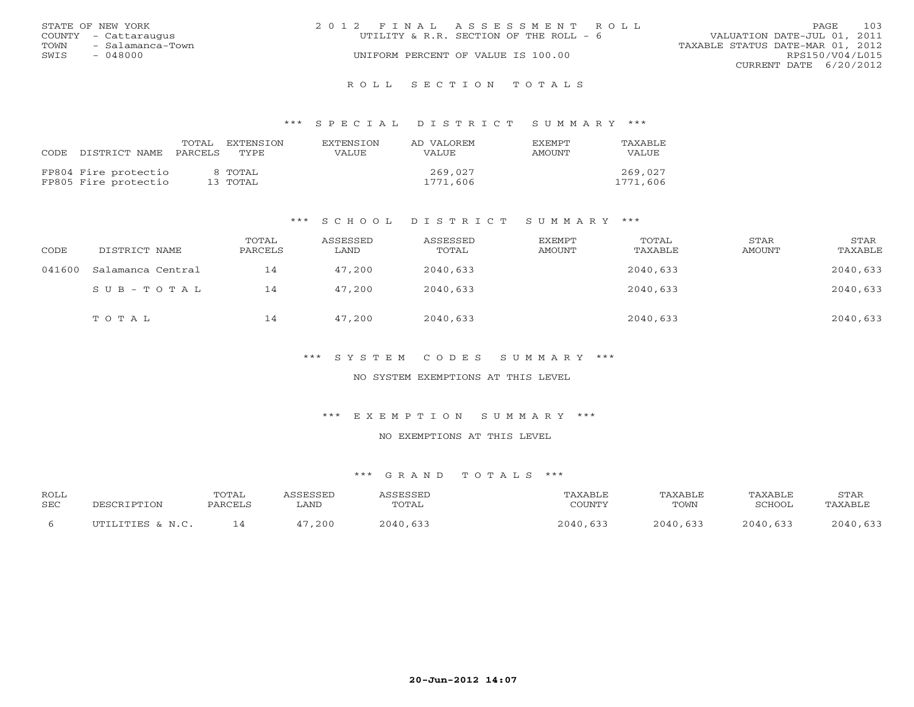|      | STATE OF NEW YORK    | 2012 FINAL ASSESSMENT ROLL             | PAGE.                            | 103 |
|------|----------------------|----------------------------------------|----------------------------------|-----|
|      | COUNTY - Cattaraugus | UTILITY & R.R. SECTION OF THE ROLL - 6 | VALUATION DATE-JUL 01, 2011      |     |
| TOWN | - Salamanca-Town     |                                        | TAXABLE STATUS DATE-MAR 01, 2012 |     |
| SWTS | - 048000             | UNIFORM PERCENT OF VALUE IS 100.00     | RPS150/V04/L015                  |     |
|      |                      |                                        | CURRENT DATE 6/20/2012           |     |
|      |                      |                                        |                                  |     |

#### R O L L S E C T I O N T O T A L S

#### \*\*\* S P E C I A L D I S T R I C T S U M M A R Y \*\*\*

| CODE. | DISTRICT NAME                                | TOTAL<br>PARCELS TYPE | <b>EXTENSION</b>    | EXTENSION<br><b>VALUE</b> | AD VALOREM<br>VALUE | <b>FXFMPT</b><br>AMOUNT | TAXABLE<br>VALUE.   |
|-------|----------------------------------------------|-----------------------|---------------------|---------------------------|---------------------|-------------------------|---------------------|
|       | FP804 Fire protectio<br>FP805 Fire protectio |                       | 8 TOTAL<br>13 TOTAL |                           | 269,027<br>1771,606 |                         | 269,027<br>1771,606 |

#### \*\*\* S C H O O L D I S T R I C T S U M M A R Y \*\*\*

| CODE   | DISTRICT NAME     | TOTAL<br>PARCELS | ASSESSED<br>LAND | ASSESSED<br>TOTAL | <b>EXEMPT</b><br>AMOUNT | TOTAL<br>TAXABLE | STAR<br>AMOUNT | STAR<br>TAXABLE |
|--------|-------------------|------------------|------------------|-------------------|-------------------------|------------------|----------------|-----------------|
| 041600 | Salamanca Central | 14               | 47,200           | 2040,633          |                         | 2040,633         |                | 2040,633        |
|        | SUB-TOTAL         | 14               | 47,200           | 2040,633          |                         | 2040,633         |                | 2040,633        |
|        | TOTAL             | 14               | 47,200           | 2040,633          |                         | 2040,633         |                | 2040,633        |

\*\*\* S Y S T E M C O D E S S U M M A R Y \*\*\*

NO SYSTEM EXEMPTIONS AT THIS LEVEL

\*\*\* E X E M P T I O N S U M M A R Y \*\*\*

NO EXEMPTIONS AT THIS LEVEL

| ROLL       |                       | <b>TOTAL</b> | <b>GGESSED</b> | <b>ACCECCEL</b> |           | TAXABLE          | TAXABLE    | STAR     |
|------------|-----------------------|--------------|----------------|-----------------|-----------|------------------|------------|----------|
| <b>SEC</b> | ־סים הדר              | PARCELL      | LAND           | TOTAL           | $\bigcap$ | TOWN             | SCHOOL     | TAXABLE  |
|            | יחידו דיחידום נ. או ר |              | , 200          | 2040,633        | 2040,633  | $2010 -$<br>,633 | $2040$ 633 | 2040,633 |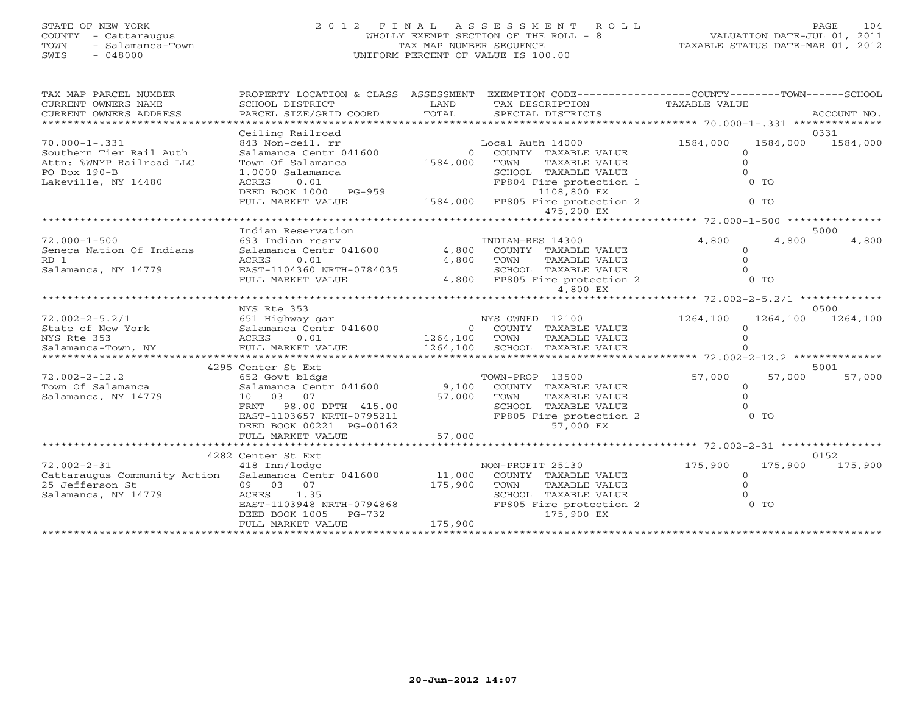## STATE OF NEW YORK 2 0 1 2 F I N A L A S S E S S M E N T R O L L PAGE 104 COUNTY - Cattaraugus WHOLLY EXEMPT SECTION OF THE ROLL - 8 VALUATION DATE-JUL 01, 2011 TOWN - Salamanca-Town TAX MAP NUMBER SEQUENCE TAXABLE STATUS DATE-MAR 01, 2012 SWIS - 048000 UNIFORM PERCENT OF VALUE IS 100.00

| TAX MAP PARCEL NUMBER                          | PROPERTY LOCATION & CLASS ASSESSMENT               |                             | EXEMPTION CODE-----------------COUNTY-------TOWN------SCHOOL |                                       |                |             |
|------------------------------------------------|----------------------------------------------------|-----------------------------|--------------------------------------------------------------|---------------------------------------|----------------|-------------|
| CURRENT OWNERS NAME                            | SCHOOL DISTRICT                                    | LAND                        | TAX DESCRIPTION                                              | TAXABLE VALUE                         |                |             |
| CURRENT OWNERS ADDRESS                         | PARCEL SIZE/GRID COORD                             | TOTAL                       | SPECIAL DISTRICTS                                            |                                       |                | ACCOUNT NO. |
| ************************                       |                                                    |                             |                                                              |                                       |                |             |
|                                                | Ceiling Railroad                                   |                             |                                                              |                                       | 0331           |             |
| $70.000 - 1 - .331$<br>Southern Tier Rail Auth | 843 Non-ceil. rr<br>Salamanca Centr 041600         |                             | Local Auth 14000                                             | 1584,000                              | 1584,000       | 1584,000    |
| Attn: %WNYP Railroad LLC                       | Town Of Salamanca                                  | $\overline{0}$<br>1584,000  | COUNTY TAXABLE VALUE<br>TOWN<br><b>TAXABLE VALUE</b>         | $\circ$<br>$\Omega$                   |                |             |
| PO Box 190-B                                   | 1.0000 Salamanca                                   |                             | SCHOOL TAXABLE VALUE                                         | $\Omega$                              |                |             |
| Lakeville, NY 14480                            | 0.01<br>ACRES                                      |                             | FP804 Fire protection 1                                      |                                       | $0$ TO         |             |
|                                                | DEED BOOK 1000 PG-959                              |                             | 1108,800 EX                                                  |                                       |                |             |
|                                                | FULL MARKET VALUE                                  | 1584,000                    | FP805 Fire protection 2                                      |                                       | $0$ TO         |             |
|                                                |                                                    |                             | 475,200 EX                                                   |                                       |                |             |
|                                                | ********************                               |                             |                                                              |                                       |                |             |
|                                                | Indian Reservation                                 |                             |                                                              |                                       | 5000           |             |
| $72.000 - 1 - 500$                             | 693 Indian resry                                   |                             | INDIAN-RES 14300                                             | 4,800                                 | 4,800          | 4,800       |
| Seneca Nation Of Indians                       | Salamanca Centr 041600                             | 4,800                       | COUNTY TAXABLE VALUE                                         | $\Omega$                              |                |             |
| RD 1                                           | 0.01<br>ACRES                                      | 4,800                       | <b>TAXABLE VALUE</b><br>TOWN                                 | $\Omega$                              |                |             |
| Salamanca, NY 14779                            | EAST-1104360 NRTH-0784035                          |                             | SCHOOL TAXABLE VALUE                                         | $\Omega$                              |                |             |
|                                                | FULL MARKET VALUE                                  | 4,800                       | FP805 Fire protection 2                                      | $0$ TO                                |                |             |
|                                                |                                                    |                             | 4,800 EX                                                     |                                       |                |             |
|                                                | ************************                           |                             |                                                              | ******** 72.002-2-5.2/1 ************* |                |             |
|                                                | NYS Rte 353                                        |                             |                                                              |                                       | 0500           |             |
| $72.002 - 2 - 5.2/1$                           | 651 Highway gar                                    |                             | NYS OWNED 12100                                              | 1264,100                              | 1264,100       | 1264,100    |
| State of New York                              | Salamanca Centr 041600                             | $\overline{0}$              | COUNTY TAXABLE VALUE                                         | $\Omega$                              |                |             |
| NYS Rte 353                                    | ACRES<br>0.01                                      | 1264,100                    | TOWN<br>TAXABLE VALUE                                        | $\Omega$                              |                |             |
| Salamanca-Town, NY                             | FULL MARKET VALUE<br>***************************** | 1264,100                    | SCHOOL TAXABLE VALUE                                         |                                       |                |             |
|                                                | 4295 Center St Ext                                 |                             |                                                              |                                       | 5001           |             |
| $72.002 - 2 - 12.2$                            | 652 Govt bldgs                                     |                             | TOWN-PROP 13500                                              | 57,000                                | 57,000         | 57,000      |
| Town Of Salamanca                              | Salamanca Centr 041600                             | 9,100                       | COUNTY TAXABLE VALUE                                         | $\circ$                               |                |             |
| Salamanca, NY 14779                            | 10 03 07                                           | 57,000                      | TOWN<br><b>TAXABLE VALUE</b>                                 | $\Omega$                              |                |             |
|                                                | 98.00 DPTH 415.00<br>FRNT                          |                             | SCHOOL TAXABLE VALUE                                         | $\Omega$                              |                |             |
|                                                | EAST-1103657 NRTH-0795211                          |                             | FP805 Fire protection 2                                      |                                       | 0 <sub>T</sub> |             |
|                                                | DEED BOOK 00221 PG-00162                           |                             | 57,000 EX                                                    |                                       |                |             |
|                                                | FULL MARKET VALUE                                  | 57,000                      |                                                              |                                       |                |             |
|                                                |                                                    |                             |                                                              |                                       |                |             |
|                                                | 4282 Center St Ext                                 |                             |                                                              |                                       | 0152           |             |
| $72.002 - 2 - 31$                              | 418 Inn/lodge                                      |                             | NON-PROFIT 25130                                             | 175,900                               | 175,900        | 175,900     |
| Cattaraugus Community Action                   | Salamanca Centr 041600                             | 11,000                      | COUNTY TAXABLE VALUE                                         | $\circ$                               |                |             |
| 25 Jefferson St                                | 09 03<br>07                                        | 175,900                     | <b>TAXABLE VALUE</b><br><b>TOWN</b>                          | $\Omega$                              |                |             |
| Salamanca, NY 14779                            | 1.35<br>ACRES                                      |                             | SCHOOL TAXABLE VALUE                                         | $\cap$                                |                |             |
|                                                | EAST-1103948 NRTH-0794868                          |                             | FP805 Fire protection 2                                      |                                       | $0$ TO         |             |
|                                                | DEED BOOK 1005<br>PG-732                           |                             | 175,900 EX                                                   |                                       |                |             |
|                                                | FULL MARKET VALUE                                  | 175,900<br>**************** |                                                              |                                       |                |             |
|                                                |                                                    |                             |                                                              |                                       |                |             |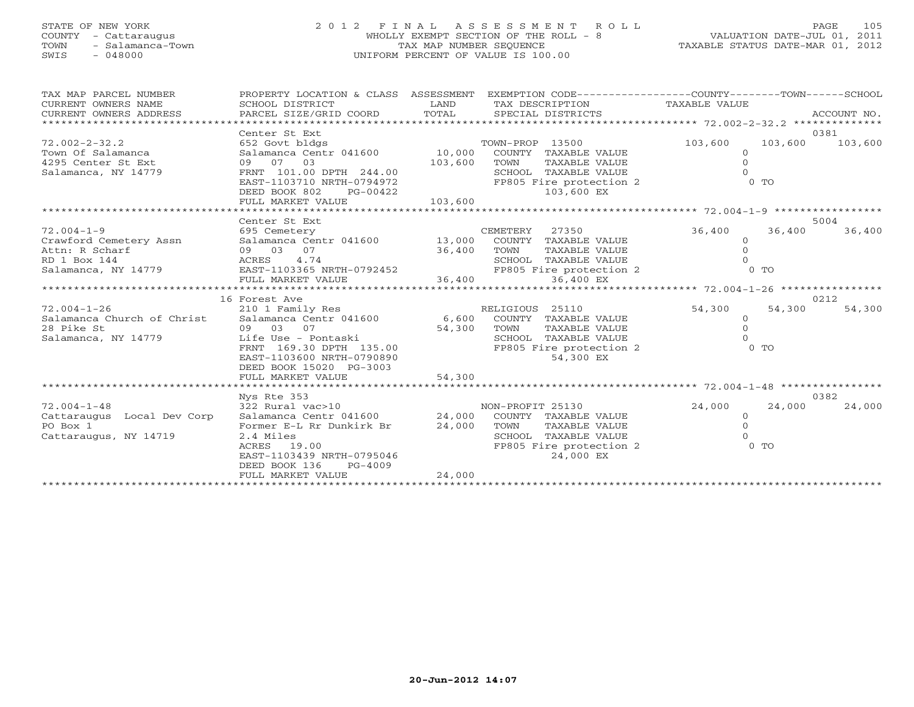## STATE OF NEW YORK 2 0 1 2 F I N A L A S S E S S M E N T R O L L PAGE 105 COUNTY - Cattaraugus WHOLLY EXEMPT SECTION OF THE ROLL - 8 VALUATION DATE-JUL 01, 2011 TOWN - Salamanca-Town TAX MAP NUMBER SEQUENCE TAXABLE STATUS DATE-MAR 01, 2012 SWIS - 048000 UNIFORM PERCENT OF VALUE IS 100.00

| TAX MAP PARCEL NUMBER<br>CURRENT OWNERS NAME   | SCHOOL DISTRICT                              | LAND<br>TOTAL | PROPERTY LOCATION & CLASS ASSESSMENT EXEMPTION CODE---------------COUNTY-------TOWN------SCHOOL<br>TAX DESCRIPTION | TAXABLE VALUE  |         |             |
|------------------------------------------------|----------------------------------------------|---------------|--------------------------------------------------------------------------------------------------------------------|----------------|---------|-------------|
| CURRENT OWNERS ADDRESS<br>******************** | PARCEL SIZE/GRID COORD                       |               | SPECIAL DISTRICTS                                                                                                  |                |         | ACCOUNT NO. |
|                                                | Center St Ext                                |               |                                                                                                                    |                |         | 0381        |
| $72.002 - 2 - 32.2$                            | 652 Govt bldgs                               |               | TOWN-PROP 13500                                                                                                    | 103,600        | 103,600 | 103,600     |
| Town Of Salamanca                              | Salamanca Centr 041600                       | 10,000        | COUNTY TAXABLE VALUE                                                                                               | $\Omega$       |         |             |
| 4295 Center St Ext                             | 09 07 03                                     | 103,600       | TOWN<br>TAXABLE VALUE                                                                                              | $\Omega$       |         |             |
| Salamanca, NY 14779                            | FRNT 101.00 DPTH 244.00                      |               | SCHOOL TAXABLE VALUE                                                                                               |                |         |             |
|                                                | EAST-1103710 NRTH-0794972                    |               | FP805 Fire protection 2                                                                                            | $0$ TO         |         |             |
|                                                | DEED BOOK 802<br>PG-00422                    |               | 103,600 EX                                                                                                         |                |         |             |
|                                                | FULL MARKET VALUE                            | 103,600       |                                                                                                                    |                |         |             |
|                                                |                                              |               |                                                                                                                    |                |         |             |
|                                                | Center St Ext                                |               |                                                                                                                    |                |         | 5004        |
| $72.004 - 1 - 9$                               | 695 Cemetery                                 |               | CEMETERY<br>27350                                                                                                  | 36,400         | 36,400  | 36,400      |
| Crawford Cemetery Assn                         | Salamanca Centr 041600 13,000                |               | COUNTY<br>TAXABLE VALUE                                                                                            | $\circ$        |         |             |
| Attn: R Scharf                                 | 09 03 07                                     | 36,400        | TOWN<br>TAXABLE VALUE                                                                                              | $\circ$        |         |             |
|                                                |                                              |               | SCHOOL TAXABLE VALUE                                                                                               |                |         |             |
|                                                |                                              |               | FP805 Fire protection 2                                                                                            | $0$ TO         |         |             |
|                                                | FULL MARKET VALUE                            | 36,400        | 36,400 EX                                                                                                          |                |         |             |
|                                                |                                              |               |                                                                                                                    |                |         |             |
|                                                | 16 Forest Ave                                |               |                                                                                                                    |                |         | 0212        |
| $72.004 - 1 - 26$                              | 210 1 Family Res                             |               | RELIGIOUS 25110                                                                                                    | 54,300         | 54,300  | 54,300      |
| Salamanca Church of Christ                     | Salamanca Centr 041600 6,600                 |               | COUNTY TAXABLE VALUE                                                                                               | $\overline{0}$ |         |             |
| 28 Pike St                                     | 09 03<br>07                                  | 54,300        | TOWN<br>TAXABLE VALUE                                                                                              | $\Omega$       |         |             |
| Salamanca, NY 14779                            | Life Use - Pontaski                          |               | SCHOOL<br>TAXABLE VALUE                                                                                            |                |         |             |
|                                                | FRNT 169.30 DPTH 135.00                      |               | FP805 Fire protection 2                                                                                            | $0$ TO         |         |             |
|                                                | EAST-1103600 NRTH-0790890                    |               | 54,300 EX                                                                                                          |                |         |             |
|                                                | DEED BOOK 15020 PG-3003<br>FULL MARKET VALUE | 54,300        |                                                                                                                    |                |         |             |
|                                                | **************************                   |               |                                                                                                                    |                |         |             |
|                                                | Nys Rte 353                                  |               |                                                                                                                    |                |         | 0382        |
| $72.004 - 1 - 48$                              | 322 Rural vac>10                             |               | NON-PROFIT 25130                                                                                                   | 24,000         | 24,000  | 24,000      |
| Cattaraugus Local Dev Corp                     | Salamanca Centr 041600                       | 24,000        | COUNTY TAXABLE VALUE                                                                                               | $\overline{O}$ |         |             |
| PO Box 1                                       | Former E-L Rr Dunkirk Br                     | 24,000        | TOWN<br>TAXABLE VALUE                                                                                              | $\Omega$       |         |             |
| Cattaraugus, NY 14719                          | 2.4 Miles                                    |               | SCHOOL TAXABLE VALUE                                                                                               |                |         |             |
|                                                | 19.00<br>ACRES                               |               | FP805 Fire protection 2                                                                                            | $0$ TO         |         |             |
|                                                | EAST-1103439 NRTH-0795046                    |               | 24,000 EX                                                                                                          |                |         |             |
|                                                | DEED BOOK 136<br>$PG-4009$                   |               |                                                                                                                    |                |         |             |
|                                                | FULL MARKET VALUE                            | 24,000        |                                                                                                                    |                |         |             |
|                                                | ************************************         |               |                                                                                                                    |                |         |             |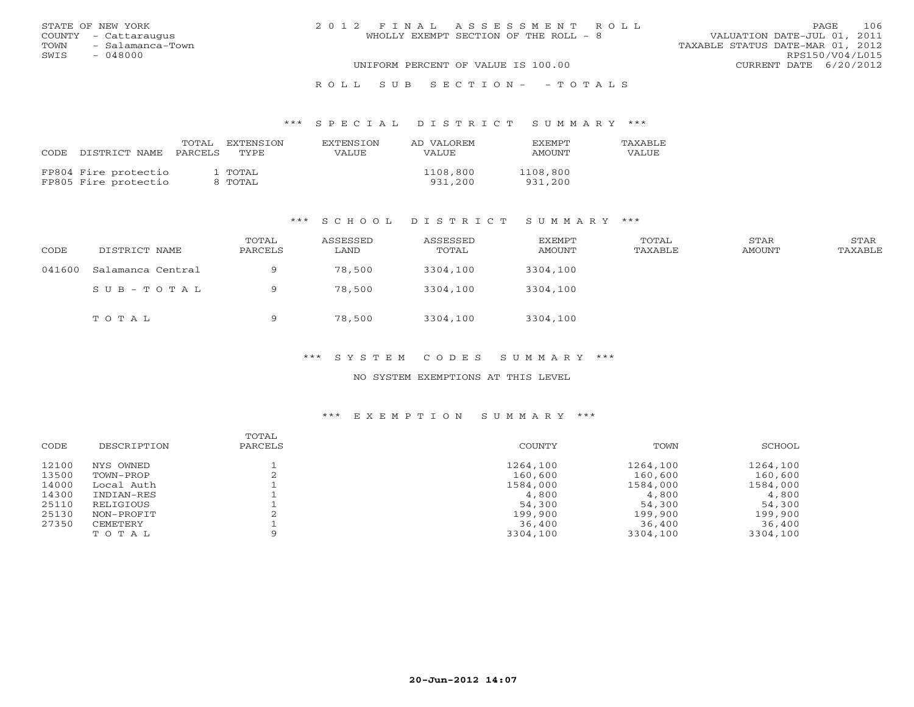|      | STATE OF NEW YORK    | 2012 FINAL ASSESSMENT ROLL            |                                  | PAGE.           | 106 |
|------|----------------------|---------------------------------------|----------------------------------|-----------------|-----|
|      | COUNTY - Cattaraugus | WHOLLY EXEMPT SECTION OF THE ROLL - 8 | VALUATION DATE-JUL 01, 2011      |                 |     |
| TOWN | - Salamanca-Town     |                                       | TAXABLE STATUS DATE-MAR 01, 2012 |                 |     |
| SWIS | $-048000$            |                                       |                                  | RPS150/V04/L015 |     |
|      |                      | UNIFORM PERCENT OF VALUE IS 100.00    | CURRENT DATE 6/20/2012           |                 |     |
|      |                      |                                       |                                  |                 |     |

### R O L L S U B S E C T I O N - - T O T A L S

#### \*\*\* S P E C I A L D I S T R I C T S U M M A R Y \*\*\*

| CODE DISTRICT NAME PARCELS                   | TOTAL EXTENSION<br>TYPE. | EXTENSION<br>VALUE | AD VALOREM<br>VALUE | <b>FXEMPT</b><br><b>AMOUNT</b> | TAXABLE<br>VALUE |
|----------------------------------------------|--------------------------|--------------------|---------------------|--------------------------------|------------------|
| FP804 Fire protectio<br>FP805 Fire protectio | L TOTAL<br>8 TOTAL       |                    | 1108,800<br>931,200 | 1108,800<br>931,200            |                  |

#### \*\*\* S C H O O L D I S T R I C T S U M M A R Y \*\*\*

| CODE   | DISTRICT NAME     | TOTAL<br>PARCELS | ASSESSED<br>LAND | ASSESSED<br>TOTAL | EXEMPT<br>AMOUNT | TOTAL<br>TAXABLE | STAR<br>AMOUNT | STAR<br>TAXABLE |
|--------|-------------------|------------------|------------------|-------------------|------------------|------------------|----------------|-----------------|
| 041600 | Salamanca Central | Q                | 78,500           | 3304,100          | 3304,100         |                  |                |                 |
|        | SUB-TOTAL         | 9                | 78,500           | 3304,100          | 3304,100         |                  |                |                 |
|        | TOTAL             | a                | 78,500           | 3304,100          | 3304,100         |                  |                |                 |

#### \*\*\* S Y S T E M C O D E S S U M M A R Y \*\*\*

### NO SYSTEM EXEMPTIONS AT THIS LEVEL

## \*\*\* E X E M P T I O N S U M M A R Y \*\*\*

| 12100<br>1264,100<br>1264,100<br>NYS OWNED  | 1264,100 |
|---------------------------------------------|----------|
| 13500<br>160,600<br>160,600<br>TOWN-PROP    | 160,600  |
| 14000<br>1584,000<br>1584,000<br>Local Auth | 1584,000 |
| 14300<br>4,800<br>4,800<br>INDIAN-RES       | 4,800    |
| 25110<br>54,300<br>54,300<br>RELIGIOUS      | 54,300   |
| 25130<br>199,900<br>199,900<br>NON-PROFIT   | 199,900  |
| 27350<br>36,400<br>36,400<br>CEMETERY       | 36,400   |
| 3304,100<br>3304,100<br>TOTAL               | 3304,100 |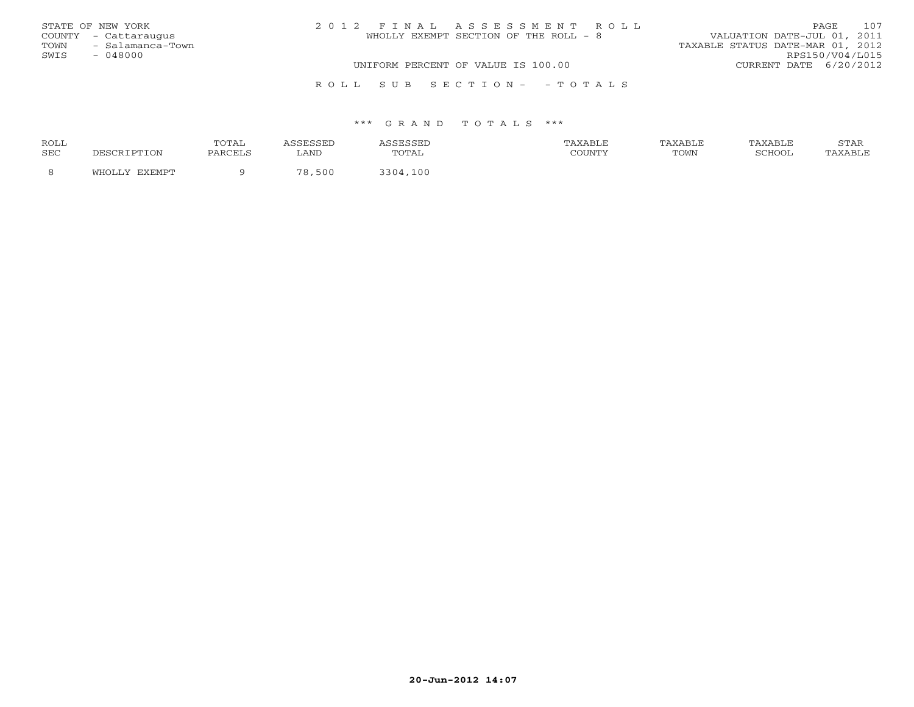|      | STATE OF NEW YORK    | 2012 FINAL ASSESSMENT ROLL            | 107<br>PAGE.                     |
|------|----------------------|---------------------------------------|----------------------------------|
|      | COUNTY - Cattaraugus | WHOLLY EXEMPT SECTION OF THE ROLL - 8 | VALUATION DATE-JUL 01, 2011      |
| TOWN | - Salamanca-Town     |                                       | TAXABLE STATUS DATE-MAR 01, 2012 |
| SWIS | - 048000             |                                       | RPS150/V04/L015                  |
|      |                      | UNIFORM PERCENT OF VALUE IS 100.00    | CURRENT DATE 6/20/2012           |
|      |                      |                                       |                                  |

#### \*\*\* G R A N D T O T A L S \*\*\*

R O L L S U B S E C T I O N - - T O T A L S

| <b>ROLL</b> |       | ጥሰጥ A1  |           |            | <b>XABLF</b> | AXABLE | TAXABLE | <b>CHLAT</b><br>י בתיכו |
|-------------|-------|---------|-----------|------------|--------------|--------|---------|-------------------------|
| <b>SEC</b>  | DTION | PARCELS | LAND      | utal       | COUNTY       | TOWN   | COHOOT  |                         |
|             |       |         | 500<br>70 | 100<br>201 |              |        |         |                         |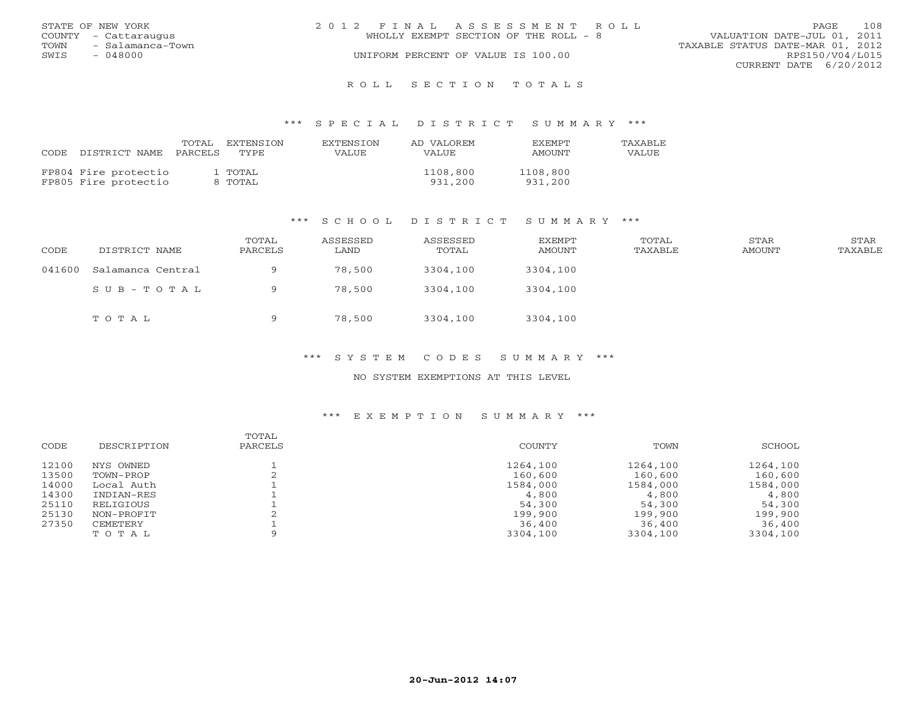|      | STATE OF NEW YORK    | 2012 FINAL ASSESSMENT ROLL |                                       |                                  |                        | <b>PAGE</b> | 108 |
|------|----------------------|----------------------------|---------------------------------------|----------------------------------|------------------------|-------------|-----|
|      | COUNTY - Cattaraugus |                            | WHOLLY EXEMPT SECTION OF THE ROLL - 8 | VALUATION DATE-JUL 01, 2011      |                        |             |     |
| TOWN | - Salamanca-Town     |                            |                                       | TAXABLE STATUS DATE-MAR 01, 2012 |                        |             |     |
| SWIS | - 048000             |                            | UNIFORM PERCENT OF VALUE IS 100.00    |                                  | RPS150/V04/L015        |             |     |
|      |                      |                            |                                       |                                  | CURRENT DATE 6/20/2012 |             |     |
|      |                      |                            |                                       |                                  |                        |             |     |

R O L L S E C T I O N T O T A L S

#### \*\*\* S P E C I A L D I S T R I C T S U M M A R Y \*\*\*

| CODE | DISTRICT NAME                                | TOTAL<br>PARCELS | EXTENSION<br>TYPE. | EXTENSION<br>VALUE | AD VALOREM<br>VALUE | <b>EXEMPT</b><br>AMOUNT | <b>TAXABLF</b><br>VALUE |
|------|----------------------------------------------|------------------|--------------------|--------------------|---------------------|-------------------------|-------------------------|
|      | FP804 Fire protectio<br>FP805 Fire protectio |                  | 1 TOTAL<br>8 TOTAL |                    | 1108,800<br>931,200 | 1108,800<br>931,200     |                         |

#### \*\*\* S C H O O L D I S T R I C T S U M M A R Y \*\*\*

| CODE   | DISTRICT NAME     | TOTAL<br>PARCELS | ASSESSED<br>LAND | ASSESSED<br>TOTAL | EXEMPT<br>AMOUNT | TOTAL<br>TAXABLE | STAR<br>AMOUNT | STAR<br>TAXABLE |
|--------|-------------------|------------------|------------------|-------------------|------------------|------------------|----------------|-----------------|
| 041600 | Salamanca Central | Q                | 78,500           | 3304,100          | 3304,100         |                  |                |                 |
|        | SUB-TOTAL         |                  | 78,500           | 3304,100          | 3304,100         |                  |                |                 |
|        | TOTAL             | Q                | 78,500           | 3304,100          | 3304,100         |                  |                |                 |

\*\*\* S Y S T E M C O D E S S U M M A R Y \*\*\*

NO SYSTEM EXEMPTIONS AT THIS LEVEL

## \*\*\* E X E M P T I O N S U M M A R Y \*\*\*

| CODE  | DESCRIPTION | TOTAL<br>PARCELS | COUNTY   | TOWN     | SCHOOL   |
|-------|-------------|------------------|----------|----------|----------|
| 12100 | NYS OWNED   |                  | 1264,100 | 1264,100 | 1264,100 |
| 13500 | TOWN-PROP   |                  | 160,600  | 160,600  | 160,600  |
| 14000 | Local Auth  |                  | 1584,000 | 1584,000 | 1584,000 |
| 14300 | INDIAN-RES  |                  | 4,800    | 4,800    | 4,800    |
| 25110 | RELIGIOUS   |                  | 54,300   | 54,300   | 54,300   |
| 25130 | NON-PROFIT  |                  | 199,900  | 199,900  | 199,900  |
| 27350 | CEMETERY    |                  | 36,400   | 36,400   | 36,400   |
|       | TOTAL       | $\Omega$         | 3304,100 | 3304,100 | 3304,100 |
|       |             |                  |          |          |          |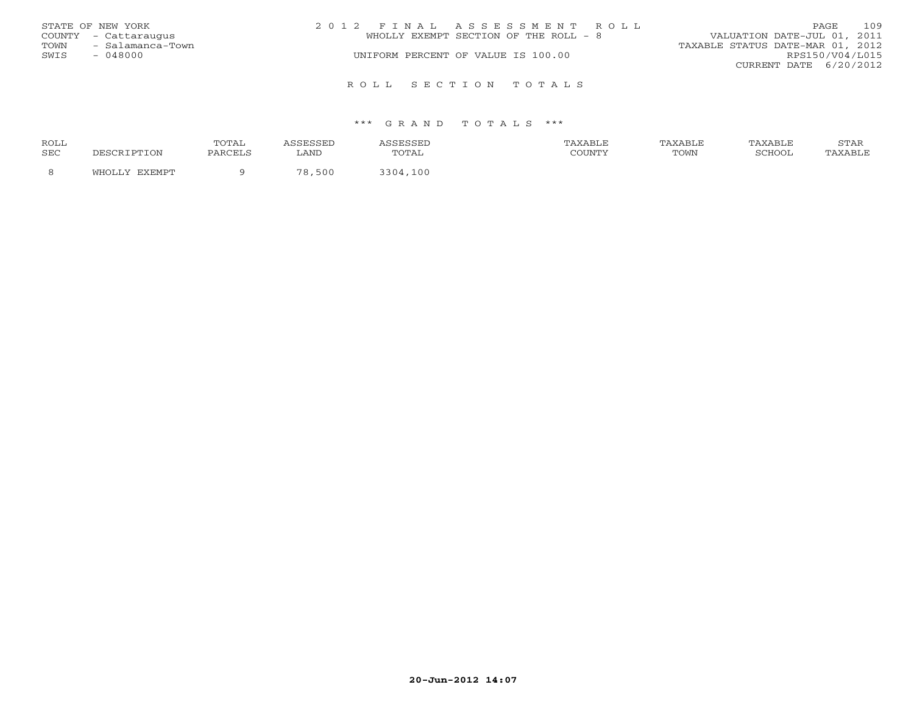|      | STATE OF NEW YORK    | 2012 FINAL ASSESSMENT ROLL            | PAGE                        | 109 |
|------|----------------------|---------------------------------------|-----------------------------|-----|
|      | COUNTY - Cattaraugus | WHOLLY EXEMPT SECTION OF THE ROLL - 8 | VALUATION DATE-JUL 01, 2011 |     |
| TOWN | - Salamanca-Town     | TAXABLE STATUS DATE-MAR 01, 2012      |                             |     |
| SWIS | - 048000             | UNIFORM PERCENT OF VALUE IS 100.00    | RPS150/V04/L015             |     |
|      |                      |                                       | CURRENT DATE $6/20/2012$    |     |
|      |                      | ROLL SECTION TOTALS                   |                             |     |

#### \*\*\* G R A N D T O T A L S \*\*\*

| <b>ROLL</b> |       | <b>TOTA</b> |           |            | <b>XABLF</b> | AXABLE | TAXABLE | <b>CERT</b><br>י בתיכו |
|-------------|-------|-------------|-----------|------------|--------------|--------|---------|------------------------|
| <b>SEC</b>  | DTION | PARCELS     | LAND      | utal       | COUNTY       | TOWN   | COHOOT  |                        |
|             |       |             | 500<br>70 | 100<br>201 |              |        |         |                        |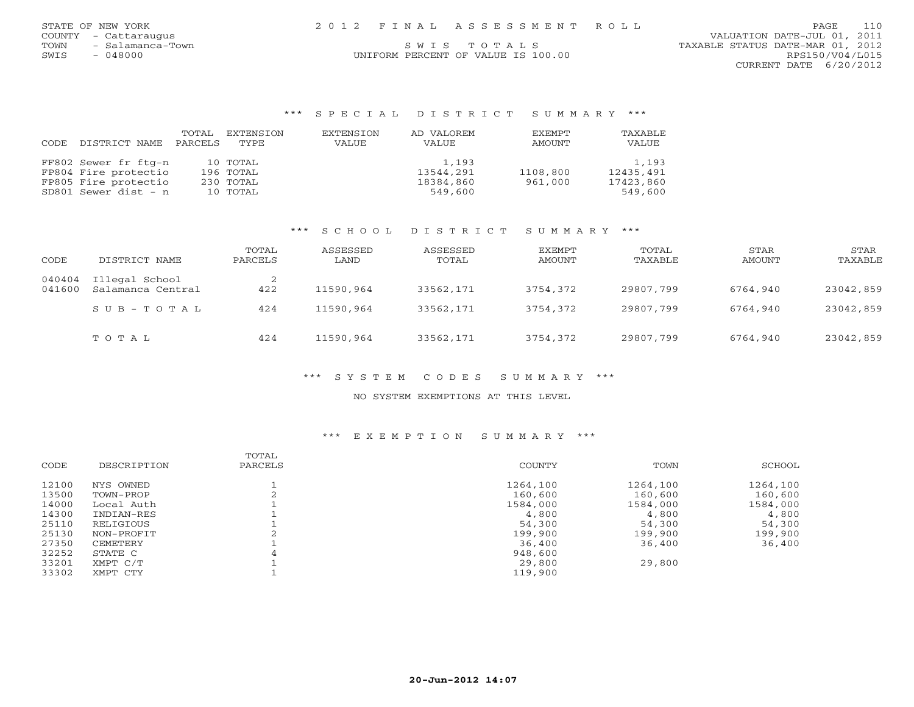|      | STATE OF NEW YORK    | 2012 FINAL ASSESSMENT ROLL         | 110<br>PAGE                      |
|------|----------------------|------------------------------------|----------------------------------|
|      | COUNTY - Cattaraugus |                                    | VALUATION DATE-JUL 01, 2011      |
| TOWN | - Salamanca-Town     | SWIS TOTALS                        | TAXABLE STATUS DATE-MAR 01, 2012 |
| SWIS | 048000               | UNIFORM PERCENT OF VALUE IS 100.00 | RPS150/V04/L015                  |
|      |                      |                                    | CURRENT DATE 6/20/2012           |

### \*\*\* S P E C I A L D I S T R I C T S U M M A R Y \*\*\*

| CODE | DISTRICT NAME        | TOTAL<br>PARCELS | EXTENSION<br>TYPE | EXTENSION<br>VALUE | AD VALOREM<br>VALUE | <b>EXEMPT</b><br>AMOUNT | TAXABLE<br>VALUE |
|------|----------------------|------------------|-------------------|--------------------|---------------------|-------------------------|------------------|
|      |                      |                  |                   |                    |                     |                         |                  |
|      | FF802 Sewer fr ftg-n |                  | 10 TOTAL          |                    | 1,193               |                         | 1,193            |
|      | FP804 Fire protectio |                  | 196 TOTAL         |                    | 13544,291           | 1108,800                | 12435,491        |
|      | FP805 Fire protectio |                  | 230 TOTAL         |                    | 18384,860           | 961,000                 | 17423,860        |
|      | SD801 Sewer dist - n |                  | 10 TOTAL          |                    | 549,600             |                         | 549,600          |

## \*\*\* S C H O O L D I S T R I C T S U M M A R Y \*\*\*

| CODE             | DISTRICT NAME                       | TOTAL<br>PARCELS | ASSESSED<br>LAND | ASSESSED<br>TOTAL | EXEMPT<br>AMOUNT | TOTAL<br>TAXABLE | STAR<br>AMOUNT | STAR<br>TAXABLE |
|------------------|-------------------------------------|------------------|------------------|-------------------|------------------|------------------|----------------|-----------------|
| 040404<br>041600 | Illegal School<br>Salamanca Central | 422              | 11590,964        | 33562,171         | 3754,372         | 29807,799        | 6764,940       | 23042,859       |
|                  | $SUB - TO T AL$                     | 424              | 11590,964        | 33562,171         | 3754,372         | 29807,799        | 6764,940       | 23042,859       |
|                  | TOTAL                               | 424              | 11590,964        | 33562,171         | 3754,372         | 29807,799        | 6764,940       | 23042,859       |

## \*\*\* S Y S T E M C O D E S S U M M A R Y \*\*\*

#### NO SYSTEM EXEMPTIONS AT THIS LEVEL

#### \*\*\* E X E M P T I O N S U M M A R Y \*\*\*

|       |             | TOTAL   |          |          |          |
|-------|-------------|---------|----------|----------|----------|
| CODE  | DESCRIPTION | PARCELS | COUNTY   | TOWN     | SCHOOL   |
| 12100 | NYS OWNED   |         | 1264,100 | 1264,100 | 1264,100 |
| 13500 | TOWN-PROP   |         | 160,600  | 160,600  | 160,600  |
| 14000 | Local Auth  |         | 1584,000 | 1584,000 | 1584,000 |
| 14300 | INDIAN-RES  |         | 4,800    | 4,800    | 4,800    |
| 25110 | RELIGIOUS   |         | 54,300   | 54,300   | 54,300   |
| 25130 | NON-PROFIT  |         | 199,900  | 199,900  | 199,900  |
| 27350 | CEMETERY    |         | 36,400   | 36,400   | 36,400   |
| 32252 | STATE C     |         | 948,600  |          |          |
| 33201 | XMPT C/T    |         | 29,800   | 29,800   |          |
| 33302 | XMPT CTY    |         | 119,900  |          |          |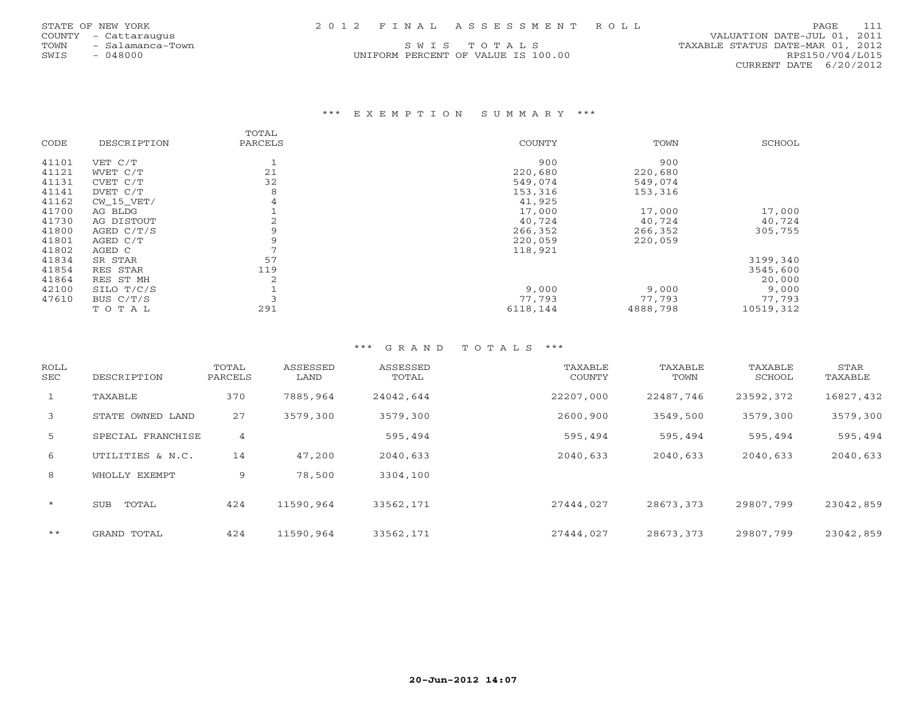| 2012 FINAL ASSESSMENT ROLL<br>STATE OF NEW YORK | PAGE 111 |  |
|-------------------------------------------------|----------|--|
|-------------------------------------------------|----------|--|

|    |           | ATE OF NEW YORK    |
|----|-----------|--------------------|
|    |           | UNTY - Cattarauqus |
| WМ |           | - Salamanca-Town   |
| ΊS | $-048000$ |                    |

## \*\*\* E X E M P T I O N S U M M A R Y \*\*\*

|       |              | TOTAL   |          |          |           |
|-------|--------------|---------|----------|----------|-----------|
| CODE  | DESCRIPTION  | PARCELS | COUNTY   | TOWN     | SCHOOL    |
| 41101 | VET C/T      |         | 900      | 900      |           |
| 41121 | WVET C/T     | 21      | 220,680  | 220,680  |           |
| 41131 | CVET C/T     | 32      | 549,074  | 549,074  |           |
| 41141 | DVET C/T     | 8       | 153,316  | 153,316  |           |
| 41162 | $CW_15_VET/$ | 4       | 41,925   |          |           |
| 41700 | AG BLDG      |         | 17,000   | 17,000   | 17,000    |
| 41730 | AG DISTOUT   |         | 40,724   | 40,724   | 40,724    |
| 41800 | AGED $C/T/S$ |         | 266,352  | 266,352  | 305,755   |
| 41801 | AGED C/T     |         | 220,059  | 220,059  |           |
| 41802 | AGED C       |         | 118,921  |          |           |
| 41834 | SR STAR      | 57      |          |          | 3199,340  |
| 41854 | RES STAR     | 119     |          |          | 3545,600  |
| 41864 | RES ST MH    | 2       |          |          | 20,000    |
| 42100 | SILO T/C/S   |         | 9,000    | 9,000    | 9,000     |
| 47610 | BUS C/T/S    |         | 77,793   | 77,793   | 77,793    |
|       | TOTAL        | 291     | 6118,144 | 4888,798 | 10519,312 |

# \*\*\* G R A N D T O T A L S \*\*\*

| ROLL<br>SEC  | DESCRIPTION       | TOTAL<br>PARCELS | ASSESSED<br>LAND | ASSESSED<br>TOTAL | TAXABLE<br><b>COUNTY</b> | TAXABLE<br>TOWN | TAXABLE<br>SCHOOL | STAR<br>TAXABLE |
|--------------|-------------------|------------------|------------------|-------------------|--------------------------|-----------------|-------------------|-----------------|
| $\mathbf{1}$ | TAXABLE           | 370              | 7885,964         | 24042,644         | 22207,000                | 22487,746       | 23592,372         | 16827,432       |
| 3            | STATE OWNED LAND  | 27               | 3579,300         | 3579,300          | 2600,900                 | 3549,500        | 3579,300          | 3579,300        |
| 5            | SPECIAL FRANCHISE | 4                |                  | 595,494           | 595,494                  | 595,494         | 595,494           | 595,494         |
| 6            | UTILITIES & N.C.  | 14               | 47,200           | 2040,633          | 2040,633                 | 2040,633        | 2040,633          | 2040,633        |
| 8            | WHOLLY EXEMPT     | 9                | 78,500           | 3304,100          |                          |                 |                   |                 |
| $\star$      | TOTAL<br>SUB      | 424              | 11590,964        | 33562,171         | 27444,027                | 28673,373       | 29807,799         | 23042,859       |
| $***$        | GRAND TOTAL       | 424              | 11590,964        | 33562,171         | 27444,027                | 28673,373       | 29807,799         | 23042,859       |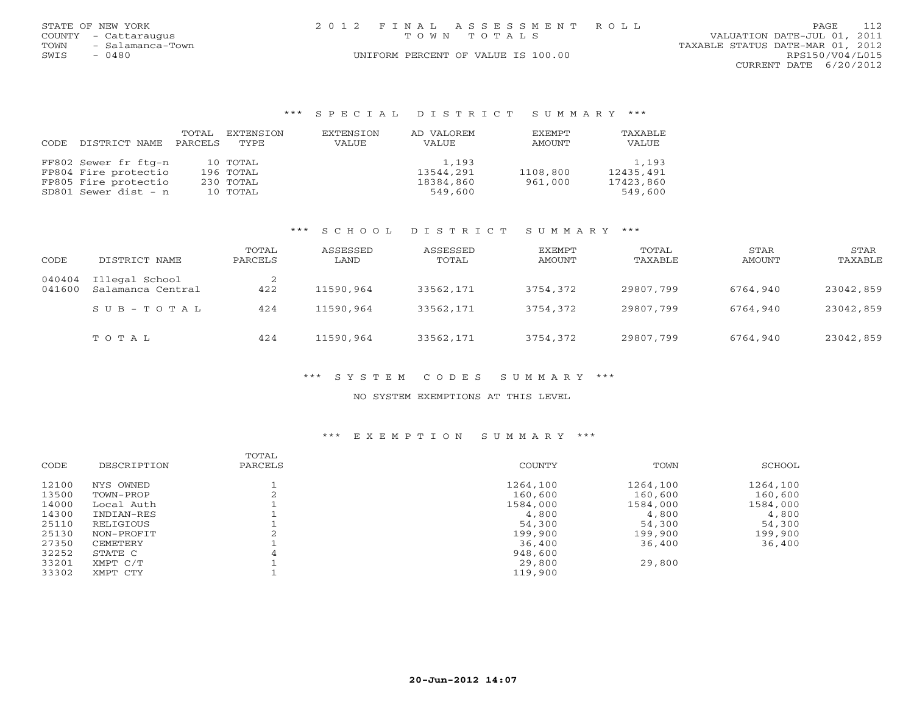| STATE OF NEW YORK    |                  | 2012 FINAL ASSESSMENT ROLL         |                                  | PAGE            | 112 |
|----------------------|------------------|------------------------------------|----------------------------------|-----------------|-----|
| COUNTY - Cattaraugus |                  | TOWN TOTALS                        | VALUATION DATE-JUL 01, 2011      |                 |     |
| TOWN                 | - Salamanca-Town |                                    | TAXABLE STATUS DATE-MAR 01, 2012 |                 |     |
| $-0480$<br>SWIS      |                  | UNIFORM PERCENT OF VALUE IS 100.00 |                                  | RPS150/V04/L015 |     |
|                      |                  |                                    | CURRENT DATE 6/20/2012           |                 |     |

#### \*\*\* S P E C I A L D I S T R I C T S U M M A R Y \*\*\*

|       |                      | TOTAL   | EXTENSION | EXTENSION | AD VALOREM | EXEMPT   | TAXABLE   |
|-------|----------------------|---------|-----------|-----------|------------|----------|-----------|
| CODE. | DISTRICT NAME        | PARCELS | TYPE.     | VALUE     | VALUE      | AMOUNT   | VALUE     |
|       |                      |         |           |           |            |          |           |
|       | FF802 Sewer fr ftg-n |         | 10 TOTAL  |           | 1,193      |          | 1,193     |
|       | FP804 Fire protectio |         | 196 TOTAL |           | 13544,291  | 1108,800 | 12435,491 |
|       | FP805 Fire protectio |         | 230 TOTAL |           | 18384,860  | 961,000  | 17423,860 |
|       | SD801 Sewer dist - n |         | 10 TOTAL  |           | 549,600    |          | 549,600   |

## \*\*\* S C H O O L D I S T R I C T S U M M A R Y \*\*\*

| CODE             | DISTRICT NAME                       | TOTAL<br>PARCELS | ASSESSED<br>LAND | ASSESSED<br>TOTAL | EXEMPT<br>AMOUNT | TOTAL<br>TAXABLE | STAR<br>AMOUNT | STAR<br>TAXABLE |
|------------------|-------------------------------------|------------------|------------------|-------------------|------------------|------------------|----------------|-----------------|
| 040404<br>041600 | Illegal School<br>Salamanca Central | 422              | 11590,964        | 33562,171         | 3754,372         | 29807,799        | 6764,940       | 23042,859       |
|                  | SUB-TOTAL                           | 424              | 11590,964        | 33562,171         | 3754,372         | 29807,799        | 6764,940       | 23042,859       |
|                  | TOTAL                               | 424              | 11590,964        | 33562,171         | 3754,372         | 29807,799        | 6764,940       | 23042,859       |

## \*\*\* S Y S T E M C O D E S S U M M A R Y \*\*\*

### NO SYSTEM EXEMPTIONS AT THIS LEVEL

## \*\*\* E X E M P T I O N S U M M A R Y \*\*\*

| CODE  | DESCRIPTION | TOTAL<br>PARCELS | COUNTY   | TOWN     | SCHOOL   |
|-------|-------------|------------------|----------|----------|----------|
|       |             |                  |          |          |          |
| 12100 | NYS OWNED   |                  | 1264,100 | 1264,100 | 1264,100 |
| 13500 | TOWN-PROP   |                  | 160,600  | 160,600  | 160,600  |
| 14000 | Local Auth  |                  | 1584,000 | 1584,000 | 1584,000 |
| 14300 | INDIAN-RES  |                  | 4,800    | 4,800    | 4,800    |
| 25110 | RELIGIOUS   |                  | 54,300   | 54,300   | 54,300   |
| 25130 | NON-PROFIT  |                  | 199,900  | 199,900  | 199,900  |
| 27350 | CEMETERY    |                  | 36,400   | 36,400   | 36,400   |
| 32252 | STATE C     |                  | 948,600  |          |          |
| 33201 | XMPT C/T    |                  | 29,800   | 29,800   |          |
| 33302 | XMPT CTY    |                  | 119,900  |          |          |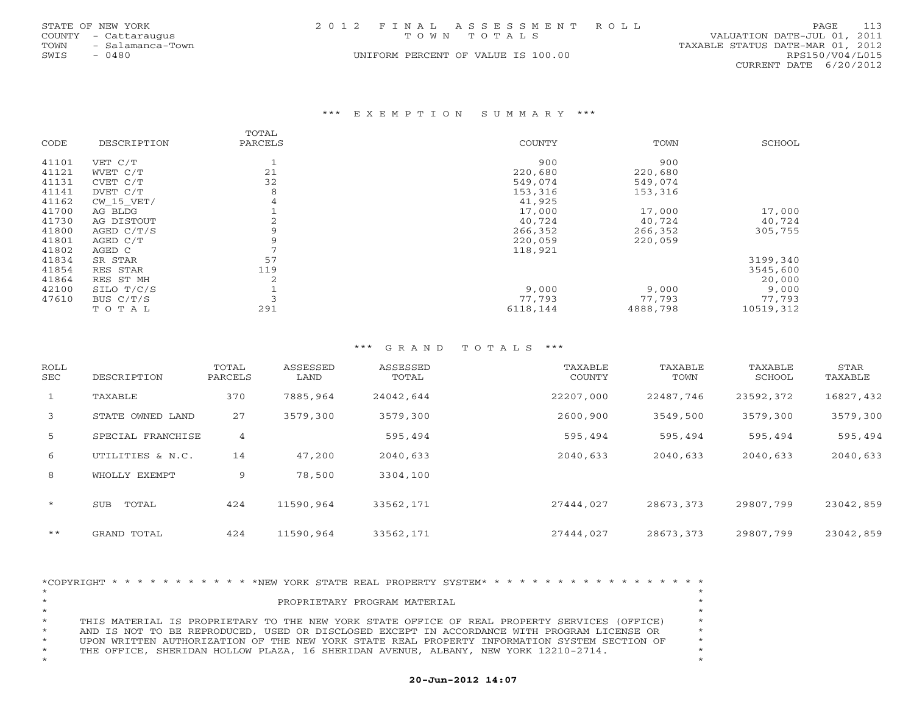| STATE OF NEW YORK    |                  |  | 2012 FINAL ASSESSMENT ROLL         |                                  |                        | PAGE. | 113 |
|----------------------|------------------|--|------------------------------------|----------------------------------|------------------------|-------|-----|
| COUNTY - Cattaraugus |                  |  | TOWN TOTALS                        | VALUATION DATE-JUL 01, 2011      |                        |       |     |
| TOWN                 | - Salamanca-Town |  |                                    | TAXABLE STATUS DATE-MAR 01, 2012 |                        |       |     |
| SWIS<br>0480         |                  |  | UNIFORM PERCENT OF VALUE IS 100.00 |                                  | RPS150/V04/L015        |       |     |
|                      |                  |  |                                    |                                  | CURRENT DATE 6/20/2012 |       |     |

### \*\*\* E X E M P T I O N S U M M A R Y \*\*\*

|       |             | TOTAL   |          |          |           |
|-------|-------------|---------|----------|----------|-----------|
| CODE  | DESCRIPTION | PARCELS | COUNTY   | TOWN     | SCHOOL    |
| 41101 | VET C/T     |         | 900      | 900      |           |
| 41121 | WVET C/T    | 21      | 220,680  | 220,680  |           |
| 41131 | CVET C/T    | 32      | 549,074  | 549,074  |           |
| 41141 | DVET C/T    | 8       | 153,316  | 153,316  |           |
| 41162 | CW 15 VET/  | 4       | 41,925   |          |           |
| 41700 | AG BLDG     |         | 17,000   | 17,000   | 17,000    |
| 41730 | AG DISTOUT  |         | 40,724   | 40,724   | 40,724    |
| 41800 | AGED C/T/S  |         | 266,352  | 266,352  | 305,755   |
| 41801 | AGED C/T    |         | 220,059  | 220,059  |           |
| 41802 | AGED C      |         | 118,921  |          |           |
| 41834 | SR STAR     | 57      |          |          | 3199,340  |
| 41854 | RES STAR    | 119     |          |          | 3545,600  |
| 41864 | RES ST MH   | 2       |          |          | 20,000    |
| 42100 | SILO T/C/S  |         | 9,000    | 9,000    | 9,000     |
| 47610 | BUS $C/T/S$ |         | 77,793   | 77,793   | 77,793    |
|       | TOTAL       | 291     | 6118,144 | 4888,798 | 10519,312 |

# \*\*\* G R A N D T O T A L S \*\*\*

| ROLL<br>SEC | DESCRIPTION       | TOTAL<br>PARCELS | ASSESSED<br>LAND | ASSESSED<br>TOTAL | TAXABLE<br>COUNTY | TAXABLE<br>TOWN | TAXABLE<br>SCHOOL | STAR<br>TAXABLE |
|-------------|-------------------|------------------|------------------|-------------------|-------------------|-----------------|-------------------|-----------------|
| 1           | TAXABLE           | 370              | 7885,964         | 24042,644         | 22207,000         | 22487,746       | 23592,372         | 16827,432       |
| 3           | STATE OWNED LAND  | 27               | 3579,300         | 3579,300          | 2600,900          | 3549,500        | 3579,300          | 3579,300        |
| 5           | SPECIAL FRANCHISE | 4                |                  | 595,494           | 595,494           | 595,494         | 595,494           | 595,494         |
| 6           | UTILITIES & N.C.  | 14               | 47,200           | 2040,633          | 2040,633          | 2040,633        | 2040,633          | 2040,633        |
| 8           | WHOLLY EXEMPT     | 9                | 78,500           | 3304,100          |                   |                 |                   |                 |
| $\star$     | TOTAL<br>SUB      | 424              | 11590,964        | 33562,171         | 27444,027         | 28673,373       | 29807,799         | 23042,859       |
| $* *$       | GRAND TOTAL       | 424              | 11590,964        | 33562,171         | 27444,027         | 28673,373       | 29807,799         | 23042,859       |

|         |  |  |  |  |  |  | *COPYRIGHT * * * * * * * * * * * * NEW YORK STATE REAL PROPERTY SYSTEM* * * * * * * * * * * * * * * * * * * |  |  |  |  |  |  |  |         |
|---------|--|--|--|--|--|--|-------------------------------------------------------------------------------------------------------------|--|--|--|--|--|--|--|---------|
| $\star$ |  |  |  |  |  |  |                                                                                                             |  |  |  |  |  |  |  |         |
| $\star$ |  |  |  |  |  |  | PROPRIETARY PROGRAM MATERIAL                                                                                |  |  |  |  |  |  |  |         |
| $\star$ |  |  |  |  |  |  |                                                                                                             |  |  |  |  |  |  |  |         |
| $\star$ |  |  |  |  |  |  | THIS MATERIAL IS PROPRIETARY TO THE NEW YORK STATE OFFICE OF REAL PROPERTY SERVICES (OFFICE)                |  |  |  |  |  |  |  | $\star$ |
| $\star$ |  |  |  |  |  |  | AND IS NOT TO BE REPRODUCED, USED OR DISCLOSED EXCEPT IN ACCORDANCE WITH PROGRAM LICENSE OR                 |  |  |  |  |  |  |  | $\star$ |
| $\star$ |  |  |  |  |  |  | UPON WRITTEN AUTHORIZATION OF THE NEW YORK STATE REAL PROPERTY INFORMATION SYSTEM SECTION OF                |  |  |  |  |  |  |  | $\star$ |
| $\star$ |  |  |  |  |  |  | THE OFFICE, SHERIDAN HOLLOW PLAZA, 16 SHERIDAN AVENUE, ALBANY, NEW YORK 12210-2714.                         |  |  |  |  |  |  |  |         |
| $\star$ |  |  |  |  |  |  |                                                                                                             |  |  |  |  |  |  |  | $\star$ |

# **20-Jun-2012 14:07**